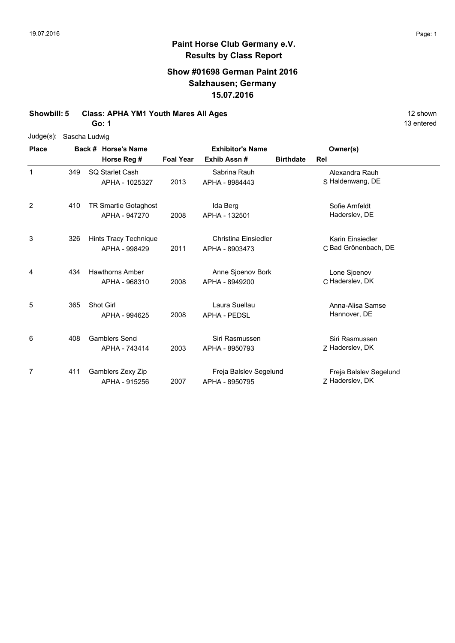## **Paint Horse Club Germany e.V. Results by Class Report**

## **Show #01698 German Paint 2016 Salzhausen; Germany 15.07.2016**

**Showbill: 5 Class: APHA YM1 Youth Mares All Ages 12 Shown 20 shown 12 shown** 

**Go: 1**

Judge(s): Sascha Ludwig

| <b>Place</b> | Back # Horse's Name |                                         | <b>Exhibitor's Name</b> |                                          |                  | Owner(s)                                  |  |
|--------------|---------------------|-----------------------------------------|-------------------------|------------------------------------------|------------------|-------------------------------------------|--|
|              |                     | Horse Reg #                             | <b>Foal Year</b>        | Exhib Assn#                              | <b>Birthdate</b> | Rel                                       |  |
| 1            | 349                 | SQ Starlet Cash<br>APHA - 1025327       | 2013                    | Sabrina Rauh<br>APHA - 8984443           |                  | Alexandra Rauh<br>S Haldenwang, DE        |  |
| 2            | 410                 | TR Smartie Gotaghost<br>APHA - 947270   | 2008                    | Ida Berg<br>APHA - 132501                |                  | Sofie Arnfeldt<br>Haderslev, DE           |  |
| 3            | 326                 | Hints Tracy Technique<br>APHA - 998429  | 2011                    | Christina Einsiedler<br>APHA - 8903473   |                  | Karin Einsiedler<br>C Bad Grönenbach, DE  |  |
| 4            | 434                 | <b>Hawthorns Amber</b><br>APHA - 968310 | 2008                    | Anne Sjoenov Bork<br>APHA - 8949200      |                  | Lone Sjoenov<br>C Haderslev, DK           |  |
| 5            | 365                 | Shot Girl<br>APHA - 994625              | 2008                    | Laura Suellau<br><b>APHA - PEDSL</b>     |                  | Anna-Alisa Samse<br>Hannover, DE          |  |
| 6            | 408                 | <b>Gamblers Senci</b><br>APHA - 743414  | 2003                    | Siri Rasmussen<br>APHA - 8950793         |                  | Siri Rasmussen<br>Z Haderslev, DK         |  |
| 7            | 411                 | Gamblers Zexy Zip<br>APHA - 915256      | 2007                    | Freja Balslev Segelund<br>APHA - 8950795 |                  | Freja Balslev Segelund<br>Z Haderslev, DK |  |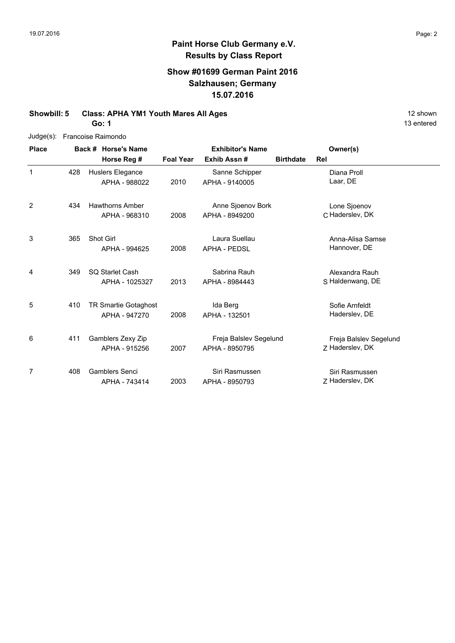## **Show #01699 German Paint 2016 Salzhausen; Germany 15.07.2016**

### **Showbill: 5 Class: APHA YM1 Youth Mares All Ages 12 Shown 20 Shown 12 shown**

**Go: 1**

| Judge(s): Francoise Raimondo |
|------------------------------|
|                              |

| <b>Place</b>   |     | Back # Horse's Name                          |                  | <b>Exhibitor's Name</b>                  | Owner(s)         |                                           |
|----------------|-----|----------------------------------------------|------------------|------------------------------------------|------------------|-------------------------------------------|
|                |     | Horse Reg #                                  | <b>Foal Year</b> | Exhib Assn #                             | <b>Birthdate</b> | <b>Rel</b>                                |
| 1              | 428 | Huslers Elegance<br>APHA - 988022            | 2010             | Sanne Schipper<br>APHA - 9140005         |                  | Diana Proll<br>Laar, DE                   |
| $\overline{2}$ | 434 | <b>Hawthorns Amber</b><br>APHA - 968310      | 2008             | Anne Sjoenov Bork<br>APHA - 8949200      |                  | Lone Sjoenov<br>C Haderslev, DK           |
| 3              | 365 | Shot Girl<br>APHA - 994625                   | 2008             | Laura Suellau<br><b>APHA - PEDSL</b>     |                  | Anna-Alisa Samse<br>Hannover, DE          |
| 4              | 349 | SQ Starlet Cash<br>APHA - 1025327            | 2013             | Sabrina Rauh<br>APHA - 8984443           |                  | Alexandra Rauh<br>S Haldenwang, DE        |
| 5              | 410 | <b>TR Smartie Gotaghost</b><br>APHA - 947270 | 2008             | Ida Berg<br>APHA - 132501                |                  | Sofie Arnfeldt<br>Haderslev, DE           |
| 6              | 411 | Gamblers Zexy Zip<br>APHA - 915256           | 2007             | Freja Balslev Segelund<br>APHA - 8950795 |                  | Freja Balslev Segelund<br>Z Haderslev, DK |
| 7              | 408 | <b>Gamblers Senci</b><br>APHA - 743414       | 2003             | Siri Rasmussen<br>APHA - 8950793         |                  | Siri Rasmussen<br>Z Haderslev, DK         |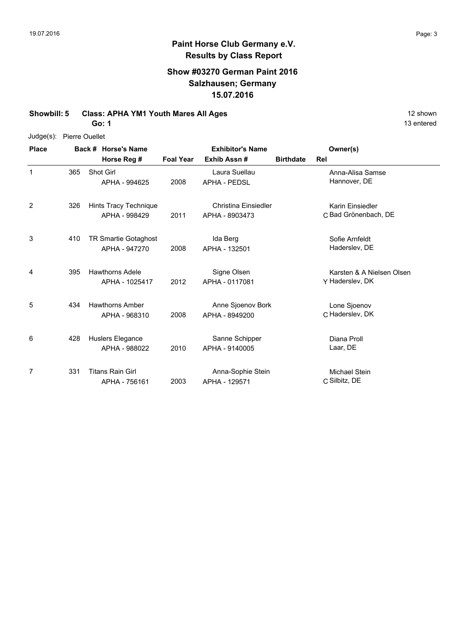## **Paint Horse Club Germany e.V. Results by Class Report**

## **Show #03270 German Paint 2016 Salzhausen; Germany 15.07.2016**

**Showbill: 5 Class: APHA YM1 Youth Mares All Ages 12 Shown 20 shown 12 shown** 

**Go: 1**

Judge(s): Pierre Ouellet

| <b>Place</b>   |     | Back # Horse's Name                          |                  | <b>Exhibitor's Name</b>                | Owner(s)         |                                              |
|----------------|-----|----------------------------------------------|------------------|----------------------------------------|------------------|----------------------------------------------|
|                |     | Horse Reg #                                  | <b>Foal Year</b> | Exhib Assn#                            | <b>Birthdate</b> | Rel                                          |
| 1              | 365 | Shot Girl<br>APHA - 994625                   | 2008             | Laura Suellau<br><b>APHA - PEDSL</b>   |                  | Anna-Alisa Samse<br>Hannover, DE             |
| $\overline{2}$ | 326 | Hints Tracy Technique<br>APHA - 998429       | 2011             | Christina Einsiedler<br>APHA - 8903473 |                  | Karin Einsiedler<br>C Bad Grönenbach, DE     |
| 3              | 410 | <b>TR Smartie Gotaghost</b><br>APHA - 947270 | 2008             | Ida Berg<br>APHA - 132501              |                  | Sofie Arnfeldt<br>Haderslev, DE              |
| 4              | 395 | <b>Hawthorns Adele</b><br>APHA - 1025417     | 2012             | Signe Olsen<br>APHA - 0117081          |                  | Karsten & A Nielsen Olsen<br>Y Haderslev, DK |
| 5              | 434 | <b>Hawthorns Amber</b><br>APHA - 968310      | 2008             | Anne Sjoenov Bork<br>APHA - 8949200    |                  | Lone Sjoenov<br>C Haderslev, DK              |
| 6              | 428 | Huslers Elegance<br>APHA - 988022            | 2010             | Sanne Schipper<br>APHA - 9140005       |                  | Diana Proll<br>Laar, DE                      |
| 7              | 331 | <b>Titans Rain Girl</b><br>APHA - 756161     | 2003             | Anna-Sophie Stein<br>APHA - 129571     |                  | Michael Stein<br>C Silbitz, DE               |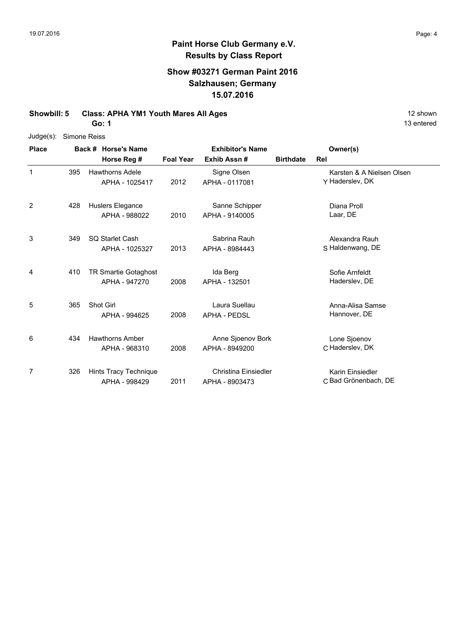## **Paint Horse Club Germany e.V. Results by Class Report**

## **Show #03271 German Paint 2016 Salzhausen; Germany 15.07.2016**

**Showbill: 5 Class: APHA YM1 Youth Mares All Ages 12 Shown 20 shown 12 shown** 

**Go: 1**

Judge(s): Simone Reiss

| <b>Place</b> | Back # Horse's Name |                                          |                  | <b>Exhibitor's Name</b>                | Owner(s)         |                                              |
|--------------|---------------------|------------------------------------------|------------------|----------------------------------------|------------------|----------------------------------------------|
|              |                     | Horse Reg #                              | <b>Foal Year</b> | Exhib Assn#                            | <b>Birthdate</b> | Rel                                          |
| 1            | 395                 | <b>Hawthorns Adele</b><br>APHA - 1025417 | 2012             | Signe Olsen<br>APHA - 0117081          |                  | Karsten & A Nielsen Olsen<br>Y Haderslev, DK |
| 2            | 428                 | Huslers Elegance<br>APHA - 988022        | 2010             | Sanne Schipper<br>APHA - 9140005       |                  | Diana Proll<br>Laar, DE                      |
| 3            | 349                 | SQ Starlet Cash<br>APHA - 1025327        | 2013             | Sabrina Rauh<br>APHA - 8984443         |                  | Alexandra Rauh<br>S Haldenwang, DE           |
| 4            | 410                 | TR Smartie Gotaghost<br>APHA - 947270    | 2008             | Ida Berg<br>APHA - 132501              |                  | Sofie Arnfeldt<br>Haderslev, DE              |
| 5            | 365                 | Shot Girl<br>APHA - 994625               | 2008             | Laura Suellau<br><b>APHA - PEDSL</b>   |                  | Anna-Alisa Samse<br>Hannover, DE             |
| 6            | 434                 | <b>Hawthorns Amber</b><br>APHA - 968310  | 2008             | Anne Sjoenov Bork<br>APHA - 8949200    |                  | Lone Sjoenov<br>C Haderslev, DK              |
| 7            | 326                 | Hints Tracy Technique<br>APHA - 998429   | 2011             | Christina Einsiedler<br>APHA - 8903473 |                  | Karin Einsiedler<br>C Bad Grönenbach, DE     |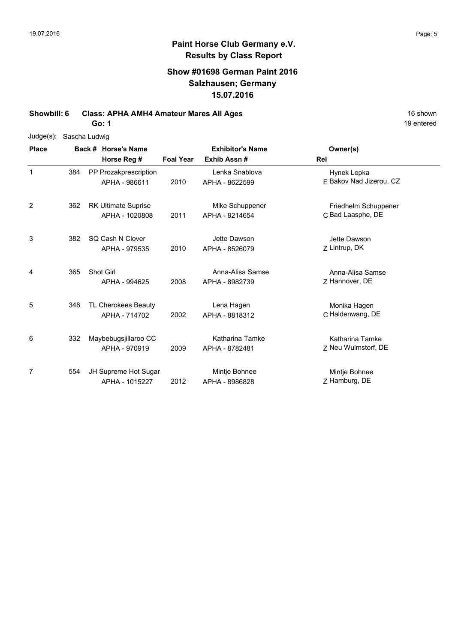## **Paint Horse Club Germany e.V. Results by Class Report**

## **Show #01698 German Paint 2016 Salzhausen; Germany 15.07.2016**

**Showbill: 6 Class: APHA AMH4 Amateur Mares All Ages** 16 Shown 16 shown

**Go: 1**

| $Judge(s)$ :   |     | Sascha Ludwig                                |                  |                                    |                                           |
|----------------|-----|----------------------------------------------|------------------|------------------------------------|-------------------------------------------|
| <b>Place</b>   |     | Back # Horse's Name                          |                  | <b>Exhibitor's Name</b>            | Owner(s)                                  |
|                |     | Horse Reg #                                  | <b>Foal Year</b> | Exhib Assn#                        | Rel                                       |
| 1              | 384 | PP Prozakprescription<br>APHA - 986611       | 2010             | Lenka Snablova<br>APHA - 8622599   | Hynek Lepka<br>F Bakov Nad Jizerou, CZ    |
| $\overline{2}$ | 362 | <b>RK Ultimate Suprise</b><br>APHA - 1020808 | 2011             | Mike Schuppener<br>APHA - 8214654  | Friedhelm Schuppener<br>C Bad Laasphe, DE |
| 3              | 382 | SQ Cash N Clover<br>APHA - 979535            | 2010             | Jette Dawson<br>APHA - 8526079     | Jette Dawson<br>Z Lintrup, DK             |
| 4              | 365 | Shot Girl<br>APHA - 994625                   | 2008             | Anna-Alisa Samse<br>APHA - 8982739 | Anna-Alisa Samse<br>Z Hannover, DE        |
| 5              | 348 | TL Cherokees Beauty<br>APHA - 714702         | 2002             | Lena Hagen<br>APHA - 8818312       | Monika Hagen<br>C Haldenwang, DE          |
| 6              | 332 | Maybebugsjillaroo CC<br>APHA - 970919        | 2009             | Katharina Tamke<br>APHA - 8782481  | Katharina Tamke<br>Z Neu Wulmstorf, DE    |
| 7              | 554 | JH Supreme Hot Sugar<br>APHA - 1015227       | 2012             | Mintje Bohnee<br>APHA - 8986828    | Mintje Bohnee<br>Z Hamburg, DE            |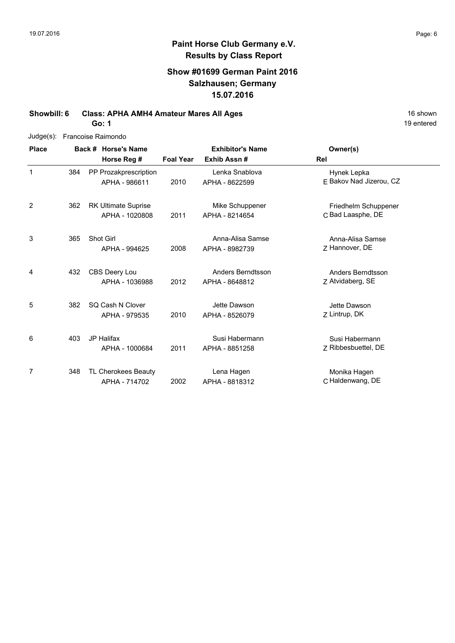### **Show #01699 German Paint 2016 Salzhausen; Germany 15.07.2016**

**Showbill: 6 Class: APHA AMH4 Amateur Mares All Ages** 16 Shown 16 shown

**Go: 1**

| Judge(s):      |     |                     | Francoise Raimondo         |                  |                         |                         |
|----------------|-----|---------------------|----------------------------|------------------|-------------------------|-------------------------|
| <b>Place</b>   |     | Back # Horse's Name |                            |                  | <b>Exhibitor's Name</b> | Owner(s)                |
|                |     |                     | Horse Reg #                | <b>Foal Year</b> | Exhib Assn#             | Rel                     |
| $\mathbf{1}$   | 384 |                     | PP Prozakprescription      |                  | Lenka Snablova          | Hynek Lepka             |
|                |     |                     | APHA - 986611              | 2010             | APHA - 8622599          | E Bakov Nad Jizerou, CZ |
| $\overline{2}$ | 362 |                     | <b>RK Ultimate Suprise</b> |                  | Mike Schuppener         | Friedhelm Schuppener    |
|                |     |                     | APHA - 1020808             | 2011             | APHA - 8214654          | C Bad Laasphe, DE       |
| 3              | 365 |                     | Shot Girl                  |                  | Anna-Alisa Samse        | Anna-Alisa Samse        |
|                |     |                     | APHA - 994625              | 2008             | APHA - 8982739          | Z Hannover, DE          |
| 4              | 432 |                     | CBS Deery Lou              |                  | Anders Berndtsson       | Anders Berndtsson       |
|                |     |                     | APHA - 1036988             | 2012             | APHA - 8648812          | Z Atvidaberg, SE        |
| 5              | 382 |                     | SQ Cash N Clover           |                  | Jette Dawson            | Jette Dawson            |
|                |     |                     | APHA - 979535              | 2010             | APHA - 8526079          | Z Lintrup, DK           |
| 6              | 403 |                     | <b>JP Halifax</b>          |                  | Susi Habermann          | Susi Habermann          |
|                |     |                     | APHA - 1000684             | 2011             | APHA - 8851258          | Z Ribbesbuettel, DE     |
| 7              | 348 |                     | TL Cherokees Beauty        |                  | Lena Hagen              | Monika Hagen            |
|                |     |                     | APHA - 714702              | 2002             | APHA - 8818312          | C Haldenwang, DE        |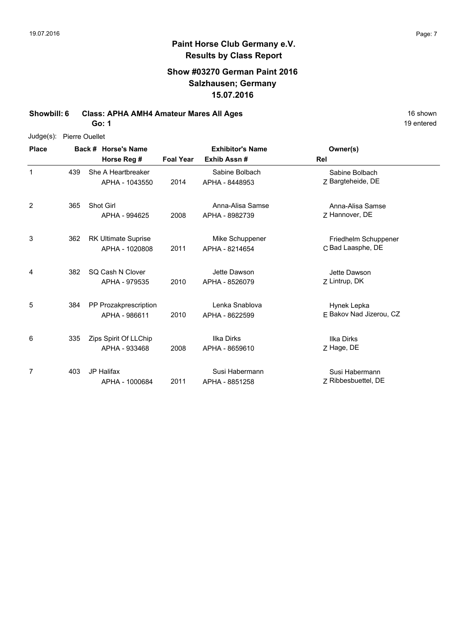### **Paint Horse Club Germany e.V. Results by Class Report**

#### **Show #03270 German Paint 2016 Salzhausen; Germany 15.07.2016**

**Showbill: 6 Class: APHA AMH4 Amateur Mares All Ages** 16 shown

**Go: 1**

Judge(s): Pierre Ouellet

**Back # Horse's Name Place Owner(s) Horse Reg # Exhib Assn # Foal Year Rel Exhibitor's Name** 1 Z 2014 Bargteheide, DE Sabine Bolbach She A Heartbreaker APHA - 1043550 Sabine Bolbach APHA - 8448953 439 2 7 Hannover, DE Anna-Alisa Samse 2008 Hannover, DE APHA - 8982739 Shot Girl APHA - 994625 Anna-Alisa Samse 365 3 2011 APHA - 8214654 C Bad Laasphe, DE Friedhelm Schuppener 362 RK Ultimate Suprise APHA - 1020808 Mike Schuppener APHA - 8214654 4 7 Lintrup, DK Jette Dawson 2010 Lintrup, DK APHA - 8526079 SQ Cash N Clover 382 APHA - 979535 Jette Dawson 5 2010 APHA - 8622599 E Bakov Nad Jizerou, CZ Hynek Lepka PP Prozakprescription APHA - 986611 Lenka Snablova APHA - 8622599 384 6 7 Hage, DE Ilka Dirks 2008 APHA - 8659610 Z Hage, DE Zips Spirit Of LLChip APHA - 933468 Ilka Dirks 335 7 2011 APHA - 8851258 Z Ribbesbuettel, DE Susi Habermann JP Halifax 403APHA - 1000684 Susi Habermann APHA - 8851258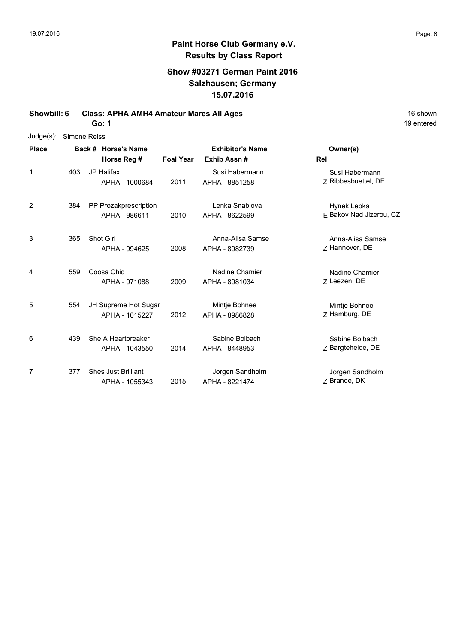# **Paint Horse Club Germany e.V. Results by Class Report**

## **Show #03271 German Paint 2016 Salzhausen; Germany 15.07.2016**

**Showbill: 6 Class: APHA AMH4 Amateur Mares All Ages** 16 Shown 16 shown

**Go: 1**

| $Judge(s)$ : | Simone Reiss |                                              |                  |                                        |                                        |
|--------------|--------------|----------------------------------------------|------------------|----------------------------------------|----------------------------------------|
| <b>Place</b> |              | Back # Horse's Name<br>Horse Reg #           | <b>Foal Year</b> | <b>Exhibitor's Name</b><br>Exhib Assn# | Owner(s)<br><b>Rel</b>                 |
| 1            | 403          | <b>JP Halifax</b><br>APHA - 1000684          | 2011             | Susi Habermann<br>APHA - 8851258       | Susi Habermann<br>7 Ribbesbuettel, DE  |
| 2            | 384          | PP Prozakprescription<br>APHA - 986611       | 2010             | Lenka Snablova<br>APHA - 8622599       | Hynek Lepka<br>E Bakov Nad Jizerou, CZ |
| 3            | 365          | <b>Shot Girl</b><br>APHA - 994625            | 2008             | Anna-Alisa Samse<br>APHA - 8982739     | Anna-Alisa Samse<br>Z Hannover, DE     |
| 4            | 559          | Coosa Chic<br>APHA - 971088                  | 2009             | Nadine Chamier<br>APHA - 8981034       | Nadine Chamier<br>7 Leezen, DE         |
| 5            | 554          | JH Supreme Hot Sugar<br>APHA - 1015227       | 2012             | Mintje Bohnee<br>APHA - 8986828        | Mintje Bohnee<br>Z Hamburg, DE         |
| 6            | 439          | She A Heartbreaker<br>APHA - 1043550         | 2014             | Sabine Bolbach<br>APHA - 8448953       | Sabine Bolbach<br>Z Bargteheide, DE    |
| 7            | 377          | <b>Shes Just Brilliant</b><br>APHA - 1055343 | 2015             | Jorgen Sandholm<br>APHA - 8221474      | Jorgen Sandholm<br>Z Brande, DK        |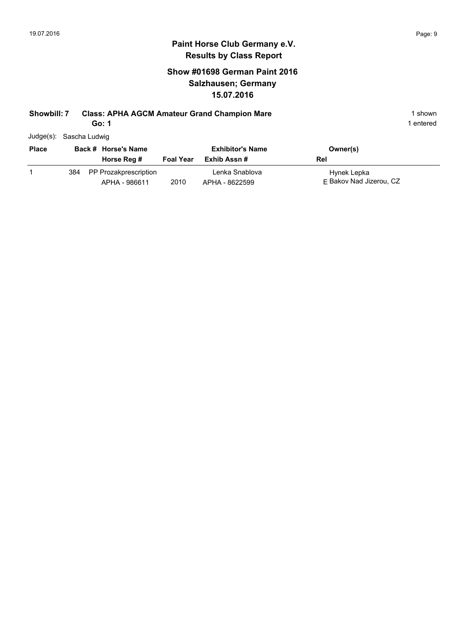## **Show #01698 German Paint 2016 Salzhausen; Germany 15.07.2016**

#### **Showbill: 7 Class: APHA AGCM Amateur Grand Champion Mare** 1 **Shown** 1 shown

**Go: 1**

1 entered

Judge(s): Sascha Ludwig

| <b>Place</b> |     | Back # Horse's Name                    |                  | <b>Exhibitor's Name</b>          | Owner(s)                               |
|--------------|-----|----------------------------------------|------------------|----------------------------------|----------------------------------------|
|              |     | Horse Reg #                            | <b>Foal Year</b> | Exhib Assn #                     | Rel                                    |
|              | 384 | PP Prozakprescription<br>APHA - 986611 | 2010             | Lenka Snablova<br>APHA - 8622599 | Hynek Lepka<br>F Bakov Nad Jizerou, CZ |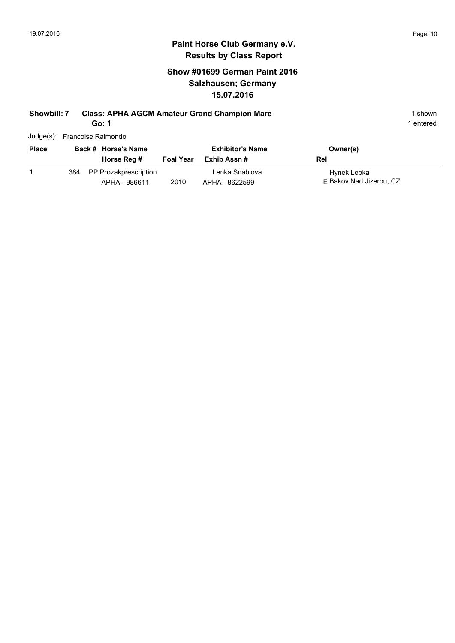## **Show #01699 German Paint 2016 Salzhausen; Germany 15.07.2016**

#### **Showbill: 7 Class: APHA AGCM Amateur Grand Champion Mare** 1 Shown 1 shown

**Go: 1**

|              | Judge(s): Francoise Raimondo |                  |                         |          |  |  |  |  |
|--------------|------------------------------|------------------|-------------------------|----------|--|--|--|--|
| <b>Place</b> | Back # Horse's Name          |                  | <b>Exhibitor's Name</b> | Owner(s) |  |  |  |  |
|              | Horse Reg #                  | <b>Foal Year</b> | Exhib Assn #            | Rel      |  |  |  |  |

|  |  | 384 PP Prozakprescription |      | Lenka Snablova | Hynek Lepka             |
|--|--|---------------------------|------|----------------|-------------------------|
|  |  | APHA - 986611             | 2010 | APHA - 8622599 | F Bakov Nad Jizerou, CZ |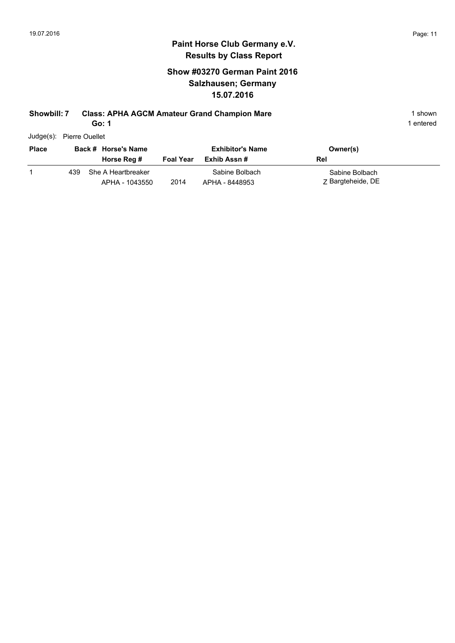## **Show #03270 German Paint 2016 Salzhausen; Germany 15.07.2016**

#### **Showbill: 7 Class: APHA AGCM Amateur Grand Champion Mare** 1 **Shown** 1 shown

**Go: 1**

1 entered

Judge(s): Pierre Ouellet

| <b>Place</b> |     | Back # Horse's Name                  |                  | <b>Exhibitor's Name</b>          | Owner(s)                            |
|--------------|-----|--------------------------------------|------------------|----------------------------------|-------------------------------------|
|              |     | Horse Reg #                          | <b>Foal Year</b> | Exhib Assn #                     | Rel                                 |
|              | 439 | She A Heartbreaker<br>APHA - 1043550 | 2014             | Sabine Bolbach<br>APHA - 8448953 | Sabine Bolbach<br>Z Bargteheide, DE |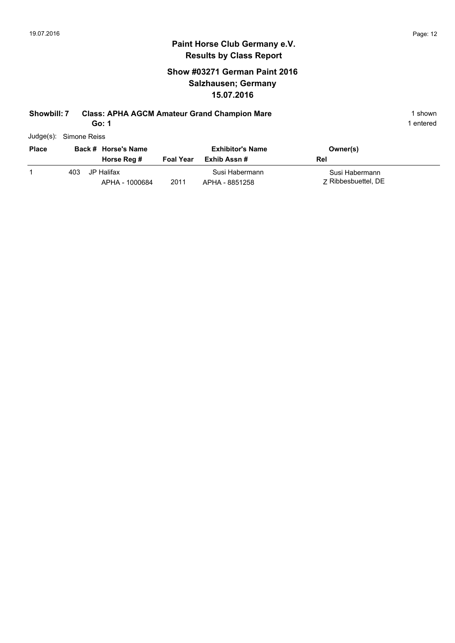## **Show #03271 German Paint 2016 Salzhausen; Germany 15.07.2016**

## **Showbill: 7 Class: APHA AGCM Amateur Grand Champion Mare** 1 Shown 1 shown

**Go: 1**

| Judge(s): Simone Reiss |
|------------------------|
|                        |

|      |             |                                                     | <b>Exhibitor's Name</b> | Owner(s)       |                     |
|------|-------------|-----------------------------------------------------|-------------------------|----------------|---------------------|
|      | Horse Reg # | <b>Foal Year</b>                                    | Exhib Assn #            | Rel            |                     |
| 403. |             |                                                     | Susi Habermann          | Susi Habermann |                     |
|      |             | Back # Horse's Name<br>JP Halifax<br>APHA - 1000684 | 2011                    | APHA - 8851258 | 7 Ribbesbuettel, DE |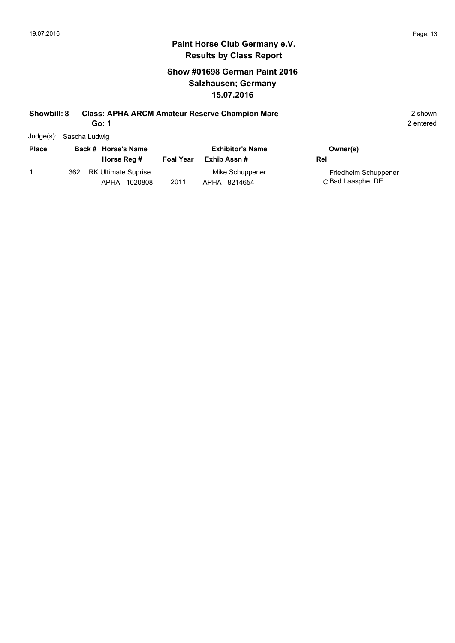## **Show #01698 German Paint 2016 Salzhausen; Germany 15.07.2016**

#### **Showbill: 8 Class: APHA ARCM Amateur Reserve Champion Mare** 2 shown 2 shown

**Go: 1**

|  | Judge(s): Sascha Ludwig |  |
|--|-------------------------|--|
|--|-------------------------|--|

| <b>Place</b> |     | Back # Horse's Name                          | <b>Exhibitor's Name</b> |                                   | Owner(s)                                  |
|--------------|-----|----------------------------------------------|-------------------------|-----------------------------------|-------------------------------------------|
|              |     | Horse Reg #                                  | <b>Foal Year</b>        | Exhib Assn #                      | Rel                                       |
|              | 362 | <b>RK Ultimate Suprise</b><br>APHA - 1020808 | 2011                    | Mike Schuppener<br>APHA - 8214654 | Friedhelm Schuppener<br>C Bad Laasphe, DE |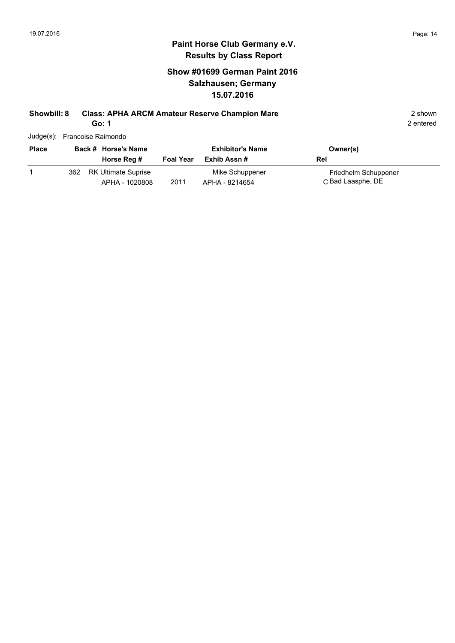### **Show #01699 German Paint 2016 Salzhausen; Germany 15.07.2016**

#### **Showbill: 8 Class: APHA ARCM Amateur Reserve Champion Mare** 2 shown 2 shown

**Go: 1**

|              |     | Judge(s): Francoise Raimondo |                  |                         |                      |
|--------------|-----|------------------------------|------------------|-------------------------|----------------------|
| <b>Place</b> |     | Back # Horse's Name          |                  | <b>Exhibitor's Name</b> | Owner(s)             |
|              |     | Horse Reg #                  | <b>Foal Year</b> | Exhib Assn#             | Rel                  |
|              | 362 | <b>RK Ultimate Suprise</b>   |                  | Mike Schuppener         | Friedhelm Schuppener |
|              |     | APHA - 1020808               | 2011             | APHA - 8214654          | C Bad Laasphe, DE    |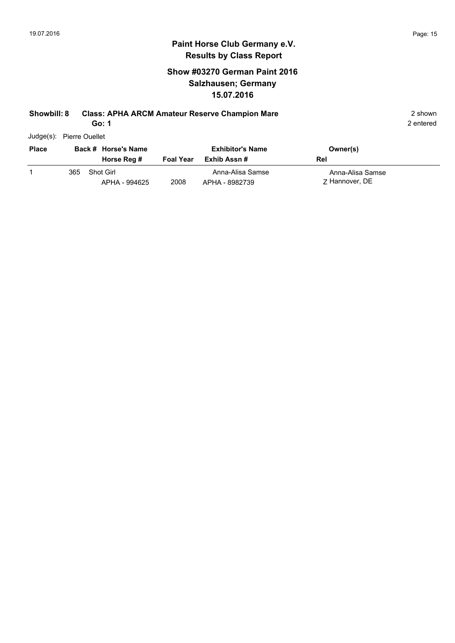## **Show #03270 German Paint 2016 Salzhausen; Germany 15.07.2016**

#### **Showbill: 8 Class: APHA ARCM Amateur Reserve Champion Mare** 2 shown 2 shown

**Go: 1**

2 entered

Judge(s): Pierre Ouellet

| <b>Place</b> |     | Back # Horse's Name               |                  | <b>Exhibitor's Name</b>            | Owner(s)                           |
|--------------|-----|-----------------------------------|------------------|------------------------------------|------------------------------------|
|              |     | Horse Reg #                       | <b>Foal Year</b> | Exhib Assn #                       | Rel                                |
|              | 365 | <b>Shot Girl</b><br>APHA - 994625 | 2008             | Anna-Alisa Samse<br>APHA - 8982739 | Anna-Alisa Samse<br>7 Hannover, DE |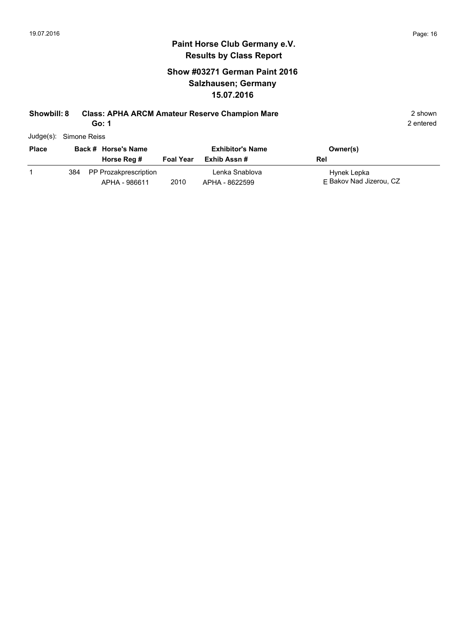## **Show #03271 German Paint 2016 Salzhausen; Germany 15.07.2016**

#### **Showbill: 8 Class: APHA ARCM Amateur Reserve Champion Mare** 2 shown 2 shown

**Go: 1**

| Judge(s): Simone Reiss |  |
|------------------------|--|
|------------------------|--|

| <b>Place</b> |     | Back # Horse's Name                    | <b>Exhibitor's Name</b> |                                  | Owner(s)                               |
|--------------|-----|----------------------------------------|-------------------------|----------------------------------|----------------------------------------|
|              |     | Horse Reg #                            | <b>Foal Year</b>        | Exhib Assn #                     | Rel                                    |
|              | 384 | PP Prozakprescription<br>APHA - 986611 | 2010                    | Lenka Snablova<br>APHA - 8622599 | Hynek Lepka<br>F Bakov Nad Jizerou, CZ |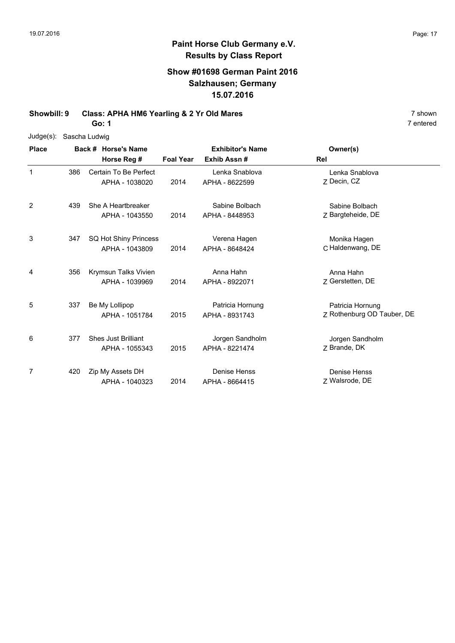### **Paint Horse Club Germany e.V. Results by Class Report**

#### **Show #01698 German Paint 2016 Salzhausen; Germany 15.07.2016**

**Showbill: 9 Class: APHA HM6 Yearling & 2 Yr Old Mares** 7 Shown 7 shown

**Go: 1**

Judge(s): Sascha Ludwig

**Back # Horse's Name Place Owner(s) Horse Reg # Exhib Assn # Foal Year Rel Exhibitor's Name** 1 7 Decin, CZ Lenka Snablova 2014 APHA - 8622599 Z Decin, CZ Certain To Be Perfect APHA - 1038020 Lenka Snablova 386 2 Z Bargteheide, DE Sabine Bolbach 2014 Bargteheide, DE APHA - 8448953 She A Heartbreaker APHA - 1043550 Sabine Bolbach 439 3 2014 APHA - 8648424 C Haldenwang, DE Monika Hagen SQ Hot Shiny Princess 347 APHA - 1043809 Verena Hagen APHA - 8648424 4 7 Gerstetten, DE Anna Hahn 2014 Gerstetten, DE APHA - 8922071 Krymsun Talks Vivien APHA - 1039969 Anna Hahn 356 5 2015 APHA - 8931743 Z Rothenburg OD Tauber, DE Patricia Hornung Be My Lollipop APHA - 1051784 Patricia Hornung APHA - 8931743 337 6 7 Brande, DK Jorgen Sandholm 2015 APHA - 8221474 Z Brande, DK 377 Shes Just Brilliant APHA - 1055343 Jorgen Sandholm 7 Z Walsrode, DE Denise Henss 2014 Walsrode, DE APHA - 8664415 420 Zip My Assets DH APHA - 1040323 Denise Henss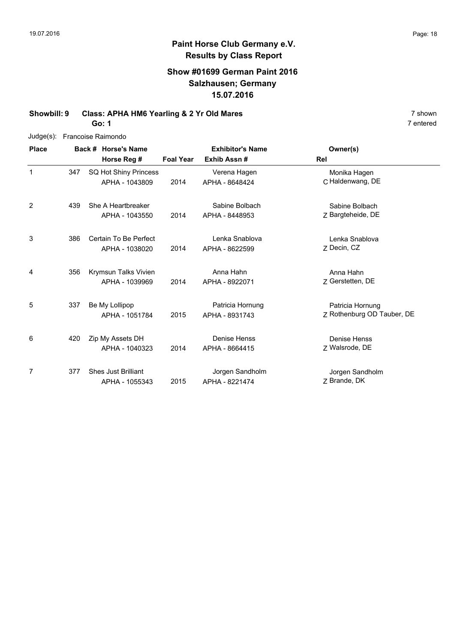## **Paint Horse Club Germany e.V. Results by Class Report**

### **Show #01699 German Paint 2016 Salzhausen; Germany 15.07.2016**

**Showbill: 9 Class: APHA HM6 Yearling & 2 Yr Old Mares** 7 shown 7 shown

**Go: 1**

Judge(s): Francoise Raimondo

| <b>Place</b>   |     | Back # Horse's Name                          |                  | <b>Exhibitor's Name</b>            | Owner(s)                                       |
|----------------|-----|----------------------------------------------|------------------|------------------------------------|------------------------------------------------|
|                |     | Horse Reg #                                  | <b>Foal Year</b> | Exhib Assn #                       | Rel                                            |
| 1              | 347 | SQ Hot Shiny Princess<br>APHA - 1043809      | 2014             | Verena Hagen<br>APHA - 8648424     | Monika Hagen<br>C Haldenwang, DE               |
| $\overline{2}$ | 439 | She A Heartbreaker<br>APHA - 1043550         | 2014             | Sabine Bolbach<br>APHA - 8448953   | Sabine Bolbach<br>Z Bargteheide, DE            |
| 3              | 386 | Certain To Be Perfect<br>APHA - 1038020      | 2014             | Lenka Snablova<br>APHA - 8622599   | Lenka Snablova<br>Z Decin, CZ                  |
| 4              | 356 | Krymsun Talks Vivien<br>APHA - 1039969       | 2014             | Anna Hahn<br>APHA - 8922071        | Anna Hahn<br>Z Gerstetten, DE                  |
| 5              | 337 | Be My Lollipop<br>APHA - 1051784             | 2015             | Patricia Hornung<br>APHA - 8931743 | Patricia Hornung<br>Z Rothenburg OD Tauber, DE |
| 6              | 420 | Zip My Assets DH<br>APHA - 1040323           | 2014             | Denise Henss<br>APHA - 8664415     | Denise Henss<br>Z Walsrode, DE                 |
| 7              | 377 | <b>Shes Just Brilliant</b><br>APHA - 1055343 | 2015             | Jorgen Sandholm<br>APHA - 8221474  | Jorgen Sandholm<br>Z Brande, DK                |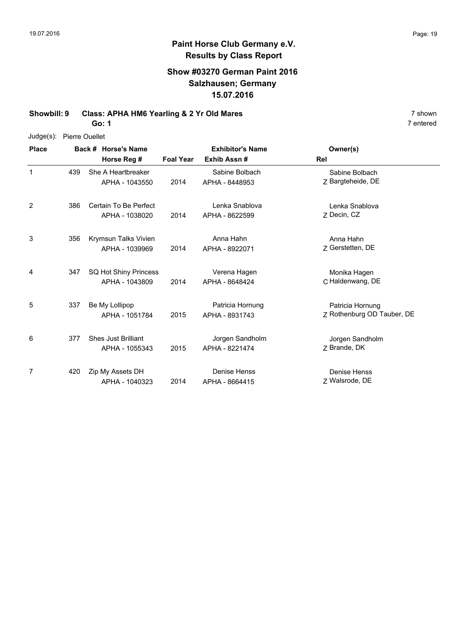## **Paint Horse Club Germany e.V. Results by Class Report**

## **Show #03270 German Paint 2016 Salzhausen; Germany 15.07.2016**

**Showbill: 9 Class: APHA HM6 Yearling & 2 Yr Old Mares** 7 shown 7 shown

**Go: 1**

Judge(s): Pierre Ouellet

| <b>Place</b> |     | Back # Horse's Name        | <b>Exhibitor's Name</b> |                  | Owner(s)                   |
|--------------|-----|----------------------------|-------------------------|------------------|----------------------------|
|              |     | Horse Reg #                | <b>Foal Year</b>        | Exhib Assn#      | <b>Rel</b>                 |
| 1            | 439 | She A Heartbreaker         |                         | Sabine Bolbach   | Sabine Bolbach             |
|              |     | APHA - 1043550             | 2014                    | APHA - 8448953   | Z Bargteheide, DE          |
| 2            | 386 | Certain To Be Perfect      |                         | Lenka Snablova   | Lenka Snablova             |
|              |     | APHA - 1038020             | 2014                    | APHA - 8622599   | Z Decin, CZ                |
| 3            | 356 | Krymsun Talks Vivien       |                         | Anna Hahn        | Anna Hahn                  |
|              |     | APHA - 1039969             | 2014                    | APHA - 8922071   | Z Gerstetten, DE           |
| 4            | 347 | SQ Hot Shiny Princess      |                         | Verena Hagen     | Monika Hagen               |
|              |     | APHA - 1043809             | 2014                    | APHA - 8648424   | C Haldenwang, DE           |
| 5            | 337 | Be My Lollipop             |                         | Patricia Hornung | Patricia Hornung           |
|              |     | APHA - 1051784             | 2015                    | APHA - 8931743   | Z Rothenburg OD Tauber, DE |
| 6            | 377 | <b>Shes Just Brilliant</b> |                         | Jorgen Sandholm  | Jorgen Sandholm            |
|              |     | APHA - 1055343             | 2015                    | APHA - 8221474   | Z Brande, DK               |
| 7            | 420 | Zip My Assets DH           |                         | Denise Henss     | Denise Henss               |
|              |     | APHA - 1040323             | 2014                    | APHA - 8664415   | Z Walsrode, DE             |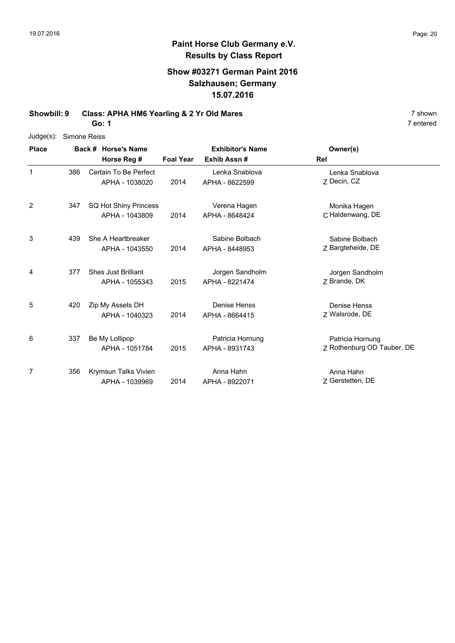#### **Paint Horse Club Germany e.V. Results by Class Report**

#### **Show #03271 German Paint 2016 Salzhausen; Germany 15.07.2016**

**Showbill: 9 Class: APHA HM6 Yearling & 2 Yr Old Mares** 7 Shown 7 shown

**Go: 1**

Judge(s): Simone Reiss

**Back # Horse's Name Place Owner(s) Horse Reg # Exhib Assn # Foal Year Rel Exhibitor's Name** 1 7 Decin, CZ Lenka Snablova 2014 APHA - 8622599 Z Decin, CZ Certain To Be Perfect APHA - 1038020 Lenka Snablova 386 2 2014 APHA - 8648424 C Haldenwang, DE Monika Hagen SQ Hot Shiny Princess 347 APHA - 1043809 Verena Hagen APHA - 8648424 3 Z 2014 Bargteheide, DE Sabine Bolbach 439 She A Heartbreaker APHA - 1043550 Sabine Bolbach APHA - 8448953 4 7 Brande, DK Jorgen Sandholm 2015 APHA - 8221474 Z Brande, DK 377 Shes Just Brilliant APHA - 1055343 Jorgen Sandholm 5 7 Walsrode, DE Denise Henss 2014 Walsrode, DE APHA - 8664415 420 Zip My Assets DH APHA - 1040323 Denise Henss 6 2015 APHA - 8931743 Z Rothenburg OD Tauber, DE Patricia Hornung Be My Lollipop APHA - 1051784 Patricia Hornung APHA - 8931743 337 7 Z Gerstetten, DE Anna Hahn 2014 Gerstetten, DE APHA - 8922071 Krymsun Talks Vivien APHA - 1039969 Anna Hahn 356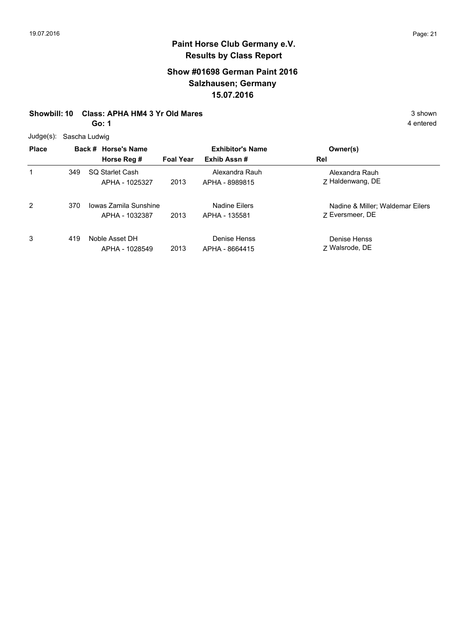### **Show #01698 German Paint 2016 Salzhausen; Germany 15.07.2016**

#### **Showbill: 10 Class: APHA HM4 3 Yr Old Mares** 3 Shown

**Go: 1**

Judge(s): Sascha Ludwig

| υuuyu( <i>ə).</i> Odoona Luuwiy |     |                                         |                         |                                  |                                                     |
|---------------------------------|-----|-----------------------------------------|-------------------------|----------------------------------|-----------------------------------------------------|
| <b>Place</b>                    |     | Back # Horse's Name                     | <b>Exhibitor's Name</b> |                                  | Owner(s)                                            |
|                                 |     | Horse Reg #                             | <b>Foal Year</b>        | Exhib Assn#                      | Rel                                                 |
| 1                               | 349 | SQ Starlet Cash<br>APHA - 1025327       | 2013                    | Alexandra Rauh<br>APHA - 8989815 | Alexandra Rauh<br>Z Haldenwang, DE                  |
| $\overline{2}$                  | 370 | Jowas Zamila Sunshine<br>APHA - 1032387 | 2013                    | Nadine Eilers<br>APHA - 135581   | Nadine & Miller; Waldemar Eilers<br>7 Eversmeer, DE |
| 3                               | 419 | Noble Asset DH<br>APHA - 1028549        | 2013                    | Denise Henss<br>APHA - 8664415   | Denise Henss<br>7 Walsrode, DE                      |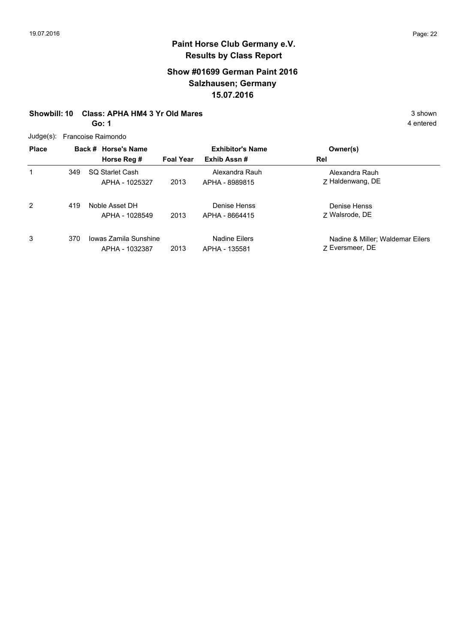### **Show #01699 German Paint 2016 Salzhausen; Germany 15.07.2016**

#### **Showbill: 10 Class: APHA HM4 3 Yr Old Mares** 3 shown

**Go: 1**

4 entered

Judge(s): Francoise Raimondo

| <b>Place</b> |     | Back # Horse's Name<br>Horse Reg #      | <b>Foal Year</b> | <b>Exhibitor's Name</b><br>Exhib Assn# | Owner(s)<br>Rel                                     |
|--------------|-----|-----------------------------------------|------------------|----------------------------------------|-----------------------------------------------------|
| 1            | 349 | SO Starlet Cash<br>APHA - 1025327       | 2013             | Alexandra Rauh<br>APHA - 8989815       | Alexandra Rauh<br>Z Haldenwang, DE                  |
| 2            | 419 | Noble Asset DH<br>APHA - 1028549        | 2013             | Denise Henss<br>APHA - 8664415         | Denise Henss<br>7 Walsrode, DE                      |
| 3            | 370 | Jowas Zamila Sunshine<br>APHA - 1032387 | 2013             | Nadine Eilers<br>APHA - 135581         | Nadine & Miller; Waldemar Eilers<br>7 Eversmeer, DE |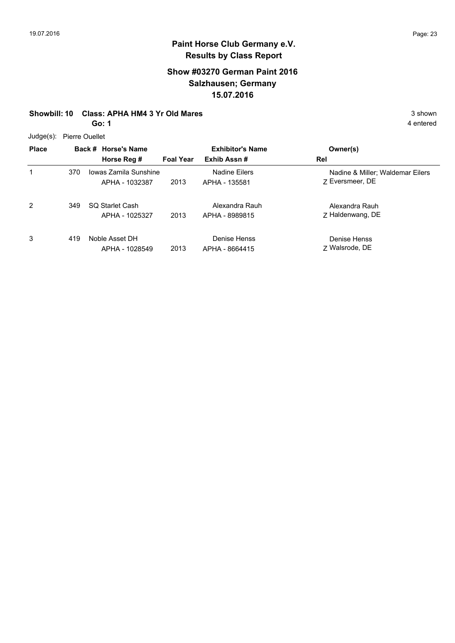### **Show #03270 German Paint 2016 Salzhausen; Germany 15.07.2016**

#### **Showbill: 10 Class: APHA HM4 3 Yr Old Mares** 3 Shown

**Go: 1**

Judge(s): Pierre Ouellet

| <b>Place</b> | Back # Horse's Name |                       | <b>Exhibitor's Name</b> |                | Owner(s)                         |
|--------------|---------------------|-----------------------|-------------------------|----------------|----------------------------------|
|              |                     | Horse Reg #           | <b>Foal Year</b>        | Exhib Assn#    | Rel                              |
| 1            | 370                 | Iowas Zamila Sunshine |                         | Nadine Eilers  | Nadine & Miller; Waldemar Eilers |
|              |                     | APHA - 1032387        | 2013                    | APHA - 135581  | 7 Eversmeer, DE                  |
| 2            | 349                 | SQ Starlet Cash       |                         | Alexandra Rauh | Alexandra Rauh                   |
|              |                     | APHA - 1025327        | 2013                    | APHA - 8989815 | 7 Haldenwang, DE                 |
| 3            | 419                 | Noble Asset DH        |                         | Denise Henss   | Denise Henss                     |
|              |                     | APHA - 1028549        | 2013                    | APHA - 8664415 | 7 Walsrode, DE                   |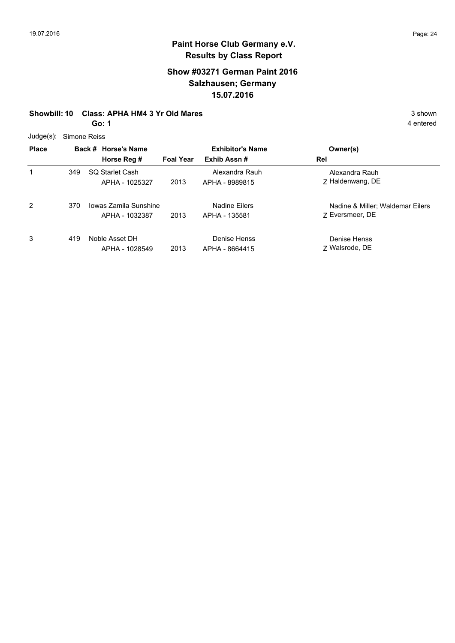### **Show #03271 German Paint 2016 Salzhausen; Germany 15.07.2016**

#### **Showbill: 10 Class: APHA HM4 3 Yr Old Mares** 3 Shown

**Go: 1**

Judge(s): Simone Reiss

| $\frac{1}{2}$ |     |                       |                  |                         |                                  |
|---------------|-----|-----------------------|------------------|-------------------------|----------------------------------|
| <b>Place</b>  |     | Back # Horse's Name   |                  | <b>Exhibitor's Name</b> | Owner(s)                         |
|               |     | Horse Reg #           | <b>Foal Year</b> | Exhib Assn#             | Rel                              |
| 1             | 349 | SO Starlet Cash       |                  | Alexandra Rauh          | Alexandra Rauh                   |
|               |     | APHA - 1025327        | 2013             | APHA - 8989815          | 7 Haldenwang, DE                 |
| 2             | 370 | Iowas Zamila Sunshine |                  | Nadine Eilers           | Nadine & Miller; Waldemar Eilers |
|               |     | APHA - 1032387        | 2013             | APHA - 135581           | 7 Eversmeer, DE                  |
| 3             | 419 | Noble Asset DH        |                  | Denise Henss            | Denise Henss                     |
|               |     | APHA - 1028549        | 2013             | APHA - 8664415          | Z Walsrode, DE                   |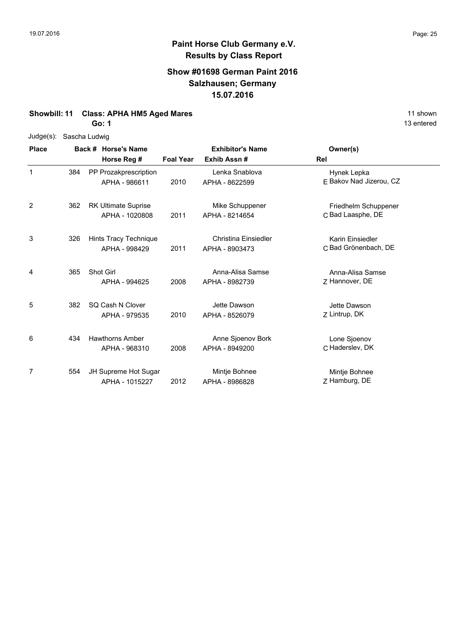#### **Show #01698 German Paint 2016 Salzhausen; Germany 15.07.2016**

## **Showbill: 11 Class: APHA HM5 Aged Mares** 11 shown

**Go: 1**

Judge(s): Sascha Ludwig

| <b>Place</b> |     | Back # Horse's Name<br>Horse Reg #           | <b>Foal Year</b> | <b>Exhibitor's Name</b><br>Exhib Assn# | Owner(s)<br><b>Rel</b>                    |
|--------------|-----|----------------------------------------------|------------------|----------------------------------------|-------------------------------------------|
| 1            | 384 | PP Prozakprescription<br>APHA - 986611       | 2010             | Lenka Snablova<br>APHA - 8622599       | Hynek Lepka<br>E Bakov Nad Jizerou, CZ    |
| 2            | 362 | <b>RK Ultimate Suprise</b><br>APHA - 1020808 | 2011             | Mike Schuppener<br>APHA - 8214654      | Friedhelm Schuppener<br>C Bad Laasphe, DE |
| 3            | 326 | Hints Tracy Technique<br>APHA - 998429       | 2011             | Christina Einsiedler<br>APHA - 8903473 | Karin Einsiedler<br>C Bad Grönenbach, DE  |
| 4            | 365 | Shot Girl<br>APHA - 994625                   | 2008             | Anna-Alisa Samse<br>APHA - 8982739     | Anna-Alisa Samse<br>7 Hannover, DE        |
| 5            | 382 | SQ Cash N Clover<br>APHA - 979535            | 2010             | Jette Dawson<br>APHA - 8526079         | Jette Dawson<br>Z Lintrup, DK             |
| 6            | 434 | <b>Hawthorns Amber</b><br>APHA - 968310      | 2008             | Anne Sjoenov Bork<br>APHA - 8949200    | Lone Sjoenov<br>C Haderslev, DK           |
| 7            | 554 | JH Supreme Hot Sugar<br>APHA - 1015227       | 2012             | Mintje Bohnee<br>APHA - 8986828        | Mintje Bohnee<br>Z Hamburg, DE            |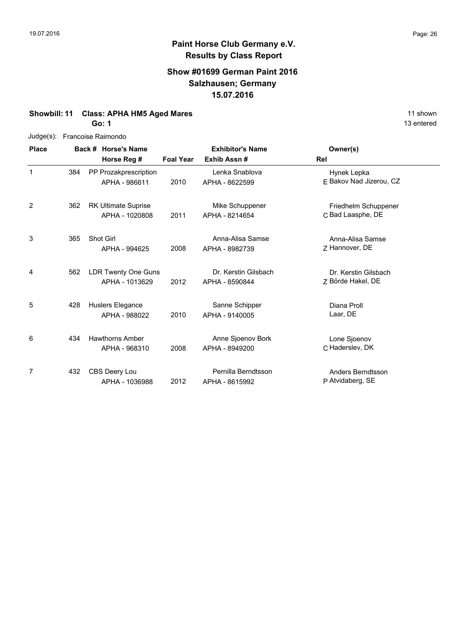#### **Show #01699 German Paint 2016 Salzhausen; Germany 15.07.2016**

#### **Showbill: 11 Class: APHA HM5 Aged Mares** 11 shown

**Go: 1**

| Judge(s): Francoise Raimondo |
|------------------------------|
|                              |

| <b>Place</b> |     | Back # Horse's Name                          |                  | <b>Exhibitor's Name</b>                | Owner(s)                                  |
|--------------|-----|----------------------------------------------|------------------|----------------------------------------|-------------------------------------------|
|              |     | Horse Reg #                                  | <b>Foal Year</b> | Exhib Assn#                            | <b>Rel</b>                                |
| 1            | 384 | PP Prozakprescription<br>APHA - 986611       | 2010             | Lenka Snablova<br>APHA - 8622599       | Hynek Lepka<br>E Bakov Nad Jizerou, CZ    |
| 2            | 362 | <b>RK Ultimate Suprise</b><br>APHA - 1020808 | 2011             | Mike Schuppener<br>APHA - 8214654      | Friedhelm Schuppener<br>C Bad Laasphe, DE |
| 3            | 365 | <b>Shot Girl</b><br>APHA - 994625            | 2008             | Anna-Alisa Samse<br>APHA - 8982739     | Anna-Alisa Samse<br>Z Hannover, DE        |
| 4            | 562 | LDR Twenty One Guns<br>APHA - 1013629        | 2012             | Dr. Kerstin Gilsbach<br>APHA - 8590844 | Dr. Kerstin Gilsbach<br>Z Börde Hakel, DE |
| 5            | 428 | Huslers Elegance<br>APHA - 988022            | 2010             | Sanne Schipper<br>APHA - 9140005       | Diana Proll<br>Laar, DE                   |
| 6            | 434 | <b>Hawthorns Amber</b><br>APHA - 968310      | 2008             | Anne Sjoenov Bork<br>APHA - 8949200    | Lone Sjoenov<br>C Haderslev, DK           |
| 7            | 432 | CBS Deery Lou<br>APHA - 1036988              | 2012             | Pernilla Berndtsson<br>APHA - 8615992  | Anders Berndtsson<br>P Atvidaberg, SE     |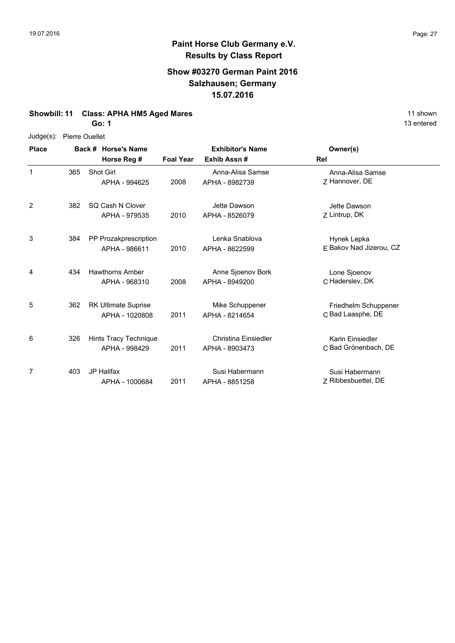### **Show #03270 German Paint 2016 Salzhausen; Germany 15.07.2016**

#### **Showbill: 11 Class: APHA HM5 Aged Mares** 11 shown

**Go: 1**

#### Judge(s): Pierre Ouellet

| <b>Place</b> | Back # Horse's Name |                                              | <b>Exhibitor's Name</b> |                                               | Owner(s)                                  |
|--------------|---------------------|----------------------------------------------|-------------------------|-----------------------------------------------|-------------------------------------------|
|              |                     | Horse Reg #                                  | <b>Foal Year</b>        | Exhib Assn#                                   | Rel                                       |
| 1            | 365                 | <b>Shot Girl</b><br>APHA - 994625            | 2008                    | Anna-Alisa Samse<br>APHA - 8982739            | Anna-Alisa Samse<br>Z Hannover, DE        |
| 2            | 382                 | SQ Cash N Clover<br>APHA - 979535            | 2010                    | Jette Dawson<br>APHA - 8526079                | Jette Dawson<br>Z Lintrup, DK             |
| 3            | 384                 | PP Prozakprescription<br>APHA - 986611       | 2010                    | Lenka Snablova<br>APHA - 8622599              | Hynek Lepka<br>F Bakov Nad Jizerou, CZ    |
| 4            | 434                 | <b>Hawthorns Amber</b><br>APHA - 968310      | 2008                    | Anne Sjoenov Bork<br>APHA - 8949200           | Lone Sjoenov<br>C Haderslev, DK           |
| 5            | 362                 | <b>RK Ultimate Suprise</b><br>APHA - 1020808 | 2011                    | Mike Schuppener<br>APHA - 8214654             | Friedhelm Schuppener<br>C Bad Laasphe, DE |
| 6            | 326                 | Hints Tracy Technique<br>APHA - 998429       | 2011                    | <b>Christina Einsiedler</b><br>APHA - 8903473 | Karin Einsiedler<br>C Bad Grönenbach, DE  |
| 7            | 403                 | <b>JP Halifax</b><br>APHA - 1000684          | 2011                    | Susi Habermann<br>APHA - 8851258              | Susi Habermann<br>Z Ribbesbuettel, DE     |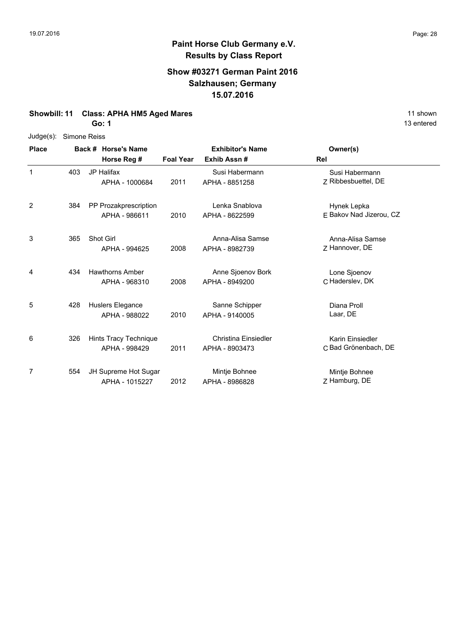#### **Show #03271 German Paint 2016 Salzhausen; Germany 15.07.2016**

#### **Showbill: 11 Class: APHA HM5 Aged Mares** 11 shown

**Go: 1**

| <b>Place</b> |     | Back # Horse's Name                     |                  | <b>Exhibitor's Name</b>                | Owner(s)                                 |
|--------------|-----|-----------------------------------------|------------------|----------------------------------------|------------------------------------------|
|              |     | Horse Reg #                             | <b>Foal Year</b> | Exhib Assn#                            | Rel                                      |
| 1            | 403 | <b>JP Halifax</b><br>APHA - 1000684     | 2011             | Susi Habermann<br>APHA - 8851258       | Susi Habermann<br>Z Ribbesbuettel, DE    |
| 2            | 384 | PP Prozakprescription<br>APHA - 986611  | 2010             | Lenka Snablova<br>APHA - 8622599       | Hynek Lepka<br>F Bakov Nad Jizerou, CZ   |
| 3            | 365 | Shot Girl<br>APHA - 994625              | 2008             | Anna-Alisa Samse<br>APHA - 8982739     | Anna-Alisa Samse<br>Z Hannover, DE       |
| 4            | 434 | <b>Hawthorns Amber</b><br>APHA - 968310 | 2008             | Anne Sjoenov Bork<br>APHA - 8949200    | Lone Sjoenov<br>C Haderslev, DK          |
| 5            | 428 | Huslers Elegance<br>APHA - 988022       | 2010             | Sanne Schipper<br>APHA - 9140005       | Diana Proll<br>Laar, DE                  |
| 6            | 326 | Hints Tracy Technique<br>APHA - 998429  | 2011             | Christina Einsiedler<br>APHA - 8903473 | Karin Einsiedler<br>C Bad Grönenbach, DE |
| 7            | 554 | JH Supreme Hot Sugar<br>APHA - 1015227  | 2012             | Mintje Bohnee<br>APHA - 8986828        | Mintje Bohnee<br>Z Hamburg, DE           |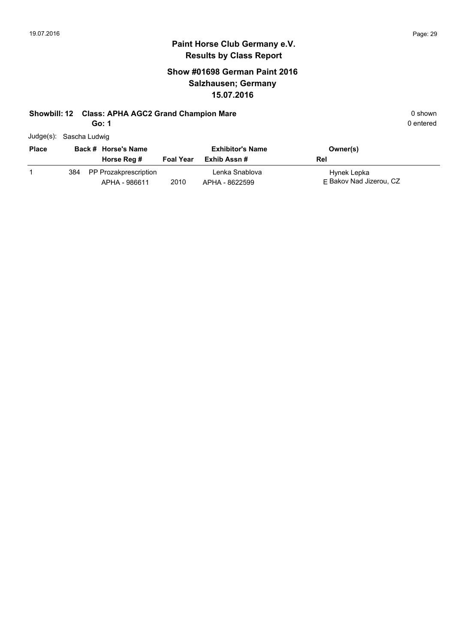## **Show #01698 German Paint 2016 Salzhausen; Germany 15.07.2016**

#### **Showbill: 12 Class: APHA AGC2 Grand Champion Mare 18 and 19 and 19 and 19 and 19 and 19 and 19 and 19 and 19 and 19 and 19 and 19 and 19 and 19 and 19 and 19 and 19 and 19 and 19 and 19 and 19 and 19 and 19 and 19 and 1**

**Go: 1**

| Judge(s): Sascha Ludwig |  |
|-------------------------|--|
|                         |  |

| <b>Place</b> | Back # Horse's Name |                                            | <b>Exhibitor's Name</b> |                                  | Owner(s)                               |
|--------------|---------------------|--------------------------------------------|-------------------------|----------------------------------|----------------------------------------|
|              |                     | Horse Reg #                                | <b>Foal Year</b>        | Exhib Assn #                     | Rel                                    |
|              |                     | 384 PP Prozakprescription<br>APHA - 986611 | 2010                    | Lenka Snablova<br>APHA - 8622599 | Hynek Lepka<br>F Bakov Nad Jizerou, CZ |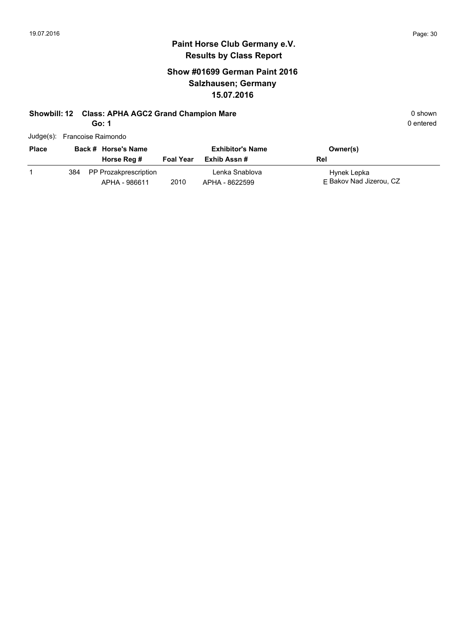### **Show #01699 German Paint 2016 Salzhausen; Germany 15.07.2016**

# **Showbill: 12 Class: APHA AGC2 Grand Champion Mare 1988 120 Shown** 0 shown

**Go: 1**

| 0 shown   |
|-----------|
| 0 entered |
|           |

| Judge(s): Francoise Raimondo |
|------------------------------|
|                              |

| <b>Place</b> |     | Back # Horse's Name<br>Horse Reg #     | <b>Foal Year</b> | <b>Exhibitor's Name</b><br>Exhib Assn # | Owner(s)<br>Rel                        |
|--------------|-----|----------------------------------------|------------------|-----------------------------------------|----------------------------------------|
|              | 384 | PP Prozakprescription<br>APHA - 986611 | 2010             | Lenka Snablova<br>APHA - 8622599        | Hynek Lepka<br>F Bakov Nad Jizerou, CZ |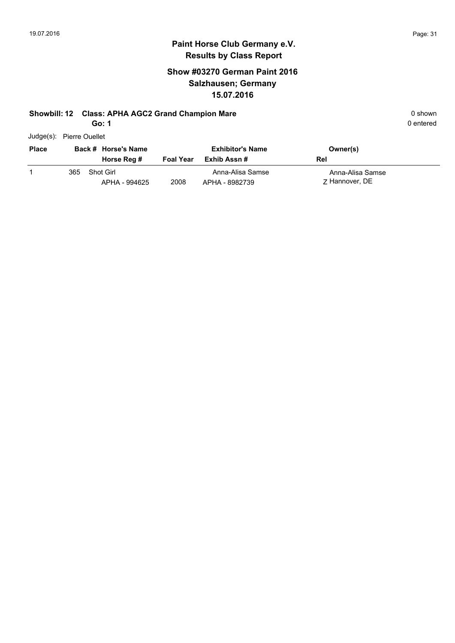#### **Paint Horse Club Germany e.V. Results by Class Report**

## **Show #03270 German Paint 2016 Salzhausen; Germany 15.07.2016**

#### **Showbill: 12 Class: APHA AGC2 Grand Champion Mare 18 and 19 and 19 and 19 and 19 and 19 and 19 and 19 and 19 and 19 and 19 and 19 and 19 and 19 and 19 and 19 and 19 and 19 and 19 and 19 and 19 and 19 and 19 and 19 and 1**

**Go: 1**

Judge(s): Pierre Ouellet

| <b>Place</b> |     | Back # Horse's Name<br>Horse Reg # | <b>Foal Year</b> | <b>Exhibitor's Name</b><br>Exhib Assn # | Owner(s)<br>Rel                    |
|--------------|-----|------------------------------------|------------------|-----------------------------------------|------------------------------------|
|              | 365 | Shot Girl<br>APHA - 994625         | 2008             | Anna-Alisa Samse<br>APHA - 8982739      | Anna-Alisa Samse<br>7 Hannover, DE |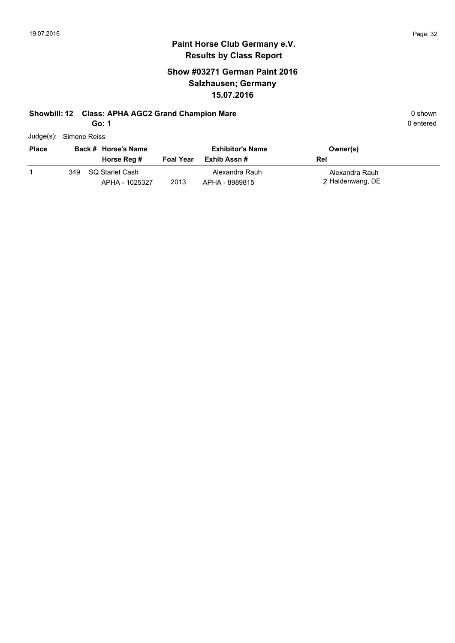## **Show #03271 German Paint 2016 Salzhausen; Germany 15.07.2016**

#### **Showbill: 12 Class: APHA AGC2 Grand Champion Mare 18 and 19 and 19 and 19 and 19 and 19 and 19 and 19 and 19 and 19 and 19 and 19 and 19 and 19 and 19 and 19 and 19 and 19 and 19 and 19 and 19 and 19 and 19 and 19 and 1**

**Go: 1**

| Judge(s): Simone Reiss |
|------------------------|
|                        |

| <b>Place</b> |     | Back # Horse's Name               |                  | <b>Exhibitor's Name</b>          | Owner(s)                           |
|--------------|-----|-----------------------------------|------------------|----------------------------------|------------------------------------|
|              |     | Horse Reg #                       | <b>Foal Year</b> | Exhib Assn #                     | Rel                                |
|              | 349 | SQ Starlet Cash<br>APHA - 1025327 | 2013             | Alexandra Rauh<br>APHA - 8989815 | Alexandra Rauh<br>Z Haldenwang, DE |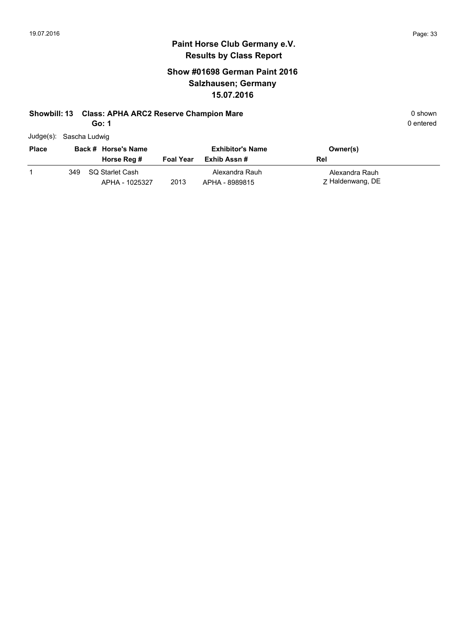## **Show #01698 German Paint 2016 Salzhausen; Germany 15.07.2016**

#### **Showbill: 13 Class: APHA ARC2 Reserve Champion Mare 18 Class Construction Mare** 0 shown

**Go: 1**

| Judge(s): Sascha Ludwig |
|-------------------------|
|                         |

| <b>Place</b> |     | Back # Horse's Name               |                  | <b>Exhibitor's Name</b>          | Owner(s)                           |
|--------------|-----|-----------------------------------|------------------|----------------------------------|------------------------------------|
|              |     | Horse Reg #                       | <b>Foal Year</b> | Exhib Assn #                     | Rel                                |
|              | 349 | SQ Starlet Cash<br>APHA - 1025327 | 2013             | Alexandra Rauh<br>APHA - 8989815 | Alexandra Rauh<br>Z Haldenwang, DE |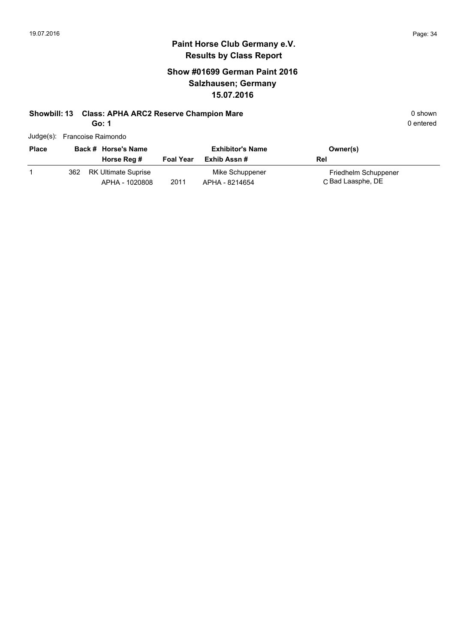### **Show #01699 German Paint 2016 Salzhausen; Germany 15.07.2016**

# **Showbill: 13 Class: APHA ARC2 Reserve Champion Mare 18 Class Construction Mare** 0 shown

**Go: 1**

| Judge(s): Francoise Raimondo |  |
|------------------------------|--|
|                              |  |

| <b>Place</b> |     | Back # Horse's Name                   |                  | <b>Exhibitor's Name</b>           | Owner(s)                                  |
|--------------|-----|---------------------------------------|------------------|-----------------------------------|-------------------------------------------|
|              |     | Horse Reg #                           | <b>Foal Year</b> | Exhib Assn #                      | Rel                                       |
|              | 362 | RK Ultimate Suprise<br>APHA - 1020808 | 2011             | Mike Schuppener<br>APHA - 8214654 | Friedhelm Schuppener<br>C Bad Laasphe, DE |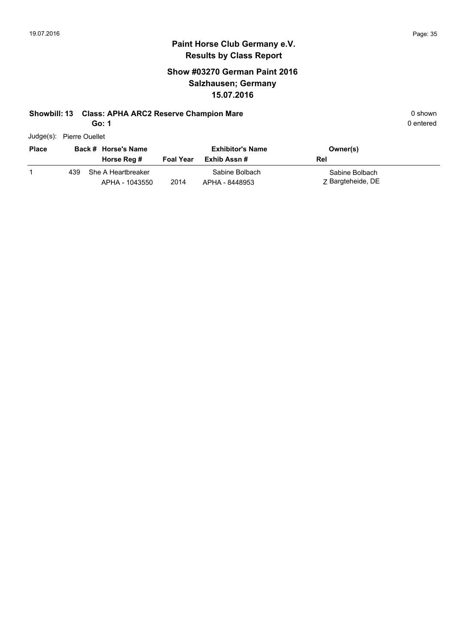## **Show #03270 German Paint 2016 Salzhausen; Germany 15.07.2016**

#### **Showbill: 13 Class: APHA ARC2 Reserve Champion Mare 18 Class Construction Mare** 0 shown

**Go: 1**

0 entered

Judge(s): Pierre Ouellet

| <b>Place</b> |     | Back # Horse's Name                  |                  | <b>Exhibitor's Name</b>          | Owner(s)                            |
|--------------|-----|--------------------------------------|------------------|----------------------------------|-------------------------------------|
|              |     | Horse Reg #                          | <b>Foal Year</b> | Exhib Assn #                     | Rel                                 |
|              | 439 | She A Heartbreaker<br>APHA - 1043550 | 2014             | Sabine Bolbach<br>APHA - 8448953 | Sabine Bolbach<br>Z Bargteheide, DE |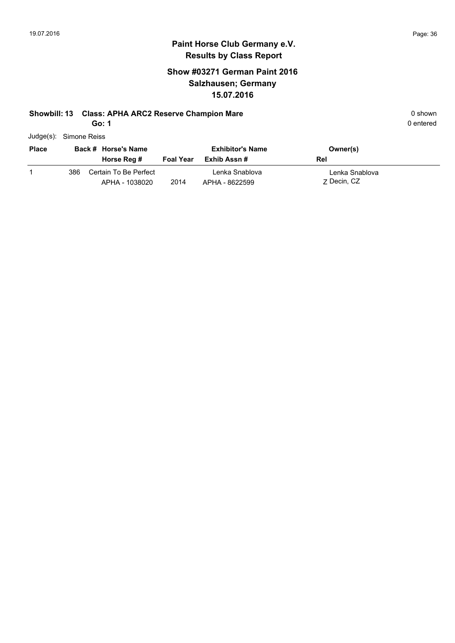## **Show #03271 German Paint 2016 Salzhausen; Germany 15.07.2016**

#### **Showbill: 13 Class: APHA ARC2 Reserve Champion Mare 18 Class Class APHA ARC2 Reserve Champion Mare** 1 **Class Class APHA ARC2 Reserve Champion Mare** 1 **Class Class Class Class Class Class Class Class Class Class Class Cl**

**Go: 1**

| Judge(s): Simone Reiss |
|------------------------|
|                        |

| <b>Place</b> |     | Back # Horse's Name                     |                  | <b>Exhibitor's Name</b>          | Owner(s)                      |
|--------------|-----|-----------------------------------------|------------------|----------------------------------|-------------------------------|
|              |     | Horse Reg #                             | <b>Foal Year</b> | Exhib Assn #                     | Rel                           |
|              | 386 | Certain To Be Perfect<br>APHA - 1038020 | 2014             | Lenka Snablova<br>APHA - 8622599 | Lenka Snablova<br>7 Decin, CZ |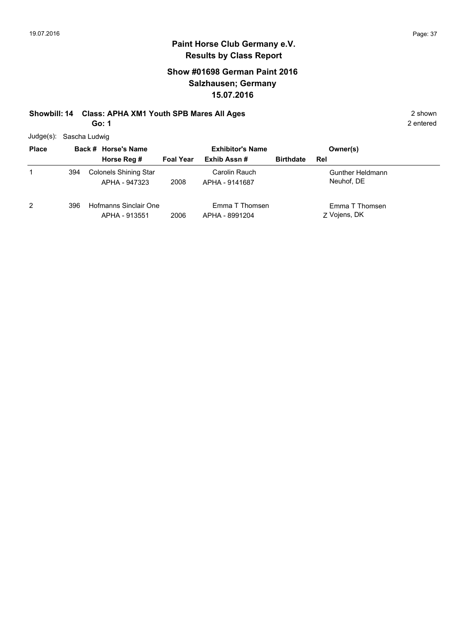#### **Show #01698 German Paint 2016 Salzhausen; Germany 15.07.2016**

## **Showbill: 14 Class: APHA XM1 Youth SPB Mares All Ages** 2 shown

**Go: 1**

2 entered

Judge(s): Sascha Ludwig

| <b>Place</b> | Back # Horse's Name |                                               | <b>Exhibitor's Name</b> |                                  | Owner(s)         |                                |
|--------------|---------------------|-----------------------------------------------|-------------------------|----------------------------------|------------------|--------------------------------|
|              |                     | Horse Reg #                                   | <b>Foal Year</b>        | Exhib Assn#                      | <b>Birthdate</b> | Rel                            |
| 1            | 394                 | <b>Colonels Shining Star</b><br>APHA - 947323 | 2008                    | Carolin Rauch<br>APHA - 9141687  |                  | Gunther Heldmann<br>Neuhof, DE |
| 2            | 396                 | Hofmanns Sinclair One<br>APHA - 913551        | 2006                    | Emma T Thomsen<br>APHA - 8991204 |                  | Emma T Thomsen<br>Z Vojens, DK |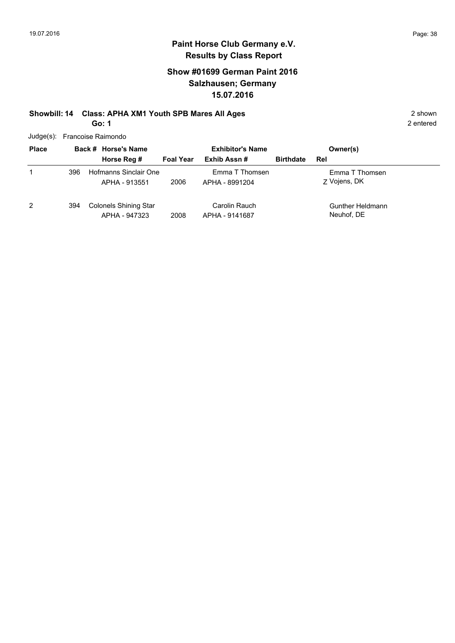#### **Show #01699 German Paint 2016 Salzhausen; Germany 15.07.2016**

#### **Showbill: 14 Class: APHA XM1 Youth SPB Mares All Ages** 2 shown **Go: 1**

Judge(s): Francoise Raimondo

| <b>Place</b>   |     | Back # Horse's Name                           |                  | <b>Exhibitor's Name</b>          |                         | Owner(s)                       |
|----------------|-----|-----------------------------------------------|------------------|----------------------------------|-------------------------|--------------------------------|
|                |     | Horse Reg #                                   | <b>Foal Year</b> | Exhib Assn#                      | <b>Birthdate</b><br>Rel |                                |
|                | 396 | Hofmanns Sinclair One<br>APHA - 913551        | 2006             | Emma T Thomsen<br>APHA - 8991204 |                         | Emma T Thomsen<br>Z Vojens, DK |
| $\overline{2}$ | 394 | <b>Colonels Shining Star</b><br>APHA - 947323 | 2008             | Carolin Rauch<br>APHA - 9141687  |                         | Gunther Heldmann<br>Neuhof, DE |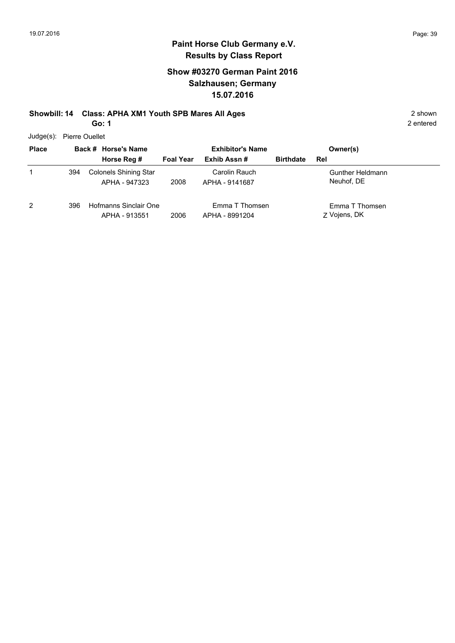2 entered

#### **Paint Horse Club Germany e.V. Results by Class Report**

#### **Show #03270 German Paint 2016 Salzhausen; Germany 15.07.2016**

## **Showbill: 14 Class: APHA XM1 Youth SPB Mares All Ages** 2 shown

**Go: 1**

Judge(s): Pierre Ouellet

| <b>Place</b> |     | Back # Horse's Name                    |                  | <b>Exhibitor's Name</b>          |                  | Owner(s)                       |
|--------------|-----|----------------------------------------|------------------|----------------------------------|------------------|--------------------------------|
|              |     | Horse Reg #                            | <b>Foal Year</b> | Exhib Assn#                      | <b>Birthdate</b> | Rel                            |
|              | 394 | Colonels Shining Star<br>APHA - 947323 | 2008             | Carolin Rauch<br>APHA - 9141687  |                  | Gunther Heldmann<br>Neuhof, DE |
| 2            | 396 | Hofmanns Sinclair One<br>APHA - 913551 | 2006             | Emma T Thomsen<br>APHA - 8991204 |                  | Emma T Thomsen<br>Z Vojens, DK |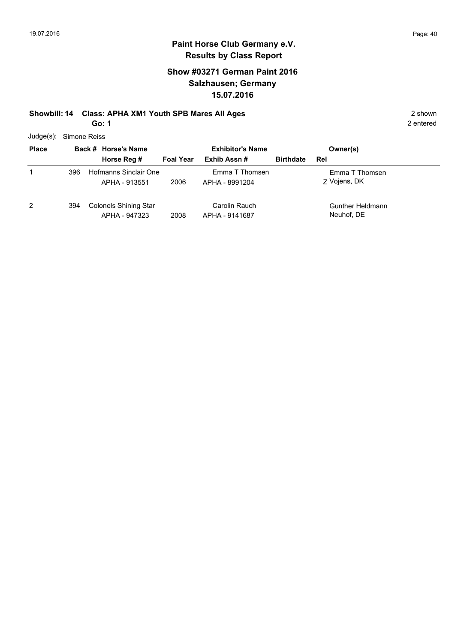#### **Show #03271 German Paint 2016 Salzhausen; Germany 15.07.2016**

## **Showbill: 14 Class: APHA XM1 Youth SPB Mares All Ages** 2 shown

**Go: 1**

Judge(s): Simone Reiss

| <b>Place</b> |     | Back # Horse's Name                           |                  | <b>Exhibitor's Name</b>          |                  | Owner(s)                       |  |
|--------------|-----|-----------------------------------------------|------------------|----------------------------------|------------------|--------------------------------|--|
|              |     | Horse Reg #                                   | <b>Foal Year</b> | Exhib Assn#                      | <b>Birthdate</b> | Rel                            |  |
|              | 396 | Hofmanns Sinclair One<br>APHA - 913551        | 2006             | Emma T Thomsen<br>APHA - 8991204 |                  | Emma T Thomsen<br>Z Vojens, DK |  |
| 2            | 394 | <b>Colonels Shining Star</b><br>APHA - 947323 | 2008             | Carolin Rauch<br>APHA - 9141687  |                  | Gunther Heldmann<br>Neuhof, DE |  |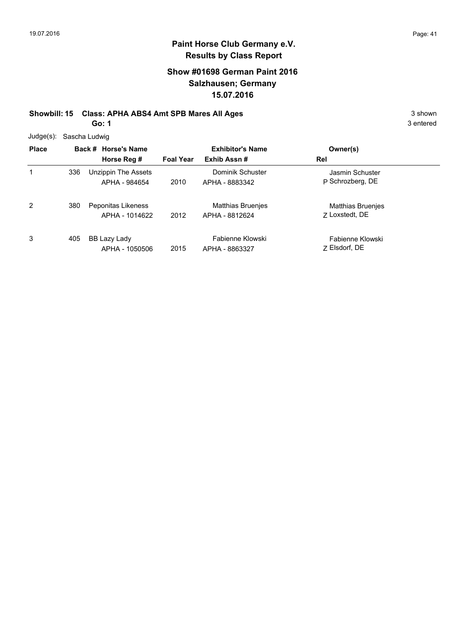#### **Show #01698 German Paint 2016 Salzhausen; Germany 15.07.2016**

# **Showbill: 15 Class: APHA ABS4 Amt SPB Mares All Ages** 3 shown

**Go: 1**

| <b>Place</b> |     | Back # Horse's Name<br>Horse Reg #   | <b>Foal Year</b> | <b>Exhibitor's Name</b><br>Exhib Assn#     | Owner(s)<br>Rel                            |
|--------------|-----|--------------------------------------|------------------|--------------------------------------------|--------------------------------------------|
|              | 336 | Unzippin The Assets<br>APHA - 984654 | 2010             | Dominik Schuster<br>APHA - 8883342         | Jasmin Schuster<br>P Schrozberg, DE        |
| 2            | 380 | Peponitas Likeness<br>APHA - 1014622 | 2012             | <b>Matthias Bruenjes</b><br>APHA - 8812624 | <b>Matthias Bruenjes</b><br>Z Loxstedt, DE |
| 3            | 405 | BB Lazy Lady<br>APHA - 1050506       | 2015             | Fabienne Klowski<br>APHA - 8863327         | Fabienne Klowski<br>7 Elsdorf, DE          |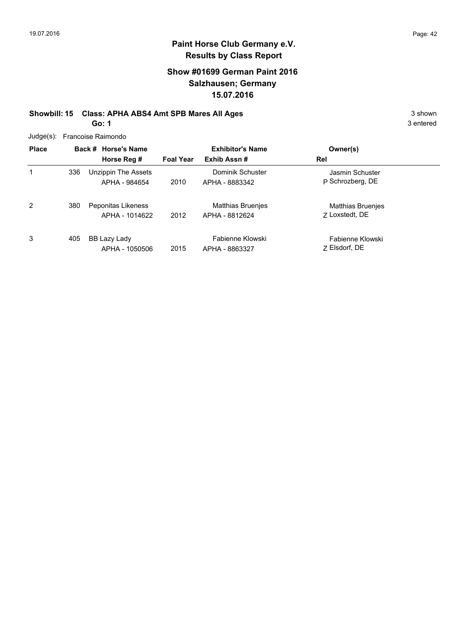#### **Show #01699 German Paint 2016 Salzhausen; Germany 15.07.2016**

#### **Showbill: 15 Class: APHA ABS4 Amt SPB Mares All Ages** 3 shown **Go: 1**

| Judge(s): Francoise Raimondo |  |
|------------------------------|--|
|------------------------------|--|

| <b>Place</b> |     | Back # Horse's Name<br>Horse Reg #   | <b>Foal Year</b> | <b>Exhibitor's Name</b><br>Exhib Assn#     | Owner(s)<br>Rel                            |
|--------------|-----|--------------------------------------|------------------|--------------------------------------------|--------------------------------------------|
| 1            | 336 | Unzippin The Assets<br>APHA - 984654 | 2010             | Dominik Schuster<br>APHA - 8883342         | Jasmin Schuster<br>P Schrozberg, DE        |
| 2            | 380 | Peponitas Likeness<br>APHA - 1014622 | 2012             | <b>Matthias Bruenjes</b><br>APHA - 8812624 | <b>Matthias Bruenjes</b><br>Z Loxstedt, DE |
| 3            | 405 | BB Lazy Lady<br>APHA - 1050506       | 2015             | Fabienne Klowski<br>APHA - 8863327         | Fabienne Klowski<br>7 Elsdorf, DE          |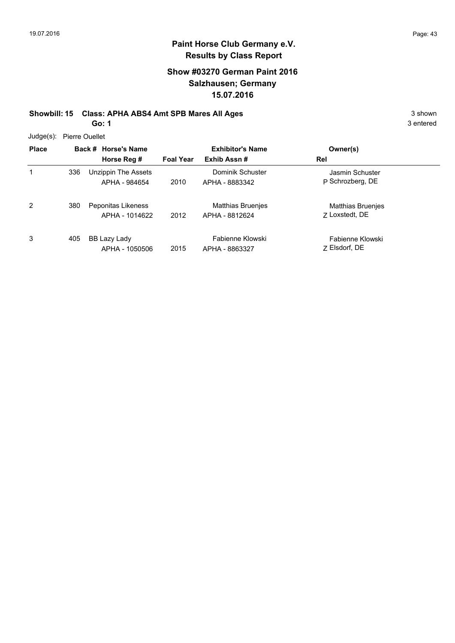3 entered

### **Paint Horse Club Germany e.V. Results by Class Report**

#### **Show #03270 German Paint 2016 Salzhausen; Germany 15.07.2016**

#### **Showbill: 15 Class: APHA ABS4 Amt SPB Mares All Ages** 3 shown **Go: 1**

Judge(s): Pierre Ouellet

|              | $0.499(0)$ . Tion of Outlies |                     |                  |                          |                          |  |  |  |
|--------------|------------------------------|---------------------|------------------|--------------------------|--------------------------|--|--|--|
| <b>Place</b> |                              | Back # Horse's Name |                  | <b>Exhibitor's Name</b>  | Owner(s)                 |  |  |  |
|              |                              | Horse Reg #         | <b>Foal Year</b> | Exhib Assn#              | Rel                      |  |  |  |
| 1            | 336                          | Unzippin The Assets |                  | Dominik Schuster         | Jasmin Schuster          |  |  |  |
|              |                              | APHA - 984654       | 2010             | APHA - 8883342           | P Schrozberg, DE         |  |  |  |
| 2            | 380                          | Peponitas Likeness  |                  | <b>Matthias Bruenjes</b> | <b>Matthias Bruenjes</b> |  |  |  |
|              |                              | APHA - 1014622      | 2012             | APHA - 8812624           | 7 Loxstedt, DE           |  |  |  |
| 3            | 405                          | BB Lazy Lady        |                  | Fabienne Klowski         | Fabienne Klowski         |  |  |  |
|              |                              | APHA - 1050506      | 2015             | APHA - 8863327           | 7 Elsdorf, DE            |  |  |  |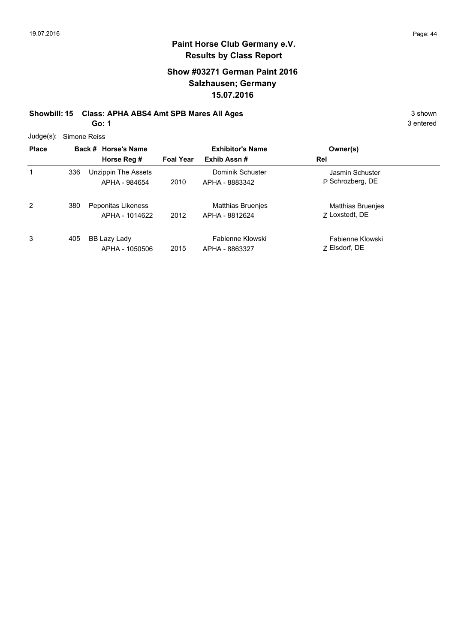#### **Show #03271 German Paint 2016 Salzhausen; Germany 15.07.2016**

#### **Showbill: 15 Class: APHA ABS4 Amt SPB Mares All Ages** 3 shown **Go: 1**

| Judge(s): | Simone Reiss |
|-----------|--------------|
|-----------|--------------|

| <b>Place</b> |     | Back # Horse's Name                  |                  | <b>Exhibitor's Name</b>                    | Owner(s)                                   |
|--------------|-----|--------------------------------------|------------------|--------------------------------------------|--------------------------------------------|
|              |     | Horse Reg #                          | <b>Foal Year</b> | Exhib Assn#                                | Rel                                        |
| 1            | 336 | Unzippin The Assets<br>APHA - 984654 | 2010             | Dominik Schuster<br>APHA - 8883342         | Jasmin Schuster<br>P Schrozberg, DE        |
| 2            | 380 | Peponitas Likeness<br>APHA - 1014622 | 2012             | <b>Matthias Bruenjes</b><br>APHA - 8812624 | <b>Matthias Bruenjes</b><br>7 Loxstedt, DE |
| 3            | 405 | BB Lazy Lady<br>APHA - 1050506       | 2015             | Fabienne Klowski<br>APHA - 8863327         | Fabienne Klowski<br>7 Elsdorf, DE          |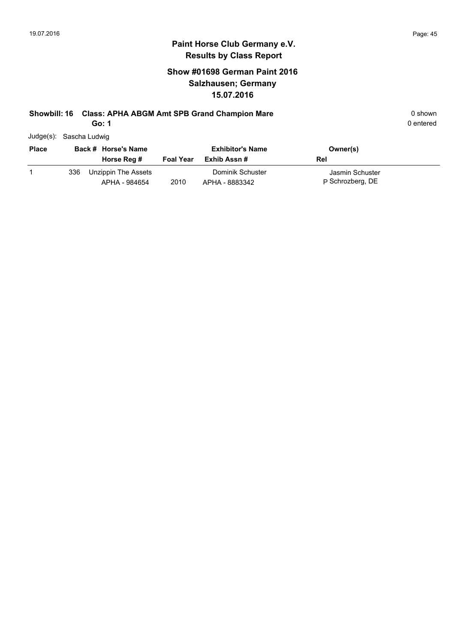#### **Show #01698 German Paint 2016 Salzhausen; Germany 15.07.2016**

#### **Showbill: 16 Class: APHA ABGM Amt SPB Grand Champion Mare** 0 **Shown** 0 shown

**Go: 1**

| Judge(s): | Sascha Ludwig |
|-----------|---------------|
|-----------|---------------|

| <b>Place</b> |     | Back # Horse's Name                  |                  | <b>Exhibitor's Name</b>            | Owner(s)                            |
|--------------|-----|--------------------------------------|------------------|------------------------------------|-------------------------------------|
|              |     | Horse Reg #                          | <b>Foal Year</b> | Exhib Assn #                       | Rel                                 |
|              | 336 | Unzippin The Assets<br>APHA - 984654 | 2010             | Dominik Schuster<br>APHA - 8883342 | Jasmin Schuster<br>P Schrozberg, DE |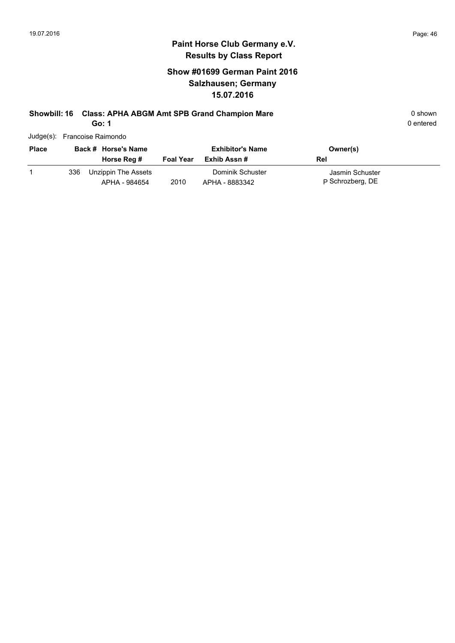#### **Show #01699 German Paint 2016 Salzhausen; Germany 15.07.2016**

## **Showbill: 16 Class: APHA ABGM Amt SPB Grand Champion Mare** 0 **Shown** 0 shown

**Go: 1**

| Judge(s): Francoise Raimondo |  |
|------------------------------|--|
|                              |  |

| <b>Place</b> |     | Back # Horse's Name                  |                  | <b>Exhibitor's Name</b>            | Owner(s)                            |
|--------------|-----|--------------------------------------|------------------|------------------------------------|-------------------------------------|
|              |     | Horse Reg #                          | <b>Foal Year</b> | Exhib Assn #                       | Rel                                 |
|              | 336 | Unzippin The Assets<br>APHA - 984654 | 2010             | Dominik Schuster<br>APHA - 8883342 | Jasmin Schuster<br>P Schrozberg, DE |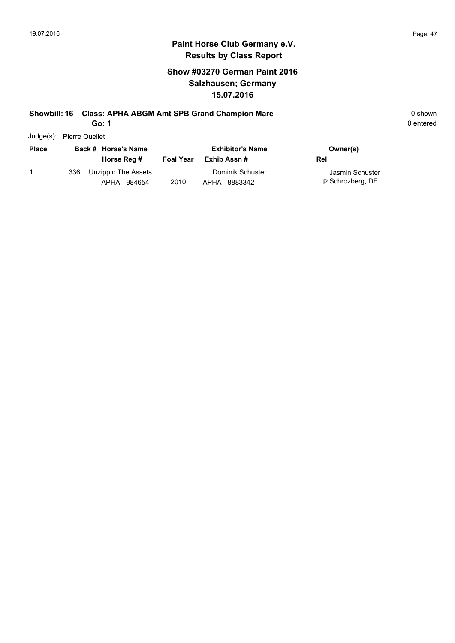0 entered

#### **Paint Horse Club Germany e.V. Results by Class Report**

#### **Show #03270 German Paint 2016 Salzhausen; Germany 15.07.2016**

#### **Showbill: 16 Class: APHA ABGM Amt SPB Grand Champion Mare** 0 **Shown** 0 shown

**Go: 1**

Judge(s): Pierre Ouellet

| <b>Place</b> |     | Back # Horse's Name<br>Horse Reg #   | <b>Foal Year</b> | <b>Exhibitor's Name</b><br>Exhib Assn # | Owner(s)<br>Rel                     |
|--------------|-----|--------------------------------------|------------------|-----------------------------------------|-------------------------------------|
|              | 336 | Unzippin The Assets<br>APHA - 984654 | 2010             | Dominik Schuster<br>APHA - 8883342      | Jasmin Schuster<br>P Schrozberg, DE |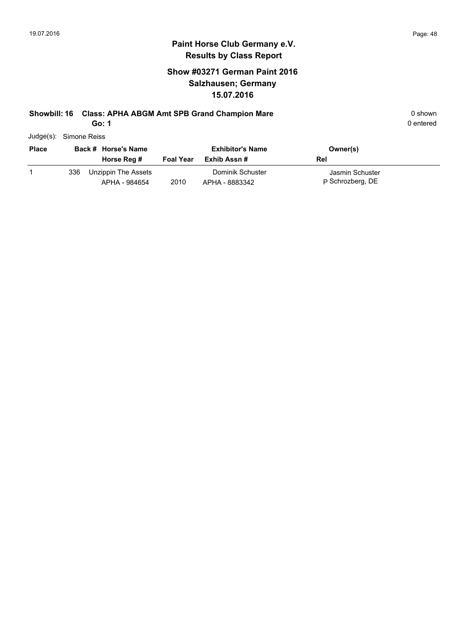#### **Show #03271 German Paint 2016 Salzhausen; Germany 15.07.2016**

#### **Showbill: 16 Class: APHA ABGM Amt SPB Grand Champion Mare** 0 **Shown** 0 shown

**Go: 1**

| Judge(s): Simone Reiss |  |
|------------------------|--|
|                        |  |

| <b>Place</b> |     | Back # Horse's Name                  |                  | <b>Exhibitor's Name</b>            | Owner(s)                            |
|--------------|-----|--------------------------------------|------------------|------------------------------------|-------------------------------------|
|              |     | Horse Reg #                          | <b>Foal Year</b> | Exhib Assn #                       | Rel                                 |
|              | 336 | Unzippin The Assets<br>APHA - 984654 | 2010             | Dominik Schuster<br>APHA - 8883342 | Jasmin Schuster<br>P Schrozberg, DE |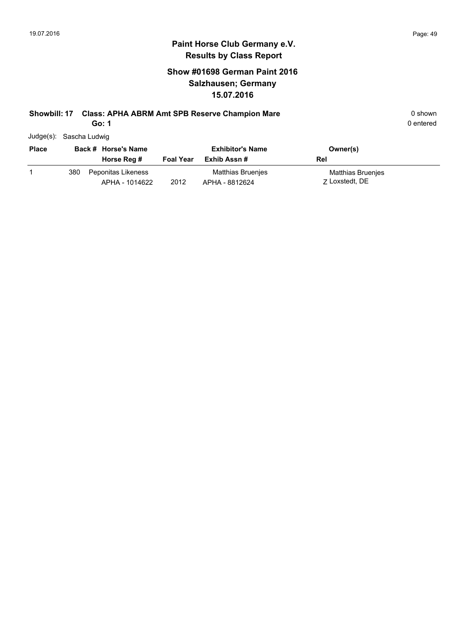#### **Show #01698 German Paint 2016 Salzhausen; Germany 15.07.2016**

#### **Showbill: 17 Class: APHA ABRM Amt SPB Reserve Champion Mare** 0 **Shown** 0 shown

**Go: 1**

0 entered

Judge(s): Sascha Ludwig

| <b>Place</b> |     | Back # Horse's Name                  |                  | <b>Exhibitor's Name</b>             | Owner(s)                            |
|--------------|-----|--------------------------------------|------------------|-------------------------------------|-------------------------------------|
|              |     | Horse Reg #                          | <b>Foal Year</b> | Exhib Assn #                        | Rel                                 |
|              | 380 | Peponitas Likeness<br>APHA - 1014622 | 2012             | Matthias Bruenjes<br>APHA - 8812624 | Matthias Bruenjes<br>7 Loxstedt, DE |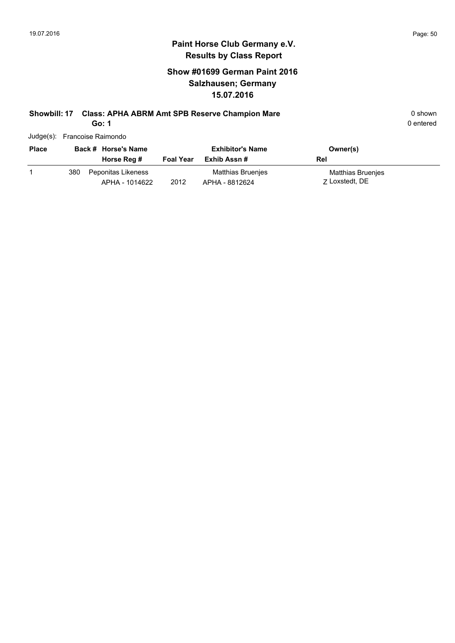#### **Show #01699 German Paint 2016 Salzhausen; Germany 15.07.2016**

### **Showbill: 17 Class: APHA ABRM Amt SPB Reserve Champion Mare** 0 shown

**Go: 1**

| Judge(s): Francoise Raimondo |
|------------------------------|

| <b>Place</b> |     | Back # Horse's Name                  |                  | <b>Exhibitor's Name</b>             | Owner(s)                            |
|--------------|-----|--------------------------------------|------------------|-------------------------------------|-------------------------------------|
|              |     | Horse Reg #                          | <b>Foal Year</b> | Exhib Assn #                        | Rel                                 |
|              | 380 | Peponitas Likeness<br>APHA - 1014622 | 2012             | Matthias Bruenjes<br>APHA - 8812624 | Matthias Bruenjes<br>7 Loxstedt, DE |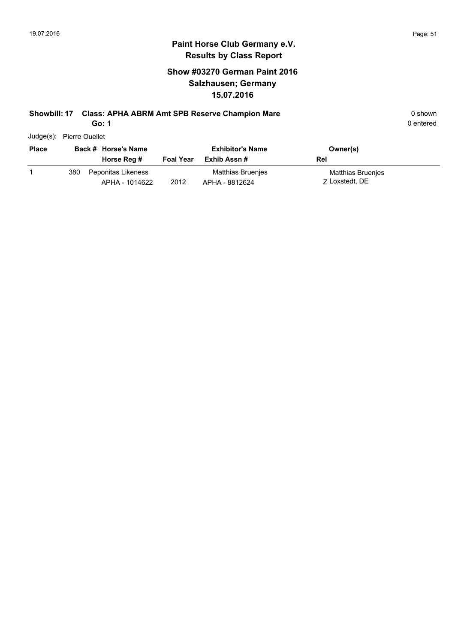#### **Show #03270 German Paint 2016 Salzhausen; Germany 15.07.2016**

#### **Showbill: 17 Class: APHA ABRM Amt SPB Reserve Champion Mare** 0 **Shown** 0 shown

**Go: 1**

0 entered

Judge(s): Pierre Ouellet

| <b>Place</b> |     | Back # Horse's Name                  |                  | <b>Exhibitor's Name</b>             | Owner(s)                            |
|--------------|-----|--------------------------------------|------------------|-------------------------------------|-------------------------------------|
|              |     | Horse Reg #                          | <b>Foal Year</b> | Exhib Assn #                        | Rel                                 |
|              | 380 | Peponitas Likeness<br>APHA - 1014622 | 2012             | Matthias Bruenies<br>APHA - 8812624 | Matthias Bruenjes<br>7 Loxstedt, DE |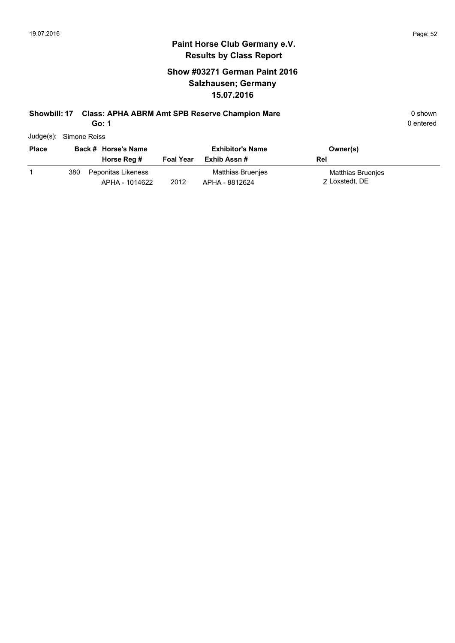#### **Show #03271 German Paint 2016 Salzhausen; Germany 15.07.2016**

#### **Showbill: 17 Class: APHA ABRM Amt SPB Reserve Champion Mare** 0 shown

**Go: 1**

| Judge(s): Simone Reiss |
|------------------------|
|                        |

| <b>Place</b> |     | Back # Horse's Name                  |                  | <b>Exhibitor's Name</b>             | Owner(s)                                   |
|--------------|-----|--------------------------------------|------------------|-------------------------------------|--------------------------------------------|
|              |     | Horse Reg #                          | <b>Foal Year</b> | Exhib Assn #                        | Rel                                        |
|              | 380 | Peponitas Likeness<br>APHA - 1014622 | 2012             | Matthias Bruenjes<br>APHA - 8812624 | <b>Matthias Bruenies</b><br>7 Loxstedt, DE |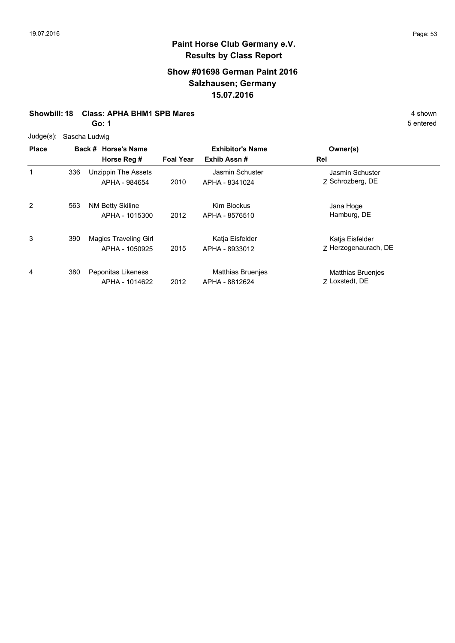#### **Show #01698 German Paint 2016 Salzhausen; Germany 15.07.2016**

#### **Showbill: 18 Class: APHA BHM1 SPB Mares** 4 shown

**Go: 1**

Judge(s): Sascha Ludwig

| <b>Place</b> |     | Back # Horse's Name<br>Horse Reg #             | <b>Foal Year</b> | <b>Exhibitor's Name</b><br>Exhib Assn#     | Owner(s)<br>Rel                            |
|--------------|-----|------------------------------------------------|------------------|--------------------------------------------|--------------------------------------------|
| 1            | 336 | Unzippin The Assets<br>APHA - 984654           | 2010             | Jasmin Schuster<br>APHA - 8341024          | Jasmin Schuster<br>Z Schrozberg, DE        |
| 2            | 563 | NM Betty Skiline<br>APHA - 1015300             | 2012             | Kim Blockus<br>APHA - 8576510              | Jana Hoge<br>Hamburg, DE                   |
| 3            | 390 | <b>Magics Traveling Girl</b><br>APHA - 1050925 | 2015             | Katja Eisfelder<br>APHA - 8933012          | Katja Eisfelder<br>Z Herzogenaurach, DE    |
| 4            | 380 | Peponitas Likeness<br>APHA - 1014622           | 2012             | <b>Matthias Bruenjes</b><br>APHA - 8812624 | <b>Matthias Bruenjes</b><br>7 Loxstedt, DE |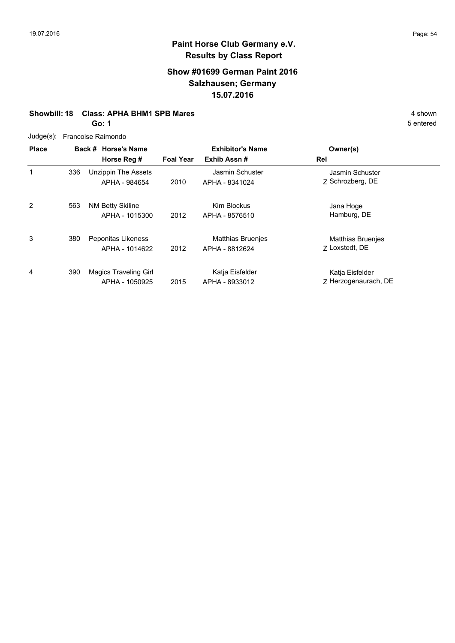#### **Show #01699 German Paint 2016 Salzhausen; Germany 15.07.2016**

#### **Showbill: 18 Class: APHA BHM1 SPB Mares** 4 shown

**Go: 1**

| Judge(s): Francoise Raimondo |  |
|------------------------------|--|
|                              |  |

| <b>Place</b> |     | Back # Horse's Name                            |                  | <b>Exhibitor's Name</b>                    | Owner(s)                                   |
|--------------|-----|------------------------------------------------|------------------|--------------------------------------------|--------------------------------------------|
|              |     | Horse Reg #                                    | <b>Foal Year</b> | Exhib Assn#                                | Rel                                        |
| 1            | 336 | Unzippin The Assets<br>APHA - 984654           | 2010             | Jasmin Schuster<br>APHA - 8341024          | Jasmin Schuster<br>Z Schrozberg, DE        |
| 2            | 563 | NM Betty Skiline<br>APHA - 1015300             | 2012             | <b>Kim Blockus</b><br>APHA - 8576510       | Jana Hoge<br>Hamburg, DE                   |
| 3            | 380 | Peponitas Likeness<br>APHA - 1014622           | 2012             | <b>Matthias Bruenies</b><br>APHA - 8812624 | <b>Matthias Bruenjes</b><br>7 Loxstedt, DE |
| 4            | 390 | <b>Magics Traveling Girl</b><br>APHA - 1050925 | 2015             | Katja Eisfelder<br>APHA - 8933012          | Katja Eisfelder<br>7 Herzogenaurach, DE    |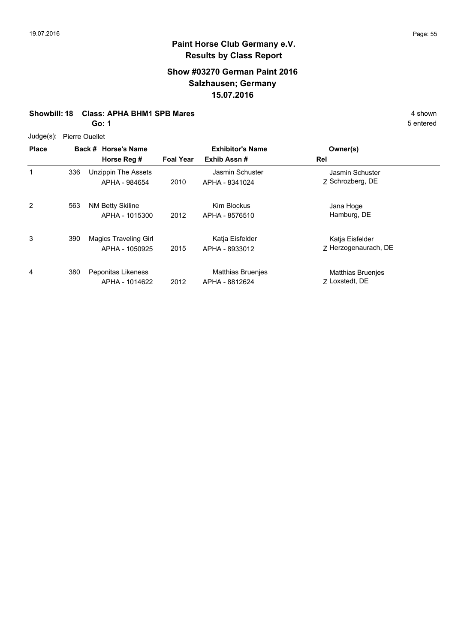#### **Show #03270 German Paint 2016 Salzhausen; Germany 15.07.2016**

#### **Showbill: 18 Class: APHA BHM1 SPB Mares** 4 shown

**Go: 1**

Judge(s): Pierre Ouellet

| <b>Place</b> |     | Back # Horse's Name<br>Horse Reg #             | <b>Foal Year</b> | <b>Exhibitor's Name</b><br>Exhib Assn#     | Owner(s)<br>Rel                            |
|--------------|-----|------------------------------------------------|------------------|--------------------------------------------|--------------------------------------------|
| 1            | 336 | Unzippin The Assets<br>APHA - 984654           | 2010             | Jasmin Schuster<br>APHA - 8341024          | Jasmin Schuster<br>Z Schrozberg, DE        |
| 2            | 563 | <b>NM Betty Skiline</b><br>APHA - 1015300      | 2012             | Kim Blockus<br>APHA - 8576510              | Jana Hoge<br>Hamburg, DE                   |
| 3            | 390 | <b>Magics Traveling Girl</b><br>APHA - 1050925 | 2015             | Katja Eisfelder<br>APHA - 8933012          | Katja Eisfelder<br>Z Herzogenaurach, DE    |
| 4            | 380 | Peponitas Likeness<br>APHA - 1014622           | 2012             | <b>Matthias Bruenjes</b><br>APHA - 8812624 | <b>Matthias Bruenjes</b><br>7 Loxstedt, DE |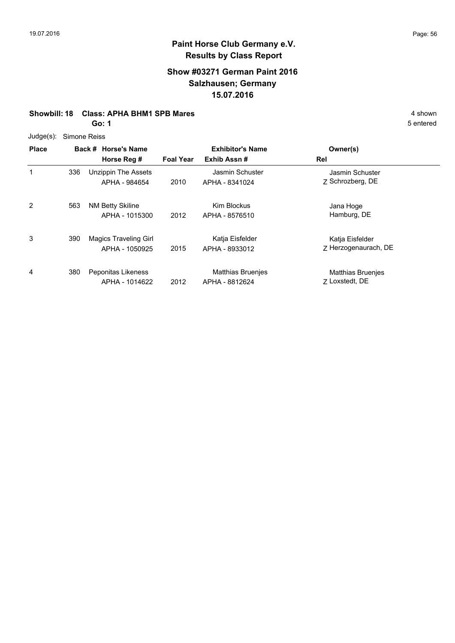#### **Show #03271 German Paint 2016 Salzhausen; Germany 15.07.2016**

#### **Showbill: 18 Class: APHA BHM1 SPB Mares** 4 shown

**Go: 1**

Judge(s): Simone Reiss

| <b>Place</b> |     | Back # Horse's Name<br>Horse Reg #             | <b>Foal Year</b> | <b>Exhibitor's Name</b><br>Exhib Assn#     | Owner(s)<br>Rel                            |
|--------------|-----|------------------------------------------------|------------------|--------------------------------------------|--------------------------------------------|
| 1            | 336 | Unzippin The Assets<br>APHA - 984654           | 2010             | Jasmin Schuster<br>APHA - 8341024          | Jasmin Schuster<br>Z Schrozberg, DE        |
| 2            | 563 | NM Betty Skiline<br>APHA - 1015300             | 2012             | Kim Blockus<br>APHA - 8576510              | Jana Hoge<br>Hamburg, DE                   |
| 3            | 390 | <b>Magics Traveling Girl</b><br>APHA - 1050925 | 2015             | Katja Eisfelder<br>APHA - 8933012          | Katja Eisfelder<br>7 Herzogenaurach, DE    |
| 4            | 380 | Peponitas Likeness<br>APHA - 1014622           | 2012             | <b>Matthias Bruenjes</b><br>APHA - 8812624 | <b>Matthias Bruenjes</b><br>7 Loxstedt, DE |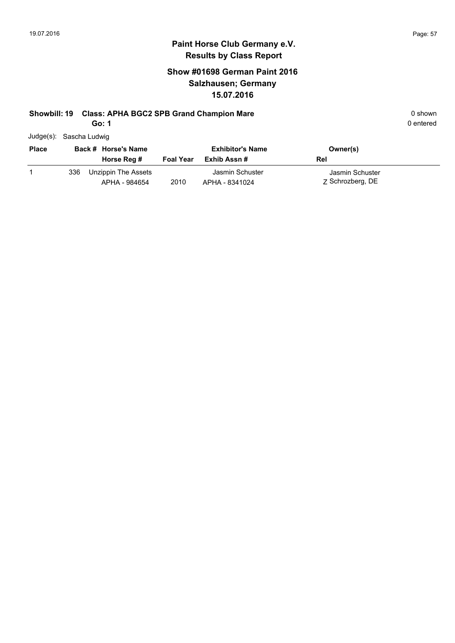#### **Show #01698 German Paint 2016 Salzhausen; Germany 15.07.2016**

### **Showbill: 19 Class: APHA BGC2 SPB Grand Champion Mare 19 Class: 0 shown** 0 shown

**Go: 1**

| Judge(s): Sascha Ludwig |
|-------------------------|
|                         |

| <b>Place</b> |     | Back # Horse's Name                  |                  | <b>Exhibitor's Name</b>           | Owner(s)                            |
|--------------|-----|--------------------------------------|------------------|-----------------------------------|-------------------------------------|
|              |     | Horse Reg #                          | <b>Foal Year</b> | Exhib Assn #                      | Rel                                 |
|              | 336 | Unzippin The Assets<br>APHA - 984654 | 2010             | Jasmin Schuster<br>APHA - 8341024 | Jasmin Schuster<br>Z Schrozberg, DE |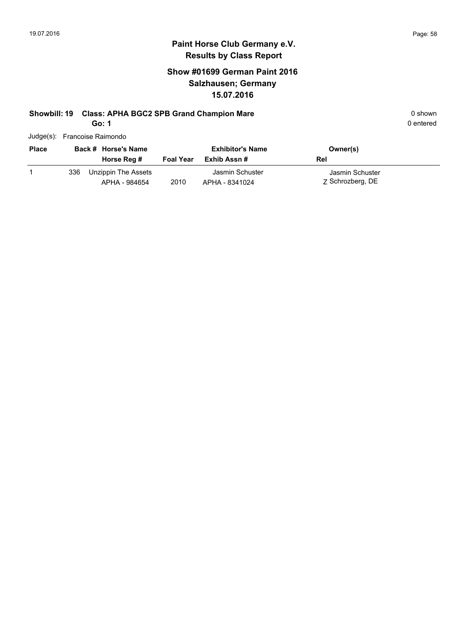0 entered

### **Paint Horse Club Germany e.V. Results by Class Report**

#### **Show #01699 German Paint 2016 Salzhausen; Germany 15.07.2016**

# **Showbill: 19 Class: APHA BGC2 SPB Grand Champion Mare 19 Class: 0 shown** 0 shown

**Go: 1**

Judge(s): Francoise Raimondo

|     |                                      |                     | <b>Exhibitor's Name</b>           | Owner(s)                            |  |
|-----|--------------------------------------|---------------------|-----------------------------------|-------------------------------------|--|
|     | Horse Reg #                          | <b>Foal Year</b>    | Exhib Assn #                      | Rel                                 |  |
| 336 | Unzippin The Assets<br>APHA - 984654 | 2010                | Jasmin Schuster<br>APHA - 8341024 | Jasmin Schuster<br>Z Schrozberg, DE |  |
|     |                                      | Back # Horse's Name |                                   |                                     |  |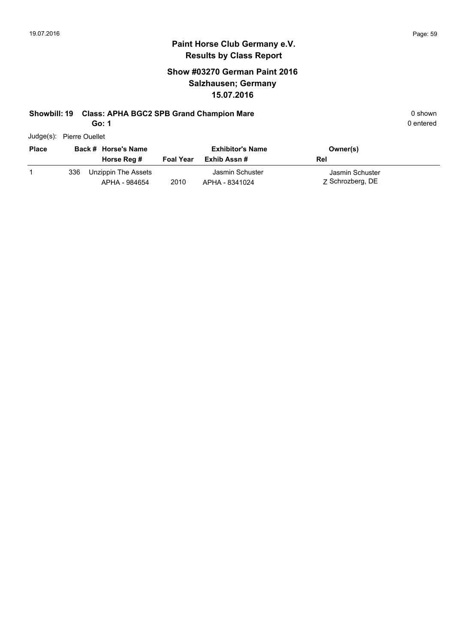#### **Show #03270 German Paint 2016 Salzhausen; Germany 15.07.2016**

#### **Showbill: 19 Class: APHA BGC2 SPB Grand Champion Mare 19 Class: 0 shown** 0 shown

**Go: 1**

0 entered

Judge(s): Pierre Ouellet

| <b>Place</b> |     | Back # Horse's Name<br>Horse Reg #   | <b>Foal Year</b> | <b>Exhibitor's Name</b><br>Exhib Assn # | Owner(s)<br>Rel                     |
|--------------|-----|--------------------------------------|------------------|-----------------------------------------|-------------------------------------|
|              | 336 | Unzippin The Assets<br>APHA - 984654 | 2010             | Jasmin Schuster<br>APHA - 8341024       | Jasmin Schuster<br>Z Schrozberg, DE |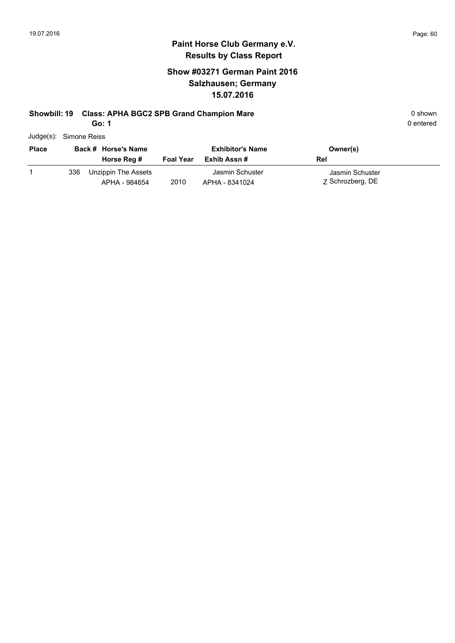#### **Show #03271 German Paint 2016 Salzhausen; Germany 15.07.2016**

#### **Showbill: 19 Class: APHA BGC2 SPB Grand Champion Mare 19 Class: 0 shown** 0 shown

**Go: 1**

| Judge(s): Simone Reiss |
|------------------------|
|                        |

| <b>Place</b> |     | Back # Horse's Name<br>Horse Reg #   | <b>Foal Year</b> | <b>Exhibitor's Name</b><br>Exhib Assn # | Owner(s)<br>Rel                     |
|--------------|-----|--------------------------------------|------------------|-----------------------------------------|-------------------------------------|
|              | 336 | Unzippin The Assets<br>APHA - 984654 | 2010             | Jasmin Schuster<br>APHA - 8341024       | Jasmin Schuster<br>Z Schrozberg, DE |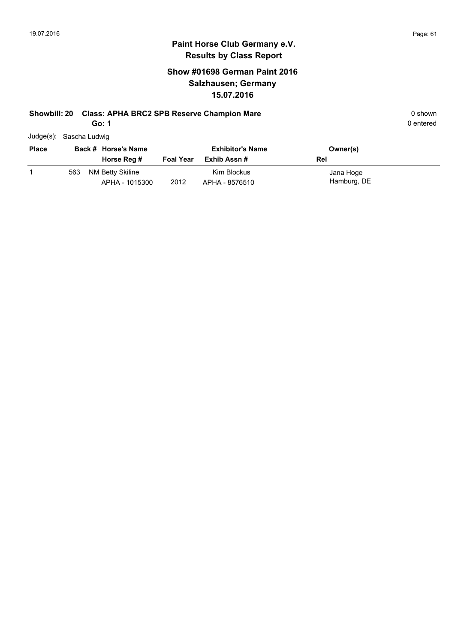#### **Show #01698 German Paint 2016 Salzhausen; Germany 15.07.2016**

#### **Showbill: 20 Class: APHA BRC2 SPB Reserve Champion Mare 1988 1988 1988 1988 1988 1988 1988 1988 1988 1988 1988 1988 1988 1988 1988 1988 1988 1988 1988 1988 1988 1988 1988 19**

**Go: 1**

| Judge(s): Sascha Ludwig |
|-------------------------|

| <b>Place</b> | Back # Horse's Name |                                    | <b>Exhibitor's Name</b> |                               | Owner(s)                 |
|--------------|---------------------|------------------------------------|-------------------------|-------------------------------|--------------------------|
|              |                     | Horse Reg #                        | <b>Foal Year</b>        | Exhib Assn #                  | Rel                      |
|              | 563                 | NM Betty Skiline<br>APHA - 1015300 | 2012                    | Kim Blockus<br>APHA - 8576510 | Jana Hoge<br>Hamburg, DE |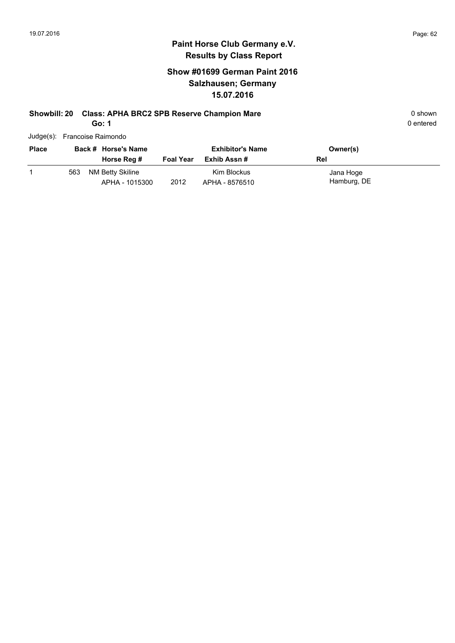#### **Show #01699 German Paint 2016 Salzhausen; Germany 15.07.2016**

#### **Showbill: 20 Class: APHA BRC2 SPB Reserve Champion Mare 1988 120 Class: APHA BRC2 SPB Reserve Champion Mare** 1988 120 Class 10 shown

**Go: 1**

| Judge(s): Francoise Raimondo |  |
|------------------------------|--|

| <b>Place</b> | Back # Horse's Name |                                    | <b>Exhibitor's Name</b> |                               | Owner(s)                 |
|--------------|---------------------|------------------------------------|-------------------------|-------------------------------|--------------------------|
|              |                     | Horse Reg #                        | <b>Foal Year</b>        | Exhib Assn #                  | Rel                      |
|              | 563                 | NM Betty Skiline<br>APHA - 1015300 | 2012                    | Kim Blockus<br>APHA - 8576510 | Jana Hoge<br>Hamburg, DE |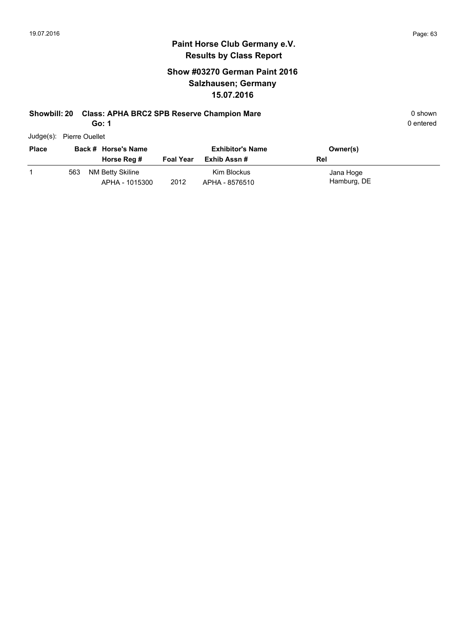#### **Show #03270 German Paint 2016 Salzhausen; Germany 15.07.2016**

#### **Showbill: 20 Class: APHA BRC2 SPB Reserve Champion Mare 1988 120 Class: APHA BRC2 SPB Reserve Champion Mare** 1988 120 Class 10 shown

**Go: 1**

| Judge(s): | <b>Pierre Ouellet</b> |
|-----------|-----------------------|
|           |                       |

| <b>Place</b> | Back # Horse's Name |                                    |                  | <b>Exhibitor's Name</b>       | Owner(s)                 |
|--------------|---------------------|------------------------------------|------------------|-------------------------------|--------------------------|
|              |                     | Horse Reg #                        | <b>Foal Year</b> | Exhib Assn #                  | Rel                      |
|              | 563                 | NM Betty Skiline<br>APHA - 1015300 | 2012             | Kim Blockus<br>APHA - 8576510 | Jana Hoge<br>Hamburg, DE |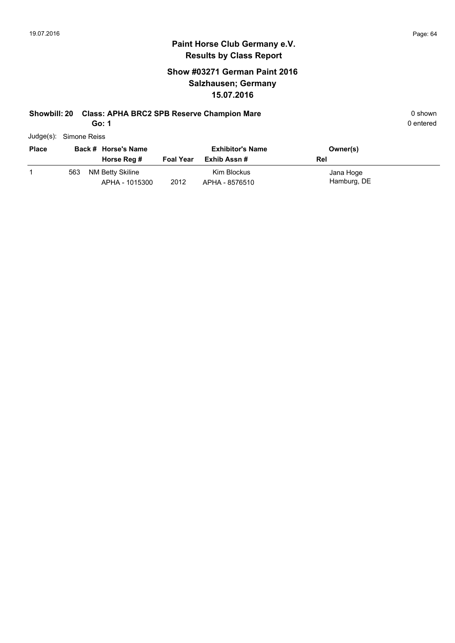#### **Show #03271 German Paint 2016 Salzhausen; Germany 15.07.2016**

#### **Showbill: 20 Class: APHA BRC2 SPB Reserve Champion Mare 1988 120 Class: APHA BRC2 SPB Reserve Champion Mare 1988**

**Go: 1**

| Judge(s): Simone Reiss |
|------------------------|
|                        |

| <b>Place</b> | Back # Horse's Name |                                    |                  | <b>Exhibitor's Name</b>       | Owner(s)                 |
|--------------|---------------------|------------------------------------|------------------|-------------------------------|--------------------------|
|              |                     | Horse Reg #                        | <b>Foal Year</b> | Exhib Assn #                  | Rel                      |
|              | 563                 | NM Betty Skiline<br>APHA - 1015300 | 2012             | Kim Blockus<br>APHA - 8576510 | Jana Hoge<br>Hamburg, DE |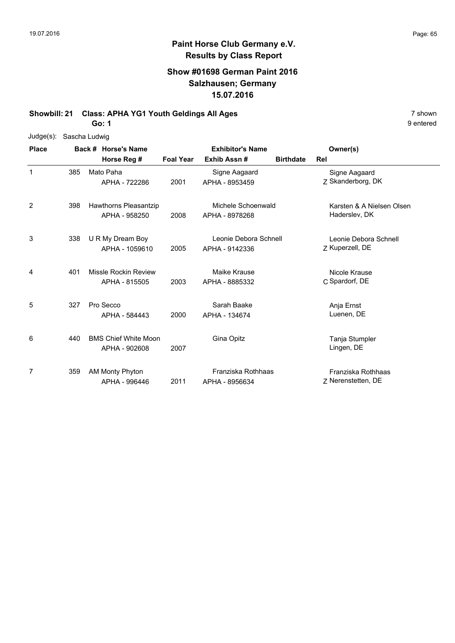#### **Show #01698 German Paint 2016 Salzhausen; Germany 15.07.2016**

**Showbill: 21 Class: APHA YG1 Youth Geldings All Ages** 7 shown

**Go: 1**

| Judge(s): Sascha Ludwig |
|-------------------------|
|                         |

| <b>Place</b> |     | Back # Horse's Name<br>Horse Reg #            | <b>Foal Year</b> | <b>Exhibitor's Name</b><br>Exhib Assn#  | <b>Birthdate</b> | Owner(s)<br>Rel                            |
|--------------|-----|-----------------------------------------------|------------------|-----------------------------------------|------------------|--------------------------------------------|
| 1            | 385 | Mato Paha<br>APHA - 722286                    | 2001             | Signe Aagaard<br>APHA - 8953459         |                  | Signe Aagaard<br>Z Skanderborg, DK         |
| 2            | 398 | <b>Hawthorns Pleasantzip</b><br>APHA - 958250 | 2008             | Michele Schoenwald<br>APHA - 8978268    |                  | Karsten & A Nielsen Olsen<br>Haderslev, DK |
| 3            | 338 | U R My Dream Boy<br>APHA - 1059610            | 2005             | Leonie Debora Schnell<br>APHA - 9142336 |                  | Leonie Debora Schnell<br>Z Kuperzell, DE   |
| 4            | 401 | Missle Rockin Review<br>APHA - 815505         | 2003             | Maike Krause<br>APHA - 8885332          |                  | Nicole Krause<br>C Spardorf, DE            |
| 5            | 327 | Pro Secco<br>APHA - 584443                    | 2000             | Sarah Baake<br>APHA - 134674            |                  | Anja Ernst<br>Luenen, DE                   |
| 6            | 440 | <b>BMS Chief White Moon</b><br>APHA - 902608  | 2007             | Gina Opitz                              |                  | Tanja Stumpler<br>Lingen, DE               |
| 7            | 359 | AM Monty Phyton<br>APHA - 996446              | 2011             | Franziska Rothhaas<br>APHA - 8956634    |                  | Franziska Rothhaas<br>Z Nerenstetten, DE   |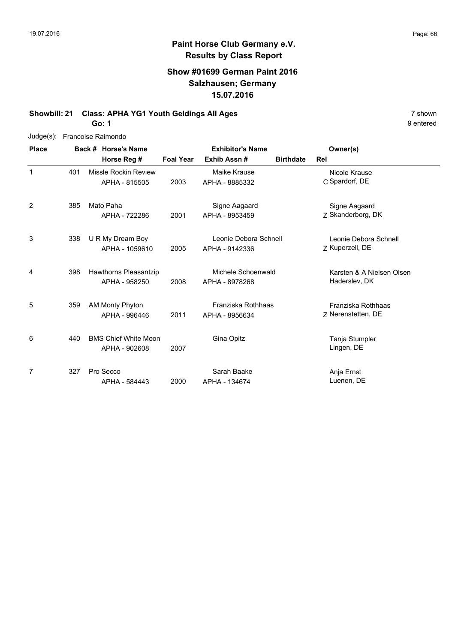#### **Show #01699 German Paint 2016 Salzhausen; Germany 15.07.2016**

# **Showbill: 21 Class: APHA YG1 Youth Geldings All Ages** 7 shown

**Go: 1**

| $Judge(s)$ :   |     | Francoise Raimondo          |                  |                         |                  |                           |
|----------------|-----|-----------------------------|------------------|-------------------------|------------------|---------------------------|
| <b>Place</b>   |     | Back # Horse's Name         |                  | <b>Exhibitor's Name</b> |                  | Owner(s)                  |
|                |     | Horse Reg #                 | <b>Foal Year</b> | Exhib Assn#             | <b>Birthdate</b> | Rel                       |
| $\mathbf{1}$   | 401 | Missle Rockin Review        |                  | Maike Krause            |                  | Nicole Krause             |
|                |     | APHA - 815505               | 2003             | APHA - 8885332          |                  | C Spardorf, DE            |
| $\overline{2}$ | 385 | Mato Paha                   |                  | Signe Aagaard           |                  | Signe Aagaard             |
|                |     | APHA - 722286               | 2001             | APHA - 8953459          |                  | Z Skanderborg, DK         |
| 3              | 338 | U R My Dream Boy            |                  | Leonie Debora Schnell   |                  | Leonie Debora Schnell     |
|                |     | APHA - 1059610              | 2005             | APHA - 9142336          |                  | Z Kuperzell, DE           |
| 4              | 398 | Hawthorns Pleasantzip       |                  | Michele Schoenwald      |                  | Karsten & A Nielsen Olsen |
|                |     | APHA - 958250               | 2008             | APHA - 8978268          |                  | Haderslev, DK             |
| 5              | 359 | <b>AM Monty Phyton</b>      |                  | Franziska Rothhaas      |                  | Franziska Rothhaas        |
|                |     | APHA - 996446               | 2011             | APHA - 8956634          |                  | Z Nerenstetten, DE        |
| 6              | 440 | <b>BMS Chief White Moon</b> |                  | Gina Opitz              |                  | Tanja Stumpler            |
|                |     | APHA - 902608               | 2007             |                         |                  | Lingen, DE                |
| 7              | 327 | Pro Secco                   |                  | Sarah Baake             |                  | Anja Ernst                |
|                |     | APHA - 584443               | 2000             | APHA - 134674           |                  | Luenen, DE                |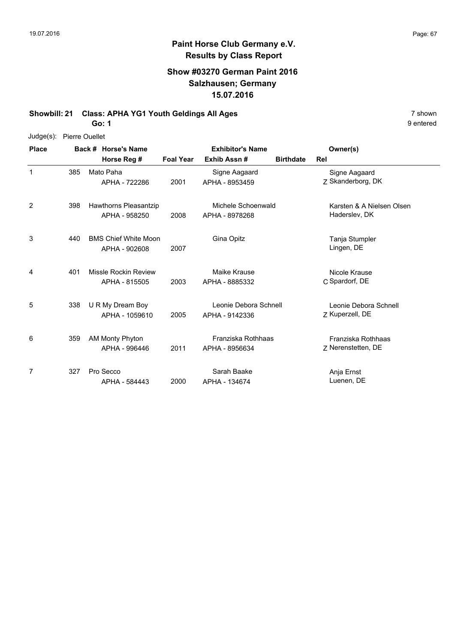9 entered

#### **Paint Horse Club Germany e.V. Results by Class Report**

#### **Show #03270 German Paint 2016 Salzhausen; Germany 15.07.2016**

**Showbill: 21 Class: APHA YG1 Youth Geldings All Ages** 7 shown

**Go: 1**

Judge(s): Pierre Ouellet

| <b>Place</b> |     | Back # Horse's Name                           |                  | <b>Exhibitor's Name</b>                 | Owner(s)         |                                            |
|--------------|-----|-----------------------------------------------|------------------|-----------------------------------------|------------------|--------------------------------------------|
|              |     | Horse Reg #                                   | <b>Foal Year</b> | Exhib Assn#                             | <b>Birthdate</b> | Rel                                        |
| 1            | 385 | Mato Paha<br>APHA - 722286                    | 2001             | Signe Aagaard<br>APHA - 8953459         |                  | Signe Aagaard<br>Z Skanderborg, DK         |
| 2            | 398 | <b>Hawthorns Pleasantzip</b><br>APHA - 958250 | 2008             | Michele Schoenwald<br>APHA - 8978268    |                  | Karsten & A Nielsen Olsen<br>Haderslev, DK |
| 3            | 440 | <b>BMS Chief White Moon</b><br>APHA - 902608  | 2007             | Gina Opitz                              |                  | Tanja Stumpler<br>Lingen, DE               |
| 4            | 401 | Missle Rockin Review<br>APHA - 815505         | 2003             | Maike Krause<br>APHA - 8885332          |                  | Nicole Krause<br>C Spardorf, DE            |
| 5            | 338 | U R My Dream Boy<br>APHA - 1059610            | 2005             | Leonie Debora Schnell<br>APHA - 9142336 |                  | Leonie Debora Schnell<br>Z Kuperzell, DE   |
| 6            | 359 | AM Monty Phyton<br>APHA - 996446              | 2011             | Franziska Rothhaas<br>APHA - 8956634    |                  | Franziska Rothhaas<br>7 Nerenstetten, DE   |
| 7            | 327 | Pro Secco<br>APHA - 584443                    | 2000             | Sarah Baake<br>APHA - 134674            |                  | Anja Ernst<br>Luenen, DE                   |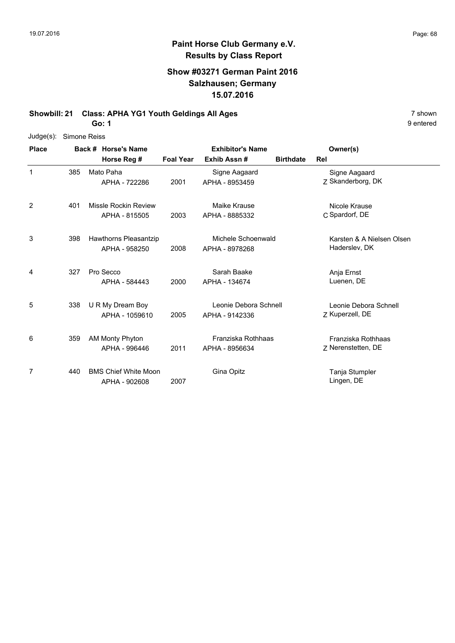#### **Show #03271 German Paint 2016 Salzhausen; Germany 15.07.2016**

**Showbill: 21 Class: APHA YG1 Youth Geldings All Ages** 7 shown

**Go: 1**

| $Judge(s)$ : | Simone Reiss |                             |                  |                         |                  |                           |
|--------------|--------------|-----------------------------|------------------|-------------------------|------------------|---------------------------|
| <b>Place</b> |              | Back # Horse's Name         |                  | <b>Exhibitor's Name</b> |                  | Owner(s)                  |
|              |              | Horse Reg #                 | <b>Foal Year</b> | Exhib Assn #            | <b>Birthdate</b> | Rel                       |
| $\mathbf{1}$ | 385          | Mato Paha                   |                  | Signe Aagaard           |                  | Signe Aagaard             |
|              |              | APHA - 722286               | 2001             | APHA - 8953459          |                  | Z Skanderborg, DK         |
| 2            | 401          | Missle Rockin Review        |                  | Maike Krause            |                  | Nicole Krause             |
|              |              | APHA - 815505               | 2003             | APHA - 8885332          |                  | C Spardorf, DE            |
| 3            | 398          | Hawthorns Pleasantzip       |                  | Michele Schoenwald      |                  | Karsten & A Nielsen Olsen |
|              |              | APHA - 958250               | 2008             | APHA - 8978268          |                  | Haderslev, DK             |
| 4            | 327          | Pro Secco                   |                  | Sarah Baake             |                  | Anja Ernst                |
|              |              | APHA - 584443               | 2000             | APHA - 134674           |                  | Luenen, DE                |
| 5            | 338          | U R My Dream Boy            |                  | Leonie Debora Schnell   |                  | Leonie Debora Schnell     |
|              |              | APHA - 1059610              | 2005             | APHA - 9142336          |                  | Z Kuperzell, DE           |
| 6            | 359          | <b>AM Monty Phyton</b>      |                  | Franziska Rothhaas      |                  | Franziska Rothhaas        |
|              |              | APHA - 996446               | 2011             | APHA - 8956634          |                  | Z Nerenstetten, DE        |
| 7            | 440          | <b>BMS Chief White Moon</b> |                  | Gina Opitz              |                  | Tanja Stumpler            |
|              |              | APHA - 902608               | 2007             |                         |                  | Lingen, DE                |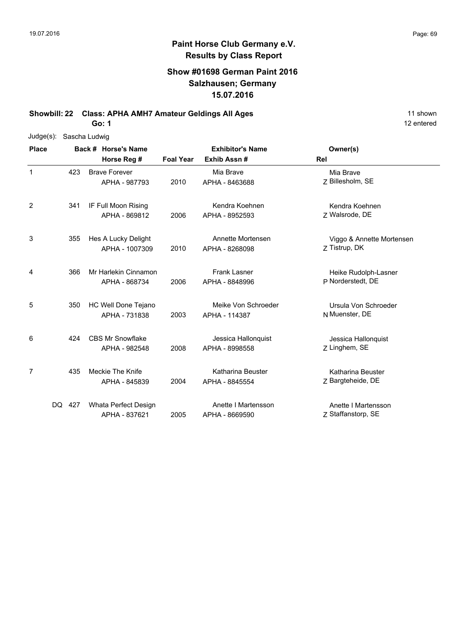#### **Show #01698 German Paint 2016 Salzhausen; Germany 15.07.2016**

**Showbill: 22 Class: APHA AMH7 Amateur Geldings All Ages** 11 shown

**Go: 1**

| $Judge(s)$ : | Sascha Ludwig |                                          |                  |                                       |                                            |  |  |  |  |
|--------------|---------------|------------------------------------------|------------------|---------------------------------------|--------------------------------------------|--|--|--|--|
| <b>Place</b> |               | Back # Horse's Name                      |                  | <b>Exhibitor's Name</b>               | Owner(s)                                   |  |  |  |  |
|              |               | Horse Reg #                              | <b>Foal Year</b> | Exhib Assn#                           | Rel                                        |  |  |  |  |
| 1            | 423           | <b>Brave Forever</b><br>APHA - 987793    | 2010             | Mia Brave<br>APHA - 8463688           | Mia Brave<br>Z Billesholm, SE              |  |  |  |  |
| 2            | 341           | IF Full Moon Rising<br>APHA - 869812     | 2006             | Kendra Koehnen<br>APHA - 8952593      | Kendra Koehnen<br>Z Walsrode, DE           |  |  |  |  |
| 3            | 355           | Hes A Lucky Delight<br>APHA - 1007309    | 2010             | Annette Mortensen<br>APHA - 8268098   | Viggo & Annette Mortensen<br>Z Tistrup, DK |  |  |  |  |
| 4            | 366           | Mr Harlekin Cinnamon<br>APHA - 868734    | 2006             | <b>Frank Lasner</b><br>APHA - 8848996 | Heike Rudolph-Lasner<br>P Norderstedt, DE  |  |  |  |  |
| 5            | 350           | HC Well Done Tejano<br>APHA - 731838     | 2003             | Meike Von Schroeder<br>APHA - 114387  | Ursula Von Schroeder<br>N Muenster, DE     |  |  |  |  |
| 6            | 424           | <b>CBS Mr Snowflake</b><br>APHA - 982548 | 2008             | Jessica Hallonquist<br>APHA - 8998558 | Jessica Hallonquist<br>Z Linghem, SE       |  |  |  |  |
| 7            | 435           | Meckie The Knife<br>APHA - 845839        | 2004             | Katharina Beuster<br>APHA - 8845554   | Katharina Beuster<br>Z Bargteheide, DE     |  |  |  |  |
|              | DQ.<br>427    | Whata Perfect Design<br>APHA - 837621    | 2005             | Anette I Martensson<br>APHA - 8669590 | Anette I Martensson<br>Z Staffanstorp, SE  |  |  |  |  |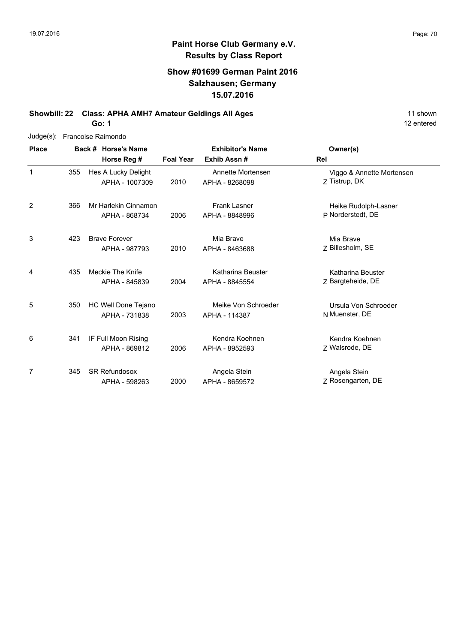#### **Show #01699 German Paint 2016 Salzhausen; Germany 15.07.2016**

**Showbill: 22 Class: APHA AMH7 Amateur Geldings All Ages** 11 shown

**Go: 1**

| Judge(s):      | Francoise Raimondo |  |                      |                  |                         |                           |  |  |  |
|----------------|--------------------|--|----------------------|------------------|-------------------------|---------------------------|--|--|--|
| <b>Place</b>   |                    |  | Back # Horse's Name  |                  | <b>Exhibitor's Name</b> | Owner(s)                  |  |  |  |
|                |                    |  | Horse Reg #          | <b>Foal Year</b> | Exhib Assn#             | Rel                       |  |  |  |
| $\mathbf{1}$   | 355                |  | Hes A Lucky Delight  |                  | Annette Mortensen       | Viggo & Annette Mortensen |  |  |  |
|                |                    |  | APHA - 1007309       | 2010             | APHA - 8268098          | 7 Tistrup, DK             |  |  |  |
| $\overline{2}$ | 366                |  | Mr Harlekin Cinnamon |                  | <b>Frank Lasner</b>     | Heike Rudolph-Lasner      |  |  |  |
|                |                    |  | APHA - 868734        | 2006             | APHA - 8848996          | P Norderstedt, DE         |  |  |  |
| 3              | 423                |  | <b>Brave Forever</b> |                  | Mia Brave               | Mia Brave                 |  |  |  |
|                |                    |  | APHA - 987793        | 2010             | APHA - 8463688          | Z Billesholm, SE          |  |  |  |
| 4              | 435                |  | Meckie The Knife     |                  | Katharina Beuster       | Katharina Beuster         |  |  |  |
|                |                    |  | APHA - 845839        | 2004             | APHA - 8845554          | Z Bargteheide, DE         |  |  |  |
| 5              | 350                |  | HC Well Done Tejano  |                  | Meike Von Schroeder     | Ursula Von Schroeder      |  |  |  |
|                |                    |  | APHA - 731838        | 2003             | APHA - 114387           | N Muenster, DE            |  |  |  |
| 6              | 341                |  | IF Full Moon Rising  |                  | Kendra Koehnen          | Kendra Koehnen            |  |  |  |
|                |                    |  | APHA - 869812        | 2006             | APHA - 8952593          | Z Walsrode, DE            |  |  |  |
| 7              | 345                |  | <b>SR Refundosox</b> |                  | Angela Stein            | Angela Stein              |  |  |  |
|                |                    |  | APHA - 598263        | 2000             | APHA - 8659572          | Z Rosengarten, DE         |  |  |  |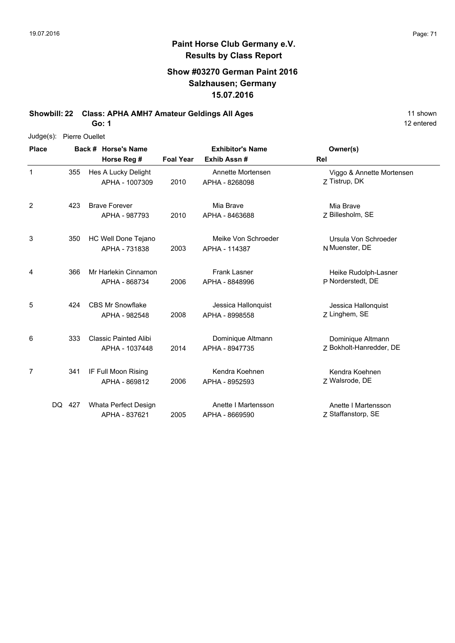#### **Show #03270 German Paint 2016 Salzhausen; Germany 15.07.2016**

**Showbill: 22 Class: APHA AMH7 Amateur Geldings All Ages** 11 shown

**Go: 1**

| Judge(s):    | <b>Pierre Ouellet</b> |  |                                                |                  |                                                                               |                                                               |  |  |  |
|--------------|-----------------------|--|------------------------------------------------|------------------|-------------------------------------------------------------------------------|---------------------------------------------------------------|--|--|--|
| <b>Place</b> |                       |  | Back # Horse's Name<br>Horse Reg #             | <b>Foal Year</b> | <b>Exhibitor's Name</b><br>Exhib Assn#<br>Annette Mortensen<br>APHA - 8268098 | Owner(s)<br>Rel<br>Viggo & Annette Mortensen<br>Z Tistrup, DK |  |  |  |
| 1            | 355                   |  | Hes A Lucky Delight<br>APHA - 1007309          | 2010             |                                                                               |                                                               |  |  |  |
| 2            | 423                   |  | <b>Brave Forever</b><br>APHA - 987793          | 2010             | Mia Brave<br>APHA - 8463688                                                   | Mia Brave<br>Z Billesholm, SE                                 |  |  |  |
| 3            | 350                   |  | HC Well Done Tejano<br>APHA - 731838           | 2003             | Meike Von Schroeder<br>APHA - 114387                                          | Ursula Von Schroeder<br>N Muenster, DE                        |  |  |  |
| 4            | 366                   |  | Mr Harlekin Cinnamon<br>APHA - 868734          | 2006             | <b>Frank Lasner</b><br>APHA - 8848996                                         | Heike Rudolph-Lasner<br>P Norderstedt, DE                     |  |  |  |
| 5            | 424                   |  | <b>CBS Mr Snowflake</b><br>APHA - 982548       | 2008             | Jessica Hallonquist<br>APHA - 8998558                                         | Jessica Hallonquist<br>Z Linghem, SE                          |  |  |  |
| 6            | 333                   |  | <b>Classic Painted Alibi</b><br>APHA - 1037448 | 2014             | Dominique Altmann<br>APHA - 8947735                                           | Dominique Altmann<br>Z Bokholt-Hanredder, DE                  |  |  |  |
| 7            | 341                   |  | IF Full Moon Rising<br>APHA - 869812           | 2006             | Kendra Koehnen<br>APHA - 8952593                                              | Kendra Koehnen<br>Z Walsrode, DE                              |  |  |  |
|              | 427<br>DQ.            |  | Whata Perfect Design<br>APHA - 837621          | 2005             | Anette I Martensson<br>APHA - 8669590                                         | Anette I Martensson<br>Z Staffanstorp, SE                     |  |  |  |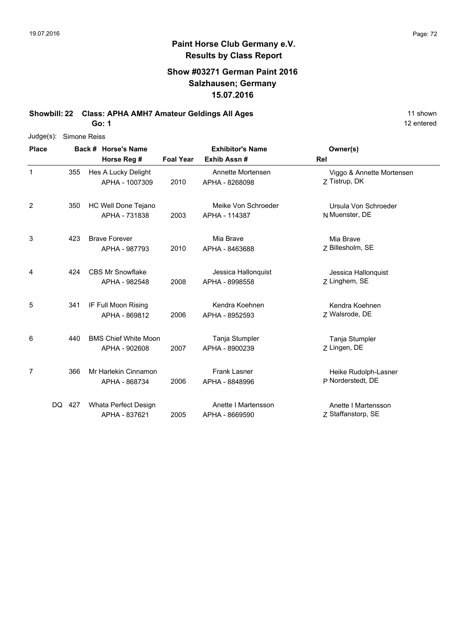12 entered

### **Paint Horse Club Germany e.V. Results by Class Report**

#### **Show #03271 German Paint 2016 Salzhausen; Germany 15.07.2016**

**Showbill: 22 Class: APHA AMH7 Amateur Geldings All Ages** 11 shown

**Go: 1**

| Judge(s):      | <b>Simone Reiss</b> |  |                                              |                  |                                        |                                            |  |  |  |
|----------------|---------------------|--|----------------------------------------------|------------------|----------------------------------------|--------------------------------------------|--|--|--|
| <b>Place</b>   |                     |  | Back # Horse's Name                          |                  | <b>Exhibitor's Name</b><br>Exhib Assn# | Owner(s)                                   |  |  |  |
|                |                     |  | Horse Reg #                                  | <b>Foal Year</b> |                                        | Rel                                        |  |  |  |
| 1              | 355                 |  | Hes A Lucky Delight<br>APHA - 1007309        | 2010             | Annette Mortensen<br>APHA - 8268098    | Viggo & Annette Mortensen<br>Z Tistrup, DK |  |  |  |
| $\overline{c}$ | 350                 |  | HC Well Done Tejano<br>APHA - 731838         | 2003             | Meike Von Schroeder<br>APHA - 114387   | Ursula Von Schroeder<br>N Muenster, DE     |  |  |  |
| 3              | 423                 |  | <b>Brave Forever</b><br>APHA - 987793        | 2010             | Mia Brave<br>APHA - 8463688            | Mia Brave<br>Z Billesholm, SE              |  |  |  |
| 4              | 424                 |  | <b>CBS Mr Snowflake</b><br>APHA - 982548     | 2008             | Jessica Hallonquist<br>APHA - 8998558  | Jessica Hallonquist<br>Z Linghem, SE       |  |  |  |
| 5              | 341                 |  | IF Full Moon Rising<br>APHA - 869812         | 2006             | Kendra Koehnen<br>APHA - 8952593       | Kendra Koehnen<br>Z Walsrode, DE           |  |  |  |
| 6              | 440                 |  | <b>BMS Chief White Moon</b><br>APHA - 902608 | 2007             | Tanja Stumpler<br>APHA - 8900239       | Tanja Stumpler<br>Z Lingen, DE             |  |  |  |
| 7              | 366                 |  | Mr Harlekin Cinnamon<br>APHA - 868734        | 2006             | <b>Frank Lasner</b><br>APHA - 8848996  | Heike Rudolph-Lasner<br>P Norderstedt, DE  |  |  |  |
| DQ.            | 427                 |  | Whata Perfect Design<br>APHA - 837621        | 2005             | Anette I Martensson<br>APHA - 8669590  | Anette I Martensson<br>Z Staffanstorp, SE  |  |  |  |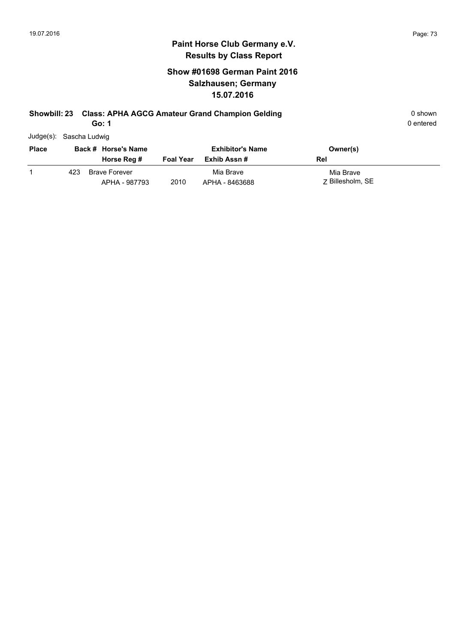### **Show #01698 German Paint 2016 Salzhausen; Germany 15.07.2016**

# **Showbill: 23 Class: APHA AGCG Amateur Grand Champion Gelding Canadiate and Shown** 0 shown

**Go: 1**

| Judge(s): Sascha Ludwig |
|-------------------------|

| <b>Place</b> | Back # Horse's Name |                                       |                  | <b>Exhibitor's Name</b>     | Owner(s)                      |
|--------------|---------------------|---------------------------------------|------------------|-----------------------------|-------------------------------|
|              |                     | Horse Reg #                           | <b>Foal Year</b> | Exhib Assn #                | Rel                           |
|              | 423.                | <b>Brave Forever</b><br>APHA - 987793 | 2010             | Mia Brave<br>APHA - 8463688 | Mia Brave<br>7 Billesholm, SE |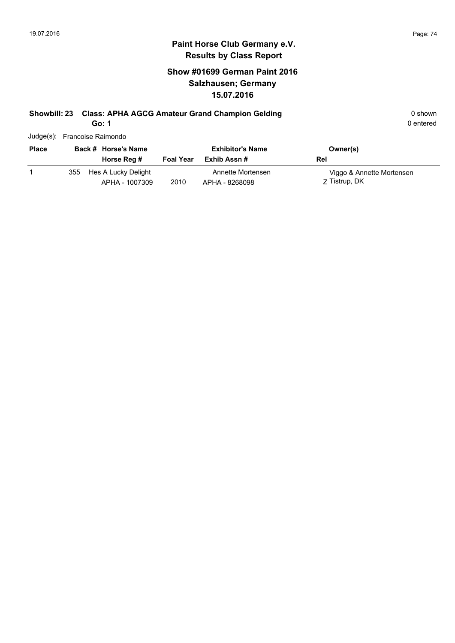## **Show #01699 German Paint 2016 Salzhausen; Germany 15.07.2016**

# **Showbill: 23 Class: APHA AGCG Amateur Grand Champion Gelding 6 6 and 5 and 5 and 5 and 6 and 6 and 6 and 6 and 6 and 6 and 6 and 6 and 6 and 6 and 6 and 6 and 6 and 6 and 6 and 6 and 6 and 6 and 6 and 6 and 6 and 6 and 6**

APHA - 1007309

**Go: 1**

0 entered

|              | Judge(s): Francoise Raimondo |                  |                         |                           |
|--------------|------------------------------|------------------|-------------------------|---------------------------|
| <b>Place</b> | Back # Horse's Name          |                  | <b>Exhibitor's Name</b> | Owner(s)                  |
|              | Horse Reg #                  | <b>Foal Year</b> | Exhib Assn #            | Rel                       |
|              | 355 Hes A Lucky Delight      |                  | Annette Mortensen       | Viggo & Annette Mortensen |

Z Tistrup, DK 2010 APHA - 8268098 Z Tistrup, DK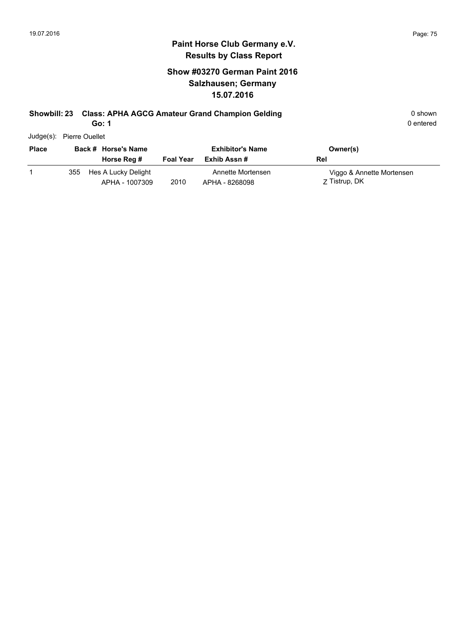## **Show #03270 German Paint 2016 Salzhausen; Germany 15.07.2016**

# **Showbill: 23 Class: APHA AGCG Amateur Grand Champion Gelding Canadiate and Shown** 0 shown

**Go: 1**

| Judge(s): | <b>Pierre Ouellet</b> |
|-----------|-----------------------|
|           |                       |

| <b>Place</b> |     | Back # Horse's Name<br>Horse Reg #    | <b>Foal Year</b> | <b>Exhibitor's Name</b><br>Exhib Assn # | Owner(s)<br>Rel                            |
|--------------|-----|---------------------------------------|------------------|-----------------------------------------|--------------------------------------------|
|              | 355 | Hes A Lucky Delight<br>APHA - 1007309 | 2010             | Annette Mortensen<br>APHA - 8268098     | Viggo & Annette Mortensen<br>Z Tistrup, DK |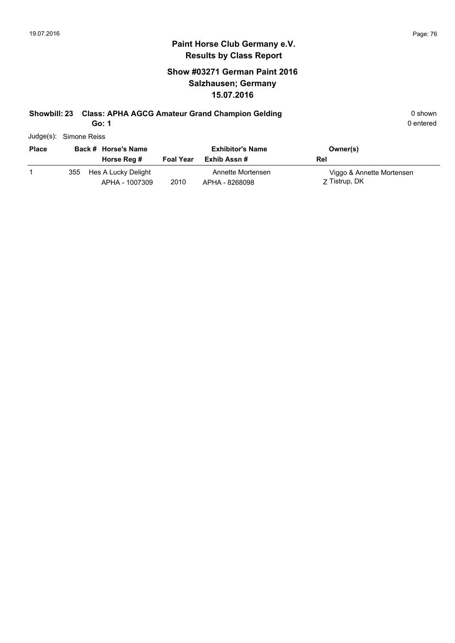## **Show #03271 German Paint 2016 Salzhausen; Germany 15.07.2016**

# **Showbill: 23 Class: APHA AGCG Amateur Grand Champion Gelding Canadiate and Shown** 0 shown

**Go: 1**

| Judge(s): Simone Reiss |  |
|------------------------|--|
|                        |  |

| <b>Place</b> | Back # Horse's Name |                                       | <b>Exhibitor's Name</b> |                                     | Owner(s)                                   |
|--------------|---------------------|---------------------------------------|-------------------------|-------------------------------------|--------------------------------------------|
|              |                     | Horse Reg #                           | <b>Foal Year</b>        | Exhib Assn #                        | Rel                                        |
|              | 355                 | Hes A Lucky Delight<br>APHA - 1007309 | 2010                    | Annette Mortensen<br>APHA - 8268098 | Viggo & Annette Mortensen<br>Z Tistrup, DK |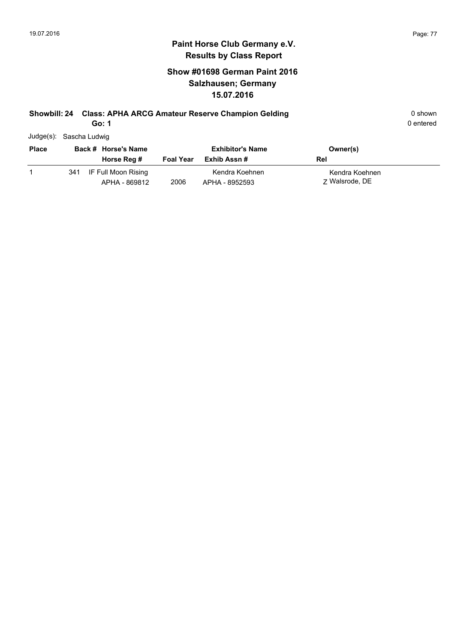### **Show #01698 German Paint 2016 Salzhausen; Germany 15.07.2016**

# **Showbill: 24 Class: APHA ARCG Amateur Reserve Champion Gelding Community Community Community Community Community**

**Go: 1**

| Judge(s): Sascha Ludwig |
|-------------------------|
|                         |

| <b>Place</b> | Back # Horse's Name |                                      | <b>Exhibitor's Name</b> |                                  | Owner(s)                         |
|--------------|---------------------|--------------------------------------|-------------------------|----------------------------------|----------------------------------|
|              |                     | Horse Reg #                          | <b>Foal Year</b>        | Exhib Assn #                     | Rel                              |
|              | 341                 | IF Full Moon Rising<br>APHA - 869812 | 2006                    | Kendra Koehnen<br>APHA - 8952593 | Kendra Koehnen<br>7 Walsrode, DE |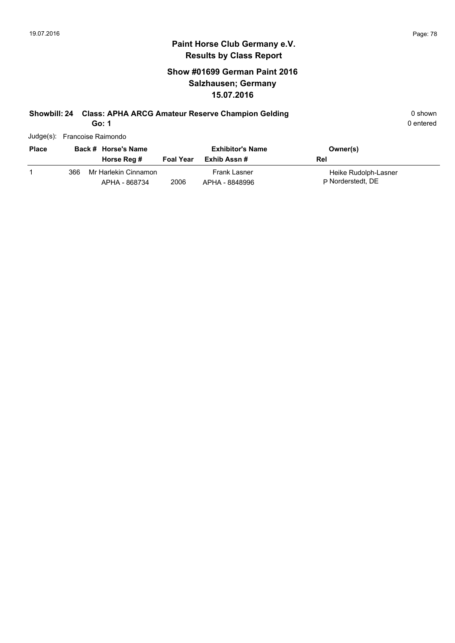### **Show #01699 German Paint 2016 Salzhausen; Germany 15.07.2016**

# **Showbill: 24 Class: APHA ARCG Amateur Reserve Champion Gelding Cass Constrainers** 0 shown

**Go: 1**

|              |     | Judge(s): Francoise Raimondo          |                  |                                       |                                           |
|--------------|-----|---------------------------------------|------------------|---------------------------------------|-------------------------------------------|
| <b>Place</b> |     | Back # Horse's Name                   |                  | <b>Exhibitor's Name</b>               | Owner(s)                                  |
|              |     | Horse Reg #                           | <b>Foal Year</b> | Exhib Assn #                          | Rel                                       |
|              | 366 | Mr Harlekin Cinnamon<br>APHA - 868734 | 2006             | <b>Frank Lasner</b><br>APHA - 8848996 | Heike Rudolph-Lasner<br>P Norderstedt, DE |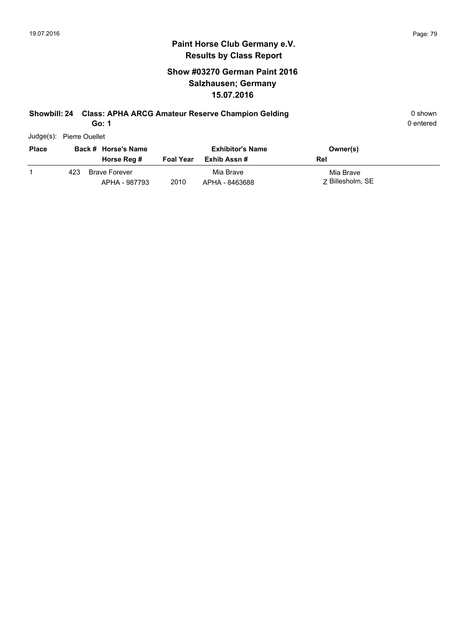### **Show #03270 German Paint 2016 Salzhausen; Germany 15.07.2016**

# **Showbill: 24 Class: APHA ARCG Amateur Reserve Champion Gelding Community Community Community Community Community**

**Go: 1**

| <b>Place</b> |     | Back # Horse's Name<br>Horse Reg #    | <b>Foal Year</b> | <b>Exhibitor's Name</b><br>Exhib Assn # | Owner(s)<br>Rel               |
|--------------|-----|---------------------------------------|------------------|-----------------------------------------|-------------------------------|
|              | 423 | <b>Brave Forever</b><br>APHA - 987793 | 2010             | Mia Brave<br>APHA - 8463688             | Mia Brave<br>7 Billesholm, SE |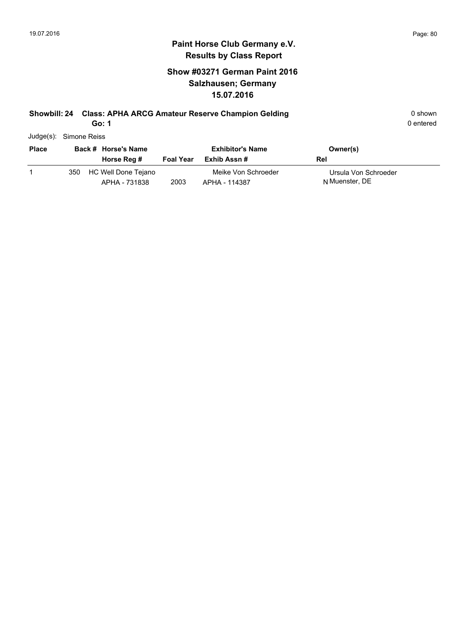### **Show #03271 German Paint 2016 Salzhausen; Germany 15.07.2016**

# **Showbill: 24 Class: APHA ARCG Amateur Reserve Champion Gelding Cases Constructed Business Construction Construction Construction Construction Construction Construction Construction Construction Construction Construction C**

**Go: 1**

|              | Judge(s): Simone Reiss |                                      |                  |                                        |                                        |  |  |  |  |
|--------------|------------------------|--------------------------------------|------------------|----------------------------------------|----------------------------------------|--|--|--|--|
| <b>Place</b> |                        | Back # Horse's Name<br>Horse Reg #   | <b>Foal Year</b> | <b>Exhibitor's Name</b><br>Exhib Assn# | Owner(s)<br>Rel                        |  |  |  |  |
|              | 350                    | HC Well Done Tejano<br>APHA - 731838 | 2003             | Meike Von Schroeder<br>APHA - 114387   | Ursula Von Schroeder<br>N Muenster, DE |  |  |  |  |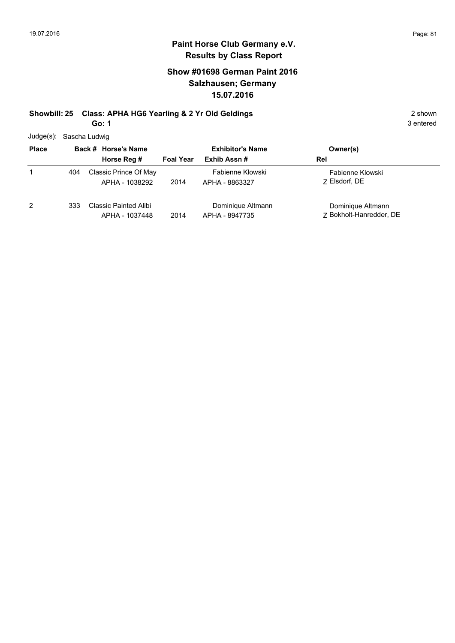#### **Paint Horse Club Germany e.V. Results by Class Report**

### **Show #01698 German Paint 2016 Salzhausen; Germany 15.07.2016**

#### **Showbill: 25 Class: APHA HG6 Yearling & 2 Yr Old Geldings** 2 Shown 2 shown **Go: 1**

Judge(s): Sascha Ludwig

| . <u>.</u>   |                     |                                                |                         |                                     |                                              |  |  |
|--------------|---------------------|------------------------------------------------|-------------------------|-------------------------------------|----------------------------------------------|--|--|
| <b>Place</b> | Back # Horse's Name |                                                | <b>Exhibitor's Name</b> |                                     | Owner(s)                                     |  |  |
|              |                     | Horse Reg #                                    | <b>Foal Year</b>        | Exhib Assn#                         | Rel                                          |  |  |
|              | 404                 | Classic Prince Of May<br>APHA - 1038292        | 2014                    | Fabienne Klowski<br>APHA - 8863327  | Fabienne Klowski<br>7 Elsdorf, DE            |  |  |
| 2            | 333                 | <b>Classic Painted Alibi</b><br>APHA - 1037448 | 2014                    | Dominique Altmann<br>APHA - 8947735 | Dominique Altmann<br>7 Bokholt-Hanredder, DE |  |  |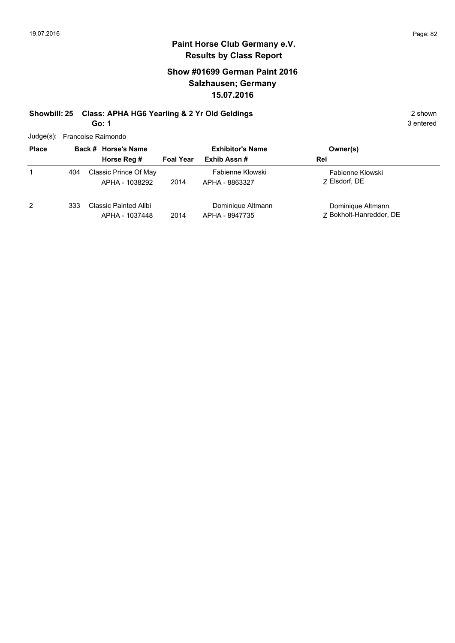## **Paint Horse Club Germany e.V. Results by Class Report**

#### **Show #01699 German Paint 2016 Salzhausen; Germany 15.07.2016**

#### **Showbill: 25 Class: APHA HG6 Yearling & 2 Yr Old Geldings** 2 Shown 2 shown **Go: 1**

Judge(s): Francoise Raimondo

| <b>Place</b> |     | 38.9<br>Back # Horse's Name                    | <b>Exhibitor's Name</b> |                                     | Owner(s)                                     |
|--------------|-----|------------------------------------------------|-------------------------|-------------------------------------|----------------------------------------------|
|              |     | Horse Reg #                                    | <b>Foal Year</b>        | Exhib Assn#                         | Rel                                          |
|              | 404 | Classic Prince Of May<br>APHA - 1038292        | 2014                    | Fabienne Klowski<br>APHA - 8863327  | Fabienne Klowski<br>7 Elsdorf, DE            |
| 2            | 333 | <b>Classic Painted Alibi</b><br>APHA - 1037448 | 2014                    | Dominique Altmann<br>APHA - 8947735 | Dominique Altmann<br>Z Bokholt-Hanredder, DE |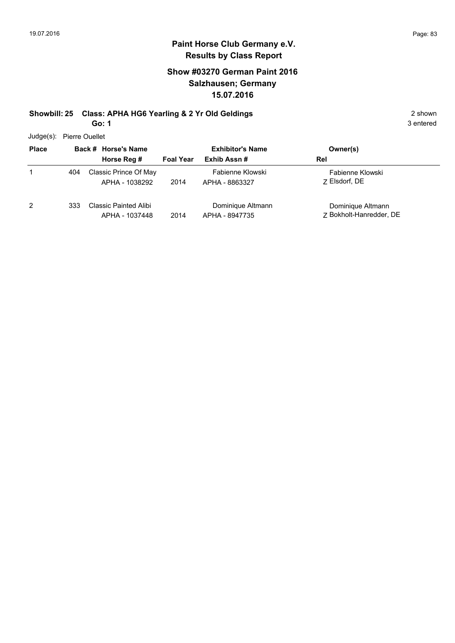#### **Paint Horse Club Germany e.V. Results by Class Report**

#### **Show #03270 German Paint 2016 Salzhausen; Germany 15.07.2016**

#### **Showbill: 25 Class: APHA HG6 Yearling & 2 Yr Old Geldings** 2 Shown 2 shown **Go: 1**

Judge(s): Pierre Ouellet

| Judge(S): Pierre Ouellet |     |                                                |                  |                                     |                                              |
|--------------------------|-----|------------------------------------------------|------------------|-------------------------------------|----------------------------------------------|
| <b>Place</b>             |     | Back # Horse's Name                            |                  | <b>Exhibitor's Name</b>             | Owner(s)                                     |
|                          |     | Horse Reg #                                    | <b>Foal Year</b> | Exhib Assn#                         | Rel                                          |
|                          | 404 | Classic Prince Of May<br>APHA - 1038292        | 2014             | Fabienne Klowski<br>APHA - 8863327  | Fabienne Klowski<br>7 Elsdorf, DE            |
| 2                        | 333 | <b>Classic Painted Alibi</b><br>APHA - 1037448 | 2014             | Dominique Altmann<br>APHA - 8947735 | Dominique Altmann<br>7 Bokholt-Hanredder, DE |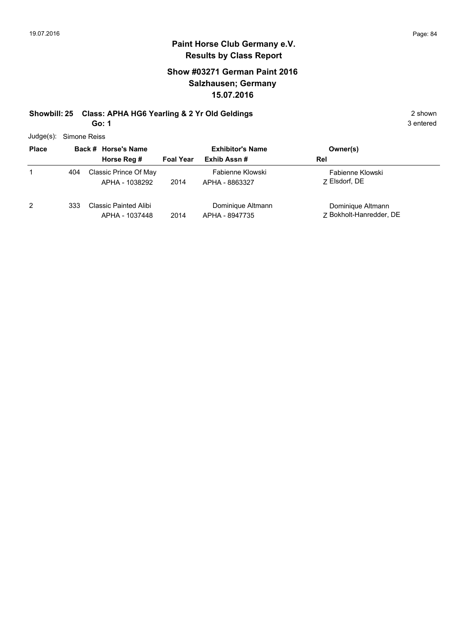#### **Paint Horse Club Germany e.V. Results by Class Report**

#### **Show #03271 German Paint 2016 Salzhausen; Germany 15.07.2016**

#### **Showbill: 25 Class: APHA HG6 Yearling & 2 Yr Old Geldings** 2 Shown 2 shown **Go: 1**

Judge(s): Simone Reiss

| 5.55         |     |                                                |                         |                                     |                                              |
|--------------|-----|------------------------------------------------|-------------------------|-------------------------------------|----------------------------------------------|
| <b>Place</b> |     | Back # Horse's Name                            | <b>Exhibitor's Name</b> |                                     | Owner(s)                                     |
|              |     | Horse Reg #                                    | <b>Foal Year</b>        | Exhib Assn#                         | Rel                                          |
|              | 404 | Classic Prince Of May<br>APHA - 1038292        | 2014                    | Fabienne Klowski<br>APHA - 8863327  | Fabienne Klowski<br>7 Elsdorf, DE            |
| 2            | 333 | <b>Classic Painted Alibi</b><br>APHA - 1037448 | 2014                    | Dominique Altmann<br>APHA - 8947735 | Dominique Altmann<br>7 Bokholt-Hanredder, DE |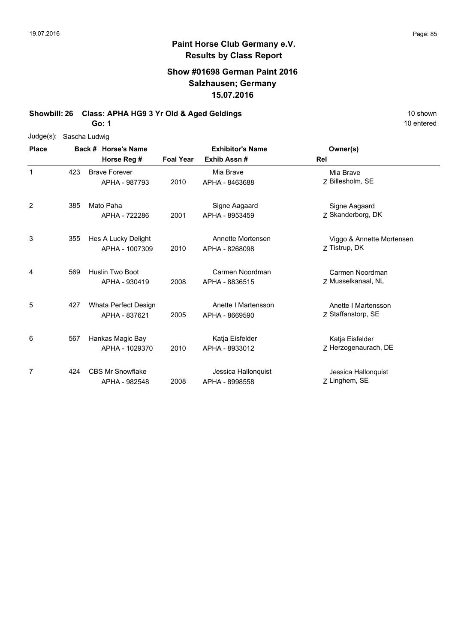### **Show #01698 German Paint 2016 Salzhausen; Germany 15.07.2016**

**Showbill: 26 Class: APHA HG9 3 Yr Old & Aged Geldings** 10 Shown 10 shown

**Go: 1**

| $Judge(s)$ : | Sascha Ludwig |                         |                  |                         |                           |  |  |  |  |
|--------------|---------------|-------------------------|------------------|-------------------------|---------------------------|--|--|--|--|
| <b>Place</b> |               | Back # Horse's Name     |                  | <b>Exhibitor's Name</b> | Owner(s)                  |  |  |  |  |
|              |               | Horse Reg #             | <b>Foal Year</b> | Exhib Assn#             | Rel                       |  |  |  |  |
| 1            | 423           | <b>Brave Forever</b>    |                  | Mia Brave               | Mia Brave                 |  |  |  |  |
|              |               | APHA - 987793           | 2010             | APHA - 8463688          | Z Billesholm, SE          |  |  |  |  |
| 2            | 385           | Mato Paha               |                  | Signe Aagaard           | Signe Aagaard             |  |  |  |  |
|              |               | APHA - 722286           | 2001             | APHA - 8953459          | Z Skanderborg, DK         |  |  |  |  |
| 3            | 355           | Hes A Lucky Delight     |                  | Annette Mortensen       | Viggo & Annette Mortensen |  |  |  |  |
|              |               | APHA - 1007309          | 2010             | APHA - 8268098          | Z Tistrup, DK             |  |  |  |  |
| 4            | 569           | Huslin Two Boot         |                  | Carmen Noordman         | Carmen Noordman           |  |  |  |  |
|              |               | APHA - 930419           | 2008             | APHA - 8836515          | Z Musselkanaal, NL        |  |  |  |  |
| 5            | 427           | Whata Perfect Design    |                  | Anette I Martensson     | Anette I Martensson       |  |  |  |  |
|              |               | APHA - 837621           | 2005             | APHA - 8669590          | Z Staffanstorp, SE        |  |  |  |  |
| 6            | 567           | Hankas Magic Bay        |                  | Katja Eisfelder         | Katja Eisfelder           |  |  |  |  |
|              |               | APHA - 1029370          | 2010             | APHA - 8933012          | Z Herzogenaurach, DE      |  |  |  |  |
| 7            | 424           | <b>CBS Mr Snowflake</b> |                  | Jessica Hallonquist     | Jessica Hallonquist       |  |  |  |  |
|              |               | APHA - 982548           | 2008             | APHA - 8998558          | Z Linghem, SE             |  |  |  |  |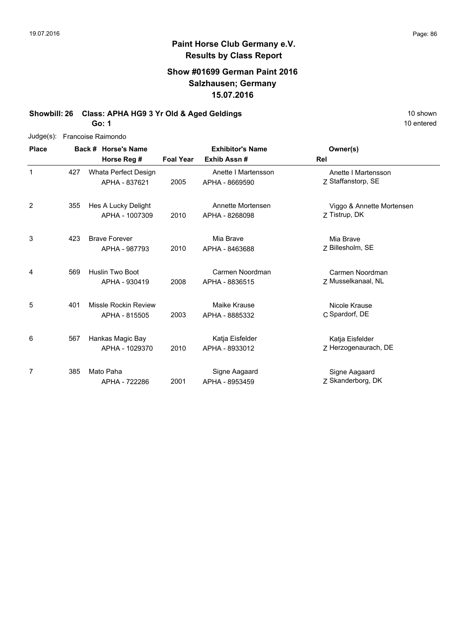### **Show #01699 German Paint 2016 Salzhausen; Germany 15.07.2016**

**Showbill: 26 Class: APHA HG9 3 Yr Old & Aged Geldings** 10 Shown 10 shown

**Go: 1**

| $Judge(s)$ : |     | Francoise Raimondo                    |                  |                                       |                                            |
|--------------|-----|---------------------------------------|------------------|---------------------------------------|--------------------------------------------|
| <b>Place</b> |     | Back # Horse's Name                   |                  | <b>Exhibitor's Name</b>               | Owner(s)                                   |
|              |     | Horse Reg #                           | <b>Foal Year</b> | Exhib Assn#                           | Rel                                        |
| $\mathbf{1}$ | 427 | Whata Perfect Design<br>APHA - 837621 | 2005             | Anette I Martensson<br>APHA - 8669590 | Anette I Martensson<br>Z Staffanstorp, SE  |
| 2            | 355 | Hes A Lucky Delight<br>APHA - 1007309 | 2010             | Annette Mortensen<br>APHA - 8268098   | Viggo & Annette Mortensen<br>Z Tistrup, DK |
| 3            | 423 | <b>Brave Forever</b><br>APHA - 987793 | 2010             | Mia Brave<br>APHA - 8463688           | Mia Brave<br>Z Billesholm, SE              |
| 4            | 569 | Huslin Two Boot<br>APHA - 930419      | 2008             | Carmen Noordman<br>APHA - 8836515     | Carmen Noordman<br>Z Musselkanaal, NL      |
| 5            | 401 | Missle Rockin Review<br>APHA - 815505 | 2003             | Maike Krause<br>APHA - 8885332        | Nicole Krause<br>C Spardorf, DE            |
| 6            | 567 | Hankas Magic Bay<br>APHA - 1029370    | 2010             | Katja Eisfelder<br>APHA - 8933012     | Katja Eisfelder<br>Z Herzogenaurach, DE    |
| 7            | 385 | Mato Paha<br>APHA - 722286            | 2001             | Signe Aagaard<br>APHA - 8953459       | Signe Aagaard<br>Z Skanderborg, DK         |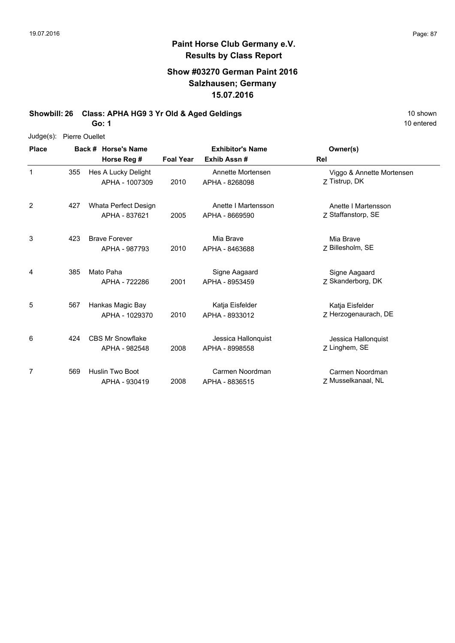#### **Paint Horse Club Germany e.V. Results by Class Report**

### **Show #03270 German Paint 2016 Salzhausen; Germany 15.07.2016**

**Showbill: 26 Class: APHA HG9 3 Yr Old & Aged Geldings** 10 Shown 10 shown

**Go: 1**

|  | Judge(s): Pierre Ouellet |
|--|--------------------------|
|--|--------------------------|

| <b>Place</b>   |     | Back # Horse's Name                      |                                 | <b>Exhibitor's Name</b>               | Owner(s)                                   |
|----------------|-----|------------------------------------------|---------------------------------|---------------------------------------|--------------------------------------------|
|                |     | Horse Reg #                              | Exhib Assn#<br><b>Foal Year</b> |                                       | Rel                                        |
| 1              | 355 | Hes A Lucky Delight<br>APHA - 1007309    | 2010                            | Annette Mortensen<br>APHA - 8268098   | Viggo & Annette Mortensen<br>Z Tistrup, DK |
| $\overline{2}$ | 427 | Whata Perfect Design<br>APHA - 837621    | 2005                            | Anette I Martensson<br>APHA - 8669590 | Anette I Martensson<br>Z Staffanstorp, SE  |
| 3              | 423 | <b>Brave Forever</b><br>APHA - 987793    | 2010                            | Mia Brave<br>APHA - 8463688           | Mia Brave<br>Z Billesholm, SE              |
| 4              | 385 | Mato Paha<br>APHA - 722286               | 2001                            | Signe Aagaard<br>APHA - 8953459       | Signe Aagaard<br>Z Skanderborg, DK         |
| 5              | 567 | Hankas Magic Bay<br>APHA - 1029370       | 2010                            | Katja Eisfelder<br>APHA - 8933012     | Katja Eisfelder<br>Z Herzogenaurach, DE    |
| 6              | 424 | <b>CBS Mr Snowflake</b><br>APHA - 982548 | 2008                            | Jessica Hallonguist<br>APHA - 8998558 | Jessica Hallonquist<br>Z Linghem, SE       |
| 7              | 569 | Huslin Two Boot<br>APHA - 930419         | 2008                            | Carmen Noordman<br>APHA - 8836515     | Carmen Noordman<br>Z Musselkanaal, NL      |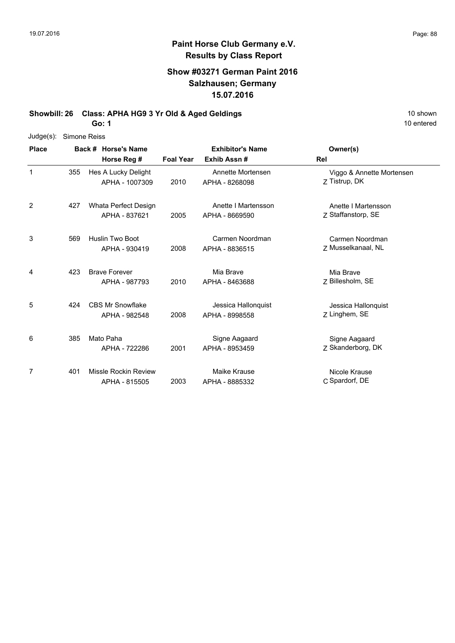### **Show #03271 German Paint 2016 Salzhausen; Germany 15.07.2016**

**Showbill: 26 Class: APHA HG9 3 Yr Old & Aged Geldings** 10 Shown 10 shown

**Go: 1**

| $Judge(s)$ : |     | Simone Reiss            |                  |                         |                           |
|--------------|-----|-------------------------|------------------|-------------------------|---------------------------|
| <b>Place</b> |     | Back # Horse's Name     |                  | <b>Exhibitor's Name</b> | Owner(s)                  |
|              |     | Horse Reg #             | <b>Foal Year</b> | Exhib Assn#             | Rel                       |
| 1            | 355 | Hes A Lucky Delight     |                  | Annette Mortensen       | Viggo & Annette Mortensen |
|              |     | APHA - 1007309          | 2010             | APHA - 8268098          | Z Tistrup, DK             |
| 2            | 427 | Whata Perfect Design    |                  | Anette I Martensson     | Anette I Martensson       |
|              |     | APHA - 837621           | 2005             | APHA - 8669590          | Z Staffanstorp, SE        |
| 3            | 569 | Huslin Two Boot         |                  | Carmen Noordman         | Carmen Noordman           |
|              |     | APHA - 930419           | 2008             | APHA - 8836515          | Z Musselkanaal, NL        |
| 4            | 423 | <b>Brave Forever</b>    |                  | Mia Brave               | Mia Brave                 |
|              |     | APHA - 987793           | 2010             | APHA - 8463688          | Z Billesholm, SE          |
| 5            | 424 | <b>CBS Mr Snowflake</b> |                  | Jessica Hallonquist     | Jessica Hallonquist       |
|              |     | APHA - 982548           | 2008             | APHA - 8998558          | Z Linghem, SE             |
| 6            | 385 | Mato Paha               |                  | Signe Aagaard           | Signe Aagaard             |
|              |     | APHA - 722286           | 2001             | APHA - 8953459          | Z Skanderborg, DK         |
| 7            | 401 | Missle Rockin Review    |                  | Maike Krause            | Nicole Krause             |
|              |     | APHA - 815505           | 2003             | APHA - 8885332          | C Spardorf, DE            |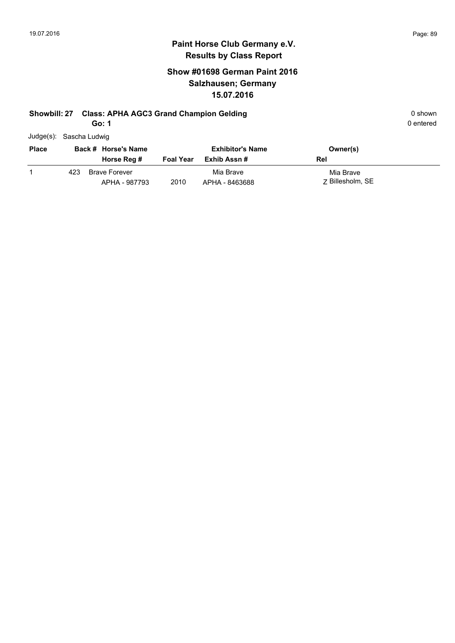### **Show #01698 German Paint 2016 Salzhausen; Germany 15.07.2016**

### **Showbill: 27 Class: APHA AGC3 Grand Champion Gelding Cases and Champion Selding Construction Construction Construction Construction Construction Construction Construction Construction Construction Construction Constructio**

**Go: 1**

|              | Judge(s): Sascha Ludwig |                     |                  |                         |          |
|--------------|-------------------------|---------------------|------------------|-------------------------|----------|
| <b>Place</b> |                         | Back # Horse's Name |                  | <b>Exhibitor's Name</b> | Owner(s) |
|              |                         | Horse Reg #         | <b>Foal Year</b> | Exhib Assn #            | Rel      |
|              |                         |                     |                  |                         |          |

|      | Horse Req $\#$ |      | Foal rear Exnip ASSN # | кег              |
|------|----------------|------|------------------------|------------------|
| 423. | Brave Forever  |      | Mia Brave              | Mia Brave        |
|      | APHA - 987793  | 2010 | APHA - 8463688         | 7 Billesholm, SE |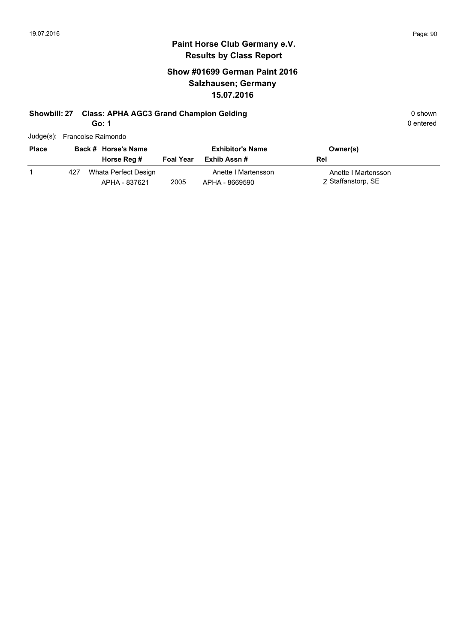### **Show #01699 German Paint 2016 Salzhausen; Germany 15.07.2016**

# **Showbill: 27 Class: APHA AGC3 Grand Champion Gelding 6 and 20 shown 0 shown 0 shown**

**Go: 1**

|              |     | Judge(s): Francoise Raimondo          |                  |                                         |                                           |  |
|--------------|-----|---------------------------------------|------------------|-----------------------------------------|-------------------------------------------|--|
| <b>Place</b> |     | Back # Horse's Name<br>Horse Reg #    | <b>Foal Year</b> | <b>Exhibitor's Name</b><br>Exhib Assn # | Owner(s)<br>Rel                           |  |
|              | 427 | Whata Perfect Design<br>APHA - 837621 | 2005             | Anette I Martensson<br>APHA - 8669590   | Anette I Martensson<br>Z Staffanstorp, SE |  |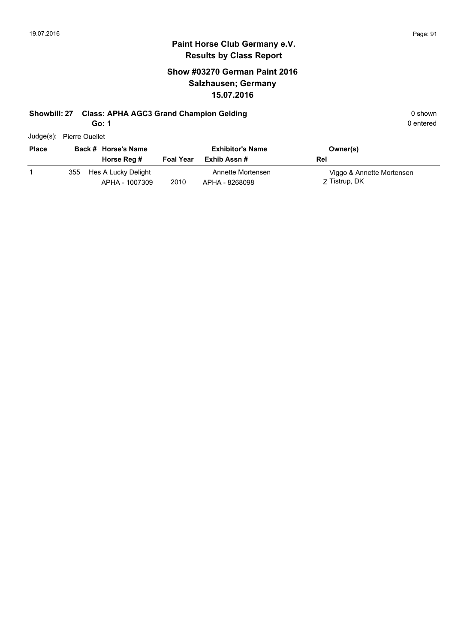### **Show #03270 German Paint 2016 Salzhausen; Germany 15.07.2016**

#### **Showbill: 27 Class: APHA AGC3 Grand Champion Gelding Cases and Champion Selding Construction Construction Construction Construction Construction Construction Construction Construction Construction Construction Constructio**

**Go: 1**

| Judge(s): | <b>Pierre Ouellet</b> |
|-----------|-----------------------|
|           |                       |

| <b>Place</b> |     | Back # Horse's Name                   |                  | <b>Exhibitor's Name</b>             | Owner(s)                                   |
|--------------|-----|---------------------------------------|------------------|-------------------------------------|--------------------------------------------|
|              |     | Horse Reg #                           | <b>Foal Year</b> | Exhib Assn #                        | Rel                                        |
|              | 355 | Hes A Lucky Delight<br>APHA - 1007309 | 2010             | Annette Mortensen<br>APHA - 8268098 | Viggo & Annette Mortensen<br>Z Tistrup, DK |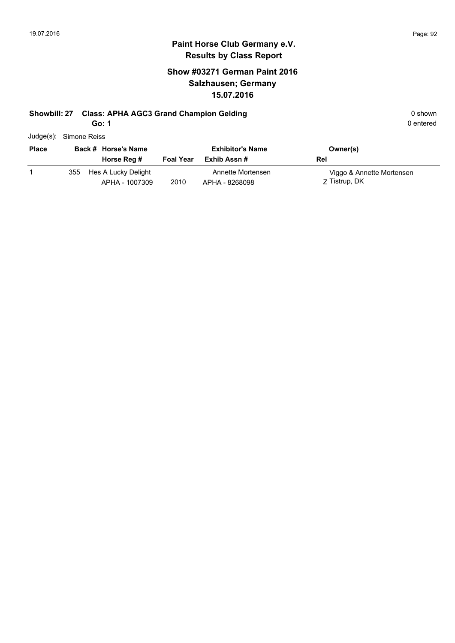### **Show #03271 German Paint 2016 Salzhausen; Germany 15.07.2016**

## **Showbill: 27 Class: APHA AGC3 Grand Champion Gelding 6 and 20 shown 0 shown 0 shown**

**Go: 1**

| Judge(s):    | Simone Reiss |                                       |                  |                                     |                                            |
|--------------|--------------|---------------------------------------|------------------|-------------------------------------|--------------------------------------------|
| <b>Place</b> |              | Back # Horse's Name                   |                  | <b>Exhibitor's Name</b>             | Owner(s)                                   |
|              |              | Horse Reg #                           | <b>Foal Year</b> | Exhib Assn #                        | Rel                                        |
|              | 355          | Hes A Lucky Delight<br>APHA - 1007309 | 2010             | Annette Mortensen<br>APHA - 8268098 | Viggo & Annette Mortensen<br>Z Tistrup, DK |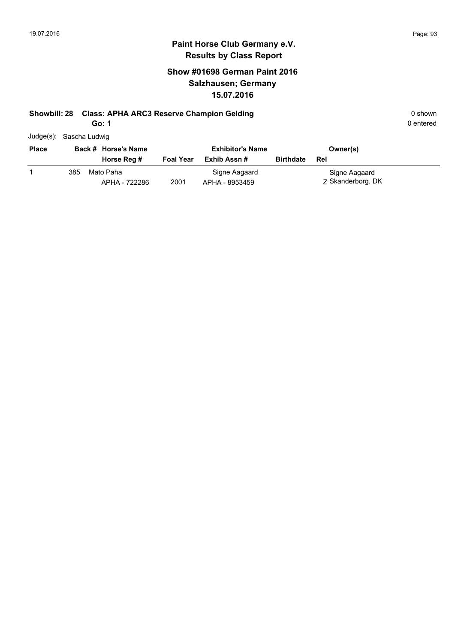#### **Paint Horse Club Germany e.V. Results by Class Report**

## **Show #01698 German Paint 2016 Salzhausen; Germany 15.07.2016**

#### **Showbill: 28 Class: APHA ARC3 Reserve Champion Gelding Cases and Cases APHA ARC3 Reserve Champion Gelding** 0 shown

**Go: 1**

| Judge(s): Sascha Ludwig |  |
|-------------------------|--|
|                         |  |

| <b>Place</b> |     | Back # Horse's Name        |                  | <b>Exhibitor's Name</b>         |                  | Owner(s)                           |
|--------------|-----|----------------------------|------------------|---------------------------------|------------------|------------------------------------|
|              |     | Horse Reg #                | <b>Foal Year</b> | Exhib Assn #                    | <b>Birthdate</b> | Rel                                |
|              | 385 | Mato Paha<br>APHA - 722286 | 2001             | Signe Aagaard<br>APHA - 8953459 |                  | Signe Aagaard<br>Z Skanderborg, DK |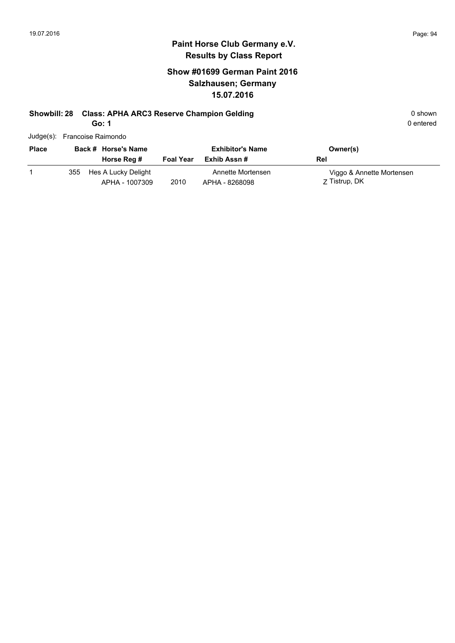## **Show #01699 German Paint 2016 Salzhausen; Germany 15.07.2016**

# **Showbill: 28 Class: APHA ARC3 Reserve Champion Gelding Cases and Cases APHA ARC3 Reserve Champion Gelding** 0 shown

**Go: 1**

| Judge(s): Francoise Raimondo |  |
|------------------------------|--|
|------------------------------|--|

| <b>Place</b> |     | Back # Horse's Name                   |                  | <b>Exhibitor's Name</b>             | Owner(s)                                   |
|--------------|-----|---------------------------------------|------------------|-------------------------------------|--------------------------------------------|
|              |     | Horse Reg #                           | <b>Foal Year</b> | Exhib Assn #                        | Rel                                        |
|              | 355 | Hes A Lucky Delight<br>APHA - 1007309 | 2010             | Annette Mortensen<br>APHA - 8268098 | Viggo & Annette Mortensen<br>Z Tistrup, DK |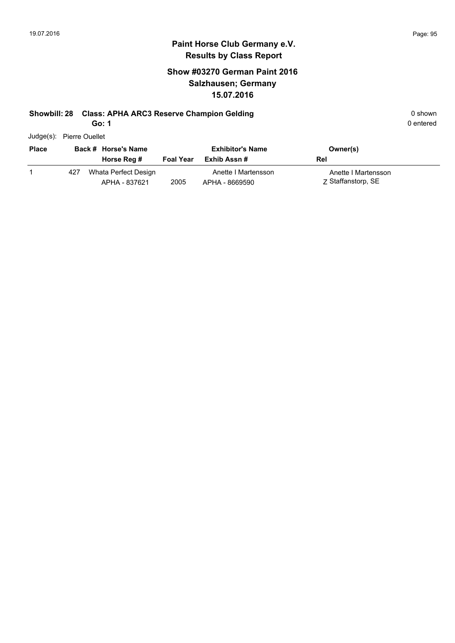### **Show #03270 German Paint 2016 Salzhausen; Germany 15.07.2016**

#### **Showbill: 28 Class: APHA ARC3 Reserve Champion Gelding Cases and Cases APHA ARC3 Reserve Champion Gelding** 0 shown

**Go: 1**

| Judge(s): | <b>Pierre Ouellet</b> |
|-----------|-----------------------|
|           |                       |

| <b>Place</b> |     | Back # Horse's Name                   |                  | <b>Exhibitor's Name</b>               | Owner(s)                                  |
|--------------|-----|---------------------------------------|------------------|---------------------------------------|-------------------------------------------|
|              |     | Horse Reg #                           | <b>Foal Year</b> | Exhib Assn #                          | Rel                                       |
|              | 427 | Whata Perfect Design<br>APHA - 837621 | 2005             | Anette I Martensson<br>APHA - 8669590 | Anette I Martensson<br>Z Staffanstorp, SE |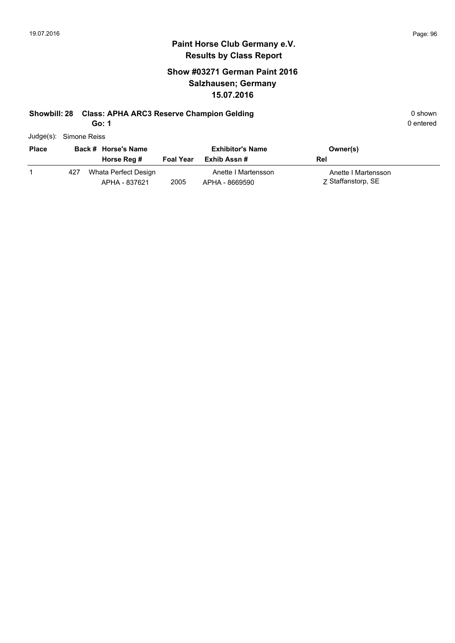### **Show #03271 German Paint 2016 Salzhausen; Germany 15.07.2016**

#### **Showbill: 28 Class: APHA ARC3 Reserve Champion Gelding Cases and Cases APHA ARC3 Reserve Champion Gelding** 0 shown

**Go: 1**

| <b>Diaco</b> | Rack # Horee's Name    |  |
|--------------|------------------------|--|
|              | Judge(s): Simone Reiss |  |

| <b>Place</b> |     | Back # Horse's Name                   |                  | <b>Exhibitor's Name</b>               | Owner(s)                                  |
|--------------|-----|---------------------------------------|------------------|---------------------------------------|-------------------------------------------|
|              |     | Horse Reg #                           | <b>Foal Year</b> | Exhib Assn #                          | Rel                                       |
|              | 427 | Whata Perfect Design<br>APHA - 837621 | 2005             | Anette I Martensson<br>APHA - 8669590 | Anette I Martensson<br>Z Staffanstorp, SE |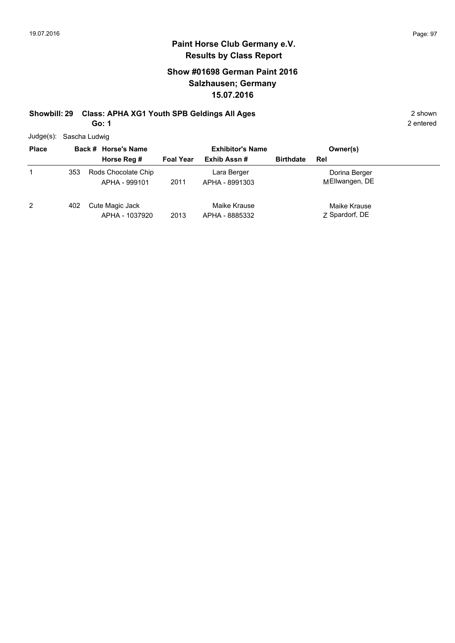### **Show #01698 German Paint 2016 Salzhausen; Germany 15.07.2016**

#### **Showbill: 29 Class: APHA XG1 Youth SPB Geldings All Ages** 2 shown **Go: 1**

2 entered

Judge(s): Sascha Ludwig

| <b>Place</b> |     | Back # Horse's Name                  | <b>Exhibitor's Name</b> |                                | Owner(s)         |                                 |  |
|--------------|-----|--------------------------------------|-------------------------|--------------------------------|------------------|---------------------------------|--|
|              |     | Horse Reg #                          | <b>Foal Year</b>        | Exhib Assn#                    | <b>Birthdate</b> | Rel                             |  |
| 1            | 353 | Rods Chocolate Chip<br>APHA - 999101 | 2011                    | Lara Berger<br>APHA - 8991303  |                  | Dorina Berger<br>MEllwangen, DE |  |
| 2            | 402 | Cute Magic Jack<br>APHA - 1037920    | 2013                    | Maike Krause<br>APHA - 8885332 |                  | Maike Krause<br>Z Spardorf, DE  |  |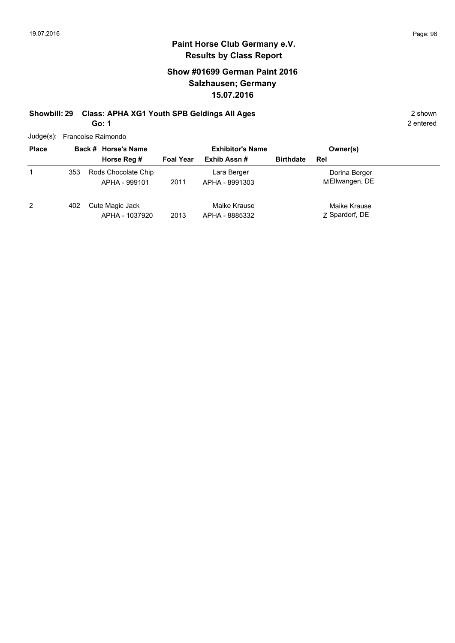### **Show #01699 German Paint 2016 Salzhausen; Germany 15.07.2016**

#### **Showbill: 29 Class: APHA XG1 Youth SPB Geldings All Ages** 2 shown **Go: 1**

2 entered

Judge(s): Francoise Raimondo

| <b>Place</b>   | Back # Horse's Name |                                      | <b>Exhibitor's Name</b> |                                |                  | Owner(s)                        |
|----------------|---------------------|--------------------------------------|-------------------------|--------------------------------|------------------|---------------------------------|
|                |                     | Horse Reg #                          | <b>Foal Year</b>        | Exhib Assn#                    | <b>Birthdate</b> | Rel                             |
|                | 353                 | Rods Chocolate Chip<br>APHA - 999101 | 2011                    | Lara Berger<br>APHA - 8991303  |                  | Dorina Berger<br>MEllwangen, DE |
| $\overline{2}$ | 402                 | Cute Magic Jack<br>APHA - 1037920    | 2013                    | Maike Krause<br>APHA - 8885332 |                  | Maike Krause<br>Z Spardorf, DE  |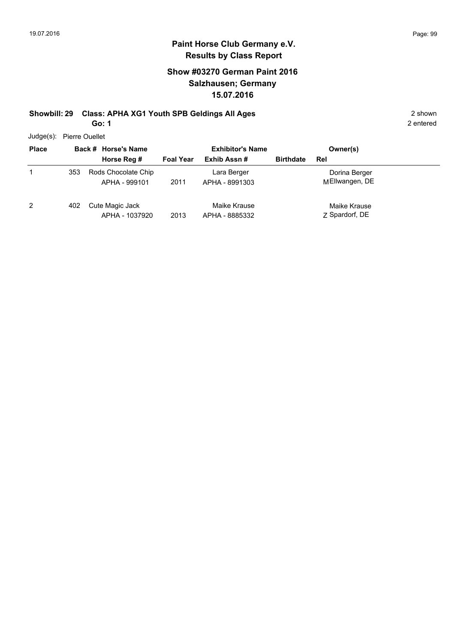#### **Paint Horse Club Germany e.V. Results by Class Report**

### **Show #03270 German Paint 2016 Salzhausen; Germany 15.07.2016**

#### **Showbill: 29 Class: APHA XG1 Youth SPB Geldings All Ages** 2 shown **Go: 1**

Judge(s): Pierre Ouellet

| <b>Place</b> |     | Back # Horse's Name                  |                  | <b>Exhibitor's Name</b>        |                  | Owner(s)                        |
|--------------|-----|--------------------------------------|------------------|--------------------------------|------------------|---------------------------------|
|              |     | Horse Reg #                          | <b>Foal Year</b> | Exhib Assn#                    | <b>Birthdate</b> | Rel                             |
|              | 353 | Rods Chocolate Chip<br>APHA - 999101 | 2011             | Lara Berger<br>APHA - 8991303  |                  | Dorina Berger<br>MEllwangen, DE |
| 2            | 402 | Cute Magic Jack<br>APHA - 1037920    | 2013             | Maike Krause<br>APHA - 8885332 |                  | Maike Krause<br>Z Spardorf, DE  |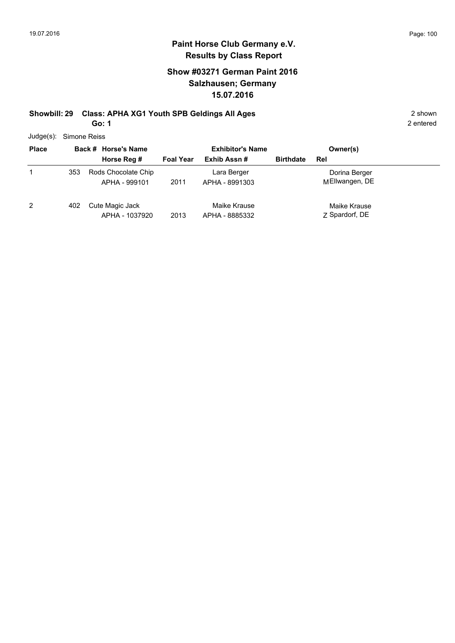#### **Show #03271 German Paint 2016 Salzhausen; Germany 15.07.2016**

#### **Showbill: 29 Class: APHA XG1 Youth SPB Geldings All Ages** 2 shown **Go: 1**

| $Judge(s)$ : |     | Simone Reiss                         |                  |                                        |                  |                                 |  |  |  |
|--------------|-----|--------------------------------------|------------------|----------------------------------------|------------------|---------------------------------|--|--|--|
| <b>Place</b> |     | Back # Horse's Name<br>Horse Reg #   | <b>Foal Year</b> | <b>Exhibitor's Name</b><br>Exhib Assn# | <b>Birthdate</b> | Owner(s)<br>Rel                 |  |  |  |
|              | 353 | Rods Chocolate Chip<br>APHA - 999101 | 2011             | Lara Berger<br>APHA - 8991303          |                  | Dorina Berger<br>MEllwangen, DE |  |  |  |
| 2            | 402 | Cute Magic Jack<br>APHA - 1037920    | 2013             | Maike Krause<br>APHA - 8885332         |                  | Maike Krause<br>Z Spardorf, DE  |  |  |  |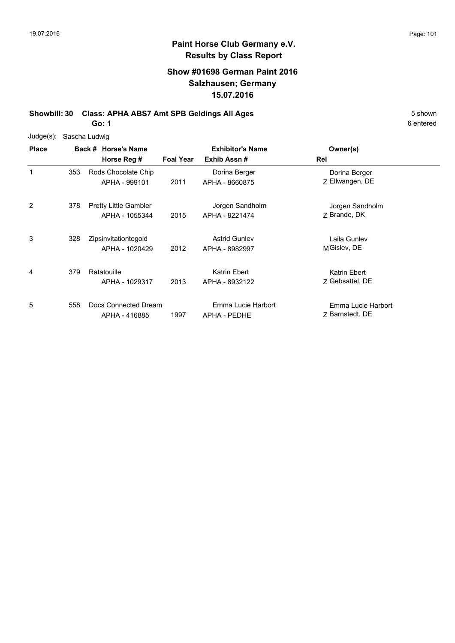### **Show #01698 German Paint 2016 Salzhausen; Germany 15.07.2016**

**Showbill: 30 Class: APHA ABS7 Amt SPB Geldings All Ages** 5 Shown

**Go: 1**

| Judge(s):      | Sascha Ludwig |                                                |                  |                                        |                                       |
|----------------|---------------|------------------------------------------------|------------------|----------------------------------------|---------------------------------------|
| <b>Place</b>   |               | Back # Horse's Name<br>Horse Reg #             | <b>Foal Year</b> | <b>Exhibitor's Name</b><br>Exhib Assn# | Owner(s)<br>Rel                       |
| 1              | 353           | Rods Chocolate Chip<br>APHA - 999101           | 2011             | Dorina Berger<br>APHA - 8660875        | Dorina Berger<br>Z Ellwangen, DE      |
| $\overline{2}$ | 378           | <b>Pretty Little Gambler</b><br>APHA - 1055344 | 2015             | Jorgen Sandholm<br>APHA - 8221474      | Jorgen Sandholm<br>Z Brande, DK       |
| 3              | 328           | Zipsinvitationtogold<br>APHA - 1020429         | 2012             | <b>Astrid Gunley</b><br>APHA - 8982997 | Laila Gunlev<br>MGislev, DE           |
| 4              | 379           | Ratatouille<br>APHA - 1029317                  | 2013             | Katrin Ebert<br>APHA - 8932122         | Katrin Ebert<br>7 Gebsattel, DE       |
| 5              | 558           | Docs Connected Dream<br>APHA - 416885          | 1997             | Emma Lucie Harbort<br>APHA - PEDHE     | Emma Lucie Harbort<br>7 Barnstedt, DE |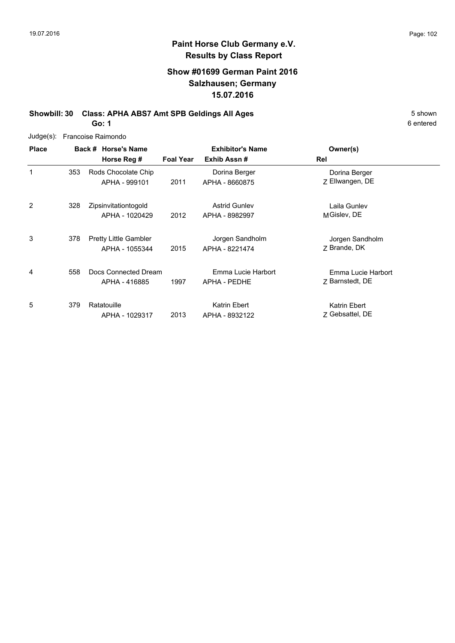#### **Show #01699 German Paint 2016 Salzhausen; Germany 15.07.2016**

**Showbill: 30 Class: APHA ABS7 Amt SPB Geldings All Ages** 5 Shown **Go: 1**

6 entered

Judge(s): Francoise Raimondo

| <b>Place</b> |     | Back # Horse's Name<br>Horse Reg #             | <b>Foal Year</b> | <b>Exhibitor's Name</b><br>Exhib Assn# | Owner(s)<br>Rel                       |
|--------------|-----|------------------------------------------------|------------------|----------------------------------------|---------------------------------------|
| 1            | 353 | Rods Chocolate Chip<br>APHA - 999101           | 2011             | Dorina Berger<br>APHA - 8660875        | Dorina Berger<br>Z Ellwangen, DE      |
| 2            | 328 | Zipsinvitationtogold<br>APHA - 1020429         | 2012             | <b>Astrid Gunley</b><br>APHA - 8982997 | Laila Gunley<br>MGislev, DE           |
| 3            | 378 | <b>Pretty Little Gambler</b><br>APHA - 1055344 | 2015             | Jorgen Sandholm<br>APHA - 8221474      | Jorgen Sandholm<br>7 Brande, DK       |
| 4            | 558 | Docs Connected Dream<br>APHA - 416885          | 1997             | Emma Lucie Harbort<br>APHA - PEDHE     | Emma Lucie Harbort<br>Z Barnstedt, DE |
| 5            | 379 | Ratatouille<br>APHA - 1029317                  | 2013             | Katrin Ebert<br>APHA - 8932122         | Katrin Ebert<br>Z Gebsattel, DE       |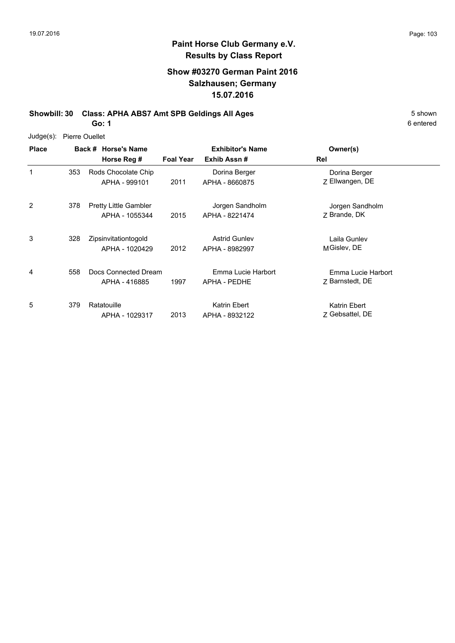#### **Paint Horse Club Germany e.V. Results by Class Report**

#### **Show #03270 German Paint 2016 Salzhausen; Germany 15.07.2016**

**Showbill: 30 Class: APHA ABS7 Amt SPB Geldings All Ages** 5 Shown **Go: 1**

Judge(s): Pierre Ouellet

| <b>Place</b>   |     | Back # Horse's Name<br>Horse Reg #             | <b>Foal Year</b> | <b>Exhibitor's Name</b><br>Exhib Assn# | Owner(s)<br>Rel                       |
|----------------|-----|------------------------------------------------|------------------|----------------------------------------|---------------------------------------|
| $\mathbf{1}$   | 353 | Rods Chocolate Chip<br>APHA - 999101           | 2011             | Dorina Berger<br>APHA - 8660875        | Dorina Berger<br>Z Ellwangen, DE      |
| $\overline{2}$ | 378 | <b>Pretty Little Gambler</b><br>APHA - 1055344 | 2015             | Jorgen Sandholm<br>APHA - 8221474      | Jorgen Sandholm<br>7 Brande, DK       |
| 3              | 328 | Zipsinvitationtogold<br>APHA - 1020429         | 2012             | <b>Astrid Gunley</b><br>APHA - 8982997 | Laila Gunlev<br>MGislev, DE           |
| 4              | 558 | Docs Connected Dream<br>APHA - 416885          | 1997             | Emma Lucie Harbort<br>APHA - PEDHE     | Emma Lucie Harbort<br>Z Barnstedt, DE |
| 5              | 379 | Ratatouille<br>APHA - 1029317                  | 2013             | Katrin Ebert<br>APHA - 8932122         | Katrin Ebert<br>7 Gebsattel, DE       |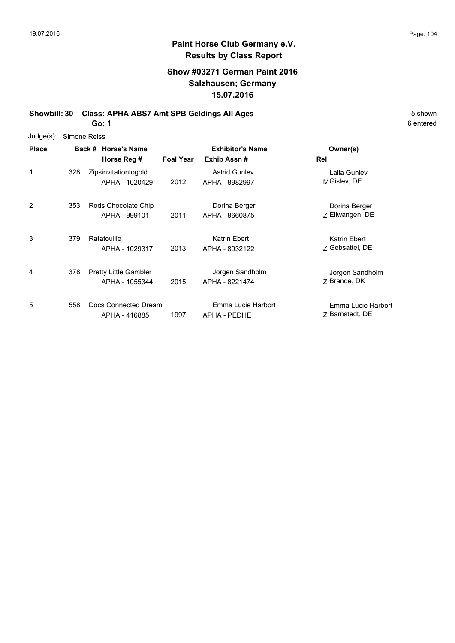#### **Show #03271 German Paint 2016 Salzhausen; Germany 15.07.2016**

**Showbill: 30 Class: APHA ABS7 Amt SPB Geldings All Ages** 5 Shown

**Go: 1**

|  | Judge(s): Simone Reiss |
|--|------------------------|
|--|------------------------|

| <b>Place</b> |     | Back # Horse's Name          |                  | <b>Exhibitor's Name</b> | Owner(s)           |
|--------------|-----|------------------------------|------------------|-------------------------|--------------------|
|              |     | Horse Reg #                  | <b>Foal Year</b> | Exhib Assn#             | Rel                |
| 1            | 328 | Zipsinvitationtogold         |                  | <b>Astrid Gunley</b>    | Laila Gunlev       |
|              |     | APHA - 1020429               | 2012             | APHA - 8982997          | MGislev, DE        |
| 2            | 353 | Rods Chocolate Chip          |                  | Dorina Berger           | Dorina Berger      |
|              |     | APHA - 999101                | 2011             | APHA - 8660875          | Z Ellwangen, DE    |
| 3            | 379 | Ratatouille                  |                  | Katrin Ebert            | Katrin Ebert       |
|              |     | APHA - 1029317               | 2013             | APHA - 8932122          | Z Gebsattel, DE    |
| 4            | 378 | <b>Pretty Little Gambler</b> |                  | Jorgen Sandholm         | Jorgen Sandholm    |
|              |     | APHA - 1055344               | 2015             | APHA - 8221474          | 7 Brande, DK       |
| 5            | 558 | Docs Connected Dream         |                  | Emma Lucie Harbort      | Emma Lucie Harbort |
|              |     | APHA - 416885                | 1997             | APHA - PEDHE            | 7 Barnstedt, DE    |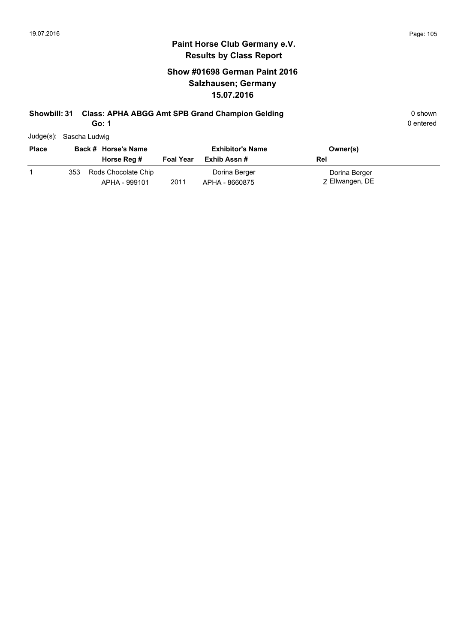### **Show #01698 German Paint 2016 Salzhausen; Germany 15.07.2016**

# **Showbill: 31 Class: APHA ABGG Amt SPB Grand Champion Gelding 0 Shown 0 shown**

**Go: 1**

|  | Judge(s): | Sascha Ludwig |  |
|--|-----------|---------------|--|
|--|-----------|---------------|--|

| <b>Place</b> |     | Back # Horse's Name                  |                  | <b>Exhibitor's Name</b>         | Owner(s)                         |
|--------------|-----|--------------------------------------|------------------|---------------------------------|----------------------------------|
|              |     | Horse Reg #                          | <b>Foal Year</b> | Exhib Assn #                    | Rel                              |
|              | 353 | Rods Chocolate Chip<br>APHA - 999101 | 2011             | Dorina Berger<br>APHA - 8660875 | Dorina Berger<br>Z Ellwangen, DE |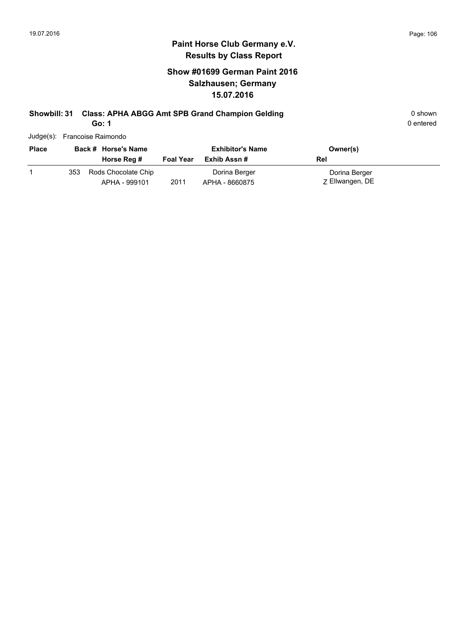### **Show #01699 German Paint 2016 Salzhausen; Germany 15.07.2016**

# **Showbill: 31 Class: APHA ABGG Amt SPB Grand Champion Gelding 0 Shown 0 shown**

**Go: 1**

| Judge(s): Francoise Raimondo |  |
|------------------------------|--|

| <b>Place</b> | Back # Horse's Name |                                      | <b>Exhibitor's Name</b> |                                 | Owner(s)                         |
|--------------|---------------------|--------------------------------------|-------------------------|---------------------------------|----------------------------------|
|              |                     | Horse Reg #                          | <b>Foal Year</b>        | Exhib Assn #                    | Rel                              |
|              | 353                 | Rods Chocolate Chip<br>APHA - 999101 | 2011                    | Dorina Berger<br>APHA - 8660875 | Dorina Berger<br>Z Ellwangen, DE |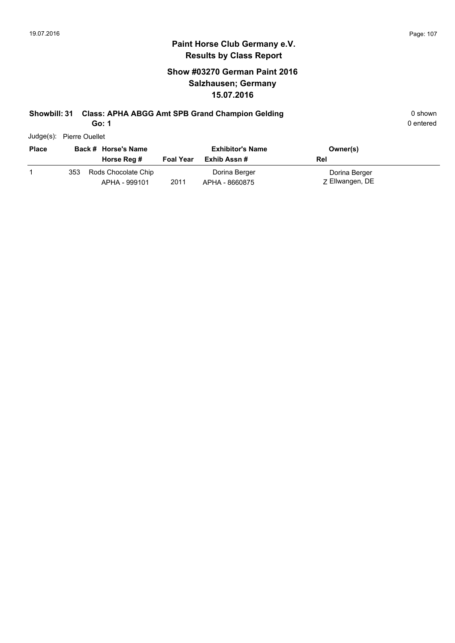### **Show #03270 German Paint 2016 Salzhausen; Germany 15.07.2016**

#### **Showbill: 31 Class: APHA ABGG Amt SPB Grand Champion Gelding 0 Shown 0 shown**

**Go: 1**

0 entered

Judge(s): Pierre Ouellet

| <b>Place</b> | Back # Horse's Name |                                      | <b>Exhibitor's Name</b> |                                 | Owner(s)                         |
|--------------|---------------------|--------------------------------------|-------------------------|---------------------------------|----------------------------------|
|              |                     | Horse Reg #                          | <b>Foal Year</b>        | Exhib Assn #                    | Rel                              |
|              | 353                 | Rods Chocolate Chip<br>APHA - 999101 | 2011                    | Dorina Berger<br>APHA - 8660875 | Dorina Berger<br>Z Ellwangen, DE |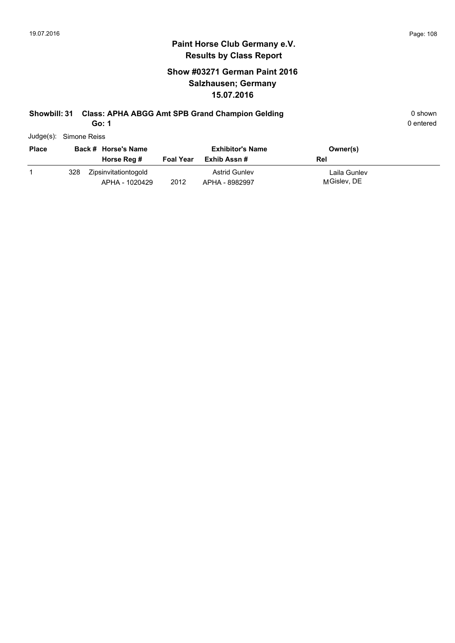### **Show #03271 German Paint 2016 Salzhausen; Germany 15.07.2016**

## **Showbill: 31 Class: APHA ABGG Amt SPB Grand Champion Gelding 0 Shown 0 shown**

**Go: 1**

| Judge(s): Simone Reiss |  |
|------------------------|--|
|                        |  |

| <b>Place</b> |     | Back # Horse's Name                    | <b>Exhibitor's Name</b> |                                        | Owner(s)                    |
|--------------|-----|----------------------------------------|-------------------------|----------------------------------------|-----------------------------|
|              |     | Horse Reg #                            | <b>Foal Year</b>        | Exhib Assn #                           | Rel                         |
|              | 328 | Zipsinvitationtogold<br>APHA - 1020429 | 2012                    | <b>Astrid Gunley</b><br>APHA - 8982997 | Laila Gunlev<br>MGislev, DE |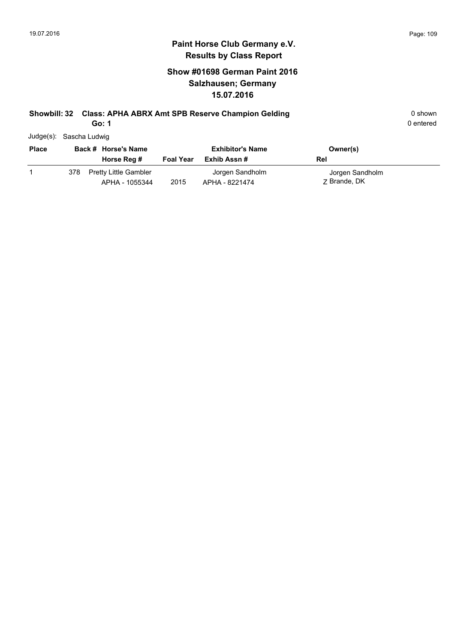### **Show #01698 German Paint 2016 Salzhausen; Germany 15.07.2016**

### **Showbill: 32 Class: APHA ABRX Amt SPB Reserve Champion Gelding** 0 shown

**Go: 1**

| Judge(s): Sascha Ludwig |  |
|-------------------------|--|
|                         |  |

| <b>Place</b> |     | Back # Horse's Name                            |                  | <b>Exhibitor's Name</b>           | Owner(s)                        |
|--------------|-----|------------------------------------------------|------------------|-----------------------------------|---------------------------------|
|              |     | Horse Reg #                                    | <b>Foal Year</b> | Exhib Assn #                      | Rel                             |
|              | 378 | <b>Pretty Little Gambler</b><br>APHA - 1055344 | 2015             | Jorgen Sandholm<br>APHA - 8221474 | Jorgen Sandholm<br>7 Brande, DK |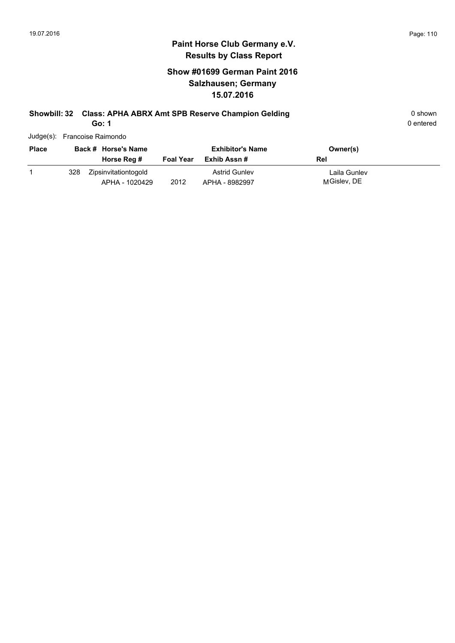### **Show #01699 German Paint 2016 Salzhausen; Germany 15.07.2016**

### **Showbill: 32 Class: APHA ABRX Amt SPB Reserve Champion Gelding** 0 shown 0 shown

**Go: 1**

| Judge(s): Francoise Raimondo |  |
|------------------------------|--|
|                              |  |

| <b>Place</b> |     | Back # Horse's Name                    |                  | <b>Exhibitor's Name</b>                | Owner(s)                    |
|--------------|-----|----------------------------------------|------------------|----------------------------------------|-----------------------------|
|              |     | Horse Reg #                            | <b>Foal Year</b> | Exhib Assn #                           | Rel                         |
|              | 328 | Zipsinvitationtogold<br>APHA - 1020429 | 2012             | <b>Astrid Gunley</b><br>APHA - 8982997 | Laila Gunlev<br>MGislev, DE |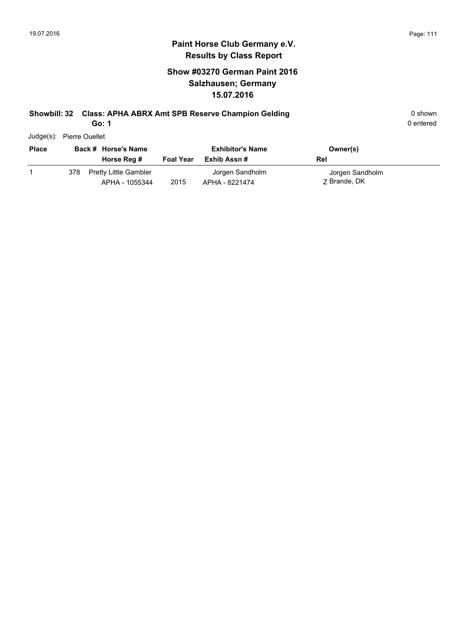### **Show #03270 German Paint 2016 Salzhausen; Germany 15.07.2016**

### **Showbill: 32 Class: APHA ABRX Amt SPB Reserve Champion Gelding Canadiative Strutter Champion Selding** 0 shown

**Go: 1**

0 entered

Judge(s): Pierre Ouellet

| <b>Place</b> |     | Back # Horse's Name<br>Horse Reg #             | <b>Foal Year</b> | <b>Exhibitor's Name</b><br>Exhib Assn # | Owner(s)<br>Rel                 |
|--------------|-----|------------------------------------------------|------------------|-----------------------------------------|---------------------------------|
|              | 378 | <b>Pretty Little Gambler</b><br>APHA - 1055344 | 2015             | Jorgen Sandholm<br>APHA - 8221474       | Jorgen Sandholm<br>7 Brande, DK |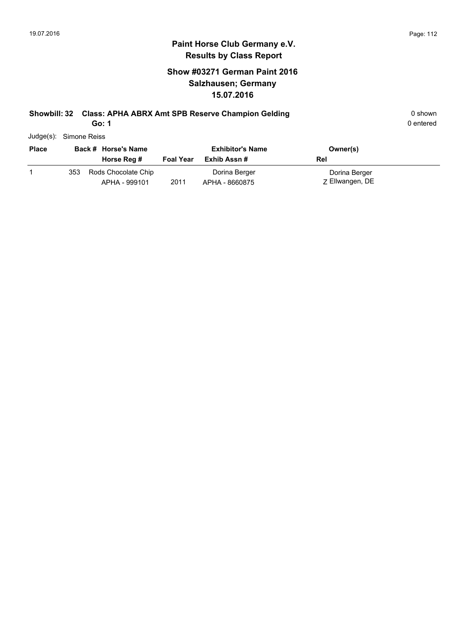### **Show #03271 German Paint 2016 Salzhausen; Germany 15.07.2016**

### **Showbill: 32 Class: APHA ABRX Amt SPB Reserve Champion Gelding** 0 shown 0 shown

**Go: 1**

| Judge(s): | Simone Reiss |  |
|-----------|--------------|--|
|           |              |  |

| <b>Place</b> |     | Back # Horse's Name                  |                  | <b>Exhibitor's Name</b>         | Owner(s)                         |
|--------------|-----|--------------------------------------|------------------|---------------------------------|----------------------------------|
|              |     | Horse Reg #                          | <b>Foal Year</b> | Exhib Assn #                    | Rel                              |
|              | 353 | Rods Chocolate Chip<br>APHA - 999101 | 2011             | Dorina Berger<br>APHA - 8660875 | Dorina Berger<br>Z Ellwangen, DE |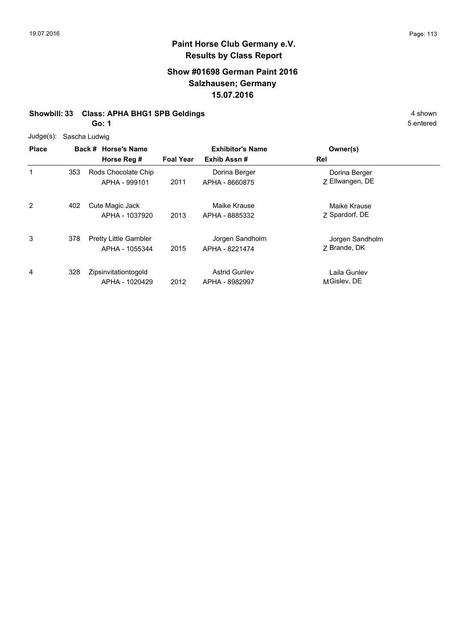### **Show #01698 German Paint 2016 Salzhausen; Germany 15.07.2016**

#### **Showbill: 33 Class: APHA BHG1 SPB Geldings** 4 shown

**Go: 1**

Judge(s): Sascha Ludwig

|              | $\frac{1}{2}$ |                                                |                  |                                        |                                  |  |  |
|--------------|---------------|------------------------------------------------|------------------|----------------------------------------|----------------------------------|--|--|
| <b>Place</b> |               | Back # Horse's Name<br>Horse Reg #             | <b>Foal Year</b> | <b>Exhibitor's Name</b><br>Exhib Assn# | Owner(s)<br>Rel                  |  |  |
| 1            | 353           | Rods Chocolate Chip<br>APHA - 999101           | 2011             | Dorina Berger<br>APHA - 8660875        | Dorina Berger<br>Z Ellwangen, DE |  |  |
| 2            | 402           | Cute Magic Jack<br>APHA - 1037920              | 2013             | Maike Krause<br>APHA - 8885332         | Maike Krause<br>Z Spardorf, DE   |  |  |
| 3            | 378           | <b>Pretty Little Gambler</b><br>APHA - 1055344 | 2015             | Jorgen Sandholm<br>APHA - 8221474      | Jorgen Sandholm<br>7 Brande, DK  |  |  |
| 4            | 328           | Zipsinvitationtogold<br>APHA - 1020429         | 2012             | <b>Astrid Gunley</b><br>APHA - 8982997 | Laila Gunlev<br>MGislev, DE      |  |  |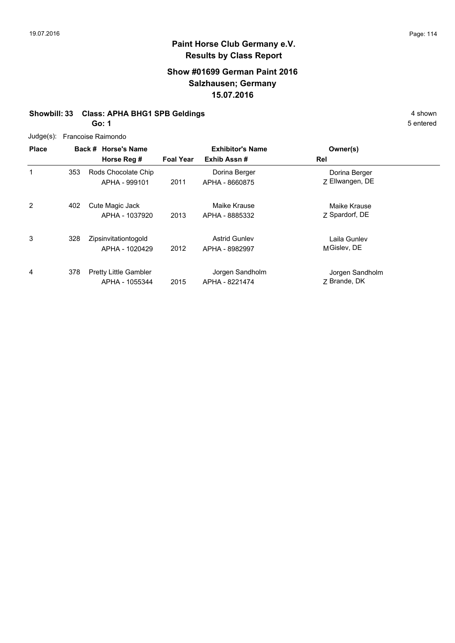### **Show #01699 German Paint 2016 Salzhausen; Germany 15.07.2016**

#### **Showbill: 33 Class: APHA BHG1 SPB Geldings** 4 shown

**Go: 1**

| Judge(s): Francoise Raimondo |
|------------------------------|
|                              |

| <b>Place</b> |     | Back # Horse's Name                            |                  | <b>Exhibitor's Name</b>                | Owner(s)                         |  |
|--------------|-----|------------------------------------------------|------------------|----------------------------------------|----------------------------------|--|
|              |     | Horse Reg #                                    | <b>Foal Year</b> | Exhib Assn#                            | Rel                              |  |
| 1            | 353 | Rods Chocolate Chip<br>APHA - 999101           | 2011             | Dorina Berger<br>APHA - 8660875        | Dorina Berger<br>Z Ellwangen, DE |  |
| 2            | 402 | Cute Magic Jack<br>APHA - 1037920              | 2013             | Maike Krause<br>APHA - 8885332         | Maike Krause<br>Z Spardorf, DE   |  |
| 3            | 328 | Zipsinvitationtogold<br>APHA - 1020429         | 2012             | <b>Astrid Gunley</b><br>APHA - 8982997 | Laila Gunlev<br>MGislev, DE      |  |
| 4            | 378 | <b>Pretty Little Gambler</b><br>APHA - 1055344 | 2015             | Jorgen Sandholm<br>APHA - 8221474      | Jorgen Sandholm<br>7 Brande, DK  |  |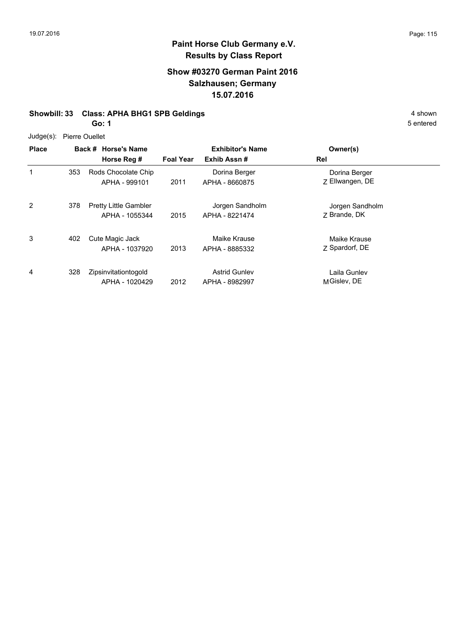### **Show #03270 German Paint 2016 Salzhausen; Germany 15.07.2016**

#### **Showbill: 33 Class: APHA BHG1 SPB Geldings** 4 shown

**Go: 1**

Judge(s): Pierre Ouellet

| <b>Place</b> |     | Back # Horse's Name<br>Horse Reg #             | <b>Foal Year</b> | <b>Exhibitor's Name</b><br>Exhib Assn# | Owner(s)<br>Rel                  |
|--------------|-----|------------------------------------------------|------------------|----------------------------------------|----------------------------------|
| 1            | 353 | Rods Chocolate Chip<br>APHA - 999101           | 2011             | Dorina Berger<br>APHA - 8660875        | Dorina Berger<br>Z Ellwangen, DE |
| 2            | 378 | <b>Pretty Little Gambler</b><br>APHA - 1055344 | 2015             | Jorgen Sandholm<br>APHA - 8221474      | Jorgen Sandholm<br>7 Brande, DK  |
| 3            | 402 | Cute Magic Jack<br>APHA - 1037920              | 2013             | Maike Krause<br>APHA - 8885332         | Maike Krause<br>Z Spardorf, DE   |
| 4            | 328 | Zipsinvitationtogold<br>APHA - 1020429         | 2012             | <b>Astrid Gunley</b><br>APHA - 8982997 | Laila Gunlev<br>MGislev, DE      |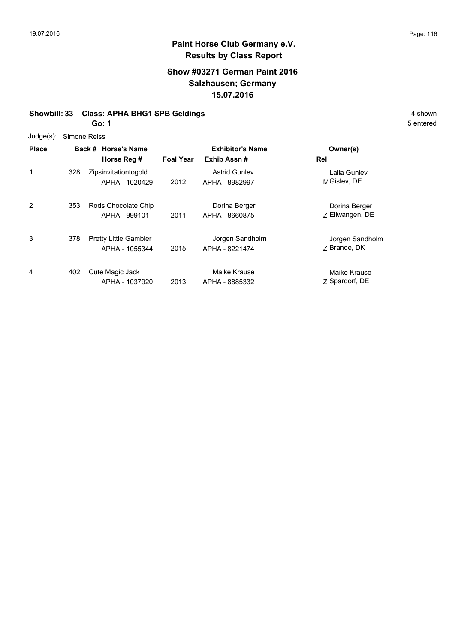### **Show #03271 German Paint 2016 Salzhausen; Germany 15.07.2016**

#### **Showbill: 33 Class: APHA BHG1 SPB Geldings** 4 shown

**Go: 1**

Judge(s): Simone Reiss

| $5 - 9 - 1$<br><b>Place</b> |     | Back # Horse's Name                            |                  | <b>Exhibitor's Name</b>                | Owner(s)                         |
|-----------------------------|-----|------------------------------------------------|------------------|----------------------------------------|----------------------------------|
|                             |     | Horse Reg #                                    | <b>Foal Year</b> | Exhib Assn#                            | Rel                              |
| 1                           | 328 | Zipsinvitationtogold<br>APHA - 1020429         | 2012             | <b>Astrid Gunley</b><br>APHA - 8982997 | Laila Gunlev<br>MGislev, DE      |
| 2                           | 353 | Rods Chocolate Chip<br>APHA - 999101           | 2011             | Dorina Berger<br>APHA - 8660875        | Dorina Berger<br>Z Ellwangen, DE |
| 3                           | 378 | <b>Pretty Little Gambler</b><br>APHA - 1055344 | 2015             | Jorgen Sandholm<br>APHA - 8221474      | Jorgen Sandholm<br>7 Brande, DK  |
| 4                           | 402 | Cute Magic Jack<br>APHA - 1037920              | 2013             | Maike Krause<br>APHA - 8885332         | Maike Krause<br>Z Spardorf, DE   |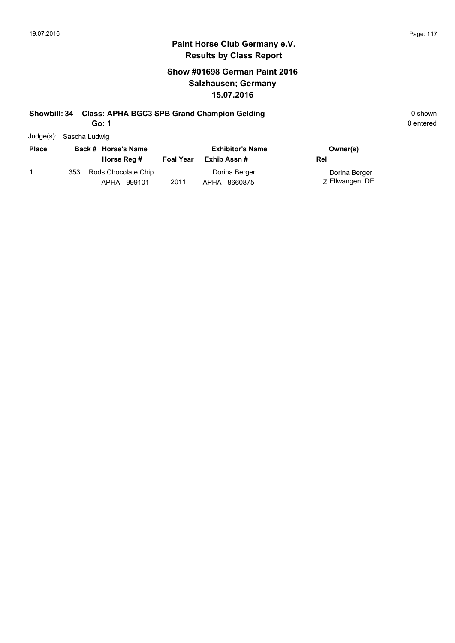### **Show #01698 German Paint 2016 Salzhausen; Germany 15.07.2016**

### **Showbill: 34 Class: APHA BGC3 SPB Grand Champion Gelding Cases Constructed by Shown Construction Construction Construction Construction Construction Construction Construction Construction Construction Construction Constru**

**Go: 1**

| Judge(s): Sascha Ludwig |
|-------------------------|
|                         |

| <b>Place</b> |     | Back # Horse's Name                  |                  | <b>Exhibitor's Name</b>         | Owner(s)                         |  |
|--------------|-----|--------------------------------------|------------------|---------------------------------|----------------------------------|--|
|              |     | Horse Reg #                          | <b>Foal Year</b> | Exhib Assn #                    | Rel                              |  |
|              | 353 | Rods Chocolate Chip<br>APHA - 999101 | 2011             | Dorina Berger<br>APHA - 8660875 | Dorina Berger<br>Z Ellwangen, DE |  |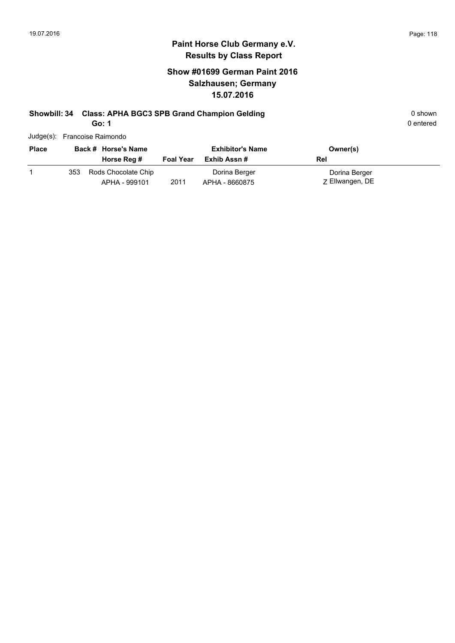0 entered

#### **Paint Horse Club Germany e.V. Results by Class Report**

### **Show #01699 German Paint 2016 Salzhausen; Germany 15.07.2016**

# **Showbill: 34 Class: APHA BGC3 SPB Grand Champion Gelding Cases Constructed by Shown 0 shown**

**Go: 1**

Judge(s): Francoise Raimondo

| <b>Place</b> |     | Back # Horse's Name                  |                  | <b>Exhibitor's Name</b>         | Owner(s)                         |
|--------------|-----|--------------------------------------|------------------|---------------------------------|----------------------------------|
|              |     | Horse Reg #                          | <b>Foal Year</b> | Exhib Assn #                    | Rel                              |
|              | 353 | Rods Chocolate Chip<br>APHA - 999101 | 2011             | Dorina Berger<br>APHA - 8660875 | Dorina Berger<br>Z Ellwangen, DE |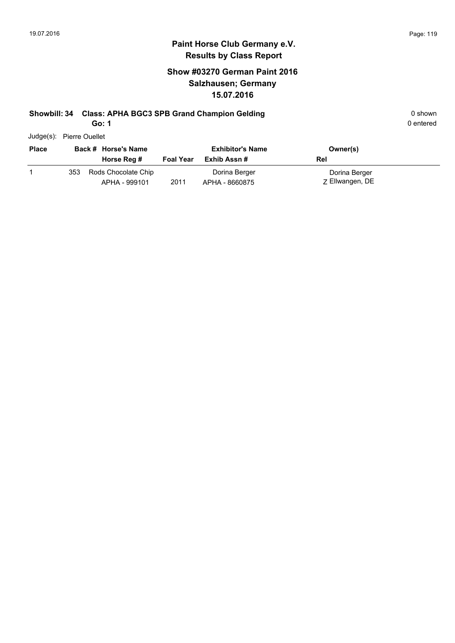### **Show #03270 German Paint 2016 Salzhausen; Germany 15.07.2016**

## **Showbill: 34 Class: APHA BGC3 SPB Grand Champion Gelding Cases Constructed Business Community Community Community**

**Go: 1**

| Judge(s): Pierre Ouellet |
|--------------------------|
|                          |

| <b>Place</b> |     | Back # Horse's Name                  |                  | <b>Exhibitor's Name</b>         | Owner(s)                         |
|--------------|-----|--------------------------------------|------------------|---------------------------------|----------------------------------|
|              |     | Horse Reg #                          | <b>Foal Year</b> | Exhib Assn #                    | Rel                              |
|              | 353 | Rods Chocolate Chip<br>APHA - 999101 | 2011             | Dorina Berger<br>APHA - 8660875 | Dorina Berger<br>Z Ellwangen, DE |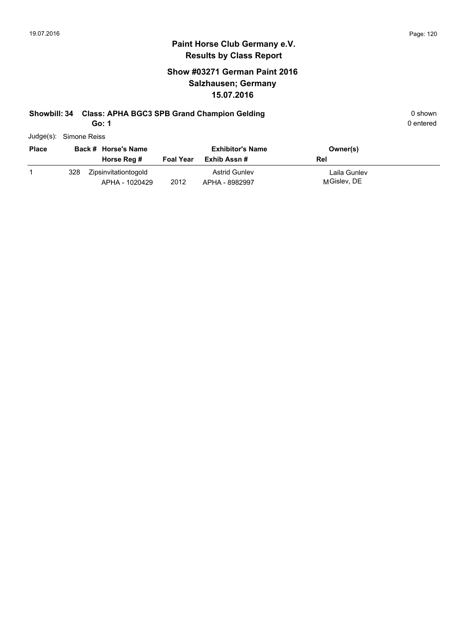### **Show #03271 German Paint 2016 Salzhausen; Germany 15.07.2016**

## **Showbill: 34 Class: APHA BGC3 SPB Grand Champion Gelding Cases Constructed by Shown Construction Construction Construction Construction Construction Construction Construction Construction Construction Construction Constru**

**Go: 1**

| Judge(s): Simone Reiss |
|------------------------|

| <b>Place</b> |     | Back # Horse's Name                    |                  | <b>Exhibitor's Name</b>                | Owner(s)                    |
|--------------|-----|----------------------------------------|------------------|----------------------------------------|-----------------------------|
|              |     | Horse Reg #                            | <b>Foal Year</b> | Exhib Assn #                           | Rel                         |
|              | 328 | Zipsinvitationtogold<br>APHA - 1020429 | 2012             | <b>Astrid Gunley</b><br>APHA - 8982997 | Laila Gunlev<br>MGislev, DE |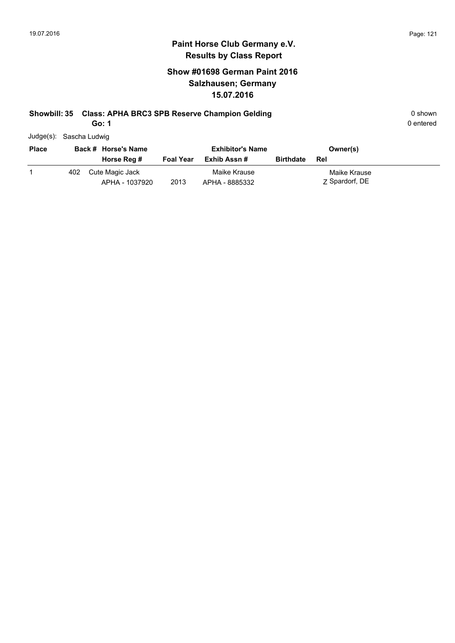### **Show #01698 German Paint 2016 Salzhausen; Germany 15.07.2016**

#### **Showbill: 35 Class: APHA BRC3 SPB Reserve Champion Gelding Construction Constrainers** 0 shown

**Go: 1**

|       | Judge(s): Sascha Ludwig |  |
|-------|-------------------------|--|
| Place | Back # Horse's Name     |  |

| <b>Place</b> |     | Back # Horse's Name               |                  | <b>Exhibitor's Name</b>        |                  | Owner(s)                       |  |
|--------------|-----|-----------------------------------|------------------|--------------------------------|------------------|--------------------------------|--|
|              |     | Horse Reg #                       | <b>Foal Year</b> | Exhib Assn #                   | <b>Birthdate</b> | Rel                            |  |
|              | 402 | Cute Magic Jack<br>APHA - 1037920 | 2013             | Maike Krause<br>APHA - 8885332 |                  | Maike Krause<br>7 Spardorf, DE |  |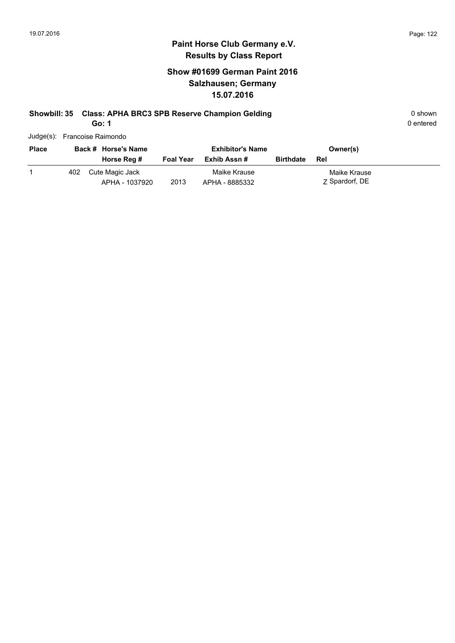### **Show #01699 German Paint 2016 Salzhausen; Germany 15.07.2016**

## **Showbill: 35 Class: APHA BRC3 SPB Reserve Champion Gelding Construction Constrainers** 0 shown

**Go: 1**

| Judge(s): Francoise Raimondo |  |
|------------------------------|--|
|                              |  |

| <b>Place</b> |     | Back # Horse's Name               |                  | <b>Exhibitor's Name</b>        |                  | Owner(s)                       |
|--------------|-----|-----------------------------------|------------------|--------------------------------|------------------|--------------------------------|
|              |     | Horse Reg #                       | <b>Foal Year</b> | Exhib Assn #                   | <b>Birthdate</b> | Rel                            |
|              | 402 | Cute Magic Jack<br>APHA - 1037920 | 2013             | Maike Krause<br>APHA - 8885332 |                  | Maike Krause<br>Z Spardorf, DE |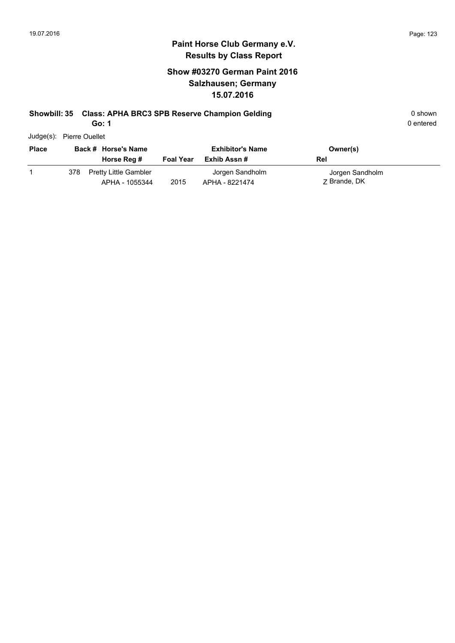### **Show #03270 German Paint 2016 Salzhausen; Germany 15.07.2016**

## **Showbill: 35 Class: APHA BRC3 SPB Reserve Champion Gelding Construction Constrainers** 0 shown

**Go: 1**

| Judge(s): | <b>Pierre Ouellet</b> |
|-----------|-----------------------|
|           |                       |

| <b>Place</b> |     | Back # Horse's Name<br>Horse Reg #             | <b>Foal Year</b> | <b>Exhibitor's Name</b><br>Exhib Assn # | Owner(s)<br>Rel                 |
|--------------|-----|------------------------------------------------|------------------|-----------------------------------------|---------------------------------|
|              | 378 | <b>Pretty Little Gambler</b><br>APHA - 1055344 | 2015             | Jorgen Sandholm<br>APHA - 8221474       | Jorgen Sandholm<br>7 Brande, DK |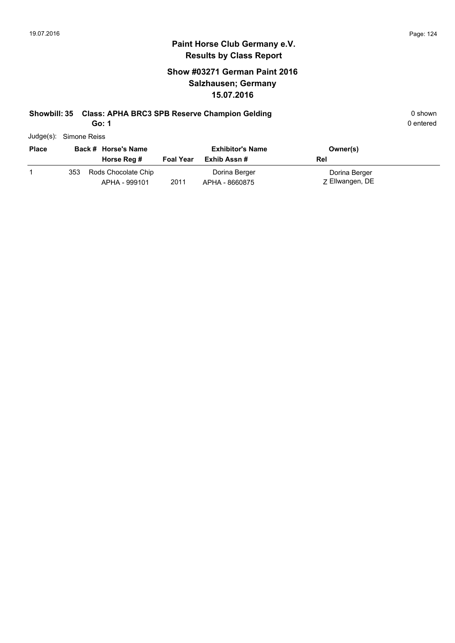### **Show #03271 German Paint 2016 Salzhausen; Germany 15.07.2016**

### **Showbill: 35 Class: APHA BRC3 SPB Reserve Champion Gelding Construction Constrainers** 0 shown

**Go: 1**

| Judge(s): Simone Reiss |
|------------------------|
|                        |

| <b>Place</b> | Back # Horse's Name |                                      | <b>Exhibitor's Name</b> |                                 | Owner(s)                         |
|--------------|---------------------|--------------------------------------|-------------------------|---------------------------------|----------------------------------|
|              |                     | Horse Reg #                          | <b>Foal Year</b>        | Exhib Assn #                    | Rel                              |
|              | 353                 | Rods Chocolate Chip<br>APHA - 999101 | 2011                    | Dorina Berger<br>APHA - 8660875 | Dorina Berger<br>Z Ellwangen, DE |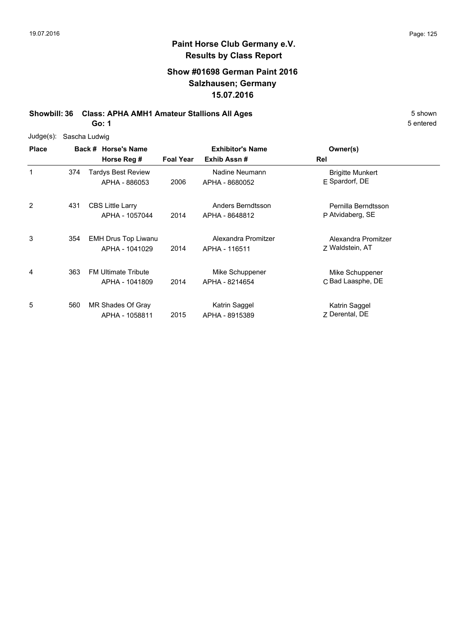### **Show #01698 German Paint 2016 Salzhausen; Germany 15.07.2016**

**Showbill: 36 Class: APHA AMH1 Amateur Stallions All Ages** 5 Shown

**Go: 1**

| $Judge(s)$ : |     | Sascha Ludwig                                |                  |                                        |                                           |  |
|--------------|-----|----------------------------------------------|------------------|----------------------------------------|-------------------------------------------|--|
| <b>Place</b> |     | Back # Horse's Name<br>Horse Reg #           | <b>Foal Year</b> | <b>Exhibitor's Name</b><br>Exhib Assn# | Owner(s)<br>Rel                           |  |
| 1            | 374 | <b>Tardys Best Review</b><br>APHA - 886053   | 2006             | Nadine Neumann<br>APHA - 8680052       | <b>Brigitte Munkert</b><br>E Spardorf, DE |  |
| 2            | 431 | <b>CBS Little Larry</b><br>APHA - 1057044    | 2014             | Anders Berndtsson<br>APHA - 8648812    | Pernilla Berndtsson<br>P Atvidaberg, SE   |  |
| 3            | 354 | <b>EMH Drus Top Liwanu</b><br>APHA - 1041029 | 2014             | Alexandra Promitzer<br>APHA - 116511   | Alexandra Promitzer<br>Z Waldstein, AT    |  |
| 4            | 363 | <b>FM Ultimate Tribute</b><br>APHA - 1041809 | 2014             | Mike Schuppener<br>APHA - 8214654      | Mike Schuppener<br>C Bad Laasphe, DE      |  |
| 5            | 560 | MR Shades Of Gray<br>APHA - 1058811          | 2015             | Katrin Saggel<br>APHA - 8915389        | Katrin Saggel<br>7 Derental, DE           |  |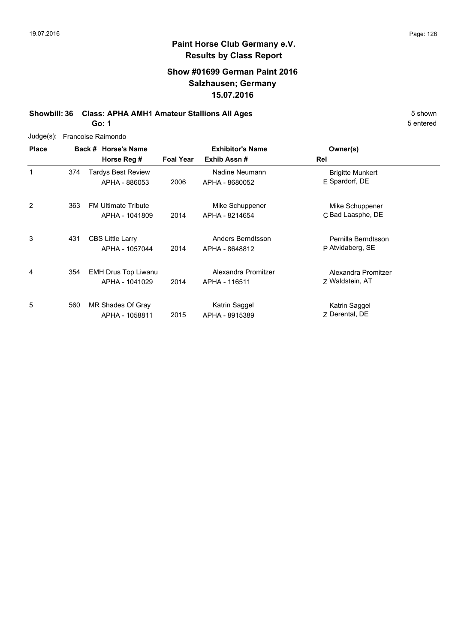### **Show #01699 German Paint 2016 Salzhausen; Germany 15.07.2016**

**Showbill: 36 Class: APHA AMH1 Amateur Stallions All Ages** 5 Shown **Go: 1**

| Judge(s):    |     | Francoise Raimondo                           |                  |                                        |                                           |
|--------------|-----|----------------------------------------------|------------------|----------------------------------------|-------------------------------------------|
| <b>Place</b> |     | Back # Horse's Name<br>Horse Reg #           | <b>Foal Year</b> | <b>Exhibitor's Name</b><br>Exhib Assn# | Owner(s)<br>Rel                           |
| 1            | 374 | <b>Tardys Best Review</b><br>APHA - 886053   | 2006             | Nadine Neumann<br>APHA - 8680052       | <b>Brigitte Munkert</b><br>E Spardorf, DE |
| 2            | 363 | <b>FM Ultimate Tribute</b><br>APHA - 1041809 | 2014             | Mike Schuppener<br>APHA - 8214654      | Mike Schuppener<br>C Bad Laasphe, DE      |
| 3            | 431 | <b>CBS Little Larry</b><br>APHA - 1057044    | 2014             | Anders Berndtsson<br>APHA - 8648812    | Pernilla Berndtsson<br>P Atvidaberg, SE   |
| 4            | 354 | <b>EMH Drus Top Liwanu</b><br>APHA - 1041029 | 2014             | Alexandra Promitzer<br>APHA - 116511   | Alexandra Promitzer<br>Z Waldstein, AT    |
| 5            | 560 | MR Shades Of Gray<br>APHA - 1058811          | 2015             | Katrin Saggel<br>APHA - 8915389        | Katrin Saggel<br>7 Derental, DE           |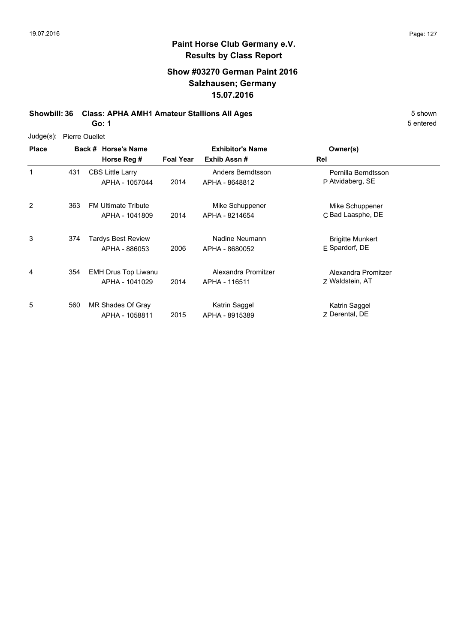### **Show #03270 German Paint 2016 Salzhausen; Germany 15.07.2016**

**Showbill: 36 Class: APHA AMH1 Amateur Stallions All Ages** 5 Shown **Go: 1**

Judge(s): Pierre Ouellet

**Back # Horse's Name Place Owner(s) Horse Reg # Exhib Assn # Foal Year Rel Exhibitor's Name** 1 P Atvidaberg, SE Pernilla Berndtsson 2014 APHA - 8648812 P Atvidaberg, SE CBS Little Larry APHA - 1057044 Anders Berndtsson 431 2 2014 APHA - 8214654 C Bad Laasphe, DE Mike Schuppener FM Ultimate Tribute 363 APHA - 1041809 Mike Schuppener APHA - 8214654 3 E Spardorf, DE Brigitte Munkert 2006 APHA - 8680052 E Spardorf, DE 374 Tardys Best Review APHA - 886053 Nadine Neumann 4 7 Waldstein, AT Alexandra Promitzer 2014 Waldstein, AT APHA - 116511 EMH Drus Top Liwanu APHA - 1041029 Alexandra Promitzer 354 5 **Z** Derental, DE Katrin Saggel 2015 APHA - 8915389 Z Derental, DE 560 MR Shades Of Gray APHA - 1058811 Katrin Saggel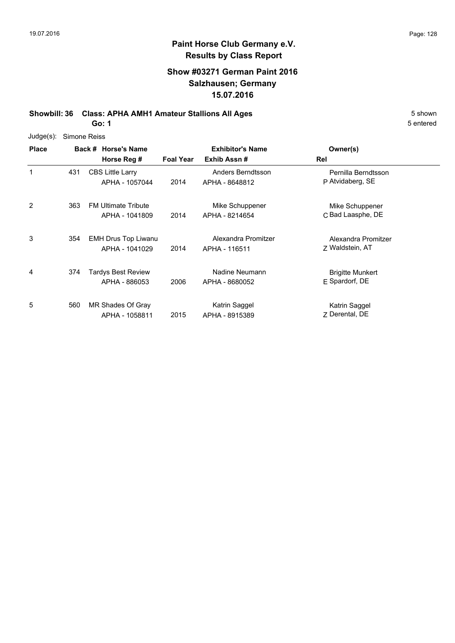5 entered

#### **Paint Horse Club Germany e.V. Results by Class Report**

### **Show #03271 German Paint 2016 Salzhausen; Germany 15.07.2016**

**Showbill: 36 Class: APHA AMH1 Amateur Stallions All Ages** 5 Shown **Go: 1**

Judge(s): Simone Reiss

**Back # Horse's Name Place Owner(s) Horse Reg # Exhib Assn # Foal Year Rel Exhibitor's Name** 1 P Atvidaberg, SE Pernilla Berndtsson 2014 APHA - 8648812 P Atvidaberg, SE CBS Little Larry APHA - 1057044 Anders Berndtsson 431 2 2014 APHA - 8214654 C Bad Laasphe, DE Mike Schuppener FM Ultimate Tribute 363 APHA - 1041809 Mike Schuppener APHA - 8214654 3 Z Waldstein, AT Alexandra Promitzer 2014 Waldstein, AT APHA - 116511 EMH Drus Top Liwanu 354 APHA - 1041029 Alexandra Promitzer 4 E Spardorf, DE Brigitte Munkert 2006 APHA - 8680052 E Spardorf, DE 374 Tardys Best Review APHA - 886053 Nadine Neumann 5 **Z** Derental, DE Katrin Saggel 2015 APHA - 8915389 Z Derental, DE 560 MR Shades Of Gray APHA - 1058811 Katrin Saggel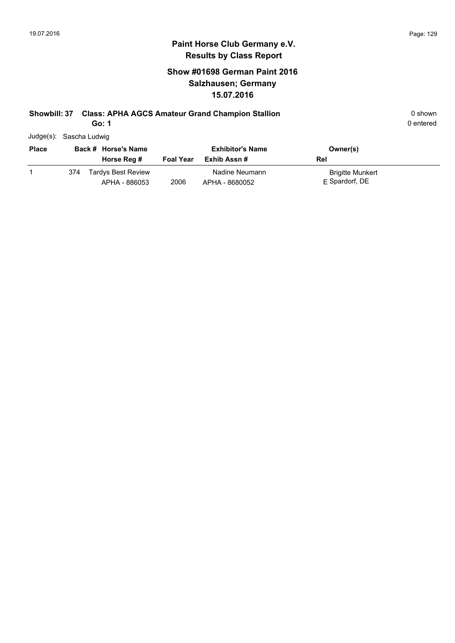### **Show #01698 German Paint 2016 Salzhausen; Germany 15.07.2016**

## **Showbill: 37 Class: APHA AGCS Amateur Grand Champion Stallion Canadiated Arrow Communist Class APHA AGCS Amateur Grand Champion Stallion Canadiated Arrow Communist Communist Communist Communist Communist Communist Com**

**Go: 1**

| Judge(s): Sascha Ludwig |
|-------------------------|
|-------------------------|

| <b>Place</b> | Back # Horse's Name |                                            | <b>Exhibitor's Name</b> |                                  | Owner(s)                                  |
|--------------|---------------------|--------------------------------------------|-------------------------|----------------------------------|-------------------------------------------|
|              |                     | Horse Reg #                                | <b>Foal Year</b>        | Exhib Assn #                     | Rel                                       |
|              | 374                 | <b>Tardys Best Review</b><br>APHA - 886053 | 2006                    | Nadine Neumann<br>APHA - 8680052 | <b>Brigitte Munkert</b><br>E Spardorf, DE |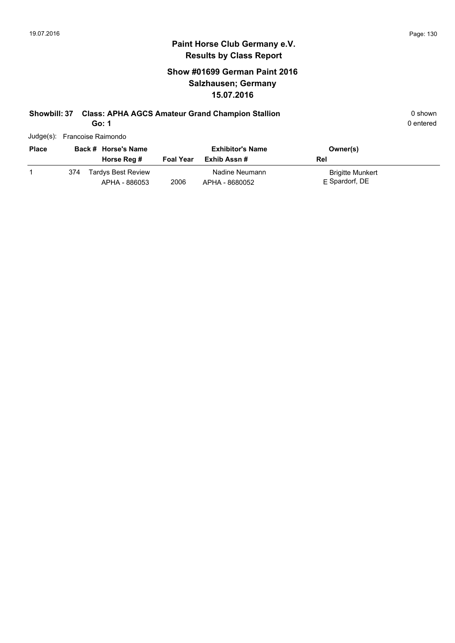### **Show #01699 German Paint 2016 Salzhausen; Germany 15.07.2016**

# **Showbill: 37 Class: APHA AGCS Amateur Grand Champion Stallion Canadiated Arrow Communist Class: APHA AGCS Amateur Grand Champion Stallion Canadiated Arrow Communist Communist Communist Communist Communist Communist Co**

**Go: 1**

|              |     | Judge(s): Francoise Raimondo               |                  |                                        |                                           |
|--------------|-----|--------------------------------------------|------------------|----------------------------------------|-------------------------------------------|
| <b>Place</b> |     | Back # Horse's Name<br>Horse Reg #         | <b>Foal Year</b> | <b>Exhibitor's Name</b><br>Exhib Assn# | Owner(s)<br>Rel                           |
|              | 374 | <b>Tardys Best Review</b><br>APHA - 886053 | 2006             | Nadine Neumann<br>APHA - 8680052       | <b>Brigitte Munkert</b><br>E Spardorf, DE |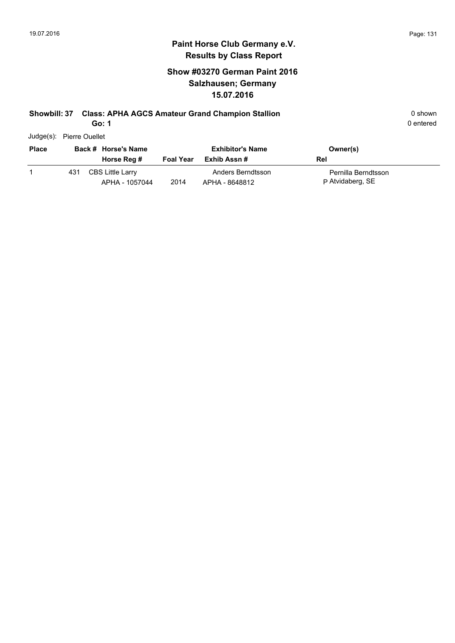### **Show #03270 German Paint 2016 Salzhausen; Germany 15.07.2016**

### **Showbill: 37 Class: APHA AGCS Amateur Grand Champion Stallion** 0 shown

**Go: 1**

| Judge(s): | <b>Pierre Ouellet</b> |
|-----------|-----------------------|
|           |                       |

| <b>Place</b> |     | Back # Horse's Name                       |                  | <b>Exhibitor's Name</b>             | Owner(s)                                |
|--------------|-----|-------------------------------------------|------------------|-------------------------------------|-----------------------------------------|
|              |     | Horse Reg #                               | <b>Foal Year</b> | Exhib Assn #                        | Rel                                     |
|              | 431 | <b>CBS Little Larry</b><br>APHA - 1057044 | 2014             | Anders Berndtsson<br>APHA - 8648812 | Pernilla Berndtsson<br>P Atvidaberg, SE |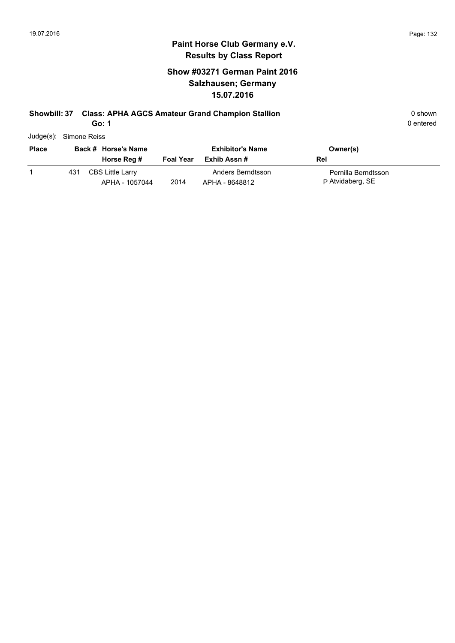### **Show #03271 German Paint 2016 Salzhausen; Germany 15.07.2016**

### **Showbill: 37 Class: APHA AGCS Amateur Grand Champion Stallion Canadiated Arrow Communist Class APHA AGCS Amateur Grand Champion Stallion Canadiated Arrow Communist Communist Communist Communist Communist Communist Com**

**Go: 1**

| Judge(s): Simone Reiss |
|------------------------|
|                        |

| <b>Place</b> | Back # Horse's Name |                                           | <b>Exhibitor's Name</b> |                                     | Owner(s)                                |  |  |
|--------------|---------------------|-------------------------------------------|-------------------------|-------------------------------------|-----------------------------------------|--|--|
|              |                     | Horse Reg #                               | <b>Foal Year</b>        | Exhib Assn #                        | Rel                                     |  |  |
|              | 431                 | <b>CBS Little Larry</b><br>APHA - 1057044 | 2014                    | Anders Berndtsson<br>APHA - 8648812 | Pernilla Berndtsson<br>P Atvidaberg, SE |  |  |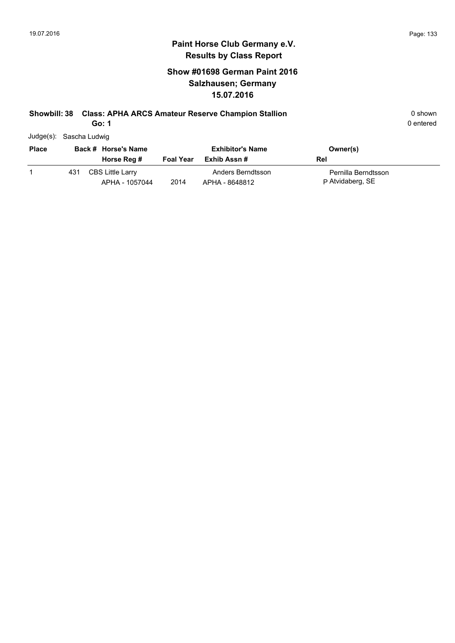### **Show #01698 German Paint 2016 Salzhausen; Germany 15.07.2016**

### **Showbill: 38 Class: APHA ARCS Amateur Reserve Champion Stallion Canadiation** 0 shown

**Go: 1**

| Judge(s): Sascha Ludwig |
|-------------------------|

| <b>Place</b> | Back # Horse's Name |                                    |                  | <b>Exhibitor's Name</b>             | Owner(s)                                |
|--------------|---------------------|------------------------------------|------------------|-------------------------------------|-----------------------------------------|
|              |                     | Horse Reg #                        | <b>Foal Year</b> | Exhib Assn #                        | Rel                                     |
|              | 431                 | CBS Little Larry<br>APHA - 1057044 | 2014             | Anders Berndtsson<br>APHA - 8648812 | Pernilla Berndtsson<br>P Atvidaberg, SE |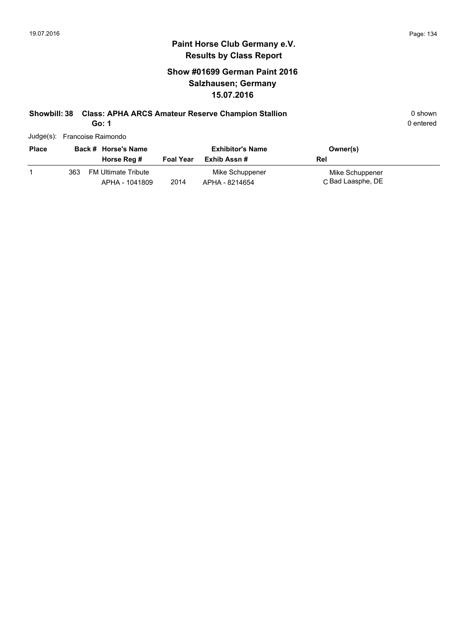### **Show #01699 German Paint 2016 Salzhausen; Germany 15.07.2016**

### **Showbill: 38 Class: APHA ARCS Amateur Reserve Champion Stallion Canadiation** 0 shown

**Go: 1**

0 entered

|              | Judge(s): Francoise Raimondo      |                  |                         |             |
|--------------|-----------------------------------|------------------|-------------------------|-------------|
| <b>Place</b> | Back # Horse's Name               |                  | <b>Exhibitor's Name</b> | Owner(s)    |
|              | Horse Reg #                       | <b>Foal Year</b> | Exhib Assn #            | Rel         |
|              | <b>FM Ultimate Tribute</b><br>363 |                  | Mike Schuppener         | Mike Schupp |

C Bad Laasphe, DE Mike Schuppener 2014 Bad Laasphe, DE APHA - 1041809 APHA - 8214654 FM Ultimate Tribute 363Mike Schuppener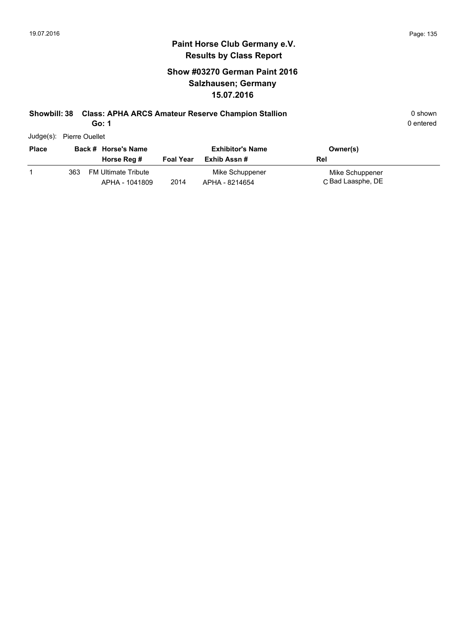### **Show #03270 German Paint 2016 Salzhausen; Germany 15.07.2016**

### **Showbill: 38 Class: APHA ARCS Amateur Reserve Champion Stallion Canadiation** 0 shown

**Go: 1**

0 entered

Judge(s): Pierre Ouellet

| <b>Place</b> |     | Back # Horse's Name<br>Horse Reg #           | <b>Foal Year</b> | <b>Exhibitor's Name</b><br>Exhib Assn # | Owner(s)<br>Rel                      |
|--------------|-----|----------------------------------------------|------------------|-----------------------------------------|--------------------------------------|
|              | 363 | <b>FM Ultimate Tribute</b><br>APHA - 1041809 | 2014             | Mike Schuppener<br>APHA - 8214654       | Mike Schuppener<br>C Bad Laasphe, DE |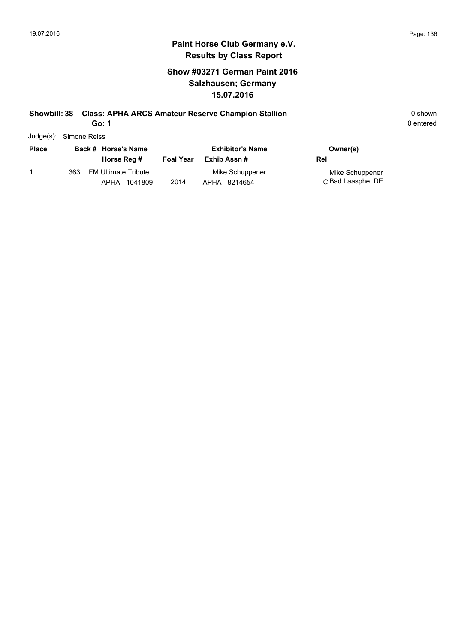### **Show #03271 German Paint 2016 Salzhausen; Germany 15.07.2016**

### **Showbill: 38 Class: APHA ARCS Amateur Reserve Champion Stallion Canadiation** 0 shown

**Go: 1**

| Judge(s): Simone Reiss |
|------------------------|
|                        |

| <b>Place</b> |     | Back # Horse's Name                   |                  | <b>Exhibitor's Name</b>           | Owner(s)                             |
|--------------|-----|---------------------------------------|------------------|-----------------------------------|--------------------------------------|
|              |     | Horse Reg #                           | <b>Foal Year</b> | Exhib Assn #                      | Rel                                  |
|              | 363 | FM Ultimate Tribute<br>APHA - 1041809 | 2014             | Mike Schuppener<br>APHA - 8214654 | Mike Schuppener<br>C Bad Laasphe, DE |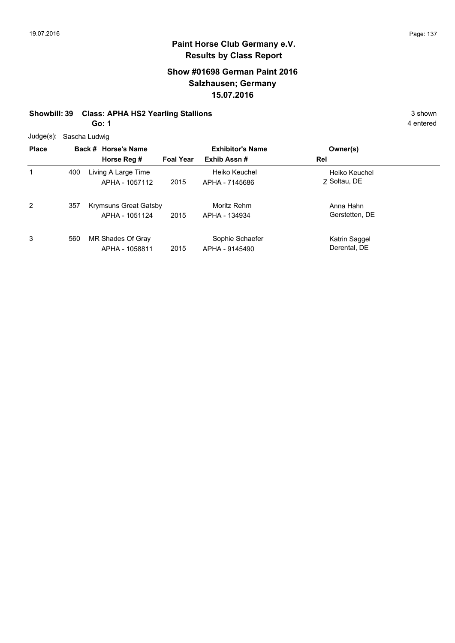### **Show #01698 German Paint 2016 Salzhausen; Germany 15.07.2016**

#### **Showbill: 39 Class: APHA HS2 Yearling Stallions** 3 shown

**Go: 1**

| <b>Place</b> |     | Back # Horse's Name<br>Horse Reg #      | <b>Foal Year</b> | <b>Exhibitor's Name</b><br>Exhib Assn# | Owner(s)<br>Rel               |
|--------------|-----|-----------------------------------------|------------------|----------------------------------------|-------------------------------|
| 1            | 400 | Living A Large Time<br>APHA - 1057112   | 2015             | Heiko Keuchel<br>APHA - 7145686        | Heiko Keuchel<br>7 Soltau, DE |
| 2            | 357 | Krymsuns Great Gatsby<br>APHA - 1051124 | 2015             | Moritz Rehm<br>APHA - 134934           | Anna Hahn<br>Gerstetten, DE   |
| 3            | 560 | MR Shades Of Gray<br>APHA - 1058811     | 2015             | Sophie Schaefer<br>APHA - 9145490      | Katrin Saggel<br>Derental, DE |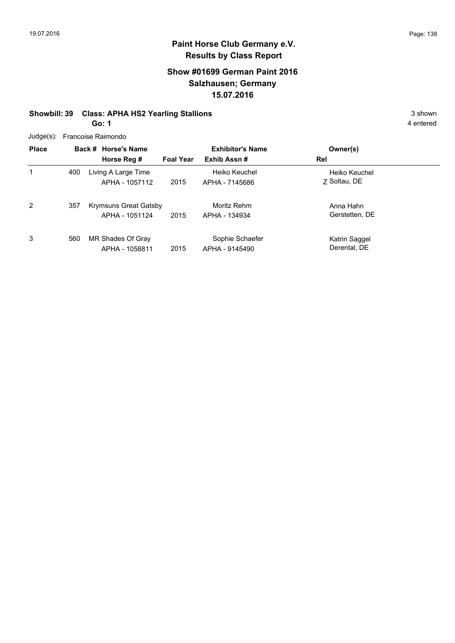### **Show #01699 German Paint 2016 Salzhausen; Germany 15.07.2016**

### **Showbill: 39 Class: APHA HS2 Yearling Stallions** 3 shown

**Go: 1**

|  | Judge(s): Francoise Raimondo |  |
|--|------------------------------|--|
|--|------------------------------|--|

| <b>Place</b> |     | Back # Horse's Name<br>Horse Reg #      | <b>Foal Year</b> | <b>Exhibitor's Name</b><br>Exhib Assn# | Owner(s)<br>Rel               |
|--------------|-----|-----------------------------------------|------------------|----------------------------------------|-------------------------------|
| 1            | 400 | Living A Large Time<br>APHA - 1057112   | 2015             | Heiko Keuchel<br>APHA - 7145686        | Heiko Keuchel<br>7 Soltau, DE |
| 2            | 357 | Krymsuns Great Gatsby<br>APHA - 1051124 | 2015             | Moritz Rehm<br>APHA - 134934           | Anna Hahn<br>Gerstetten, DE   |
| 3            | 560 | MR Shades Of Gray<br>APHA - 1058811     | 2015             | Sophie Schaefer<br>APHA - 9145490      | Katrin Saggel<br>Derental, DE |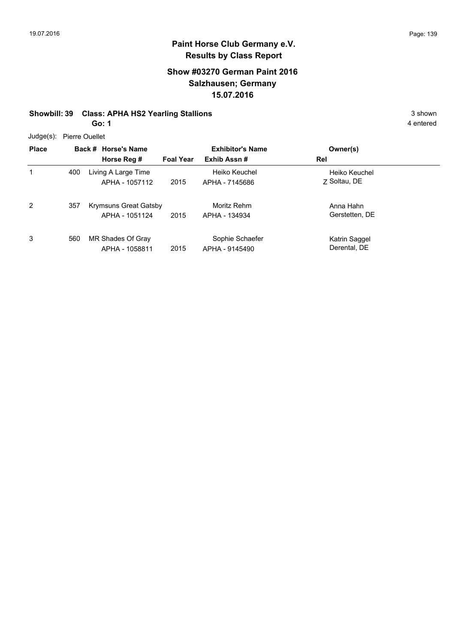### **Show #03270 German Paint 2016 Salzhausen; Germany 15.07.2016**

### **Showbill: 39 Class: APHA HS2 Yearling Stallions** 3 shown

**Go: 1**

Judge(s): Pierre Ouellet

|              | $0.490(0)$ . Then $0.000(0)$ |                                                |                  |                                   |                               |  |  |  |
|--------------|------------------------------|------------------------------------------------|------------------|-----------------------------------|-------------------------------|--|--|--|
| <b>Place</b> |                              | Back # Horse's Name                            |                  | <b>Exhibitor's Name</b>           | Owner(s)                      |  |  |  |
|              |                              | Horse Reg #                                    | <b>Foal Year</b> | Exhib Assn#                       | Rel                           |  |  |  |
| 1            | 400                          | Living A Large Time<br>APHA - 1057112          | 2015             | Heiko Keuchel<br>APHA - 7145686   | Heiko Keuchel<br>7 Soltau, DE |  |  |  |
| 2            | 357                          | <b>Krymsuns Great Gatsby</b><br>APHA - 1051124 | 2015             | Moritz Rehm<br>APHA - 134934      | Anna Hahn<br>Gerstetten, DE   |  |  |  |
| 3            | 560                          | MR Shades Of Gray<br>APHA - 1058811            | 2015             | Sophie Schaefer<br>APHA - 9145490 | Katrin Saggel<br>Derental, DE |  |  |  |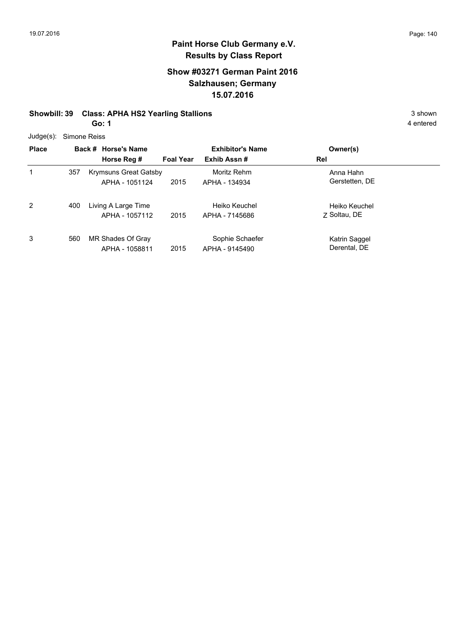### **Show #03271 German Paint 2016 Salzhausen; Germany 15.07.2016**

#### **Showbill: 39 Class: APHA HS2 Yearling Stallions** 3 shown

**Go: 1**

| <b>Place</b> |     | Back # Horse's Name<br>Horse Reg #             | <b>Foal Year</b> | <b>Exhibitor's Name</b><br>Exhib Assn# | Owner(s)<br>Rel               |
|--------------|-----|------------------------------------------------|------------------|----------------------------------------|-------------------------------|
| 1            | 357 | <b>Krymsuns Great Gatsby</b><br>APHA - 1051124 | 2015             | Moritz Rehm<br>APHA - 134934           | Anna Hahn<br>Gerstetten, DE   |
| 2            | 400 | Living A Large Time<br>APHA - 1057112          | 2015             | Heiko Keuchel<br>APHA - 7145686        | Heiko Keuchel<br>7 Soltau, DE |
| 3            | 560 | MR Shades Of Gray<br>APHA - 1058811            | 2015             | Sophie Schaefer<br>APHA - 9145490      | Katrin Saggel<br>Derental, DE |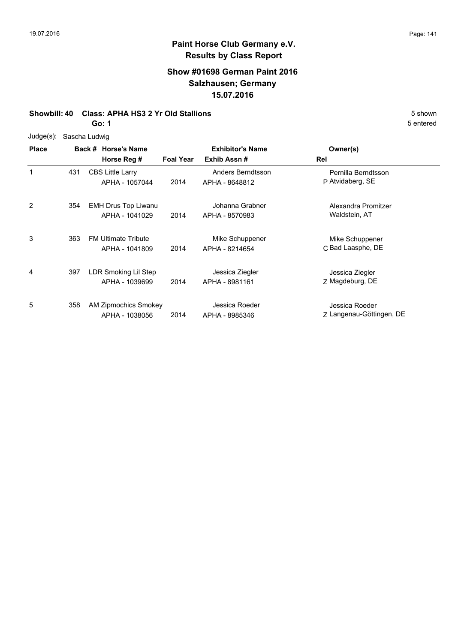### **Show #01698 German Paint 2016 Salzhausen; Germany 15.07.2016**

#### **Showbill: 40 Class: APHA HS3 2 Yr Old Stallions** 5 Shown 5 Shown

**Go: 1**

#### Judge(s): Sascha Ludwig

| <b>Place</b> |     | Back # Horse's Name<br>Horse Reg #           | <b>Foal Year</b> | <b>Exhibitor's Name</b><br>Exhib Assn# | Owner(s)<br>Rel                            |
|--------------|-----|----------------------------------------------|------------------|----------------------------------------|--------------------------------------------|
| 1            | 431 | <b>CBS Little Larry</b><br>APHA - 1057044    | 2014             | Anders Berndtsson<br>APHA - 8648812    | Pernilla Berndtsson<br>P Atvidaberg, SE    |
| 2            | 354 | <b>EMH Drus Top Liwanu</b><br>APHA - 1041029 | 2014             | Johanna Grabner<br>APHA - 8570983      | Alexandra Promitzer<br>Waldstein, AT       |
| 3            | 363 | <b>FM Ultimate Tribute</b><br>APHA - 1041809 | 2014             | Mike Schuppener<br>APHA - 8214654      | Mike Schuppener<br>C Bad Laasphe, DE       |
| 4            | 397 | LDR Smoking Lil Step<br>APHA - 1039699       | 2014             | Jessica Ziegler<br>APHA - 8981161      | Jessica Ziegler<br>Z Magdeburg, DE         |
| 5            | 358 | AM Zipmochics Smokey<br>APHA - 1038056       | 2014             | Jessica Roeder<br>APHA - 8985346       | Jessica Roeder<br>Z Langenau-Göttingen, DE |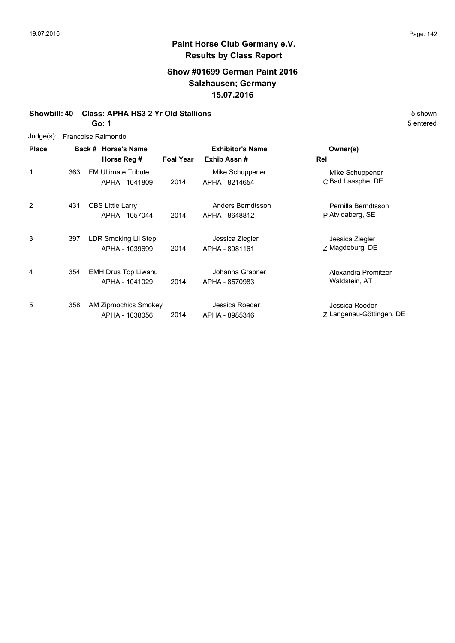### **Show #01699 German Paint 2016 Salzhausen; Germany 15.07.2016**

#### **Showbill: 40 Class: APHA HS3 2 Yr Old Stallions** 5 Shown 5 Shown

**Go: 1**

| $Judge(s)$ : |     | Francoise Raimondo          |                  |                         |                          |  |  |  |
|--------------|-----|-----------------------------|------------------|-------------------------|--------------------------|--|--|--|
| <b>Place</b> |     | Back # Horse's Name         |                  | <b>Exhibitor's Name</b> | Owner(s)                 |  |  |  |
|              |     | Horse Reg #                 | <b>Foal Year</b> | Exhib Assn#             | Rel                      |  |  |  |
| 1            | 363 | <b>FM Ultimate Tribute</b>  |                  | Mike Schuppener         | Mike Schuppener          |  |  |  |
|              |     | APHA - 1041809              | 2014             | APHA - 8214654          | C Bad Laasphe, DE        |  |  |  |
|              |     |                             |                  |                         |                          |  |  |  |
| 2            | 431 | <b>CBS Little Larry</b>     |                  | Anders Berndtsson       | Pernilla Berndtsson      |  |  |  |
|              |     | APHA - 1057044              | 2014             | APHA - 8648812          | P Atvidaberg, SE         |  |  |  |
| 3            | 397 | LDR Smoking Lil Step        |                  | Jessica Ziegler         | Jessica Ziegler          |  |  |  |
|              |     | APHA - 1039699              | 2014             | APHA - 8981161          | Z Magdeburg, DE          |  |  |  |
|              |     |                             |                  |                         |                          |  |  |  |
| 4            | 354 | <b>EMH Drus Top Liwanu</b>  |                  | Johanna Grabner         | Alexandra Promitzer      |  |  |  |
|              |     | APHA - 1041029              | 2014             | APHA - 8570983          | Waldstein, AT            |  |  |  |
| 5            | 358 | <b>AM Zipmochics Smokey</b> |                  | Jessica Roeder          | Jessica Roeder           |  |  |  |
|              |     | APHA - 1038056              | 2014             | APHA - 8985346          | Z Langenau-Göttingen, DE |  |  |  |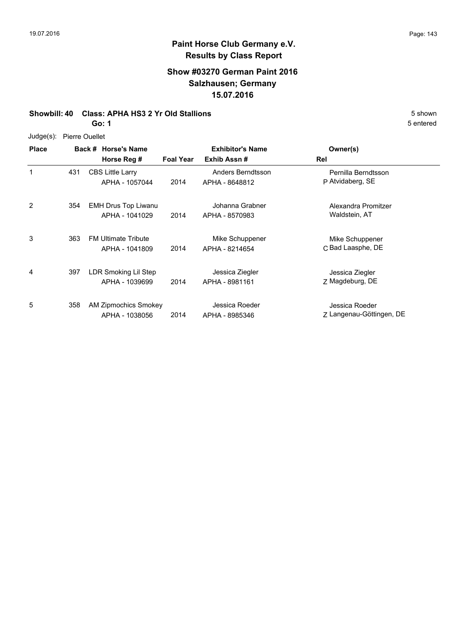### **Show #03270 German Paint 2016 Salzhausen; Germany 15.07.2016**

#### **Showbill: 40 Class: APHA HS3 2 Yr Old Stallions** 5 Shown 5 Shown

**Go: 1**

#### Judge(s): Pierre Ouellet

| <b>Place</b> |     | <b>Horse's Name</b><br>Back #<br>Horse Reg # | <b>Foal Year</b> | <b>Exhibitor's Name</b><br>Exhib Assn# | Owner(s)<br>Rel                            |
|--------------|-----|----------------------------------------------|------------------|----------------------------------------|--------------------------------------------|
| 1            | 431 | <b>CBS Little Larry</b><br>APHA - 1057044    | 2014             | Anders Berndtsson<br>APHA - 8648812    | Pernilla Berndtsson<br>P Atvidaberg, SE    |
| 2            | 354 | <b>EMH Drus Top Liwanu</b><br>APHA - 1041029 | 2014             | Johanna Grabner<br>APHA - 8570983      | Alexandra Promitzer<br>Waldstein, AT       |
| 3            | 363 | <b>FM Ultimate Tribute</b><br>APHA - 1041809 | 2014             | Mike Schuppener<br>APHA - 8214654      | Mike Schuppener<br>C Bad Laasphe, DE       |
| 4            | 397 | LDR Smoking Lil Step<br>APHA - 1039699       | 2014             | Jessica Ziegler<br>APHA - 8981161      | Jessica Ziegler<br>Z Magdeburg, DE         |
| 5            | 358 | AM Zipmochics Smokey<br>APHA - 1038056       | 2014             | Jessica Roeder<br>APHA - 8985346       | Jessica Roeder<br>Z Langenau-Göttingen, DE |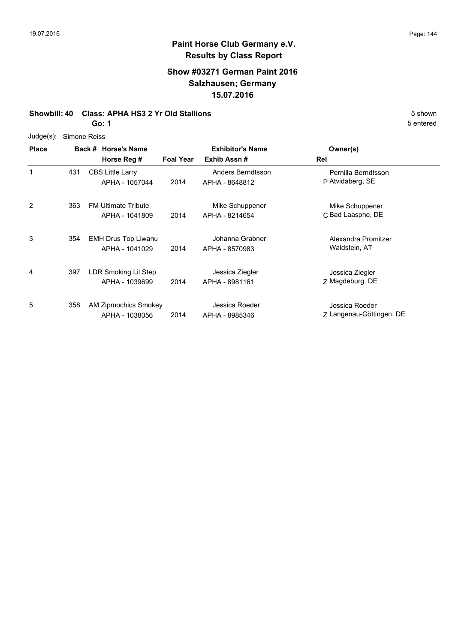### **Show #03271 German Paint 2016 Salzhausen; Germany 15.07.2016**

#### **Showbill: 40 Class: APHA HS3 2 Yr Old Stallions** 5 Shown 5 shown

**Go: 1**

| <b>Place</b> |     | Back # Horse's Name<br>Horse Reg #           | <b>Foal Year</b> | <b>Exhibitor's Name</b><br>Exhib Assn# | Owner(s)<br>Rel                            |
|--------------|-----|----------------------------------------------|------------------|----------------------------------------|--------------------------------------------|
| 1            | 431 | <b>CBS Little Larry</b><br>APHA - 1057044    | 2014             | Anders Berndtsson<br>APHA - 8648812    | Pernilla Berndtsson<br>P Atvidaberg, SE    |
| 2            | 363 | <b>FM Ultimate Tribute</b><br>APHA - 1041809 | 2014             | Mike Schuppener<br>APHA - 8214654      | Mike Schuppener<br>C Bad Laasphe, DE       |
| 3            | 354 | <b>EMH Drus Top Liwanu</b><br>APHA - 1041029 | 2014             | Johanna Grabner<br>APHA - 8570983      | Alexandra Promitzer<br>Waldstein, AT       |
| 4            | 397 | LDR Smoking Lil Step<br>APHA - 1039699       | 2014             | Jessica Ziegler<br>APHA - 8981161      | Jessica Ziegler<br>Z Magdeburg, DE         |
| 5            | 358 | AM Zipmochics Smokey<br>APHA - 1038056       | 2014             | Jessica Roeder<br>APHA - 8985346       | Jessica Roeder<br>Z Langenau-Göttingen, DE |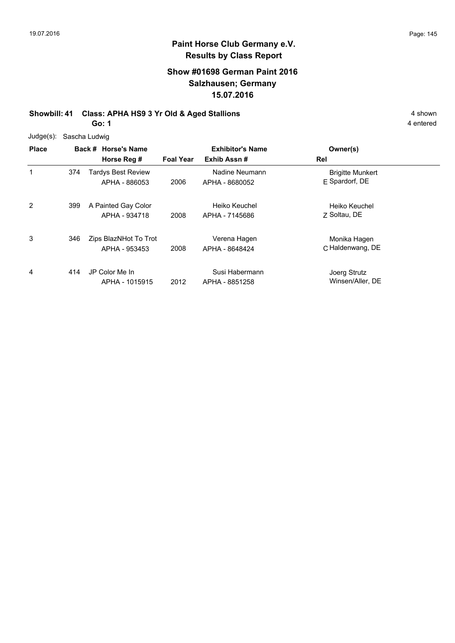# **Show #01698 German Paint 2016 Salzhausen; Germany 15.07.2016**

# **Showbill: 41 Class: APHA HS9 3 Yr Old & Aged Stallions** 4 shown

**Go: 1**

| $Judge(s)$ : |     | Sascha Ludwig                              |                  |                                        |                                           |
|--------------|-----|--------------------------------------------|------------------|----------------------------------------|-------------------------------------------|
| <b>Place</b> |     | Back # Horse's Name<br>Horse Reg #         | <b>Foal Year</b> | <b>Exhibitor's Name</b><br>Exhib Assn# | Owner(s)<br>Rel                           |
| 1            | 374 | <b>Tardys Best Review</b><br>APHA - 886053 | 2006             | Nadine Neumann<br>APHA - 8680052       | <b>Brigitte Munkert</b><br>E Spardorf, DE |
| 2            | 399 | A Painted Gay Color<br>APHA - 934718       | 2008             | Heiko Keuchel<br>APHA - 7145686        | Heiko Keuchel<br>7 Soltau, DE             |
| 3            | 346 | Zips BlazNHot To Trot<br>APHA - 953453     | 2008             | Verena Hagen<br>APHA - 8648424         | Monika Hagen<br>C Haldenwang, DE          |
| 4            | 414 | JP Color Me In<br>APHA - 1015915           | 2012             | Susi Habermann<br>APHA - 8851258       | Joerg Strutz<br>Winsen/Aller, DE          |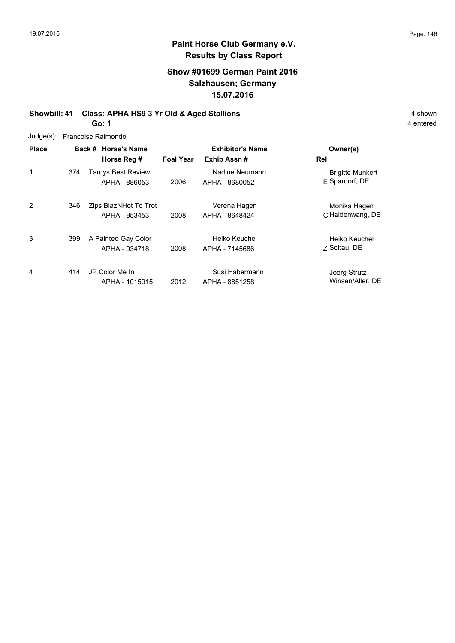# **Show #01699 German Paint 2016 Salzhausen; Germany 15.07.2016**

#### **Showbill: 41 Class: APHA HS9 3 Yr Old & Aged Stallions** 4 shown **Go: 1**

|  | Judge(s): Francoise Raimondo |  |
|--|------------------------------|--|
|--|------------------------------|--|

| <b>Place</b> |     | Back # Horse's Name                    | <b>Exhibitor's Name</b> |                                  | Owner(s)                                    |  |
|--------------|-----|----------------------------------------|-------------------------|----------------------------------|---------------------------------------------|--|
|              |     | Horse Reg #                            | <b>Foal Year</b>        | Exhib Assn#                      | Rel                                         |  |
| 1            | 374 | Tardys Best Review<br>APHA - 886053    | 2006                    | Nadine Neumann<br>APHA - 8680052 | <b>Brigitte Munkert</b><br>$E$ Spardorf, DE |  |
| 2            | 346 | Zips BlazNHot To Trot<br>APHA - 953453 | 2008                    | Verena Hagen<br>APHA - 8648424   | Monika Hagen<br>C Haldenwang, DE            |  |
| 3            | 399 | A Painted Gay Color<br>APHA - 934718   | 2008                    | Heiko Keuchel<br>APHA - 7145686  | Heiko Keuchel<br>7 Soltau, DE               |  |
| 4            | 414 | JP Color Me In<br>APHA - 1015915       | 2012                    | Susi Habermann<br>APHA - 8851258 | Joerg Strutz<br>Winsen/Aller, DE            |  |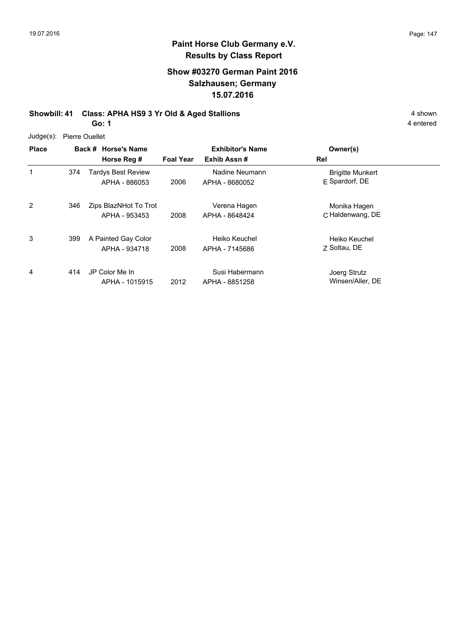# **Paint Horse Club Germany e.V. Results by Class Report**

# **Show #03270 German Paint 2016 Salzhausen; Germany 15.07.2016**

# **Showbill: 41 Class: APHA HS9 3 Yr Old & Aged Stallions** 4 shown 4 shown

**Go: 1**

Judge(s): Pierre Ouellet

| <b>Place</b> |     | Back # Horse's Name<br>Horse Reg #         | <b>Foal Year</b> | <b>Exhibitor's Name</b><br>Exhib Assn# | Owner(s)<br>Rel                           |
|--------------|-----|--------------------------------------------|------------------|----------------------------------------|-------------------------------------------|
|              | 374 | <b>Tardys Best Review</b><br>APHA - 886053 | 2006             | Nadine Neumann<br>APHA - 8680052       | <b>Brigitte Munkert</b><br>E Spardorf, DE |
| 2            | 346 | Zips BlazNHot To Trot<br>APHA - 953453     | 2008             | Verena Hagen<br>APHA - 8648424         | Monika Hagen<br>C Haldenwang, DE          |
| 3            | 399 | A Painted Gay Color<br>APHA - 934718       | 2008             | Heiko Keuchel<br>APHA - 7145686        | Heiko Keuchel<br>7 Soltau, DE             |
| 4            | 414 | JP Color Me In<br>APHA - 1015915           | 2012             | Susi Habermann<br>APHA - 8851258       | Joerg Strutz<br>Winsen/Aller, DE          |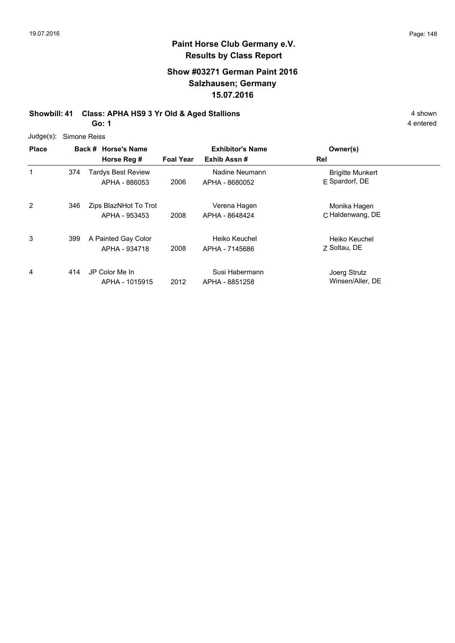# **Show #03271 German Paint 2016 Salzhausen; Germany 15.07.2016**

#### **Showbill: 41 Class: APHA HS9 3 Yr Old & Aged Stallions** 4 shown 4 shown **Go: 1**

| Judge(s): Simone Reiss |
|------------------------|
|                        |

| <b>Place</b> |     | Back # Horse's Name<br>Horse Reg #         | <b>Foal Year</b> | <b>Exhibitor's Name</b><br>Exhib Assn# | Owner(s)<br>Rel                             |  |
|--------------|-----|--------------------------------------------|------------------|----------------------------------------|---------------------------------------------|--|
| 1            | 374 | <b>Tardys Best Review</b><br>APHA - 886053 | 2006             | Nadine Neumann<br>APHA - 8680052       | <b>Brigitte Munkert</b><br>$E$ Spardorf, DE |  |
| 2            | 346 | Zips BlazNHot To Trot<br>APHA - 953453     | 2008             | Verena Hagen<br>APHA - 8648424         | Monika Hagen<br>C Haldenwang, DE            |  |
| 3            | 399 | A Painted Gay Color<br>APHA - 934718       | 2008             | Heiko Keuchel<br>APHA - 7145686        | Heiko Keuchel<br>7 Soltau, DE               |  |
| 4            | 414 | JP Color Me In<br>APHA - 1015915           | 2012             | Susi Habermann<br>APHA - 8851258       | Joerg Strutz<br>Winsen/Aller, DE            |  |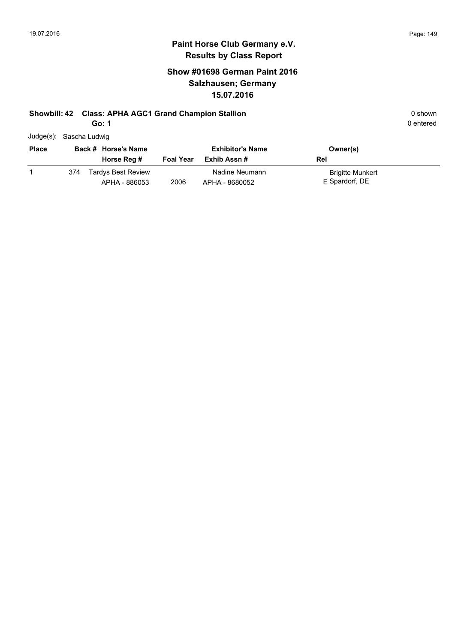# **Show #01698 German Paint 2016 Salzhausen; Germany 15.07.2016**

## **Showbill: 42 Class: APHA AGC1 Grand Champion Stallion Campion Stallion** 0 shown

**Go: 1**

| Judge(s): Sascha Ludwig |  |
|-------------------------|--|
|                         |  |

| <b>Place</b> |     | Back # Horse's Name                        |                  | <b>Exhibitor's Name</b>          | Owner(s)                                  |
|--------------|-----|--------------------------------------------|------------------|----------------------------------|-------------------------------------------|
|              |     | Horse Reg #                                | <b>Foal Year</b> | Exhib Assn #                     | Rel                                       |
|              | 374 | <b>Tardys Best Review</b><br>APHA - 886053 | 2006             | Nadine Neumann<br>APHA - 8680052 | <b>Brigitte Munkert</b><br>E Spardorf, DE |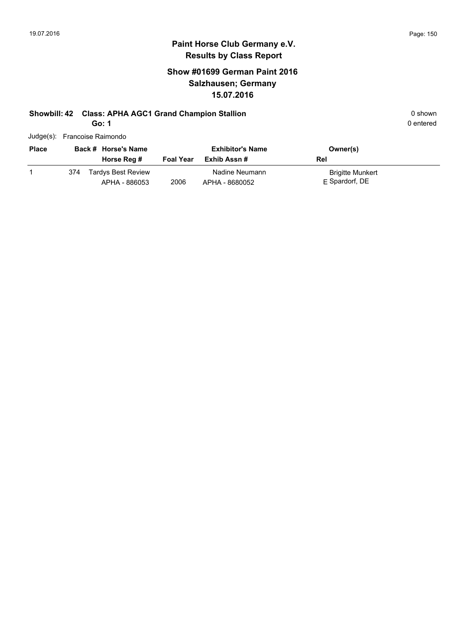# **Paint Horse Club Germany e.V. Results by Class Report**

# **Show #01699 German Paint 2016 Salzhausen; Germany 15.07.2016**

# **Showbill: 42 Class: APHA AGC1 Grand Champion Stallion Campion Stallion** 0 shown

**Go: 1**

Judge(s): Francoise Raimondo

| <b>Place</b> |     | Back # Horse's Name<br>Horse Reg #  | <b>Foal Year</b> | <b>Exhibitor's Name</b><br>Exhib Assn # | Owner(s)<br>Rel                           |
|--------------|-----|-------------------------------------|------------------|-----------------------------------------|-------------------------------------------|
|              | 374 | Tardys Best Review<br>APHA - 886053 | 2006             | Nadine Neumann<br>APHA - 8680052        | <b>Brigitte Munkert</b><br>E Spardorf, DE |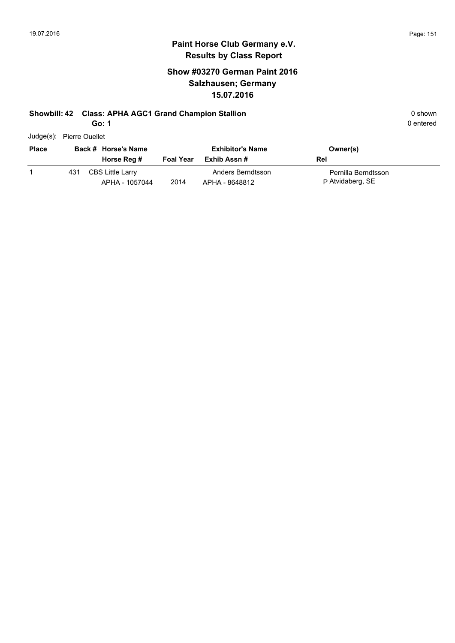# **Paint Horse Club Germany e.V. Results by Class Report**

# **Show #03270 German Paint 2016 Salzhausen; Germany 15.07.2016**

### **Showbill: 42 Class: APHA AGC1 Grand Champion Stallion Campion Stallion** 0 shown

| Judge(s): Pierre Ouellet |
|--------------------------|
|                          |

| <b>Place</b> |     | Back # Horse's Name<br>Horse Reg # | <b>Foal Year</b> | <b>Exhibitor's Name</b><br>Exhib Assn # | Owner(s)<br>Rel                         |
|--------------|-----|------------------------------------|------------------|-----------------------------------------|-----------------------------------------|
|              | 431 | CBS Little Larry<br>APHA - 1057044 | 2014             | Anders Berndtsson<br>APHA - 8648812     | Pernilla Berndtsson<br>P Atvidaberg, SE |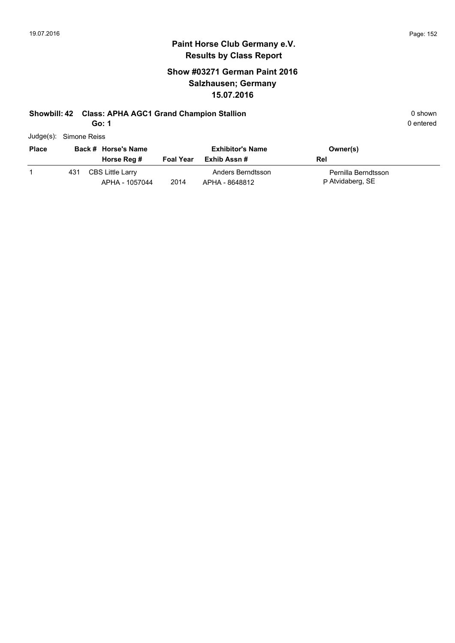# **Paint Horse Club Germany e.V. Results by Class Report**

# **Show #03271 German Paint 2016 Salzhausen; Germany 15.07.2016**

### **Showbill: 42 Class: APHA AGC1 Grand Champion Stallion Canadian Class Construction** 0 shown

| <b>Place</b> |     | Back # Horse's Name                |                  | <b>Exhibitor's Name</b>             | Owner(s)                                |  |
|--------------|-----|------------------------------------|------------------|-------------------------------------|-----------------------------------------|--|
|              |     | Horse Reg #                        | <b>Foal Year</b> | Exhib Assn #                        | Rel                                     |  |
|              | 431 | CBS Little Larry<br>APHA - 1057044 | 2014             | Anders Berndtsson<br>APHA - 8648812 | Pernilla Berndtsson<br>P Atvidaberg, SE |  |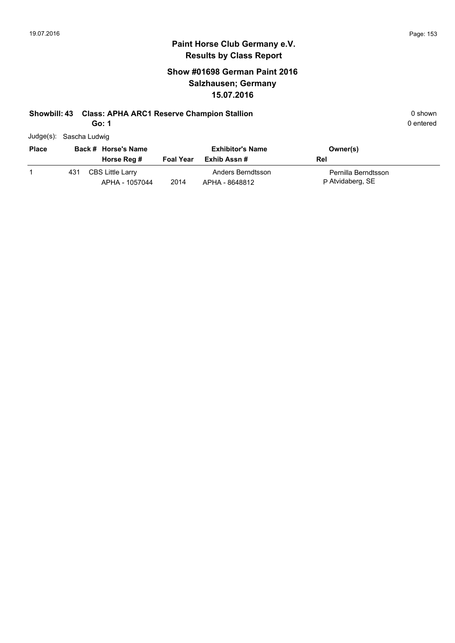# **Paint Horse Club Germany e.V. Results by Class Report**

# **Show #01698 German Paint 2016 Salzhausen; Germany 15.07.2016**

## **Showbill: 43 Class: APHA ARC1 Reserve Champion Stallion Canadian Class Class APHA ARC1 Reserve Champion Stallion**

**Go: 1**

| -------- |  |  |
|----------|--|--|
|          |  |  |
|          |  |  |
|          |  |  |
|          |  |  |
|          |  |  |

Judge(s): Sascha Ludwig

| <b>Place</b> |     | Back # Horse's Name                       |                  | <b>Exhibitor's Name</b>             | Owner(s)                                |
|--------------|-----|-------------------------------------------|------------------|-------------------------------------|-----------------------------------------|
|              |     | Horse Reg #                               | <b>Foal Year</b> | Exhib Assn #                        | Rel                                     |
|              | 431 | <b>CBS Little Larry</b><br>APHA - 1057044 | 2014             | Anders Berndtsson<br>APHA - 8648812 | Pernilla Berndtsson<br>P Atvidaberg, SE |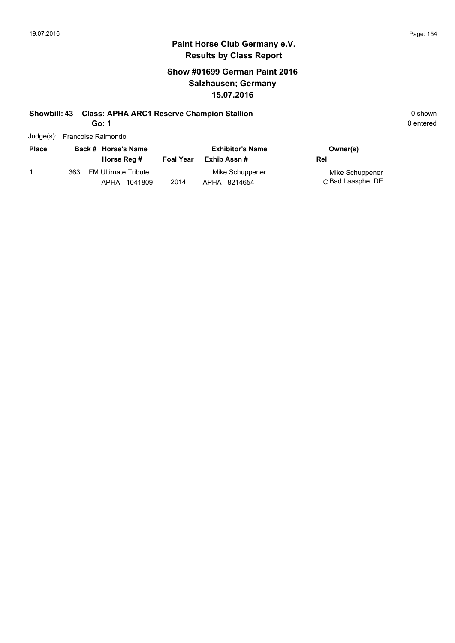# **Paint Horse Club Germany e.V. Results by Class Report**

# **Show #01699 German Paint 2016 Salzhausen; Germany 15.07.2016**

# **Showbill: 43 Class: APHA ARC1 Reserve Champion Stallion Canadian Class APHA ARC1 Reserve Champion Stallion 0 shown**

**Go: 1**

Judge(s): Francoise Raimondo

| <b>Place</b> |     | Back # Horse's Name<br>Horse Reg #           | <b>Foal Year</b> | <b>Exhibitor's Name</b><br>Exhib Assn # | Owner(s)<br>Rel                      |
|--------------|-----|----------------------------------------------|------------------|-----------------------------------------|--------------------------------------|
|              | 363 | <b>FM Ultimate Tribute</b><br>APHA - 1041809 | 2014             | Mike Schuppener<br>APHA - 8214654       | Mike Schuppener<br>C Bad Laasphe, DE |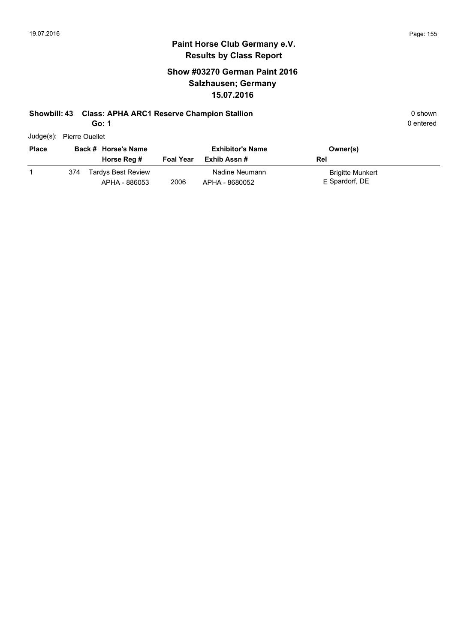# **Paint Horse Club Germany e.V. Results by Class Report**

# **Show #03270 German Paint 2016 Salzhausen; Germany 15.07.2016**

## **Showbill: 43 Class: APHA ARC1 Reserve Champion Stallion Canadian Class APHA ARC1 Reserve Champion Stallion 0 shown**

| Judge(s): Pierre Ouellet |  |
|--------------------------|--|
|                          |  |

| <b>Place</b> |     | Back # Horse's Name<br>Horse Reg #         | <b>Foal Year</b> | <b>Exhibitor's Name</b><br>Exhib Assn # | Owner(s)<br>Rel                           |
|--------------|-----|--------------------------------------------|------------------|-----------------------------------------|-------------------------------------------|
|              | 374 | <b>Tardys Best Review</b><br>APHA - 886053 | 2006             | Nadine Neumann<br>APHA - 8680052        | <b>Brigitte Munkert</b><br>E Spardorf, DE |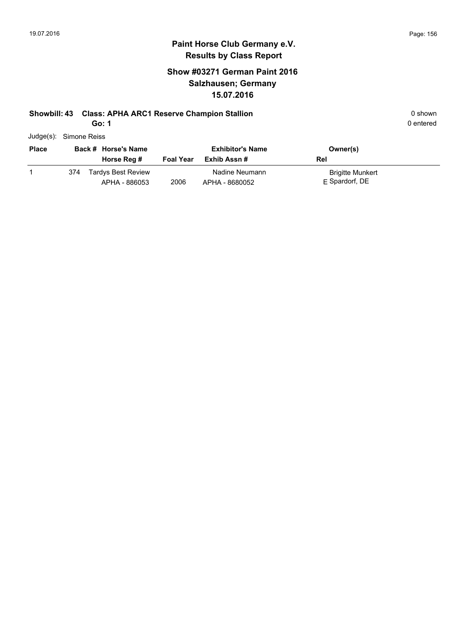# **Paint Horse Club Germany e.V. Results by Class Report**

# **Show #03271 German Paint 2016 Salzhausen; Germany 15.07.2016**

## **Showbill: 43 Class: APHA ARC1 Reserve Champion Stallion Canadian Class APHA ARC1 Reserve Champion Stallion 0 shown**

| Judge(s): Simone Reiss |     |                                            |                  |                                        |                                             |  |
|------------------------|-----|--------------------------------------------|------------------|----------------------------------------|---------------------------------------------|--|
| <b>Place</b>           |     | Back # Horse's Name<br>Horse Reg #         | <b>Foal Year</b> | <b>Exhibitor's Name</b><br>Exhib Assn# | Owner(s)<br>Rel                             |  |
|                        | 374 | <b>Tardys Best Review</b><br>APHA - 886053 | 2006             | Nadine Neumann<br>APHA - 8680052       | <b>Brigitte Munkert</b><br>$E$ Spardorf, DE |  |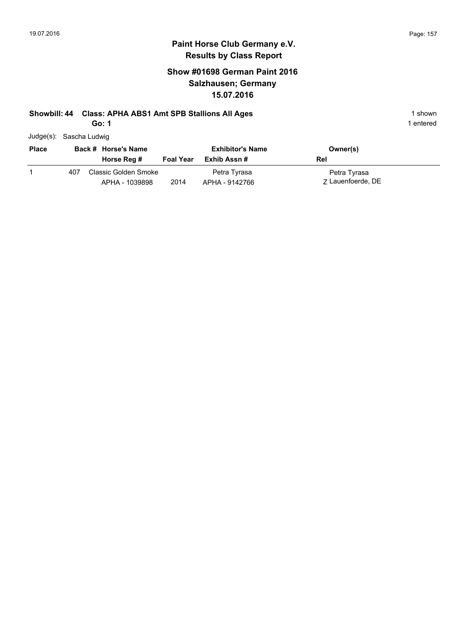# **Show #01698 German Paint 2016 Salzhausen; Germany 15.07.2016**

# **Showbill: 44 Class: APHA ABS1 Amt SPB Stallions All Ages** 1 shown

**Go: 1**

| Judge(s): Sascha Ludwig |
|-------------------------|
|                         |

| <b>Place</b> |     | Back # Horse's Name                    |                  | <b>Exhibitor's Name</b>        | Owner(s)                          |
|--------------|-----|----------------------------------------|------------------|--------------------------------|-----------------------------------|
|              |     | Horse Reg #                            | <b>Foal Year</b> | Exhib Assn #                   | Rel                               |
|              | 407 | Classic Golden Smoke<br>APHA - 1039898 | 2014             | Petra Tyrasa<br>APHA - 9142766 | Petra Tyrasa<br>7 Lauenfoerde, DE |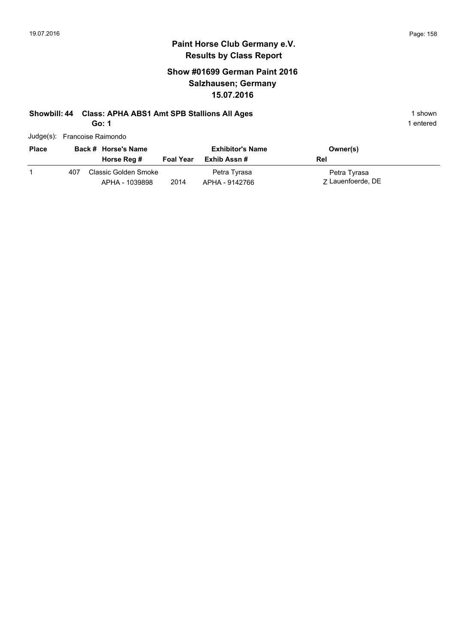# **Show #01699 German Paint 2016 Salzhausen; Germany 15.07.2016**

# **Showbill: 44 Class: APHA ABS1 Amt SPB Stallions All Ages** 1 shown

**Go: 1**

| Judge(s): Francoise Raimondo |  |
|------------------------------|--|
|                              |  |

| <b>Place</b> |     | Back # Horse's Name<br>Horse Reg #     | <b>Foal Year</b> | <b>Exhibitor's Name</b><br>Exhib Assn # | Owner(s)<br>Rel                   |
|--------------|-----|----------------------------------------|------------------|-----------------------------------------|-----------------------------------|
|              | 407 | Classic Golden Smoke<br>APHA - 1039898 | 2014             | Petra Tyrasa<br>APHA - 9142766          | Petra Tyrasa<br>7 Lauenfoerde, DE |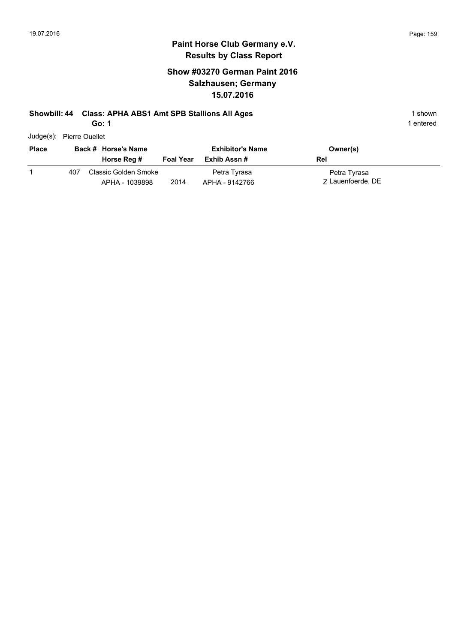## **Paint Horse Club Germany e.V. Results by Class Report**

# **Show #03270 German Paint 2016 Salzhausen; Germany 15.07.2016**

# **Showbill: 44 Class: APHA ABS1 Amt SPB Stallions All Ages** 1 shown

**Go: 1**

Judge(s): Pierre Ouellet

| <b>Place</b> |     | Back # Horse's Name<br>Horse Reg #     | <b>Foal Year</b> | <b>Exhibitor's Name</b><br>Exhib Assn # | Owner(s)<br>Rel                   |
|--------------|-----|----------------------------------------|------------------|-----------------------------------------|-----------------------------------|
|              | 407 | Classic Golden Smoke<br>APHA - 1039898 | 2014             | Petra Tyrasa<br>APHA - 9142766          | Petra Tyrasa<br>7 Lauenfoerde, DE |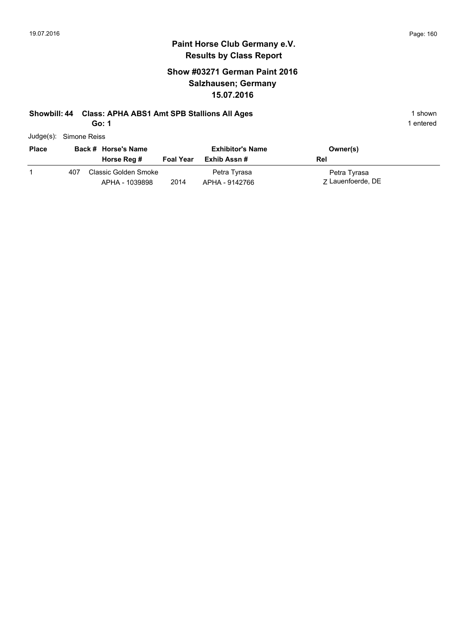# **Show #03271 German Paint 2016 Salzhausen; Germany 15.07.2016**

# **Showbill: 44 Class: APHA ABS1 Amt SPB Stallions All Ages** 1 shown

**Go: 1**

| Judge(s): Simone Reiss |
|------------------------|

| <b>Place</b> |     | Back # Horse's Name<br>Horse Reg #     | <b>Foal Year</b> | <b>Exhibitor's Name</b><br>Exhib Assn # | Owner(s)<br>Rel                   |
|--------------|-----|----------------------------------------|------------------|-----------------------------------------|-----------------------------------|
|              | 407 | Classic Golden Smoke<br>APHA - 1039898 | 2014             | Petra Tyrasa<br>APHA - 9142766          | Petra Tyrasa<br>7 Lauenfoerde, DE |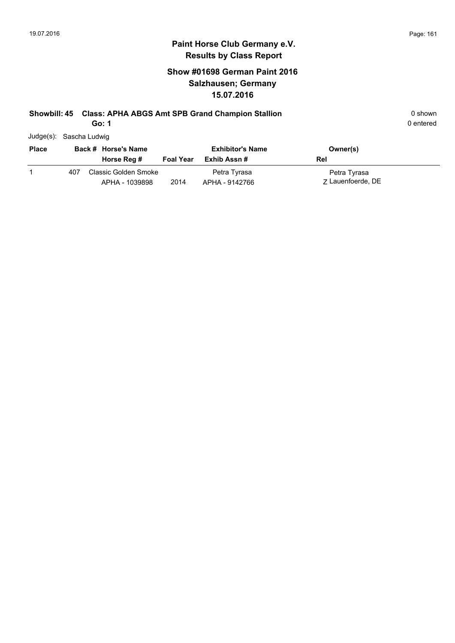# **Show #01698 German Paint 2016 Salzhausen; Germany 15.07.2016**

## **Showbill: 45 Class: APHA ABGS Amt SPB Grand Champion Stallion** 0 shown 0 shown

**Go: 1**

| Judge(s): Sascha Ludwig |  |
|-------------------------|--|
|                         |  |

| <b>Place</b> |     | Back # Horse's Name<br>Horse Reg #     | <b>Foal Year</b> | <b>Exhibitor's Name</b><br>Exhib Assn # | Owner(s)<br>Rel                   |
|--------------|-----|----------------------------------------|------------------|-----------------------------------------|-----------------------------------|
|              | 407 | Classic Golden Smoke<br>APHA - 1039898 | 2014             | Petra Tyrasa<br>APHA - 9142766          | Petra Tyrasa<br>7 Lauenfoerde, DE |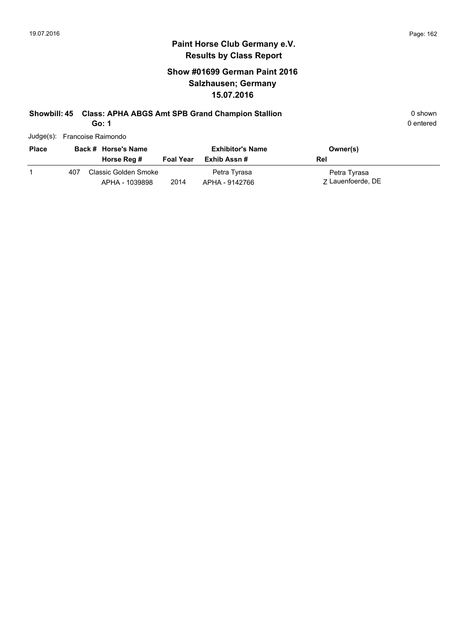# **Show #01699 German Paint 2016 Salzhausen; Germany 15.07.2016**

# **Showbill: 45 Class: APHA ABGS Amt SPB Grand Champion Stallion** 0 shown

**Go: 1**

| Judge(s): Francoise Raimondo |  |
|------------------------------|--|
|                              |  |

| <b>Place</b> |     | Back # Horse's Name                    |                  | <b>Exhibitor's Name</b>        | Owner(s)                          |
|--------------|-----|----------------------------------------|------------------|--------------------------------|-----------------------------------|
|              |     | Horse Reg #                            | <b>Foal Year</b> | Exhib Assn #                   | Rel                               |
|              | 407 | Classic Golden Smoke<br>APHA - 1039898 | 2014             | Petra Tyrasa<br>APHA - 9142766 | Petra Tyrasa<br>7 Lauenfoerde, DE |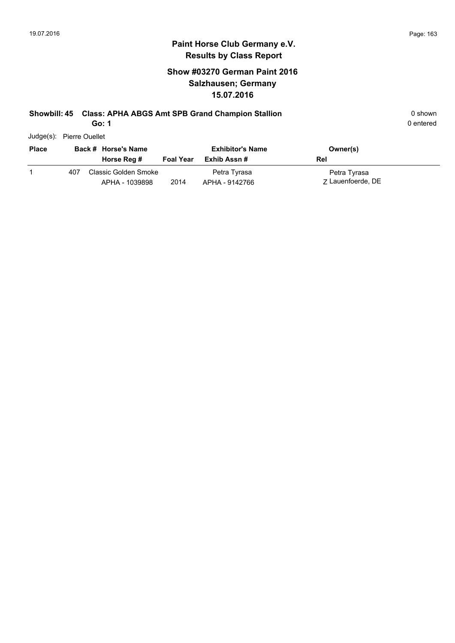# **Show #03270 German Paint 2016 Salzhausen; Germany 15.07.2016**

## **Showbill: 45 Class: APHA ABGS Amt SPB Grand Champion Stallion** 0 shown 0 shown

**Go: 1**

0 entered

Judge(s): Pierre Ouellet

| <b>Place</b> |     | Back # Horse's Name<br>Horse Reg #     | <b>Foal Year</b> | <b>Exhibitor's Name</b><br>Exhib Assn # | Owner(s)<br>Rel                   |
|--------------|-----|----------------------------------------|------------------|-----------------------------------------|-----------------------------------|
|              | 407 | Classic Golden Smoke<br>APHA - 1039898 | 2014             | Petra Tyrasa<br>APHA - 9142766          | Petra Tyrasa<br>7 Lauenfoerde, DE |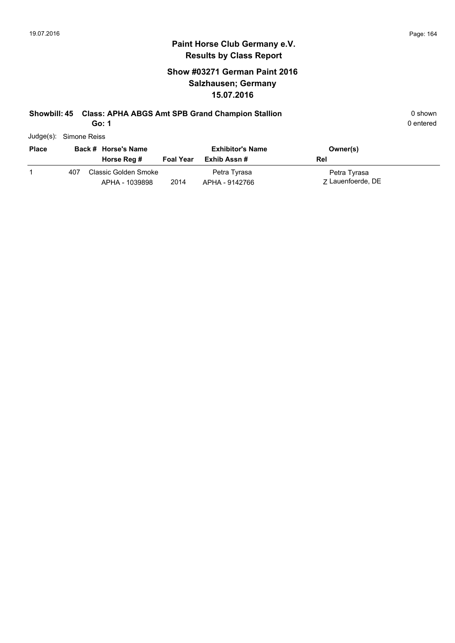# **Show #03271 German Paint 2016 Salzhausen; Germany 15.07.2016**

## **Showbill: 45 Class: APHA ABGS Amt SPB Grand Champion Stallion** 0 shown

**Go: 1**

| Judge(s): Simone Reiss |
|------------------------|
|                        |

| <b>Place</b> |     | Back # Horse's Name                    |                  | <b>Exhibitor's Name</b>        | Owner(s)                          |
|--------------|-----|----------------------------------------|------------------|--------------------------------|-----------------------------------|
|              |     | Horse Reg #                            | <b>Foal Year</b> | Exhib Assn #                   | Rel                               |
|              | 407 | Classic Golden Smoke<br>APHA - 1039898 | 2014             | Petra Tyrasa<br>APHA - 9142766 | Petra Tyrasa<br>7 Lauenfoerde, DE |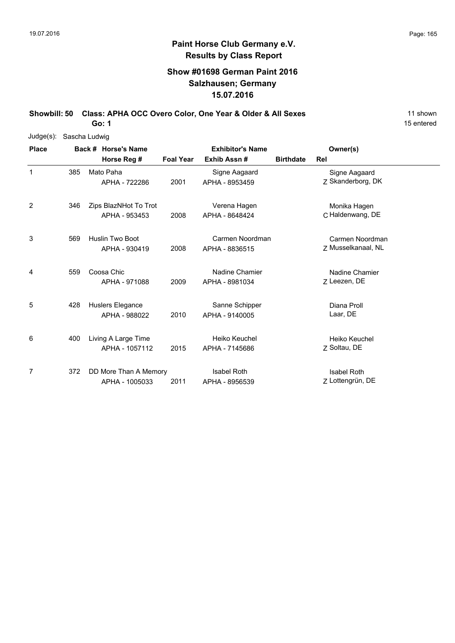15 entered

# **Paint Horse Club Germany e.V. Results by Class Report**

# **Show #01698 German Paint 2016 Salzhausen; Germany 15.07.2016**

Showbill: 50 Class: APHA OCC Overo Color, One Year & Older & All Sexes 11 shown

| Judge(s): Sascha Ludwig |     |                       |                  |                         |                  |                    |
|-------------------------|-----|-----------------------|------------------|-------------------------|------------------|--------------------|
| <b>Place</b>            |     | Back # Horse's Name   |                  | <b>Exhibitor's Name</b> |                  | Owner(s)           |
|                         |     | Horse Reg #           | <b>Foal Year</b> | Exhib Assn#             | <b>Birthdate</b> | Rel                |
| 1                       | 385 | Mato Paha             |                  | Signe Aagaard           |                  | Signe Aagaard      |
|                         |     | APHA - 722286         | 2001             | APHA - 8953459          |                  | Z Skanderborg, DK  |
| 2                       | 346 | Zips BlazNHot To Trot |                  | Verena Hagen            |                  | Monika Hagen       |
|                         |     | APHA - 953453         | 2008             | APHA - 8648424          |                  | C Haldenwang, DE   |
| 3                       | 569 | Huslin Two Boot       |                  | Carmen Noordman         |                  | Carmen Noordman    |
|                         |     | APHA - 930419         | 2008             | APHA - 8836515          |                  | Z Musselkanaal, NL |
| 4                       | 559 | Coosa Chic            |                  | Nadine Chamier          |                  | Nadine Chamier     |
|                         |     | APHA - 971088         | 2009             | APHA - 8981034          |                  | Z Leezen, DE       |
| 5                       | 428 | Huslers Elegance      |                  | Sanne Schipper          |                  | Diana Proll        |
|                         |     | APHA - 988022         | 2010             | APHA - 9140005          |                  | Laar, DE           |
| 6                       | 400 | Living A Large Time   |                  | Heiko Keuchel           |                  | Heiko Keuchel      |
|                         |     | APHA - 1057112        | 2015             | APHA - 7145686          |                  | Z Soltau, DE       |
| 7                       | 372 | DD More Than A Memory |                  | <b>Isabel Roth</b>      |                  | <b>Isabel Roth</b> |
|                         |     | APHA - 1005033        | 2011             | APHA - 8956539          |                  | Z Lottengrün, DE   |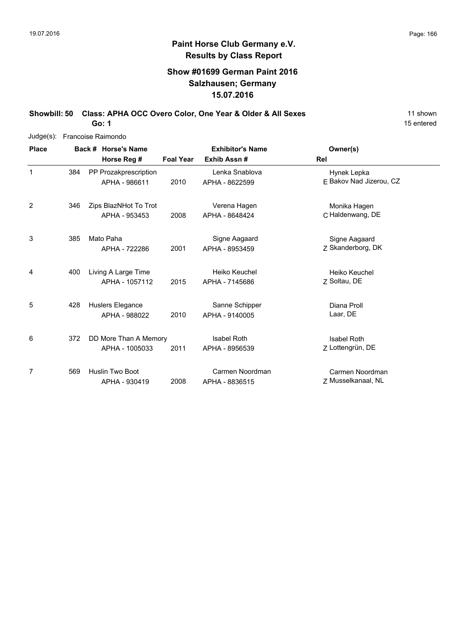# **Paint Horse Club Germany e.V. Results by Class Report**

# **Show #01699 German Paint 2016 Salzhausen; Germany 15.07.2016**

Showbill: 50 Class: APHA OCC Overo Color, One Year & Older & All Sexes 11 shown

| Judge(s):      |     | Francoise Raimondo |                                        |                  |                                  |                                        |  |  |  |  |
|----------------|-----|--------------------|----------------------------------------|------------------|----------------------------------|----------------------------------------|--|--|--|--|
| <b>Place</b>   |     |                    | Back # Horse's Name                    |                  | <b>Exhibitor's Name</b>          | Owner(s)                               |  |  |  |  |
|                |     |                    | Horse Reg #                            | <b>Foal Year</b> | Exhib Assn#                      | Rel                                    |  |  |  |  |
| 1              | 384 |                    | PP Prozakprescription<br>APHA - 986611 | 2010             | Lenka Snablova<br>APHA - 8622599 | Hynek Lepka<br>E Bakov Nad Jizerou, CZ |  |  |  |  |
|                |     |                    |                                        |                  |                                  |                                        |  |  |  |  |
| 2              | 346 |                    | Zips BlazNHot To Trot                  |                  | Verena Hagen                     | Monika Hagen                           |  |  |  |  |
|                |     |                    | APHA - 953453                          | 2008             | APHA - 8648424                   | C Haldenwang, DE                       |  |  |  |  |
| 3              | 385 |                    | Mato Paha                              |                  | Signe Aagaard                    | Signe Aagaard                          |  |  |  |  |
|                |     |                    | APHA - 722286                          | 2001             | APHA - 8953459                   | Z Skanderborg, DK                      |  |  |  |  |
| 4              | 400 |                    | Living A Large Time                    |                  | Heiko Keuchel                    | Heiko Keuchel                          |  |  |  |  |
|                |     |                    | APHA - 1057112                         | 2015             | APHA - 7145686                   | Z Soltau, DE                           |  |  |  |  |
| 5              | 428 |                    | Huslers Elegance                       |                  | Sanne Schipper                   | Diana Proll                            |  |  |  |  |
|                |     |                    | APHA - 988022                          | 2010             | APHA - 9140005                   | Laar, DE                               |  |  |  |  |
| 6              | 372 |                    | DD More Than A Memory                  |                  | <b>Isabel Roth</b>               | <b>Isabel Roth</b>                     |  |  |  |  |
|                |     |                    | APHA - 1005033                         | 2011             | APHA - 8956539                   | Z Lottengrün, DE                       |  |  |  |  |
| $\overline{7}$ | 569 |                    | <b>Huslin Two Boot</b>                 |                  | Carmen Noordman                  | Carmen Noordman                        |  |  |  |  |
|                |     |                    | APHA - 930419                          | 2008             | APHA - 8836515                   | Z Musselkanaal, NL                     |  |  |  |  |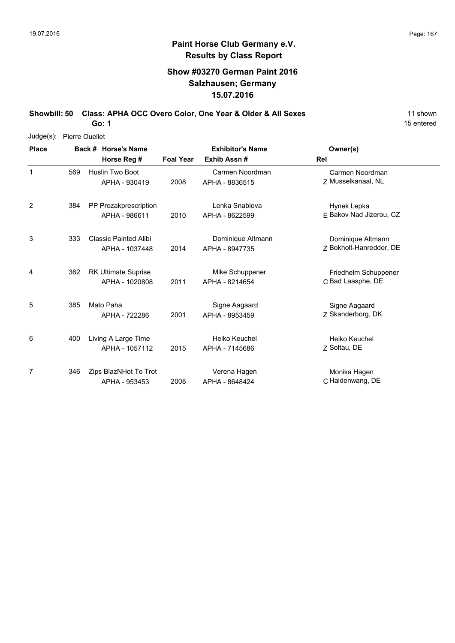# **Show #03270 German Paint 2016 Salzhausen; Germany 15.07.2016**

Showbill: 50 Class: APHA OCC Overo Color, One Year & Older & All Sexes 11 shown **Go: 1**

15 entered

Judge(s): Pierre Ouellet

| <b>Place</b> |     | Back # Horse's Name                            | <b>Exhibitor's Name</b> |                                     | Owner(s)                                     |
|--------------|-----|------------------------------------------------|-------------------------|-------------------------------------|----------------------------------------------|
|              |     | Horse Reg #                                    | <b>Foal Year</b>        | Exhib Assn#                         | Rel                                          |
| $\mathbf{1}$ | 569 | <b>Huslin Two Boot</b><br>APHA - 930419        | 2008                    | Carmen Noordman<br>APHA - 8836515   | Carmen Noordman<br>Z Musselkanaal, NL        |
| 2            | 384 | PP Prozakprescription<br>APHA - 986611         | 2010                    | Lenka Snablova<br>APHA - 8622599    | Hynek Lepka<br>F Bakov Nad Jizerou, CZ       |
| 3            | 333 | <b>Classic Painted Alibi</b><br>APHA - 1037448 | 2014                    | Dominique Altmann<br>APHA - 8947735 | Dominique Altmann<br>Z Bokholt-Hanredder, DE |
| 4            | 362 | <b>RK Ultimate Suprise</b><br>APHA - 1020808   | 2011                    | Mike Schuppener<br>APHA - 8214654   | Friedhelm Schuppener<br>C Bad Laasphe, DE    |
| 5            | 385 | Mato Paha<br>APHA - 722286                     | 2001                    | Signe Aagaard<br>APHA - 8953459     | Signe Aagaard<br>Z Skanderborg, DK           |
| 6            | 400 | Living A Large Time<br>APHA - 1057112          | 2015                    | Heiko Keuchel<br>APHA - 7145686     | Heiko Keuchel<br>Z Soltau, DE                |
| 7            | 346 | Zips BlazNHot To Trot<br>APHA - 953453         | 2008                    | Verena Hagen<br>APHA - 8648424      | Monika Hagen<br>C Haldenwang, DE             |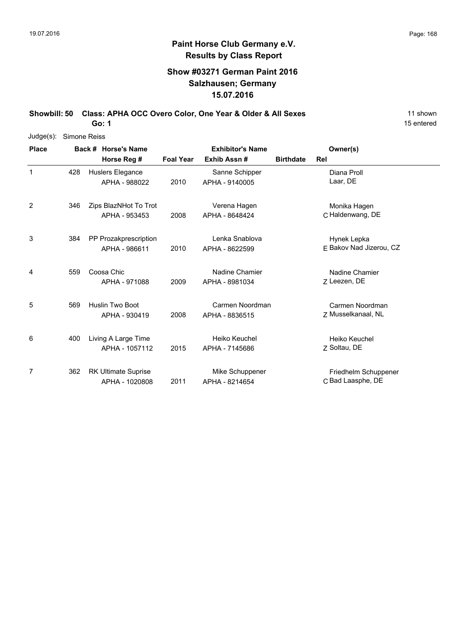# **Paint Horse Club Germany e.V. Results by Class Report**

# **Show #03271 German Paint 2016 Salzhausen; Germany 15.07.2016**

Showbill: 50 Class: APHA OCC Overo Color, One Year & Older & All Sexes 11 shown

| Judge(s):      |     | Simone Reiss |                            |                  |                         |                  |                         |  |  |  |  |
|----------------|-----|--------------|----------------------------|------------------|-------------------------|------------------|-------------------------|--|--|--|--|
| <b>Place</b>   |     |              | Back # Horse's Name        |                  | <b>Exhibitor's Name</b> |                  | Owner(s)                |  |  |  |  |
|                |     |              | Horse Reg #                | <b>Foal Year</b> | Exhib Assn#             | <b>Birthdate</b> | Rel                     |  |  |  |  |
| 1              | 428 |              | Huslers Elegance           |                  | Sanne Schipper          |                  | Diana Proll             |  |  |  |  |
|                |     |              | APHA - 988022              | 2010             | APHA - 9140005          |                  | Laar, DE                |  |  |  |  |
| $\overline{2}$ | 346 |              | Zips BlazNHot To Trot      |                  | Verena Hagen            |                  | Monika Hagen            |  |  |  |  |
|                |     |              | APHA - 953453              | 2008             | APHA - 8648424          |                  | C Haldenwang, DE        |  |  |  |  |
| 3              | 384 |              | PP Prozakprescription      |                  | Lenka Snablova          |                  | Hynek Lepka             |  |  |  |  |
|                |     |              | APHA - 986611              | 2010             | APHA - 8622599          |                  | E Bakov Nad Jizerou, CZ |  |  |  |  |
| 4              | 559 |              | Coosa Chic                 |                  | Nadine Chamier          |                  | Nadine Chamier          |  |  |  |  |
|                |     |              | APHA - 971088              | 2009             | APHA - 8981034          |                  | Z Leezen, DE            |  |  |  |  |
| 5              | 569 |              | <b>Huslin Two Boot</b>     |                  | Carmen Noordman         |                  | Carmen Noordman         |  |  |  |  |
|                |     |              | APHA - 930419              | 2008             | APHA - 8836515          |                  | Z Musselkanaal, NL      |  |  |  |  |
| 6              | 400 |              | Living A Large Time        |                  | Heiko Keuchel           |                  | Heiko Keuchel           |  |  |  |  |
|                |     |              | APHA - 1057112             | 2015             | APHA - 7145686          |                  | Z Soltau, DE            |  |  |  |  |
| 7              | 362 |              | <b>RK Ultimate Suprise</b> |                  | Mike Schuppener         |                  | Friedhelm Schuppener    |  |  |  |  |
|                |     |              | APHA - 1020808             | 2011             | APHA - 8214654          |                  | C Bad Laasphe, DE       |  |  |  |  |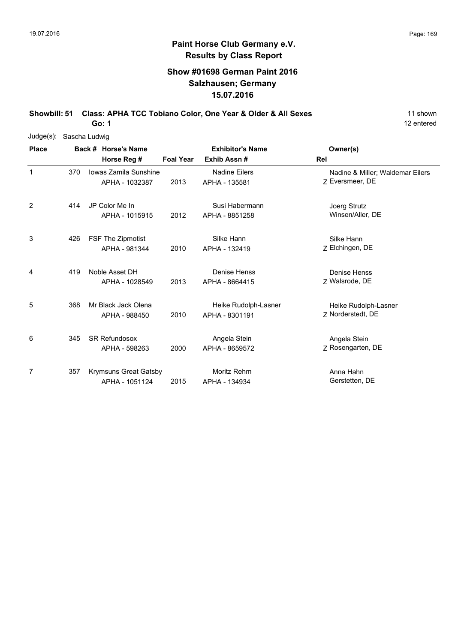# **Paint Horse Club Germany e.V. Results by Class Report**

## **Show #01698 German Paint 2016 Salzhausen; Germany 15.07.2016**

Showbill: 51 Class: APHA TCC Tobiano Color, One Year & Older & All Sexes 11 shown

| $Judge(s)$ : |     | Sascha Ludwig                           |                  |                                        |                                                     |
|--------------|-----|-----------------------------------------|------------------|----------------------------------------|-----------------------------------------------------|
| <b>Place</b> |     | Back # Horse's Name                     |                  | <b>Exhibitor's Name</b>                | Owner(s)                                            |
|              |     | Horse Reg #                             | <b>Foal Year</b> | Exhib Assn#                            | Rel                                                 |
| $\mathbf{1}$ | 370 | Jowas Zamila Sunshine<br>APHA - 1032387 | 2013             | <b>Nadine Eilers</b><br>APHA - 135581  | Nadine & Miller; Waldemar Eilers<br>Z Eversmeer, DE |
| 2            | 414 | JP Color Me In<br>APHA - 1015915        | 2012             | Susi Habermann<br>APHA - 8851258       | Joerg Strutz<br>Winsen/Aller, DE                    |
| 3            | 426 | FSF The Zipmotist<br>APHA - 981344      | 2010             | Silke Hann<br>APHA - 132419            | Silke Hann<br>Z Elchingen, DE                       |
| 4            | 419 | Noble Asset DH<br>APHA - 1028549        | 2013             | Denise Henss<br>APHA - 8664415         | Denise Henss<br>Z Walsrode, DE                      |
| 5            | 368 | Mr Black Jack Olena<br>APHA - 988450    | 2010             | Heike Rudolph-Lasner<br>APHA - 8301191 | Heike Rudolph-Lasner<br>7 Norderstedt, DE           |
| 6            | 345 | <b>SR Refundosox</b><br>APHA - 598263   | 2000             | Angela Stein<br>APHA - 8659572         | Angela Stein<br>Z Rosengarten, DE                   |
| 7            | 357 | Krymsuns Great Gatsby<br>APHA - 1051124 | 2015             | Moritz Rehm<br>APHA - 134934           | Anna Hahn<br>Gerstetten, DE                         |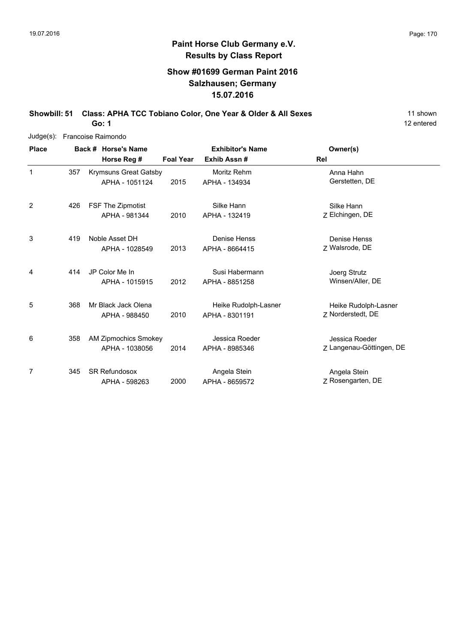## **Show #01699 German Paint 2016 Salzhausen; Germany 15.07.2016**

Showbill: 51 Class: APHA TCC Tobiano Color, One Year & Older & All Sexes 11 shown

12 entered

|              |     | Judge(s): Francoise Raimondo |                             |                  |                         |                          |  |  |  |  |
|--------------|-----|------------------------------|-----------------------------|------------------|-------------------------|--------------------------|--|--|--|--|
| <b>Place</b> |     |                              | Back # Horse's Name         |                  | <b>Exhibitor's Name</b> | Owner(s)                 |  |  |  |  |
|              |     |                              | Horse Reg #                 | <b>Foal Year</b> | Exhib Assn#             | Rel                      |  |  |  |  |
| 1            | 357 |                              | Krymsuns Great Gatsby       |                  | Moritz Rehm             | Anna Hahn                |  |  |  |  |
|              |     |                              | APHA - 1051124              | 2015             | APHA - 134934           | Gerstetten, DE           |  |  |  |  |
| 2            | 426 |                              | FSF The Zipmotist           |                  | Silke Hann              | Silke Hann               |  |  |  |  |
|              |     |                              | APHA - 981344               | 2010             | APHA - 132419           | Z Elchingen, DE          |  |  |  |  |
| 3            | 419 |                              | Noble Asset DH              |                  | Denise Henss            | Denise Henss             |  |  |  |  |
|              |     |                              | APHA - 1028549              | 2013             | APHA - 8664415          | 7 Walsrode, DE           |  |  |  |  |
| 4            | 414 |                              | JP Color Me In              |                  | Susi Habermann          | Joerg Strutz             |  |  |  |  |
|              |     |                              | APHA - 1015915              | 2012             | APHA - 8851258          | Winsen/Aller, DE         |  |  |  |  |
| 5            | 368 |                              | Mr Black Jack Olena         |                  | Heike Rudolph-Lasner    | Heike Rudolph-Lasner     |  |  |  |  |
|              |     |                              | APHA - 988450               | 2010             | APHA - 8301191          | 7 Norderstedt, DE        |  |  |  |  |
| 6            | 358 |                              | <b>AM Zipmochics Smokey</b> |                  | Jessica Roeder          | Jessica Roeder           |  |  |  |  |
|              |     |                              | APHA - 1038056              | 2014             | APHA - 8985346          | Z Langenau-Göttingen, DE |  |  |  |  |
| 7            | 345 |                              | <b>SR Refundosox</b>        |                  | Angela Stein            | Angela Stein             |  |  |  |  |
|              |     |                              | APHA - 598263               | 2000             | APHA - 8659572          | Z Rosengarten, DE        |  |  |  |  |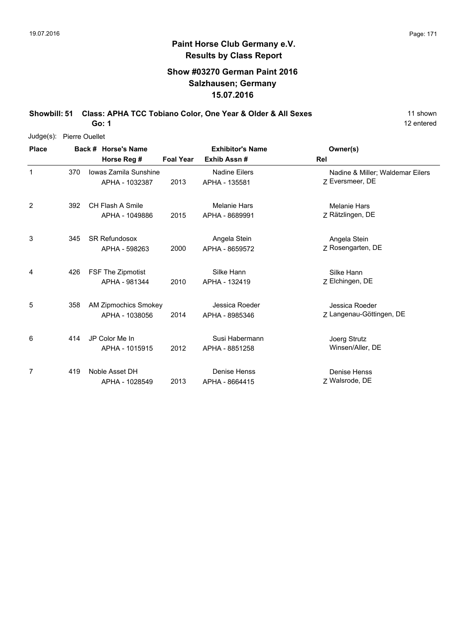# **Paint Horse Club Germany e.V. Results by Class Report**

## **Show #03270 German Paint 2016 Salzhausen; Germany 15.07.2016**

Showbill: 51 Class: APHA TCC Tobiano Color, One Year & Older & All Sexes 11 shown

| Judge(s):    | <b>Pierre Ouellet</b> |  |                                               |                  |                                       |                                                     |  |  |  |  |
|--------------|-----------------------|--|-----------------------------------------------|------------------|---------------------------------------|-----------------------------------------------------|--|--|--|--|
| <b>Place</b> |                       |  | Back # Horse's Name                           |                  | <b>Exhibitor's Name</b>               | Owner(s)                                            |  |  |  |  |
|              |                       |  | Horse Reg #                                   | <b>Foal Year</b> | Exhib Assn#                           | Rel                                                 |  |  |  |  |
| 1            | 370                   |  | Iowas Zamila Sunshine<br>APHA - 1032387       | 2013             | Nadine Eilers<br>APHA - 135581        | Nadine & Miller; Waldemar Eilers<br>Z Eversmeer, DE |  |  |  |  |
| 2            | 392                   |  | CH Flash A Smile<br>APHA - 1049886            | 2015             | <b>Melanie Hars</b><br>APHA - 8689991 | <b>Melanie Hars</b><br>Z Rätzlingen, DE             |  |  |  |  |
| 3            | 345                   |  | <b>SR Refundosox</b><br>APHA - 598263         | 2000             | Angela Stein<br>APHA - 8659572        | Angela Stein<br>Z Rosengarten, DE                   |  |  |  |  |
| 4            | 426                   |  | FSF The Zipmotist<br>APHA - 981344            | 2010             | Silke Hann<br>APHA - 132419           | Silke Hann<br>Z Elchingen, DE                       |  |  |  |  |
| 5            | 358                   |  | <b>AM Zipmochics Smokey</b><br>APHA - 1038056 | 2014             | Jessica Roeder<br>APHA - 8985346      | Jessica Roeder<br>Z Langenau-Göttingen, DE          |  |  |  |  |
| 6            | 414                   |  | JP Color Me In<br>APHA - 1015915              | 2012             | Susi Habermann<br>APHA - 8851258      | Joerg Strutz<br>Winsen/Aller, DE                    |  |  |  |  |
| 7            | 419                   |  | Noble Asset DH<br>APHA - 1028549              | 2013             | Denise Henss<br>APHA - 8664415        | <b>Denise Henss</b><br>Z Walsrode, DE               |  |  |  |  |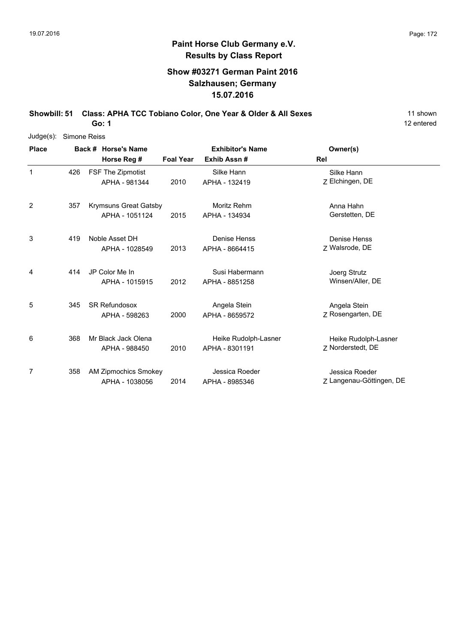# **Show #03271 German Paint 2016 Salzhausen; Germany 15.07.2016**

**Showbill: 51 Class: APHA TCC Tobiano Color, One Year & Older & All Sexes** 11 shown

**Go: 1**

| Judge(s):    | Simone Reiss |  |                             |                         |                      |                          |  |  |  |
|--------------|--------------|--|-----------------------------|-------------------------|----------------------|--------------------------|--|--|--|
| <b>Place</b> |              |  | Back # Horse's Name         | <b>Exhibitor's Name</b> |                      | Owner(s)                 |  |  |  |
|              |              |  | Horse Reg #                 | <b>Foal Year</b>        | Exhib Assn #         | Rel                      |  |  |  |
| 1            | 426          |  | FSF The Zipmotist           |                         | Silke Hann           | Silke Hann               |  |  |  |
|              |              |  | APHA - 981344               | 2010                    | APHA - 132419        | Z Elchingen, DE          |  |  |  |
| 2            | 357          |  | Krymsuns Great Gatsby       |                         | Moritz Rehm          | Anna Hahn                |  |  |  |
|              |              |  | APHA - 1051124              | 2015                    | APHA - 134934        | Gerstetten, DE           |  |  |  |
| 3            | 419          |  | Noble Asset DH              |                         | Denise Henss         | Denise Henss             |  |  |  |
|              |              |  | APHA - 1028549              | 2013                    | APHA - 8664415       | Z Walsrode, DE           |  |  |  |
| 4            | 414          |  | JP Color Me In              |                         | Susi Habermann       | Joerg Strutz             |  |  |  |
|              |              |  | APHA - 1015915              | 2012                    | APHA - 8851258       | Winsen/Aller, DE         |  |  |  |
| 5            | 345          |  | <b>SR Refundosox</b>        |                         | Angela Stein         | Angela Stein             |  |  |  |
|              |              |  | APHA - 598263               | 2000                    | APHA - 8659572       | Z Rosengarten, DE        |  |  |  |
| 6            | 368          |  | Mr Black Jack Olena         |                         | Heike Rudolph-Lasner | Heike Rudolph-Lasner     |  |  |  |
|              |              |  | APHA - 988450               | 2010                    | APHA - 8301191       | Z Norderstedt, DE        |  |  |  |
| 7            | 358          |  | <b>AM Zipmochics Smokey</b> |                         | Jessica Roeder       | Jessica Roeder           |  |  |  |
|              |              |  | APHA - 1038056              | 2014                    | APHA - 8985346       | Z Langenau-Göttingen, DE |  |  |  |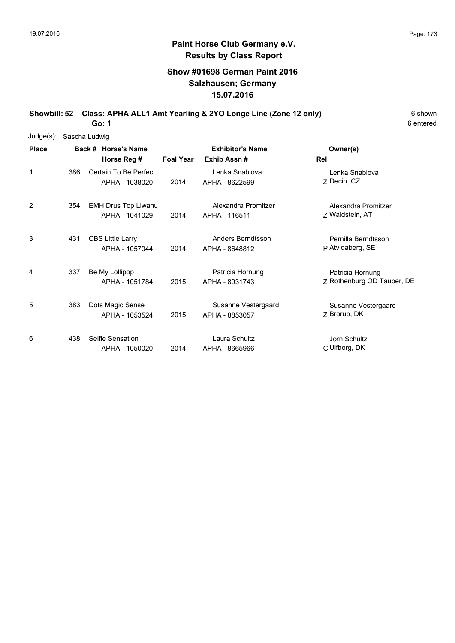# **Show #01698 German Paint 2016 Salzhausen; Germany 15.07.2016**

**Showbill: 52 Class: APHA ALL1 Amt Yearling & 2YO Longe Line (Zone 12 only)** 6 Shown

6 entered

| Judge(s):    | Sascha Ludwig |                            |                         |                     |                            |  |  |  |  |  |
|--------------|---------------|----------------------------|-------------------------|---------------------|----------------------------|--|--|--|--|--|
| <b>Place</b> |               | Back # Horse's Name        | <b>Exhibitor's Name</b> |                     | Owner(s)                   |  |  |  |  |  |
|              |               | Horse Reg #                | <b>Foal Year</b>        | Exhib Assn#         | Rel                        |  |  |  |  |  |
| 1            | 386           | Certain To Be Perfect      |                         | Lenka Snablova      | Lenka Snablova             |  |  |  |  |  |
|              |               | APHA - 1038020             | 2014                    | APHA - 8622599      | Z Decin, CZ                |  |  |  |  |  |
| 2            | 354           | <b>EMH Drus Top Liwanu</b> |                         | Alexandra Promitzer | Alexandra Promitzer        |  |  |  |  |  |
|              |               | APHA - 1041029             | 2014                    | APHA - 116511       | Z Waldstein, AT            |  |  |  |  |  |
| 3            | 431           | <b>CBS Little Larry</b>    |                         | Anders Berndtsson   | Pernilla Berndtsson        |  |  |  |  |  |
|              |               | APHA - 1057044             | 2014                    | APHA - 8648812      | P Atvidaberg, SE           |  |  |  |  |  |
| 4            | 337           | Be My Lollipop             |                         | Patricia Hornung    | Patricia Hornung           |  |  |  |  |  |
|              |               | APHA - 1051784             | 2015                    | APHA - 8931743      | Z Rothenburg OD Tauber, DE |  |  |  |  |  |
| 5            | 383           | Dots Magic Sense           |                         | Susanne Vestergaard | Susanne Vestergaard        |  |  |  |  |  |
|              |               | APHA - 1053524             | 2015                    | APHA - 8853057      | Z Brorup, DK               |  |  |  |  |  |
| 6            | 438           | Selfie Sensation           |                         | Laura Schultz       | Jorn Schultz               |  |  |  |  |  |
|              |               | APHA - 1050020             | 2014                    | APHA - 8665966      | C Ulfborg, DK              |  |  |  |  |  |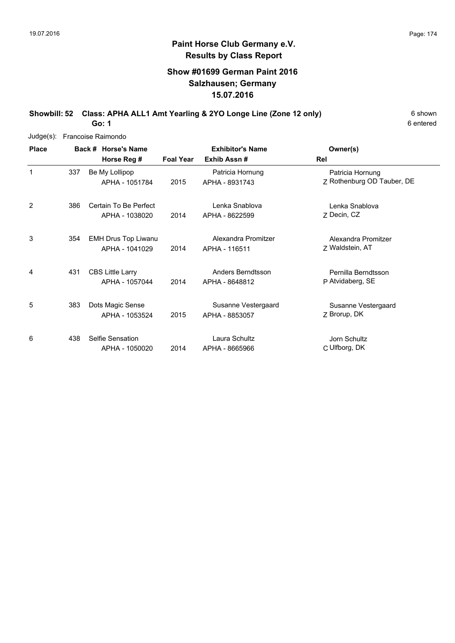# **Show #01699 German Paint 2016 Salzhausen; Germany 15.07.2016**

**Showbill: 52 Class: APHA ALL1 Amt Yearling & 2YO Longe Line (Zone 12 only)** 6 Shown

6 entered

| Judge(s):    |     | Francoise Raimondo                           |                  |                                       |                                                |
|--------------|-----|----------------------------------------------|------------------|---------------------------------------|------------------------------------------------|
| <b>Place</b> |     | Back # Horse's Name                          |                  | <b>Exhibitor's Name</b>               | Owner(s)                                       |
|              |     | Horse Reg #                                  | <b>Foal Year</b> | Exhib Assn#                           | Rel                                            |
| 1            | 337 | Be My Lollipop<br>APHA - 1051784             | 2015             | Patricia Hornung<br>APHA - 8931743    | Patricia Hornung<br>Z Rothenburg OD Tauber, DE |
| 2            | 386 | Certain To Be Perfect<br>APHA - 1038020      | 2014             | Lenka Snablova<br>APHA - 8622599      | Lenka Snablova<br>Z Decin, CZ                  |
| 3            | 354 | <b>EMH Drus Top Liwanu</b><br>APHA - 1041029 | 2014             | Alexandra Promitzer<br>APHA - 116511  | Alexandra Promitzer<br>Z Waldstein, AT         |
| 4            | 431 | <b>CBS Little Larry</b><br>APHA - 1057044    | 2014             | Anders Berndtsson<br>APHA - 8648812   | Pernilla Berndtsson<br>P Atvidaberg, SE        |
| 5            | 383 | Dots Magic Sense<br>APHA - 1053524           | 2015             | Susanne Vestergaard<br>APHA - 8853057 | Susanne Vestergaard<br>Z Brorup, DK            |
| 6            | 438 | Selfie Sensation<br>APHA - 1050020           | 2014             | Laura Schultz<br>APHA - 8665966       | Jorn Schultz<br>C Ulfborg, DK                  |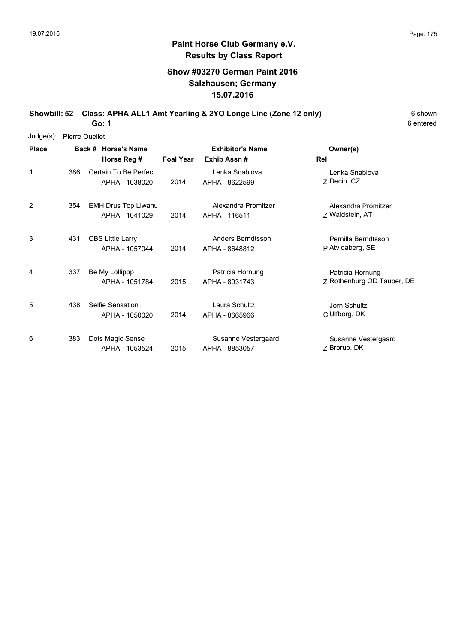# **Show #03270 German Paint 2016 Salzhausen; Germany 15.07.2016**

**Showbill: 52 Class: APHA ALL1 Amt Yearling & 2YO Longe Line (Zone 12 only)** 6 Shown

6 entered

Judge(s): Pierre Ouellet

| <b>Place</b> |     | Back # Horse's Name<br>Horse Reg #        | <b>Foal Year</b> | <b>Exhibitor's Name</b><br>Exhib Assn# | Owner(s)<br>Rel                                |
|--------------|-----|-------------------------------------------|------------------|----------------------------------------|------------------------------------------------|
| 1            | 386 | Certain To Be Perfect<br>APHA - 1038020   | 2014             | Lenka Snablova<br>APHA - 8622599       | Lenka Snablova<br>Z Decin, CZ                  |
| 2            | 354 | EMH Drus Top Liwanu<br>APHA - 1041029     | 2014             | Alexandra Promitzer<br>APHA - 116511   | Alexandra Promitzer<br>Z Waldstein, AT         |
| 3            | 431 | <b>CBS Little Larry</b><br>APHA - 1057044 | 2014             | Anders Berndtsson<br>APHA - 8648812    | Pernilla Berndtsson<br>P Atvidaberg, SE        |
| 4            | 337 | Be My Lollipop<br>APHA - 1051784          | 2015             | Patricia Hornung<br>APHA - 8931743     | Patricia Hornung<br>Z Rothenburg OD Tauber, DE |
| 5            | 438 | Selfie Sensation<br>APHA - 1050020        | 2014             | Laura Schultz<br>APHA - 8665966        | Jorn Schultz<br>C Ulfborg, DK                  |
| 6            | 383 | Dots Magic Sense<br>APHA - 1053524        | 2015             | Susanne Vestergaard<br>APHA - 8853057  | Susanne Vestergaard<br>Z Brorup, DK            |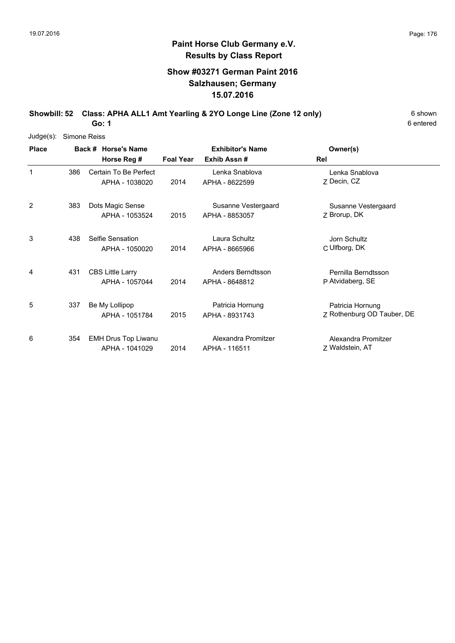# **Show #03271 German Paint 2016 Salzhausen; Germany 15.07.2016**

**Showbill: 52 Class: APHA ALL1 Amt Yearling & 2YO Longe Line (Zone 12 only)** 6 Shown

6 entered

| $Judge(s)$ :   | Simone Reiss |                                    |                  |                                        |                            |
|----------------|--------------|------------------------------------|------------------|----------------------------------------|----------------------------|
| <b>Place</b>   |              | Back # Horse's Name<br>Horse Reg # | <b>Foal Year</b> | <b>Exhibitor's Name</b><br>Exhib Assn# | Owner(s)<br>Rel            |
|                |              |                                    |                  |                                        |                            |
| 1              | 386          | Certain To Be Perfect              |                  | Lenka Snablova                         | Lenka Snablova             |
|                |              | APHA - 1038020                     | 2014             | APHA - 8622599                         | Z Decin, CZ                |
| $\overline{2}$ | 383          | Dots Magic Sense                   |                  | Susanne Vestergaard                    | Susanne Vestergaard        |
|                |              | APHA - 1053524                     | 2015             | APHA - 8853057                         | Z Brorup, DK               |
| 3              | 438          | Selfie Sensation                   |                  | Laura Schultz                          | Jorn Schultz               |
|                |              | APHA - 1050020                     | 2014             | APHA - 8665966                         | C Ulfborg, DK              |
| 4              | 431          | <b>CBS Little Larry</b>            |                  | Anders Berndtsson                      | Pernilla Berndtsson        |
|                |              | APHA - 1057044                     | 2014             | APHA - 8648812                         | P Atvidaberg, SE           |
| 5              | 337          | Be My Lollipop                     |                  | Patricia Hornung                       | Patricia Hornung           |
|                |              | APHA - 1051784                     | 2015             | APHA - 8931743                         | Z Rothenburg OD Tauber, DE |
| 6              | 354          | EMH Drus Top Liwanu                |                  | Alexandra Promitzer                    | Alexandra Promitzer        |
|                |              | APHA - 1041029                     | 2014             | APHA - 116511                          | Z Waldstein, AT            |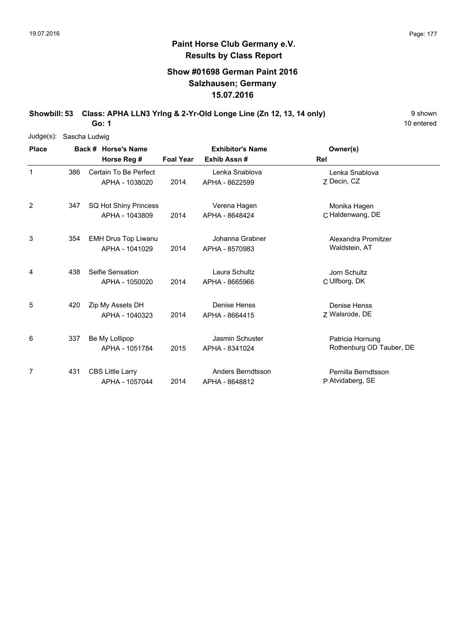## **Show #01698 German Paint 2016 Salzhausen; Germany 15.07.2016**

**Showbill: 53 Class: APHA LLN3 Yring & 2-Yr-Old Longe Line (Zn 12, 13, 14 only)** 9 Shown

10 entered

| $Judge(s)$ : | Sascha Ludwig |                            |                  |                         |                          |  |  |  |  |  |
|--------------|---------------|----------------------------|------------------|-------------------------|--------------------------|--|--|--|--|--|
| <b>Place</b> |               | Back # Horse's Name        |                  | <b>Exhibitor's Name</b> | Owner(s)                 |  |  |  |  |  |
|              |               | Horse Reg #                | <b>Foal Year</b> | Exhib Assn#             | Rel                      |  |  |  |  |  |
| 1            | 386           | Certain To Be Perfect      |                  | Lenka Snablova          | Lenka Snablova           |  |  |  |  |  |
|              |               | APHA - 1038020             | 2014             | APHA - 8622599          | Z Decin, CZ              |  |  |  |  |  |
| 2            | 347           | SQ Hot Shiny Princess      |                  | Verena Hagen            | Monika Hagen             |  |  |  |  |  |
|              |               | APHA - 1043809             | 2014             | APHA - 8648424          | C Haldenwang, DE         |  |  |  |  |  |
| 3            | 354           | <b>EMH Drus Top Liwanu</b> |                  | Johanna Grabner         | Alexandra Promitzer      |  |  |  |  |  |
|              |               | APHA - 1041029             | 2014             | APHA - 8570983          | Waldstein, AT            |  |  |  |  |  |
| 4            | 438           | Selfie Sensation           |                  | Laura Schultz           | Jorn Schultz             |  |  |  |  |  |
|              |               | APHA - 1050020             | 2014             | APHA - 8665966          | C Ulfborg, DK            |  |  |  |  |  |
| 5            | 420           | Zip My Assets DH           |                  | Denise Henss            | Denise Henss             |  |  |  |  |  |
|              |               | APHA - 1040323             | 2014             | APHA - 8664415          | Z Walsrode, DE           |  |  |  |  |  |
| 6            | 337           | Be My Lollipop             |                  | Jasmin Schuster         | Patricia Hornung         |  |  |  |  |  |
|              |               | APHA - 1051784             | 2015             | APHA - 8341024          | Rothenburg OD Tauber, DE |  |  |  |  |  |
| 7            | 431           | <b>CBS Little Larry</b>    |                  | Anders Berndtsson       | Pernilla Berndtsson      |  |  |  |  |  |
|              |               | APHA - 1057044             | 2014             | APHA - 8648812          | P Atvidaberg, SE         |  |  |  |  |  |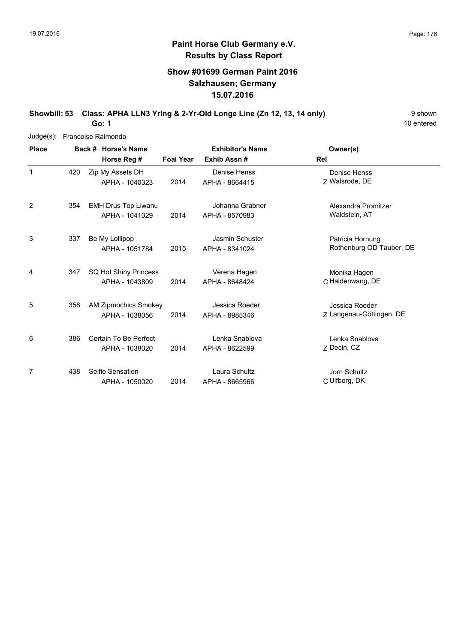## **Show #01699 German Paint 2016 Salzhausen; Germany 15.07.2016**

**Showbill: 53 Class: APHA LLN3 Yring & 2-Yr-Old Longe Line (Zn 12, 13, 14 only)** 9 Shown

10 entered

|              |     | Judge(s): Francoise Raimondo |                             |                  |                         |                          |  |  |  |  |
|--------------|-----|------------------------------|-----------------------------|------------------|-------------------------|--------------------------|--|--|--|--|
| <b>Place</b> |     |                              | Back # Horse's Name         |                  | <b>Exhibitor's Name</b> | Owner(s)                 |  |  |  |  |
|              |     |                              | Horse Reg #                 | <b>Foal Year</b> | Exhib Assn#             | Rel                      |  |  |  |  |
| $\mathbf{1}$ | 420 |                              | Zip My Assets DH            |                  | Denise Henss            | Denise Henss             |  |  |  |  |
|              |     |                              | APHA - 1040323              | 2014             | APHA - 8664415          | Z Walsrode, DE           |  |  |  |  |
| 2            | 354 |                              | EMH Drus Top Liwanu         |                  | Johanna Grabner         | Alexandra Promitzer      |  |  |  |  |
|              |     |                              | APHA - 1041029              | 2014             | APHA - 8570983          | Waldstein, AT            |  |  |  |  |
| 3            | 337 |                              | Be My Lollipop              |                  | Jasmin Schuster         | Patricia Hornung         |  |  |  |  |
|              |     |                              | APHA - 1051784              | 2015             | APHA - 8341024          | Rothenburg OD Tauber, DE |  |  |  |  |
| 4            | 347 |                              | SQ Hot Shiny Princess       |                  | Verena Hagen            | Monika Hagen             |  |  |  |  |
|              |     |                              | APHA - 1043809              | 2014             | APHA - 8648424          | C Haldenwang, DE         |  |  |  |  |
| 5            | 358 |                              | <b>AM Zipmochics Smokey</b> |                  | Jessica Roeder          | Jessica Roeder           |  |  |  |  |
|              |     |                              | APHA - 1038056              | 2014             | APHA - 8985346          | Z Langenau-Göttingen, DE |  |  |  |  |
| 6            | 386 |                              | Certain To Be Perfect       |                  | Lenka Snablova          | Lenka Snablova           |  |  |  |  |
|              |     |                              | APHA - 1038020              | 2014             | APHA - 8622599          | Z Decin, CZ              |  |  |  |  |
| 7            | 438 |                              | Selfie Sensation            |                  | Laura Schultz           | Jorn Schultz             |  |  |  |  |
|              |     |                              | APHA - 1050020              | 2014             | APHA - 8665966          | C Ulfborg, DK            |  |  |  |  |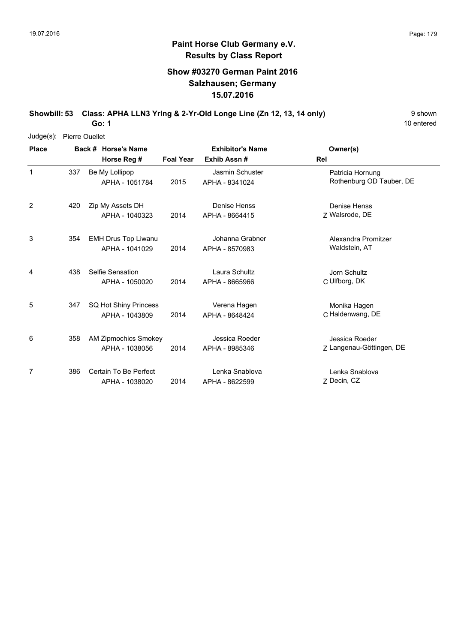## **Show #03270 German Paint 2016 Salzhausen; Germany 15.07.2016**

**Showbill: 53 Class: APHA LLN3 Yring & 2-Yr-Old Longe Line (Zn 12, 13, 14 only)** 9 Shown

10 entered

| Judge(s):    | <b>Pierre Ouellet</b> |                             |                  |                         |                          |
|--------------|-----------------------|-----------------------------|------------------|-------------------------|--------------------------|
| <b>Place</b> |                       | Back # Horse's Name         |                  | <b>Exhibitor's Name</b> | Owner(s)                 |
|              |                       | Horse Reg #                 | <b>Foal Year</b> | Exhib Assn#             | Rel                      |
| $\mathbf{1}$ | 337                   | Be My Lollipop              |                  | Jasmin Schuster         | Patricia Hornung         |
|              |                       | APHA - 1051784              | 2015             | APHA - 8341024          | Rothenburg OD Tauber, DE |
| 2            | 420                   | Zip My Assets DH            |                  | Denise Henss            | Denise Henss             |
|              |                       | APHA - 1040323              | 2014             | APHA - 8664415          | Z Walsrode, DE           |
| 3            | 354                   | <b>EMH Drus Top Liwanu</b>  |                  | Johanna Grabner         | Alexandra Promitzer      |
|              |                       | APHA - 1041029              | 2014             | APHA - 8570983          | Waldstein, AT            |
| 4            | 438                   | Selfie Sensation            |                  | Laura Schultz           | Jorn Schultz             |
|              |                       | APHA - 1050020              | 2014             | APHA - 8665966          | C Ulfborg, DK            |
| 5            | 347                   | SQ Hot Shiny Princess       |                  | Verena Hagen            | Monika Hagen             |
|              |                       | APHA - 1043809              | 2014             | APHA - 8648424          | C Haldenwang, DE         |
| 6            | 358                   | <b>AM Zipmochics Smokey</b> |                  | Jessica Roeder          | Jessica Roeder           |
|              |                       | APHA - 1038056              | 2014             | APHA - 8985346          | Z Langenau-Göttingen, DE |
| 7            | 386                   | Certain To Be Perfect       |                  | Lenka Snablova          | Lenka Snablova           |
|              |                       | APHA - 1038020              | 2014             | APHA - 8622599          | Z Decin, CZ              |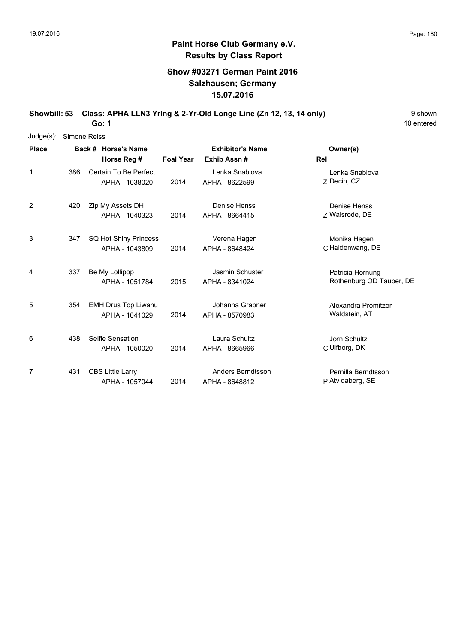## **Show #03271 German Paint 2016 Salzhausen; Germany 15.07.2016**

**Showbill: 53 Class: APHA LLN3 Yring & 2-Yr-Old Longe Line (Zn 12, 13, 14 only)** 9 Shown

10 entered

| $Judge(s)$ :   | Simone Reiss |                |                            |                  |                         |                          |
|----------------|--------------|----------------|----------------------------|------------------|-------------------------|--------------------------|
| <b>Place</b>   |              |                | Back # Horse's Name        |                  | <b>Exhibitor's Name</b> | Owner(s)                 |
|                |              |                | Horse Reg #                | <b>Foal Year</b> | Exhib Assn#             | Rel                      |
| $\mathbf 1$    | 386          |                | Certain To Be Perfect      |                  | Lenka Snablova          | Lenka Snablova           |
|                |              |                | APHA - 1038020             | 2014             | APHA - 8622599          | Z Decin, CZ              |
| $\overline{2}$ | 420          |                | Zip My Assets DH           |                  | Denise Henss            | Denise Henss             |
|                |              |                | APHA - 1040323             | 2014             | APHA - 8664415          | Z Walsrode, DE           |
| 3              | 347          |                | SQ Hot Shiny Princess      |                  | Verena Hagen            | Monika Hagen             |
|                |              |                | APHA - 1043809             | 2014             | APHA - 8648424          | C Haldenwang, DE         |
| 4              | 337          | Be My Lollipop |                            |                  | Jasmin Schuster         | Patricia Hornung         |
|                |              |                | APHA - 1051784             | 2015             | APHA - 8341024          | Rothenburg OD Tauber, DE |
| 5              | 354          |                | <b>EMH Drus Top Liwanu</b> |                  | Johanna Grabner         | Alexandra Promitzer      |
|                |              |                | APHA - 1041029             | 2014             | APHA - 8570983          | Waldstein, AT            |
| 6              | 438          |                | Selfie Sensation           |                  | Laura Schultz           | Jorn Schultz             |
|                |              |                | APHA - 1050020             | 2014             | APHA - 8665966          | C Ulfborg, DK            |
| 7              | 431          |                | <b>CBS Little Larry</b>    |                  | Anders Berndtsson       | Pernilla Berndtsson      |
|                |              |                | APHA - 1057044             | 2014             | APHA - 8648812          | P Atvidaberg, SE         |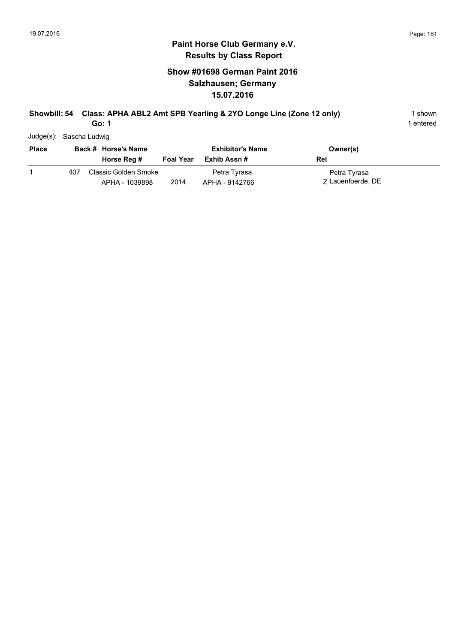### **Show #01698 German Paint 2016 Salzhausen; Germany 15.07.2016**

#### **Showbill: 54 Class: APHA ABL2 Amt SPB Yearling & 2YO Longe Line (Zone 12 only)** 1 shown **Go: 1**

1 entered

Judge(s): Sascha Ludwig

| <b>Place</b> |     | Back # Horse's Name                    |                  | <b>Exhibitor's Name</b>        | Owner(s)                          |
|--------------|-----|----------------------------------------|------------------|--------------------------------|-----------------------------------|
|              |     | Horse Reg #                            | <b>Foal Year</b> | Exhib Assn #                   | Rel                               |
|              | 407 | Classic Golden Smoke<br>APHA - 1039898 | 2014             | Petra Tyrasa<br>APHA - 9142766 | Petra Tyrasa<br>7 Lauenfoerde, DE |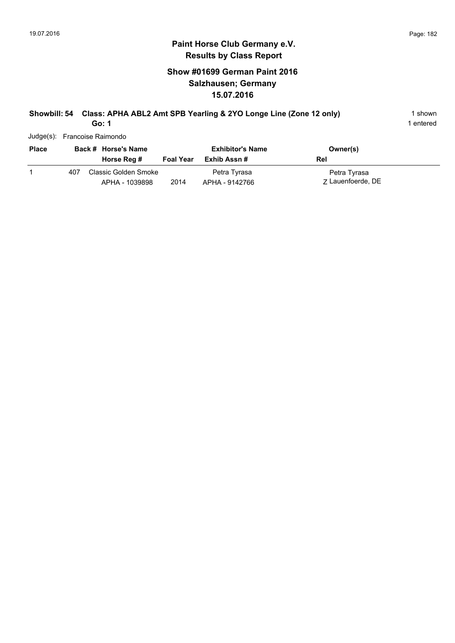### **Show #01699 German Paint 2016 Salzhausen; Germany 15.07.2016**

# **Showbill: 54 Class: APHA ABL2 Amt SPB Yearling & 2YO Longe Line (Zone 12 only)** 1 shown

**Go: 1**

| Judge(s): Francoise Raimondo |  |
|------------------------------|--|

| <b>Place</b> | Back # Horse's Name |                                        | <b>Exhibitor's Name</b> |                                | Owner(s)                          |
|--------------|---------------------|----------------------------------------|-------------------------|--------------------------------|-----------------------------------|
|              |                     | Horse Reg #                            | <b>Foal Year</b>        | Exhib Assn #                   | Rel                               |
|              | 407                 | Classic Golden Smoke<br>APHA - 1039898 | 2014                    | Petra Tyrasa<br>APHA - 9142766 | Petra Tyrasa<br>7 Lauenfoerde, DE |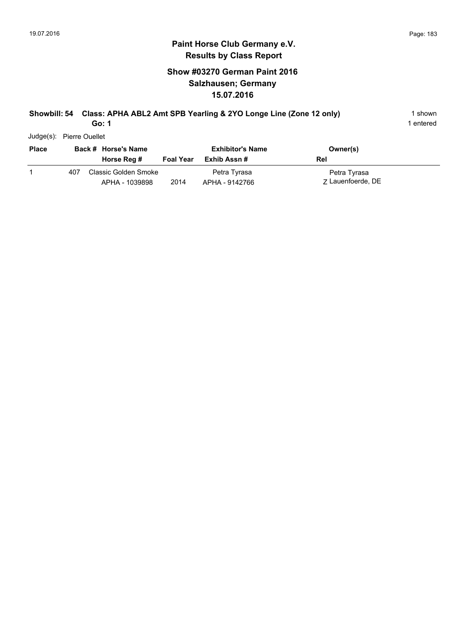### **Show #03270 German Paint 2016 Salzhausen; Germany 15.07.2016**

#### **Showbill: 54 Class: APHA ABL2 Amt SPB Yearling & 2YO Longe Line (Zone 12 only)** 1 shown **Go: 1**

1 entered

Judge(s): Pierre Ouellet

| <b>Place</b> |     | Back # Horse's Name<br>Horse Reg #     | <b>Foal Year</b> | <b>Exhibitor's Name</b><br>Exhib Assn # | Owner(s)<br>Rel                   |
|--------------|-----|----------------------------------------|------------------|-----------------------------------------|-----------------------------------|
|              | 407 | Classic Golden Smoke<br>APHA - 1039898 | 2014             | Petra Tyrasa<br>APHA - 9142766          | Petra Tyrasa<br>7 Lauenfoerde, DE |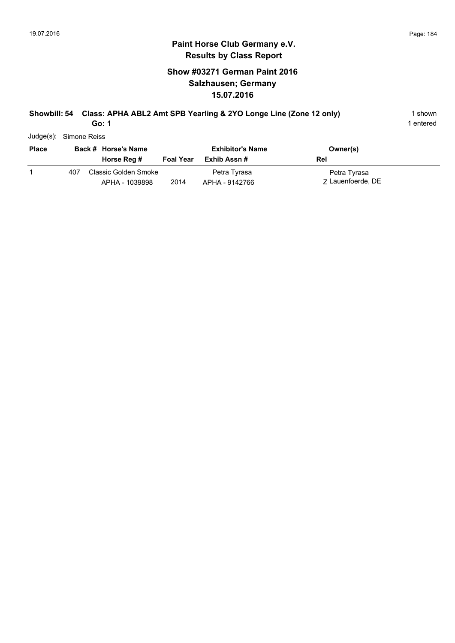### **Show #03271 German Paint 2016 Salzhausen; Germany 15.07.2016**

#### **Showbill: 54 Class: APHA ABL2 Amt SPB Yearling & 2YO Longe Line (Zone 12 only)** 1 shown **Go: 1**

1 entered

Judge(s): Simone Reiss

| <b>Place</b> |     | Back # Horse's Name<br>Horse Reg #     | <b>Foal Year</b> | <b>Exhibitor's Name</b><br>Exhib Assn # | Owner(s)<br>Rel                   |
|--------------|-----|----------------------------------------|------------------|-----------------------------------------|-----------------------------------|
|              | 407 | Classic Golden Smoke<br>APHA - 1039898 | 2014             | Petra Tyrasa<br>APHA - 9142766          | Petra Tyrasa<br>7 Lauenfoerde, DE |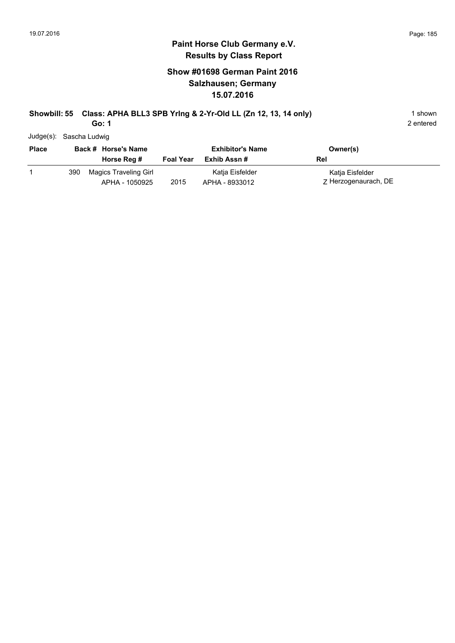### **Paint Horse Club Germany e.V. Results by Class Report**

### **Show #01698 German Paint 2016 Salzhausen; Germany 15.07.2016**

# **Showbill: 55 Class: APHA BLL3 SPB Yring & 2-Yr-Old LL (Zn 12, 13, 14 only)** 1 shown

**Go: 1**

Judge(s): Sascha Ludwig

| <b>Place</b> |     | Back # Horse's Name<br>Horse Reg #      | <b>Foal Year</b> | <b>Exhibitor's Name</b><br>Exhib Assn # | Owner(s)<br>Rel                         |
|--------------|-----|-----------------------------------------|------------------|-----------------------------------------|-----------------------------------------|
|              | 390 | Magics Traveling Girl<br>APHA - 1050925 | 2015             | Katia Eisfelder<br>APHA - 8933012       | Katja Eisfelder<br>Z Herzogenaurach, DE |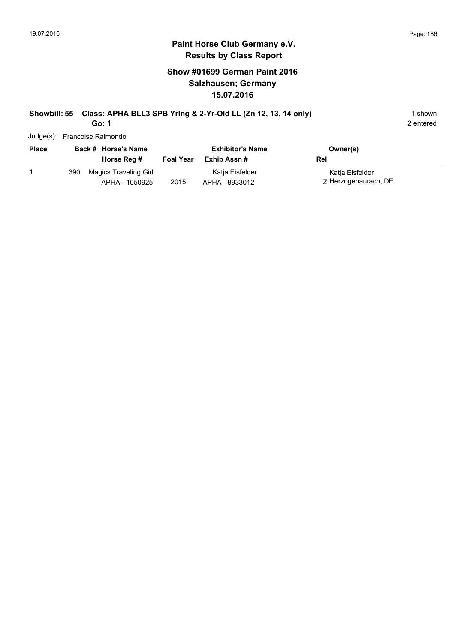### **Paint Horse Club Germany e.V. Results by Class Report**

### **Show #01699 German Paint 2016 Salzhausen; Germany 15.07.2016**

# **Showbill: 55 Class: APHA BLL3 SPB Yring & 2-Yr-Old LL (Zn 12, 13, 14 only)** 1 shown

**Go: 1**

Judge(s): Francoise Raimondo

| <b>Place</b> |     | Back # Horse's Name<br>Horse Reg #      | <b>Foal Year</b> | <b>Exhibitor's Name</b><br>Exhib Assn # | Owner(s)<br>Rel                         |
|--------------|-----|-----------------------------------------|------------------|-----------------------------------------|-----------------------------------------|
|              | 390 | Magics Traveling Girl<br>APHA - 1050925 | 2015             | Katja Eisfelder<br>APHA - 8933012       | Katja Eisfelder<br>Z Herzogenaurach, DE |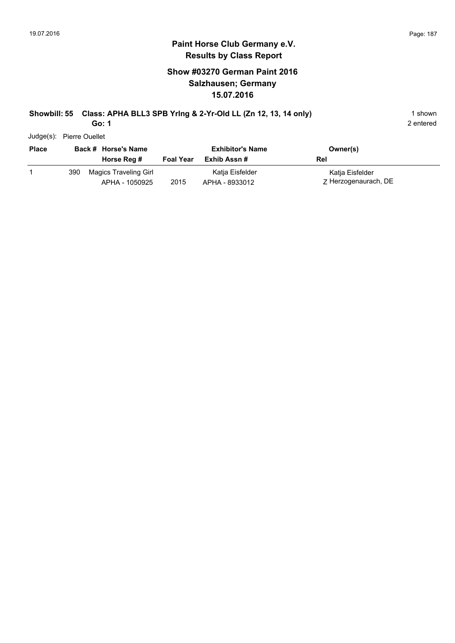### **Paint Horse Club Germany e.V. Results by Class Report**

### **Show #03270 German Paint 2016 Salzhausen; Germany 15.07.2016**

# **Showbill: 55 Class: APHA BLL3 SPB Yring & 2-Yr-Old LL (Zn 12, 13, 14 only)** 1 shown

**Go: 1**

Judge(s): Pierre Ouellet

| <b>Place</b> |     | Back # Horse's Name<br>Horse Reg #      | <b>Foal Year</b> | <b>Exhibitor's Name</b><br>Exhib Assn # | Owner(s)<br>Rel                         |
|--------------|-----|-----------------------------------------|------------------|-----------------------------------------|-----------------------------------------|
|              | 390 | Magics Traveling Girl<br>APHA - 1050925 | 2015             | Katia Eisfelder<br>APHA - 8933012       | Katia Eisfelder<br>Z Herzogenaurach, DE |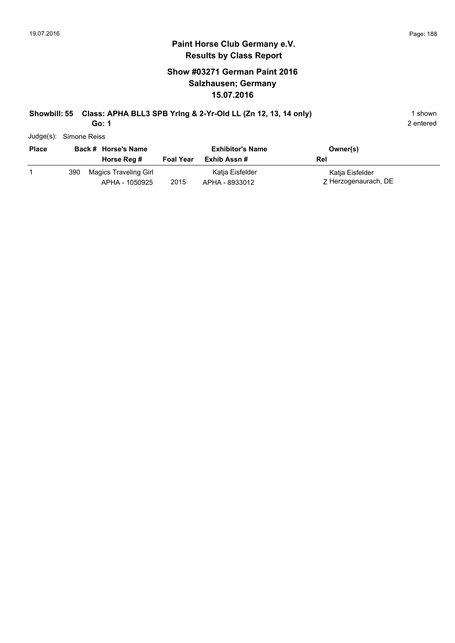### **Paint Horse Club Germany e.V. Results by Class Report**

### **Show #03271 German Paint 2016 Salzhausen; Germany 15.07.2016**

# **Showbill: 55 Class: APHA BLL3 SPB Yring & 2-Yr-Old LL (Zn 12, 13, 14 only)** 1 shown

**Go: 1**

Judge(s): Simone Reiss

| <b>Place</b> |     | Back # Horse's Name<br>Horse Reg #      | <b>Foal Year</b> | <b>Exhibitor's Name</b><br>Exhib Assn # | Owner(s)<br>Rel                         |
|--------------|-----|-----------------------------------------|------------------|-----------------------------------------|-----------------------------------------|
|              | 390 | Magics Traveling Girl<br>APHA - 1050925 | 2015             | Katia Eisfelder<br>APHA - 8933012       | Katja Eisfelder<br>Z Herzogenaurach, DE |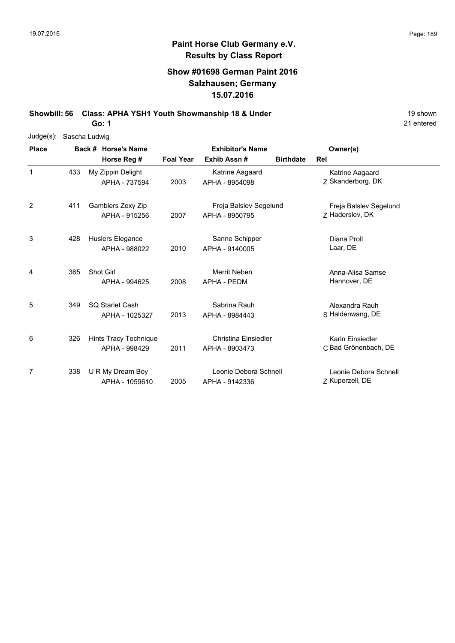### **Show #01698 German Paint 2016 Salzhausen; Germany 15.07.2016**

**Showbill: 56 Class: APHA YSH1 Youth Showmanship 18 & Under** 19 **Shown** 19 shown

**Go: 1**

| $Judge(s)$ : | Sascha Ludwig |                                        |                         |                                          |                  |                                           |  |
|--------------|---------------|----------------------------------------|-------------------------|------------------------------------------|------------------|-------------------------------------------|--|
| <b>Place</b> |               | Back # Horse's Name                    | <b>Exhibitor's Name</b> |                                          | Owner(s)         |                                           |  |
|              |               | Horse Reg #                            | <b>Foal Year</b>        | Exhib Assn#                              | <b>Birthdate</b> | Rel                                       |  |
| 1            | 433           | My Zippin Delight<br>APHA - 737594     | 2003                    | Katrine Aagaard<br>APHA - 8954098        |                  | Katrine Aagaard<br>Z Skanderborg, DK      |  |
| 2            | 411           | Gamblers Zexy Zip<br>APHA - 915256     | 2007                    | Freja Balslev Segelund<br>APHA - 8950795 |                  | Freja Balslev Segelund<br>Z Haderslev, DK |  |
| 3            | 428           | Huslers Elegance<br>APHA - 988022      | 2010                    | Sanne Schipper<br>APHA - 9140005         |                  | Diana Proll<br>Laar, DE                   |  |
| 4            | 365           | Shot Girl<br>APHA - 994625             | 2008                    | Merrit Neben<br><b>APHA - PEDM</b>       |                  | Anna-Alisa Samse<br>Hannover, DE          |  |
| 5            | 349           | SQ Starlet Cash<br>APHA - 1025327      | 2013                    | Sabrina Rauh<br>APHA - 8984443           |                  | Alexandra Rauh<br>S Haldenwang, DE        |  |
| 6            | 326           | Hints Tracy Technique<br>APHA - 998429 | 2011                    | Christina Einsiedler<br>APHA - 8903473   |                  | Karin Einsiedler<br>C Bad Grönenbach, DE  |  |
| 7            | 338           | U R My Dream Boy<br>APHA - 1059610     | 2005                    | Leonie Debora Schnell<br>APHA - 9142336  |                  | Leonie Debora Schnell<br>Z Kuperzell, DE  |  |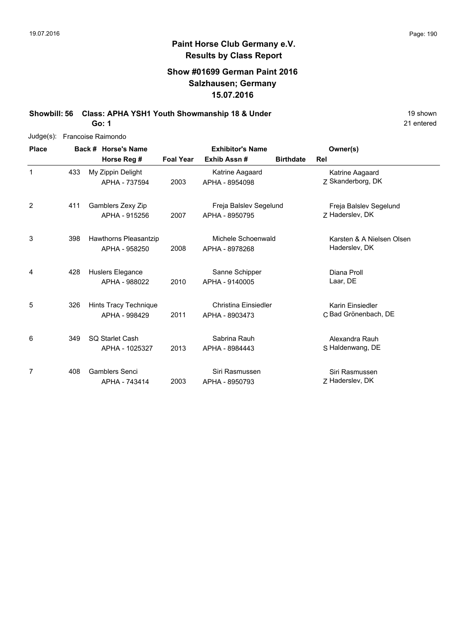### **Show #01699 German Paint 2016 Salzhausen; Germany 15.07.2016**

**Showbill: 56 Class: APHA YSH1 Youth Showmanship 18 & Under** 19 **Shown** 19 shown

21 entered

| Judge(s):    | Francoise Raimondo |  |                       |                  |                             |                  |                           |  |  |  |  |
|--------------|--------------------|--|-----------------------|------------------|-----------------------------|------------------|---------------------------|--|--|--|--|
| <b>Place</b> |                    |  | Back # Horse's Name   |                  | <b>Exhibitor's Name</b>     | Owner(s)         |                           |  |  |  |  |
|              |                    |  | Horse Reg #           | <b>Foal Year</b> | Exhib Assn#                 | <b>Birthdate</b> | Rel                       |  |  |  |  |
| 1            | 433                |  | My Zippin Delight     |                  | Katrine Aagaard             |                  | Katrine Aagaard           |  |  |  |  |
|              |                    |  | APHA - 737594         | 2003             | APHA - 8954098              |                  | Z Skanderborg, DK         |  |  |  |  |
| 2            | 411                |  | Gamblers Zexy Zip     |                  | Freja Balslev Segelund      |                  | Freja Balslev Segelund    |  |  |  |  |
|              |                    |  | APHA - 915256         | 2007             | APHA - 8950795              |                  | Z Haderslev, DK           |  |  |  |  |
| 3            | 398                |  | Hawthorns Pleasantzip |                  | Michele Schoenwald          |                  | Karsten & A Nielsen Olsen |  |  |  |  |
|              |                    |  | APHA - 958250         | 2008             | APHA - 8978268              |                  | Haderslev, DK             |  |  |  |  |
| 4            | 428                |  | Huslers Elegance      |                  | Sanne Schipper              |                  | Diana Proll               |  |  |  |  |
|              |                    |  | APHA - 988022         | 2010             | APHA - 9140005              |                  | Laar, DE                  |  |  |  |  |
| 5            | 326                |  | Hints Tracy Technique |                  | <b>Christina Einsiedler</b> |                  | Karin Einsiedler          |  |  |  |  |
|              |                    |  | APHA - 998429         | 2011             | APHA - 8903473              |                  | C Bad Grönenbach, DE      |  |  |  |  |
| 6            | 349                |  | SQ Starlet Cash       |                  | Sabrina Rauh                |                  | Alexandra Rauh            |  |  |  |  |
|              |                    |  | APHA - 1025327        | 2013             | APHA - 8984443              |                  | S Haldenwang, DE          |  |  |  |  |
| 7            | 408                |  | <b>Gamblers Senci</b> |                  | Siri Rasmussen              |                  | Siri Rasmussen            |  |  |  |  |
|              |                    |  | APHA - 743414         | 2003             | APHA - 8950793              |                  | Z Haderslev, DK           |  |  |  |  |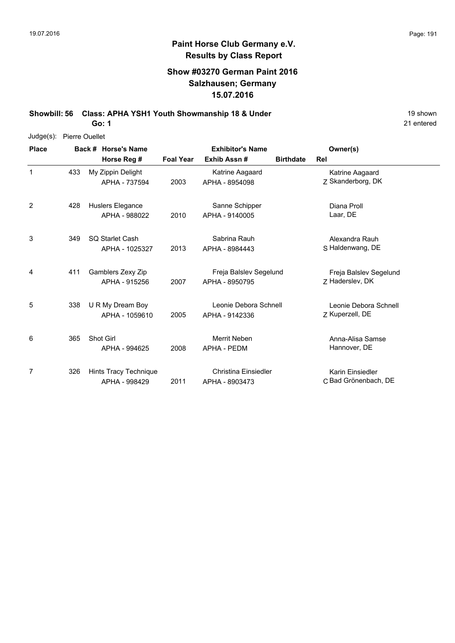### **Show #03270 German Paint 2016 Salzhausen; Germany 15.07.2016**

**Showbill: 56 Class: APHA YSH1 Youth Showmanship 18 & Under** 19 Shown 19 shown

**Go: 1**

| $Judge(s)$ : | <b>Pierre Ouellet</b> |                       |                  |                         |                  |                        |  |
|--------------|-----------------------|-----------------------|------------------|-------------------------|------------------|------------------------|--|
| <b>Place</b> |                       | Back # Horse's Name   |                  | <b>Exhibitor's Name</b> |                  | Owner(s)               |  |
|              |                       | Horse Reg #           | <b>Foal Year</b> | Exhib Assn#             | <b>Birthdate</b> | Rel                    |  |
| 1            | 433                   | My Zippin Delight     |                  | Katrine Aagaard         |                  | Katrine Aagaard        |  |
|              |                       | APHA - 737594         | 2003             | APHA - 8954098          |                  | Z Skanderborg, DK      |  |
| 2            | 428                   | Huslers Elegance      |                  | Sanne Schipper          |                  | Diana Proll            |  |
|              |                       | APHA - 988022         | 2010             | APHA - 9140005          |                  | Laar, DE               |  |
| 3            | 349                   | SQ Starlet Cash       |                  | Sabrina Rauh            |                  | Alexandra Rauh         |  |
|              |                       | APHA - 1025327        | 2013             | APHA - 8984443          |                  | S Haldenwang, DE       |  |
| 4            | 411                   | Gamblers Zexy Zip     |                  | Freja Balslev Segelund  |                  | Freja Balslev Segelund |  |
|              |                       | APHA - 915256         | 2007             | APHA - 8950795          |                  | 7 Haderslev, DK        |  |
| 5            | 338                   | U R My Dream Boy      |                  | Leonie Debora Schnell   |                  | Leonie Debora Schnell  |  |
|              |                       | APHA - 1059610        | 2005             | APHA - 9142336          |                  | Z Kuperzell, DE        |  |
| 6            | 365                   | Shot Girl             |                  | Merrit Neben            |                  | Anna-Alisa Samse       |  |
|              |                       | APHA - 994625         | 2008             | <b>APHA - PEDM</b>      |                  | Hannover, DE           |  |
| 7            | 326                   | Hints Tracy Technique |                  | Christina Einsiedler    |                  | Karin Einsiedler       |  |
|              |                       | APHA - 998429         | 2011             | APHA - 8903473          |                  | C Bad Grönenbach, DE   |  |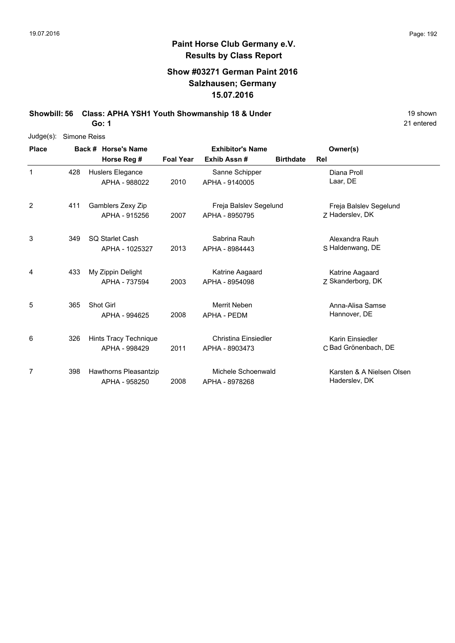## **Paint Horse Club Germany e.V. Results by Class Report**

### **Show #03271 German Paint 2016 Salzhausen; Germany 15.07.2016**

**Showbill: 56 Class: APHA YSH1 Youth Showmanship 18 & Under** 19 Shown 19 shown

**Go: 1**

| $Judge(s)$ : | Simone Reiss |                       |                  |                         |                  |                           |  |
|--------------|--------------|-----------------------|------------------|-------------------------|------------------|---------------------------|--|
| <b>Place</b> |              | Back # Horse's Name   |                  | <b>Exhibitor's Name</b> |                  | Owner(s)                  |  |
|              |              | Horse Reg #           | <b>Foal Year</b> | Exhib Assn#             | <b>Birthdate</b> | Rel                       |  |
| 1            | 428          | Huslers Elegance      |                  | Sanne Schipper          |                  | Diana Proll               |  |
|              |              | APHA - 988022         | 2010             | APHA - 9140005          |                  | Laar, DE                  |  |
| 2            | 411          | Gamblers Zexy Zip     |                  | Freja Balslev Segelund  |                  | Freja Balslev Segelund    |  |
|              |              | APHA - 915256         | 2007             | APHA - 8950795          |                  | Z Haderslev, DK           |  |
| 3            | 349          | SQ Starlet Cash       |                  | Sabrina Rauh            |                  | Alexandra Rauh            |  |
|              |              | APHA - 1025327        | 2013             | APHA - 8984443          |                  | S Haldenwang, DE          |  |
| 4            | 433          | My Zippin Delight     |                  | Katrine Aagaard         |                  | Katrine Aagaard           |  |
|              |              | APHA - 737594         | 2003             | APHA - 8954098          |                  | Z Skanderborg, DK         |  |
| 5            | 365          | Shot Girl             |                  | Merrit Neben            |                  | Anna-Alisa Samse          |  |
|              |              | APHA - 994625         | 2008             | <b>APHA - PEDM</b>      |                  | Hannover, DE              |  |
| 6            | 326          | Hints Tracy Technique |                  | Christina Einsiedler    |                  | Karin Einsiedler          |  |
|              |              | APHA - 998429         | 2011             | APHA - 8903473          |                  | C Bad Grönenbach, DE      |  |
| 7            | 398          | Hawthorns Pleasantzip |                  | Michele Schoenwald      |                  | Karsten & A Nielsen Olsen |  |
|              |              | APHA - 958250         | 2008             | APHA - 8978268          |                  | Haderslev, DK             |  |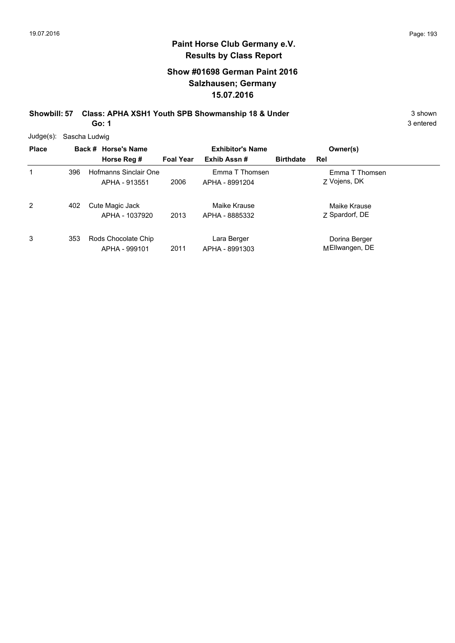### **Show #01698 German Paint 2016 Salzhausen; Germany 15.07.2016**

**Showbill: 57 Class: APHA XSH1 Youth SPB Showmanship 18 & Under** 3 shown 3 shown **Go: 1**

| Judge(s): Sascha Ludwig |
|-------------------------|
|                         |

| <b>Place</b> |     | Back # Horse's Name                    |                  | <b>Exhibitor's Name</b>          |                  | Owner(s)                        |
|--------------|-----|----------------------------------------|------------------|----------------------------------|------------------|---------------------------------|
|              |     | Horse Reg #                            | <b>Foal Year</b> | Exhib Assn#                      | <b>Birthdate</b> | Rel                             |
| 1            | 396 | Hofmanns Sinclair One<br>APHA - 913551 | 2006             | Emma T Thomsen<br>APHA - 8991204 |                  | Emma T Thomsen<br>Z Vojens, DK  |
| 2            | 402 | Cute Magic Jack<br>APHA - 1037920      | 2013             | Maike Krause<br>APHA - 8885332   |                  | Maike Krause<br>Z Spardorf, DE  |
| 3            | 353 | Rods Chocolate Chip<br>APHA - 999101   | 2011             | Lara Berger<br>APHA - 8991303    |                  | Dorina Berger<br>MEllwangen, DE |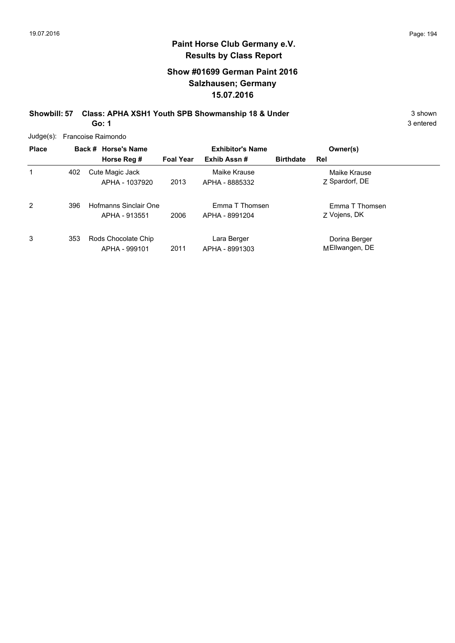### **Show #01699 German Paint 2016 Salzhausen; Germany 15.07.2016**

**Showbill: 57 Class: APHA XSH1 Youth SPB Showmanship 18 & Under** 3 Shown 3 shown **Go: 1**

3 entered

Judge(s): Francoise Raimondo

| <b>Place</b> |     | Back # Horse's Name<br>Horse Reg #     | <b>Foal Year</b> | <b>Exhibitor's Name</b><br>Exhib Assn# | Owner(s)<br><b>Birthdate</b><br>Rel |
|--------------|-----|----------------------------------------|------------------|----------------------------------------|-------------------------------------|
| 1            | 402 | Cute Magic Jack<br>APHA - 1037920      | 2013             | Maike Krause<br>APHA - 8885332         | Maike Krause<br>Z Spardorf, DE      |
| 2            | 396 | Hofmanns Sinclair One<br>APHA - 913551 | 2006             | Emma T Thomsen<br>APHA - 8991204       | Emma T Thomsen<br>Z Vojens, DK      |
| 3            | 353 | Rods Chocolate Chip<br>APHA - 999101   | 2011             | Lara Berger<br>APHA - 8991303          | Dorina Berger<br>MEllwangen, DE     |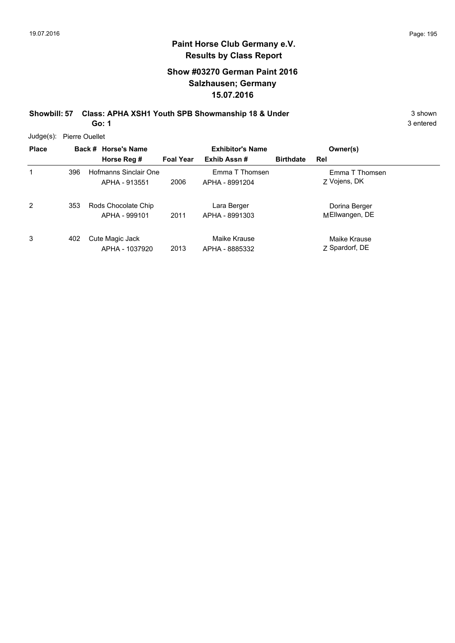### **Paint Horse Club Germany e.V. Results by Class Report**

### **Show #03270 German Paint 2016 Salzhausen; Germany 15.07.2016**

**Showbill: 57 Class: APHA XSH1 Youth SPB Showmanship 18 & Under** 3 Shown 3 shown **Go: 1**

Judge(s): Pierre Ouellet

| <b>Place</b> |     | Back # Horse's Name<br>Horse Reg #     | <b>Foal Year</b> | <b>Exhibitor's Name</b><br>Exhib Assn# | <b>Birthdate</b> | Owner(s)<br>Rel                 |  |
|--------------|-----|----------------------------------------|------------------|----------------------------------------|------------------|---------------------------------|--|
| 1            | 396 | Hofmanns Sinclair One<br>APHA - 913551 | 2006             | Emma T Thomsen<br>APHA - 8991204       |                  | Emma T Thomsen<br>Z Vojens, DK  |  |
| 2            | 353 | Rods Chocolate Chip<br>APHA - 999101   | 2011             | Lara Berger<br>APHA - 8991303          |                  | Dorina Berger<br>MEllwangen, DE |  |
| 3            | 402 | Cute Magic Jack<br>APHA - 1037920      | 2013             | Maike Krause<br>APHA - 8885332         |                  | Maike Krause<br>7 Spardorf, DE  |  |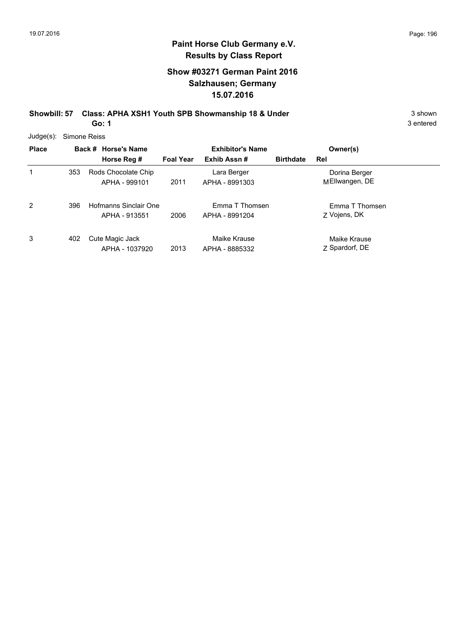### **Show #03271 German Paint 2016 Salzhausen; Germany 15.07.2016**

**Showbill: 57 Class: APHA XSH1 Youth SPB Showmanship 18 & Under** 3 Shown 3 shown **Go: 1**

3 entered

Judge(s): Simone Reiss

| <b>Place</b> |     | Back # Horse's Name<br>Horse Reg #     | <b>Foal Year</b> | <b>Exhibitor's Name</b><br>Exhib Assn# | <b>Birthdate</b> | Owner(s)<br>Rel                 |
|--------------|-----|----------------------------------------|------------------|----------------------------------------|------------------|---------------------------------|
| 1            | 353 | Rods Chocolate Chip<br>APHA - 999101   | 2011             | Lara Berger<br>APHA - 8991303          |                  | Dorina Berger<br>MEllwangen, DE |
| 2            | 396 | Hofmanns Sinclair One<br>APHA - 913551 | 2006             | Emma T Thomsen<br>APHA - 8991204       |                  | Emma T Thomsen<br>Z Vojens, DK  |
| 3            | 402 | Cute Magic Jack<br>APHA - 1037920      | 2013             | Maike Krause<br>APHA - 8885332         |                  | Maike Krause<br>Z Spardorf, DE  |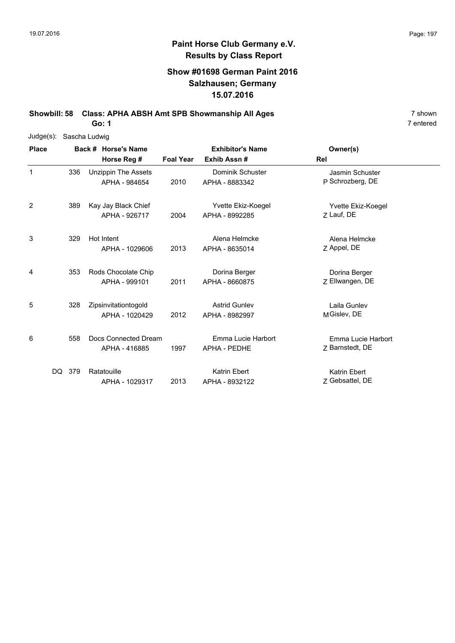### **Show #01698 German Paint 2016 Salzhausen; Germany 15.07.2016**

**Showbill: 58 Class: APHA ABSH Amt SPB Showmanship All Ages** 7 shown

**Go: 1**

| $Judge(s)$ : |        |                     | Sascha Ludwig                               |                  |                                           |                                       |
|--------------|--------|---------------------|---------------------------------------------|------------------|-------------------------------------------|---------------------------------------|
| <b>Place</b> |        | Back # Horse's Name |                                             |                  | <b>Exhibitor's Name</b>                   | Owner(s)                              |
|              |        |                     | Horse Reg #                                 | <b>Foal Year</b> | Exhib Assn#                               | Rel                                   |
| 1            |        | 336                 | <b>Unzippin The Assets</b><br>APHA - 984654 | 2010             | Dominik Schuster<br>APHA - 8883342        | Jasmin Schuster<br>P Schrozberg, DE   |
| 2            |        | 389                 | Kay Jay Black Chief<br>APHA - 926717        | 2004             | Yvette Ekiz-Koegel<br>APHA - 8992285      | Yvette Ekiz-Koegel<br>7 Lauf, DE      |
| 3            |        | 329                 | Hot Intent<br>APHA - 1029606                | 2013             | Alena Helmcke<br>APHA - 8635014           | Alena Helmcke<br>Z Appel, DE          |
| 4            |        | 353                 | Rods Chocolate Chip<br>APHA - 999101        | 2011             | Dorina Berger<br>APHA - 8660875           | Dorina Berger<br>Z Ellwangen, DE      |
| 5            |        | 328                 | Zipsinvitationtogold<br>APHA - 1020429      | 2012             | <b>Astrid Gunlev</b><br>APHA - 8982997    | Laila Gunlev<br>MGislev, DE           |
| 6            |        | 558                 | Docs Connected Dream<br>APHA - 416885       | 1997             | Emma Lucie Harbort<br><b>APHA - PEDHE</b> | Emma Lucie Harbort<br>Z Barnstedt, DE |
|              | DQ 379 |                     | Ratatouille<br>APHA - 1029317               | 2013             | <b>Katrin Ebert</b><br>APHA - 8932122     | Katrin Ebert<br>Z Gebsattel, DE       |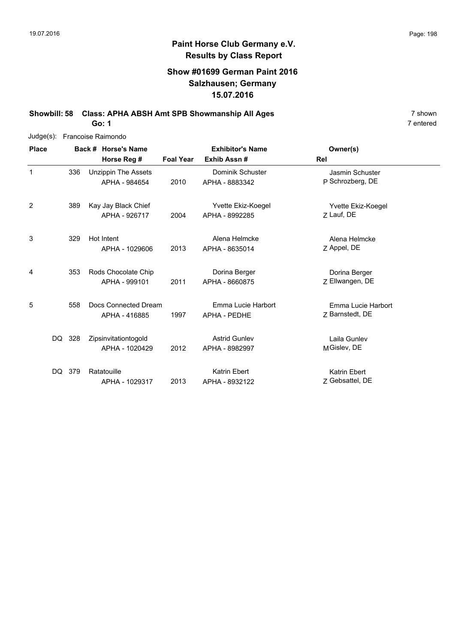### **Show #01699 German Paint 2016 Salzhausen; Germany 15.07.2016**

**Showbill: 58 Class: APHA ABSH Amt SPB Showmanship All Ages** 7 shown

**Go: 1**

| Judge(s):    |     |                     | Francoise Raimondo         |                  |                         |                     |
|--------------|-----|---------------------|----------------------------|------------------|-------------------------|---------------------|
| <b>Place</b> |     | Back # Horse's Name |                            |                  | <b>Exhibitor's Name</b> | Owner(s)            |
|              |     |                     | Horse Reg #                | <b>Foal Year</b> | Exhib Assn#             | Rel                 |
| $\mathbf{1}$ | 336 |                     | <b>Unzippin The Assets</b> |                  | Dominik Schuster        | Jasmin Schuster     |
|              |     |                     | APHA - 984654              | 2010             | APHA - 8883342          | P Schrozberg, DE    |
| 2            | 389 |                     | Kay Jay Black Chief        |                  | Yvette Ekiz-Koegel      | Yvette Ekiz-Koegel  |
|              |     |                     | APHA - 926717              | 2004             | APHA - 8992285          | Z Lauf, DE          |
| 3            | 329 |                     | Hot Intent                 |                  | Alena Helmcke           | Alena Helmcke       |
|              |     |                     | APHA - 1029606             | 2013             | APHA - 8635014          | Z Appel, DE         |
| 4            | 353 |                     | Rods Chocolate Chip        |                  | Dorina Berger           | Dorina Berger       |
|              |     |                     | APHA - 999101              | 2011             | APHA - 8660875          | Z Ellwangen, DE     |
| 5            | 558 |                     | Docs Connected Dream       |                  | Emma Lucie Harbort      | Emma Lucie Harbort  |
|              |     |                     | APHA - 416885              | 1997             | APHA - PEDHE            | Z Barnstedt, DE     |
| DQ.          | 328 |                     | Zipsinvitationtogold       |                  | <b>Astrid Gunlev</b>    | Laila Gunlev        |
|              |     |                     | APHA - 1020429             | 2012             | APHA - 8982997          | MGislev, DE         |
| DQ.          | 379 |                     | Ratatouille                |                  | Katrin Ebert            | <b>Katrin Ebert</b> |
|              |     |                     | APHA - 1029317             | 2013             | APHA - 8932122          | Z Gebsattel, DE     |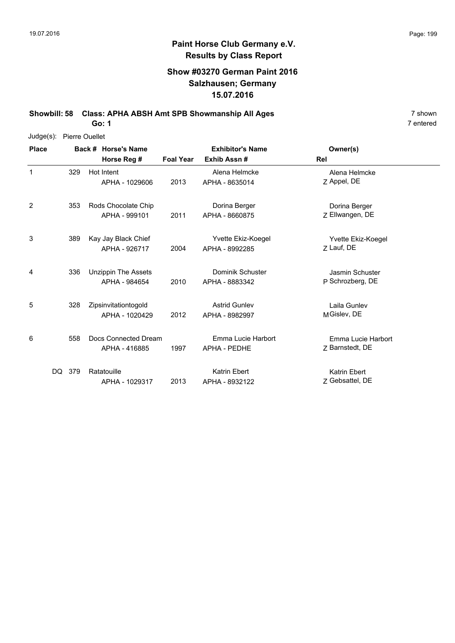### **Show #03270 German Paint 2016 Salzhausen; Germany 15.07.2016**

**Showbill: 58 Class: APHA ABSH Amt SPB Showmanship All Ages** 7 shown

**Go: 1**

| Judge(s): | <b>Pierre Ouellet</b> |
|-----------|-----------------------|
|           |                       |

| <b>Place</b> |            | Back # Horse's Name                         | <b>Exhibitor's Name</b> |                                        | Owner(s)                              |
|--------------|------------|---------------------------------------------|-------------------------|----------------------------------------|---------------------------------------|
|              |            | Horse Reg #                                 | <b>Foal Year</b>        | Exhib Assn#                            | Rel                                   |
| 1            | 329        | Hot Intent<br>APHA - 1029606                | 2013                    | Alena Helmcke<br>APHA - 8635014        | Alena Helmcke<br>Z Appel, DE          |
| 2            | 353        | Rods Chocolate Chip<br>APHA - 999101        | 2011                    | Dorina Berger<br>APHA - 8660875        | Dorina Berger<br>Z Ellwangen, DE      |
| 3            | 389        | Kay Jay Black Chief<br>APHA - 926717        | 2004                    | Yvette Ekiz-Koegel<br>APHA - 8992285   | Yvette Ekiz-Koegel<br>Z Lauf, DE      |
| 4            | 336        | <b>Unzippin The Assets</b><br>APHA - 984654 | 2010                    | Dominik Schuster<br>APHA - 8883342     | Jasmin Schuster<br>P Schrozberg, DE   |
| 5            | 328        | Zipsinvitationtogold<br>APHA - 1020429      | 2012                    | <b>Astrid Gunlev</b><br>APHA - 8982997 | Laila Gunlev<br>MGislev, DE           |
| 6            | 558        | Docs Connected Dream<br>APHA - 416885       | 1997                    | Emma Lucie Harbort<br>APHA - PEDHE     | Emma Lucie Harbort<br>Z Barnstedt, DE |
|              | DQ.<br>379 | Ratatouille<br>APHA - 1029317               | 2013                    | Katrin Ebert<br>APHA - 8932122         | Katrin Ebert<br>Z Gebsattel, DE       |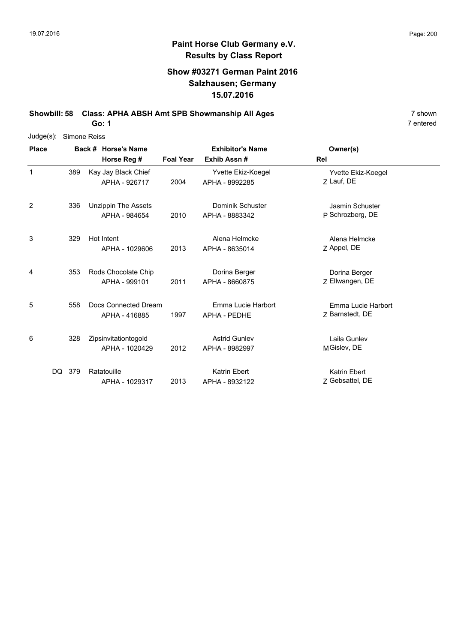### **Show #03271 German Paint 2016 Salzhausen; Germany 15.07.2016**

**Showbill: 58 Class: APHA ABSH Amt SPB Showmanship All Ages** 7 shown

**Go: 1**

| Judge(s):    | Simone Reiss |                            |                  |                         |                     |
|--------------|--------------|----------------------------|------------------|-------------------------|---------------------|
| <b>Place</b> |              | Back # Horse's Name        |                  | <b>Exhibitor's Name</b> | Owner(s)            |
|              |              | Horse Reg #                | <b>Foal Year</b> | Exhib Assn#             | Rel                 |
| $\mathbf{1}$ | 389          | Kay Jay Black Chief        |                  | Yvette Ekiz-Koegel      | Yvette Ekiz-Koegel  |
|              |              | APHA - 926717              | 2004             | APHA - 8992285          | 7 Lauf, DE          |
| 2            | 336          | <b>Unzippin The Assets</b> |                  | Dominik Schuster        | Jasmin Schuster     |
|              |              | APHA - 984654              | 2010             | APHA - 8883342          | P Schrozberg, DE    |
| 3            | 329          | Hot Intent                 |                  | Alena Helmcke           | Alena Helmcke       |
|              |              | APHA - 1029606             | 2013             | APHA - 8635014          | Z Appel, DE         |
| 4            | 353          | Rods Chocolate Chip        |                  | Dorina Berger           | Dorina Berger       |
|              |              | APHA - 999101              | 2011             | APHA - 8660875          | Z Ellwangen, DE     |
| 5            | 558          | Docs Connected Dream       |                  | Emma Lucie Harbort      | Emma Lucie Harbort  |
|              |              | APHA - 416885              | 1997             | APHA - PEDHE            | Z Barnstedt, DE     |
| 6            | 328          | Zipsinvitationtogold       |                  | <b>Astrid Gunlev</b>    | Laila Gunlev        |
|              |              | APHA - 1020429             | 2012             | APHA - 8982997          | MGislev, DE         |
| DQ.          | 379          | Ratatouille                |                  | Katrin Ebert            | <b>Katrin Ebert</b> |
|              |              | APHA - 1029317             | 2013             | APHA - 8932122          | Z Gebsattel, DE     |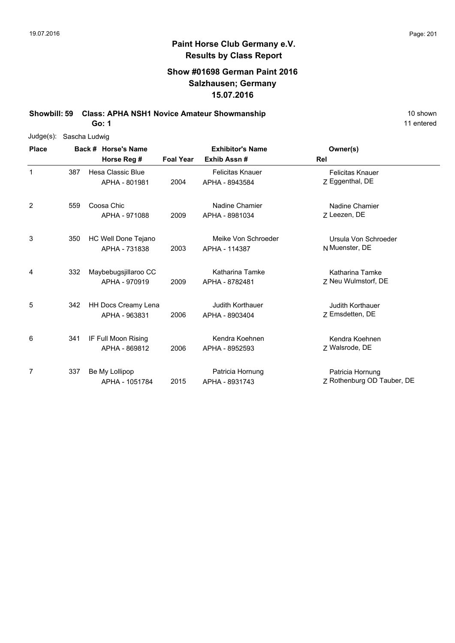### **Show #01698 German Paint 2016 Salzhausen; Germany 15.07.2016**

**Showbill: 59 Class: APHA NSH1 Novice Amateur Showmanship** 10 shown

**Go: 1**

| Judge(s):    | Sascha Ludwig |  |                            |                  |                         |                            |
|--------------|---------------|--|----------------------------|------------------|-------------------------|----------------------------|
| <b>Place</b> |               |  | Back # Horse's Name        |                  | <b>Exhibitor's Name</b> | Owner(s)                   |
|              |               |  | Horse Reg #                | <b>Foal Year</b> | Exhib Assn#             | Rel                        |
| $\mathbf{1}$ | 387           |  | Hesa Classic Blue          |                  | <b>Felicitas Knauer</b> | <b>Felicitas Knauer</b>    |
|              |               |  | APHA - 801981              | 2004             | APHA - 8943584          | Z Eggenthal, DE            |
| 2            | 559           |  | Coosa Chic                 |                  | Nadine Chamier          | Nadine Chamier             |
|              |               |  | APHA - 971088              | 2009             | APHA - 8981034          | Z Leezen, DE               |
| 3            | 350           |  | HC Well Done Tejano        |                  | Meike Von Schroeder     | Ursula Von Schroeder       |
|              |               |  | APHA - 731838              | 2003             | APHA - 114387           | N Muenster, DE             |
| 4            | 332           |  | Maybebugsjillaroo CC       |                  | Katharina Tamke         | Katharina Tamke            |
|              |               |  | APHA - 970919              | 2009             | APHA - 8782481          | Z Neu Wulmstorf, DE        |
| 5            | 342           |  | <b>HH Docs Creamy Lena</b> |                  | Judith Korthauer        | Judith Korthauer           |
|              |               |  | APHA - 963831              | 2006             | APHA - 8903404          | Z Emsdetten, DE            |
| 6            | 341           |  | IF Full Moon Rising        |                  | Kendra Koehnen          | Kendra Koehnen             |
|              |               |  | APHA - 869812              | 2006             | APHA - 8952593          | Z Walsrode, DE             |
| 7            | 337           |  | Be My Lollipop             |                  | Patricia Hornung        | Patricia Hornung           |
|              |               |  | APHA - 1051784             | 2015             | APHA - 8931743          | Z Rothenburg OD Tauber, DE |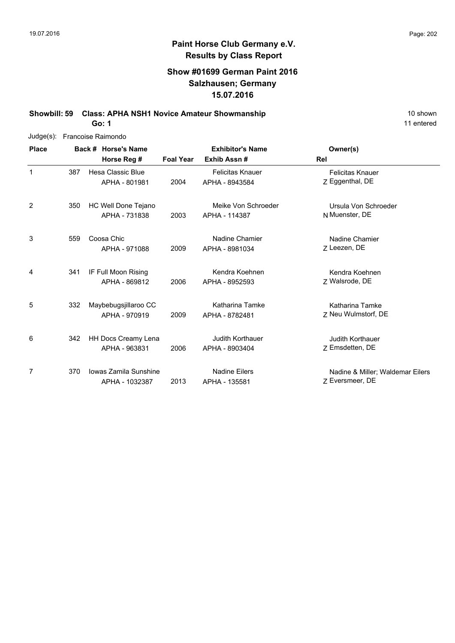### **Show #01699 German Paint 2016 Salzhausen; Germany 15.07.2016**

**Showbill: 59 Class: APHA NSH1 Novice Amateur Showmanship** 10 Shown 10 shown

**Go: 1**

| $Judge(s)$ : |     | Francoise Raimondo                      |                  |                                           |                                                     |  |
|--------------|-----|-----------------------------------------|------------------|-------------------------------------------|-----------------------------------------------------|--|
| <b>Place</b> |     | Back # Horse's Name<br>Horse Reg #      | <b>Foal Year</b> | <b>Exhibitor's Name</b><br>Exhib Assn#    | Owner(s)<br>Rel                                     |  |
| $\mathbf{1}$ | 387 | Hesa Classic Blue<br>APHA - 801981      | 2004             | <b>Felicitas Knauer</b><br>APHA - 8943584 | <b>Felicitas Knauer</b><br>Z Eggenthal, DE          |  |
| 2            | 350 | HC Well Done Tejano<br>APHA - 731838    | 2003             | Meike Von Schroeder<br>APHA - 114387      | Ursula Von Schroeder<br>N Muenster, DE              |  |
| 3            | 559 | Coosa Chic<br>APHA - 971088             | 2009             | Nadine Chamier<br>APHA - 8981034          | Nadine Chamier<br>Z Leezen, DE                      |  |
| 4            | 341 | IF Full Moon Rising<br>APHA - 869812    | 2006             | Kendra Koehnen<br>APHA - 8952593          | Kendra Koehnen<br>Z Walsrode, DE                    |  |
| 5            | 332 | Maybebugsjillaroo CC<br>APHA - 970919   | 2009             | Katharina Tamke<br>APHA - 8782481         | Katharina Tamke<br>Z Neu Wulmstorf, DE              |  |
| 6            | 342 | HH Docs Creamy Lena<br>APHA - 963831    | 2006             | Judith Korthauer<br>APHA - 8903404        | Judith Korthauer<br>Z Emsdetten, DE                 |  |
| 7            | 370 | Iowas Zamila Sunshine<br>APHA - 1032387 | 2013             | <b>Nadine Eilers</b><br>APHA - 135581     | Nadine & Miller; Waldemar Eilers<br>Z Eversmeer, DE |  |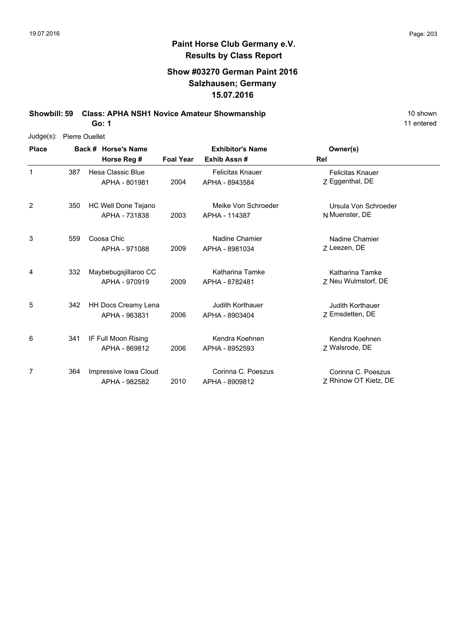### **Show #03270 German Paint 2016 Salzhausen; Germany 15.07.2016**

**Showbill: 59 Class: APHA NSH1 Novice Amateur Showmanship** 10 Shown 10 shown

**Go: 1**

| $Judge(s)$ : |     | <b>Pierre Ouellet</b>      |                  |                         |                         |
|--------------|-----|----------------------------|------------------|-------------------------|-------------------------|
| <b>Place</b> |     | Back # Horse's Name        |                  | <b>Exhibitor's Name</b> | Owner(s)                |
|              |     | Horse Reg #                | <b>Foal Year</b> | Exhib Assn#             | Rel                     |
| 1            | 387 | Hesa Classic Blue          |                  | <b>Felicitas Knauer</b> | <b>Felicitas Knauer</b> |
|              |     | APHA - 801981              | 2004             | APHA - 8943584          | Z Eggenthal, DE         |
| 2            | 350 | HC Well Done Tejano        |                  | Meike Von Schroeder     | Ursula Von Schroeder    |
|              |     | APHA - 731838              | 2003             | APHA - 114387           | N Muenster, DE          |
| 3            | 559 | Coosa Chic                 |                  | Nadine Chamier          | Nadine Chamier          |
|              |     | APHA - 971088              | 2009             | APHA - 8981034          | Z Leezen, DE            |
| 4            | 332 | Maybebugsjillaroo CC       |                  | Katharina Tamke         | Katharina Tamke         |
|              |     | APHA - 970919              | 2009             | APHA - 8782481          | Z Neu Wulmstorf, DE     |
| 5            | 342 | <b>HH Docs Creamy Lena</b> |                  | <b>Judith Korthauer</b> | Judith Korthauer        |
|              |     | APHA - 963831              | 2006             | APHA - 8903404          | Z Emsdetten, DE         |
| 6            | 341 | IF Full Moon Rising        |                  | Kendra Koehnen          | Kendra Koehnen          |
|              |     | APHA - 869812              | 2006             | APHA - 8952593          | Z Walsrode, DE          |
| 7            | 364 | Impressive Iowa Cloud      |                  | Corinna C. Poeszus      | Corinna C. Poeszus      |
|              |     | APHA - 982582              | 2010             | APHA - 8909812          | Z Rhinow OT Kietz, DE   |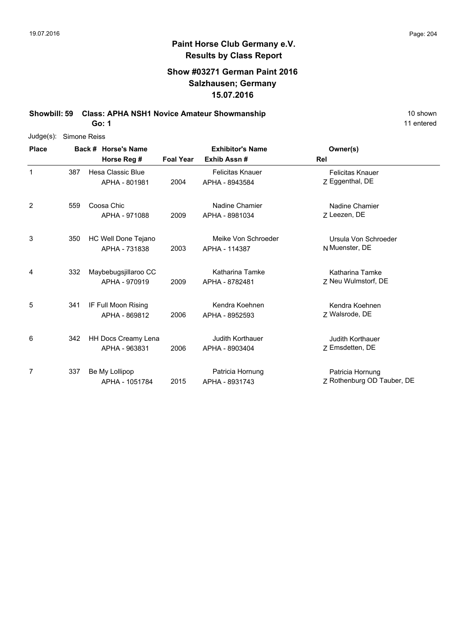### **Show #03271 German Paint 2016 Salzhausen; Germany 15.07.2016**

**Showbill: 59 Class: APHA NSH1 Novice Amateur Showmanship** 10 Shown 10 shown

**Go: 1**

| $Judge(s)$ : | Simone Reiss |                      |                  |                         |                            |  |  |  |  |
|--------------|--------------|----------------------|------------------|-------------------------|----------------------------|--|--|--|--|
| <b>Place</b> |              | Back # Horse's Name  |                  | <b>Exhibitor's Name</b> | Owner(s)                   |  |  |  |  |
|              |              | Horse Reg #          | <b>Foal Year</b> | Exhib Assn#             | Rel                        |  |  |  |  |
| 1            | 387          | Hesa Classic Blue    |                  | <b>Felicitas Knauer</b> | <b>Felicitas Knauer</b>    |  |  |  |  |
|              |              | APHA - 801981        | 2004             | APHA - 8943584          | Z Eggenthal, DE            |  |  |  |  |
| 2            | 559          | Coosa Chic           |                  | Nadine Chamier          | Nadine Chamier             |  |  |  |  |
|              |              | APHA - 971088        | 2009             | APHA - 8981034          | Z Leezen, DE               |  |  |  |  |
| 3            | 350          | HC Well Done Tejano  |                  | Meike Von Schroeder     | Ursula Von Schroeder       |  |  |  |  |
|              |              | APHA - 731838        | 2003             | APHA - 114387           | N Muenster, DE             |  |  |  |  |
| 4            | 332          | Maybebugsjillaroo CC |                  | Katharina Tamke         | Katharina Tamke            |  |  |  |  |
|              |              | APHA - 970919        | 2009             | APHA - 8782481          | 7 Neu Wulmstorf, DE        |  |  |  |  |
| 5            | 341          | IF Full Moon Rising  |                  | Kendra Koehnen          | Kendra Koehnen             |  |  |  |  |
|              |              | APHA - 869812        | 2006             | APHA - 8952593          | Z Walsrode, DE             |  |  |  |  |
| 6            | 342          | HH Docs Creamy Lena  |                  | Judith Korthauer        | Judith Korthauer           |  |  |  |  |
|              |              | APHA - 963831        | 2006             | APHA - 8903404          | Z Emsdetten, DE            |  |  |  |  |
| 7            | 337          | Be My Lollipop       |                  | Patricia Hornung        | Patricia Hornung           |  |  |  |  |
|              |              | APHA - 1051784       | 2015             | APHA - 8931743          | Z Rothenburg OD Tauber, DE |  |  |  |  |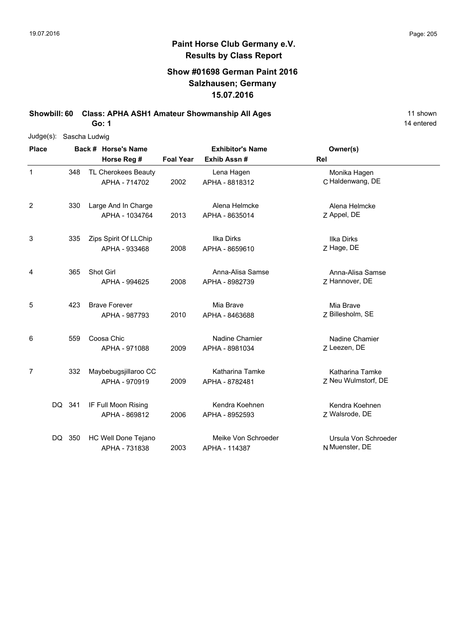### **Show #01698 German Paint 2016 Salzhausen; Germany 15.07.2016**

**Showbill: 60 Class: APHA ASH1 Amateur Showmanship All Ages** 11 shown

**Go: 1**

| Judge(s): Sascha Ludwig |        |     |                                        |                  |                                      |                                        |
|-------------------------|--------|-----|----------------------------------------|------------------|--------------------------------------|----------------------------------------|
| <b>Place</b>            |        |     | Back # Horse's Name                    |                  | <b>Exhibitor's Name</b>              | Owner(s)                               |
|                         |        |     | Horse Reg #                            | <b>Foal Year</b> | Exhib Assn#                          | Rel                                    |
| $\mathbf{1}$            |        | 348 | TL Cherokees Beauty<br>APHA - 714702   | 2002             | Lena Hagen<br>APHA - 8818312         | Monika Hagen<br>C Haldenwang, DE       |
| 2                       |        | 330 | Large And In Charge<br>APHA - 1034764  | 2013             | Alena Helmcke<br>APHA - 8635014      | Alena Helmcke<br>Z Appel, DE           |
| 3                       |        | 335 | Zips Spirit Of LLChip<br>APHA - 933468 | 2008             | Ilka Dirks<br>APHA - 8659610         | <b>Ilka Dirks</b><br>Z Hage, DE        |
| 4                       |        | 365 | Shot Girl<br>APHA - 994625             | 2008             | Anna-Alisa Samse<br>APHA - 8982739   | Anna-Alisa Samse<br>Z Hannover, DE     |
| 5                       |        | 423 | <b>Brave Forever</b><br>APHA - 987793  | 2010             | Mia Brave<br>APHA - 8463688          | Mia Brave<br>Z Billesholm, SE          |
| 6                       |        | 559 | Coosa Chic<br>APHA - 971088            | 2009             | Nadine Chamier<br>APHA - 8981034     | Nadine Chamier<br>Z Leezen, DE         |
| $\overline{7}$          |        | 332 | Maybebugsjillaroo CC<br>APHA - 970919  | 2009             | Katharina Tamke<br>APHA - 8782481    | Katharina Tamke<br>Z Neu Wulmstorf, DE |
|                         | DQ 341 |     | IF Full Moon Rising<br>APHA - 869812   | 2006             | Kendra Koehnen<br>APHA - 8952593     | Kendra Koehnen<br>Z Walsrode, DE       |
|                         | DQ 350 |     | HC Well Done Tejano<br>APHA - 731838   | 2003             | Meike Von Schroeder<br>APHA - 114387 | Ursula Von Schroeder<br>N Muenster, DE |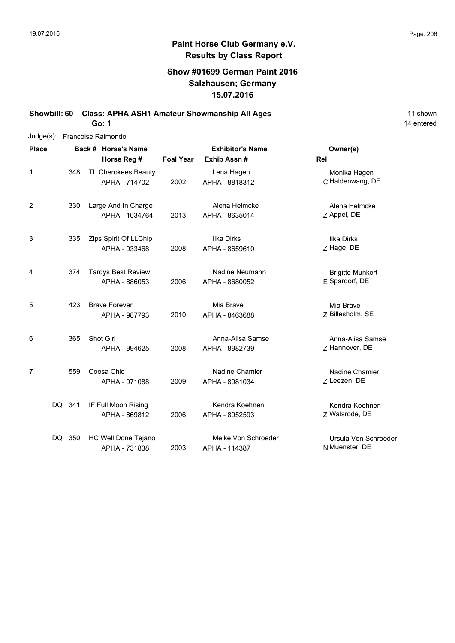### **Show #01699 German Paint 2016 Salzhausen; Germany 15.07.2016**

**Showbill: 60 Class: APHA ASH1 Amateur Showmanship All Ages** 11 shown

**Go: 1**

| $Judge(s)$ : |        | Francoise Raimondo |                                            |                  |                                      |                                           |  |  |  |  |  |
|--------------|--------|--------------------|--------------------------------------------|------------------|--------------------------------------|-------------------------------------------|--|--|--|--|--|
| <b>Place</b> |        |                    | Back # Horse's Name                        |                  | <b>Exhibitor's Name</b>              | Owner(s)                                  |  |  |  |  |  |
|              |        |                    | Horse Reg #                                | <b>Foal Year</b> | Exhib Assn#                          | Rel                                       |  |  |  |  |  |
| $\mathbf 1$  |        | 348                | TL Cherokees Beauty<br>APHA - 714702       | 2002             | Lena Hagen<br>APHA - 8818312         | Monika Hagen<br>C Haldenwang, DE          |  |  |  |  |  |
| 2            |        | 330                | Large And In Charge<br>APHA - 1034764      | 2013             | Alena Helmcke<br>APHA - 8635014      | Alena Helmcke<br>Z Appel, DE              |  |  |  |  |  |
| 3            |        | 335                | Zips Spirit Of LLChip<br>APHA - 933468     | 2008             | <b>Ilka Dirks</b><br>APHA - 8659610  | <b>Ilka Dirks</b><br>Z Hage, DE           |  |  |  |  |  |
| 4            |        | 374                | <b>Tardys Best Review</b><br>APHA - 886053 | 2006             | Nadine Neumann<br>APHA - 8680052     | <b>Brigitte Munkert</b><br>E Spardorf, DE |  |  |  |  |  |
| 5            |        | 423                | <b>Brave Forever</b><br>APHA - 987793      | 2010             | Mia Brave<br>APHA - 8463688          | Mia Brave<br>Z Billesholm, SE             |  |  |  |  |  |
| 6            |        | 365                | Shot Girl<br>APHA - 994625                 | 2008             | Anna-Alisa Samse<br>APHA - 8982739   | Anna-Alisa Samse<br>Z Hannover, DE        |  |  |  |  |  |
| 7            |        | 559                | Coosa Chic<br>APHA - 971088                | 2009             | Nadine Chamier<br>APHA - 8981034     | Nadine Chamier<br>Z Leezen, DE            |  |  |  |  |  |
|              | DQ 341 |                    | IF Full Moon Rising<br>APHA - 869812       | 2006             | Kendra Koehnen<br>APHA - 8952593     | Kendra Koehnen<br>Z Walsrode, DE          |  |  |  |  |  |
|              |        | DQ 350             | HC Well Done Tejano<br>APHA - 731838       | 2003             | Meike Von Schroeder<br>APHA - 114387 | Ursula Von Schroeder<br>N Muenster, DE    |  |  |  |  |  |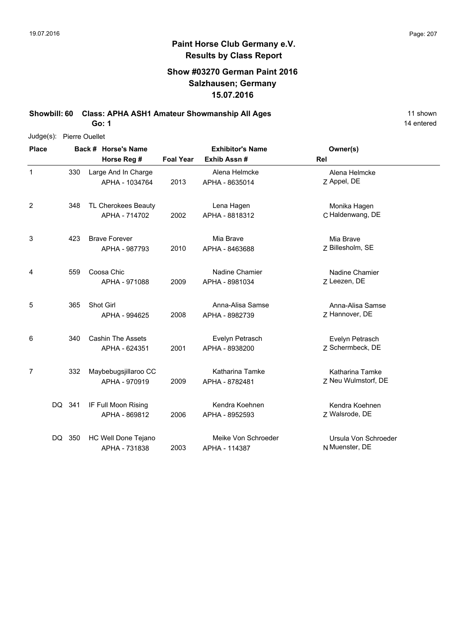### **Show #03270 German Paint 2016 Salzhausen; Germany 15.07.2016**

**Showbill: 60 Class: APHA ASH1 Amateur Showmanship All Ages** 11 shown

**Go: 1**

| $Judge(s)$ :   |        | <b>Pierre Ouellet</b> |                                           |                  |                                      |                                               |  |  |  |  |
|----------------|--------|-----------------------|-------------------------------------------|------------------|--------------------------------------|-----------------------------------------------|--|--|--|--|
| <b>Place</b>   |        |                       | Back # Horse's Name                       |                  | <b>Exhibitor's Name</b>              | Owner(s)                                      |  |  |  |  |
|                |        |                       | Horse Reg #                               | <b>Foal Year</b> | Exhib Assn#                          | Rel                                           |  |  |  |  |
| 1              | 330    |                       | Large And In Charge<br>APHA - 1034764     | 2013             | Alena Helmcke<br>APHA - 8635014      | Alena Helmcke<br>Z Appel, DE                  |  |  |  |  |
| 2              | 348    |                       | TL Cherokees Beauty<br>APHA - 714702      | 2002             | Lena Hagen<br>APHA - 8818312         | Monika Hagen<br>C Haldenwang, DE              |  |  |  |  |
| 3              | 423    |                       | <b>Brave Forever</b><br>APHA - 987793     | 2010             | Mia Brave<br>APHA - 8463688          | Mia Brave<br>Z Billesholm, SE                 |  |  |  |  |
| 4              | 559    |                       | Coosa Chic<br>APHA - 971088               | 2009             | Nadine Chamier<br>APHA - 8981034     | Nadine Chamier<br>Z Leezen, DE                |  |  |  |  |
| 5              | 365    |                       | Shot Girl<br>APHA - 994625                | 2008             | Anna-Alisa Samse<br>APHA - 8982739   | Anna-Alisa Samse<br>Z Hannover, DE            |  |  |  |  |
| 6              | 340    |                       | <b>Cashin The Assets</b><br>APHA - 624351 | 2001             | Evelyn Petrasch<br>APHA - 8938200    | Evelyn Petrasch<br>Z Schermbeck, DE           |  |  |  |  |
| $\overline{7}$ | 332    |                       | Maybebugsjillaroo CC<br>APHA - 970919     | 2009             | Katharina Tamke<br>APHA - 8782481    | <b>Katharina Tamke</b><br>Z Neu Wulmstorf, DE |  |  |  |  |
|                | DQ 341 |                       | IF Full Moon Rising<br>APHA - 869812      | 2006             | Kendra Koehnen<br>APHA - 8952593     | Kendra Koehnen<br>Z Walsrode, DE              |  |  |  |  |
|                | DQ 350 |                       | HC Well Done Tejano<br>APHA - 731838      | 2003             | Meike Von Schroeder<br>APHA - 114387 | Ursula Von Schroeder<br>N Muenster, DE        |  |  |  |  |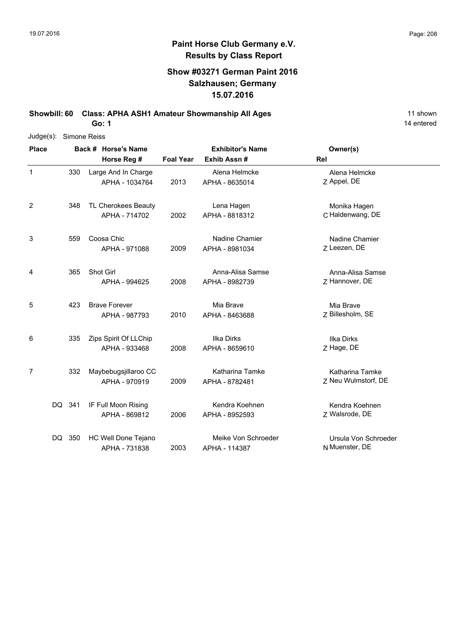### **Show #03271 German Paint 2016 Salzhausen; Germany 15.07.2016**

**Showbill: 60 Class: APHA ASH1 Amateur Showmanship All Ages** 11 shown

**Go: 1**

| Judge(s):      |        | Simone Reiss |                                        |                  |                                        |                                        |  |  |  |  |
|----------------|--------|--------------|----------------------------------------|------------------|----------------------------------------|----------------------------------------|--|--|--|--|
| <b>Place</b>   |        |              | Back # Horse's Name<br>Horse Reg #     | <b>Foal Year</b> | <b>Exhibitor's Name</b><br>Exhib Assn# | Owner(s)<br>Rel                        |  |  |  |  |
| 1              | 330    |              | Large And In Charge<br>APHA - 1034764  | 2013             | Alena Helmcke<br>APHA - 8635014        | Alena Helmcke<br>Z Appel, DE           |  |  |  |  |
| $\overline{2}$ | 348    |              | TL Cherokees Beauty<br>APHA - 714702   | 2002             | Lena Hagen<br>APHA - 8818312           | Monika Hagen<br>C Haldenwang, DE       |  |  |  |  |
| 3              | 559    |              | Coosa Chic<br>APHA - 971088            | 2009             | Nadine Chamier<br>APHA - 8981034       | Nadine Chamier<br>Z Leezen, DE         |  |  |  |  |
| 4              | 365    |              | Shot Girl<br>APHA - 994625             | 2008             | Anna-Alisa Samse<br>APHA - 8982739     | Anna-Alisa Samse<br>Z Hannover, DE     |  |  |  |  |
| 5              | 423    |              | <b>Brave Forever</b><br>APHA - 987793  | 2010             | Mia Brave<br>APHA - 8463688            | Mia Brave<br>Z Billesholm, SE          |  |  |  |  |
| 6              | 335    |              | Zips Spirit Of LLChip<br>APHA - 933468 | 2008             | Ilka Dirks<br>APHA - 8659610           | Ilka Dirks<br>Z Hage, DE               |  |  |  |  |
| 7              | 332    |              | Maybebugsjillaroo CC<br>APHA - 970919  | 2009             | Katharina Tamke<br>APHA - 8782481      | Katharina Tamke<br>Z Neu Wulmstorf, DE |  |  |  |  |
|                | DQ 341 |              | IF Full Moon Rising<br>APHA - 869812   | 2006             | Kendra Koehnen<br>APHA - 8952593       | Kendra Koehnen<br>Z Walsrode, DE       |  |  |  |  |
|                | DQ 350 |              | HC Well Done Tejano<br>APHA - 731838   | 2003             | Meike Von Schroeder<br>APHA - 114387   | Ursula Von Schroeder<br>N Muenster, DE |  |  |  |  |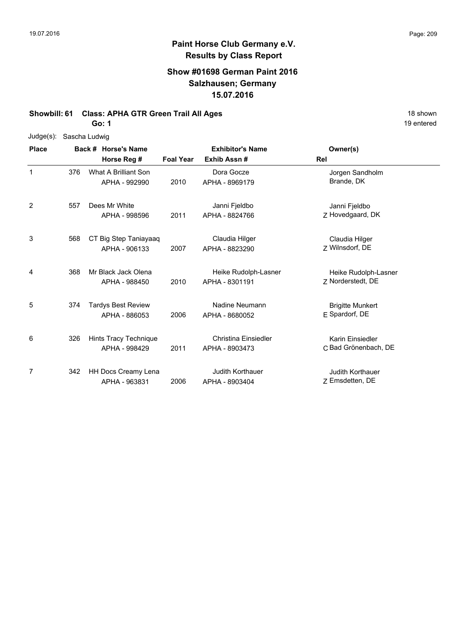### **Show #01698 German Paint 2016 Salzhausen; Germany 15.07.2016**

#### **Showbill: 61 Class: APHA GTR Green Trail All Ages** 18 Shown 18 shown

**Go: 1**

| $Judge(s)$ : |     | Sascha Ludwig             |                  |                             |                         |
|--------------|-----|---------------------------|------------------|-----------------------------|-------------------------|
| <b>Place</b> |     | Back # Horse's Name       |                  | <b>Exhibitor's Name</b>     | Owner(s)                |
|              |     | Horse Reg #               | <b>Foal Year</b> | Exhib Assn#                 | Rel                     |
| 1            | 376 | What A Brilliant Son      |                  | Dora Gocze                  | Jorgen Sandholm         |
|              |     | APHA - 992990             | 2010             | APHA - 8969179              | Brande, DK              |
| 2            | 557 | Dees Mr White             |                  | Janni Fjeldbo               | Janni Fjeldbo           |
|              |     | APHA - 998596             | 2011             | APHA - 8824766              | Z Hovedgaard, DK        |
| 3            | 568 | CT Big Step Taniayaaq     |                  | Claudia Hilger              | Claudia Hilger          |
|              |     | APHA - 906133             | 2007             | APHA - 8823290              | 7 Wilnsdorf, DE         |
| 4            | 368 | Mr Black Jack Olena       |                  | Heike Rudolph-Lasner        | Heike Rudolph-Lasner    |
|              |     | APHA - 988450             | 2010             | APHA - 8301191              | Z Norderstedt, DE       |
| 5            | 374 | <b>Tardys Best Review</b> |                  | Nadine Neumann              | <b>Brigitte Munkert</b> |
|              |     | APHA - 886053             | 2006             | APHA - 8680052              | E Spardorf, DE          |
| 6            | 326 | Hints Tracy Technique     |                  | <b>Christina Einsiedler</b> | Karin Einsiedler        |
|              |     | APHA - 998429             | 2011             | APHA - 8903473              | C Bad Grönenbach, DE    |
| 7            | 342 | HH Docs Creamy Lena       |                  | <b>Judith Korthauer</b>     | <b>Judith Korthauer</b> |
|              |     | APHA - 963831             | 2006             | APHA - 8903404              | Z Emsdetten, DE         |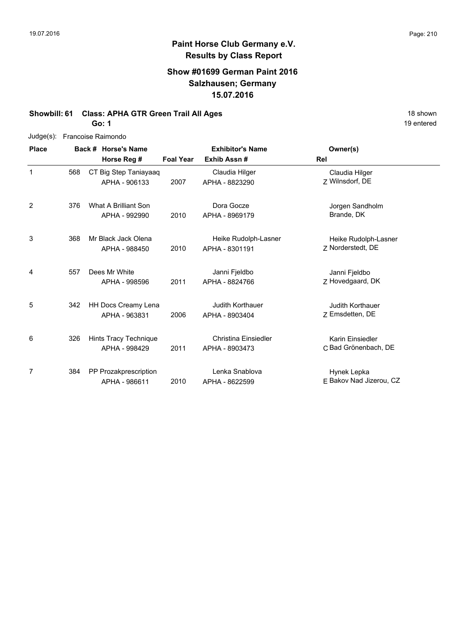# **Paint Horse Club Germany e.V. Results by Class Report**

### **Show #01699 German Paint 2016 Salzhausen; Germany 15.07.2016**

#### **Showbill: 61 Class: APHA GTR Green Trail All Ages** 18 Shown 18 shown

|  | Judge(s): Francoise Raimondo |  |
|--|------------------------------|--|
|--|------------------------------|--|

| <b>Place</b> |     | Back # Horse's Name                    |                  | <b>Exhibitor's Name</b>                       | Owner(s)                                   |
|--------------|-----|----------------------------------------|------------------|-----------------------------------------------|--------------------------------------------|
|              |     | Horse Reg #                            | <b>Foal Year</b> | Exhib Assn#                                   | Rel                                        |
| 1            | 568 | CT Big Step Taniayaaq<br>APHA - 906133 | 2007             | Claudia Hilger<br>APHA - 8823290              | Claudia Hilger<br>Z Wilnsdorf, DE          |
| 2            | 376 | What A Brilliant Son<br>APHA - 992990  | 2010             | Dora Gocze<br>APHA - 8969179                  | Jorgen Sandholm<br>Brande, DK              |
| 3            | 368 | Mr Black Jack Olena<br>APHA - 988450   | 2010             | Heike Rudolph-Lasner<br>APHA - 8301191        | Heike Rudolph-Lasner<br>Z Norderstedt, DE  |
| 4            | 557 | Dees Mr White<br>APHA - 998596         | 2011             | Janni Fjeldbo<br>APHA - 8824766               | Janni Fjeldbo<br>Z Hovedgaard, DK          |
| 5            | 342 | HH Docs Creamy Lena<br>APHA - 963831   | 2006             | Judith Korthauer<br>APHA - 8903404            | <b>Judith Korthauer</b><br>Z Emsdetten, DE |
| 6            | 326 | Hints Tracy Technique<br>APHA - 998429 | 2011             | <b>Christina Einsiedler</b><br>APHA - 8903473 | Karin Einsiedler<br>C Bad Grönenbach, DE   |
| 7            | 384 | PP Prozakprescription<br>APHA - 986611 | 2010             | Lenka Snablova<br>APHA - 8622599              | Hynek Lepka<br>E Bakov Nad Jizerou, CZ     |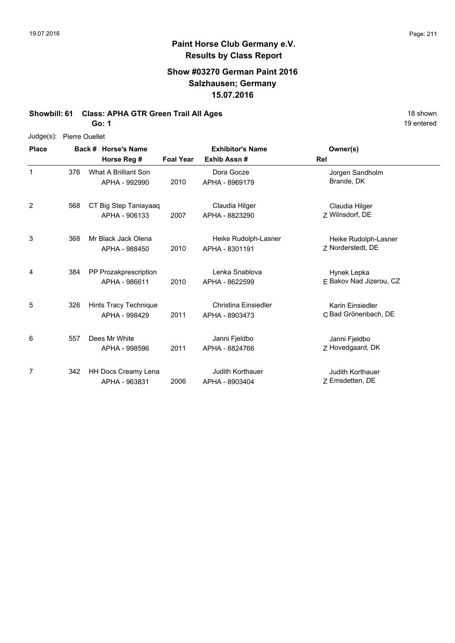# **Paint Horse Club Germany e.V. Results by Class Report**

### **Show #03270 German Paint 2016 Salzhausen; Germany 15.07.2016**

#### **Showbill: 61 Class: APHA GTR Green Trail All Ages** 18 Shown 18 shown

| <b>Place</b> |     | Back # Horse's Name                    |                  | <b>Exhibitor's Name</b>                       | Owner(s)                                   |
|--------------|-----|----------------------------------------|------------------|-----------------------------------------------|--------------------------------------------|
|              |     | Horse Reg #                            | <b>Foal Year</b> | Exhib Assn#                                   | Rel                                        |
| 1            | 376 | What A Brilliant Son<br>APHA - 992990  | 2010             | Dora Gocze<br>APHA - 8969179                  | Jorgen Sandholm<br>Brande, DK              |
| 2            | 568 | CT Big Step Taniayaaq<br>APHA - 906133 | 2007             | Claudia Hilger<br>APHA - 8823290              | Claudia Hilger<br>Z Wilnsdorf, DE          |
| 3            | 368 | Mr Black Jack Olena<br>APHA - 988450   | 2010             | Heike Rudolph-Lasner<br>APHA - 8301191        | Heike Rudolph-Lasner<br>Z Norderstedt, DE  |
| 4            | 384 | PP Prozakprescription<br>APHA - 986611 | 2010             | Lenka Snablova<br>APHA - 8622599              | Hynek Lepka<br>E Bakov Nad Jizerou, CZ     |
| 5            | 326 | Hints Tracy Technique<br>APHA - 998429 | 2011             | <b>Christina Einsiedler</b><br>APHA - 8903473 | Karin Einsiedler<br>C Bad Grönenbach, DE   |
| 6            | 557 | Dees Mr White<br>APHA - 998596         | 2011             | Janni Fjeldbo<br>APHA - 8824766               | Janni Fjeldbo<br>Z Hovedgaard, DK          |
| 7            | 342 | HH Docs Creamy Lena<br>APHA - 963831   | 2006             | <b>Judith Korthauer</b><br>APHA - 8903404     | <b>Judith Korthauer</b><br>Z Emsdetten, DE |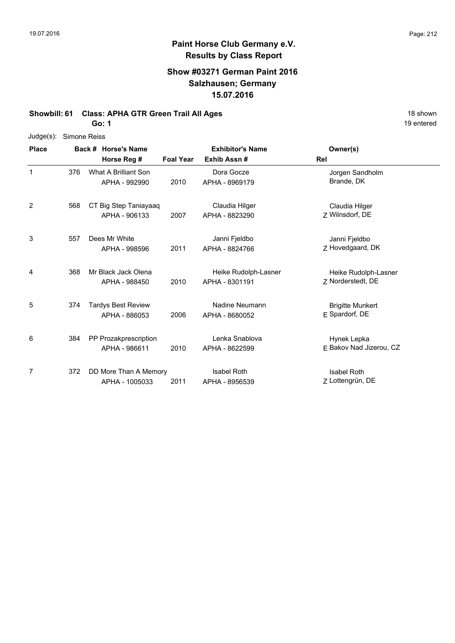### **Show #03271 German Paint 2016 Salzhausen; Germany 15.07.2016**

#### **Showbill: 61 Class: APHA GTR Green Trail All Ages** 18 Shown 18 shown

**Go: 1**

| $Judge(s)$ : |     | Simone Reiss              |                  |                         |                         |  |  |  |  |  |
|--------------|-----|---------------------------|------------------|-------------------------|-------------------------|--|--|--|--|--|
| <b>Place</b> |     | Back # Horse's Name       |                  | <b>Exhibitor's Name</b> | Owner(s)                |  |  |  |  |  |
|              |     | Horse Reg #               | <b>Foal Year</b> | Exhib Assn#             | Rel                     |  |  |  |  |  |
| $\mathbf{1}$ | 376 | What A Brilliant Son      |                  | Dora Gocze              | Jorgen Sandholm         |  |  |  |  |  |
|              |     | APHA - 992990             | 2010             | APHA - 8969179          | Brande, DK              |  |  |  |  |  |
| 2            | 568 | CT Big Step Taniayaaq     |                  | Claudia Hilger          | Claudia Hilger          |  |  |  |  |  |
|              |     | APHA - 906133             | 2007             | APHA - 8823290          | Z Wilnsdorf, DE         |  |  |  |  |  |
| 3            | 557 | Dees Mr White             |                  | Janni Fjeldbo           | Janni Fjeldbo           |  |  |  |  |  |
|              |     | APHA - 998596             | 2011             | APHA - 8824766          | Z Hovedgaard, DK        |  |  |  |  |  |
| 4            | 368 | Mr Black Jack Olena       |                  | Heike Rudolph-Lasner    | Heike Rudolph-Lasner    |  |  |  |  |  |
|              |     | APHA - 988450             | 2010             | APHA - 8301191          | Z Norderstedt, DE       |  |  |  |  |  |
| 5            | 374 | <b>Tardys Best Review</b> |                  | Nadine Neumann          | <b>Brigitte Munkert</b> |  |  |  |  |  |
|              |     | APHA - 886053             | 2006             | APHA - 8680052          | E Spardorf, DE          |  |  |  |  |  |
| 6            | 384 | PP Prozakprescription     |                  | Lenka Snablova          | Hynek Lepka             |  |  |  |  |  |
|              |     | APHA - 986611             | 2010             | APHA - 8622599          | E Bakov Nad Jizerou, CZ |  |  |  |  |  |
| 7            | 372 | DD More Than A Memory     |                  | <b>Isabel Roth</b>      | <b>Isabel Roth</b>      |  |  |  |  |  |
|              |     | APHA - 1005033            | 2011             | APHA - 8956539          | Z Lottengrün, DE        |  |  |  |  |  |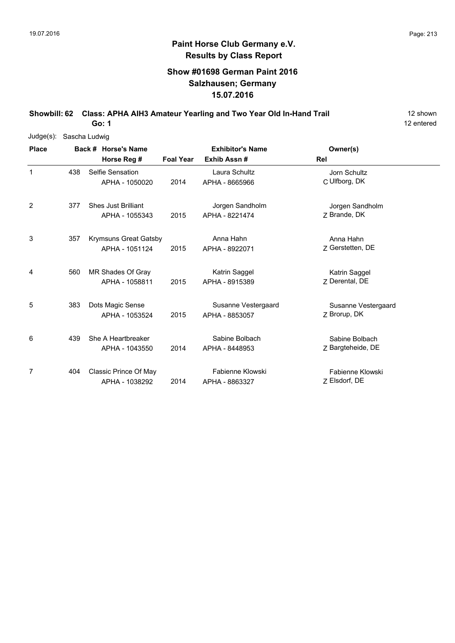### **Show #01698 German Paint 2016 Salzhausen; Germany 15.07.2016**

**Showbill: 62 Class: APHA AIH3 Amateur Yearling and Two Year Old In-Hand Trail** 12 shown

12 entered

|              | Judge(s): Sascha Ludwig |  |                            |                  |                         |                     |  |  |  |
|--------------|-------------------------|--|----------------------------|------------------|-------------------------|---------------------|--|--|--|
| <b>Place</b> |                         |  | Back # Horse's Name        |                  | <b>Exhibitor's Name</b> | Owner(s)            |  |  |  |
|              |                         |  | Horse Reg #                | <b>Foal Year</b> | Exhib Assn#             | Rel                 |  |  |  |
| 1            | 438                     |  | Selfie Sensation           |                  | Laura Schultz           | Jorn Schultz        |  |  |  |
|              |                         |  | APHA - 1050020             | 2014             | APHA - 8665966          | C Ulfborg, DK       |  |  |  |
| 2            | 377                     |  | <b>Shes Just Brilliant</b> |                  | Jorgen Sandholm         | Jorgen Sandholm     |  |  |  |
|              |                         |  | APHA - 1055343             | 2015             | APHA - 8221474          | 7 Brande, DK        |  |  |  |
| 3            | 357                     |  | Krymsuns Great Gatsby      |                  | Anna Hahn               | Anna Hahn           |  |  |  |
|              |                         |  | APHA - 1051124             | 2015             | APHA - 8922071          | Z Gerstetten, DE    |  |  |  |
| 4            | 560                     |  | MR Shades Of Gray          |                  | Katrin Saggel           | Katrin Saggel       |  |  |  |
|              |                         |  | APHA - 1058811             | 2015             | APHA - 8915389          | 7 Derental, DE      |  |  |  |
| 5            | 383                     |  | Dots Magic Sense           |                  | Susanne Vestergaard     | Susanne Vestergaard |  |  |  |
|              |                         |  | APHA - 1053524             | 2015             | APHA - 8853057          | Z Brorup, DK        |  |  |  |
| 6            | 439                     |  | She A Heartbreaker         |                  | Sabine Bolbach          | Sabine Bolbach      |  |  |  |
|              |                         |  | APHA - 1043550             | 2014             | APHA - 8448953          | Z Bargteheide, DE   |  |  |  |
| 7            | 404                     |  | Classic Prince Of May      |                  | Fabienne Klowski        | Fabienne Klowski    |  |  |  |
|              |                         |  | APHA - 1038292             | 2014             | APHA - 8863327          | Z Elsdorf, DE       |  |  |  |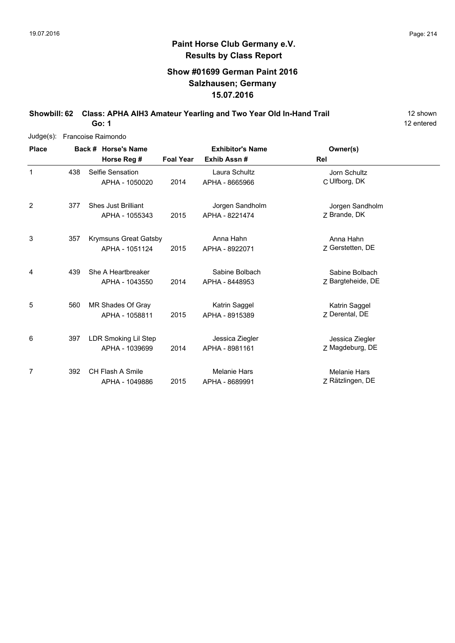### **Show #01699 German Paint 2016 Salzhausen; Germany 15.07.2016**

#### **Showbill: 62 Class: APHA AIH3 Amateur Yearling and Two Year Old In-Hand Trail** 12 shown

12 entered

| $Judge(s)$ : | Francoise Raimondo |                                                |                  |                                       |                                         |  |  |  |  |
|--------------|--------------------|------------------------------------------------|------------------|---------------------------------------|-----------------------------------------|--|--|--|--|
| <b>Place</b> |                    | Back # Horse's Name                            |                  | <b>Exhibitor's Name</b>               | Owner(s)                                |  |  |  |  |
|              |                    | Horse Reg #                                    | <b>Foal Year</b> | Exhib Assn#                           | Rel                                     |  |  |  |  |
| 1            | 438                | Selfie Sensation<br>APHA - 1050020             | 2014             | Laura Schultz<br>APHA - 8665966       | Jorn Schultz<br>C Ulfborg, DK           |  |  |  |  |
| 2            | 377                | <b>Shes Just Brilliant</b><br>APHA - 1055343   | 2015             | Jorgen Sandholm<br>APHA - 8221474     | Jorgen Sandholm<br>Z Brande, DK         |  |  |  |  |
| 3            | 357                | <b>Krymsuns Great Gatsby</b><br>APHA - 1051124 | 2015             | Anna Hahn<br>APHA - 8922071           | Anna Hahn<br>Z Gerstetten, DE           |  |  |  |  |
| 4            | 439                | She A Heartbreaker<br>APHA - 1043550           | 2014             | Sabine Bolbach<br>APHA - 8448953      | Sabine Bolbach<br>Z Bargteheide, DE     |  |  |  |  |
| 5            | 560                | MR Shades Of Gray<br>APHA - 1058811            | 2015             | Katrin Saggel<br>APHA - 8915389       | Katrin Saggel<br>7 Derental, DE         |  |  |  |  |
| 6            | 397                | LDR Smoking Lil Step<br>APHA - 1039699         | 2014             | Jessica Ziegler<br>APHA - 8981161     | Jessica Ziegler<br>Z Magdeburg, DE      |  |  |  |  |
| 7            | 392                | <b>CH Flash A Smile</b><br>APHA - 1049886      | 2015             | <b>Melanie Hars</b><br>APHA - 8689991 | <b>Melanie Hars</b><br>Z Rätzlingen, DE |  |  |  |  |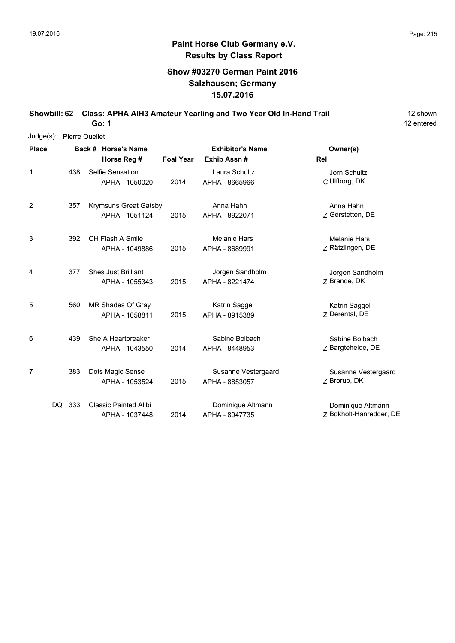### **Show #03270 German Paint 2016 Salzhausen; Germany 15.07.2016**

**Showbill: 62 Class: APHA AIH3 Amateur Yearling and Two Year Old In-Hand Trail** 12 shown

12 entered

| Judge(s):    |            | Pierre Ouellet      |                                                |                  |                                       |                                              |  |  |  |  |
|--------------|------------|---------------------|------------------------------------------------|------------------|---------------------------------------|----------------------------------------------|--|--|--|--|
| <b>Place</b> |            | Back # Horse's Name |                                                |                  | <b>Exhibitor's Name</b>               | Owner(s)                                     |  |  |  |  |
|              |            |                     | Horse Reg #                                    | <b>Foal Year</b> | Exhib Assn#                           | Rel                                          |  |  |  |  |
| 1            | 438        |                     | Selfie Sensation<br>APHA - 1050020             | 2014             | Laura Schultz<br>APHA - 8665966       | Jorn Schultz<br>C Ulfborg, DK                |  |  |  |  |
| 2            | 357        |                     | <b>Krymsuns Great Gatsby</b><br>APHA - 1051124 | 2015             | Anna Hahn<br>APHA - 8922071           | Anna Hahn<br>Z Gerstetten, DE                |  |  |  |  |
| 3            | 392        |                     | <b>CH Flash A Smile</b><br>APHA - 1049886      | 2015             | <b>Melanie Hars</b><br>APHA - 8689991 | <b>Melanie Hars</b><br>Z Rätzlingen, DE      |  |  |  |  |
| 4            | 377        |                     | <b>Shes Just Brilliant</b><br>APHA - 1055343   | 2015             | Jorgen Sandholm<br>APHA - 8221474     | Jorgen Sandholm<br>Z Brande, DK              |  |  |  |  |
| 5            | 560        |                     | MR Shades Of Gray<br>APHA - 1058811            | 2015             | Katrin Saggel<br>APHA - 8915389       | Katrin Saggel<br>Z Derental, DE              |  |  |  |  |
| 6            | 439        |                     | She A Heartbreaker<br>APHA - 1043550           | 2014             | Sabine Bolbach<br>APHA - 8448953      | Sabine Bolbach<br>Z Bargteheide, DE          |  |  |  |  |
| 7            | 383        |                     | Dots Magic Sense<br>APHA - 1053524             | 2015             | Susanne Vestergaard<br>APHA - 8853057 | Susanne Vestergaard<br>Z Brorup, DK          |  |  |  |  |
|              | 333<br>DQ. |                     | <b>Classic Painted Alibi</b><br>APHA - 1037448 | 2014             | Dominique Altmann<br>APHA - 8947735   | Dominique Altmann<br>Z Bokholt-Hanredder, DE |  |  |  |  |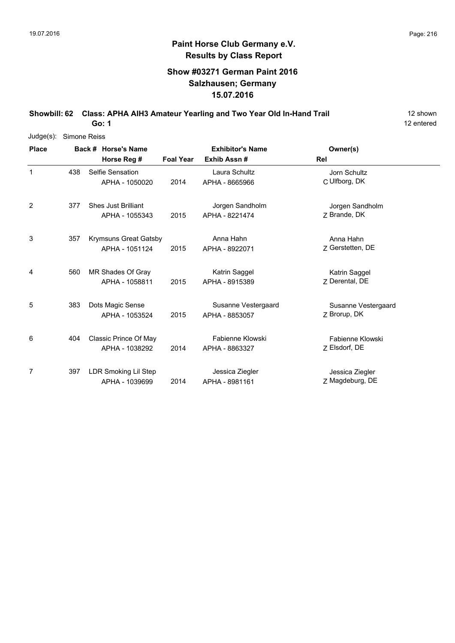### **Show #03271 German Paint 2016 Salzhausen; Germany 15.07.2016**

**Showbill: 62 Class: APHA AIH3 Amateur Yearling and Two Year Old In-Hand Trail** 12 shown

12 entered

| $Judge(s)$ : | Simone Reiss |  |                            |                  |                         |                     |  |  |  |
|--------------|--------------|--|----------------------------|------------------|-------------------------|---------------------|--|--|--|
| <b>Place</b> |              |  | Back # Horse's Name        |                  | <b>Exhibitor's Name</b> | Owner(s)            |  |  |  |
|              |              |  | Horse Reg #                | <b>Foal Year</b> | Exhib Assn#             | Rel                 |  |  |  |
| 1            | 438          |  | Selfie Sensation           |                  | Laura Schultz           | Jorn Schultz        |  |  |  |
|              |              |  | APHA - 1050020             | 2014             | APHA - 8665966          | C Ulfborg, DK       |  |  |  |
| 2            | 377          |  | <b>Shes Just Brilliant</b> |                  | Jorgen Sandholm         | Jorgen Sandholm     |  |  |  |
|              |              |  | APHA - 1055343             | 2015             | APHA - 8221474          | Z Brande, DK        |  |  |  |
| 3            | 357          |  | Krymsuns Great Gatsby      |                  | Anna Hahn               | Anna Hahn           |  |  |  |
|              |              |  | APHA - 1051124             | 2015             | APHA - 8922071          | Z Gerstetten, DE    |  |  |  |
| 4            | 560          |  | MR Shades Of Gray          |                  | Katrin Saggel           | Katrin Saggel       |  |  |  |
|              |              |  | APHA - 1058811             | 2015             | APHA - 8915389          | 7 Derental, DE      |  |  |  |
| 5            | 383          |  | Dots Magic Sense           |                  | Susanne Vestergaard     | Susanne Vestergaard |  |  |  |
|              |              |  | APHA - 1053524             | 2015             | APHA - 8853057          | Z Brorup, DK        |  |  |  |
| 6            | 404          |  | Classic Prince Of May      |                  | Fabienne Klowski        | Fabienne Klowski    |  |  |  |
|              |              |  | APHA - 1038292             | 2014             | APHA - 8863327          | Z Elsdorf, DE       |  |  |  |
| 7            | 397          |  | LDR Smoking Lil Step       |                  | Jessica Ziegler         | Jessica Ziegler     |  |  |  |
|              |              |  | APHA - 1039699             | 2014             | APHA - 8981161          | Z Magdeburg, DE     |  |  |  |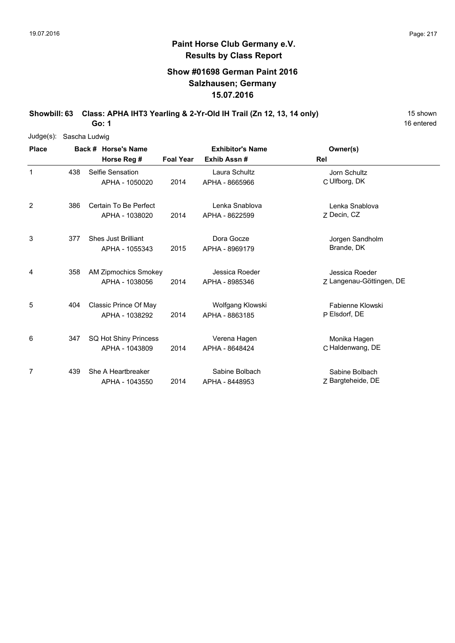### **Show #01698 German Paint 2016 Salzhausen; Germany 15.07.2016**

**Showbill: 63 Class: APHA IHT3 Yearling & 2-Yr-Old IH Trail (Zn 12, 13, 14 only)** 15 Shown

**Go: 1**

| Judge(s):    | Sascha Ludwig |                             |                  |                         |                          |
|--------------|---------------|-----------------------------|------------------|-------------------------|--------------------------|
| <b>Place</b> |               | Back # Horse's Name         |                  | <b>Exhibitor's Name</b> | Owner(s)                 |
|              |               | Horse Reg #                 | <b>Foal Year</b> | Exhib Assn#             | <b>Rel</b>               |
| $\mathbf{1}$ | 438           | Selfie Sensation            |                  | Laura Schultz           | Jorn Schultz             |
|              |               | APHA - 1050020              | 2014             | APHA - 8665966          | C Ulfborg, DK            |
| 2            | 386           | Certain To Be Perfect       |                  | Lenka Snablova          | Lenka Snablova           |
|              |               | APHA - 1038020              | 2014             | APHA - 8622599          | Z Decin, CZ              |
| 3            | 377           | <b>Shes Just Brilliant</b>  |                  | Dora Gocze              | Jorgen Sandholm          |
|              |               | APHA - 1055343              | 2015             | APHA - 8969179          | Brande, DK               |
| 4            | 358           | <b>AM Zipmochics Smokey</b> |                  | Jessica Roeder          | Jessica Roeder           |
|              |               | APHA - 1038056              | 2014             | APHA - 8985346          | Z Langenau-Göttingen, DE |
| 5            | 404           | Classic Prince Of May       |                  | Wolfgang Klowski        | Fabienne Klowski         |
|              |               | APHA - 1038292              | 2014             | APHA - 8863185          | P Elsdorf, DE            |
| 6            | 347           | SQ Hot Shiny Princess       |                  | Verena Hagen            | Monika Hagen             |
|              |               | APHA - 1043809              | 2014             | APHA - 8648424          | C Haldenwang, DE         |
| 7            | 439           | She A Heartbreaker          |                  | Sabine Bolbach          | Sabine Bolbach           |
|              |               | APHA - 1043550              | 2014             | APHA - 8448953          | Z Bargteheide, DE        |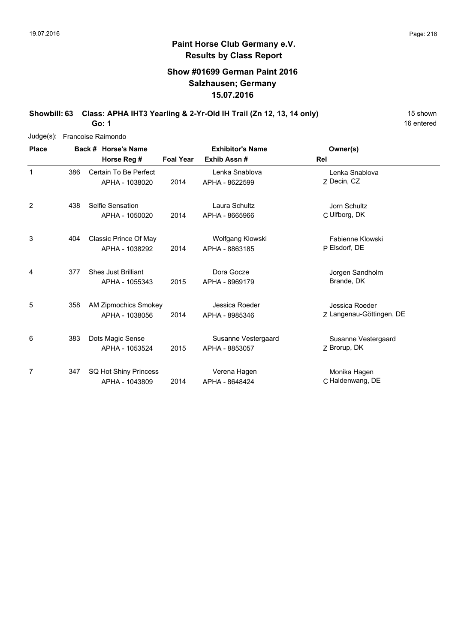### **Show #01699 German Paint 2016 Salzhausen; Germany 15.07.2016**

**Showbill: 63 Class: APHA IHT3 Yearling & 2-Yr-Old IH Trail (Zn 12, 13, 14 only)** 15 Shown

16 entered

**Go: 1**

| $Judge(s)$ : |     | Francoise Raimondo          |                  |                         |                          |
|--------------|-----|-----------------------------|------------------|-------------------------|--------------------------|
| <b>Place</b> |     | Back # Horse's Name         |                  | <b>Exhibitor's Name</b> | Owner(s)                 |
|              |     | Horse Reg #                 | <b>Foal Year</b> | Exhib Assn#             | Rel                      |
| $\mathbf{1}$ | 386 | Certain To Be Perfect       |                  | Lenka Snablova          | Lenka Snablova           |
|              |     | APHA - 1038020              | 2014             | APHA - 8622599          | 7 Decin, CZ              |
| 2            | 438 | Selfie Sensation            |                  | Laura Schultz           | Jorn Schultz             |
|              |     | APHA - 1050020              | 2014             | APHA - 8665966          | C Ulfborg, DK            |
| 3            | 404 | Classic Prince Of May       |                  | Wolfgang Klowski        | Fabienne Klowski         |
|              |     | APHA - 1038292              | 2014             | APHA - 8863185          | P Elsdorf, DE            |
| 4            | 377 | <b>Shes Just Brilliant</b>  |                  | Dora Gocze              | Jorgen Sandholm          |
|              |     | APHA - 1055343              | 2015             | APHA - 8969179          | Brande, DK               |
| 5            | 358 | <b>AM Zipmochics Smokey</b> |                  | Jessica Roeder          | Jessica Roeder           |
|              |     | APHA - 1038056              | 2014             | APHA - 8985346          | Z Langenau-Göttingen, DE |
| 6            | 383 | Dots Magic Sense            |                  | Susanne Vestergaard     | Susanne Vestergaard      |
|              |     | APHA - 1053524              | 2015             | APHA - 8853057          | Z Brorup, DK             |
| 7            | 347 | SQ Hot Shiny Princess       |                  | Verena Hagen            | Monika Hagen             |
|              |     | APHA - 1043809              | 2014             | APHA - 8648424          | C Haldenwang, DE         |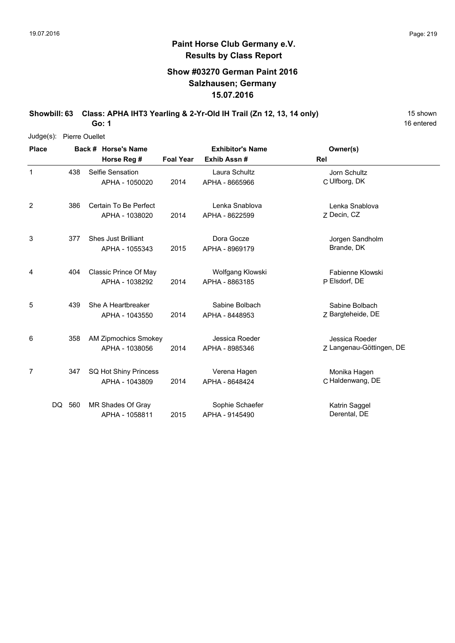### **Show #03270 German Paint 2016 Salzhausen; Germany 15.07.2016**

**Showbill: 63 Class: APHA IHT3 Yearling & 2-Yr-Old IH Trail (Zn 12, 13, 14 only)** 15 Shown

**Go: 1**

| Judge(s): Pierre Ouellet |
|--------------------------|
|                          |

| <b>Place</b> |        |     | Back # Horse's Name         |                  | <b>Exhibitor's Name</b> | Owner(s)                 |
|--------------|--------|-----|-----------------------------|------------------|-------------------------|--------------------------|
|              |        |     | Horse Reg #                 | <b>Foal Year</b> | Exhib Assn#             | Rel                      |
| $\mathbf 1$  |        | 438 | Selfie Sensation            |                  | Laura Schultz           | Jorn Schultz             |
|              |        |     | APHA - 1050020              | 2014             | APHA - 8665966          | C Ulfborg, DK            |
| 2            |        | 386 | Certain To Be Perfect       |                  | Lenka Snablova          | Lenka Snablova           |
|              |        |     | APHA - 1038020              | 2014             | APHA - 8622599          | Z Decin, CZ              |
| 3            |        | 377 | <b>Shes Just Brilliant</b>  |                  | Dora Gocze              | Jorgen Sandholm          |
|              |        |     | APHA - 1055343              | 2015             | APHA - 8969179          | Brande, DK               |
| 4            |        | 404 | Classic Prince Of May       |                  | Wolfgang Klowski        | Fabienne Klowski         |
|              |        |     | APHA - 1038292              | 2014             | APHA - 8863185          | P Elsdorf, DE            |
| 5            |        | 439 | She A Heartbreaker          |                  | Sabine Bolbach          | Sabine Bolbach           |
|              |        |     | APHA - 1043550              | 2014             | APHA - 8448953          | Z Bargteheide, DE        |
| 6            |        | 358 | <b>AM Zipmochics Smokey</b> |                  | Jessica Roeder          | Jessica Roeder           |
|              |        |     | APHA - 1038056              | 2014             | APHA - 8985346          | Z Langenau-Göttingen, DE |
| 7            |        | 347 | SQ Hot Shiny Princess       |                  | Verena Hagen            | Monika Hagen             |
|              |        |     | APHA - 1043809              | 2014             | APHA - 8648424          | C Haldenwang, DE         |
|              | DQ 560 |     | MR Shades Of Gray           |                  | Sophie Schaefer         | Katrin Saggel            |
|              |        |     | APHA - 1058811              | 2015             | APHA - 9145490          | Derental, DE             |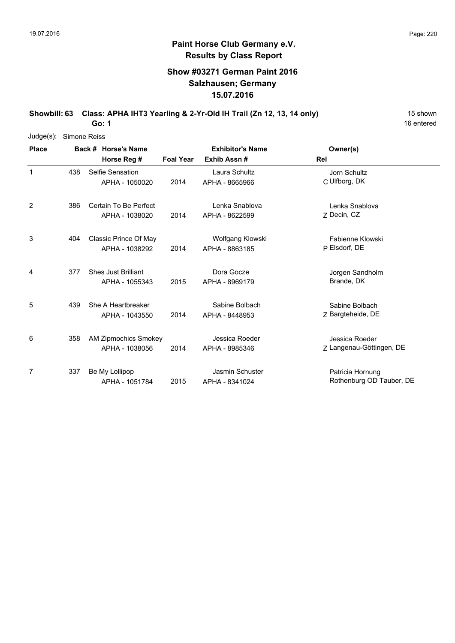## **Show #03271 German Paint 2016 Salzhausen; Germany 15.07.2016**

Showbill: 63 Class: APHA IHT3 Yearling & 2-Yr-Old IH Trail (Zn 12, 13, 14 only) 15 shown

**Go: 1**

| $Judge(s)$ : | Simone Reiss |                             |                  |                         |                          |
|--------------|--------------|-----------------------------|------------------|-------------------------|--------------------------|
| <b>Place</b> |              | Back # Horse's Name         |                  | <b>Exhibitor's Name</b> | Owner(s)                 |
|              |              | Horse Reg #                 | <b>Foal Year</b> | Exhib Assn#             | Rel                      |
|              | 438          | Selfie Sensation            |                  | Laura Schultz           | Jorn Schultz             |
|              |              | APHA - 1050020              | 2014             | APHA - 8665966          | C Ulfborg, DK            |
| 2            | 386          | Certain To Be Perfect       |                  | Lenka Snablova          | Lenka Snablova           |
|              |              | APHA - 1038020              | 2014             | APHA - 8622599          | Z Decin, CZ              |
| 3            | 404          | Classic Prince Of May       |                  | Wolfgang Klowski        | Fabienne Klowski         |
|              |              | APHA - 1038292              | 2014             | APHA - 8863185          | P Elsdorf, DE            |
| 4            | 377          | <b>Shes Just Brilliant</b>  |                  | Dora Gocze              | Jorgen Sandholm          |
|              |              | APHA - 1055343              | 2015             | APHA - 8969179          | Brande, DK               |
| 5            | 439          | She A Heartbreaker          |                  | Sabine Bolbach          | Sabine Bolbach           |
|              |              | APHA - 1043550              | 2014             | APHA - 8448953          | Z Bargteheide, DE        |
| 6            | 358          | <b>AM Zipmochics Smokey</b> |                  | Jessica Roeder          | Jessica Roeder           |
|              |              | APHA - 1038056              | 2014             | APHA - 8985346          | 7 Langenau-Göttingen, DE |
| 7            | 337          | Be My Lollipop              |                  | Jasmin Schuster         | Patricia Hornung         |
|              |              | APHA - 1051784              | 2015             | APHA - 8341024          | Rothenburg OD Tauber, DE |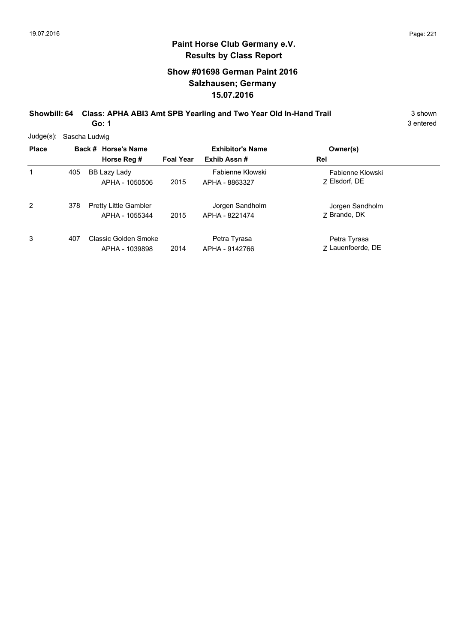# **Show #01698 German Paint 2016 Salzhausen; Germany 15.07.2016**

**Showbill: 64 Class: APHA ABI3 Amt SPB Yearling and Two Year Old In-Hand Trail** 3 shown **Go: 1**

3 entered

Judge(s): Sascha Ludwig

| <b>Place</b> |     | Back # Horse's Name<br>Horse Reg #             | <b>Foal Year</b> | <b>Exhibitor's Name</b><br>Exhib Assn# | Owner(s)<br>Rel                   |
|--------------|-----|------------------------------------------------|------------------|----------------------------------------|-----------------------------------|
| 1            | 405 | BB Lazy Lady<br>APHA - 1050506                 | 2015             | Fabienne Klowski<br>APHA - 8863327     | Fabienne Klowski<br>7 Elsdorf, DE |
| 2            | 378 | <b>Pretty Little Gambler</b><br>APHA - 1055344 | 2015             | Jorgen Sandholm<br>APHA - 8221474      | Jorgen Sandholm<br>7 Brande, DK   |
| 3            | 407 | Classic Golden Smoke<br>APHA - 1039898         | 2014             | Petra Tyrasa<br>APHA - 9142766         | Petra Tyrasa<br>7 Lauenfoerde, DE |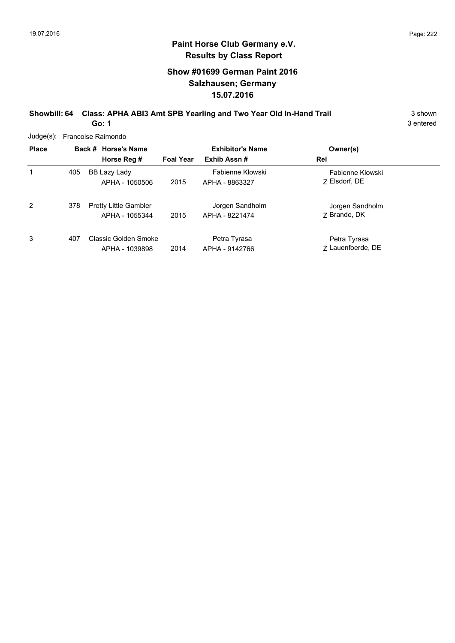# **Show #01699 German Paint 2016 Salzhausen; Germany 15.07.2016**

**Showbill: 64 Class: APHA ABI3 Amt SPB Yearling and Two Year Old In-Hand Trail** 3 shown **Go: 1**

3 entered

Judge(s): Francoise Raimondo

| Juuy <del>c</del> (5). |     | <b>FIGHCOISE RAILIUNO</b>                      |                  |                                    |                                   |  |
|------------------------|-----|------------------------------------------------|------------------|------------------------------------|-----------------------------------|--|
| <b>Place</b>           |     | Back # Horse's Name                            |                  | <b>Exhibitor's Name</b>            | Owner(s)                          |  |
|                        |     | Horse Reg #                                    | <b>Foal Year</b> | Exhib Assn#                        | Rel                               |  |
|                        | 405 | BB Lazy Lady<br>APHA - 1050506                 | 2015             | Fabienne Klowski<br>APHA - 8863327 | Fabienne Klowski<br>7 Elsdorf, DE |  |
| 2                      | 378 | <b>Pretty Little Gambler</b><br>APHA - 1055344 | 2015             | Jorgen Sandholm<br>APHA - 8221474  | Jorgen Sandholm<br>7 Brande, DK   |  |
| 3                      | 407 | Classic Golden Smoke<br>APHA - 1039898         | 2014             | Petra Tyrasa<br>APHA - 9142766     | Petra Tyrasa<br>7 Lauenfoerde, DE |  |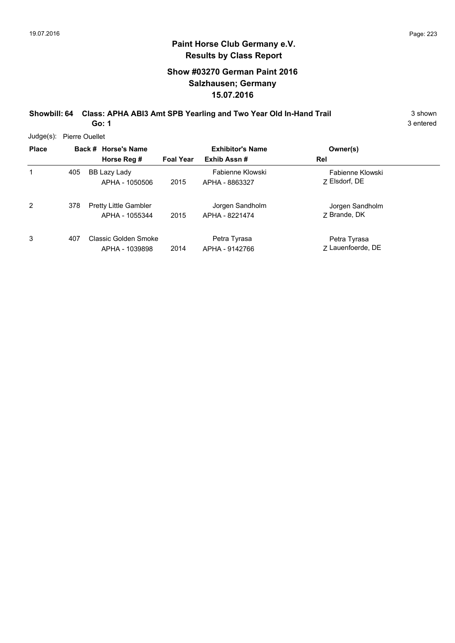# **Show #03270 German Paint 2016 Salzhausen; Germany 15.07.2016**

**Showbill: 64 Class: APHA ABI3 Amt SPB Yearling and Two Year Old In-Hand Trail** 3 shown **Go: 1**

3 entered

Judge(s): Pierre Ouellet

| <b>Place</b> |     | Back # Horse's Name<br>Horse Reg #             | <b>Foal Year</b> | <b>Exhibitor's Name</b><br>Exhib Assn# | Owner(s)<br>Rel                   |
|--------------|-----|------------------------------------------------|------------------|----------------------------------------|-----------------------------------|
| 1            | 405 | BB Lazy Lady<br>APHA - 1050506                 | 2015             | Fabienne Klowski<br>APHA - 8863327     | Fabienne Klowski<br>7 Elsdorf, DE |
| 2            | 378 | <b>Pretty Little Gambler</b><br>APHA - 1055344 | 2015             | Jorgen Sandholm<br>APHA - 8221474      | Jorgen Sandholm<br>7 Brande, DK   |
| 3            | 407 | Classic Golden Smoke<br>APHA - 1039898         | 2014             | Petra Tyrasa<br>APHA - 9142766         | Petra Tyrasa<br>7 Lauenfoerde, DE |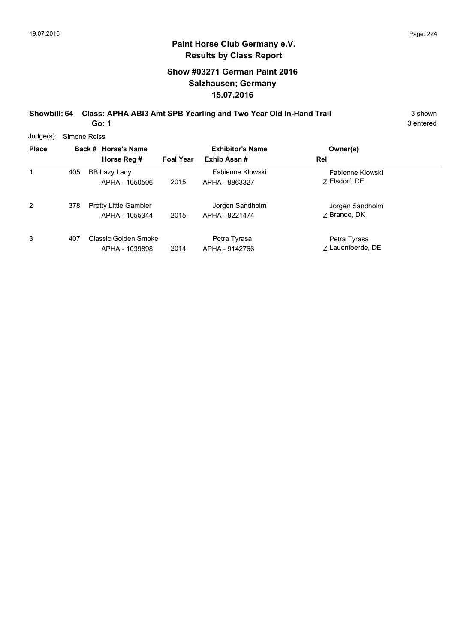# **Show #03271 German Paint 2016 Salzhausen; Germany 15.07.2016**

**Showbill: 64 Class: APHA ABI3 Amt SPB Yearling and Two Year Old In-Hand Trail** 3 shown **Go: 1**

3 entered

Judge(s): Simone Reiss

| <b>Place</b> |     | Back # Horse's Name<br>Horse Reg #             | <b>Foal Year</b> | <b>Exhibitor's Name</b><br>Exhib Assn# | Owner(s)<br>Rel                   |
|--------------|-----|------------------------------------------------|------------------|----------------------------------------|-----------------------------------|
|              | 405 | BB Lazy Lady<br>APHA - 1050506                 | 2015             | Fabienne Klowski<br>APHA - 8863327     | Fabienne Klowski<br>7 Elsdorf, DE |
| 2            | 378 | <b>Pretty Little Gambler</b><br>APHA - 1055344 | 2015             | Jorgen Sandholm<br>APHA - 8221474      | Jorgen Sandholm<br>7 Brande, DK   |
| 3            | 407 | Classic Golden Smoke<br>APHA - 1039898         | 2014             | Petra Tyrasa<br>APHA - 9142766         | Petra Tyrasa<br>7 Lauenfoerde, DE |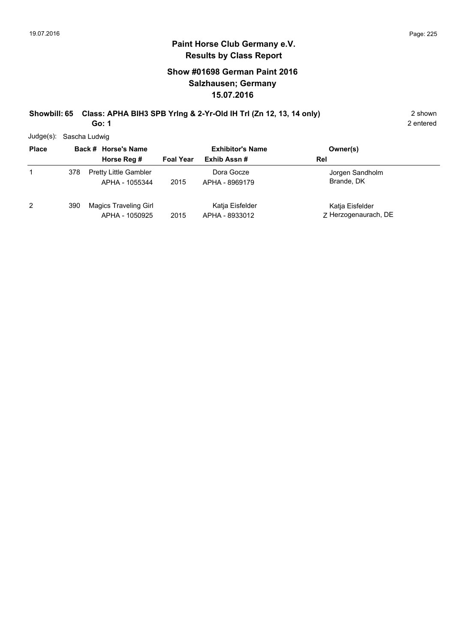# **Paint Horse Club Germany e.V. Results by Class Report**

# **Show #01698 German Paint 2016 Salzhausen; Germany 15.07.2016**

#### **Showbill: 65 Class: APHA BIH3 SPB Yrlng & 2-Yr-Old IH Trl (Zn 12, 13, 14 only)** 2 shown **Go: 1**

Judge(s): Sascha Ludwig

| <b>Place</b> |     | Back # Horse's Name                            | <b>Exhibitor's Name</b> |                                   | Owner(s)                                |
|--------------|-----|------------------------------------------------|-------------------------|-----------------------------------|-----------------------------------------|
|              |     | Horse Reg #                                    | <b>Foal Year</b>        | Exhib Assn#                       | Rel                                     |
|              | 378 | <b>Pretty Little Gambler</b><br>APHA - 1055344 | 2015                    | Dora Gocze<br>APHA - 8969179      | Jorgen Sandholm<br>Brande, DK           |
| 2            | 390 | <b>Magics Traveling Girl</b><br>APHA - 1050925 | 2015                    | Katja Eisfelder<br>APHA - 8933012 | Katja Eisfelder<br>Z Herzogenaurach, DE |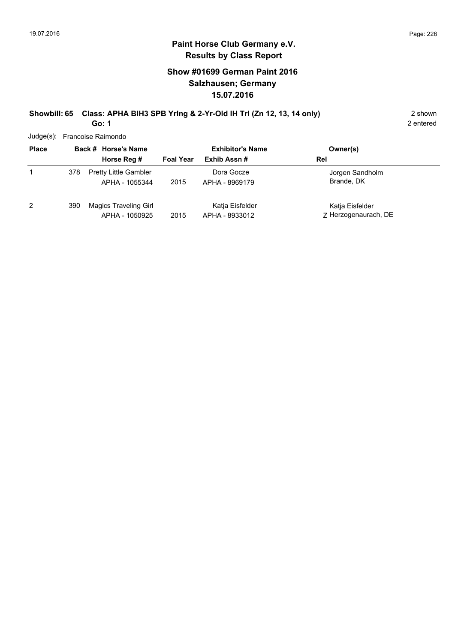# **Show #01699 German Paint 2016 Salzhausen; Germany 15.07.2016**

#### **Showbill: 65 Class: APHA BIH3 SPB Yrlng & 2-Yr-Old IH Trl (Zn 12, 13, 14 only)** 2 shown **Go: 1**

2 entered

Judge(s): Francoise Raimondo

| <b>Place</b> |     | Back # Horse's Name                            | <b>Exhibitor's Name</b> |                                   | Owner(s)                                |
|--------------|-----|------------------------------------------------|-------------------------|-----------------------------------|-----------------------------------------|
|              |     | Horse Reg #                                    | <b>Foal Year</b>        | Exhib Assn#                       | Rel                                     |
| 1            | 378 | <b>Pretty Little Gambler</b><br>APHA - 1055344 | 2015                    | Dora Gocze<br>APHA - 8969179      | Jorgen Sandholm<br>Brande, DK           |
| 2            | 390 | <b>Magics Traveling Girl</b><br>APHA - 1050925 | 2015                    | Katia Eisfelder<br>APHA - 8933012 | Katja Eisfelder<br>Z Herzogenaurach, DE |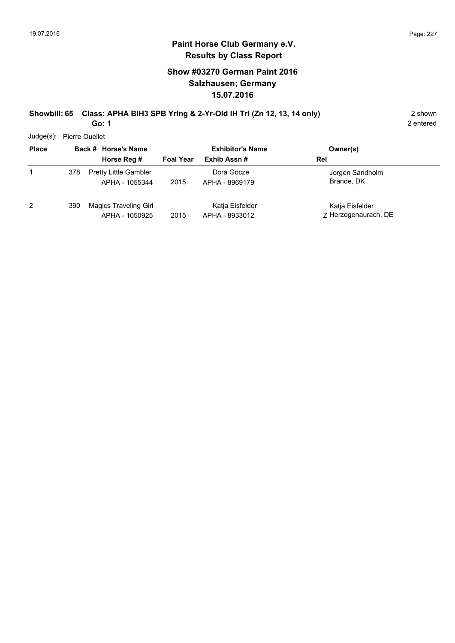### **Paint Horse Club Germany e.V. Results by Class Report**

# **Show #03270 German Paint 2016 Salzhausen; Germany 15.07.2016**

#### **Showbill: 65 Class: APHA BIH3 SPB Yrlng & 2-Yr-Old IH Trl (Zn 12, 13, 14 only)** 2 shown **Go: 1**

Judge(s): Pierre Ouellet

| <b>Place</b> |     | Back # Horse's Name<br>Horse Reg #             | <b>Foal Year</b> | <b>Exhibitor's Name</b><br>Exhib Assn# | Owner(s)<br>Rel                         |
|--------------|-----|------------------------------------------------|------------------|----------------------------------------|-----------------------------------------|
|              | 378 | <b>Pretty Little Gambler</b><br>APHA - 1055344 | 2015             | Dora Gocze<br>APHA - 8969179           | Jorgen Sandholm<br>Brande, DK           |
| 2            | 390 | Magics Traveling Girl<br>APHA - 1050925        | 2015             | Katja Eisfelder<br>APHA - 8933012      | Katja Eisfelder<br>7 Herzogenaurach, DE |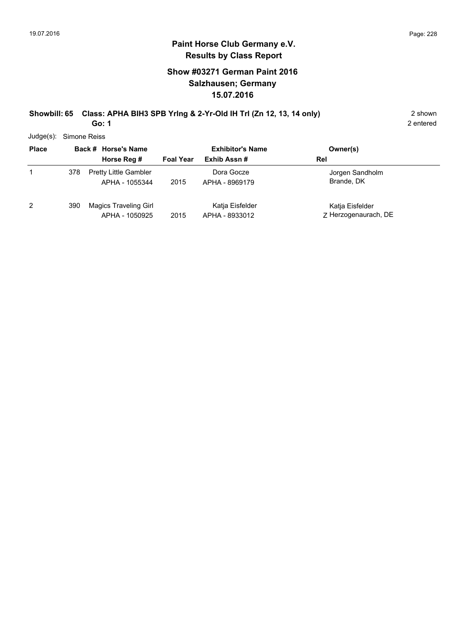### **Paint Horse Club Germany e.V. Results by Class Report**

# **Show #03271 German Paint 2016 Salzhausen; Germany 15.07.2016**

#### **Showbill: 65 Class: APHA BIH3 SPB Yrlng & 2-Yr-Old IH Trl (Zn 12, 13, 14 only)** 2 shown **Go: 1**

Judge(s): Simone Reiss

| <b>Place</b> |     | Back # Horse's Name                            |                  | <b>Exhibitor's Name</b>           | Owner(s)                                |
|--------------|-----|------------------------------------------------|------------------|-----------------------------------|-----------------------------------------|
|              |     | Horse Reg #                                    | <b>Foal Year</b> | Exhib Assn#                       | Rel                                     |
|              | 378 | <b>Pretty Little Gambler</b><br>APHA - 1055344 | 2015             | Dora Gocze<br>APHA - 8969179      | Jorgen Sandholm<br>Brande, DK           |
| 2            | 390 | Magics Traveling Girl<br>APHA - 1050925        | 2015             | Katja Eisfelder<br>APHA - 8933012 | Katja Eisfelder<br>Z Herzogenaurach, DE |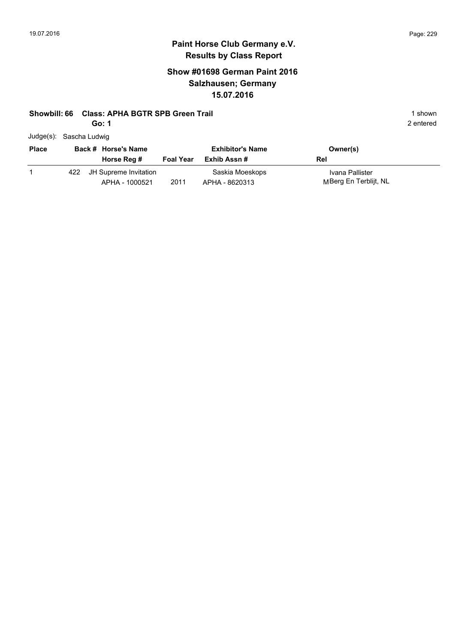# **Paint Horse Club Germany e.V. Results by Class Report**

# **Show #01698 German Paint 2016 Salzhausen; Germany 15.07.2016**

#### **Showbill: 66 Class: APHA BGTR SPB Green Trail 1 Shown 2018 1 shown 3 Shown 3 Shown 3 Shown 3 Shown 3 Shown 3 Shown**

**Go: 1**

|  | Judge(s): Sascha Ludwig |  |
|--|-------------------------|--|
|--|-------------------------|--|

| <b>Place</b> |     | Back # Horse's Name                     |                  | <b>Exhibitor's Name</b>           | Owner(s)                                 |
|--------------|-----|-----------------------------------------|------------------|-----------------------------------|------------------------------------------|
|              |     | Horse Reg #                             | <b>Foal Year</b> | Exhib Assn #                      | Rel                                      |
|              | 422 | JH Supreme Invitation<br>APHA - 1000521 | 2011             | Saskia Moeskops<br>APHA - 8620313 | Ivana Pallister<br>MBerg En Terblijt, NL |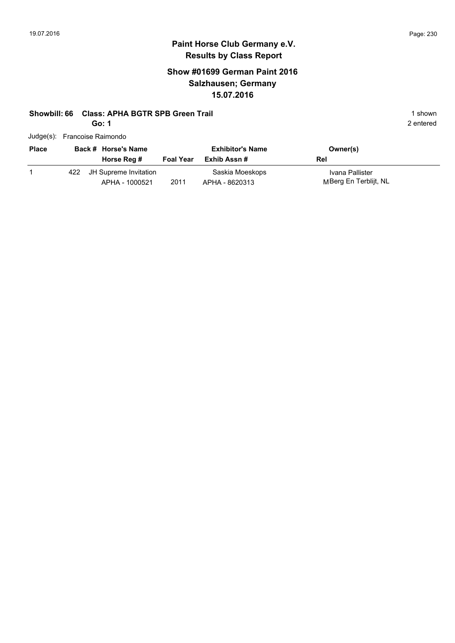# **Show #01699 German Paint 2016 Salzhausen; Germany 15.07.2016**

#### **Showbill: 66 Class: APHA BGTR SPB Green Trail 1 Shown 2018 1 shown 3 Shown 3 Shown 3 Shown 3 Shown 3 Shown 3 Shown**

**Go: 1**

| Judge(s): Francoise Raimondo |  |
|------------------------------|--|
|                              |  |

| <b>Place</b> | Back # Horse's Name                         |                  | <b>Exhibitor's Name</b>           | Owner(s)                                 |
|--------------|---------------------------------------------|------------------|-----------------------------------|------------------------------------------|
|              | Horse Reg #                                 | <b>Foal Year</b> | Exhib Assn #                      | Rel                                      |
|              | 422 JH Supreme Invitation<br>APHA - 1000521 | 2011             | Saskia Moeskops<br>APHA - 8620313 | Ivana Pallister<br>MBerg En Terblijt, NL |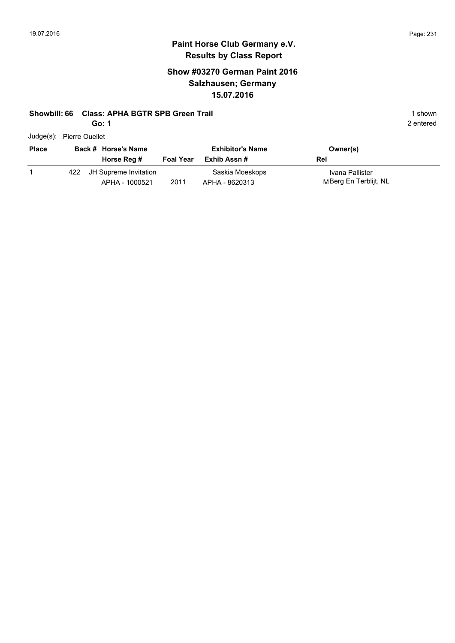# **Paint Horse Club Germany e.V. Results by Class Report**

# **Show #03270 German Paint 2016 Salzhausen; Germany 15.07.2016**

#### **Showbill: 66 Class: APHA BGTR SPB Green Trail 1 shown 1 shown 1 shown**

**Go: 1**

| <b>Place</b> |     | Back # Horse's Name<br>Horse Reg #      | <b>Foal Year</b> | <b>Exhibitor's Name</b><br>Exhib Assn # | Owner(s)<br>Rel                          |
|--------------|-----|-----------------------------------------|------------------|-----------------------------------------|------------------------------------------|
|              | 422 | JH Supreme Invitation<br>APHA - 1000521 | 2011             | Saskia Moeskops<br>APHA - 8620313       | Ivana Pallister<br>MBerg En Terblijt, NL |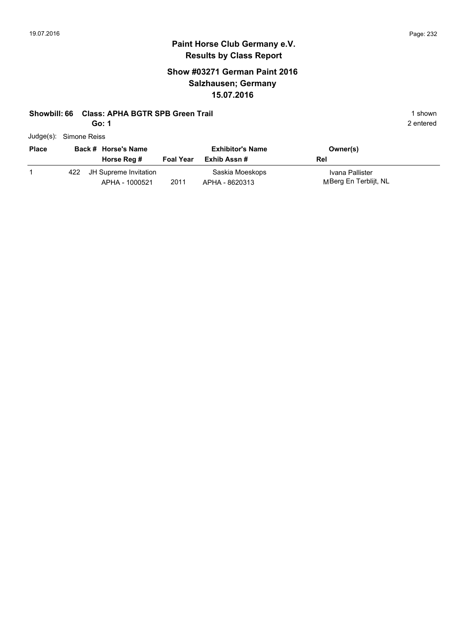# **Paint Horse Club Germany e.V. Results by Class Report**

# **Show #03271 German Paint 2016 Salzhausen; Germany 15.07.2016**

#### **Showbill: 66 Class: APHA BGTR SPB Green Trail 1 shown 1 shown 1 shown**

**Go: 1**

|  | Judge(s): Simone Reiss |
|--|------------------------|
|--|------------------------|

| <b>Place</b> |     | Back # Horse's Name<br>Horse Reg #      | <b>Foal Year</b> | <b>Exhibitor's Name</b><br>Exhib Assn # | Owner(s)<br>Rel                          |
|--------------|-----|-----------------------------------------|------------------|-----------------------------------------|------------------------------------------|
|              | 422 | JH Supreme Invitation<br>APHA - 1000521 | 2011             | Saskia Moeskops<br>APHA - 8620313       | Ivana Pallister<br>MBerg En Terblijt, NL |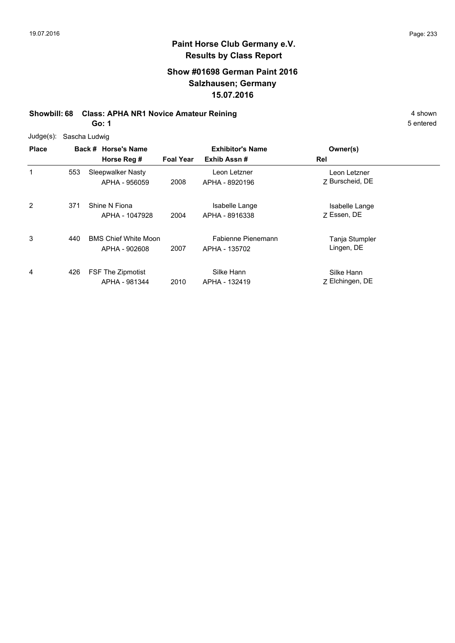# **Show #01698 German Paint 2016 Salzhausen; Germany 15.07.2016**

# **Showbill: 68 Class: APHA NR1 Novice Amateur Reining 4 shown 4 shown**

**Go: 1**

| Judge(s): Sascha Ludwig |  |
|-------------------------|--|
|                         |  |

| <b>Place</b>   |     | Back # Horse's Name                          |                  | <b>Exhibitor's Name</b>             | Owner(s)                        |  |
|----------------|-----|----------------------------------------------|------------------|-------------------------------------|---------------------------------|--|
|                |     | Horse Reg #                                  | <b>Foal Year</b> | Exhib Assn#                         | Rel                             |  |
| 1              | 553 | Sleepwalker Nasty<br>APHA - 956059           | 2008             | Leon Letzner<br>APHA - 8920196      | Leon Letzner<br>7 Burscheid, DE |  |
| $\overline{2}$ | 371 | Shine N Fiona<br>APHA - 1047928              | 2004             | Isabelle Lange<br>APHA - 8916338    | Isabelle Lange<br>7 Essen, DE   |  |
| 3              | 440 | <b>BMS Chief White Moon</b><br>APHA - 902608 | 2007             | Fabienne Pienemann<br>APHA - 135702 | Tanja Stumpler<br>Lingen, DE    |  |
| 4              | 426 | <b>FSF The Zipmotist</b><br>APHA - 981344    | 2010             | Silke Hann<br>APHA - 132419         | Silke Hann<br>Z Elchingen, DE   |  |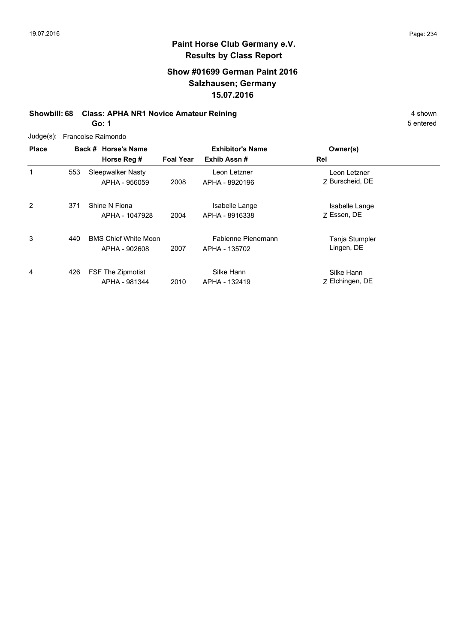# **Show #01699 German Paint 2016 Salzhausen; Germany 15.07.2016**

# **Showbill: 68 Class: APHA NR1 Novice Amateur Reining 4 shown 4 shown**

**Go: 1**

| <b>Place</b> |     | Back # Horse's Name         | <b>Exhibitor's Name</b> |                    | Owner(s)                        |  |
|--------------|-----|-----------------------------|-------------------------|--------------------|---------------------------------|--|
|              |     | Horse Reg #                 | <b>Foal Year</b>        | Exhib Assn#        | Rel                             |  |
| 1            | 553 | Sleepwalker Nasty           |                         | Leon Letzner       | Leon Letzner<br>7 Burscheid, DE |  |
|              |     | APHA - 956059               | 2008                    | APHA - 8920196     |                                 |  |
| 2            | 371 | Shine N Fiona               |                         | Isabelle Lange     | Isabelle Lange                  |  |
|              |     | APHA - 1047928              | 2004                    | APHA - 8916338     | 7 Essen, DE                     |  |
| 3            | 440 | <b>BMS Chief White Moon</b> |                         | Fabienne Pienemann | Tanja Stumpler                  |  |
|              |     | APHA - 902608               | 2007                    | APHA - 135702      | Lingen, DE                      |  |
| 4            | 426 | <b>FSF The Zipmotist</b>    |                         | Silke Hann         | Silke Hann                      |  |
|              |     | APHA - 981344               | 2010                    | APHA - 132419      | Z Elchingen, DE                 |  |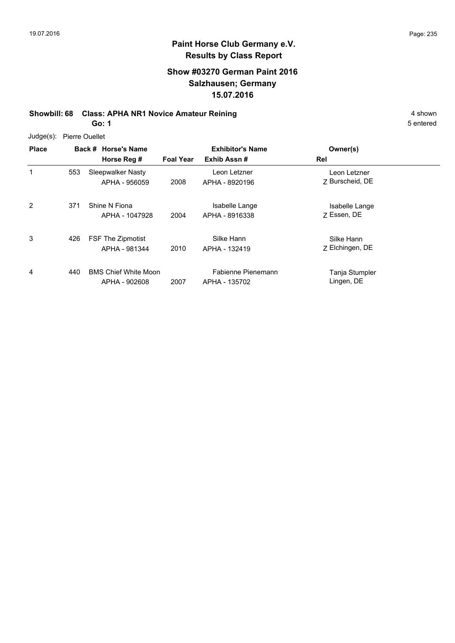# **Show #03270 German Paint 2016 Salzhausen; Germany 15.07.2016**

# **Showbill: 68 Class: APHA NR1 Novice Amateur Reining 4 shown 4 shown**

**Go: 1**

| Judge(s): | <b>Pierre Ouellet</b> |
|-----------|-----------------------|
|           |                       |

| <b>Place</b>   |     | Back # Horse's Name                          |                  | <b>Exhibitor's Name</b>             | Owner(s)                        |  |
|----------------|-----|----------------------------------------------|------------------|-------------------------------------|---------------------------------|--|
|                |     | Horse Reg #                                  | <b>Foal Year</b> | Exhib Assn#                         | Rel                             |  |
| 1              | 553 | Sleepwalker Nasty<br>APHA - 956059           | 2008             | Leon Letzner<br>APHA - 8920196      | Leon Letzner<br>Z Burscheid, DE |  |
| $\overline{2}$ | 371 | Shine N Fiona<br>APHA - 1047928              | 2004             | Isabelle Lange<br>APHA - 8916338    | Isabelle Lange<br>7 Essen, DE   |  |
| 3              | 426 | <b>FSF The Zipmotist</b><br>APHA - 981344    | 2010             | Silke Hann<br>APHA - 132419         | Silke Hann<br>Z Elchingen, DE   |  |
| 4              | 440 | <b>BMS Chief White Moon</b><br>APHA - 902608 | 2007             | Fabienne Pienemann<br>APHA - 135702 | Tanja Stumpler<br>Lingen, DE    |  |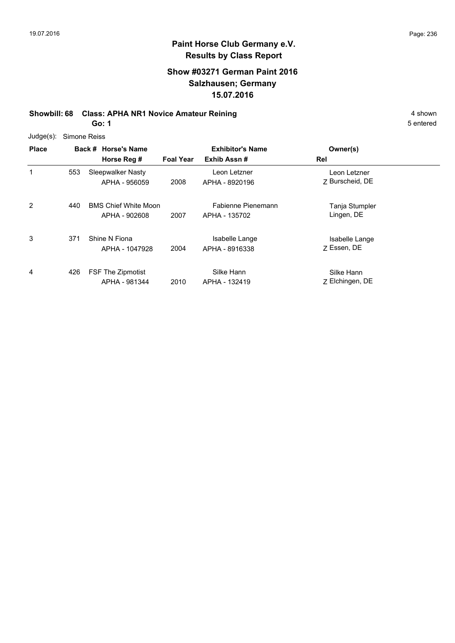# **Show #03271 German Paint 2016 Salzhausen; Germany 15.07.2016**

# **Showbill: 68 Class: APHA NR1 Novice Amateur Reining 4 shown 4 shown**

**Go: 1**

| Judge(s): Simone Reiss |
|------------------------|
|                        |

| <b>Place</b> |     | Back # Horse's Name                          | <b>Exhibitor's Name</b> |                                     | Owner(s)                        |  |
|--------------|-----|----------------------------------------------|-------------------------|-------------------------------------|---------------------------------|--|
|              |     | Horse Reg #                                  | <b>Foal Year</b>        | Exhib Assn#                         | Rel                             |  |
| 1            | 553 | Sleepwalker Nasty<br>APHA - 956059           | 2008                    | Leon Letzner<br>APHA - 8920196      | Leon Letzner<br>7 Burscheid, DE |  |
| 2            | 440 | <b>BMS Chief White Moon</b><br>APHA - 902608 | 2007                    | Fabienne Pienemann<br>APHA - 135702 | Tanja Stumpler<br>Lingen, DE    |  |
| 3            | 371 | Shine N Fiona<br>APHA - 1047928              | 2004                    | Isabelle Lange<br>APHA - 8916338    | Isabelle Lange<br>7 Essen, DE   |  |
| 4            | 426 | <b>FSF The Zipmotist</b><br>APHA - 981344    | 2010                    | Silke Hann<br>APHA - 132419         | Silke Hann<br>Z Elchingen, DE   |  |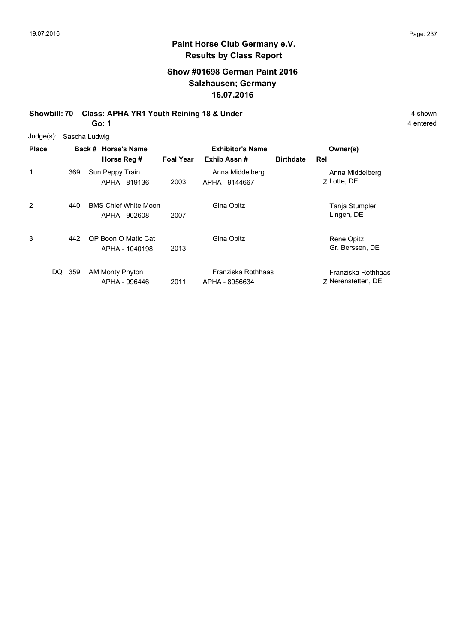# **Show #01698 German Paint 2016 Salzhausen; Germany 16.07.2016**

#### **Showbill: 70 Class: APHA YR1 Youth Reining 18 & Under** 4 shown **Go: 1**

| $Judge(s)$ : | Sascha Ludwig |                                              |                  |                                        |                  |                                          |  |
|--------------|---------------|----------------------------------------------|------------------|----------------------------------------|------------------|------------------------------------------|--|
| <b>Place</b> |               | Back # Horse's Name<br>Horse Reg #           | <b>Foal Year</b> | <b>Exhibitor's Name</b><br>Exhib Assn# | <b>Birthdate</b> | Owner(s)<br>Rel                          |  |
| 1            | 369           | Sun Peppy Train<br>APHA - 819136             | 2003             | Anna Middelberg<br>APHA - 9144667      |                  | Anna Middelberg<br>7 Lotte, DE           |  |
| 2            | 440           | <b>BMS Chief White Moon</b><br>APHA - 902608 | 2007             | Gina Opitz                             |                  | Tanja Stumpler<br>Lingen, DE             |  |
| 3            | 442           | <b>QP Boon O Matic Cat</b><br>APHA - 1040198 | 2013             | Gina Opitz                             |                  | Rene Opitz<br>Gr. Berssen, DE            |  |
| DQ           | 359           | AM Monty Phyton<br>APHA - 996446             | 2011             | Franziska Rothhaas<br>APHA - 8956634   |                  | Franziska Rothhaas<br>7 Nerenstetten, DE |  |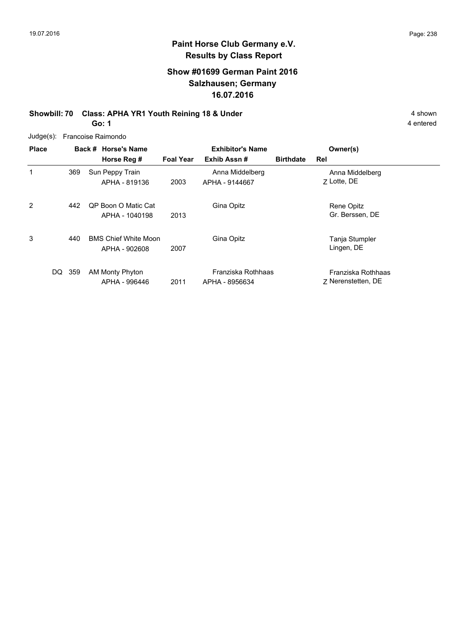# **Show #01699 German Paint 2016 Salzhausen; Germany 16.07.2016**

#### **Showbill: 70 Class: APHA YR1 Youth Reining 18 & Under** 4 shown **Go: 1**

4 entered

Judge(s): Francoise Raimondo

| <b>Place</b> |     | Back # Horse's Name<br>Horse Reg #           | <b>Foal Year</b> | <b>Exhibitor's Name</b><br>Exhib Assn# | <b>Birthdate</b> | Owner(s)<br>Rel                          |
|--------------|-----|----------------------------------------------|------------------|----------------------------------------|------------------|------------------------------------------|
| 1            | 369 | Sun Peppy Train<br>APHA - 819136             | 2003             | Anna Middelberg<br>APHA - 9144667      |                  | Anna Middelberg<br>7 Lotte, DE           |
| 2            | 442 | OP Boon O Matic Cat<br>APHA - 1040198        | 2013             | Gina Opitz                             |                  | Rene Opitz<br>Gr. Berssen, DE            |
| 3            | 440 | <b>BMS Chief White Moon</b><br>APHA - 902608 | 2007             | Gina Opitz                             |                  | Tanja Stumpler<br>Lingen, DE             |
| DQ           | 359 | AM Monty Phyton<br>APHA - 996446             | 2011             | Franziska Rothhaas<br>APHA - 8956634   |                  | Franziska Rothhaas<br>7 Nerenstetten, DE |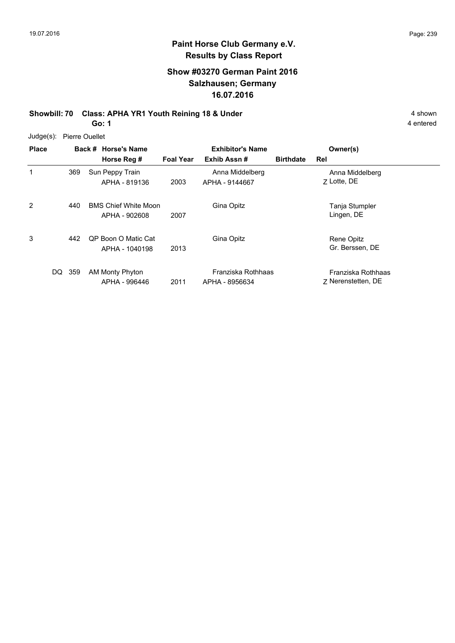# **Show #03270 German Paint 2016 Salzhausen; Germany 16.07.2016**

#### **Showbill: 70 Class: APHA YR1 Youth Reining 18 & Under** 4 shown 4 shown **Go: 1**

| Judge(s): | <b>Pierre Ouellet</b> |
|-----------|-----------------------|
|           |                       |

| <b>Place</b> |           | Back # Horse's Name                          | <b>Exhibitor's Name</b> |                                      | Owner(s)         |                                          |  |
|--------------|-----------|----------------------------------------------|-------------------------|--------------------------------------|------------------|------------------------------------------|--|
|              |           | Horse Reg #                                  | <b>Foal Year</b>        | Exhib Assn#                          | <b>Birthdate</b> | Rel                                      |  |
| 1            | 369       | Sun Peppy Train<br>APHA - 819136             | 2003                    | Anna Middelberg<br>APHA - 9144667    |                  | Anna Middelberg<br>7 Lotte, DE           |  |
| 2            | 440       | <b>BMS Chief White Moon</b><br>APHA - 902608 | 2007                    | Gina Opitz                           |                  | Tanja Stumpler<br>Lingen, DE             |  |
| 3            | 442       | <b>QP Boon O Matic Cat</b><br>APHA - 1040198 | 2013                    | Gina Opitz                           |                  | Rene Opitz<br>Gr. Berssen, DE            |  |
|              | DQ<br>359 | AM Monty Phyton<br>APHA - 996446             | 2011                    | Franziska Rothhaas<br>APHA - 8956634 |                  | Franziska Rothhaas<br>7 Nerenstetten, DE |  |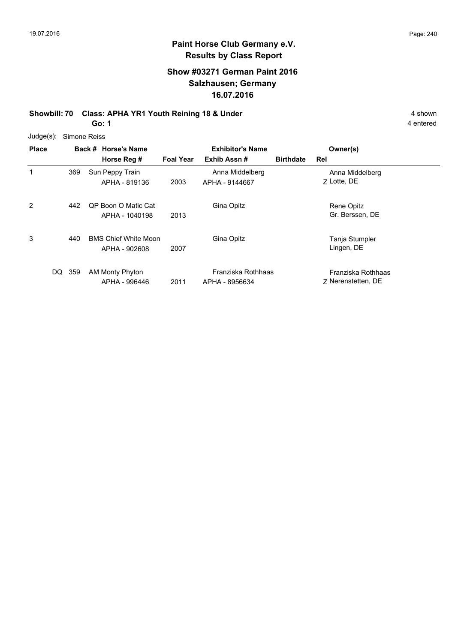# **Show #03271 German Paint 2016 Salzhausen; Germany 16.07.2016**

#### **Showbill: 70 Class: APHA YR1 Youth Reining 18 & Under** 4 shown 4 shown **Go: 1**

| $Judge(s)$ : | Simone Reiss |                                              |                  |                                        |                  |                                          |  |  |
|--------------|--------------|----------------------------------------------|------------------|----------------------------------------|------------------|------------------------------------------|--|--|
| <b>Place</b> |              | Back # Horse's Name<br>Horse Reg #           | <b>Foal Year</b> | <b>Exhibitor's Name</b><br>Exhib Assn# | <b>Birthdate</b> | Owner(s)<br>Rel                          |  |  |
| 1            | 369          | Sun Peppy Train<br>APHA - 819136             | 2003             | Anna Middelberg<br>APHA - 9144667      |                  | Anna Middelberg<br>7 Lotte, DE           |  |  |
| 2            | 442          | <b>QP Boon O Matic Cat</b><br>APHA - 1040198 | 2013             | Gina Opitz                             |                  | Rene Opitz<br>Gr. Berssen, DE            |  |  |
| 3            | 440          | <b>BMS Chief White Moon</b><br>APHA - 902608 | 2007             | Gina Opitz                             |                  | Tanja Stumpler<br>Lingen, DE             |  |  |
| DQ           | 359          | AM Monty Phyton<br>APHA - 996446             | 2011             | Franziska Rothhaas<br>APHA - 8956634   |                  | Franziska Rothhaas<br>7 Nerenstetten, DE |  |  |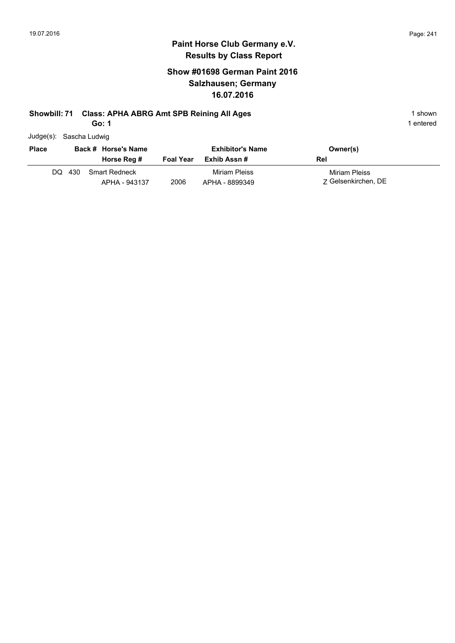# **Show #01698 German Paint 2016 Salzhausen; Germany 16.07.2016**

# **Showbill: 71 Class: APHA ABRG Amt SPB Reining All Ages** 1 shown

**Go: 1**

| Judge(s): Sascha Ludwig |  |
|-------------------------|--|
|                         |  |

| <b>Place</b> |     | Back # Horse's Name<br>Horse Reg # | <b>Foal Year</b> | <b>Exhibitor's Name</b><br>Exhib Assn # | Owner(s)<br>Rel                      |
|--------------|-----|------------------------------------|------------------|-----------------------------------------|--------------------------------------|
| DQ.          | 430 | Smart Redneck<br>APHA - 943137     | 2006             | Miriam Pleiss<br>APHA - 8899349         | Miriam Pleiss<br>7 Gelsenkirchen, DE |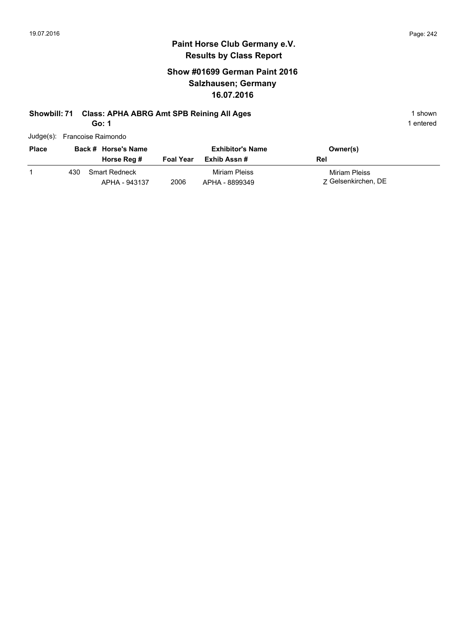# **Show #01699 German Paint 2016 Salzhausen; Germany 16.07.2016**

# **Showbill: 71 Class: APHA ABRG Amt SPB Reining All Ages** 1 shown

**Go: 1**

1 entered

Judge(s): Francoise Raimondo

| <b>Place</b> |     | Back # Horse's Name<br>Horse Reg #    | <b>Foal Year</b> | <b>Exhibitor's Name</b><br>Exhib Assn # | Owner(s)<br>Rel                      |
|--------------|-----|---------------------------------------|------------------|-----------------------------------------|--------------------------------------|
|              | 430 | <b>Smart Redneck</b><br>APHA - 943137 | 2006             | Miriam Pleiss<br>APHA - 8899349         | Miriam Pleiss<br>7 Gelsenkirchen, DE |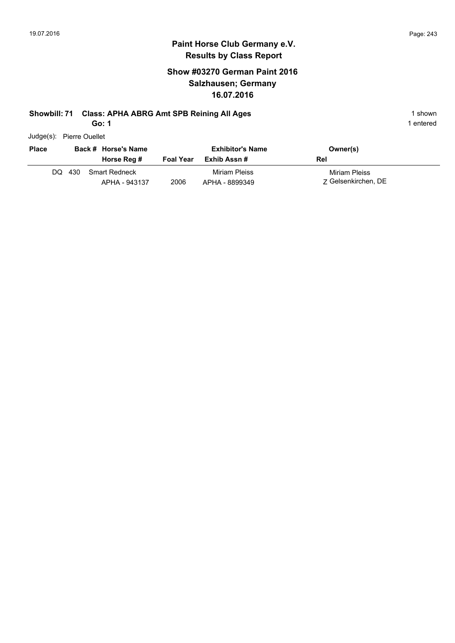### **Paint Horse Club Germany e.V. Results by Class Report**

# **Show #03270 German Paint 2016 Salzhausen; Germany 16.07.2016**

# **Showbill: 71 Class: APHA ABRG Amt SPB Reining All Ages** 1 shown

**Go: 1**

Judge(s): Pierre Ouellet

| <b>Place</b> |        | Back # Horse's Name<br>Horse Reg #    | <b>Foal Year</b> | <b>Exhibitor's Name</b><br>Exhib Assn # | Owner(s)<br>Rel                      |
|--------------|--------|---------------------------------------|------------------|-----------------------------------------|--------------------------------------|
|              | DQ 430 | <b>Smart Redneck</b><br>APHA - 943137 | 2006             | Miriam Pleiss<br>APHA - 8899349         | Miriam Pleiss<br>7 Gelsenkirchen, DE |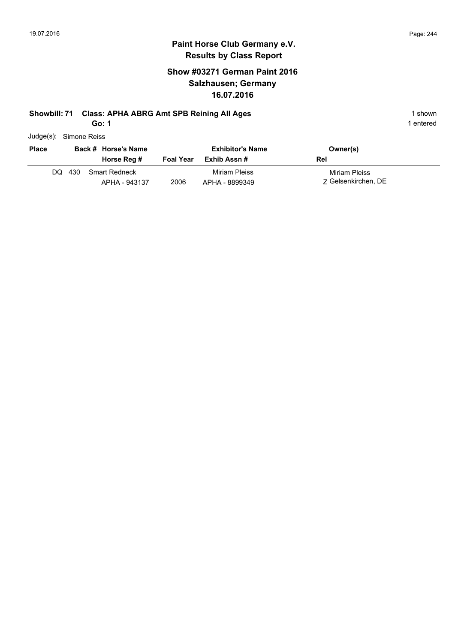# **Paint Horse Club Germany e.V. Results by Class Report**

# **Show #03271 German Paint 2016 Salzhausen; Germany 16.07.2016**

# **Showbill: 71 Class: APHA ABRG Amt SPB Reining All Ages** 1 shown

**Go: 1**

| Judge(s): | Simone Reiss |  |
|-----------|--------------|--|
|           |              |  |

| <b>Place</b> |     | Back # Horse's Name<br>Horse Reg #    | <b>Foal Year</b> | <b>Exhibitor's Name</b><br>Exhib Assn # | Owner(s)<br>Rel                      |
|--------------|-----|---------------------------------------|------------------|-----------------------------------------|--------------------------------------|
| DQ.          | 430 | <b>Smart Redneck</b><br>APHA - 943137 | 2006             | Miriam Pleiss<br>APHA - 8899349         | Miriam Pleiss<br>7 Gelsenkirchen, DE |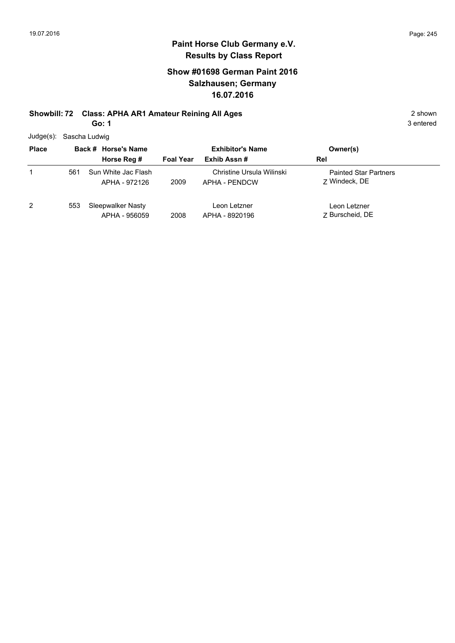# **Show #01698 German Paint 2016 Salzhausen; Germany 16.07.2016**

#### **Showbill: 72 Class: APHA AR1 Amateur Reining All Ages** 2 shown **Go: 1**

Judge(s): Sascha Ludwig

| $5 - 9 - 1$  |     |                                      |                  |                                             |                                               |  |
|--------------|-----|--------------------------------------|------------------|---------------------------------------------|-----------------------------------------------|--|
| <b>Place</b> |     | Back # Horse's Name                  |                  | <b>Exhibitor's Name</b>                     | Owner(s)                                      |  |
|              |     | Horse Reg #                          | <b>Foal Year</b> | Exhib Assn#                                 | Rel                                           |  |
| 1            | 561 | Sun White Jac Flash<br>APHA - 972126 | 2009             | Christine Ursula Willinski<br>APHA - PENDCW | <b>Painted Star Partners</b><br>7 Windeck, DE |  |
| 2            | 553 | Sleepwalker Nasty<br>APHA - 956059   | 2008             | Leon Letzner<br>APHA - 8920196              | Leon Letzner<br>7 Burscheid, DE               |  |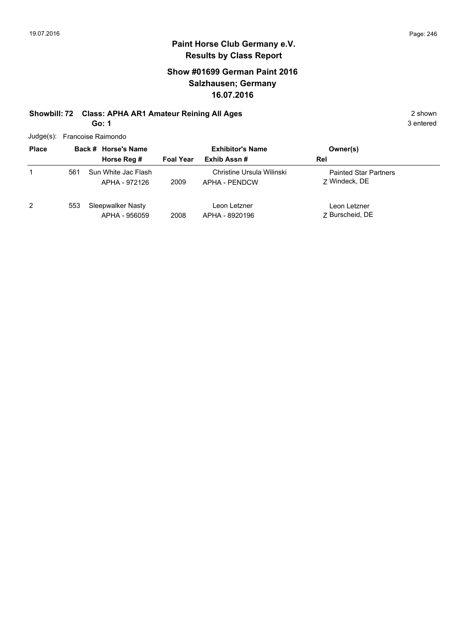# **Paint Horse Club Germany e.V. Results by Class Report**

# **Show #01699 German Paint 2016 Salzhausen; Germany 16.07.2016**

#### **Showbill: 72 Class: APHA AR1 Amateur Reining All Ages** 2 shown **Go: 1**

Judge(s): Francoise Raimondo

| <b>Place</b> |     | Back # Horse's Name                  | <b>Exhibitor's Name</b> |                                            | Owner(s)                                      |  |
|--------------|-----|--------------------------------------|-------------------------|--------------------------------------------|-----------------------------------------------|--|
|              |     | Horse Reg #                          | <b>Foal Year</b>        | Exhib Assn#                                | Rel                                           |  |
|              | 561 | Sun White Jac Flash<br>APHA - 972126 | 2009                    | Christine Ursula Wilinski<br>APHA - PENDCW | <b>Painted Star Partners</b><br>7 Windeck, DE |  |
| 2            | 553 | Sleepwalker Nasty<br>APHA - 956059   | 2008                    | Leon Letzner<br>APHA - 8920196             | Leon Letzner<br>7 Burscheid, DE               |  |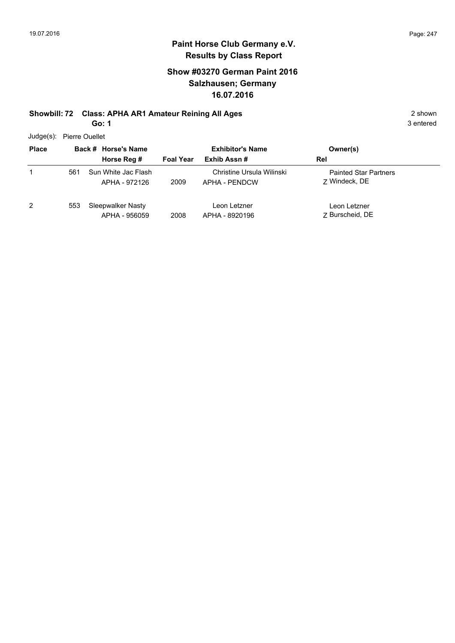# **Show #03270 German Paint 2016 Salzhausen; Germany 16.07.2016**

#### **Showbill: 72 Class: APHA AR1 Amateur Reining All Ages** 2 shown **Go: 1**

Judge(s): Pierre Ouellet

| <b>Place</b> |     | Back # Horse's Name                  |                  | <b>Exhibitor's Name</b>                    | Owner(s)                                      |
|--------------|-----|--------------------------------------|------------------|--------------------------------------------|-----------------------------------------------|
|              |     | Horse Reg #                          | <b>Foal Year</b> | Exhib Assn#                                | Rel                                           |
|              | 561 | Sun White Jac Flash<br>APHA - 972126 | 2009             | Christine Ursula Wilinski<br>APHA - PENDCW | <b>Painted Star Partners</b><br>7 Windeck, DE |
| 2            | 553 | Sleepwalker Nasty<br>APHA - 956059   | 2008             | Leon Letzner<br>APHA - 8920196             | Leon Letzner<br>7 Burscheid, DE               |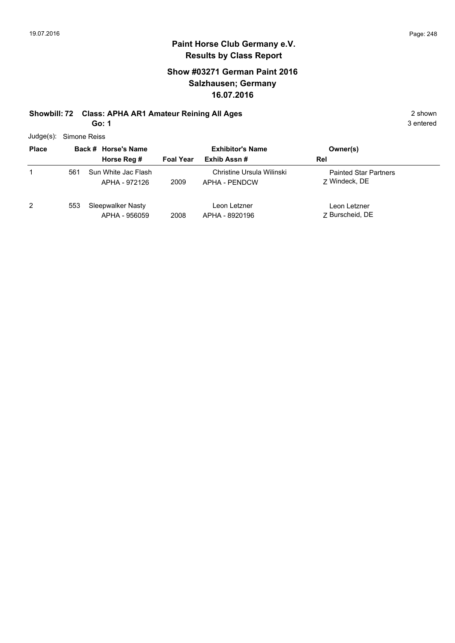# **Show #03271 German Paint 2016 Salzhausen; Germany 16.07.2016**

#### **Showbill: 72 Class: APHA AR1 Amateur Reining All Ages** 2 shown **Go: 1**

Judge(s): Simone Reiss

| <b>Place</b> |     | Back # Horse's Name                  |                  | <b>Exhibitor's Name</b>                    | Owner(s)                                      |  |
|--------------|-----|--------------------------------------|------------------|--------------------------------------------|-----------------------------------------------|--|
|              |     | Horse Reg #                          | <b>Foal Year</b> | Exhib Assn#                                | Rel                                           |  |
|              | 561 | Sun White Jac Flash<br>APHA - 972126 | 2009             | Christine Ursula Wilinski<br>APHA - PENDCW | <b>Painted Star Partners</b><br>7 Windeck, DE |  |
| 2            | 553 | Sleepwalker Nasty<br>APHA - 956059   | 2008             | Leon Letzner<br>APHA - 8920196             | Leon Letzner<br>7 Burscheid, DE               |  |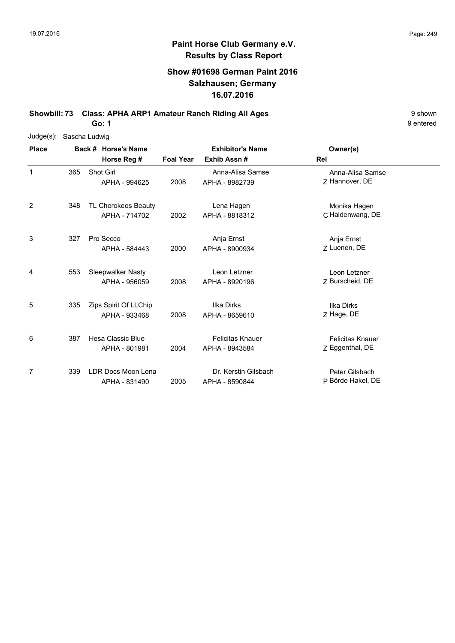# **Show #01698 German Paint 2016 Salzhausen; Germany 16.07.2016**

**Showbill: 73 Class: APHA ARP1 Amateur Ranch Riding All Ages** 9 shown

**Go: 1**

| $Judge(s)$ : |     | Sascha Ludwig            |                  |                         |                         |  |
|--------------|-----|--------------------------|------------------|-------------------------|-------------------------|--|
| <b>Place</b> |     | Back # Horse's Name      |                  | <b>Exhibitor's Name</b> | Owner(s)                |  |
|              |     | Horse Reg #              | <b>Foal Year</b> | Exhib Assn#             | Rel                     |  |
| 1            | 365 | <b>Shot Girl</b>         |                  | Anna-Alisa Samse        | Anna-Alisa Samse        |  |
|              |     | APHA - 994625            | 2008             | APHA - 8982739          | Z Hannover, DE          |  |
| 2            | 348 | TL Cherokees Beauty      |                  | Lena Hagen              | Monika Hagen            |  |
|              |     | APHA - 714702            | 2002             | APHA - 8818312          | C Haldenwang, DE        |  |
| 3            | 327 | Pro Secco                |                  | Anja Ernst              | Anja Ernst              |  |
|              |     | APHA - 584443            | 2000             | APHA - 8900934          | Z Luenen, DE            |  |
| 4            | 553 | Sleepwalker Nasty        |                  | Leon Letzner            | Leon Letzner            |  |
|              |     | APHA - 956059            | 2008             | APHA - 8920196          | Z Burscheid, DE         |  |
| 5            | 335 | Zips Spirit Of LLChip    |                  | Ilka Dirks              | <b>Ilka Dirks</b>       |  |
|              |     | APHA - 933468            | 2008             | APHA - 8659610          | Z Hage, DE              |  |
| 6            | 387 | <b>Hesa Classic Blue</b> |                  | <b>Felicitas Knauer</b> | <b>Felicitas Knauer</b> |  |
|              |     | APHA - 801981            | 2004             | APHA - 8943584          | Z Eggenthal, DE         |  |
| 7            | 339 | LDR Docs Moon Lena       |                  | Dr. Kerstin Gilsbach    | Peter Gilsbach          |  |
|              |     | APHA - 831490            | 2005             | APHA - 8590844          | P Börde Hakel, DE       |  |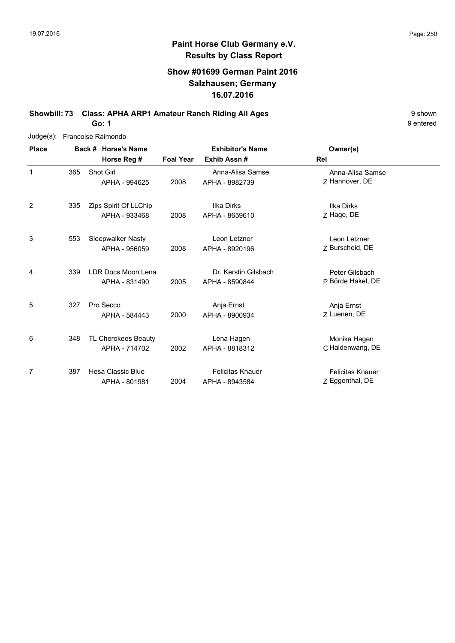# **Show #01699 German Paint 2016 Salzhausen; Germany 16.07.2016**

**Showbill: 73 Class: APHA ARP1 Amateur Ranch Riding All Ages** 9 shown

9 entered

**Go: 1**

| $Judge(s)$ : |     | Francoise Raimondo    |                  |                         |                         |  |
|--------------|-----|-----------------------|------------------|-------------------------|-------------------------|--|
| <b>Place</b> |     | Back # Horse's Name   |                  | <b>Exhibitor's Name</b> | Owner(s)                |  |
|              |     | Horse Reg #           | <b>Foal Year</b> | Exhib Assn#             | Rel                     |  |
| 1            | 365 | Shot Girl             |                  | Anna-Alisa Samse        | Anna-Alisa Samse        |  |
|              |     | APHA - 994625         | 2008             | APHA - 8982739          | Z Hannover, DE          |  |
| 2            | 335 | Zips Spirit Of LLChip |                  | Ilka Dirks              | Ilka Dirks              |  |
|              |     | APHA - 933468         | 2008             | APHA - 8659610          | Z Hage, DE              |  |
| 3            | 553 | Sleepwalker Nasty     |                  | Leon Letzner            | Leon Letzner            |  |
|              |     | APHA - 956059         | 2008             | APHA - 8920196          | Z Burscheid, DE         |  |
| 4            | 339 | LDR Docs Moon Lena    |                  | Dr. Kerstin Gilsbach    | Peter Gilsbach          |  |
|              |     | APHA - 831490         | 2005             | APHA - 8590844          | P Börde Hakel, DE       |  |
| 5            | 327 | Pro Secco             |                  | Anja Ernst              | Anja Ernst              |  |
|              |     | APHA - 584443         | 2000             | APHA - 8900934          | Z Luenen, DE            |  |
| 6            | 348 | TL Cherokees Beauty   |                  | Lena Hagen              | Monika Hagen            |  |
|              |     | APHA - 714702         | 2002             | APHA - 8818312          | C Haldenwang, DE        |  |
| 7            | 387 | Hesa Classic Blue     |                  | <b>Felicitas Knauer</b> | <b>Felicitas Knauer</b> |  |
|              |     | APHA - 801981         | 2004             | APHA - 8943584          | Z Eggenthal, DE         |  |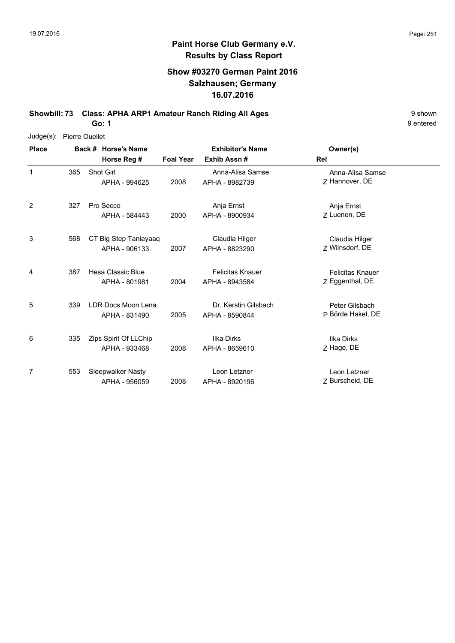# **Show #03270 German Paint 2016 Salzhausen; Germany 16.07.2016**

**Showbill: 73 Class: APHA ARP1 Amateur Ranch Riding All Ages** 9 shown

**Go: 1**

Judge(s): Pierre Ouellet

| <b>Place</b> |     | Back # Horse's Name<br>Horse Reg #     | <b>Foal Year</b> | <b>Exhibitor's Name</b><br>Exhib Assn#    | Owner(s)<br>Rel                            |  |
|--------------|-----|----------------------------------------|------------------|-------------------------------------------|--------------------------------------------|--|
| 1            | 365 | Shot Girl<br>APHA - 994625             | 2008             | Anna-Alisa Samse<br>APHA - 8982739        | Anna-Alisa Samse<br>7 Hannover, DE         |  |
| 2            | 327 | Pro Secco<br>APHA - 584443             | 2000             | Anja Ernst<br>APHA - 8900934              | Anja Ernst<br>Z Luenen, DE                 |  |
| 3            | 568 | CT Big Step Taniayaaq<br>APHA - 906133 | 2007             | Claudia Hilger<br>APHA - 8823290          | Claudia Hilger<br>Z Wilnsdorf, DE          |  |
| 4            | 387 | Hesa Classic Blue<br>APHA - 801981     | 2004             | <b>Felicitas Knauer</b><br>APHA - 8943584 | <b>Felicitas Knauer</b><br>Z Eggenthal, DE |  |
| 5            | 339 | LDR Docs Moon Lena<br>APHA - 831490    | 2005             | Dr. Kerstin Gilsbach<br>APHA - 8590844    | Peter Gilsbach<br>P Börde Hakel, DE        |  |
| 6            | 335 | Zips Spirit Of LLChip<br>APHA - 933468 | 2008             | <b>Ilka Dirks</b><br>APHA - 8659610       | <b>Ilka Dirks</b><br>Z Hage, DE            |  |
| 7            | 553 | Sleepwalker Nasty<br>APHA - 956059     | 2008             | Leon Letzner<br>APHA - 8920196            | Leon Letzner<br>Z Burscheid, DE            |  |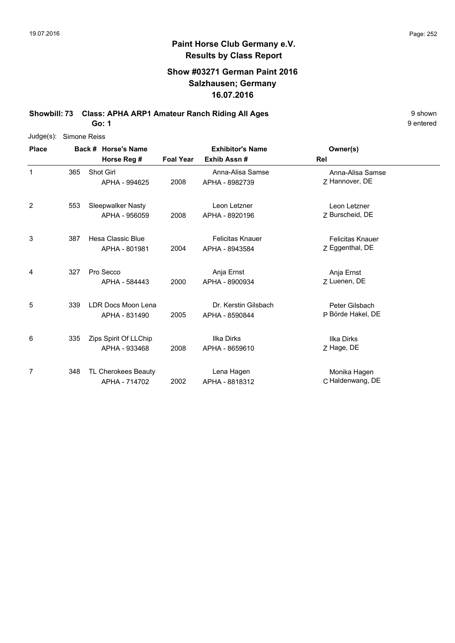# **Show #03271 German Paint 2016 Salzhausen; Germany 16.07.2016**

**Showbill: 73 Class: APHA ARP1 Amateur Ranch Riding All Ages** 9 shown

**Go: 1**

| $Judge(s)$ : | Simone Reiss |                     |                            |                  |                         |                         |  |
|--------------|--------------|---------------------|----------------------------|------------------|-------------------------|-------------------------|--|
| <b>Place</b> |              | Back # Horse's Name |                            |                  | <b>Exhibitor's Name</b> | Owner(s)                |  |
|              |              |                     | Horse Reg #                | <b>Foal Year</b> | Exhib Assn#             | Rel                     |  |
| 1            | 365          |                     | Shot Girl                  |                  | Anna-Alisa Samse        | Anna-Alisa Samse        |  |
|              |              |                     | APHA - 994625              | 2008             | APHA - 8982739          | Z Hannover, DE          |  |
| 2            | 553          |                     | Sleepwalker Nasty          |                  | Leon Letzner            | Leon Letzner            |  |
|              |              |                     | APHA - 956059              | 2008             | APHA - 8920196          | Z Burscheid, DE         |  |
| 3            | 387          |                     | Hesa Classic Blue          |                  | <b>Felicitas Knauer</b> | <b>Felicitas Knauer</b> |  |
|              |              |                     | APHA - 801981              | 2004             | APHA - 8943584          | Z Eggenthal, DE         |  |
| 4            | 327          |                     | Pro Secco                  |                  | Anja Ernst              | Anja Ernst              |  |
|              |              |                     | APHA - 584443              | 2000             | APHA - 8900934          | 7 Luenen, DE            |  |
| 5            | 339          |                     | LDR Docs Moon Lena         |                  | Dr. Kerstin Gilsbach    | Peter Gilsbach          |  |
|              |              |                     | APHA - 831490              | 2005             | APHA - 8590844          | P Börde Hakel, DE       |  |
| 6            | 335          |                     | Zips Spirit Of LLChip      |                  | <b>Ilka Dirks</b>       | <b>Ilka Dirks</b>       |  |
|              |              |                     | APHA - 933468              | 2008             | APHA - 8659610          | Z Hage, DE              |  |
| 7            | 348          |                     | <b>TL Cherokees Beauty</b> |                  | Lena Hagen              | Monika Hagen            |  |
|              |              |                     | APHA - 714702              | 2002             | APHA - 8818312          | C Haldenwang, DE        |  |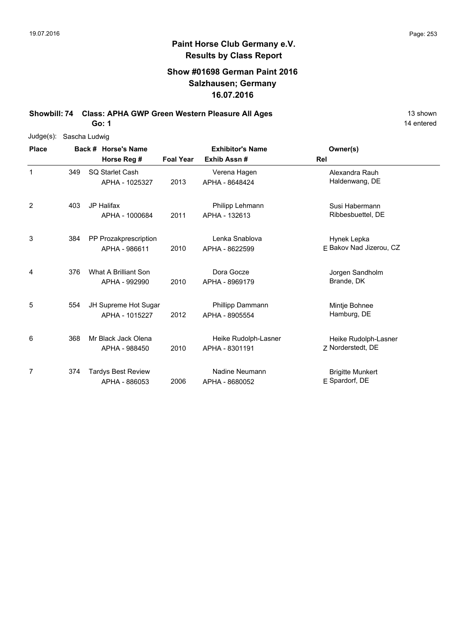### **Show #01698 German Paint 2016 Salzhausen; Germany 16.07.2016**

**Showbill: 74 Class: APHA GWP Green Western Pleasure All Ages** 13 Shown

**Go: 1**

|              | Judge(s): Sascha Ludwig |               |                           |                  |                         |                         |  |  |  |
|--------------|-------------------------|---------------|---------------------------|------------------|-------------------------|-------------------------|--|--|--|
| <b>Place</b> |                         |               | Back # Horse's Name       |                  | <b>Exhibitor's Name</b> | Owner(s)                |  |  |  |
|              |                         |               | Horse Reg #               | <b>Foal Year</b> | Exhib Assn#             | Rel                     |  |  |  |
| 1            | 349                     |               | SQ Starlet Cash           |                  | Verena Hagen            | Alexandra Rauh          |  |  |  |
|              |                         |               | APHA - 1025327            | 2013             | APHA - 8648424          | Haldenwang, DE          |  |  |  |
| 2            | 403                     |               | <b>JP Halifax</b>         |                  | Philipp Lehmann         | Susi Habermann          |  |  |  |
|              |                         |               | APHA - 1000684            | 2011             | APHA - 132613           | Ribbesbuettel, DE       |  |  |  |
| 3            | 384                     |               | PP Prozakprescription     |                  | Lenka Snablova          | Hynek Lepka             |  |  |  |
|              |                         | APHA - 986611 | 2010                      | APHA - 8622599   | F Bakov Nad Jizerou, CZ |                         |  |  |  |
| 4            | 376                     |               | What A Brilliant Son      |                  | Dora Gocze              | Jorgen Sandholm         |  |  |  |
|              |                         |               | APHA - 992990             | 2010             | APHA - 8969179          | Brande, DK              |  |  |  |
| 5            | 554                     |               | JH Supreme Hot Sugar      |                  | Phillipp Dammann        | Mintje Bohnee           |  |  |  |
|              |                         |               | APHA - 1015227            | 2012             | APHA - 8905554          | Hamburg, DE             |  |  |  |
| 6            | 368                     |               | Mr Black Jack Olena       |                  | Heike Rudolph-Lasner    | Heike Rudolph-Lasner    |  |  |  |
|              |                         |               | APHA - 988450             | 2010             | APHA - 8301191          | Z Norderstedt, DE       |  |  |  |
| 7            | 374                     |               | <b>Tardys Best Review</b> |                  | Nadine Neumann          | <b>Brigitte Munkert</b> |  |  |  |
|              |                         |               | APHA - 886053             | 2006             | APHA - 8680052          | E Spardorf, DE          |  |  |  |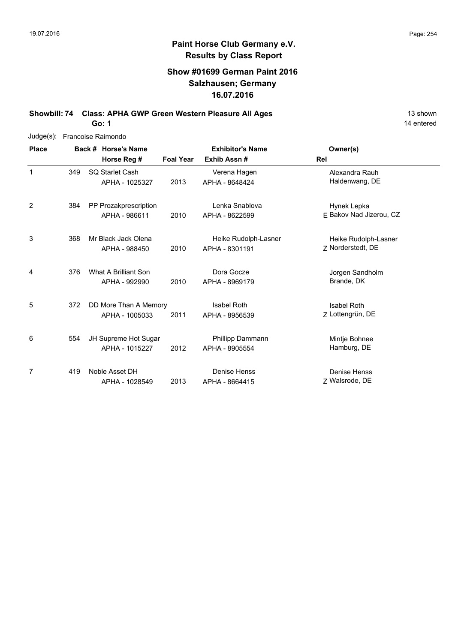### **Show #01699 German Paint 2016 Salzhausen; Germany 16.07.2016**

**Showbill: 74 Class: APHA GWP Green Western Pleasure All Ages** 13 Shown

**Go: 1**

| $Judge(s)$ : | Francoise Raimondo |                       |                  |                         |                         |  |  |  |  |
|--------------|--------------------|-----------------------|------------------|-------------------------|-------------------------|--|--|--|--|
| <b>Place</b> |                    | Back # Horse's Name   |                  | <b>Exhibitor's Name</b> | Owner(s)                |  |  |  |  |
|              |                    | Horse Reg #           | <b>Foal Year</b> | Exhib Assn#             | Rel                     |  |  |  |  |
| 1            | 349                | SQ Starlet Cash       |                  | Verena Hagen            | Alexandra Rauh          |  |  |  |  |
|              |                    | APHA - 1025327        | 2013             | APHA - 8648424          | Haldenwang, DE          |  |  |  |  |
| 2            | 384                | PP Prozakprescription |                  | Lenka Snablova          | Hynek Lepka             |  |  |  |  |
|              |                    | APHA - 986611         | 2010             | APHA - 8622599          | E Bakov Nad Jizerou, CZ |  |  |  |  |
| 3            | 368                | Mr Black Jack Olena   |                  | Heike Rudolph-Lasner    | Heike Rudolph-Lasner    |  |  |  |  |
|              |                    | APHA - 988450         | 2010             | APHA - 8301191          | Z Norderstedt, DE       |  |  |  |  |
| 4            | 376                | What A Brilliant Son  |                  | Dora Gocze              | Jorgen Sandholm         |  |  |  |  |
|              |                    | APHA - 992990         | 2010             | APHA - 8969179          | Brande, DK              |  |  |  |  |
| 5            | 372                | DD More Than A Memory |                  | <b>Isabel Roth</b>      | <b>Isabel Roth</b>      |  |  |  |  |
|              |                    | APHA - 1005033        | 2011             | APHA - 8956539          | Z Lottengrün, DE        |  |  |  |  |
| 6            | 554                | JH Supreme Hot Sugar  |                  | Phillipp Dammann        | Mintje Bohnee           |  |  |  |  |
|              |                    | APHA - 1015227        | 2012             | APHA - 8905554          | Hamburg, DE             |  |  |  |  |
| 7            | 419                | Noble Asset DH        |                  | Denise Henss            | Denise Henss            |  |  |  |  |
|              |                    | APHA - 1028549        | 2013             | APHA - 8664415          | Z Walsrode, DE          |  |  |  |  |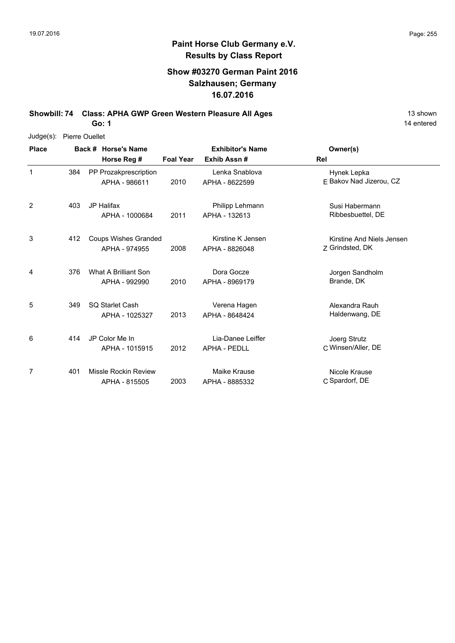### **Show #03270 German Paint 2016 Salzhausen; Germany 16.07.2016**

**Showbill: 74 Class: APHA GWP Green Western Pleasure All Ages** 13 Shown

**Go: 1**

| Judge(s):    | Pierre Ouellet |                     |                             |                         |                     |                           |  |  |  |
|--------------|----------------|---------------------|-----------------------------|-------------------------|---------------------|---------------------------|--|--|--|
| <b>Place</b> |                | Back # Horse's Name |                             | <b>Exhibitor's Name</b> | Owner(s)            |                           |  |  |  |
|              |                |                     | Horse Reg #                 | <b>Foal Year</b>        | Exhib Assn#         | <b>Rel</b>                |  |  |  |
| $\mathbf{1}$ | 384            |                     | PP Prozakprescription       |                         | Lenka Snablova      | Hynek Lepka               |  |  |  |
|              |                |                     | APHA - 986611               | 2010                    | APHA - 8622599      | E Bakov Nad Jizerou, CZ   |  |  |  |
| 2            | 403            |                     | JP Halifax                  |                         | Philipp Lehmann     | Susi Habermann            |  |  |  |
|              |                |                     | APHA - 1000684              | 2011                    | APHA - 132613       | Ribbesbuettel, DE         |  |  |  |
| 3            | 412            |                     | <b>Coups Wishes Granded</b> |                         | Kirstine K Jensen   | Kirstine And Niels Jensen |  |  |  |
|              |                |                     | APHA - 974955               | 2008                    | APHA - 8826048      | Z Grindsted, DK           |  |  |  |
| 4            | 376            |                     | What A Brilliant Son        |                         | Dora Gocze          | Jorgen Sandholm           |  |  |  |
|              |                |                     | APHA - 992990               | 2010                    | APHA - 8969179      | Brande, DK                |  |  |  |
| 5            | 349            |                     | SQ Starlet Cash             |                         | Verena Hagen        | Alexandra Rauh            |  |  |  |
|              |                |                     | APHA - 1025327              | 2013                    | APHA - 8648424      | Haldenwang, DE            |  |  |  |
| 6            | 414            |                     | JP Color Me In              |                         | Lia-Danee Leiffer   | Joerg Strutz              |  |  |  |
|              |                |                     | APHA - 1015915              | 2012                    | <b>APHA - PEDLL</b> | C Winsen/Aller, DE        |  |  |  |
| 7            | 401            |                     | Missle Rockin Review        |                         | Maike Krause        | Nicole Krause             |  |  |  |
|              |                |                     | APHA - 815505               | 2003                    | APHA - 8885332      | C Spardorf, DE            |  |  |  |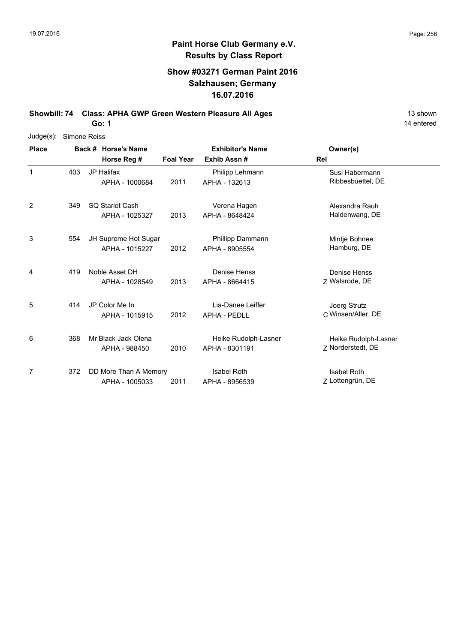### **Show #03271 German Paint 2016 Salzhausen; Germany 16.07.2016**

**Showbill: 74 Class: APHA GWP Green Western Pleasure All Ages** 13 Shown

**Go: 1**

| $Judge(s)$ : | Simone Reiss |                                         |                  |                                          |                                           |
|--------------|--------------|-----------------------------------------|------------------|------------------------------------------|-------------------------------------------|
| <b>Place</b> |              | Back # Horse's Name                     |                  | <b>Exhibitor's Name</b>                  | Owner(s)                                  |
|              |              | Horse Reg #                             | <b>Foal Year</b> | Exhib Assn#                              | <b>Rel</b>                                |
| $\mathbf{1}$ | 403          | <b>JP Halifax</b><br>APHA - 1000684     | 2011             | Philipp Lehmann<br>APHA - 132613         | Susi Habermann<br>Ribbesbuettel, DE       |
| 2            | 349          | SQ Starlet Cash<br>APHA - 1025327       | 2013             | Verena Hagen<br>APHA - 8648424           | Alexandra Rauh<br>Haldenwang, DE          |
| 3            | 554          | JH Supreme Hot Sugar<br>APHA - 1015227  | 2012             | Phillipp Dammann<br>APHA - 8905554       | Mintje Bohnee<br>Hamburg, DE              |
| 4            | 419          | Noble Asset DH<br>APHA - 1028549        | 2013             | Denise Henss<br>APHA - 8664415           | Denise Henss<br>Z Walsrode, DE            |
| 5            | 414          | JP Color Me In<br>APHA - 1015915        | 2012             | Lia-Danee Leiffer<br><b>APHA - PEDLL</b> | Joerg Strutz<br>C Winsen/Aller, DE        |
| 6            | 368          | Mr Black Jack Olena<br>APHA - 988450    | 2010             | Heike Rudolph-Lasner<br>APHA - 8301191   | Heike Rudolph-Lasner<br>7 Norderstedt, DE |
| 7            | 372          | DD More Than A Memory<br>APHA - 1005033 | 2011             | <b>Isabel Roth</b><br>APHA - 8956539     | <b>Isabel Roth</b><br>Z Lottengrün, DE    |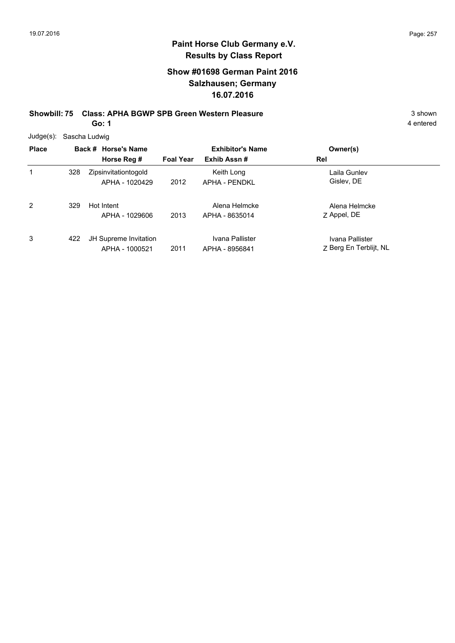### **Show #01698 German Paint 2016 Salzhausen; Germany 16.07.2016**

**Showbill: 75 Class: APHA BGWP SPB Green Western Pleasure** 3 Shown 3 shown

**Go: 1**

| <b>Place</b>   |     | Back # Horse's Name<br>Horse Reg #      | <b>Foal Year</b> | <b>Exhibitor's Name</b><br>Exhib Assn# | Owner(s)<br>Rel                           |
|----------------|-----|-----------------------------------------|------------------|----------------------------------------|-------------------------------------------|
| 1              | 328 | Zipsinvitationtogold<br>APHA - 1020429  | 2012             | Keith Long<br><b>APHA - PENDKL</b>     | Laila Gunlev<br>Gislev, DE                |
| $\overline{2}$ | 329 | Hot Intent<br>APHA - 1029606            | 2013             | Alena Helmcke<br>APHA - 8635014        | Alena Helmcke<br>Z Appel, DE              |
| 3              | 422 | JH Supreme Invitation<br>APHA - 1000521 | 2011             | Ivana Pallister<br>APHA - 8956841      | Ivana Pallister<br>Z Berg En Terblijt, NL |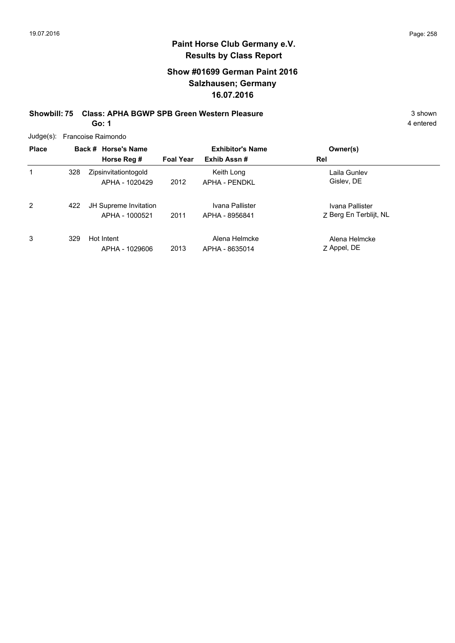### **Show #01699 German Paint 2016 Salzhausen; Germany 16.07.2016**

**Showbill: 75 Class: APHA BGWP SPB Green Western Pleasure** 3 Shown 3 shown

**Go: 1**

| Judge(s): Francoise Raimondo |
|------------------------------|
|                              |

| <b>Place</b> | Back # Horse's Name<br>Horse Reg # |                                         | <b>Foal Year</b> | <b>Exhibitor's Name</b><br>Exhib Assn# | Owner(s)<br>Rel                           |
|--------------|------------------------------------|-----------------------------------------|------------------|----------------------------------------|-------------------------------------------|
| 1            | 328                                | Zipsinvitationtogold<br>APHA - 1020429  | 2012             | Keith Long<br>APHA - PFNDKI            | Laila Gunlev<br>Gislev, DE                |
| 2            | 422                                | JH Supreme Invitation<br>APHA - 1000521 | 2011             | Ivana Pallister<br>APHA - 8956841      | Ivana Pallister<br>Z Berg En Terblijt, NL |
| 3            | 329                                | Hot Intent<br>APHA - 1029606            | 2013             | Alena Helmcke<br>APHA - 8635014        | Alena Helmcke<br>Z Appel, DE              |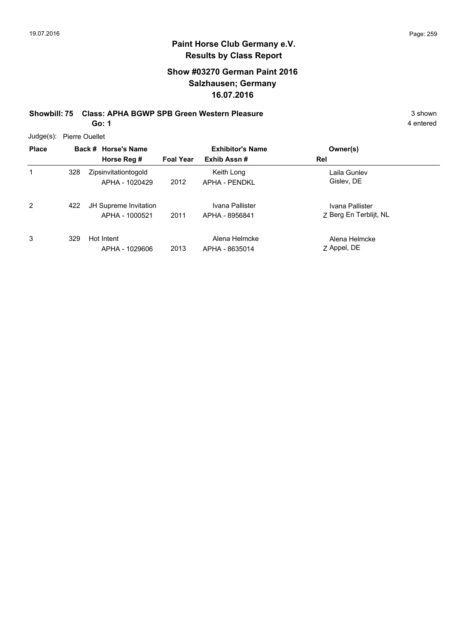### **Show #03270 German Paint 2016 Salzhausen; Germany 16.07.2016**

**Showbill: 75 Class: APHA BGWP SPB Green Western Pleasure** 3 shown 3 shown

**Go: 1**

4 entered

Judge(s): Pierre Ouellet

| <b>Place</b> |     | Back # Horse's Name<br>Horse Reg #      | <b>Foal Year</b> | <b>Exhibitor's Name</b><br>Exhib Assn# | Owner(s)<br>Rel                           |
|--------------|-----|-----------------------------------------|------------------|----------------------------------------|-------------------------------------------|
| 1            | 328 | Zipsinvitationtogold<br>APHA - 1020429  | 2012             | Keith Long<br>APHA - PENDKL            | Laila Gunlev<br>Gislev, DE                |
| 2            | 422 | JH Supreme Invitation<br>APHA - 1000521 | 2011             | Ivana Pallister<br>APHA - 8956841      | Ivana Pallister<br>Z Berg En Terblijt, NL |
| 3            | 329 | Hot Intent<br>APHA - 1029606            | 2013             | Alena Helmcke<br>APHA - 8635014        | Alena Helmcke<br>Z Appel, DE              |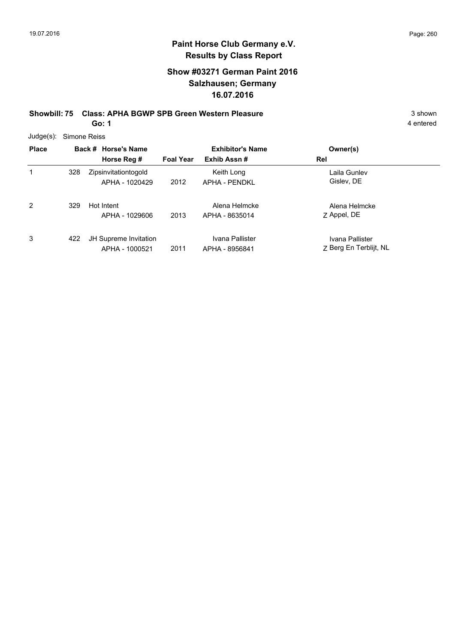### **Show #03271 German Paint 2016 Salzhausen; Germany 16.07.2016**

**Showbill: 75 Class: APHA BGWP SPB Green Western Pleasure** 3 Shown 3 shown

**Go: 1**

|  | Judge(s): Simone Reiss |
|--|------------------------|
|--|------------------------|

| <b>Place</b>   |     | Back # Horse's Name<br>Horse Reg #      | <b>Foal Year</b> | <b>Exhibitor's Name</b><br>Exhib Assn# | Owner(s)<br>Rel                           |
|----------------|-----|-----------------------------------------|------------------|----------------------------------------|-------------------------------------------|
| 1              | 328 | Zipsinvitationtogold<br>APHA - 1020429  | 2012             | Keith Long<br>APHA - PFNDKI            | Laila Gunlev<br>Gislev, DE                |
| $\overline{2}$ | 329 | Hot Intent<br>APHA - 1029606            | 2013             | Alena Helmcke<br>APHA - 8635014        | Alena Helmcke<br>Z Appel, DE              |
| 3              | 422 | JH Supreme Invitation<br>APHA - 1000521 | 2011             | Ivana Pallister<br>APHA - 8956841      | Ivana Pallister<br>Z Berg En Terblijt, NL |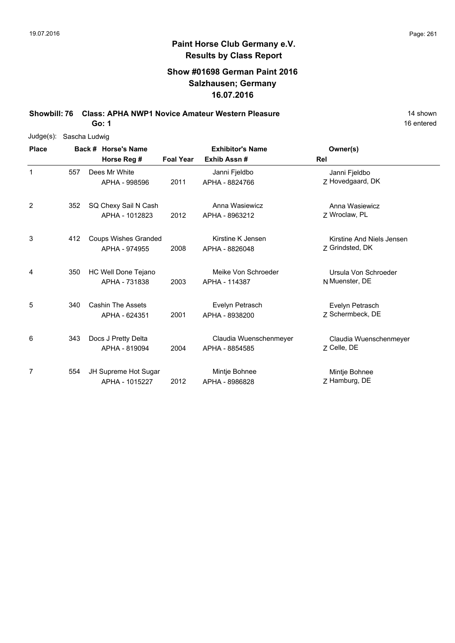### **Show #01698 German Paint 2016 Salzhausen; Germany 16.07.2016**

**Showbill: 76 Class: APHA NWP1 Novice Amateur Western Pleasure** 14 Shown

**Go: 1**

| $Judge(s)$ : | Sascha Ludwig |  |                             |                  |                         |                           |  |  |  |
|--------------|---------------|--|-----------------------------|------------------|-------------------------|---------------------------|--|--|--|
| <b>Place</b> |               |  | Back # Horse's Name         |                  | <b>Exhibitor's Name</b> | Owner(s)                  |  |  |  |
|              |               |  | Horse Reg #                 | <b>Foal Year</b> | Exhib Assn#             | Rel                       |  |  |  |
| 1            | 557           |  | Dees Mr White               |                  | Janni Fjeldbo           | Janni Fjeldbo             |  |  |  |
|              |               |  | APHA - 998596               | 2011             | APHA - 8824766          | Z Hovedgaard, DK          |  |  |  |
| 2            | 352           |  | SQ Chexy Sail N Cash        |                  | Anna Wasiewicz          | Anna Wasiewicz            |  |  |  |
|              |               |  | APHA - 1012823              | 2012             | APHA - 8963212          | Z Wroclaw, PL             |  |  |  |
| 3            | 412           |  | <b>Coups Wishes Granded</b> |                  | Kirstine K Jensen       | Kirstine And Niels Jensen |  |  |  |
|              |               |  | APHA - 974955               | 2008             | APHA - 8826048          | Z Grindsted, DK           |  |  |  |
| 4            | 350           |  | HC Well Done Tejano         |                  | Meike Von Schroeder     | Ursula Von Schroeder      |  |  |  |
|              |               |  | APHA - 731838               | 2003             | APHA - 114387           | N Muenster, DE            |  |  |  |
| 5            | 340           |  | <b>Cashin The Assets</b>    |                  | Evelyn Petrasch         | Evelyn Petrasch           |  |  |  |
|              |               |  | APHA - 624351               | 2001             | APHA - 8938200          | Z Schermbeck, DE          |  |  |  |
| 6            | 343           |  | Docs J Pretty Delta         |                  | Claudia Wuenschenmeyer  | Claudia Wuenschenmeyer    |  |  |  |
|              |               |  | APHA - 819094               | 2004             | APHA - 8854585          | 7 Celle, DE               |  |  |  |
| 7            | 554           |  | JH Supreme Hot Sugar        |                  | Mintje Bohnee           | Mintje Bohnee             |  |  |  |
|              |               |  | APHA - 1015227              | 2012             | APHA - 8986828          | Z Hamburg, DE             |  |  |  |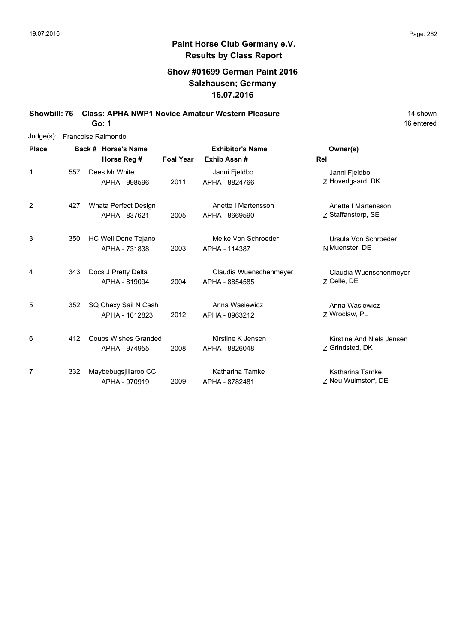### **Show #01699 German Paint 2016 Salzhausen; Germany 16.07.2016**

**Showbill: 76 Class: APHA NWP1 Novice Amateur Western Pleasure** 14 Shown 14 shown

**Go: 1**

| $Judge(s)$ : |     | Francoise Raimondo |                             |                         |                        |                           |  |  |  |  |  |
|--------------|-----|--------------------|-----------------------------|-------------------------|------------------------|---------------------------|--|--|--|--|--|
| <b>Place</b> |     |                    | Back # Horse's Name         | <b>Exhibitor's Name</b> |                        | Owner(s)                  |  |  |  |  |  |
|              |     |                    | Horse Reg #                 | <b>Foal Year</b>        | Exhib Assn#            | Rel                       |  |  |  |  |  |
| 1            | 557 |                    | Dees Mr White               |                         | Janni Fjeldbo          | Janni Fjeldbo             |  |  |  |  |  |
|              |     |                    | APHA - 998596               | 2011                    | APHA - 8824766         | Z Hovedgaard, DK          |  |  |  |  |  |
| 2            | 427 |                    | Whata Perfect Design        |                         | Anette I Martensson    | Anette I Martensson       |  |  |  |  |  |
|              |     |                    | APHA - 837621               | 2005                    | APHA - 8669590         | Z Staffanstorp, SE        |  |  |  |  |  |
| 3            | 350 |                    | HC Well Done Tejano         |                         | Meike Von Schroeder    | Ursula Von Schroeder      |  |  |  |  |  |
|              |     |                    | APHA - 731838               | 2003                    | APHA - 114387          | N Muenster, DE            |  |  |  |  |  |
| 4            | 343 |                    | Docs J Pretty Delta         |                         | Claudia Wuenschenmeyer | Claudia Wuenschenmeyer    |  |  |  |  |  |
|              |     |                    | APHA - 819094               | 2004                    | APHA - 8854585         | Z Celle, DE               |  |  |  |  |  |
| 5            | 352 |                    | SQ Chexy Sail N Cash        |                         | Anna Wasiewicz         | Anna Wasiewicz            |  |  |  |  |  |
|              |     |                    | APHA - 1012823              | 2012                    | APHA - 8963212         | Z Wroclaw, PL             |  |  |  |  |  |
| 6            | 412 |                    | <b>Coups Wishes Granded</b> |                         | Kirstine K Jensen      | Kirstine And Niels Jensen |  |  |  |  |  |
|              |     |                    | APHA - 974955               | 2008                    | APHA - 8826048         | Z Grindsted, DK           |  |  |  |  |  |
| 7            | 332 |                    | Maybebugsjillaroo CC        |                         | Katharina Tamke        | Katharina Tamke           |  |  |  |  |  |
|              |     |                    | APHA - 970919               | 2009                    | APHA - 8782481         | Z Neu Wulmstorf, DE       |  |  |  |  |  |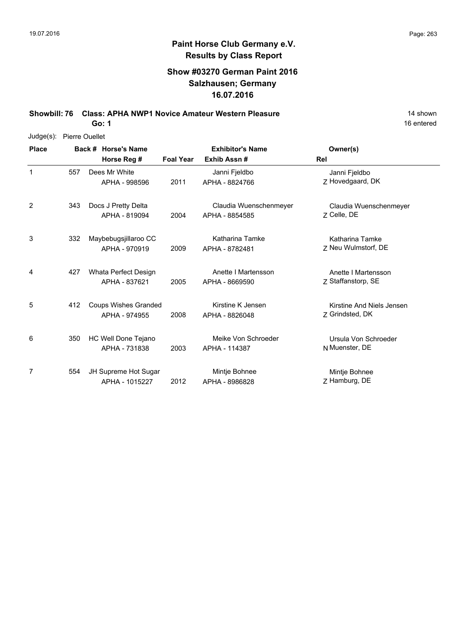### **Show #03270 German Paint 2016 Salzhausen; Germany 16.07.2016**

**Showbill: 76 Class: APHA NWP1 Novice Amateur Western Pleasure** 14 Shown 14 shown

**Go: 1**

| $Judge(s)$ : |     | Pierre Ouellet                               |                  |                                          |                                              |
|--------------|-----|----------------------------------------------|------------------|------------------------------------------|----------------------------------------------|
| <b>Place</b> |     | Back # Horse's Name<br>Horse Reg #           | <b>Foal Year</b> | <b>Exhibitor's Name</b><br>Exhib Assn#   | Owner(s)<br>Rel                              |
| 1            | 557 | Dees Mr White<br>APHA - 998596               | 2011             | Janni Fjeldbo<br>APHA - 8824766          | Janni Fjeldbo<br>Z Hovedgaard, DK            |
| 2            | 343 | Docs J Pretty Delta<br>APHA - 819094         | 2004             | Claudia Wuenschenmeyer<br>APHA - 8854585 | Claudia Wuenschenmeyer<br>Z Celle, DE        |
| 3            | 332 | Maybebugsjillaroo CC<br>APHA - 970919        | 2009             | Katharina Tamke<br>APHA - 8782481        | Katharina Tamke<br>Z Neu Wulmstorf, DE       |
| 4            | 427 | Whata Perfect Design<br>APHA - 837621        | 2005             | Anette I Martensson<br>APHA - 8669590    | Anette I Martensson<br>Z Staffanstorp, SE    |
| 5            | 412 | <b>Coups Wishes Granded</b><br>APHA - 974955 | 2008             | Kirstine K Jensen<br>APHA - 8826048      | Kirstine And Niels Jensen<br>Z Grindsted, DK |
| 6            | 350 | HC Well Done Tejano<br>APHA - 731838         | 2003             | Meike Von Schroeder<br>APHA - 114387     | Ursula Von Schroeder<br>N Muenster, DE       |
| 7            | 554 | JH Supreme Hot Sugar<br>APHA - 1015227       | 2012             | Mintje Bohnee<br>APHA - 8986828          | Mintje Bohnee<br>Z Hamburg, DE               |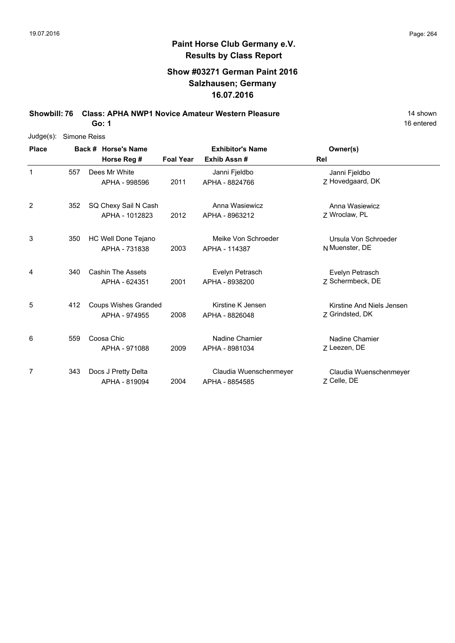### **Show #03271 German Paint 2016 Salzhausen; Germany 16.07.2016**

**Showbill: 76 Class: APHA NWP1 Novice Amateur Western Pleasure** 14 Shown

**Go: 1**

| $Judge(s)$ : |     | Simone Reiss                |                  |                         |                           |
|--------------|-----|-----------------------------|------------------|-------------------------|---------------------------|
| <b>Place</b> |     | Back # Horse's Name         |                  | <b>Exhibitor's Name</b> | Owner(s)                  |
|              |     | Horse Reg #                 | <b>Foal Year</b> | Exhib Assn#             | Rel                       |
| 1            | 557 | Dees Mr White               |                  | Janni Fjeldbo           | Janni Fjeldbo             |
|              |     | APHA - 998596               | 2011             | APHA - 8824766          | Z Hovedgaard, DK          |
| 2            | 352 | SQ Chexy Sail N Cash        |                  | Anna Wasiewicz          | Anna Wasiewicz            |
|              |     | APHA - 1012823              | 2012             | APHA - 8963212          | Z Wroclaw, PL             |
| 3            | 350 | HC Well Done Tejano         |                  | Meike Von Schroeder     | Ursula Von Schroeder      |
|              |     | APHA - 731838               | 2003             | APHA - 114387           | N Muenster, DE            |
| 4            | 340 | <b>Cashin The Assets</b>    |                  | Evelyn Petrasch         | Evelyn Petrasch           |
|              |     | APHA - 624351               | 2001             | APHA - 8938200          | 7 Schermbeck, DE          |
| 5            | 412 | <b>Coups Wishes Granded</b> |                  | Kirstine K Jensen       | Kirstine And Niels Jensen |
|              |     | APHA - 974955               | 2008             | APHA - 8826048          | Z Grindsted, DK           |
| 6            | 559 | Coosa Chic                  |                  | Nadine Chamier          | Nadine Chamier            |
|              |     | APHA - 971088               | 2009             | APHA - 8981034          | Z Leezen, DE              |
| 7            | 343 | Docs J Pretty Delta         |                  | Claudia Wuenschenmeyer  | Claudia Wuenschenmeyer    |
|              |     | APHA - 819094               | 2004             | APHA - 8854585          | Z Celle, DE               |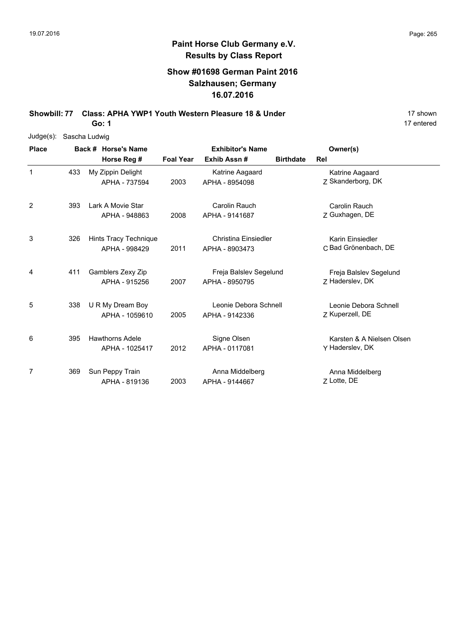### **Show #01698 German Paint 2016 Salzhausen; Germany 16.07.2016**

**Showbill: 77 Class: APHA YWP1 Youth Western Pleasure 18 & Under** 18 **8 17 Shown Go: 1**

17 entered

Judge(s): Sascha Ludwig

| <b>Place</b> |     | Back # Horse's Name                      | <b>Exhibitor's Name</b> |                                          | Owner(s)                                     |
|--------------|-----|------------------------------------------|-------------------------|------------------------------------------|----------------------------------------------|
|              |     | Horse Reg #                              | <b>Foal Year</b>        | Exhib Assn#                              | <b>Birthdate</b><br>Rel                      |
| $\mathbf 1$  | 433 | My Zippin Delight<br>APHA - 737594       | 2003                    | Katrine Aagaard<br>APHA - 8954098        | Katrine Aagaard<br>Z Skanderborg, DK         |
| 2            | 393 | Lark A Movie Star<br>APHA - 948863       | 2008                    | Carolin Rauch<br>APHA - 9141687          | Carolin Rauch<br>Z Guxhagen, DE              |
| 3            | 326 | Hints Tracy Technique<br>APHA - 998429   | 2011                    | Christina Einsiedler<br>APHA - 8903473   | Karin Einsiedler<br>C Bad Grönenbach, DE     |
| 4            | 411 | Gamblers Zexy Zip<br>APHA - 915256       | 2007                    | Freja Balslev Segelund<br>APHA - 8950795 | Freja Balslev Segelund<br>Z Haderslev, DK    |
| 5            | 338 | U R My Dream Boy<br>APHA - 1059610       | 2005                    | Leonie Debora Schnell<br>APHA - 9142336  | Leonie Debora Schnell<br>Z Kuperzell, DE     |
| 6            | 395 | <b>Hawthorns Adele</b><br>APHA - 1025417 | 2012                    | Signe Olsen<br>APHA - 0117081            | Karsten & A Nielsen Olsen<br>Y Haderslev, DK |
| 7            | 369 | Sun Peppy Train<br>APHA - 819136         | 2003                    | Anna Middelberg<br>APHA - 9144667        | Anna Middelberg<br>Z Lotte, DE               |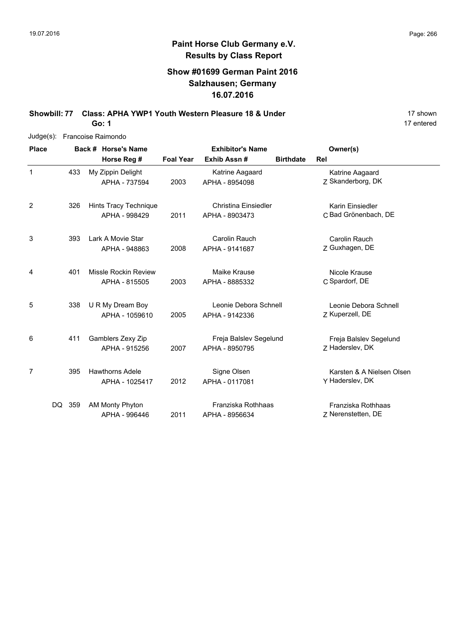### **Show #01699 German Paint 2016 Salzhausen; Germany 16.07.2016**

**Showbill: 77 Class: APHA YWP1 Youth Western Pleasure 18 & Under** 18 **8 17 Shown Go: 1**

| $Judge(s)$ :   |        | Francoise Raimondo                       |                  |                                          |                  |                                              |
|----------------|--------|------------------------------------------|------------------|------------------------------------------|------------------|----------------------------------------------|
| <b>Place</b>   |        | Back # Horse's Name                      |                  | <b>Exhibitor's Name</b>                  |                  | Owner(s)                                     |
|                |        | Horse Reg #                              | <b>Foal Year</b> | Exhib Assn#                              | <b>Birthdate</b> | Rel                                          |
| 1              | 433    | My Zippin Delight<br>APHA - 737594       | 2003             | Katrine Aagaard<br>APHA - 8954098        |                  | Katrine Aagaard<br>Z Skanderborg, DK         |
| $\overline{2}$ | 326    | Hints Tracy Technique<br>APHA - 998429   | 2011             | Christina Einsiedler<br>APHA - 8903473   |                  | Karin Einsiedler<br>C Bad Grönenbach, DE     |
| 3              | 393    | Lark A Movie Star<br>APHA - 948863       | 2008             | Carolin Rauch<br>APHA - 9141687          |                  | Carolin Rauch<br>Z Guxhagen, DE              |
| 4              | 401    | Missle Rockin Review<br>APHA - 815505    | 2003             | Maike Krause<br>APHA - 8885332           |                  | Nicole Krause<br>C Spardorf, DE              |
| 5              | 338    | U R My Dream Boy<br>APHA - 1059610       | 2005             | Leonie Debora Schnell<br>APHA - 9142336  |                  | Leonie Debora Schnell<br>Z Kuperzell, DE     |
| 6              | 411    | Gamblers Zexy Zip<br>APHA - 915256       | 2007             | Freja Balslev Segelund<br>APHA - 8950795 |                  | Freja Balslev Segelund<br>Z Haderslev, DK    |
| 7              | 395    | <b>Hawthorns Adele</b><br>APHA - 1025417 | 2012             | Signe Olsen<br>APHA - 0117081            |                  | Karsten & A Nielsen Olsen<br>Y Haderslev, DK |
|                | DQ 359 | AM Monty Phyton<br>APHA - 996446         | 2011             | Franziska Rothhaas<br>APHA - 8956634     |                  | Franziska Rothhaas<br>Z Nerenstetten, DE     |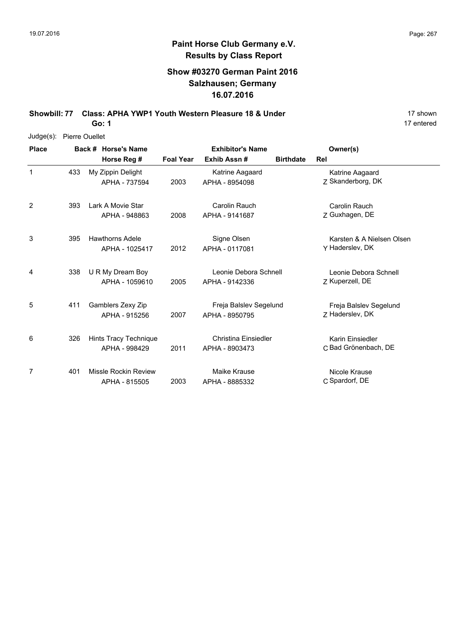### **Show #03270 German Paint 2016 Salzhausen; Germany 16.07.2016**

**Showbill: 77 Class: APHA YWP1 Youth Western Pleasure 18 & Under** 18 **8 17 Shown Go: 1**

17 entered

Judge(s): Pierre Ouellet

| <b>Place</b> |     | Back # Horse's Name                      | <b>Exhibitor's Name</b> |                                               | Owner(s)         |                                              |
|--------------|-----|------------------------------------------|-------------------------|-----------------------------------------------|------------------|----------------------------------------------|
|              |     | Horse Reg #                              | <b>Foal Year</b>        | Exhib Assn#                                   | <b>Birthdate</b> | Rel                                          |
| 1            | 433 | My Zippin Delight<br>APHA - 737594       | 2003                    | Katrine Aagaard<br>APHA - 8954098             |                  | Katrine Aagaard<br>Z Skanderborg, DK         |
| 2            | 393 | Lark A Movie Star<br>APHA - 948863       | 2008                    | Carolin Rauch<br>APHA - 9141687               |                  | Carolin Rauch<br>Z Guxhagen, DE              |
| 3            | 395 | <b>Hawthorns Adele</b><br>APHA - 1025417 | 2012                    | Signe Olsen<br>APHA - 0117081                 |                  | Karsten & A Nielsen Olsen<br>Y Haderslev, DK |
| 4            | 338 | U R My Dream Boy<br>APHA - 1059610       | 2005                    | Leonie Debora Schnell<br>APHA - 9142336       |                  | Leonie Debora Schnell<br>Z Kuperzell, DE     |
| 5            | 411 | Gamblers Zexy Zip<br>APHA - 915256       | 2007                    | Freja Balslev Segelund<br>APHA - 8950795      |                  | Freja Balslev Segelund<br>7 Haderslev, DK    |
| 6            | 326 | Hints Tracy Technique<br>APHA - 998429   | 2011                    | <b>Christina Einsiedler</b><br>APHA - 8903473 |                  | Karin Einsiedler<br>C Bad Grönenbach, DE     |
| 7            | 401 | Missle Rockin Review<br>APHA - 815505    | 2003                    | Maike Krause<br>APHA - 8885332                |                  | Nicole Krause<br>C Spardorf, DE              |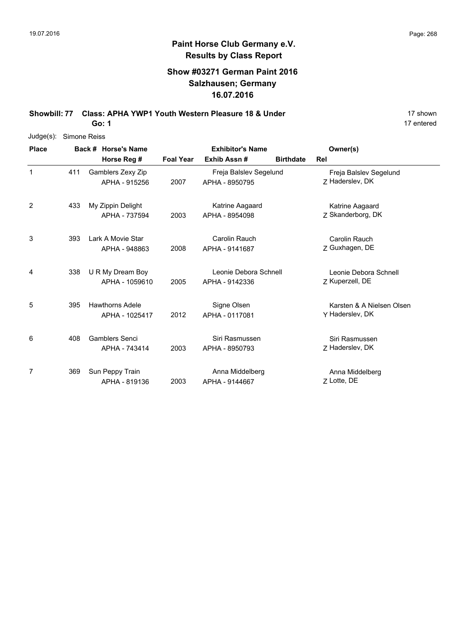### **Show #03271 German Paint 2016 Salzhausen; Germany 16.07.2016**

**Showbill: 77 Class: APHA YWP1 Youth Western Pleasure 18 & Under** 18 **8 17 Shown** 

**Go: 1**

| Judge(s): Simone Reiss |
|------------------------|
|                        |

| <b>Place</b> |     | Back # Horse's Name                      |                                                     | <b>Exhibitor's Name</b>                  | Owner(s) |                                              |
|--------------|-----|------------------------------------------|-----------------------------------------------------|------------------------------------------|----------|----------------------------------------------|
|              |     | Horse Reg #                              | Exhib Assn#<br><b>Foal Year</b><br><b>Birthdate</b> |                                          |          | Rel                                          |
| $\mathbf 1$  | 411 | Gamblers Zexy Zip<br>APHA - 915256       | 2007                                                | Freja Balslev Segelund<br>APHA - 8950795 |          | Freja Balslev Segelund<br>Z Haderslev, DK    |
| 2            | 433 | My Zippin Delight<br>APHA - 737594       | 2003                                                | Katrine Aagaard<br>APHA - 8954098        |          | Katrine Aagaard<br>Z Skanderborg, DK         |
| 3            | 393 | Lark A Movie Star<br>APHA - 948863       | 2008                                                | Carolin Rauch<br>APHA - 9141687          |          | Carolin Rauch<br>Z Guxhagen, DE              |
| 4            | 338 | U R My Dream Boy<br>APHA - 1059610       | 2005                                                | Leonie Debora Schnell<br>APHA - 9142336  |          | Leonie Debora Schnell<br>Z Kuperzell, DE     |
| 5            | 395 | <b>Hawthorns Adele</b><br>APHA - 1025417 | 2012                                                | Signe Olsen<br>APHA - 0117081            |          | Karsten & A Nielsen Olsen<br>Y Haderslev, DK |
| 6            | 408 | <b>Gamblers Senci</b><br>APHA - 743414   | 2003                                                | Siri Rasmussen<br>APHA - 8950793         |          | Siri Rasmussen<br>Z Haderslev, DK            |
| 7            | 369 | Sun Peppy Train<br>APHA - 819136         | 2003                                                | Anna Middelberg<br>APHA - 9144667        |          | Anna Middelberg<br>Z Lotte, DE               |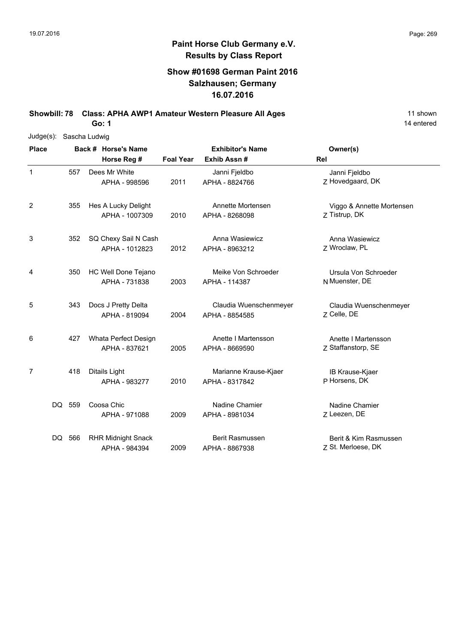### **Show #01698 German Paint 2016 Salzhausen; Germany 16.07.2016**

**Showbill: 78 Class: APHA AWP1 Amateur Western Pleasure All Ages** 11 Shown

**Go: 1**

| Judge(s):    | Sascha Ludwig |                     |                                            |                  |                                          |                                             |
|--------------|---------------|---------------------|--------------------------------------------|------------------|------------------------------------------|---------------------------------------------|
| <b>Place</b> |               | Back # Horse's Name |                                            |                  | <b>Exhibitor's Name</b>                  | Owner(s)                                    |
|              |               |                     | Horse Reg #                                | <b>Foal Year</b> | Exhib Assn#                              | Rel                                         |
| 1            | 557           |                     | Dees Mr White<br>APHA - 998596             | 2011             | Janni Fjeldbo<br>APHA - 8824766          | Janni Fjeldbo<br>Z Hovedgaard, DK           |
| 2            | 355           |                     | Hes A Lucky Delight<br>APHA - 1007309      | 2010             | Annette Mortensen<br>APHA - 8268098      | Viggo & Annette Mortensen<br>Z Tistrup, DK  |
| 3            | 352           |                     | SQ Chexy Sail N Cash<br>APHA - 1012823     | 2012             | Anna Wasiewicz<br>APHA - 8963212         | Anna Wasiewicz<br>Z Wroclaw, PL             |
| 4            | 350           |                     | HC Well Done Tejano<br>APHA - 731838       | 2003             | Meike Von Schroeder<br>APHA - 114387     | Ursula Von Schroeder<br>N Muenster, DE      |
| 5            | 343           |                     | Docs J Pretty Delta<br>APHA - 819094       | 2004             | Claudia Wuenschenmeyer<br>APHA - 8854585 | Claudia Wuenschenmeyer<br>Z Celle, DE       |
| 6            | 427           |                     | Whata Perfect Design<br>APHA - 837621      | 2005             | Anette I Martensson<br>APHA - 8669590    | Anette I Martensson<br>Z Staffanstorp, SE   |
| 7            | 418           |                     | Ditails Light<br>APHA - 983277             | 2010             | Marianne Krause-Kjaer<br>APHA - 8317842  | IB Krause-Kjaer<br>P Horsens, DK            |
|              | DQ 559        |                     | Coosa Chic<br>APHA - 971088                | 2009             | Nadine Chamier<br>APHA - 8981034         | Nadine Chamier<br>Z Leezen, DE              |
|              | DQ 566        |                     | <b>RHR Midnight Snack</b><br>APHA - 984394 | 2009             | <b>Berit Rasmussen</b><br>APHA - 8867938 | Berit & Kim Rasmussen<br>Z St. Merloese, DK |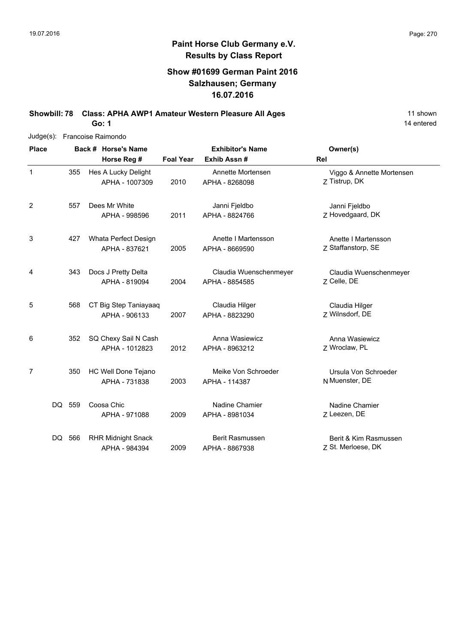### **Show #01699 German Paint 2016 Salzhausen; Germany 16.07.2016**

**Showbill: 78 Class: APHA AWP1 Amateur Western Pleasure All Ages** 11 Shown

14 entered

| $Judge(s)$ : | Francoise Raimondo |  |                                       |                  |                                     |                                            |  |
|--------------|--------------------|--|---------------------------------------|------------------|-------------------------------------|--------------------------------------------|--|
| <b>Place</b> |                    |  | Back # Horse's Name                   |                  | <b>Exhibitor's Name</b>             | Owner(s)                                   |  |
|              |                    |  | Horse Reg #                           | <b>Foal Year</b> | Exhib Assn#                         | Rel                                        |  |
| 1            | 355                |  | Hes A Lucky Delight<br>APHA - 1007309 | 2010             | Annette Mortensen<br>APHA - 8268098 | Viggo & Annette Mortensen<br>Z Tistrup, DK |  |
| 2            | 557                |  | Dees Mr White                         |                  | Janni Fjeldbo                       | Janni Fjeldbo                              |  |
|              |                    |  | APHA - 998596                         | 2011             | APHA - 8824766                      | Z Hovedgaard, DK                           |  |
| 3            | 427                |  | Whata Perfect Design                  |                  | Anette I Martensson                 | Anette I Martensson                        |  |
|              |                    |  | APHA - 837621                         | 2005             | APHA - 8669590                      | Z Staffanstorp, SE                         |  |
| 4            | 343                |  | Docs J Pretty Delta                   |                  | Claudia Wuenschenmeyer              | Claudia Wuenschenmeyer                     |  |
|              |                    |  | APHA - 819094                         | 2004             | APHA - 8854585                      | Z Celle, DE                                |  |
| 5            | 568                |  | CT Big Step Taniayaaq                 |                  | Claudia Hilger                      | Claudia Hilger                             |  |
|              |                    |  | APHA - 906133                         | 2007             | APHA - 8823290                      | Z Wilnsdorf, DE                            |  |
| 6            | 352                |  | SQ Chexy Sail N Cash                  |                  | Anna Wasiewicz                      | Anna Wasiewicz                             |  |
|              |                    |  | APHA - 1012823                        | 2012             | APHA - 8963212                      | Z Wroclaw, PL                              |  |
| 7            | 350                |  | HC Well Done Tejano                   |                  | Meike Von Schroeder                 | Ursula Von Schroeder                       |  |
|              |                    |  | APHA - 731838                         | 2003             | APHA - 114387                       | N Muenster, DE                             |  |
|              | DQ 559             |  | Coosa Chic                            |                  | Nadine Chamier                      | Nadine Chamier                             |  |
|              |                    |  | APHA - 971088                         | 2009             | APHA - 8981034                      | Z Leezen, DE                               |  |
|              | DQ 566             |  | <b>RHR Midnight Snack</b>             |                  | Berit Rasmussen                     | Berit & Kim Rasmussen                      |  |
|              |                    |  | APHA - 984394                         | 2009             | APHA - 8867938                      | Z St. Merloese, DK                         |  |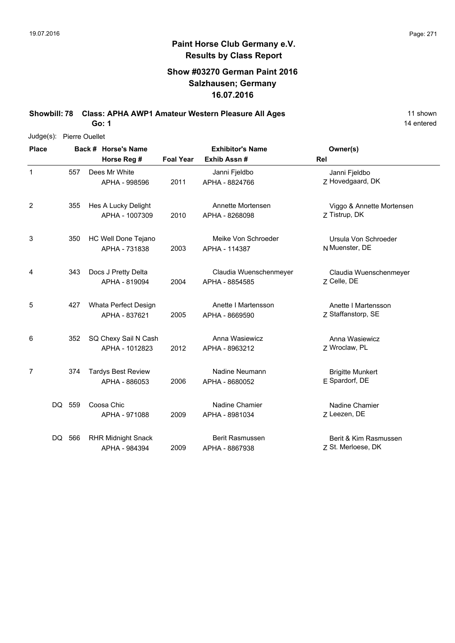### **Show #03270 German Paint 2016 Salzhausen; Germany 16.07.2016**

**Showbill: 78 Class: APHA AWP1 Amateur Western Pleasure All Ages** 11 Shown 11 shown

**Go: 1**

| Judge(s):      | Pierre Ouellet |                     |                                            |                  |                                          |                                             |  |  |
|----------------|----------------|---------------------|--------------------------------------------|------------------|------------------------------------------|---------------------------------------------|--|--|
| <b>Place</b>   |                | Back # Horse's Name |                                            |                  | <b>Exhibitor's Name</b>                  | Owner(s)                                    |  |  |
|                |                |                     | Horse Reg #                                | <b>Foal Year</b> | Exhib Assn #                             | Rel                                         |  |  |
| $\mathbf{1}$   | 557            |                     | Dees Mr White<br>APHA - 998596             | 2011             | Janni Fjeldbo<br>APHA - 8824766          | Janni Fjeldbo<br>Z Hovedgaard, DK           |  |  |
| 2              | 355            |                     | Hes A Lucky Delight<br>APHA - 1007309      | 2010             | Annette Mortensen<br>APHA - 8268098      | Viggo & Annette Mortensen<br>Z Tistrup, DK  |  |  |
| 3              | 350            |                     | HC Well Done Tejano<br>APHA - 731838       | 2003             | Meike Von Schroeder<br>APHA - 114387     | Ursula Von Schroeder<br>N Muenster, DE      |  |  |
| 4              | 343            |                     | Docs J Pretty Delta<br>APHA - 819094       | 2004             | Claudia Wuenschenmeyer<br>APHA - 8854585 | Claudia Wuenschenmeyer<br>Z Celle, DE       |  |  |
| 5              | 427            |                     | Whata Perfect Design<br>APHA - 837621      | 2005             | Anette I Martensson<br>APHA - 8669590    | Anette I Martensson<br>Z Staffanstorp, SE   |  |  |
| 6              | 352            |                     | SQ Chexy Sail N Cash<br>APHA - 1012823     | 2012             | Anna Wasiewicz<br>APHA - 8963212         | Anna Wasiewicz<br>Z Wroclaw, PL             |  |  |
| $\overline{7}$ | 374            |                     | <b>Tardys Best Review</b><br>APHA - 886053 | 2006             | Nadine Neumann<br>APHA - 8680052         | <b>Brigitte Munkert</b><br>E Spardorf, DE   |  |  |
|                | DQ 559         |                     | Coosa Chic<br>APHA - 971088                | 2009             | Nadine Chamier<br>APHA - 8981034         | Nadine Chamier<br>Z Leezen, DE              |  |  |
|                | DQ 566         |                     | <b>RHR Midnight Snack</b><br>APHA - 984394 | 2009             | Berit Rasmussen<br>APHA - 8867938        | Berit & Kim Rasmussen<br>Z St. Merloese, DK |  |  |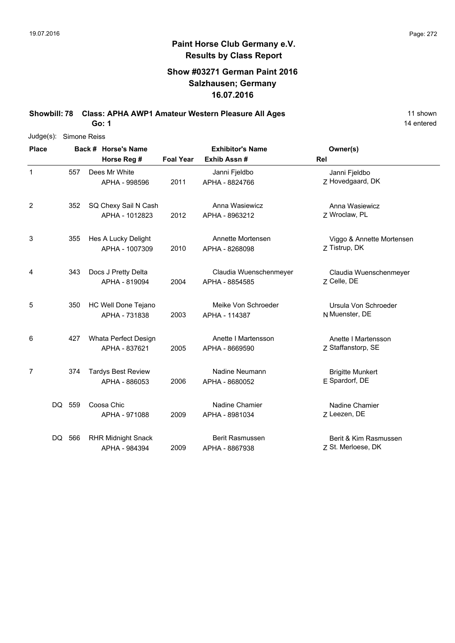### **Show #03271 German Paint 2016 Salzhausen; Germany 16.07.2016**

**Showbill: 78 Class: APHA AWP1 Amateur Western Pleasure All Ages** 11 Shown

**Go: 1**

| Judge(s):      | Simone Reiss |  |                                            |                  |                                          |                                             |  |  |
|----------------|--------------|--|--------------------------------------------|------------------|------------------------------------------|---------------------------------------------|--|--|
| <b>Place</b>   |              |  | Back # Horse's Name                        |                  | <b>Exhibitor's Name</b>                  | Owner(s)                                    |  |  |
|                |              |  | Horse Reg #                                | <b>Foal Year</b> | Exhib Assn #                             | Rel                                         |  |  |
| 1              | 557          |  | Dees Mr White<br>APHA - 998596             | 2011             | Janni Fjeldbo<br>APHA - 8824766          | Janni Fjeldbo<br>Z Hovedgaard, DK           |  |  |
| 2              | 352          |  | SQ Chexy Sail N Cash<br>APHA - 1012823     | 2012             | Anna Wasiewicz<br>APHA - 8963212         | Anna Wasiewicz<br>Z Wroclaw, PL             |  |  |
| 3              | 355          |  | Hes A Lucky Delight<br>APHA - 1007309      | 2010             | Annette Mortensen<br>APHA - 8268098      | Viggo & Annette Mortensen<br>Z Tistrup, DK  |  |  |
| 4              | 343          |  | Docs J Pretty Delta<br>APHA - 819094       | 2004             | Claudia Wuenschenmeyer<br>APHA - 8854585 | Claudia Wuenschenmeyer<br>Z Celle, DE       |  |  |
| 5              | 350          |  | HC Well Done Tejano<br>APHA - 731838       | 2003             | Meike Von Schroeder<br>APHA - 114387     | Ursula Von Schroeder<br>N Muenster, DE      |  |  |
| 6              | 427          |  | Whata Perfect Design<br>APHA - 837621      | 2005             | Anette I Martensson<br>APHA - 8669590    | Anette I Martensson<br>Z Staffanstorp, SE   |  |  |
| $\overline{7}$ | 374          |  | <b>Tardys Best Review</b><br>APHA - 886053 | 2006             | Nadine Neumann<br>APHA - 8680052         | <b>Brigitte Munkert</b><br>E Spardorf, DE   |  |  |
|                | DQ 559       |  | Coosa Chic<br>APHA - 971088                | 2009             | Nadine Chamier<br>APHA - 8981034         | Nadine Chamier<br>Z Leezen, DE              |  |  |
|                | DQ 566       |  | <b>RHR Midnight Snack</b><br>APHA - 984394 | 2009             | Berit Rasmussen<br>APHA - 8867938        | Berit & Kim Rasmussen<br>Z St. Merloese, DK |  |  |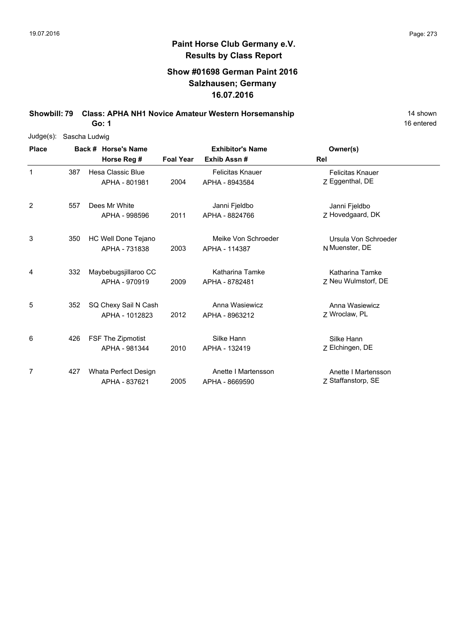### **Show #01698 German Paint 2016 Salzhausen; Germany 16.07.2016**

**Showbill: 79 Class: APHA NH1 Novice Amateur Western Horsemanship** 14 Shown

**Go: 1**

| $Judge(s)$ : | Sascha Ludwig |  |                          |                  |                         |                         |  |  |  |  |  |
|--------------|---------------|--|--------------------------|------------------|-------------------------|-------------------------|--|--|--|--|--|
| <b>Place</b> |               |  | Back # Horse's Name      |                  | <b>Exhibitor's Name</b> | Owner(s)                |  |  |  |  |  |
|              |               |  | Horse Reg #              | <b>Foal Year</b> | Exhib Assn#             | Rel                     |  |  |  |  |  |
| $\mathbf{1}$ | 387           |  | Hesa Classic Blue        |                  | <b>Felicitas Knauer</b> | <b>Felicitas Knauer</b> |  |  |  |  |  |
|              |               |  | APHA - 801981            | 2004             | APHA - 8943584          | Z Eggenthal, DE         |  |  |  |  |  |
| 2            | 557           |  | Dees Mr White            |                  | Janni Fjeldbo           | Janni Fjeldbo           |  |  |  |  |  |
|              |               |  | APHA - 998596            | 2011             | APHA - 8824766          | Z Hovedgaard, DK        |  |  |  |  |  |
| 3            | 350           |  | HC Well Done Tejano      |                  | Meike Von Schroeder     | Ursula Von Schroeder    |  |  |  |  |  |
|              |               |  | APHA - 731838            | 2003             | APHA - 114387           | N Muenster, DE          |  |  |  |  |  |
| 4            | 332           |  | Maybebugsjillaroo CC     |                  | Katharina Tamke         | Katharina Tamke         |  |  |  |  |  |
|              |               |  | APHA - 970919            | 2009             | APHA - 8782481          | 7 Neu Wulmstorf, DE     |  |  |  |  |  |
| 5            | 352           |  | SQ Chexy Sail N Cash     |                  | Anna Wasiewicz          | Anna Wasiewicz          |  |  |  |  |  |
|              |               |  | APHA - 1012823           | 2012             | APHA - 8963212          | Z Wroclaw, PL           |  |  |  |  |  |
| 6            | 426           |  | <b>FSF The Zipmotist</b> |                  | Silke Hann              | Silke Hann              |  |  |  |  |  |
|              |               |  | APHA - 981344            | 2010             | APHA - 132419           | Z Elchingen, DE         |  |  |  |  |  |
| 7            | 427           |  | Whata Perfect Design     |                  | Anette I Martensson     | Anette I Martensson     |  |  |  |  |  |
|              |               |  | APHA - 837621            | 2005             | APHA - 8669590          | Z Staffanstorp, SE      |  |  |  |  |  |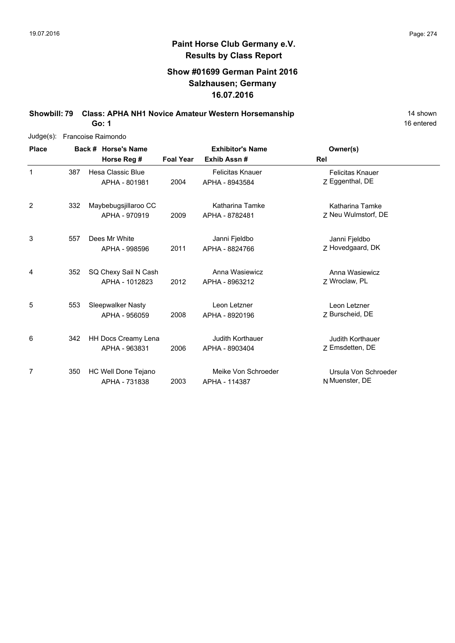### **Show #01699 German Paint 2016 Salzhausen; Germany 16.07.2016**

**Showbill: 79 Class: APHA NH1 Novice Amateur Western Horsemanship** 14 Shown 14 shown

**Go: 1**

| Judge(s):      | Francoise Raimondo |                                        |                  |                                           |                                            |  |  |  |
|----------------|--------------------|----------------------------------------|------------------|-------------------------------------------|--------------------------------------------|--|--|--|
| <b>Place</b>   |                    | Back # Horse's Name                    |                  | <b>Exhibitor's Name</b>                   | Owner(s)                                   |  |  |  |
|                |                    | Horse Reg #                            | <b>Foal Year</b> | Exhib Assn#                               | Rel                                        |  |  |  |
| 1              | 387                | Hesa Classic Blue<br>APHA - 801981     | 2004             | <b>Felicitas Knauer</b><br>APHA - 8943584 | <b>Felicitas Knauer</b><br>Z Eggenthal, DE |  |  |  |
| $\overline{2}$ | 332                | Maybebugsjillaroo CC<br>APHA - 970919  | 2009             | Katharina Tamke<br>APHA - 8782481         | Katharina Tamke<br>Z Neu Wulmstorf, DE     |  |  |  |
| 3              | 557                | Dees Mr White<br>APHA - 998596         | 2011             | Janni Fjeldbo<br>APHA - 8824766           | Janni Fjeldbo<br>Z Hovedgaard, DK          |  |  |  |
| 4              | 352                | SQ Chexy Sail N Cash<br>APHA - 1012823 | 2012             | Anna Wasiewicz<br>APHA - 8963212          | Anna Wasiewicz<br>Z Wroclaw, PL            |  |  |  |
| 5              | 553                | Sleepwalker Nasty<br>APHA - 956059     | 2008             | Leon Letzner<br>APHA - 8920196            | Leon Letzner<br>Z Burscheid, DE            |  |  |  |
| 6              | 342                | HH Docs Creamy Lena<br>APHA - 963831   | 2006             | <b>Judith Korthauer</b><br>APHA - 8903404 | <b>Judith Korthauer</b><br>Z Emsdetten, DE |  |  |  |
| 7              | 350                | HC Well Done Tejano<br>APHA - 731838   | 2003             | Meike Von Schroeder<br>APHA - 114387      | Ursula Von Schroeder<br>N Muenster, DE     |  |  |  |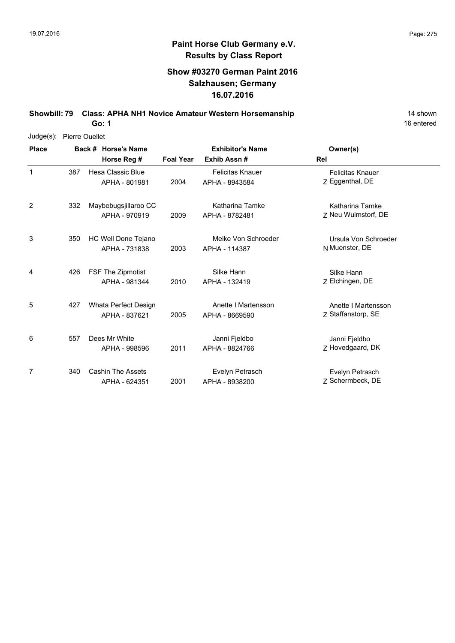### **Show #03270 German Paint 2016 Salzhausen; Germany 16.07.2016**

**Showbill: 79 Class: APHA NH1 Novice Amateur Western Horsemanship** 14 Shown

**Go: 1**

| $Judge(s)$ : | Pierre Ouellet |                          |                  |                         |                         |  |  |  |  |  |  |
|--------------|----------------|--------------------------|------------------|-------------------------|-------------------------|--|--|--|--|--|--|
| <b>Place</b> |                | Back # Horse's Name      |                  | <b>Exhibitor's Name</b> | Owner(s)                |  |  |  |  |  |  |
|              |                | Horse Reg #              | <b>Foal Year</b> | Exhib Assn#             | Rel                     |  |  |  |  |  |  |
| 1            | 387            | Hesa Classic Blue        |                  | <b>Felicitas Knauer</b> | <b>Felicitas Knauer</b> |  |  |  |  |  |  |
|              |                | APHA - 801981            | 2004             | APHA - 8943584          | Z Eggenthal, DE         |  |  |  |  |  |  |
| 2            | 332            | Maybebugsjillaroo CC     |                  | <b>Katharina Tamke</b>  | Katharina Tamke         |  |  |  |  |  |  |
|              |                | APHA - 970919            | 2009             | APHA - 8782481          | Z Neu Wulmstorf, DE     |  |  |  |  |  |  |
| 3            | 350            | HC Well Done Tejano      |                  | Meike Von Schroeder     | Ursula Von Schroeder    |  |  |  |  |  |  |
|              |                | APHA - 731838            | 2003             | APHA - 114387           | N Muenster, DE          |  |  |  |  |  |  |
| 4            | 426            | FSF The Zipmotist        |                  | Silke Hann              | Silke Hann              |  |  |  |  |  |  |
|              |                | APHA - 981344            | 2010             | APHA - 132419           | Z Elchingen, DE         |  |  |  |  |  |  |
| 5            | 427            | Whata Perfect Design     |                  | Anette I Martensson     | Anette I Martensson     |  |  |  |  |  |  |
|              |                | APHA - 837621            | 2005             | APHA - 8669590          | Z Staffanstorp, SE      |  |  |  |  |  |  |
| 6            | 557            | Dees Mr White            |                  | Janni Fjeldbo           | Janni Fjeldbo           |  |  |  |  |  |  |
|              |                | APHA - 998596            | 2011             | APHA - 8824766          | Z Hovedgaard, DK        |  |  |  |  |  |  |
| 7            | 340            | <b>Cashin The Assets</b> |                  | Evelyn Petrasch         | Evelyn Petrasch         |  |  |  |  |  |  |
|              |                | APHA - 624351            | 2001             | APHA - 8938200          | 7 Schermbeck, DE        |  |  |  |  |  |  |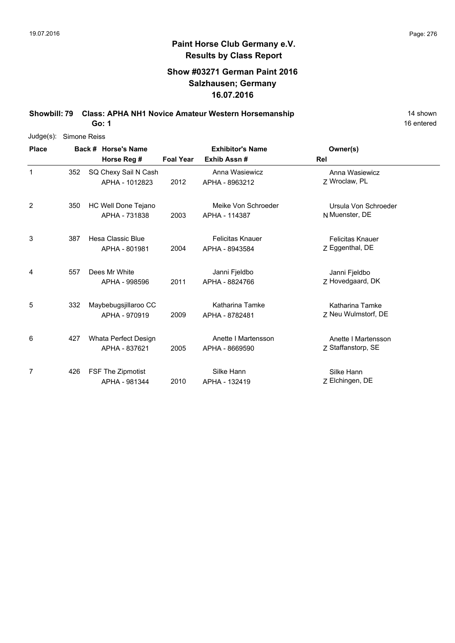### **Show #03271 German Paint 2016 Salzhausen; Germany 16.07.2016**

**Showbill: 79 Class: APHA NH1 Novice Amateur Western Horsemanship** 14 Shown

**Go: 1**

| Judge(s):    | Simone Reiss |  |                      |                  |                         |                         |  |  |  |  |  |
|--------------|--------------|--|----------------------|------------------|-------------------------|-------------------------|--|--|--|--|--|
| <b>Place</b> |              |  | Back # Horse's Name  |                  | <b>Exhibitor's Name</b> | Owner(s)                |  |  |  |  |  |
|              |              |  | Horse Reg #          | <b>Foal Year</b> | Exhib Assn#             | Rel                     |  |  |  |  |  |
| $\mathbf{1}$ | 352          |  | SQ Chexy Sail N Cash |                  | Anna Wasiewicz          | Anna Wasiewicz          |  |  |  |  |  |
|              |              |  | APHA - 1012823       | 2012             | APHA - 8963212          | 7 Wroclaw, PL           |  |  |  |  |  |
| 2            | 350          |  | HC Well Done Tejano  |                  | Meike Von Schroeder     | Ursula Von Schroeder    |  |  |  |  |  |
|              |              |  | APHA - 731838        | 2003             | APHA - 114387           | N Muenster, DE          |  |  |  |  |  |
| 3            | 387          |  | Hesa Classic Blue    |                  | <b>Felicitas Knauer</b> | <b>Felicitas Knauer</b> |  |  |  |  |  |
|              |              |  | APHA - 801981        | 2004             | APHA - 8943584          | Z Eggenthal, DE         |  |  |  |  |  |
| 4            | 557          |  | Dees Mr White        |                  | Janni Fjeldbo           | Janni Fjeldbo           |  |  |  |  |  |
|              |              |  | APHA - 998596        | 2011             | APHA - 8824766          | Z Hovedgaard, DK        |  |  |  |  |  |
| 5            | 332          |  | Maybebugsjillaroo CC |                  | Katharina Tamke         | Katharina Tamke         |  |  |  |  |  |
|              |              |  | APHA - 970919        | 2009             | APHA - 8782481          | Z Neu Wulmstorf, DE     |  |  |  |  |  |
| 6            | 427          |  | Whata Perfect Design |                  | Anette I Martensson     | Anette I Martensson     |  |  |  |  |  |
|              |              |  | APHA - 837621        | 2005             | APHA - 8669590          | Z Staffanstorp, SE      |  |  |  |  |  |
| 7            | 426          |  | FSF The Zipmotist    |                  | Silke Hann              | Silke Hann              |  |  |  |  |  |
|              |              |  | APHA - 981344        | 2010             | APHA - 132419           | Z Elchingen, DE         |  |  |  |  |  |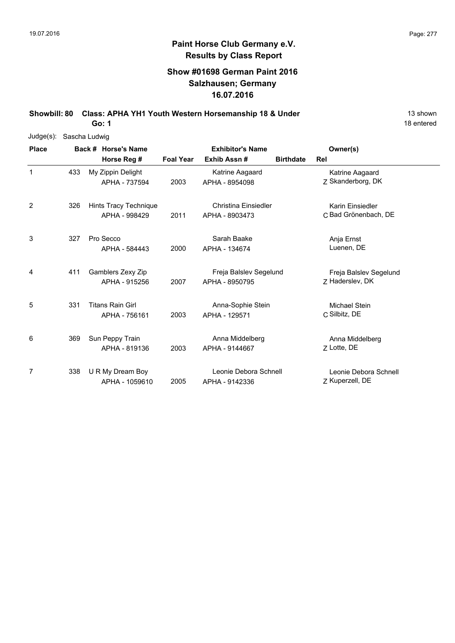### **Show #01698 German Paint 2016 Salzhausen; Germany 16.07.2016**

**Showbill: 80 Class: APHA YH1 Youth Western Horsemanship 18 & Under** 13 Shown

18 entered

| $Judge(s)$ : | Sascha Ludwig |  |                         |                  |                         |                  |                        |  |  |  |  |
|--------------|---------------|--|-------------------------|------------------|-------------------------|------------------|------------------------|--|--|--|--|
| <b>Place</b> |               |  | Back # Horse's Name     |                  | <b>Exhibitor's Name</b> |                  | Owner(s)               |  |  |  |  |
|              |               |  | Horse Reg #             | <b>Foal Year</b> | Exhib Assn#             | <b>Birthdate</b> | Rel                    |  |  |  |  |
| $\mathbf{1}$ | 433           |  | My Zippin Delight       |                  | Katrine Aagaard         |                  | Katrine Aagaard        |  |  |  |  |
|              |               |  | APHA - 737594           | 2003             | APHA - 8954098          |                  | Z Skanderborg, DK      |  |  |  |  |
| 2            | 326           |  | Hints Tracy Technique   |                  | Christina Einsiedler    |                  | Karin Einsiedler       |  |  |  |  |
|              |               |  | APHA - 998429           | 2011             | APHA - 8903473          |                  | C Bad Grönenbach, DE   |  |  |  |  |
| 3            | 327           |  | Pro Secco               |                  | Sarah Baake             |                  | Anja Ernst             |  |  |  |  |
|              |               |  | APHA - 584443           | 2000             | APHA - 134674           |                  | Luenen, DE             |  |  |  |  |
| 4            | 411           |  | Gamblers Zexy Zip       |                  | Freja Balslev Segelund  |                  | Freja Balslev Segelund |  |  |  |  |
|              |               |  | APHA - 915256           | 2007             | APHA - 8950795          |                  | 7 Haderslev, DK        |  |  |  |  |
| 5            | 331           |  | <b>Titans Rain Girl</b> |                  | Anna-Sophie Stein       |                  | <b>Michael Stein</b>   |  |  |  |  |
|              |               |  | APHA - 756161           | 2003             | APHA - 129571           |                  | C Silbitz, DE          |  |  |  |  |
| 6            | 369           |  | Sun Peppy Train         |                  | Anna Middelberg         |                  | Anna Middelberg        |  |  |  |  |
|              |               |  | APHA - 819136           | 2003             | APHA - 9144667          |                  | Z Lotte, DE            |  |  |  |  |
| 7            | 338           |  | U R My Dream Boy        |                  | Leonie Debora Schnell   |                  | Leonie Debora Schnell  |  |  |  |  |
|              |               |  | APHA - 1059610          | 2005             | APHA - 9142336          |                  | Z Kuperzell, DE        |  |  |  |  |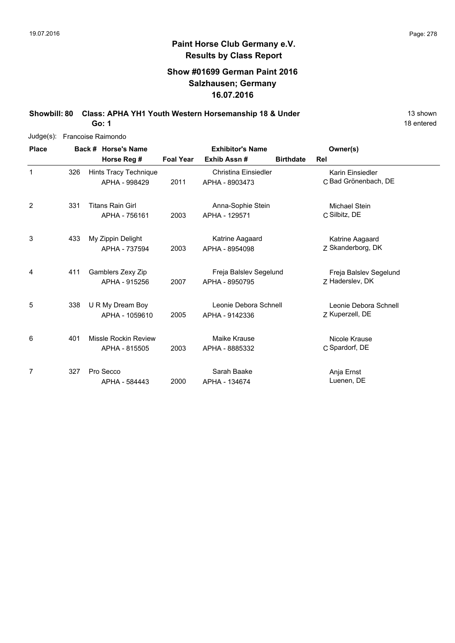### **Show #01699 German Paint 2016 Salzhausen; Germany 16.07.2016**

**Showbill: 80 Class: APHA YH1 Youth Western Horsemanship 18 & Under** 13 Shown

18 entered

| Judge(s):    | Francoise Raimondo |  |                                          |                  |                                          |                  |                                           |  |  |  |  |
|--------------|--------------------|--|------------------------------------------|------------------|------------------------------------------|------------------|-------------------------------------------|--|--|--|--|
| <b>Place</b> |                    |  | Back # Horse's Name                      |                  | <b>Exhibitor's Name</b>                  |                  | Owner(s)                                  |  |  |  |  |
|              |                    |  | Horse Reg #                              | <b>Foal Year</b> | Exhib Assn#                              | <b>Birthdate</b> | Rel                                       |  |  |  |  |
| 1            | 326                |  | Hints Tracy Technique<br>APHA - 998429   | 2011             | Christina Einsiedler<br>APHA - 8903473   |                  | Karin Einsiedler<br>C Bad Grönenbach, DE  |  |  |  |  |
| 2            | 331                |  | <b>Titans Rain Girl</b><br>APHA - 756161 | 2003             | Anna-Sophie Stein<br>APHA - 129571       |                  | Michael Stein<br>C Silbitz, DE            |  |  |  |  |
| 3            | 433                |  | My Zippin Delight<br>APHA - 737594       | 2003             | Katrine Aagaard<br>APHA - 8954098        |                  | Katrine Aagaard<br>Z Skanderborg, DK      |  |  |  |  |
| 4            | 411                |  | Gamblers Zexy Zip<br>APHA - 915256       | 2007             | Freja Balslev Segelund<br>APHA - 8950795 |                  | Freja Balslev Segelund<br>Z Haderslev, DK |  |  |  |  |
| 5            | 338                |  | U R My Dream Boy<br>APHA - 1059610       | 2005             | Leonie Debora Schnell<br>APHA - 9142336  |                  | Leonie Debora Schnell<br>Z Kuperzell, DE  |  |  |  |  |
| 6            | 401                |  | Missle Rockin Review<br>APHA - 815505    | 2003             | Maike Krause<br>APHA - 8885332           |                  | Nicole Krause<br>C Spardorf, DE           |  |  |  |  |
| 7            | 327                |  | Pro Secco<br>APHA - 584443               | 2000             | Sarah Baake<br>APHA - 134674             |                  | Anja Ernst<br>Luenen, DE                  |  |  |  |  |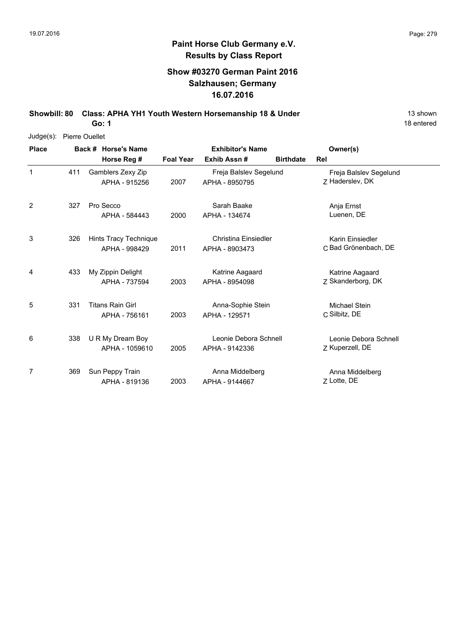### **Show #03270 German Paint 2016 Salzhausen; Germany 16.07.2016**

**Showbill: 80 Class: APHA YH1 Youth Western Horsemanship 18 & Under** 13 Shown

18 entered

| Judge(s):    | <b>Pierre Ouellet</b> |                                    |                                          |                         |                                               |                  |                                           |  |  |  |  |
|--------------|-----------------------|------------------------------------|------------------------------------------|-------------------------|-----------------------------------------------|------------------|-------------------------------------------|--|--|--|--|
| <b>Place</b> |                       |                                    | Back # Horse's Name                      | <b>Exhibitor's Name</b> |                                               |                  | Owner(s)                                  |  |  |  |  |
|              |                       |                                    | Horse Reg #                              | <b>Foal Year</b>        | Exhib Assn#                                   | <b>Birthdate</b> | <b>Rel</b>                                |  |  |  |  |
| 1            | 411                   | Gamblers Zexy Zip<br>APHA - 915256 |                                          | 2007                    | Freja Balslev Segelund<br>APHA - 8950795      |                  | Freja Balslev Segelund<br>Z Haderslev, DK |  |  |  |  |
| 2            | 327                   |                                    | Pro Secco<br>APHA - 584443               | 2000                    | Sarah Baake<br>APHA - 134674                  |                  | Anja Ernst<br>Luenen, DE                  |  |  |  |  |
| 3            | 326                   |                                    | Hints Tracy Technique<br>APHA - 998429   | 2011                    | <b>Christina Einsiedler</b><br>APHA - 8903473 |                  | Karin Einsiedler<br>C Bad Grönenbach, DE  |  |  |  |  |
| 4            | 433                   |                                    | My Zippin Delight<br>APHA - 737594       | 2003                    | Katrine Aagaard<br>APHA - 8954098             |                  | Katrine Aagaard<br>Z Skanderborg, DK      |  |  |  |  |
| 5            | 331                   |                                    | <b>Titans Rain Girl</b><br>APHA - 756161 | 2003                    | Anna-Sophie Stein<br>APHA - 129571            |                  | Michael Stein<br>C Silbitz, DE            |  |  |  |  |
| 6            | 338                   |                                    | U R My Dream Boy<br>APHA - 1059610       | 2005                    | Leonie Debora Schnell<br>APHA - 9142336       |                  | Leonie Debora Schnell<br>Z Kuperzell, DE  |  |  |  |  |
| 7            | 369                   |                                    | Sun Peppy Train<br>APHA - 819136         | 2003                    | Anna Middelberg<br>APHA - 9144667             |                  | Anna Middelberg<br>Z Lotte, DE            |  |  |  |  |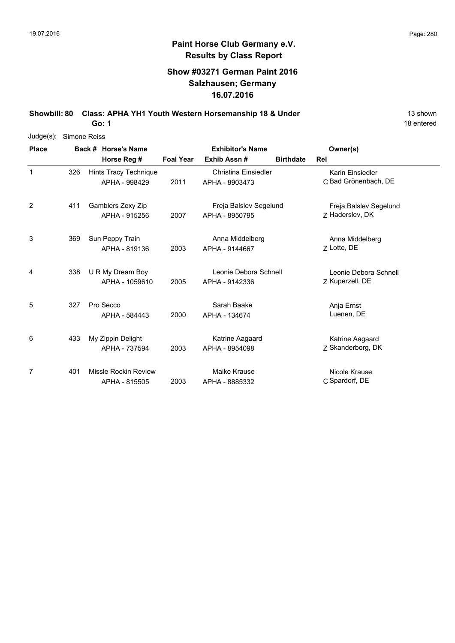### **Show #03271 German Paint 2016 Salzhausen; Germany 16.07.2016**

**Showbill: 80 Class: APHA YH1 Youth Western Horsemanship 18 & Under** 13 Shown

18 entered

| Judge(s):    | Simone Reiss |  |                       |                  |                         |                  |                        |  |  |  |  |
|--------------|--------------|--|-----------------------|------------------|-------------------------|------------------|------------------------|--|--|--|--|
| <b>Place</b> |              |  | Back # Horse's Name   |                  | <b>Exhibitor's Name</b> |                  | Owner(s)               |  |  |  |  |
|              |              |  | Horse Reg #           | <b>Foal Year</b> | Exhib Assn#             | <b>Birthdate</b> | Rel                    |  |  |  |  |
| $\mathbf{1}$ | 326          |  | Hints Tracy Technique |                  | Christina Einsiedler    |                  | Karin Einsiedler       |  |  |  |  |
|              |              |  | APHA - 998429         | 2011             | APHA - 8903473          |                  | C Bad Grönenbach, DE   |  |  |  |  |
| 2            | 411          |  | Gamblers Zexy Zip     |                  | Freja Balslev Segelund  |                  | Freja Balslev Segelund |  |  |  |  |
|              |              |  | APHA - 915256         | 2007             | APHA - 8950795          |                  | Z Haderslev, DK        |  |  |  |  |
| 3            | 369          |  | Sun Peppy Train       |                  | Anna Middelberg         |                  | Anna Middelberg        |  |  |  |  |
|              |              |  | APHA - 819136         | 2003             | APHA - 9144667          |                  | Z Lotte, DE            |  |  |  |  |
| 4            | 338          |  | U R My Dream Boy      |                  | Leonie Debora Schnell   |                  | Leonie Debora Schnell  |  |  |  |  |
|              |              |  | APHA - 1059610        | 2005             | APHA - 9142336          |                  | Z Kuperzell, DE        |  |  |  |  |
| 5            | 327          |  | Pro Secco             |                  | Sarah Baake             |                  | Anja Ernst             |  |  |  |  |
|              |              |  | APHA - 584443         | 2000             | APHA - 134674           |                  | Luenen, DE             |  |  |  |  |
| 6            | 433          |  | My Zippin Delight     |                  | Katrine Aagaard         |                  | Katrine Aagaard        |  |  |  |  |
|              |              |  | APHA - 737594         | 2003             | APHA - 8954098          |                  | Z Skanderborg, DK      |  |  |  |  |
| 7            | 401          |  | Missle Rockin Review  |                  | Maike Krause            |                  | Nicole Krause          |  |  |  |  |
|              |              |  | APHA - 815505         | 2003             | APHA - 8885332          |                  | C Spardorf, DE         |  |  |  |  |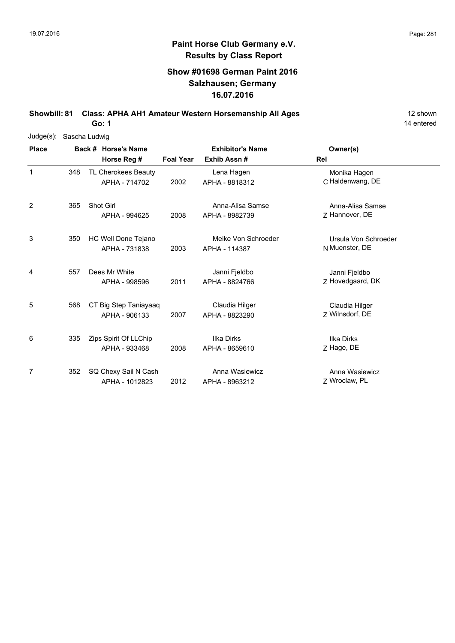### **Show #01698 German Paint 2016 Salzhausen; Germany 16.07.2016**

**Showbill: 81 Class: APHA AH1 Amateur Western Horsemanship All Ages** 12 shown

14 entered

| $Judge(s)$ : | Sascha Ludwig |                       |                  |                         |                      |  |  |  |  |  |
|--------------|---------------|-----------------------|------------------|-------------------------|----------------------|--|--|--|--|--|
| <b>Place</b> |               | Back # Horse's Name   |                  | <b>Exhibitor's Name</b> | Owner(s)             |  |  |  |  |  |
|              |               | Horse Reg #           | <b>Foal Year</b> | Exhib Assn#             | Rel                  |  |  |  |  |  |
| 1            | 348           | TL Cherokees Beauty   |                  | Lena Hagen              | Monika Hagen         |  |  |  |  |  |
|              |               | APHA - 714702         | 2002             | APHA - 8818312          | C Haldenwang, DE     |  |  |  |  |  |
| 2            | 365           | Shot Girl             |                  | Anna-Alisa Samse        | Anna-Alisa Samse     |  |  |  |  |  |
|              |               | APHA - 994625         | 2008             | APHA - 8982739          | 7 Hannover, DE       |  |  |  |  |  |
| 3            | 350           | HC Well Done Tejano   |                  | Meike Von Schroeder     | Ursula Von Schroeder |  |  |  |  |  |
|              |               | APHA - 731838         | 2003             | APHA - 114387           | N Muenster, DE       |  |  |  |  |  |
| 4            | 557           | Dees Mr White         |                  | Janni Fjeldbo           | Janni Fjeldbo        |  |  |  |  |  |
|              |               | APHA - 998596         | 2011             | APHA - 8824766          | Z Hovedgaard, DK     |  |  |  |  |  |
| 5            | 568           | CT Big Step Taniayaaq |                  | Claudia Hilger          | Claudia Hilger       |  |  |  |  |  |
|              |               | APHA - 906133         | 2007             | APHA - 8823290          | 7 Wilnsdorf, DE      |  |  |  |  |  |
| 6            | 335           | Zips Spirit Of LLChip |                  | <b>Ilka Dirks</b>       | <b>Ilka Dirks</b>    |  |  |  |  |  |
|              |               | APHA - 933468         | 2008             | APHA - 8659610          | Z Hage, DE           |  |  |  |  |  |
| 7            | 352           | SQ Chexy Sail N Cash  |                  | Anna Wasiewicz          | Anna Wasiewicz       |  |  |  |  |  |
|              |               | APHA - 1012823        | 2012             | APHA - 8963212          | Z Wroclaw, PL        |  |  |  |  |  |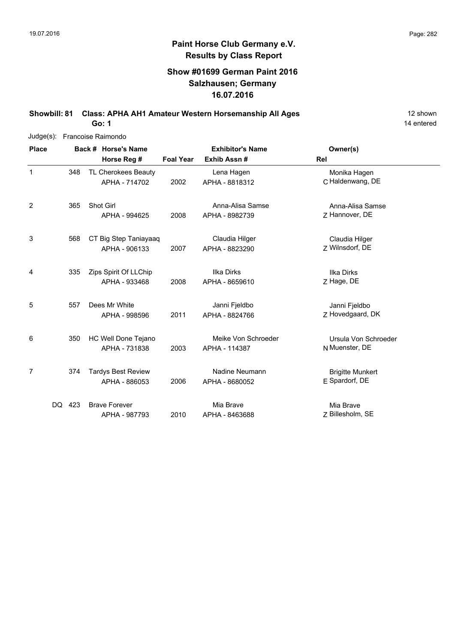### **Show #01699 German Paint 2016 Salzhausen; Germany 16.07.2016**

**Showbill: 81 Class: APHA AH1 Amateur Western Horsemanship All Ages** 12 shown

14 entered

| $Judge(s)$ : |            | Francoise Raimondo |                                            |                         |                                      |                                           |  |  |  |  |  |  |
|--------------|------------|--------------------|--------------------------------------------|-------------------------|--------------------------------------|-------------------------------------------|--|--|--|--|--|--|
| <b>Place</b> |            |                    | Back # Horse's Name                        | <b>Exhibitor's Name</b> |                                      | Owner(s)                                  |  |  |  |  |  |  |
|              |            |                    | Horse Reg #                                | <b>Foal Year</b>        | Exhib Assn#                          | Rel                                       |  |  |  |  |  |  |
| 1            | 348        |                    | TL Cherokees Beauty<br>APHA - 714702       | 2002                    | Lena Hagen<br>APHA - 8818312         | Monika Hagen<br>C Haldenwang, DE          |  |  |  |  |  |  |
| 2            | 365        |                    | Shot Girl<br>APHA - 994625                 | 2008                    | Anna-Alisa Samse<br>APHA - 8982739   | Anna-Alisa Samse<br>Z Hannover, DE        |  |  |  |  |  |  |
| 3            | 568        |                    | CT Big Step Taniayaaq<br>APHA - 906133     | 2007                    | Claudia Hilger<br>APHA - 8823290     | Claudia Hilger<br>Z Wilnsdorf, DE         |  |  |  |  |  |  |
| 4            | 335        |                    | Zips Spirit Of LLChip<br>APHA - 933468     | 2008                    | Ilka Dirks<br>APHA - 8659610         | Ilka Dirks<br>Z Hage, DE                  |  |  |  |  |  |  |
| 5            | 557        |                    | Dees Mr White<br>APHA - 998596             | 2011                    | Janni Fjeldbo<br>APHA - 8824766      | Janni Fjeldbo<br>Z Hovedgaard, DK         |  |  |  |  |  |  |
| 6            | 350        |                    | HC Well Done Tejano<br>APHA - 731838       | 2003                    | Meike Von Schroeder<br>APHA - 114387 | Ursula Von Schroeder<br>N Muenster, DE    |  |  |  |  |  |  |
| 7            | 374        |                    | <b>Tardys Best Review</b><br>APHA - 886053 | 2006                    | Nadine Neumann<br>APHA - 8680052     | <b>Brigitte Munkert</b><br>E Spardorf, DE |  |  |  |  |  |  |
|              | 423<br>DQ. |                    | <b>Brave Forever</b><br>APHA - 987793      | 2010                    | Mia Brave<br>APHA - 8463688          | Mia Brave<br>Z Billesholm, SE             |  |  |  |  |  |  |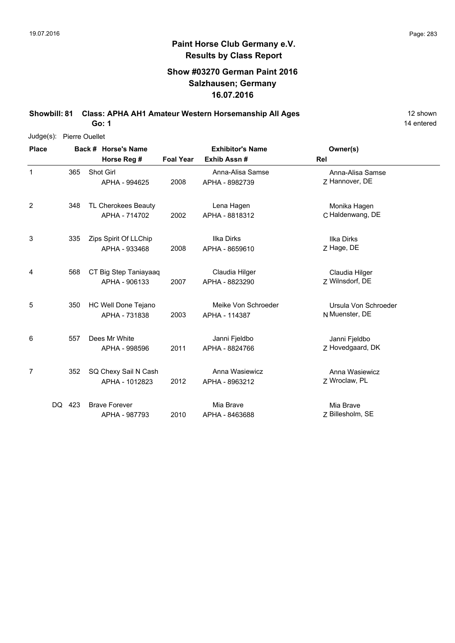### **Show #03270 German Paint 2016 Salzhausen; Germany 16.07.2016**

**Showbill: 81 Class: APHA AH1 Amateur Western Horsemanship All Ages** 12 shown **Go: 1**

14 entered

Judge(s): Pierre Ouellet

| <b>Place</b>   |        |     | Back # Horse's Name                    |                  | <b>Exhibitor's Name</b>              | Owner(s)                               |
|----------------|--------|-----|----------------------------------------|------------------|--------------------------------------|----------------------------------------|
|                |        |     | Horse Reg #                            | <b>Foal Year</b> | Exhib Assn #                         | Rel                                    |
| $\mathbf 1$    | 365    |     | Shot Girl<br>APHA - 994625             | 2008             | Anna-Alisa Samse<br>APHA - 8982739   | Anna-Alisa Samse<br>Z Hannover, DE     |
| $\overline{2}$ |        | 348 | TL Cherokees Beauty<br>APHA - 714702   | 2002             | Lena Hagen<br>APHA - 8818312         | Monika Hagen<br>C Haldenwang, DE       |
| 3              |        | 335 | Zips Spirit Of LLChip<br>APHA - 933468 | 2008             | Ilka Dirks<br>APHA - 8659610         | <b>Ilka Dirks</b><br>Z Hage, DE        |
| 4              |        | 568 | CT Big Step Taniayaaq<br>APHA - 906133 | 2007             | Claudia Hilger<br>APHA - 8823290     | Claudia Hilger<br>7 Wilnsdorf, DE      |
| 5              |        | 350 | HC Well Done Tejano<br>APHA - 731838   | 2003             | Meike Von Schroeder<br>APHA - 114387 | Ursula Von Schroeder<br>N Muenster, DE |
| 6              |        | 557 | Dees Mr White<br>APHA - 998596         | 2011             | Janni Fjeldbo<br>APHA - 8824766      | Janni Fjeldbo<br>Z Hovedgaard, DK      |
| 7              |        | 352 | SQ Chexy Sail N Cash<br>APHA - 1012823 | 2012             | Anna Wasiewicz<br>APHA - 8963212     | Anna Wasiewicz<br>Z Wroclaw, PL        |
|                | DQ 423 |     | <b>Brave Forever</b><br>APHA - 987793  | 2010             | Mia Brave<br>APHA - 8463688          | Mia Brave<br>Z Billesholm, SE          |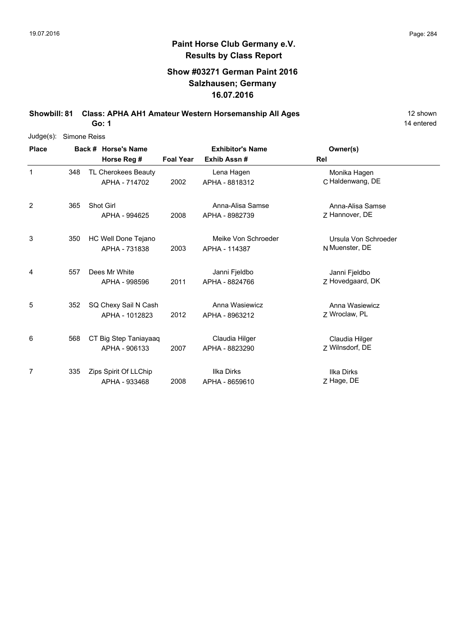### **Show #03271 German Paint 2016 Salzhausen; Germany 16.07.2016**

**Showbill: 81 Class: APHA AH1 Amateur Western Horsemanship All Ages** 12 shown

14 entered

| $Judge(s)$ : | Simone Reiss |                       |                       |      |                         |                      |  |  |  |  |  |
|--------------|--------------|-----------------------|-----------------------|------|-------------------------|----------------------|--|--|--|--|--|
| <b>Place</b> |              | Back # Horse's Name   |                       |      | <b>Exhibitor's Name</b> | Owner(s)             |  |  |  |  |  |
|              |              |                       | Horse Reg #           |      | Exhib Assn#             | <b>Rel</b>           |  |  |  |  |  |
| 1            | 348          |                       | TL Cherokees Beauty   |      | Lena Hagen              | Monika Hagen         |  |  |  |  |  |
|              |              |                       | APHA - 714702         | 2002 | APHA - 8818312          | C Haldenwang, DE     |  |  |  |  |  |
| 2            | 365          | <b>Shot Girl</b>      |                       |      | Anna-Alisa Samse        | Anna-Alisa Samse     |  |  |  |  |  |
|              |              |                       | APHA - 994625         | 2008 | APHA - 8982739          | Z Hannover, DE       |  |  |  |  |  |
| 3            | 350          |                       | HC Well Done Tejano   |      | Meike Von Schroeder     | Ursula Von Schroeder |  |  |  |  |  |
|              |              |                       | APHA - 731838         | 2003 | APHA - 114387           | N Muenster, DE       |  |  |  |  |  |
| 4            | 557          | Dees Mr White         |                       |      | Janni Fjeldbo           | Janni Fjeldbo        |  |  |  |  |  |
|              |              |                       | APHA - 998596         | 2011 | APHA - 8824766          | Z Hovedgaard, DK     |  |  |  |  |  |
| 5            | 352          |                       | SQ Chexy Sail N Cash  |      | Anna Wasiewicz          | Anna Wasiewicz       |  |  |  |  |  |
|              |              |                       | APHA - 1012823        | 2012 | APHA - 8963212          | Z Wroclaw, PL        |  |  |  |  |  |
| 6            | 568          |                       | CT Big Step Taniayaaq |      | Claudia Hilger          | Claudia Hilger       |  |  |  |  |  |
|              |              |                       | APHA - 906133         | 2007 | APHA - 8823290          | Z Wilnsdorf, DE      |  |  |  |  |  |
| 7            | 335          | Zips Spirit Of LLChip |                       |      | Ilka Dirks              | <b>Ilka Dirks</b>    |  |  |  |  |  |
|              |              |                       | APHA - 933468         | 2008 | APHA - 8659610          | Z Hage, DE           |  |  |  |  |  |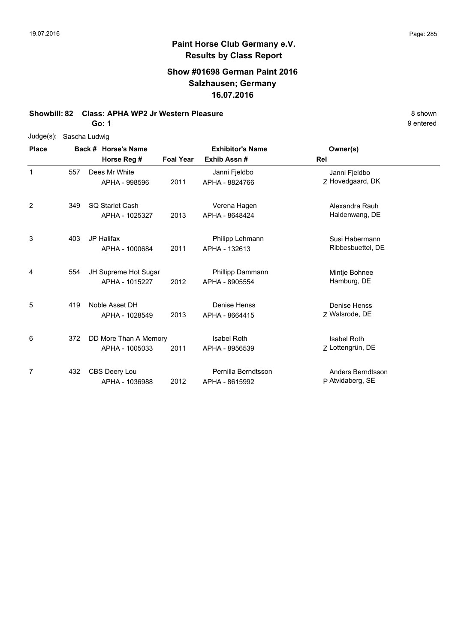### **Show #01698 German Paint 2016 Salzhausen; Germany 16.07.2016**

#### **Showbill: 82 Class: APHA WP2 Jr Western Pleasure** 8 **Shown** 8 shown

**Go: 1**

| $Judge(s)$ : | Sascha Ludwig |  |                                    |                                                            |                     |                    |  |  |  |
|--------------|---------------|--|------------------------------------|------------------------------------------------------------|---------------------|--------------------|--|--|--|
| <b>Place</b> |               |  | Back # Horse's Name<br>Horse Reg # | <b>Exhibitor's Name</b><br><b>Foal Year</b><br>Exhib Assn# |                     | Owner(s)           |  |  |  |
|              |               |  |                                    |                                                            |                     | Rel                |  |  |  |
| 1            | 557           |  | Dees Mr White                      |                                                            | Janni Fjeldbo       | Janni Fjeldbo      |  |  |  |
|              |               |  | APHA - 998596                      | 2011                                                       | APHA - 8824766      | Z Hovedgaard, DK   |  |  |  |
| 2            | 349           |  | SQ Starlet Cash                    |                                                            | Verena Hagen        | Alexandra Rauh     |  |  |  |
|              |               |  | APHA - 1025327                     | 2013                                                       | APHA - 8648424      | Haldenwang, DE     |  |  |  |
| 3            | 403           |  | <b>JP Halifax</b>                  |                                                            | Philipp Lehmann     | Susi Habermann     |  |  |  |
|              |               |  | APHA - 1000684                     | 2011                                                       | APHA - 132613       | Ribbesbuettel, DE  |  |  |  |
| 4            | 554           |  | JH Supreme Hot Sugar               |                                                            | Phillipp Dammann    | Mintje Bohnee      |  |  |  |
|              |               |  | APHA - 1015227                     | 2012                                                       | APHA - 8905554      | Hamburg, DE        |  |  |  |
| 5            | 419           |  | Noble Asset DH                     |                                                            | Denise Henss        | Denise Henss       |  |  |  |
|              |               |  | APHA - 1028549                     | 2013                                                       | APHA - 8664415      | Z Walsrode, DE     |  |  |  |
| 6            | 372           |  | DD More Than A Memory              |                                                            | <b>Isabel Roth</b>  | <b>Isabel Roth</b> |  |  |  |
|              |               |  | APHA - 1005033                     | 2011                                                       | APHA - 8956539      | Z Lottengrün, DE   |  |  |  |
| 7            | 432           |  | CBS Deery Lou                      |                                                            | Pernilla Berndtsson | Anders Berndtsson  |  |  |  |
|              |               |  | APHA - 1036988                     | 2012                                                       | APHA - 8615992      | P Atvidaberg, SE   |  |  |  |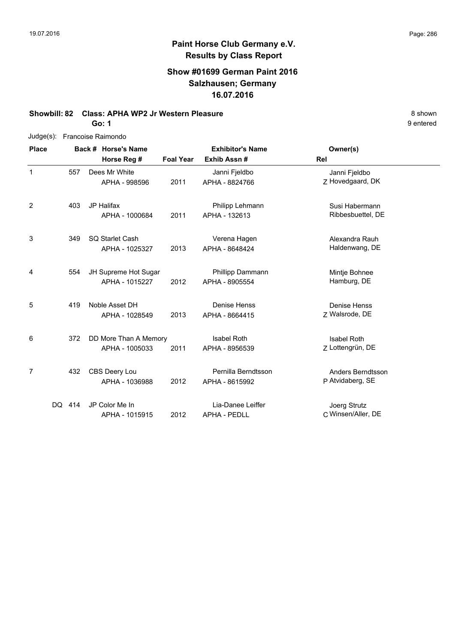### **Show #01699 German Paint 2016 Salzhausen; Germany 16.07.2016**

### **Showbill: 82 Class: APHA WP2 Jr Western Pleasure** 8 **Shown** 8 shown

**Go: 1**

| Judge(s):      |        | Francoise Raimondo |                       |                  |                         |                    |  |  |  |  |
|----------------|--------|--------------------|-----------------------|------------------|-------------------------|--------------------|--|--|--|--|
| <b>Place</b>   |        |                    | Back # Horse's Name   |                  | <b>Exhibitor's Name</b> | Owner(s)           |  |  |  |  |
|                |        |                    | Horse Reg #           | <b>Foal Year</b> | Exhib Assn#             | Rel                |  |  |  |  |
| 1              |        | 557                | Dees Mr White         |                  | Janni Fjeldbo           | Janni Fjeldbo      |  |  |  |  |
|                |        |                    | APHA - 998596         | 2011             | APHA - 8824766          | Z Hovedgaard, DK   |  |  |  |  |
| $\overline{2}$ |        | 403                | <b>JP Halifax</b>     |                  | Philipp Lehmann         | Susi Habermann     |  |  |  |  |
|                |        |                    | APHA - 1000684        | 2011             | APHA - 132613           | Ribbesbuettel, DE  |  |  |  |  |
| 3              |        | 349                | SQ Starlet Cash       |                  | Verena Hagen            | Alexandra Rauh     |  |  |  |  |
|                |        |                    | APHA - 1025327        | 2013             | APHA - 8648424          | Haldenwang, DE     |  |  |  |  |
| 4              |        | 554                | JH Supreme Hot Sugar  |                  | Phillipp Dammann        | Mintje Bohnee      |  |  |  |  |
|                |        |                    | APHA - 1015227        | 2012             | APHA - 8905554          | Hamburg, DE        |  |  |  |  |
| 5              |        | 419                | Noble Asset DH        |                  | Denise Henss            | Denise Henss       |  |  |  |  |
|                |        |                    | APHA - 1028549        | 2013             | APHA - 8664415          | Z Walsrode, DE     |  |  |  |  |
| 6              |        | 372                | DD More Than A Memory |                  | <b>Isabel Roth</b>      | <b>Isabel Roth</b> |  |  |  |  |
|                |        |                    | APHA - 1005033        | 2011             | APHA - 8956539          | Z Lottengrün, DE   |  |  |  |  |
| 7              |        | 432                | CBS Deery Lou         |                  | Pernilla Berndtsson     | Anders Berndtsson  |  |  |  |  |
|                |        |                    | APHA - 1036988        | 2012             | APHA - 8615992          | P Atvidaberg, SE   |  |  |  |  |
|                | DQ 414 |                    | JP Color Me In        |                  | Lia-Danee Leiffer       | Joerg Strutz       |  |  |  |  |
|                |        |                    | APHA - 1015915        | 2012             | <b>APHA - PEDLL</b>     | C Winsen/Aller, DE |  |  |  |  |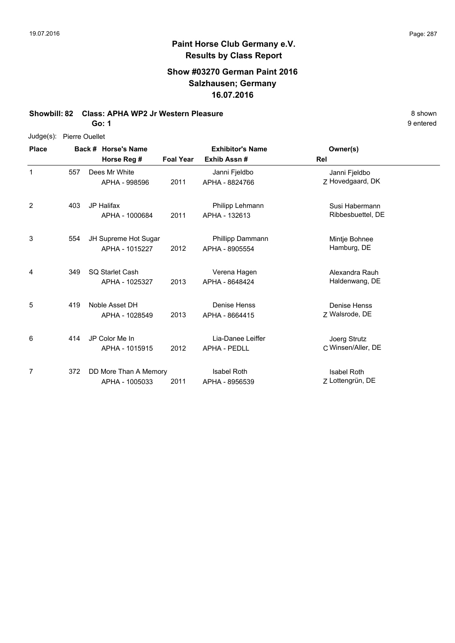#### **Show #03270 German Paint 2016 Salzhausen; Germany 16.07.2016**

#### **Showbill: 82 Class: APHA WP2 Jr Western Pleasure** 8 **Shown** 8 shown

**Go: 1**

#### Judge(s): Pierre Ouellet

**Back # Horse's Name Place Owner(s) Horse Reg # Exhib Assn # Foal Year Rel Exhibitor's Name** 1 Z Hovedgaard, DK Janni Fjeldbo 2011 APHA - 8824766 Z Hovedgaard, DK Dees Mr White APHA - 998596 Janni Fjeldbo 557 2 403 JP Halifax **Abu and American Control Philipp Lehmann** Susi Habermann 2011 Ribbesbuettel, DE APHA - 132613 APHA - 1000684 Philipp Lehmann 3 554 JH Supreme Hot Sugar **18 Phillipp Dammann** 1985 Mintje Bohnee 2012 Hamburg, DE APHA - 8905554 APHA - 1015227 Phillipp Dammann 554 4 Alexandra Rauh (349 SQ Starlet Cash Sand Corea Verena Hagen New Alexandra Rauh 2013 Haldenwang, DE APHA - 8648424 APHA - 1025327 Verena Hagen 5 7 Walsrode, DE Denise Henss 2013 Walsrode, DE APHA - 8664415 419 Noble Asset DH APHA - 1028549 Denise Henss 6 2012 APHA - PEDLL CWinsen/Aller, DE Joerg Strutz 414 JP Color Me In APHA - 1015915 Lia-Danee Leiffer APHA - PEDLL 7 Z Lottengrün, DE Isabel Roth 2011 APHA - 8956539 Z Lottengrün, DE 372 DD More Than A Memory APHA - 1005033 Isabel Roth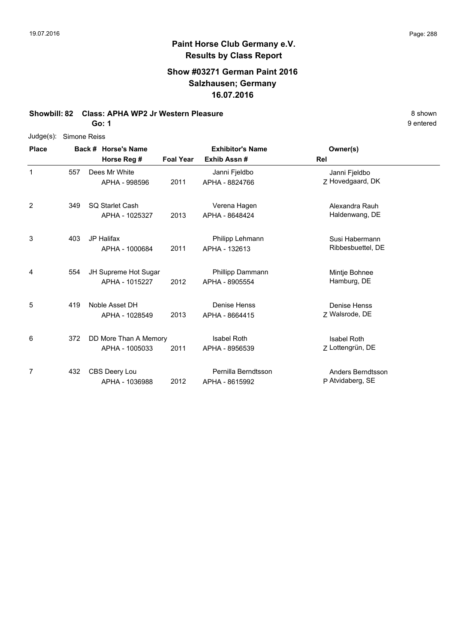### **Show #03271 German Paint 2016 Salzhausen; Germany 16.07.2016**

#### **Showbill: 82 Class: APHA WP2 Jr Western Pleasure** 8 **Shown** 8 shown

**Go: 1**

| Judge(s):    | Simone Reiss |  |                       |                  |                         |                   |  |  |  |
|--------------|--------------|--|-----------------------|------------------|-------------------------|-------------------|--|--|--|
| <b>Place</b> |              |  | Back # Horse's Name   |                  | <b>Exhibitor's Name</b> | Owner(s)          |  |  |  |
|              |              |  | Horse Reg #           | <b>Foal Year</b> | Exhib Assn#             | Rel               |  |  |  |
| $\mathbf{1}$ | 557          |  | Dees Mr White         |                  | Janni Fjeldbo           | Janni Fjeldbo     |  |  |  |
|              |              |  | APHA - 998596         | 2011             | APHA - 8824766          | Z Hovedgaard, DK  |  |  |  |
| 2            | 349          |  | SQ Starlet Cash       |                  | Verena Hagen            | Alexandra Rauh    |  |  |  |
|              |              |  | APHA - 1025327        | 2013             | APHA - 8648424          | Haldenwang, DE    |  |  |  |
| 3            | 403          |  | <b>JP Halifax</b>     |                  | Philipp Lehmann         | Susi Habermann    |  |  |  |
|              |              |  | APHA - 1000684        | 2011             | APHA - 132613           | Ribbesbuettel, DE |  |  |  |
| 4            | 554          |  | JH Supreme Hot Sugar  |                  | Phillipp Dammann        | Mintje Bohnee     |  |  |  |
|              |              |  | APHA - 1015227        | 2012             | APHA - 8905554          | Hamburg, DE       |  |  |  |
| 5            | 419          |  | Noble Asset DH        |                  | Denise Henss            | Denise Henss      |  |  |  |
|              |              |  | APHA - 1028549        | 2013             | APHA - 8664415          | Z Walsrode, DE    |  |  |  |
| 6            | 372          |  | DD More Than A Memory |                  | <b>Isabel Roth</b>      | Isabel Roth       |  |  |  |
|              |              |  | APHA - 1005033        | 2011             | APHA - 8956539          | Z Lottengrün, DE  |  |  |  |
| 7            | 432          |  | CBS Deery Lou         |                  | Pernilla Berndtsson     | Anders Berndtsson |  |  |  |
|              |              |  | APHA - 1036988        | 2012             | APHA - 8615992          | P Atvidaberg, SE  |  |  |  |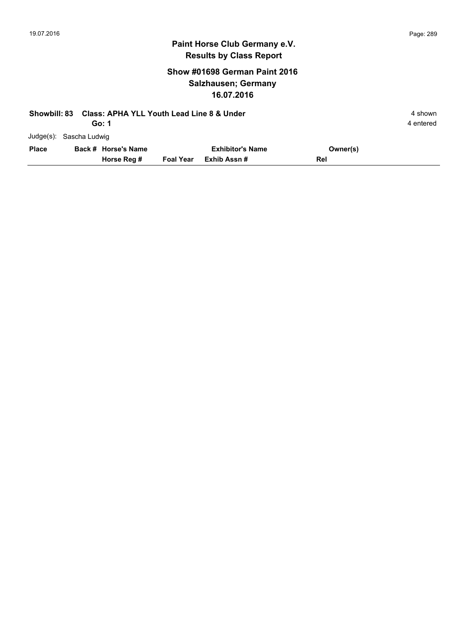## **Show #01698 German Paint 2016 Salzhausen; Germany 16.07.2016**

| <b>Showbill: 83</b> |                         | <b>Class: APHA YLL Youth Lead Line 8 &amp; Under</b> |                  |                         |          |           |  |  |  |
|---------------------|-------------------------|------------------------------------------------------|------------------|-------------------------|----------|-----------|--|--|--|
|                     |                         | Go: 1                                                |                  |                         |          | 4 entered |  |  |  |
|                     | Judge(s): Sascha Ludwig |                                                      |                  |                         |          |           |  |  |  |
| <b>Place</b>        |                         | Back # Horse's Name                                  |                  | <b>Exhibitor's Name</b> | Owner(s) |           |  |  |  |
|                     |                         | Horse Reg #                                          | <b>Foal Year</b> | Exhib Assn #            | Rel      |           |  |  |  |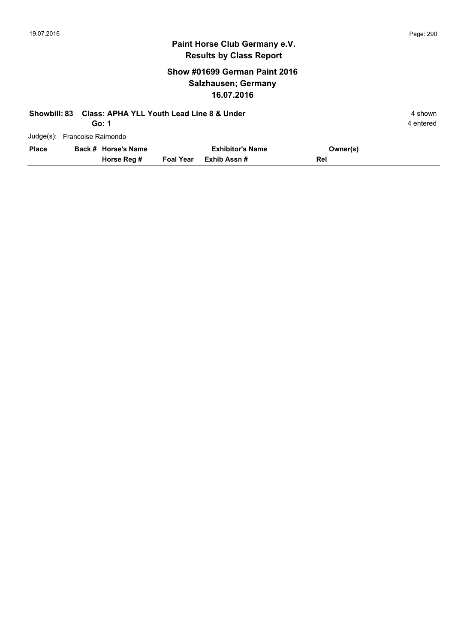### **Show #01699 German Paint 2016 Salzhausen; Germany 16.07.2016**

| <b>Showbill: 83</b> |                              | <b>Class: APHA YLL Youth Lead Line 8 &amp; Under</b> | 4 shown          |                         |          |           |
|---------------------|------------------------------|------------------------------------------------------|------------------|-------------------------|----------|-----------|
|                     |                              | Go: 1                                                |                  |                         |          | 4 entered |
|                     | Judge(s): Francoise Raimondo |                                                      |                  |                         |          |           |
| <b>Place</b>        |                              | Back # Horse's Name                                  |                  | <b>Exhibitor's Name</b> | Owner(s) |           |
|                     |                              | Horse Reg #                                          | <b>Foal Year</b> | Exhib Assn#             | Rel      |           |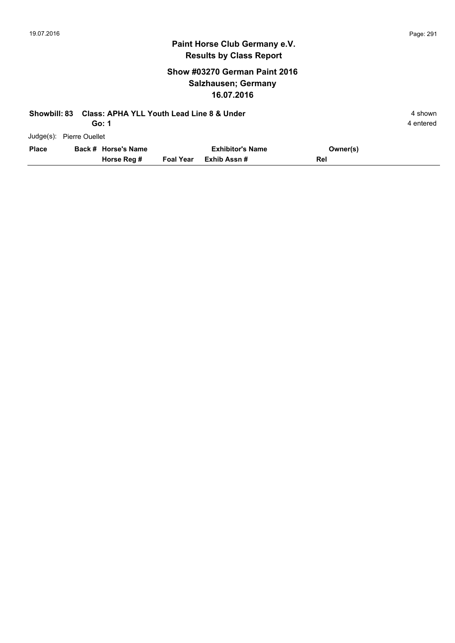## **Show #03270 German Paint 2016 Salzhausen; Germany 16.07.2016**

| <b>Showbill: 83</b> |                          | <b>Class: APHA YLL Youth Lead Line 8 &amp; Under</b> |                  |                         |          | 4 shown   |
|---------------------|--------------------------|------------------------------------------------------|------------------|-------------------------|----------|-----------|
|                     |                          | Go: 1                                                |                  |                         |          | 4 entered |
|                     | Judge(s): Pierre Ouellet |                                                      |                  |                         |          |           |
| <b>Place</b>        |                          | Back # Horse's Name                                  |                  | <b>Exhibitor's Name</b> | Owner(s) |           |
|                     |                          | Horse Reg #                                          | <b>Foal Year</b> | Exhib Assn #            | Rel      |           |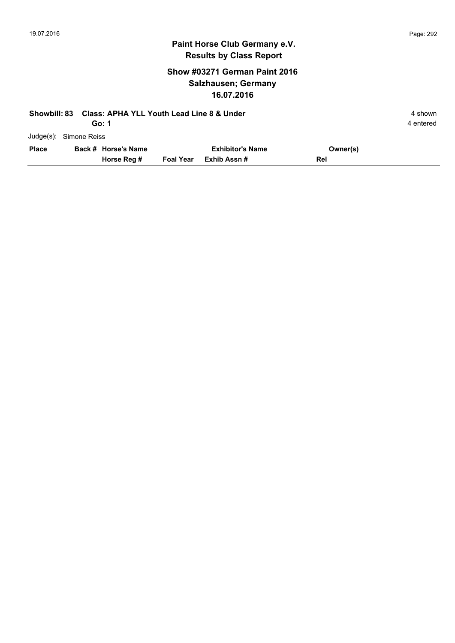## **Show #03271 German Paint 2016 Salzhausen; Germany 16.07.2016**

| Showbill: 83 |                        | <b>Class: APHA YLL Youth Lead Line 8 &amp; Under</b> |                  |                         |          | 4 shown   |
|--------------|------------------------|------------------------------------------------------|------------------|-------------------------|----------|-----------|
|              |                        | Go: 1                                                |                  |                         |          | 4 entered |
|              | Judge(s): Simone Reiss |                                                      |                  |                         |          |           |
| <b>Place</b> |                        | Back # Horse's Name                                  |                  | <b>Exhibitor's Name</b> | Owner(s) |           |
|              |                        | Horse Reg #                                          | <b>Foal Year</b> | Exhib Assn#             | Rel      |           |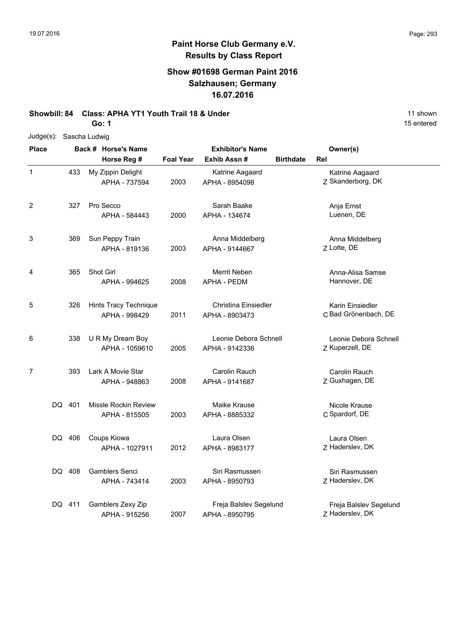### **Show #01698 German Paint 2016 Salzhausen; Germany 16.07.2016**

## **Showbill: 84 Class: APHA YT1 Youth Trail 18 & Under** 11 Shown 11 shown

**Go: 1**

| Judge(s):               | Sascha Ludwig |                                        |                  |                                          |                  |                                           |
|-------------------------|---------------|----------------------------------------|------------------|------------------------------------------|------------------|-------------------------------------------|
| <b>Place</b>            |               | Back # Horse's Name                    |                  | <b>Exhibitor's Name</b>                  |                  | Owner(s)                                  |
|                         |               | Horse Reg #                            | <b>Foal Year</b> | Exhib Assn#                              | <b>Birthdate</b> | Rel                                       |
| $\mathbf 1$             | 433           | My Zippin Delight<br>APHA - 737594     | 2003             | Katrine Aagaard<br>APHA - 8954098        |                  | Katrine Aagaard<br>Z Skanderborg, DK      |
| $\overline{\mathbf{c}}$ | 327           | Pro Secco<br>APHA - 584443             | 2000             | Sarah Baake<br>APHA - 134674             |                  | Anja Ernst<br>Luenen, DE                  |
| 3                       | 369           | Sun Peppy Train<br>APHA - 819136       | 2003             | Anna Middelberg<br>APHA - 9144667        |                  | Anna Middelberg<br>Z Lotte, DE            |
| 4                       | 365           | Shot Girl<br>APHA - 994625             | 2008             | Merrit Neben<br>APHA - PEDM              |                  | Anna-Alisa Samse<br>Hannover, DE          |
| 5                       | 326           | Hints Tracy Technique<br>APHA - 998429 | 2011             | Christina Einsiedler<br>APHA - 8903473   |                  | Karin Einsiedler<br>C Bad Grönenbach, DE  |
| 6                       | 338           | U R My Dream Boy<br>APHA - 1059610     | 2005             | Leonie Debora Schnell<br>APHA - 9142336  |                  | Leonie Debora Schnell<br>Z Kuperzell, DE  |
| 7                       | 393           | Lark A Movie Star<br>APHA - 948863     | 2008             | Carolin Rauch<br>APHA - 9141687          |                  | Carolin Rauch<br>Z Guxhagen, DE           |
|                         | DQ 401        | Missle Rockin Review<br>APHA - 815505  | 2003             | Maike Krause<br>APHA - 8885332           |                  | Nicole Krause<br>C Spardorf, DE           |
|                         | DQ 406        | Coups Kiowa<br>APHA - 1027911          | 2012             | Laura Olsen<br>APHA - 8983177            |                  | Laura Olsen<br>Z Haderslev, DK            |
|                         | DQ 408        | <b>Gamblers Senci</b><br>APHA - 743414 | 2003             | Siri Rasmussen<br>APHA - 8950793         |                  | Siri Rasmussen<br>Z Haderslev, DK         |
|                         | DQ 411        | Gamblers Zexy Zip<br>APHA - 915256     | 2007             | Freja Balslev Segelund<br>APHA - 8950795 |                  | Freja Balslev Segelund<br>Z Haderslev, DK |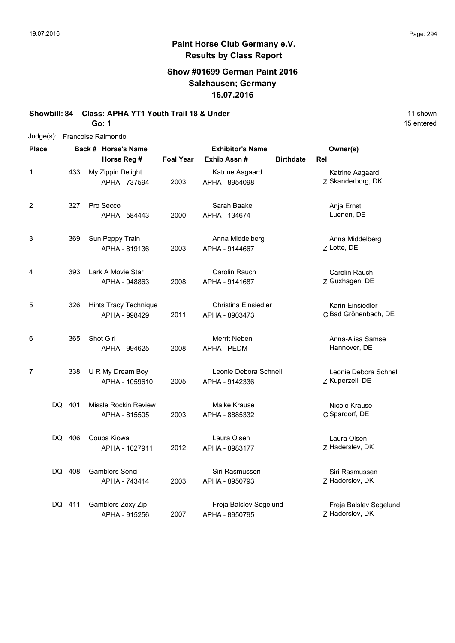1

## **Paint Horse Club Germany e.V. Results by Class Report**

### **Show #01699 German Paint 2016 Salzhausen; Germany 16.07.2016**

**Exhibitor's Name**

Katrine Aagaard APHA - 8954098

Sarah Baake

## **Showbill: 84 Class: APHA YT1 Youth Trail 18 & Under** 11 Shown 11 shown

**Horse Reg #**

APHA - 737594

**Go: 1**

433 My Zippin Delight

Judge(s): Francoise Raimondo

15 entered **Back # Horse's Name Place Owner(s) Exhib Assn # Foal Year Birthdate Rel** 2003 APHA - 8954098 Z Skanderborg, DK Katrine Aagaard 2 327 Pro Secco Sarah Baake Nanja Ernst

|   |        | APHA - 584443                                | 2000 | APHA - 134674                                 | Luenen, DE                                |
|---|--------|----------------------------------------------|------|-----------------------------------------------|-------------------------------------------|
| 3 | 369    | Sun Peppy Train<br>APHA - 819136             | 2003 | Anna Middelberg<br>APHA - 9144667             | Anna Middelberg<br>Z Lotte, DE            |
| 4 | 393    | Lark A Movie Star<br>APHA - 948863           | 2008 | Carolin Rauch<br>APHA - 9141687               | Carolin Rauch<br>Z Guxhagen, DE           |
| 5 | 326    | Hints Tracy Technique<br>APHA - 998429       | 2011 | <b>Christina Einsiedler</b><br>APHA - 8903473 | Karin Einsiedler<br>C Bad Grönenbach, DE  |
| 6 | 365    | Shot Girl<br>APHA - 994625                   | 2008 | Merrit Neben<br><b>APHA - PEDM</b>            | Anna-Alisa Samse<br>Hannover, DE          |
| 7 | 338    | U R My Dream Boy<br>APHA - 1059610           | 2005 | Leonie Debora Schnell<br>APHA - 9142336       | Leonie Debora Schnell<br>Z Kuperzell, DE  |
|   | DQ 401 | <b>Missle Rockin Review</b><br>APHA - 815505 | 2003 | Maike Krause<br>APHA - 8885332                | Nicole Krause<br>C Spardorf, DE           |
|   | DQ 406 | Coups Kiowa<br>APHA - 1027911                | 2012 | Laura Olsen<br>APHA - 8983177                 | Laura Olsen<br>Z Haderslev, DK            |
|   | DQ 408 | <b>Gamblers Senci</b><br>APHA - 743414       | 2003 | Siri Rasmussen<br>APHA - 8950793              | Siri Rasmussen<br>Z Haderslev, DK         |
|   | DQ 411 | Gamblers Zexy Zip<br>APHA - 915256           | 2007 | Freja Balslev Segelund<br>APHA - 8950795      | Freja Balslev Segelund<br>Z Haderslev, DK |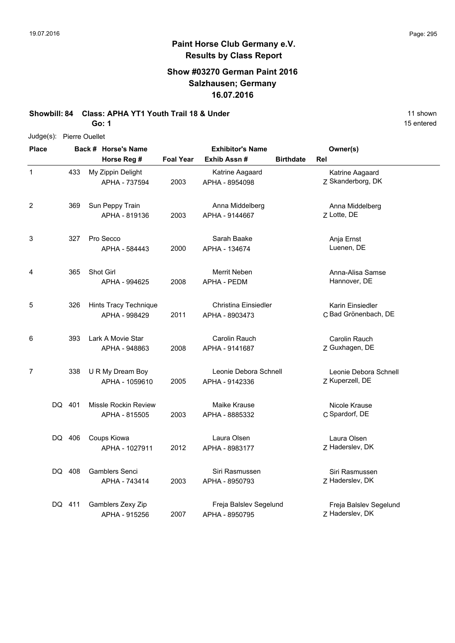### **Show #03270 German Paint 2016 Salzhausen; Germany 16.07.2016**

**Showbill: 84 Class: APHA YT1 Youth Trail 18 & Under** 11 Shown 11 shown

**Go: 1**

| Judge(s):               | Pierre Ouellet |                                        |                  |                                          |                  |                                           |
|-------------------------|----------------|----------------------------------------|------------------|------------------------------------------|------------------|-------------------------------------------|
| <b>Place</b>            |                | Back # Horse's Name                    |                  | <b>Exhibitor's Name</b>                  |                  | Owner(s)                                  |
|                         |                | Horse Reg #                            | <b>Foal Year</b> | Exhib Assn#                              | <b>Birthdate</b> | Rel                                       |
| $\mathbf{1}$            | 433            | My Zippin Delight<br>APHA - 737594     | 2003             | Katrine Aagaard<br>APHA - 8954098        |                  | Katrine Aagaard<br>Z Skanderborg, DK      |
| $\overline{\mathbf{c}}$ | 369            | Sun Peppy Train<br>APHA - 819136       | 2003             | Anna Middelberg<br>APHA - 9144667        |                  | Anna Middelberg<br>Z Lotte, DE            |
| 3                       | 327            | Pro Secco<br>APHA - 584443             | 2000             | Sarah Baake<br>APHA - 134674             |                  | Anja Ernst<br>Luenen, DE                  |
| 4                       | 365            | Shot Girl<br>APHA - 994625             | 2008             | Merrit Neben<br>APHA - PEDM              |                  | Anna-Alisa Samse<br>Hannover, DE          |
| 5                       | 326            | Hints Tracy Technique<br>APHA - 998429 | 2011             | Christina Einsiedler<br>APHA - 8903473   |                  | Karin Einsiedler<br>C Bad Grönenbach, DE  |
| 6                       | 393            | Lark A Movie Star<br>APHA - 948863     | 2008             | Carolin Rauch<br>APHA - 9141687          |                  | Carolin Rauch<br>Z Guxhagen, DE           |
| 7                       | 338            | U R My Dream Boy<br>APHA - 1059610     | 2005             | Leonie Debora Schnell<br>APHA - 9142336  |                  | Leonie Debora Schnell<br>Z Kuperzell, DE  |
|                         | DQ 401         | Missle Rockin Review<br>APHA - 815505  | 2003             | Maike Krause<br>APHA - 8885332           |                  | Nicole Krause<br>C Spardorf, DE           |
|                         | DQ 406         | Coups Kiowa<br>APHA - 1027911          | 2012             | Laura Olsen<br>APHA - 8983177            |                  | Laura Olsen<br>Z Haderslev, DK            |
|                         | DQ 408         | <b>Gamblers Senci</b><br>APHA - 743414 | 2003             | Siri Rasmussen<br>APHA - 8950793         |                  | Siri Rasmussen<br>Z Haderslev, DK         |
|                         | DQ 411         | Gamblers Zexy Zip<br>APHA - 915256     | 2007             | Freja Balslev Segelund<br>APHA - 8950795 |                  | Freja Balslev Segelund<br>Z Haderslev, DK |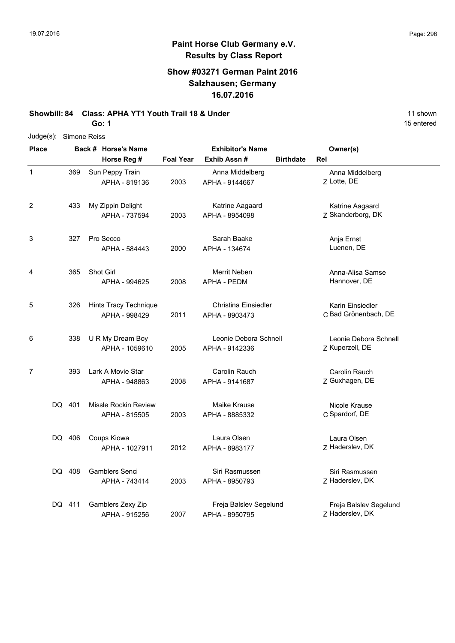### **Show #03271 German Paint 2016 Salzhausen; Germany 16.07.2016**

### **Showbill: 84 Class: APHA YT1 Youth Trail 18 & Under** 11 Shown 11 shown

**Go: 1**

|                |        | Judge(s): Simone Reiss |                                        |                  |                                          |                  |                                           |  |  |  |
|----------------|--------|------------------------|----------------------------------------|------------------|------------------------------------------|------------------|-------------------------------------------|--|--|--|
| <b>Place</b>   |        |                        | Back # Horse's Name                    |                  | <b>Exhibitor's Name</b>                  |                  | Owner(s)                                  |  |  |  |
|                |        |                        | Horse Reg #                            | <b>Foal Year</b> | Exhib Assn#                              | <b>Birthdate</b> | Rel                                       |  |  |  |
| $\mathbf 1$    | 369    |                        | Sun Peppy Train<br>APHA - 819136       | 2003             | Anna Middelberg<br>APHA - 9144667        |                  | Anna Middelberg<br>Z Lotte, DE            |  |  |  |
| 2              | 433    |                        | My Zippin Delight<br>APHA - 737594     | 2003             | Katrine Aagaard<br>APHA - 8954098        |                  | Katrine Aagaard<br>Z Skanderborg, DK      |  |  |  |
| 3              | 327    |                        | Pro Secco<br>APHA - 584443             | 2000             | Sarah Baake<br>APHA - 134674             |                  | Anja Ernst<br>Luenen, DE                  |  |  |  |
| 4              | 365    |                        | Shot Girl<br>APHA - 994625             | 2008             | Merrit Neben<br>APHA - PEDM              |                  | Anna-Alisa Samse<br>Hannover, DE          |  |  |  |
| 5              | 326    |                        | Hints Tracy Technique<br>APHA - 998429 | 2011             | Christina Einsiedler<br>APHA - 8903473   |                  | Karin Einsiedler<br>C Bad Grönenbach, DE  |  |  |  |
| 6              | 338    |                        | U R My Dream Boy<br>APHA - 1059610     | 2005             | Leonie Debora Schnell<br>APHA - 9142336  |                  | Leonie Debora Schnell<br>Z Kuperzell, DE  |  |  |  |
| $\overline{7}$ | 393    |                        | Lark A Movie Star<br>APHA - 948863     | 2008             | Carolin Rauch<br>APHA - 9141687          |                  | Carolin Rauch<br>Z Guxhagen, DE           |  |  |  |
|                | DQ 401 |                        | Missle Rockin Review<br>APHA - 815505  | 2003             | Maike Krause<br>APHA - 8885332           |                  | Nicole Krause<br>C Spardorf, DE           |  |  |  |
|                | DQ 406 |                        | Coups Kiowa<br>APHA - 1027911          | 2012             | Laura Olsen<br>APHA - 8983177            |                  | Laura Olsen<br>Z Haderslev, DK            |  |  |  |
|                | DQ 408 |                        | <b>Gamblers Senci</b><br>APHA - 743414 | 2003             | Siri Rasmussen<br>APHA - 8950793         |                  | Siri Rasmussen<br>Z Haderslev, DK         |  |  |  |
|                | DQ 411 |                        | Gamblers Zexy Zip<br>APHA - 915256     | 2007             | Freja Balslev Segelund<br>APHA - 8950795 |                  | Freja Balslev Segelund<br>Z Haderslev, DK |  |  |  |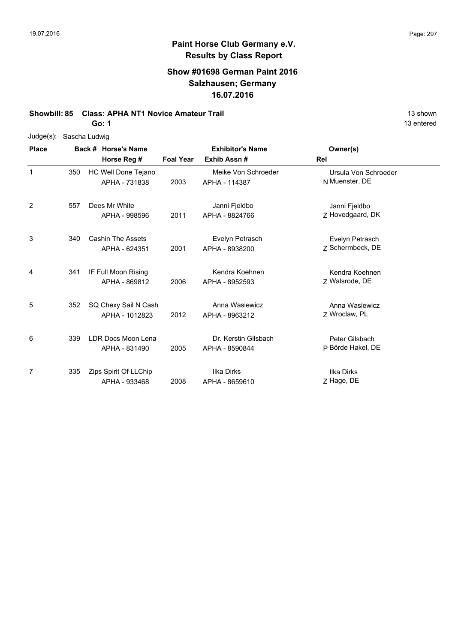### **Show #01698 German Paint 2016 Salzhausen; Germany 16.07.2016**

### **Showbill: 85 Class: APHA NT1 Novice Amateur Trail 13 Shown 13 shown**

**Go: 1**

| $Judge(s)$ : | Sascha Ludwig |                                           |                  |                                        |                                        |
|--------------|---------------|-------------------------------------------|------------------|----------------------------------------|----------------------------------------|
| <b>Place</b> |               | Back # Horse's Name                       |                  | <b>Exhibitor's Name</b>                | Owner(s)                               |
|              |               | Horse Reg #                               | <b>Foal Year</b> | Exhib Assn#                            | Rel                                    |
| 1            | 350           | HC Well Done Tejano<br>APHA - 731838      | 2003             | Meike Von Schroeder<br>APHA - 114387   | Ursula Von Schroeder<br>N Muenster, DE |
| 2            | 557           | Dees Mr White<br>APHA - 998596            | 2011             | Janni Fjeldbo<br>APHA - 8824766        | Janni Fjeldbo<br>Z Hovedgaard, DK      |
| 3            | 340           | <b>Cashin The Assets</b><br>APHA - 624351 | 2001             | Evelyn Petrasch<br>APHA - 8938200      | Evelyn Petrasch<br>7 Schermbeck, DE    |
| 4            | 341           | IF Full Moon Rising<br>APHA - 869812      | 2006             | Kendra Koehnen<br>APHA - 8952593       | Kendra Koehnen<br>Z Walsrode, DE       |
| 5            | 352           | SQ Chexy Sail N Cash<br>APHA - 1012823    | 2012             | Anna Wasiewicz<br>APHA - 8963212       | Anna Wasiewicz<br>Z Wroclaw, PL        |
| 6            | 339           | LDR Docs Moon Lena<br>APHA - 831490       | 2005             | Dr. Kerstin Gilsbach<br>APHA - 8590844 | Peter Gilsbach<br>P Börde Hakel, DE    |
| 7            | 335           | Zips Spirit Of LLChip<br>APHA - 933468    | 2008             | Ilka Dirks<br>APHA - 8659610           | <b>Ilka Dirks</b><br>Z Hage, DE        |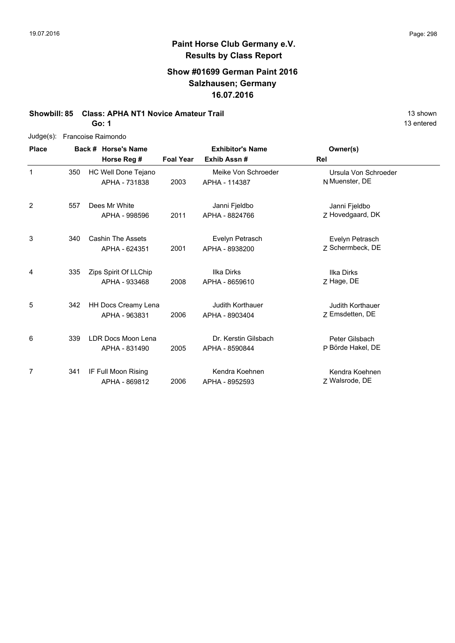### **Show #01699 German Paint 2016 Salzhausen; Germany 16.07.2016**

## **Showbill: 85 Class: APHA NT1 Novice Amateur Trail 13 Shown 13 shown**

**Go: 1**

| Judge(s):    |     | Francoise Raimondo       |                  |                         |                      |
|--------------|-----|--------------------------|------------------|-------------------------|----------------------|
| <b>Place</b> |     | Back # Horse's Name      |                  | <b>Exhibitor's Name</b> | Owner(s)             |
|              |     | Horse Reg #              | <b>Foal Year</b> | Exhib Assn#             | Rel                  |
| 1            | 350 | HC Well Done Tejano      |                  | Meike Von Schroeder     | Ursula Von Schroeder |
|              |     | APHA - 731838            | 2003             | APHA - 114387           | N Muenster, DE       |
| 2            | 557 | Dees Mr White            |                  | Janni Fjeldbo           | Janni Fjeldbo        |
|              |     | APHA - 998596            | 2011             | APHA - 8824766          | Z Hovedgaard, DK     |
| 3            | 340 | <b>Cashin The Assets</b> |                  | Evelyn Petrasch         | Evelyn Petrasch      |
|              |     | APHA - 624351            | 2001             | APHA - 8938200          | Z Schermbeck, DE     |
| 4            | 335 | Zips Spirit Of LLChip    |                  | <b>Ilka Dirks</b>       | <b>Ilka Dirks</b>    |
|              |     | APHA - 933468            | 2008             | APHA - 8659610          | Z Hage, DE           |
| 5            | 342 | HH Docs Creamy Lena      |                  | Judith Korthauer        | Judith Korthauer     |
|              |     | APHA - 963831            | 2006             | APHA - 8903404          | Z Emsdetten, DE      |
| 6            | 339 | LDR Docs Moon Lena       |                  | Dr. Kerstin Gilsbach    | Peter Gilsbach       |
|              |     | APHA - 831490            | 2005             | APHA - 8590844          | P Börde Hakel, DE    |
| 7            | 341 | IF Full Moon Rising      |                  | Kendra Koehnen          | Kendra Koehnen       |
|              |     | APHA - 869812            | 2006             | APHA - 8952593          | Z Walsrode, DE       |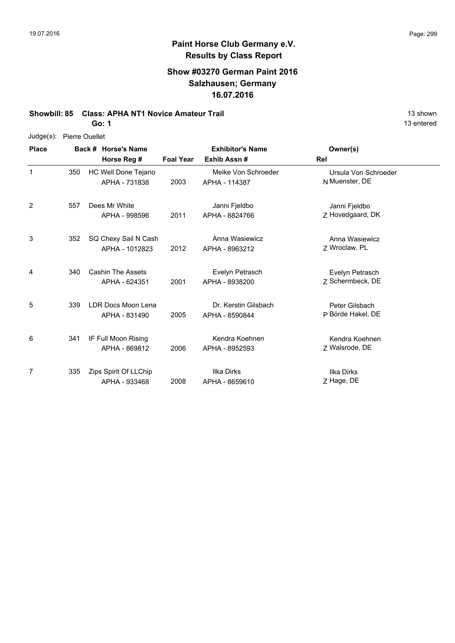13 entered

## **Paint Horse Club Germany e.V. Results by Class Report**

### **Show #03270 German Paint 2016 Salzhausen; Germany 16.07.2016**

### **Showbill: 85 Class: APHA NT1 Novice Amateur Trail 13 Shown 13 shown**

**Go: 1**

| Judge(s): | <b>Pierre Ouellet</b> |
|-----------|-----------------------|
|           |                       |

| <b>Place</b> |     | Back # Horse's Name                       | <b>Exhibitor's Name</b> |                                        | Owner(s)                               |  |
|--------------|-----|-------------------------------------------|-------------------------|----------------------------------------|----------------------------------------|--|
|              |     | Horse Reg #                               | <b>Foal Year</b>        | Exhib Assn#                            | Rel                                    |  |
| 1            | 350 | HC Well Done Tejano<br>APHA - 731838      | 2003                    | Meike Von Schroeder<br>APHA - 114387   | Ursula Von Schroeder<br>N Muenster, DE |  |
| 2            | 557 | Dees Mr White<br>APHA - 998596            | 2011                    | Janni Fjeldbo<br>APHA - 8824766        | Janni Fjeldbo<br>Z Hovedgaard, DK      |  |
| 3            | 352 | SQ Chexy Sail N Cash<br>APHA - 1012823    | 2012                    | Anna Wasiewicz<br>APHA - 8963212       | Anna Wasiewicz<br>Z Wroclaw, PL        |  |
| 4            | 340 | <b>Cashin The Assets</b><br>APHA - 624351 | 2001                    | Evelyn Petrasch<br>APHA - 8938200      | Evelyn Petrasch<br>Z Schermbeck, DE    |  |
| 5            | 339 | LDR Docs Moon Lena<br>APHA - 831490       | 2005                    | Dr. Kerstin Gilsbach<br>APHA - 8590844 | Peter Gilsbach<br>P Börde Hakel, DE    |  |
| 6            | 341 | IF Full Moon Rising<br>APHA - 869812      | 2006                    | Kendra Koehnen<br>APHA - 8952593       | Kendra Koehnen<br>Z Walsrode, DE       |  |
| 7            | 335 | Zips Spirit Of LLChip<br>APHA - 933468    | 2008                    | Ilka Dirks<br>APHA - 8659610           | <b>Ilka Dirks</b><br>Z Hage, DE        |  |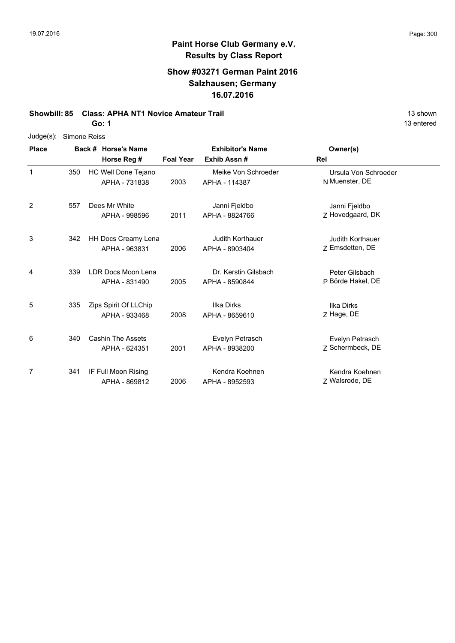### **Show #03271 German Paint 2016 Salzhausen; Germany 16.07.2016**

### **Showbill: 85 Class: APHA NT1 Novice Amateur Trail 13 Shown 13 shown**

**Go: 1**

| $Judge(s)$ : | Simone Reiss |                          |                  |                         |                      |
|--------------|--------------|--------------------------|------------------|-------------------------|----------------------|
| <b>Place</b> |              | Back # Horse's Name      |                  | <b>Exhibitor's Name</b> | Owner(s)             |
|              |              | Horse Reg #              | <b>Foal Year</b> | Exhib Assn#             | Rel                  |
| $\mathbf{1}$ | 350          | HC Well Done Tejano      |                  | Meike Von Schroeder     | Ursula Von Schroeder |
|              |              | APHA - 731838            | 2003             | APHA - 114387           | N Muenster, DE       |
| 2            | 557          | Dees Mr White            |                  | Janni Fjeldbo           | Janni Fjeldbo        |
|              |              | APHA - 998596            | 2011             | APHA - 8824766          | Z Hovedgaard, DK     |
| 3            | 342          | HH Docs Creamy Lena      |                  | <b>Judith Korthauer</b> | Judith Korthauer     |
|              |              | APHA - 963831            | 2006             | APHA - 8903404          | Z Emsdetten, DE      |
| 4            | 339          | LDR Docs Moon Lena       |                  | Dr. Kerstin Gilsbach    | Peter Gilsbach       |
|              |              | APHA - 831490            | 2005             | APHA - 8590844          | P Börde Hakel, DE    |
| 5            | 335          | Zips Spirit Of LLChip    |                  | Ilka Dirks              | <b>Ilka Dirks</b>    |
|              |              | APHA - 933468            | 2008             | APHA - 8659610          | Z Hage, DE           |
| 6            | 340          | <b>Cashin The Assets</b> |                  | Evelyn Petrasch         | Evelyn Petrasch      |
|              |              | APHA - 624351            | 2001             | APHA - 8938200          | Z Schermbeck, DE     |
| 7            | 341          | IF Full Moon Rising      |                  | Kendra Koehnen          | Kendra Koehnen       |
|              |              | APHA - 869812            | 2006             | APHA - 8952593          | Z Walsrode, DE       |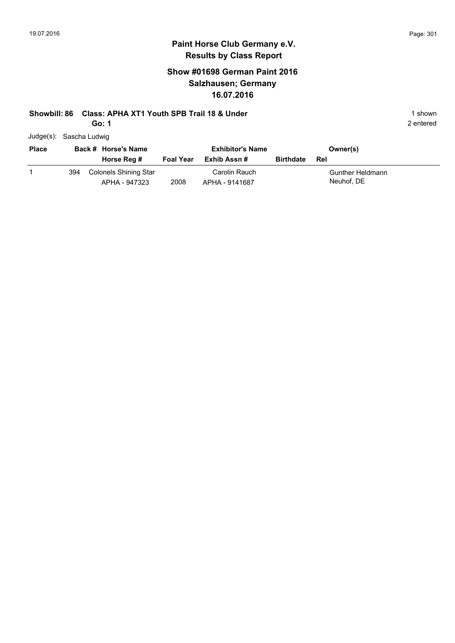### **Show #01698 German Paint 2016 Salzhausen; Germany 16.07.2016**

### **Showbill: 86 Class: APHA XT1 Youth SPB Trail 18 & Under** 1 **Shown** 1 shown

**Go: 1**

| Judge(s): Sascha Ludwig |  |
|-------------------------|--|
|                         |  |

| <b>Place</b> | Back # Horse's Name |                                        | <b>Exhibitor's Name</b> |                                 | Owner(s)         |                                |
|--------------|---------------------|----------------------------------------|-------------------------|---------------------------------|------------------|--------------------------------|
|              |                     | Horse Reg #                            | <b>Foal Year</b>        | Exhib Assn #                    | <b>Birthdate</b> | Rel                            |
|              | 394                 | Colonels Shining Star<br>APHA - 947323 | 2008                    | Carolin Rauch<br>APHA - 9141687 |                  | Gunther Heldmann<br>Neuhof, DE |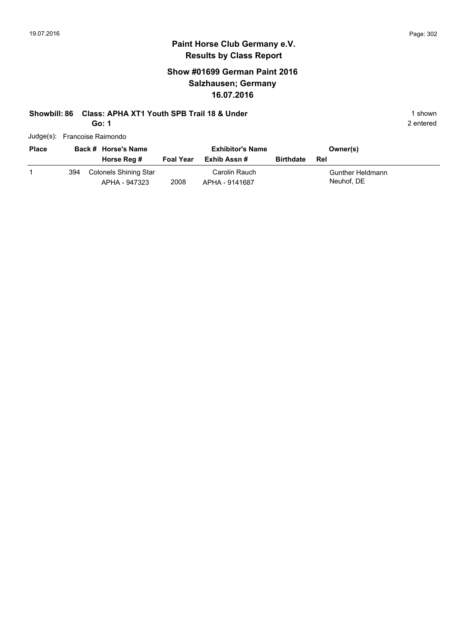2 entered

## **Paint Horse Club Germany e.V. Results by Class Report**

### **Show #01699 German Paint 2016 Salzhausen; Germany 16.07.2016**

### **Showbill: 86 Class: APHA XT1 Youth SPB Trail 18 & Under** 1 **Shown** 1 shown

**Go: 1**

| Judge(s): Francoise Raimondo |
|------------------------------|

| <b>Place</b> |     | Back # Horse's Name                    |                  | <b>Exhibitor's Name</b>         |                  | Owner(s)                       |
|--------------|-----|----------------------------------------|------------------|---------------------------------|------------------|--------------------------------|
|              |     | Horse Reg #                            | <b>Foal Year</b> | Exhib Assn #                    | <b>Birthdate</b> | Rel                            |
|              | 394 | Colonels Shining Star<br>APHA - 947323 | 2008             | Carolin Rauch<br>APHA - 9141687 |                  | Gunther Heldmann<br>Neuhof, DE |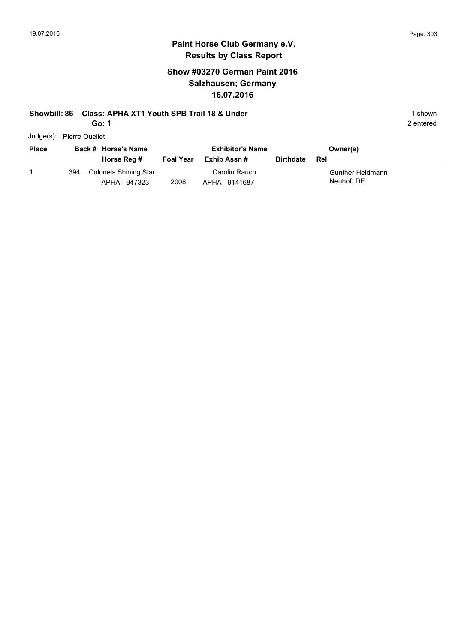2 entered

## **Paint Horse Club Germany e.V. Results by Class Report**

### **Show #03270 German Paint 2016 Salzhausen; Germany 16.07.2016**

### **Showbill: 86 Class: APHA XT1 Youth SPB Trail 18 & Under** 1 **Shown** 1 shown

**Go: 1**

Judge(s): Pierre Ouellet

| <b>Place</b> |     | Back # Horse's Name<br>Horse Reg #     | <b>Foal Year</b> | <b>Exhibitor's Name</b><br>Exhib Assn # | <b>Birthdate</b> | Owner(s)<br>- Rel              |
|--------------|-----|----------------------------------------|------------------|-----------------------------------------|------------------|--------------------------------|
|              | 394 | Colonels Shining Star<br>APHA - 947323 | 2008             | Carolin Rauch<br>APHA - 9141687         |                  | Gunther Heldmann<br>Neuhof, DE |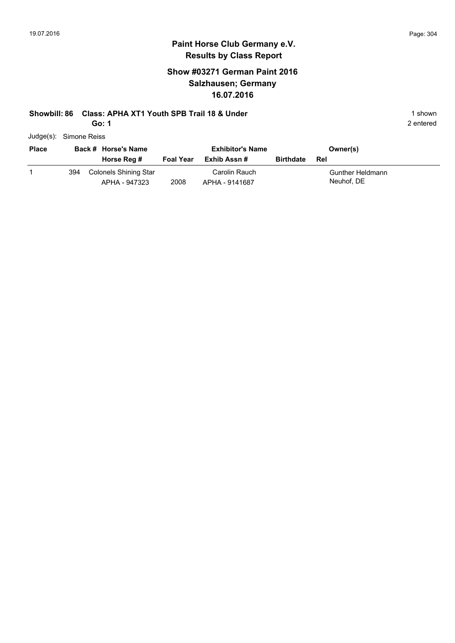### **Show #03271 German Paint 2016 Salzhausen; Germany 16.07.2016**

### **Showbill: 86 Class: APHA XT1 Youth SPB Trail 18 & Under** 1 **Shown** 1 shown

**Go: 1**

| Judge(s): Simone Reiss |
|------------------------|
|                        |

| <b>Place</b> | Back # Horse's Name |                                        |                  | <b>Exhibitor's Name</b>         |                  | Owner(s)                       |
|--------------|---------------------|----------------------------------------|------------------|---------------------------------|------------------|--------------------------------|
|              |                     | Horse Reg #                            | <b>Foal Year</b> | Exhib Assn #                    | <b>Birthdate</b> | Rel                            |
|              | 394                 | Colonels Shining Star<br>APHA - 947323 | 2008             | Carolin Rauch<br>APHA - 9141687 |                  | Gunther Heldmann<br>Neuhof, DE |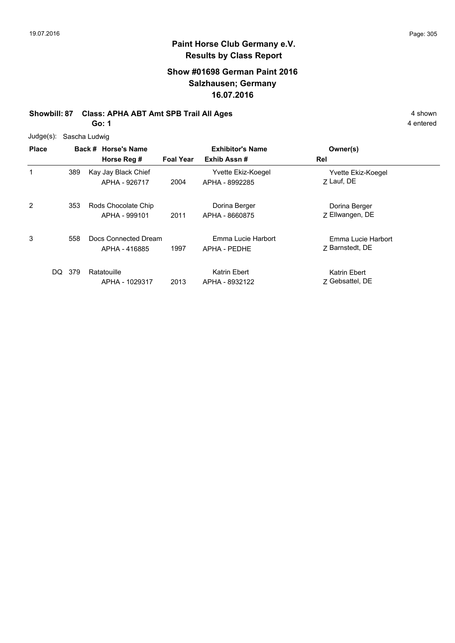### **Show #01698 German Paint 2016 Salzhausen; Germany 16.07.2016**

## **Showbill: 87 Class: APHA ABT Amt SPB Trail All Ages** 4 shown

**Go: 1**

|  | Judge(s): Sascha Ludwig |
|--|-------------------------|
|--|-------------------------|

| <b>Place</b> |       | Back # Horse's Name<br>Horse Reg #    | <b>Foal Year</b> | <b>Exhibitor's Name</b><br>Exhib Assn# | Owner(s)<br>Rel                       |
|--------------|-------|---------------------------------------|------------------|----------------------------------------|---------------------------------------|
| 1            | 389   | Kay Jay Black Chief<br>APHA - 926717  | 2004             | Yvette Ekiz-Koegel<br>APHA - 8992285   | Yvette Ekiz-Koegel<br>7 Lauf, DE      |
| 2            | 353   | Rods Chocolate Chip<br>APHA - 999101  | 2011             | Dorina Berger<br>APHA - 8660875        | Dorina Berger<br>Z Ellwangen, DE      |
| 3            | 558   | Docs Connected Dream<br>APHA - 416885 | 1997             | Emma Lucie Harbort<br>APHA - PEDHE     | Emma Lucie Harbort<br>7 Barnstedt, DE |
| DQ.          | - 379 | Ratatouille<br>APHA - 1029317         | 2013             | Katrin Ebert<br>APHA - 8932122         | Katrin Ebert<br>7 Gebsattel, DE       |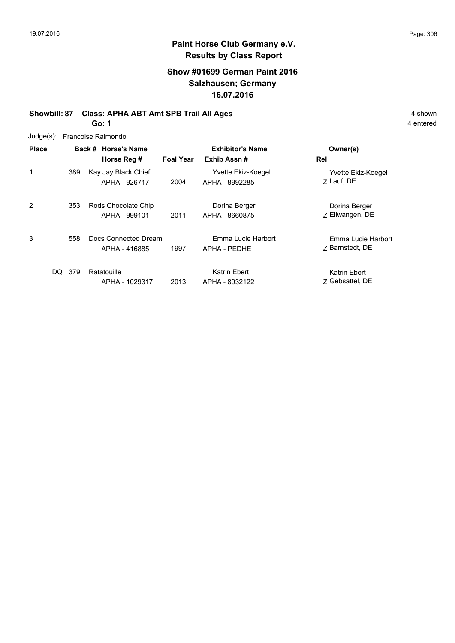### **Show #01699 German Paint 2016 Salzhausen; Germany 16.07.2016**

# **Showbill: 87 Class: APHA ABT Amt SPB Trail All Ages** 4 shown

**Go: 1**

| $Judge(s)$ : |            | Francoise Raimondo                    |                  |                                      |                                       |
|--------------|------------|---------------------------------------|------------------|--------------------------------------|---------------------------------------|
| <b>Place</b> |            | Back # Horse's Name                   |                  | <b>Exhibitor's Name</b>              | Owner(s)                              |
|              |            | Horse Reg #                           | <b>Foal Year</b> | Exhib Assn#                          | Rel                                   |
|              | 389        | Kay Jay Black Chief<br>APHA - 926717  | 2004             | Yvette Ekiz-Koegel<br>APHA - 8992285 | Yvette Ekiz-Koegel<br>7 Lauf, DE      |
| 2            | 353        | Rods Chocolate Chip<br>APHA - 999101  | 2011             | Dorina Berger<br>APHA - 8660875      | Dorina Berger<br>Z Ellwangen, DE      |
| 3            | 558        | Docs Connected Dream<br>APHA - 416885 | 1997             | Emma Lucie Harbort<br>APHA - PEDHE   | Emma Lucie Harbort<br>7 Barnstedt, DE |
|              | 379<br>DQ. | Ratatouille<br>APHA - 1029317         | 2013             | Katrin Ebert<br>APHA - 8932122       | Katrin Ebert<br>7 Gebsattel, DE       |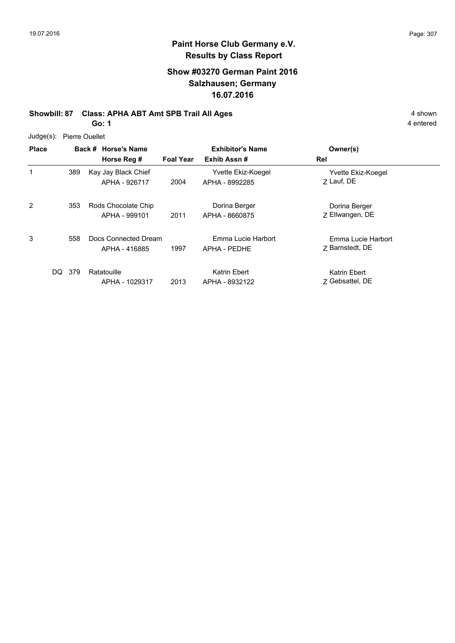4 entered

## **Paint Horse Club Germany e.V. Results by Class Report**

### **Show #03270 German Paint 2016 Salzhausen; Germany 16.07.2016**

## **Showbill: 87 Class: APHA ABT Amt SPB Trail All Ages** 4 shown

**Go: 1**

Judge(s): Pierre Ouellet

| <b>Place</b> |            | Back # Horse's Name<br>Horse Reg #    | <b>Foal Year</b> | <b>Exhibitor's Name</b><br>Exhib Assn# | Owner(s)<br>Rel                       |
|--------------|------------|---------------------------------------|------------------|----------------------------------------|---------------------------------------|
| 1            | 389        | Kay Jay Black Chief<br>APHA - 926717  | 2004             | Yvette Ekiz-Koegel<br>APHA - 8992285   | Yvette Ekiz-Koegel<br>7 Lauf, DE      |
| 2            | 353        | Rods Chocolate Chip<br>APHA - 999101  | 2011             | Dorina Berger<br>APHA - 8660875        | Dorina Berger<br>Z Ellwangen, DE      |
| 3            | 558        | Docs Connected Dream<br>APHA - 416885 | 1997             | Emma Lucie Harbort<br>APHA - PEDHE     | Emma Lucie Harbort<br>7 Barnstedt, DE |
|              | DQ.<br>379 | Ratatouille<br>APHA - 1029317         | 2013             | Katrin Ebert<br>APHA - 8932122         | Katrin Ebert<br>7 Gebsattel, DE       |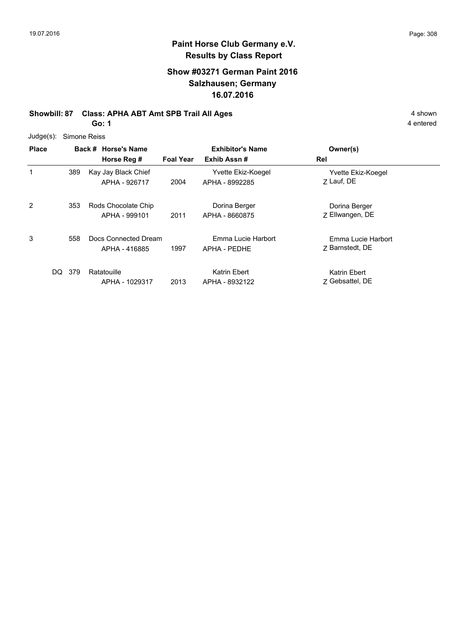### **Show #03271 German Paint 2016 Salzhausen; Germany 16.07.2016**

# **Showbill: 87 Class: APHA ABT Amt SPB Trail All Ages** 4 shown

**Go: 1**

| Judge(s): | Simone Reiss |  |
|-----------|--------------|--|
|           |              |  |

| <b>Place</b> |       | Back # Horse's Name<br>Horse Reg #    | <b>Foal Year</b> | <b>Exhibitor's Name</b><br>Exhib Assn# | Owner(s)<br>Rel                       |
|--------------|-------|---------------------------------------|------------------|----------------------------------------|---------------------------------------|
| 1            | 389   | Kay Jay Black Chief<br>APHA - 926717  | 2004             | Yvette Ekiz-Koegel<br>APHA - 8992285   | Yvette Ekiz-Koegel<br>7 Lauf, DE      |
| 2            | 353   | Rods Chocolate Chip<br>APHA - 999101  | 2011             | Dorina Berger<br>APHA - 8660875        | Dorina Berger<br>Z Ellwangen, DE      |
| 3            | 558   | Docs Connected Dream<br>APHA - 416885 | 1997             | Emma Lucie Harbort<br>APHA - PEDHE     | Emma Lucie Harbort<br>7 Barnstedt, DE |
| DQ.          | - 379 | Ratatouille<br>APHA - 1029317         | 2013             | Katrin Ebert<br>APHA - 8932122         | Katrin Ebert<br>7 Gebsattel, DE       |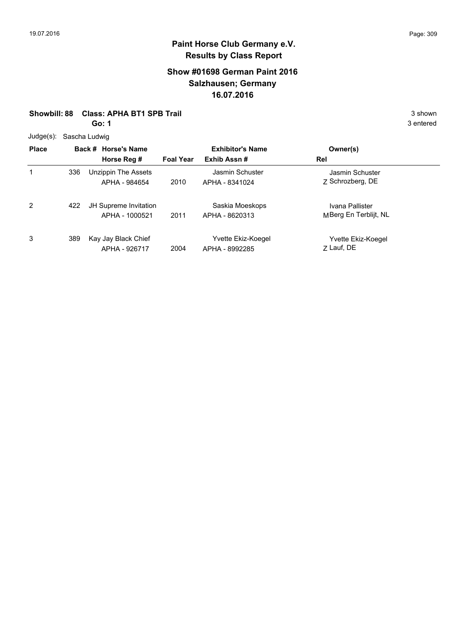### **Show #01698 German Paint 2016 Salzhausen; Germany 16.07.2016**

**Showbill: 88 Class: APHA BT1 SPB Trail 3 Shown 3 shown 3 shown 3 shown** 

**Go: 1**

Judge(s): Sascha Ludwig

| ouuyu(ə).    |     | Odovila Luuwiy                          |                  |                                      |                                          |
|--------------|-----|-----------------------------------------|------------------|--------------------------------------|------------------------------------------|
| <b>Place</b> |     | Back # Horse's Name                     |                  | <b>Exhibitor's Name</b>              | Owner(s)                                 |
|              |     | Horse Reg #                             | <b>Foal Year</b> | Exhib Assn#                          | Rel                                      |
| 1            | 336 | Unzippin The Assets<br>APHA - 984654    | 2010             | Jasmin Schuster<br>APHA - 8341024    | Jasmin Schuster<br>Z Schrozberg, DE      |
| 2            | 422 | JH Supreme Invitation<br>APHA - 1000521 | 2011             | Saskia Moeskops<br>APHA - 8620313    | Ivana Pallister<br>MBerg En Terblijt, NL |
| 3            | 389 | Kay Jay Black Chief<br>APHA - 926717    | 2004             | Yvette Ekiz-Koegel<br>APHA - 8992285 | Yvette Ekiz-Koegel<br>Z Lauf, DE         |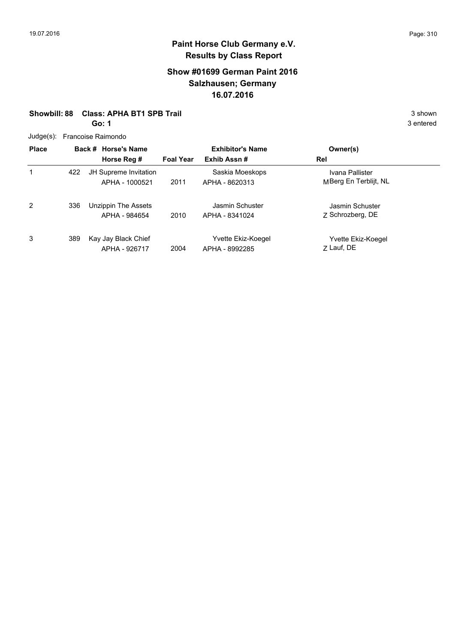### **Show #01699 German Paint 2016 Salzhausen; Germany 16.07.2016**

### **Showbill: 88 Class: APHA BT1 SPB Trail 3 Shown 3 shown 3 shown 3 shown**

**Go: 1**

|  | Judge(s): Francoise Raimondo |  |
|--|------------------------------|--|
|--|------------------------------|--|

| <b>Place</b> |     | Back # Horse's Name<br>Horse Reg #      | <b>Foal Year</b> | <b>Exhibitor's Name</b><br>Exhib Assn# | Owner(s)<br>Rel                          |
|--------------|-----|-----------------------------------------|------------------|----------------------------------------|------------------------------------------|
| 1            | 422 | JH Supreme Invitation<br>APHA - 1000521 | 2011             | Saskia Moeskops<br>APHA - 8620313      | Ivana Pallister<br>MBerg En Terblijt, NL |
| 2            | 336 | Unzippin The Assets<br>APHA - 984654    | 2010             | Jasmin Schuster<br>APHA - 8341024      | Jasmin Schuster<br>Z Schrozberg, DE      |
| 3            | 389 | Kay Jay Black Chief<br>APHA - 926717    | 2004             | Yvette Ekiz-Koegel<br>APHA - 8992285   | Yvette Ekiz-Koegel<br>7 Lauf, DE         |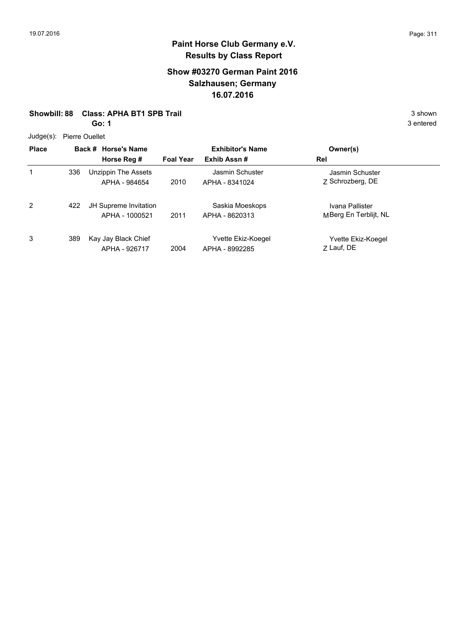### **Show #03270 German Paint 2016 Salzhausen; Germany 16.07.2016**

**Showbill: 88 Class: APHA BT1 SPB Trail 3 Shown 3 shown 3 shown 3 shown** 

**Go: 1**

Judge(s): Pierre Ouellet

|              | 5.55 |                                         |                  |                                      |                                          |  |  |  |
|--------------|------|-----------------------------------------|------------------|--------------------------------------|------------------------------------------|--|--|--|
| <b>Place</b> |      | Back # Horse's Name                     |                  | <b>Exhibitor's Name</b>              | Owner(s)                                 |  |  |  |
|              |      | Horse Reg #                             | <b>Foal Year</b> | Exhib Assn#                          | Rel                                      |  |  |  |
| 1            | 336  | Unzippin The Assets<br>APHA - 984654    | 2010             | Jasmin Schuster<br>APHA - 8341024    | Jasmin Schuster<br>Z Schrozberg, DE      |  |  |  |
| 2            | 422  | JH Supreme Invitation<br>APHA - 1000521 | 2011             | Saskia Moeskops<br>APHA - 8620313    | Ivana Pallister<br>MBerg En Terblijt, NL |  |  |  |
| 3            | 389  | Kay Jay Black Chief<br>APHA - 926717    | 2004             | Yvette Ekiz-Koegel<br>APHA - 8992285 | Yvette Ekiz-Koegel<br>Z Lauf, DE         |  |  |  |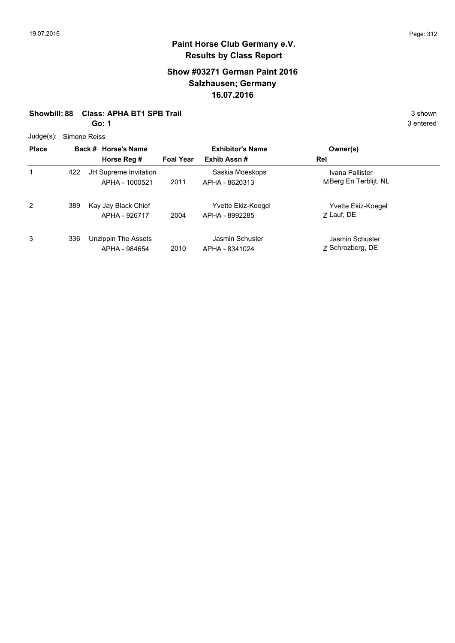### **Show #03271 German Paint 2016 Salzhausen; Germany 16.07.2016**

**Showbill: 88 Class: APHA BT1 SPB Trail 3 Shown 3 shown 3 shown 3 shown** 

**Go: 1**

Judge(s): Simone Reiss

| Juuyt(3).    | פפוסרו סווטוווט |                                         |                  |                                      |                                          |  |
|--------------|-----------------|-----------------------------------------|------------------|--------------------------------------|------------------------------------------|--|
| <b>Place</b> |                 | Back # Horse's Name                     |                  | <b>Exhibitor's Name</b>              | Owner(s)                                 |  |
|              |                 | Horse Reg #                             | <b>Foal Year</b> | Exhib Assn#                          | Rel                                      |  |
| 1            | 422             | JH Supreme Invitation<br>APHA - 1000521 | 2011             | Saskia Moeskops<br>APHA - 8620313    | Ivana Pallister<br>MBerg En Terblijt, NL |  |
| 2            | 389             | Kay Jay Black Chief<br>APHA - 926717    | 2004             | Yvette Ekiz-Koegel<br>APHA - 8992285 | Yvette Ekiz-Koegel<br>7 Lauf, DE         |  |
| 3            | 336             | Unzippin The Assets<br>APHA - 984654    | 2010             | Jasmin Schuster<br>APHA - 8341024    | Jasmin Schuster<br>Z Schrozberg, DE      |  |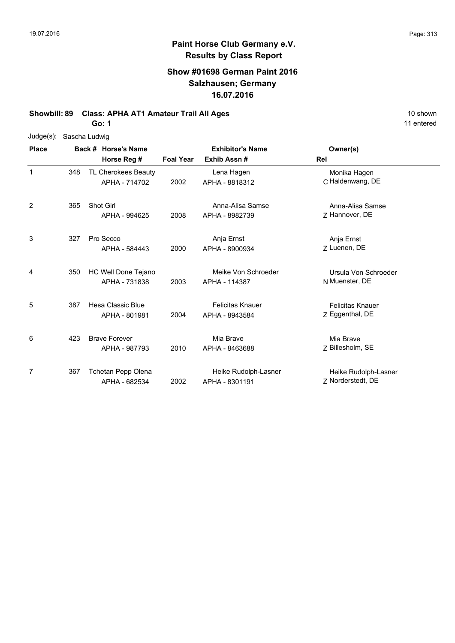### **Show #01698 German Paint 2016 Salzhausen; Germany 16.07.2016**

**Showbill: 89 Class: APHA AT1 Amateur Trail All Ages** 10 Shown 10 shown

**Go: 1**

| Judge(s):    |     | Sascha Ludwig        |                  |                         |                         |
|--------------|-----|----------------------|------------------|-------------------------|-------------------------|
| <b>Place</b> |     | Back # Horse's Name  |                  | <b>Exhibitor's Name</b> | Owner(s)                |
|              |     | Horse Reg #          | <b>Foal Year</b> | Exhib Assn#             | Rel                     |
| 1            | 348 | TL Cherokees Beauty  |                  | Lena Hagen              | Monika Hagen            |
|              |     | APHA - 714702        | 2002             | APHA - 8818312          | C Haldenwang, DE        |
| 2            | 365 | Shot Girl            |                  | Anna-Alisa Samse        | Anna-Alisa Samse        |
|              |     | APHA - 994625        | 2008             | APHA - 8982739          | Z Hannover, DE          |
| 3            | 327 | Pro Secco            |                  | Anja Ernst              | Anja Ernst              |
|              |     | APHA - 584443        | 2000             | APHA - 8900934          | Z Luenen, DE            |
| 4            | 350 | HC Well Done Tejano  |                  | Meike Von Schroeder     | Ursula Von Schroeder    |
|              |     | APHA - 731838        | 2003             | APHA - 114387           | N Muenster, DE          |
| 5            | 387 | Hesa Classic Blue    |                  | <b>Felicitas Knauer</b> | <b>Felicitas Knauer</b> |
|              |     | APHA - 801981        | 2004             | APHA - 8943584          | Z Eggenthal, DE         |
| 6            | 423 | <b>Brave Forever</b> |                  | Mia Brave               | Mia Brave               |
|              |     | APHA - 987793        | 2010             | APHA - 8463688          | Z Billesholm, SE        |
| 7            | 367 | Tchetan Pepp Olena   |                  | Heike Rudolph-Lasner    | Heike Rudolph-Lasner    |
|              |     | APHA - 682534        | 2002             | APHA - 8301191          | Z Norderstedt, DE       |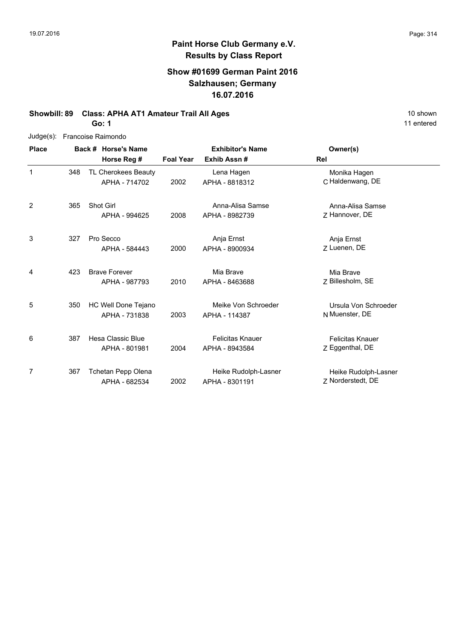11 entered

# **Paint Horse Club Germany e.V. Results by Class Report**

### **Show #01699 German Paint 2016 Salzhausen; Germany 16.07.2016**

**Showbill: 89 Class: APHA AT1 Amateur Trail All Ages** 10 Shown 10 shown **Go: 1**

| $Judge(s)$ : |     | Francoise Raimondo                    |                  |                                           |                                            |  |
|--------------|-----|---------------------------------------|------------------|-------------------------------------------|--------------------------------------------|--|
| <b>Place</b> |     | Back # Horse's Name                   |                  | <b>Exhibitor's Name</b>                   | Owner(s)                                   |  |
|              |     | Horse Reg #                           | <b>Foal Year</b> | Exhib Assn#                               | Rel                                        |  |
| 1            | 348 | TL Cherokees Beauty<br>APHA - 714702  | 2002             | Lena Hagen<br>APHA - 8818312              | Monika Hagen<br>C Haldenwang, DE           |  |
| 2            | 365 | <b>Shot Girl</b><br>APHA - 994625     | 2008             | Anna-Alisa Samse<br>APHA - 8982739        | Anna-Alisa Samse<br>Z Hannover, DE         |  |
| 3            | 327 | Pro Secco<br>APHA - 584443            | 2000             | Anja Ernst<br>APHA - 8900934              | Anja Ernst<br>7 Luenen, DE                 |  |
| 4            | 423 | <b>Brave Forever</b><br>APHA - 987793 | 2010             | Mia Brave<br>APHA - 8463688               | Mia Brave<br>Z Billesholm, SE              |  |
| 5            | 350 | HC Well Done Tejano<br>APHA - 731838  | 2003             | Meike Von Schroeder<br>APHA - 114387      | Ursula Von Schroeder<br>N Muenster, DE     |  |
| 6            | 387 | Hesa Classic Blue<br>APHA - 801981    | 2004             | <b>Felicitas Knauer</b><br>APHA - 8943584 | <b>Felicitas Knauer</b><br>Z Eggenthal, DE |  |
| 7            | 367 | Tchetan Pepp Olena<br>APHA - 682534   | 2002             | Heike Rudolph-Lasner<br>APHA - 8301191    | Heike Rudolph-Lasner<br>Z Norderstedt, DE  |  |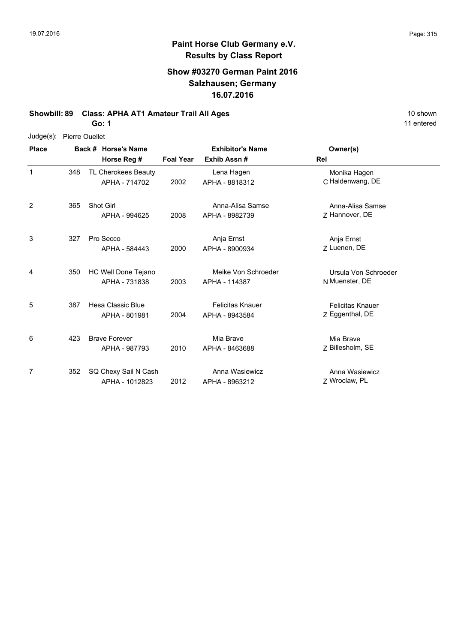11 entered

÷,

## **Paint Horse Club Germany e.V. Results by Class Report**

### **Show #03270 German Paint 2016 Salzhausen; Germany 16.07.2016**

**Showbill: 89 Class: APHA AT1 Amateur Trail All Ages** 10 Shown 10 shown

**Go: 1**

| Judge(s):    | <b>Pierre Ouellet</b> |                                        |                  |                                           |                                            |
|--------------|-----------------------|----------------------------------------|------------------|-------------------------------------------|--------------------------------------------|
| <b>Place</b> |                       | Back # Horse's Name<br>Horse Reg #     | <b>Foal Year</b> | <b>Exhibitor's Name</b><br>Exhib Assn#    | Owner(s)<br>Rel                            |
| 1            | 348                   | TL Cherokees Beauty<br>APHA - 714702   | 2002             | Lena Hagen<br>APHA - 8818312              | Monika Hagen<br>C Haldenwang, DE           |
| 2            | 365                   | Shot Girl<br>APHA - 994625             | 2008             | Anna-Alisa Samse<br>APHA - 8982739        | Anna-Alisa Samse<br>7 Hannover, DE         |
| 3            | 327                   | Pro Secco<br>APHA - 584443             | 2000             | Anja Ernst<br>APHA - 8900934              | Anja Ernst<br>Z Luenen, DE                 |
| 4            | 350                   | HC Well Done Tejano<br>APHA - 731838   | 2003             | Meike Von Schroeder<br>APHA - 114387      | Ursula Von Schroeder<br>N Muenster, DE     |
| 5            | 387                   | Hesa Classic Blue<br>APHA - 801981     | 2004             | <b>Felicitas Knauer</b><br>APHA - 8943584 | <b>Felicitas Knauer</b><br>Z Eggenthal, DE |
| 6            | 423                   | <b>Brave Forever</b><br>APHA - 987793  | 2010             | Mia Brave<br>APHA - 8463688               | Mia Brave<br>Z Billesholm, SE              |
| 7            | 352                   | SQ Chexy Sail N Cash<br>APHA - 1012823 | 2012             | Anna Wasiewicz<br>APHA - 8963212          | Anna Wasiewicz<br>Z Wroclaw, PL            |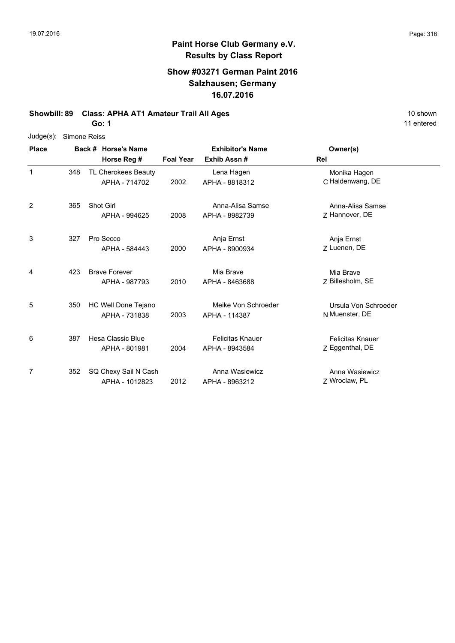### **Show #03271 German Paint 2016 Salzhausen; Germany 16.07.2016**

**Showbill: 89 Class: APHA AT1 Amateur Trail All Ages** 10 shown 10 shown

| $Judge(s)$ : |     | Simone Reiss         |                  |                         |                         |
|--------------|-----|----------------------|------------------|-------------------------|-------------------------|
| <b>Place</b> |     | Back # Horse's Name  |                  | <b>Exhibitor's Name</b> | Owner(s)                |
|              |     | Horse Reg #          | <b>Foal Year</b> | Exhib Assn#             | Rel                     |
| 1            | 348 | TL Cherokees Beauty  |                  | Lena Hagen              | Monika Hagen            |
|              |     | APHA - 714702        | 2002             | APHA - 8818312          | C Haldenwang, DE        |
| 2            | 365 | Shot Girl            |                  | Anna-Alisa Samse        | Anna-Alisa Samse        |
|              |     | APHA - 994625        | 2008             | APHA - 8982739          | Z Hannover, DE          |
| 3            | 327 | Pro Secco            |                  | Anja Ernst              | Anja Ernst              |
|              |     | APHA - 584443        | 2000             | APHA - 8900934          | Z Luenen, DE            |
| 4            | 423 | <b>Brave Forever</b> |                  | Mia Brave               | Mia Brave               |
|              |     | APHA - 987793        | 2010             | APHA - 8463688          | Z Billesholm, SE        |
| 5            | 350 | HC Well Done Tejano  |                  | Meike Von Schroeder     | Ursula Von Schroeder    |
|              |     | APHA - 731838        | 2003             | APHA - 114387           | N Muenster, DE          |
| 6            | 387 | Hesa Classic Blue    |                  | <b>Felicitas Knauer</b> | <b>Felicitas Knauer</b> |
|              |     | APHA - 801981        | 2004             | APHA - 8943584          | Z Eggenthal, DE         |
| 7            | 352 | SQ Chexy Sail N Cash |                  | Anna Wasiewicz          | Anna Wasiewicz          |
|              |     | APHA - 1012823       | 2012             | APHA - 8963212          | Z Wroclaw, PL           |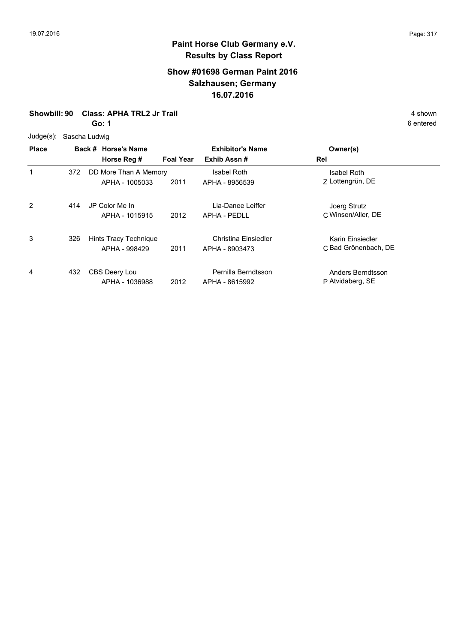### **Show #01698 German Paint 2016 Salzhausen; Germany 16.07.2016**

**Showbill: 90 Class: APHA TRL2 Jr Trail** 4 shown

**Go: 1**

6 entered

Judge(s): Sascha Ludwig

| <b>Place</b> |     | Back # Horse's Name<br>Horse Reg #      | <b>Foal Year</b> | <b>Exhibitor's Name</b><br>Exhib Assn# | Owner(s)<br>Rel                          |  |
|--------------|-----|-----------------------------------------|------------------|----------------------------------------|------------------------------------------|--|
| 1            | 372 | DD More Than A Memory<br>APHA - 1005033 | 2011             | Isabel Roth<br>APHA - 8956539          | Isabel Roth<br>Z Lottengrün, DE          |  |
| 2            | 414 | JP Color Me In<br>APHA - 1015915        | 2012             | Lia-Danee Leiffer<br>APHA - PFDLL      | Joerg Strutz<br>C Winsen/Aller, DE       |  |
| 3            | 326 | Hints Tracy Technique<br>APHA - 998429  | 2011             | Christina Einsiedler<br>APHA - 8903473 | Karin Einsiedler<br>C Bad Grönenbach, DE |  |
| 4            | 432 | CBS Deery Lou<br>APHA - 1036988         | 2012             | Pernilla Berndtsson<br>APHA - 8615992  | Anders Berndtsson<br>P Atvidaberg, SE    |  |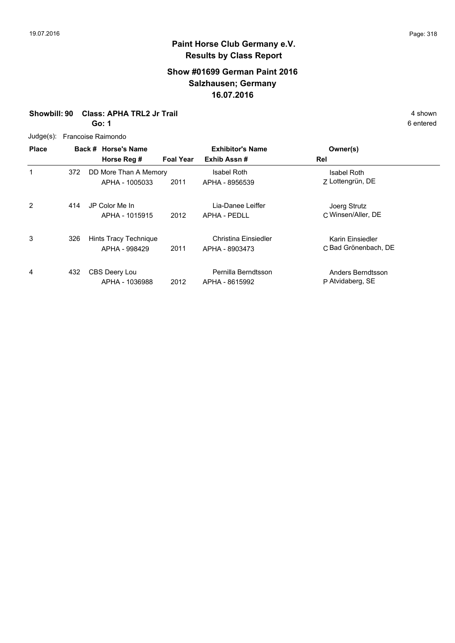### **Show #01699 German Paint 2016 Salzhausen; Germany 16.07.2016**

### **Showbill: 90 Class: APHA TRL2 Jr Trail** 4 shown

**Go: 1**

| $Judge(s)$ :   | Francoise Raimondo |                                         |                  |                                          |                                          |  |  |  |  |
|----------------|--------------------|-----------------------------------------|------------------|------------------------------------------|------------------------------------------|--|--|--|--|
| <b>Place</b>   |                    | Back # Horse's Name<br>Horse Reg #      | <b>Foal Year</b> | <b>Exhibitor's Name</b><br>Exhib Assn#   | Owner(s)<br>Rel                          |  |  |  |  |
| 1              | 372                | DD More Than A Memory<br>APHA - 1005033 | 2011             | Isabel Roth<br>APHA - 8956539            | Isabel Roth<br>Z Lottengrün, DE          |  |  |  |  |
| $\overline{2}$ | 414                | JP Color Me In<br>APHA - 1015915        | 2012             | Lia-Danee Leiffer<br><b>APHA - PEDLL</b> | Joerg Strutz<br>C Winsen/Aller, DE       |  |  |  |  |
| 3              | 326                | Hints Tracy Technique<br>APHA - 998429  | 2011             | Christina Einsiedler<br>APHA - 8903473   | Karin Einsiedler<br>C Bad Grönenbach, DE |  |  |  |  |
| 4              | 432                | CBS Deery Lou<br>APHA - 1036988         | 2012             | Pernilla Berndtsson<br>APHA - 8615992    | Anders Berndtsson<br>P Atvidaberg, SE    |  |  |  |  |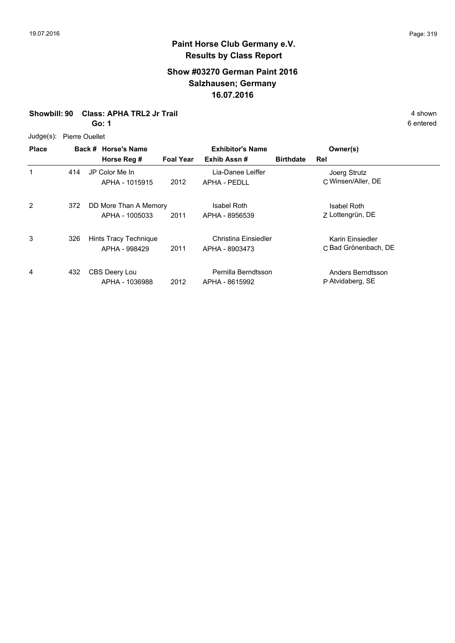### **Show #03270 German Paint 2016 Salzhausen; Germany 16.07.2016**

**Showbill: 90 Class: APHA TRL2 Jr Trail** 4 shown

**Go: 1**

Judge(s): Pierre Ouellet

| <b>Place</b> |     | Back # Horse's Name<br>Horse Reg #      | <b>Foal Year</b> | <b>Exhibitor's Name</b><br>Exhib Assn# | <b>Birthdate</b> | Owner(s)<br>Rel                          |
|--------------|-----|-----------------------------------------|------------------|----------------------------------------|------------------|------------------------------------------|
|              | 414 | JP Color Me In<br>APHA - 1015915        | 2012             | Lia-Danee Leiffer<br>APHA - PEDLL      |                  | Joerg Strutz<br>C Winsen/Aller, DE       |
| 2            | 372 | DD More Than A Memory<br>APHA - 1005033 | 2011             | <b>Isabel Roth</b><br>APHA - 8956539   |                  | <b>Isabel Roth</b><br>Z Lottengrün, DE   |
| 3            | 326 | Hints Tracy Technique<br>APHA - 998429  | 2011             | Christina Einsiedler<br>APHA - 8903473 |                  | Karin Einsiedler<br>C Bad Grönenbach, DE |
| 4            | 432 | CBS Deery Lou<br>APHA - 1036988         | 2012             | Pernilla Berndtsson<br>APHA - 8615992  |                  | Anders Berndtsson<br>P Atvidaberg, SE    |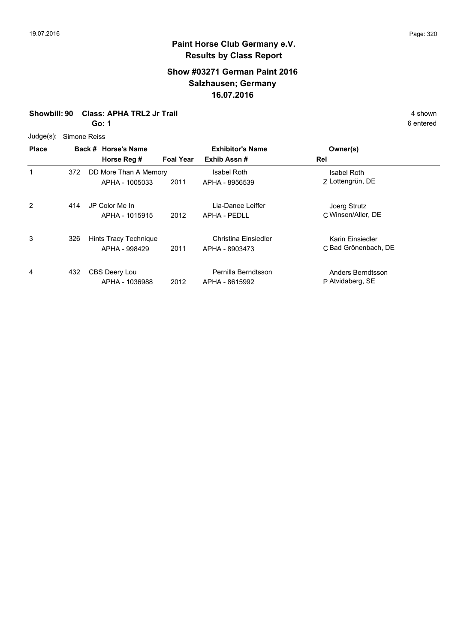### **Show #03271 German Paint 2016 Salzhausen; Germany 16.07.2016**

**Showbill: 90 Class: APHA TRL2 Jr Trail** 4 shown

**Go: 1**

Judge(s): Simone Reiss

| <b>Place</b> |     | Back # Horse's Name<br>Horse Reg #      | <b>Foal Year</b> | <b>Exhibitor's Name</b><br>Exhib Assn# | Owner(s)<br>Rel                          |  |  |  |
|--------------|-----|-----------------------------------------|------------------|----------------------------------------|------------------------------------------|--|--|--|
|              | 372 | DD More Than A Memory<br>APHA - 1005033 | 2011             | <b>Isabel Roth</b><br>APHA - 8956539   | <b>Isabel Roth</b><br>Z Lottengrün, DE   |  |  |  |
| 2            | 414 | JP Color Me In<br>APHA - 1015915        | 2012             | Lia-Danee Leiffer<br>APHA - PEDLL      | Joerg Strutz<br>C Winsen/Aller, DE       |  |  |  |
| 3            | 326 | Hints Tracy Technique<br>APHA - 998429  | 2011             | Christina Einsiedler<br>APHA - 8903473 | Karin Einsiedler<br>C Bad Grönenbach, DE |  |  |  |
| 4            | 432 | CBS Deery Lou<br>APHA - 1036988         | 2012             | Pernilla Berndtsson<br>APHA - 8615992  | Anders Berndtsson<br>P Atvidaberg, SE    |  |  |  |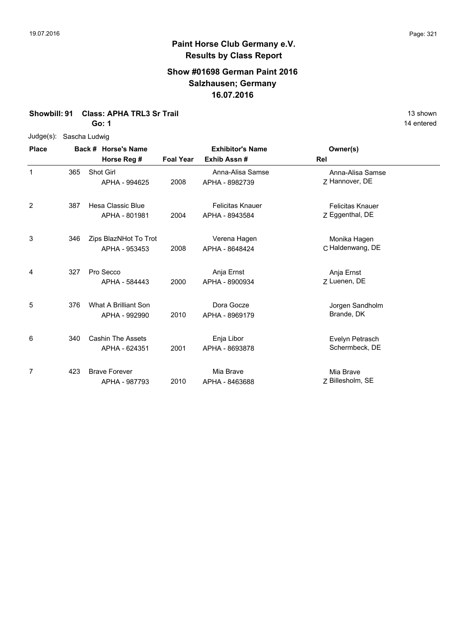### **Show #01698 German Paint 2016 Salzhausen; Germany 16.07.2016**

**Showbill: 91 Class: APHA TRL3 Sr Trail** 13 shown

**Go: 1**

Judge(s): Sascha Ludwig

| <b>Place</b> |     | Back # Horse's Name<br>Horse Reg #        | <b>Foal Year</b> | <b>Exhibitor's Name</b><br>Exhib Assn#    | Owner(s)<br>Rel                            |
|--------------|-----|-------------------------------------------|------------------|-------------------------------------------|--------------------------------------------|
| 1            | 365 | Shot Girl<br>APHA - 994625                | 2008             | Anna-Alisa Samse<br>APHA - 8982739        | Anna-Alisa Samse<br>Z Hannover, DE         |
| 2            | 387 | <b>Hesa Classic Blue</b><br>APHA - 801981 | 2004             | <b>Felicitas Knauer</b><br>APHA - 8943584 | <b>Felicitas Knauer</b><br>Z Eggenthal, DE |
| 3            | 346 | Zips BlazNHot To Trot<br>APHA - 953453    | 2008             | Verena Hagen<br>APHA - 8648424            | Monika Hagen<br>C Haldenwang, DE           |
| 4            | 327 | Pro Secco<br>APHA - 584443                | 2000             | Anja Ernst<br>APHA - 8900934              | Anja Ernst<br>Z Luenen, DE                 |
| 5            | 376 | What A Brilliant Son<br>APHA - 992990     | 2010             | Dora Gocze<br>APHA - 8969179              | Jorgen Sandholm<br>Brande, DK              |
| 6            | 340 | <b>Cashin The Assets</b><br>APHA - 624351 | 2001             | Enja Libor<br>APHA - 8693878              | Evelyn Petrasch<br>Schermbeck, DE          |
| 7            | 423 | <b>Brave Forever</b><br>APHA - 987793     | 2010             | Mia Brave<br>APHA - 8463688               | Mia Brave<br>Z Billesholm, SE              |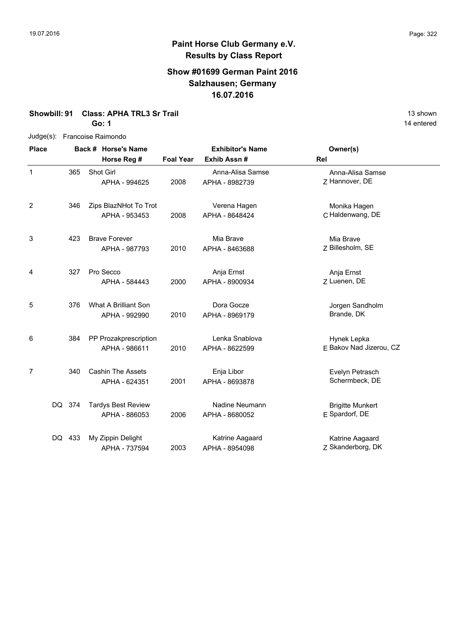### **Show #01699 German Paint 2016 Salzhausen; Germany 16.07.2016**

**Showbill: 91 Class: APHA TRL3 Sr Trail** 13 shown

Judge(s): Francoise Raimondo

**Go: 1**

| <b>Place</b>   |        | Back # Horse's Name |                           |                  | <b>Exhibitor's Name</b><br>Exhib Assn# | Owner(s)                |
|----------------|--------|---------------------|---------------------------|------------------|----------------------------------------|-------------------------|
|                |        |                     | Horse Reg #               | <b>Foal Year</b> |                                        | Rel                     |
| 1              |        | 365                 | Shot Girl                 |                  | Anna-Alisa Samse                       | Anna-Alisa Samse        |
|                |        |                     | APHA - 994625             | 2008             | APHA - 8982739                         | Z Hannover, DE          |
| $\overline{2}$ |        | 346                 | Zips BlazNHot To Trot     |                  | Verena Hagen                           | Monika Hagen            |
|                |        |                     | APHA - 953453             | 2008             | APHA - 8648424                         | C Haldenwang, DE        |
| 3              |        | 423                 | <b>Brave Forever</b>      |                  | Mia Brave                              | Mia Brave               |
|                |        |                     | APHA - 987793             | 2010             | APHA - 8463688                         | Z Billesholm, SE        |
| 4              |        | 327                 | Pro Secco                 |                  | Anja Ernst                             | Anja Ernst              |
|                |        |                     | APHA - 584443             | 2000             | APHA - 8900934                         | Z Luenen, DE            |
| 5              |        | 376                 | What A Brilliant Son      |                  | Dora Gocze                             | Jorgen Sandholm         |
|                |        |                     | APHA - 992990             | 2010             | APHA - 8969179                         | Brande, DK              |
| 6              |        | 384                 | PP Prozakprescription     |                  | Lenka Snablova                         | Hynek Lepka             |
|                |        |                     | APHA - 986611             | 2010             | APHA - 8622599                         | E Bakov Nad Jizerou, CZ |
| 7              |        | 340                 | <b>Cashin The Assets</b>  |                  | Enja Libor                             | Evelyn Petrasch         |
|                |        |                     | APHA - 624351             | 2001             | APHA - 8693878                         | Schermbeck, DE          |
|                | DQ 374 |                     | <b>Tardys Best Review</b> |                  | Nadine Neumann                         | <b>Brigitte Munkert</b> |
|                |        |                     | APHA - 886053             | 2006             | APHA - 8680052                         | E Spardorf, DE          |
|                | DQ 433 |                     | My Zippin Delight         |                  | Katrine Aagaard                        | Katrine Aagaard         |
|                |        |                     | APHA - 737594             | 2003             | APHA - 8954098                         | Z Skanderborg, DK       |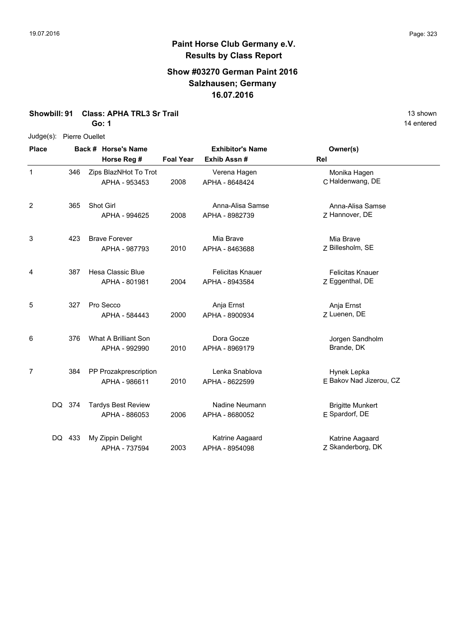### **Show #03270 German Paint 2016 Salzhausen; Germany 16.07.2016**

**Showbill: 91 Class: APHA TRL3 Sr Trail** 13 shown

**Go: 1**

Judge(s): Pierre Ouellet

| <b>Place</b> |        |     | Back # Horse's Name<br>Horse Reg #         | <b>Foal Year</b> | <b>Exhibitor's Name</b><br>Exhib Assn#    | Owner(s)<br>Rel                            |  |
|--------------|--------|-----|--------------------------------------------|------------------|-------------------------------------------|--------------------------------------------|--|
| 1            |        | 346 | Zips BlazNHot To Trot<br>APHA - 953453     | 2008             | Verena Hagen<br>APHA - 8648424            | Monika Hagen<br>C Haldenwang, DE           |  |
| 2            |        | 365 | Shot Girl<br>APHA - 994625                 | 2008             | Anna-Alisa Samse<br>APHA - 8982739        | Anna-Alisa Samse<br>Z Hannover, DE         |  |
| 3            |        | 423 | <b>Brave Forever</b><br>APHA - 987793      | 2010             | Mia Brave<br>APHA - 8463688               | Mia Brave<br>Z Billesholm, SE              |  |
| 4            |        | 387 | <b>Hesa Classic Blue</b><br>APHA - 801981  | 2004             | <b>Felicitas Knauer</b><br>APHA - 8943584 | <b>Felicitas Knauer</b><br>Z Eggenthal, DE |  |
| 5            |        | 327 | Pro Secco<br>APHA - 584443                 | 2000             | Anja Ernst<br>APHA - 8900934              | Anja Ernst<br>Z Luenen, DE                 |  |
| 6            |        | 376 | What A Brilliant Son<br>APHA - 992990      | 2010             | Dora Gocze<br>APHA - 8969179              | Jorgen Sandholm<br>Brande, DK              |  |
| 7            |        | 384 | PP Prozakprescription<br>APHA - 986611     | 2010             | Lenka Snablova<br>APHA - 8622599          | Hynek Lepka<br>E Bakov Nad Jizerou, CZ     |  |
|              | DQ 374 |     | <b>Tardys Best Review</b><br>APHA - 886053 | 2006             | Nadine Neumann<br>APHA - 8680052          | <b>Brigitte Munkert</b><br>E Spardorf, DE  |  |
|              | DQ.    | 433 | My Zippin Delight<br>APHA - 737594         | 2003             | Katrine Aagaard<br>APHA - 8954098         | Katrine Aagaard<br>Z Skanderborg, DK       |  |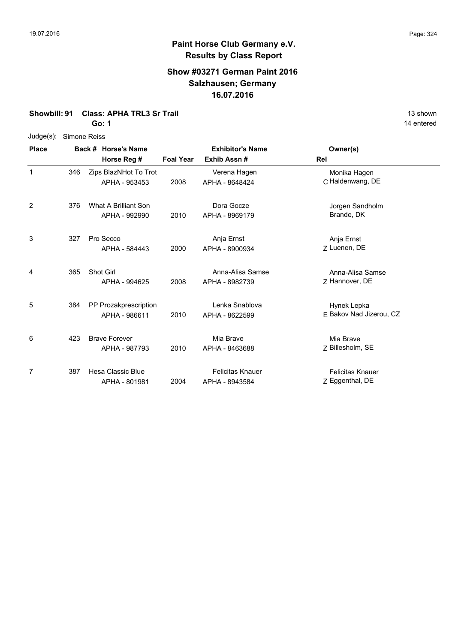### **Show #03271 German Paint 2016 Salzhausen; Germany 16.07.2016**

**Showbill: 91 Class: APHA TRL3 Sr Trail** 13 shown

**Go: 1**

Judge(s): Simone Reiss

| <b>Place</b> |     | Back # Horse's Name                    |                  | <b>Exhibitor's Name</b>                   | Owner(s)                                   |
|--------------|-----|----------------------------------------|------------------|-------------------------------------------|--------------------------------------------|
|              |     | Horse Reg #                            | <b>Foal Year</b> | Exhib Assn#                               | Rel                                        |
| 1            | 346 | Zips BlazNHot To Trot<br>APHA - 953453 | 2008             | Verena Hagen<br>APHA - 8648424            | Monika Hagen<br>C Haldenwang, DE           |
| 2            | 376 | What A Brilliant Son<br>APHA - 992990  | 2010             | Dora Gocze<br>APHA - 8969179              | Jorgen Sandholm<br>Brande, DK              |
| 3            | 327 | Pro Secco<br>APHA - 584443             | 2000             | Anja Ernst<br>APHA - 8900934              | Anja Ernst<br>Z Luenen, DE                 |
| 4            | 365 | Shot Girl<br>APHA - 994625             | 2008             | Anna-Alisa Samse<br>APHA - 8982739        | Anna-Alisa Samse<br>7 Hannover, DE         |
| 5            | 384 | PP Prozakprescription<br>APHA - 986611 | 2010             | Lenka Snablova<br>APHA - 8622599          | Hynek Lepka<br>F Bakov Nad Jizerou, CZ     |
| 6            | 423 | <b>Brave Forever</b><br>APHA - 987793  | 2010             | Mia Brave<br>APHA - 8463688               | Mia Brave<br>Z Billesholm, SE              |
| 7            | 387 | Hesa Classic Blue<br>APHA - 801981     | 2004             | <b>Felicitas Knauer</b><br>APHA - 8943584 | <b>Felicitas Knauer</b><br>Z Eggenthal, DE |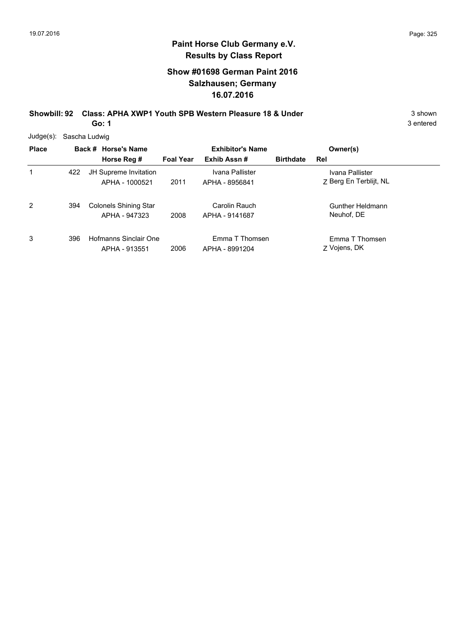# **Show #01698 German Paint 2016 Salzhausen; Germany 16.07.2016**

**Showbill: 92 Class: APHA XWP1 Youth SPB Western Pleasure 18 & Under** 3 Shown 3 shown **Go: 1**

3 entered

Judge(s): Sascha Ludwig

| <b>Place</b> |     | Back # Horse's Name                           |                  | <b>Exhibitor's Name</b>           |                  | Owner(s)                                  |
|--------------|-----|-----------------------------------------------|------------------|-----------------------------------|------------------|-------------------------------------------|
|              |     | Horse Reg #                                   | <b>Foal Year</b> | Exhib Assn#                       | <b>Birthdate</b> | Rel                                       |
| 1            | 422 | JH Supreme Invitation<br>APHA - 1000521       | 2011             | Ivana Pallister<br>APHA - 8956841 |                  | Ivana Pallister<br>Z Berg En Terblijt, NL |
| 2            | 394 | <b>Colonels Shining Star</b><br>APHA - 947323 | 2008             | Carolin Rauch<br>APHA - 9141687   |                  | Gunther Heldmann<br>Neuhof, DE            |
| 3            | 396 | Hofmanns Sinclair One<br>APHA - 913551        | 2006             | Emma T Thomsen<br>APHA - 8991204  |                  | Emma T Thomsen<br>Z Vojens, DK            |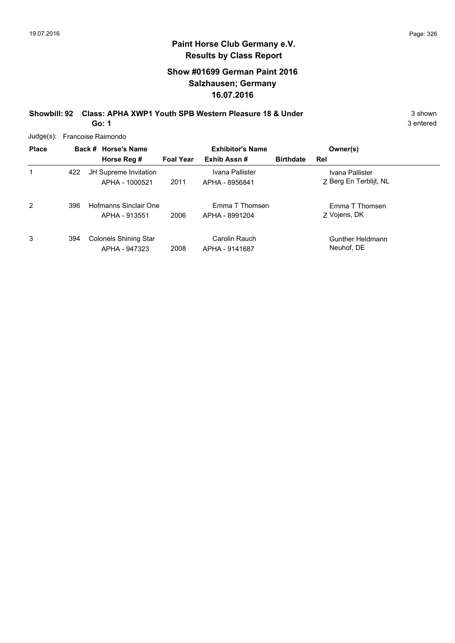# **Show #01699 German Paint 2016 Salzhausen; Germany 16.07.2016**

**Showbill: 92 Class: APHA XWP1 Youth SPB Western Pleasure 18 & Under** 3 Shown 3 shown **Go: 1**

3 entered

Judge(s): Francoise Raimondo

| <b>Place</b> |     | Back # Horse's Name<br>Horse Reg #            | <b>Foal Year</b> | <b>Exhibitor's Name</b><br>Exhib Assn# | <b>Birthdate</b> | Owner(s)<br>Rel                           |  |
|--------------|-----|-----------------------------------------------|------------------|----------------------------------------|------------------|-------------------------------------------|--|
| 1            | 422 | JH Supreme Invitation<br>APHA - 1000521       | 2011             | Ivana Pallister<br>APHA - 8956841      |                  | Ivana Pallister<br>Z Berg En Terblijt, NL |  |
| 2            | 396 | Hofmanns Sinclair One<br>APHA - 913551        | 2006             | Emma T Thomsen<br>APHA - 8991204       |                  | Emma T Thomsen<br>Z Vojens, DK            |  |
| 3            | 394 | <b>Colonels Shining Star</b><br>APHA - 947323 | 2008             | Carolin Rauch<br>APHA - 9141687        |                  | Gunther Heldmann<br>Neuhof, DE            |  |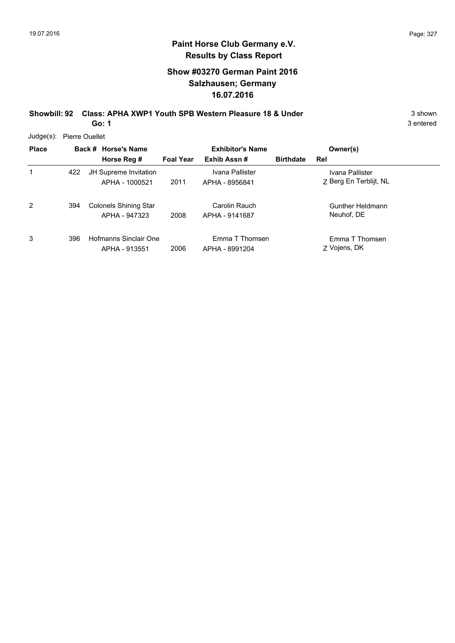3 entered

# **Paint Horse Club Germany e.V. Results by Class Report**

# **Show #03270 German Paint 2016 Salzhausen; Germany 16.07.2016**

**Showbill: 92 Class: APHA XWP1 Youth SPB Western Pleasure 18 & Under** 3 Shown 3 shown

**Go: 1**

Judge(s): Pierre Ouellet

| <b>Place</b> |     | Back # Horse's Name<br>Horse Reg #            | <b>Foal Year</b> | <b>Exhibitor's Name</b><br>Exhib Assn# | <b>Birthdate</b> | Owner(s)<br>Rel                           |  |
|--------------|-----|-----------------------------------------------|------------------|----------------------------------------|------------------|-------------------------------------------|--|
|              | 422 | JH Supreme Invitation<br>APHA - 1000521       | 2011             | Ivana Pallister<br>APHA - 8956841      |                  | Ivana Pallister<br>Z Berg En Terblijt, NL |  |
| 2            | 394 | <b>Colonels Shining Star</b><br>APHA - 947323 | 2008             | Carolin Rauch<br>APHA - 9141687        |                  | Gunther Heldmann<br>Neuhof, DE            |  |
| 3            | 396 | Hofmanns Sinclair One<br>APHA - 913551        | 2006             | Emma T Thomsen<br>APHA - 8991204       |                  | Emma T Thomsen<br>Z Vojens, DK            |  |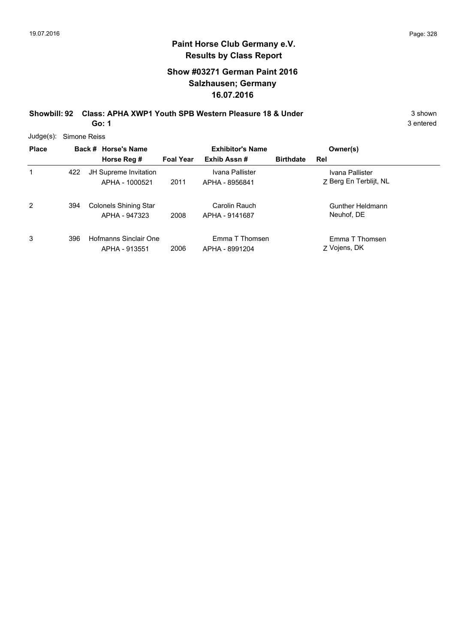# **Show #03271 German Paint 2016 Salzhausen; Germany 16.07.2016**

**Showbill: 92 Class: APHA XWP1 Youth SPB Western Pleasure 18 & Under** 3 Shown 3 shown **Go: 1**

3 entered

Judge(s): Simone Reiss

| <b>Place</b> |     | Back # Horse's Name<br>Horse Reg #            | <b>Foal Year</b> | <b>Exhibitor's Name</b><br>Exhib Assn# | <b>Birthdate</b> | Owner(s)<br>Rel                           |
|--------------|-----|-----------------------------------------------|------------------|----------------------------------------|------------------|-------------------------------------------|
| 1            | 422 | JH Supreme Invitation<br>APHA - 1000521       | 2011             | Ivana Pallister<br>APHA - 8956841      |                  | Ivana Pallister<br>Z Berg En Terblijt, NL |
| 2            | 394 | <b>Colonels Shining Star</b><br>APHA - 947323 | 2008             | Carolin Rauch<br>APHA - 9141687        |                  | Gunther Heldmann<br>Neuhof, DE            |
| 3            | 396 | Hofmanns Sinclair One<br>APHA - 913551        | 2006             | Emma T Thomsen<br>APHA - 8991204       |                  | Emma T Thomsen<br>Z Vojens, DK            |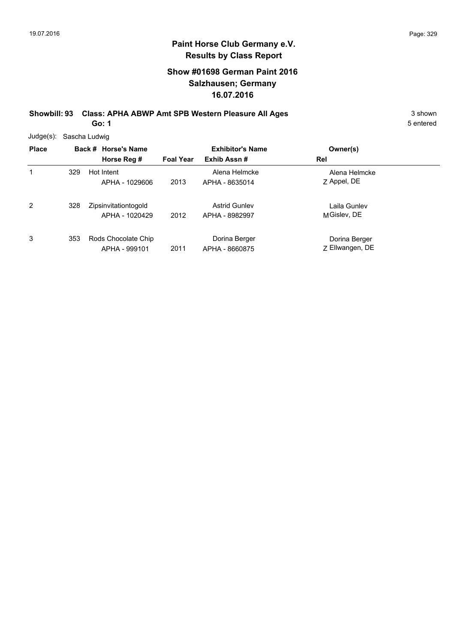# **Show #01698 German Paint 2016 Salzhausen; Germany 16.07.2016**

**Showbill: 93 Class: APHA ABWP Amt SPB Western Pleasure All Ages** 3 shown

**Go: 1**

| Judge(s): Sascha Ludwig |  |  |
|-------------------------|--|--|
|-------------------------|--|--|

| <b>Place</b>   |     | Back # Horse's Name<br>Horse Reg #     | <b>Foal Year</b> | <b>Exhibitor's Name</b><br>Exhib Assn# | Owner(s)<br>Rel                  |  |
|----------------|-----|----------------------------------------|------------------|----------------------------------------|----------------------------------|--|
| 1              | 329 | Hot Intent<br>APHA - 1029606           | 2013             | Alena Helmcke<br>APHA - 8635014        | Alena Helmcke<br>Z Appel, DE     |  |
| $\overline{2}$ | 328 | Zipsinvitationtogold<br>APHA - 1020429 | 2012             | <b>Astrid Gunley</b><br>APHA - 8982997 | Laila Gunlev<br>MGislev, DE      |  |
| 3              | 353 | Rods Chocolate Chip<br>APHA - 999101   | 2011             | Dorina Berger<br>APHA - 8660875        | Dorina Berger<br>Z Ellwangen, DE |  |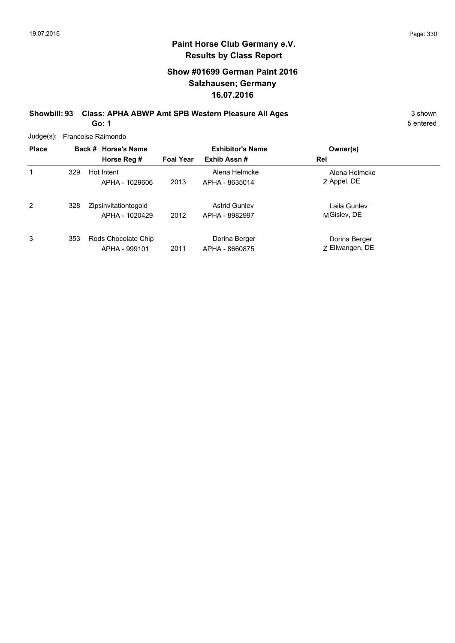# **Show #01699 German Paint 2016 Salzhausen; Germany 16.07.2016**

**Showbill: 93 Class: APHA ABWP Amt SPB Western Pleasure All Ages** 3 shown

**Go: 1**

| $Judge(s)$ : | Francoise Raimondo |  |                                        |                  |                                        |                                  |  |  |  |  |
|--------------|--------------------|--|----------------------------------------|------------------|----------------------------------------|----------------------------------|--|--|--|--|
| <b>Place</b> |                    |  | Back # Horse's Name                    |                  | <b>Exhibitor's Name</b>                | Owner(s)                         |  |  |  |  |
|              |                    |  | Horse Reg #                            | <b>Foal Year</b> | Exhib Assn#                            | Rel                              |  |  |  |  |
| 1            | 329                |  | Hot Intent<br>APHA - 1029606           | 2013             | Alena Helmcke<br>APHA - 8635014        | Alena Helmcke<br>Z Appel, DE     |  |  |  |  |
| 2            | 328                |  | Zipsinvitationtogold<br>APHA - 1020429 | 2012             | <b>Astrid Gunley</b><br>APHA - 8982997 | Laila Gunlev<br>MGislev, DE      |  |  |  |  |
| 3            | 353                |  | Rods Chocolate Chip<br>APHA - 999101   | 2011             | Dorina Berger<br>APHA - 8660875        | Dorina Berger<br>Z Ellwangen, DE |  |  |  |  |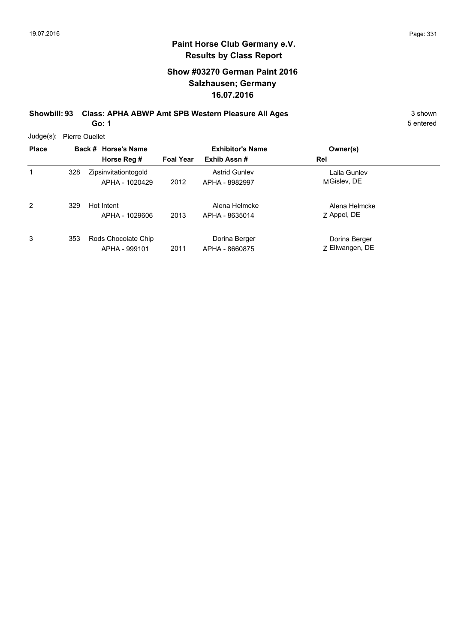# **Show #03270 German Paint 2016 Salzhausen; Germany 16.07.2016**

**Showbill: 93 Class: APHA ABWP Amt SPB Western Pleasure All Ages** 3 shown

**Go: 1**

5 entered

Judge(s): Pierre Ouellet

| <b>Place</b> |     | Back # Horse's Name<br>Horse Reg #     | <b>Foal Year</b> | <b>Exhibitor's Name</b><br>Exhib Assn# | Owner(s)<br>Rel                  |  |
|--------------|-----|----------------------------------------|------------------|----------------------------------------|----------------------------------|--|
| 1            | 328 | Zipsinvitationtogold<br>APHA - 1020429 | 2012             | <b>Astrid Gunley</b><br>APHA - 8982997 | Laila Gunlev<br>MGislev, DE      |  |
| 2            | 329 | Hot Intent<br>APHA - 1029606           | 2013             | Alena Helmcke<br>APHA - 8635014        | Alena Helmcke<br>Z Appel, DE     |  |
| 3            | 353 | Rods Chocolate Chip<br>APHA - 999101   | 2011             | Dorina Berger<br>APHA - 8660875        | Dorina Berger<br>Z Ellwangen, DE |  |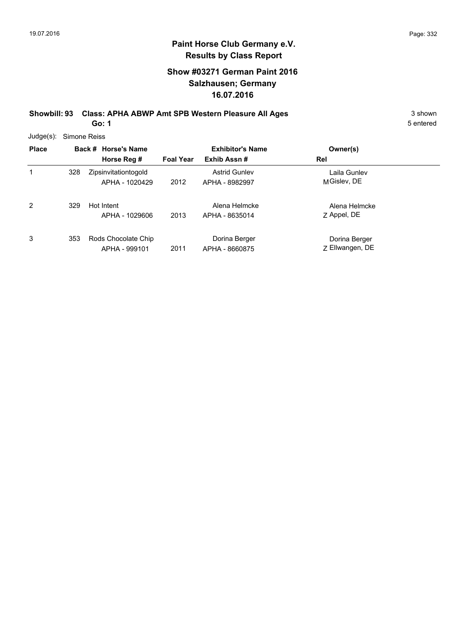# **Show #03271 German Paint 2016 Salzhausen; Germany 16.07.2016**

**Showbill: 93 Class: APHA ABWP Amt SPB Western Pleasure All Ages** 3 shown 3 shown

**Go: 1**

| $Judge(s)$ : | Simone Reiss |                                        |                  |                                        |                                  |  |  |  |  |
|--------------|--------------|----------------------------------------|------------------|----------------------------------------|----------------------------------|--|--|--|--|
| <b>Place</b> |              | Back # Horse's Name                    |                  | <b>Exhibitor's Name</b>                | Owner(s)                         |  |  |  |  |
|              |              | Horse Reg #                            | <b>Foal Year</b> | Exhib Assn#                            | Rel                              |  |  |  |  |
| 1            | 328          | Zipsinvitationtogold<br>APHA - 1020429 | 2012             | <b>Astrid Gunley</b><br>APHA - 8982997 | Laila Gunlev<br>MGislev, DE      |  |  |  |  |
| 2            | 329          | Hot Intent<br>APHA - 1029606           | 2013             | Alena Helmcke<br>APHA - 8635014        | Alena Helmcke<br>Z Appel, DE     |  |  |  |  |
| 3            | 353          | Rods Chocolate Chip<br>APHA - 999101   | 2011             | Dorina Berger<br>APHA - 8660875        | Dorina Berger<br>Z Ellwangen, DE |  |  |  |  |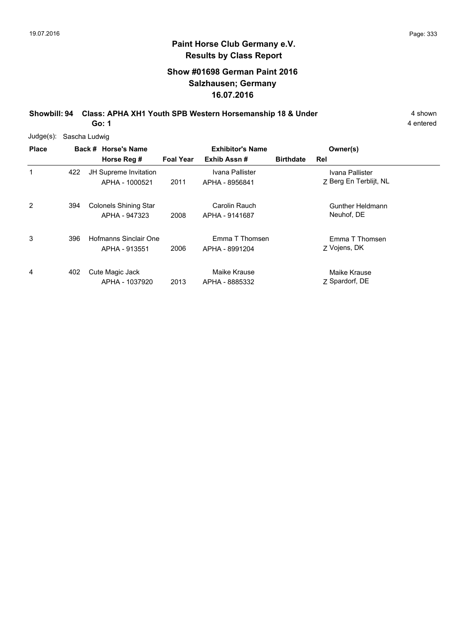# **Show #01698 German Paint 2016 Salzhausen; Germany 16.07.2016**

**Showbill: 94 Class: APHA XH1 Youth SPB Western Horsemanship 18 & Under** 4 shown **Go: 1**

4 entered

Judge(s): Sascha Ludwig

| <b>Place</b> |     | Back # Horse's Name<br>Horse Reg #            | <b>Foal Year</b> | <b>Exhibitor's Name</b><br>Exhib Assn# | <b>Birthdate</b> | Owner(s)<br>Rel                           |
|--------------|-----|-----------------------------------------------|------------------|----------------------------------------|------------------|-------------------------------------------|
| 1            | 422 | JH Supreme Invitation<br>APHA - 1000521       | 2011             | Ivana Pallister<br>APHA - 8956841      |                  | Ivana Pallister<br>Z Berg En Terblijt, NL |
| 2            | 394 | <b>Colonels Shining Star</b><br>APHA - 947323 | 2008             | Carolin Rauch<br>APHA - 9141687        |                  | Gunther Heldmann<br>Neuhof, DE            |
| 3            | 396 | Hofmanns Sinclair One<br>APHA - 913551        | 2006             | Emma T Thomsen<br>APHA - 8991204       |                  | Emma T Thomsen<br>Z Vojens, DK            |
| 4            | 402 | Cute Magic Jack<br>APHA - 1037920             | 2013             | Maike Krause<br>APHA - 8885332         |                  | Maike Krause<br>Z Spardorf, DE            |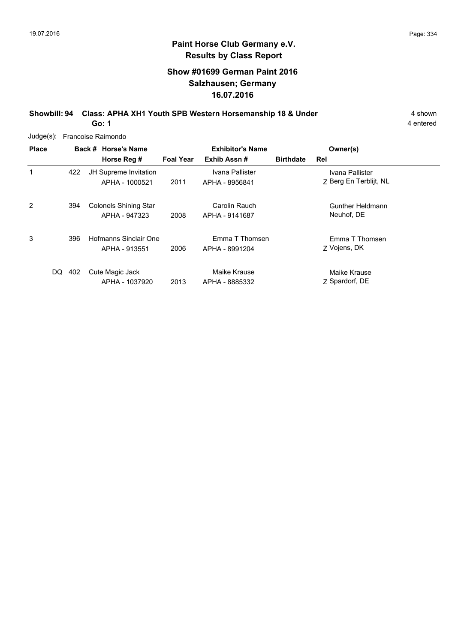# **Show #01699 German Paint 2016 Salzhausen; Germany 16.07.2016**

**Showbill: 94 Class: APHA XH1 Youth SPB Western Horsemanship 18 & Under** 4 shown **Go: 1**

4 entered

Judge(s): Francoise Raimondo

| <b>Place</b> |     | Back # Horse's Name          |                  | <b>Exhibitor's Name</b> |                  | Owner(s)               |
|--------------|-----|------------------------------|------------------|-------------------------|------------------|------------------------|
|              |     | Horse Reg #                  | <b>Foal Year</b> | Exhib Assn#             | <b>Birthdate</b> | Rel                    |
| 1            | 422 | JH Supreme Invitation        |                  | Ivana Pallister         |                  | Ivana Pallister        |
|              |     | APHA - 1000521               | 2011             | APHA - 8956841          |                  | Z Berg En Terblijt, NL |
| 2            | 394 | <b>Colonels Shining Star</b> |                  | Carolin Rauch           |                  | Gunther Heldmann       |
|              |     | APHA - 947323                | 2008             | APHA - 9141687          |                  | Neuhof, DE             |
| 3            | 396 | Hofmanns Sinclair One        |                  | Emma T Thomsen          |                  | Emma T Thomsen         |
|              |     | APHA - 913551                | 2006             | APHA - 8991204          |                  | Z Vojens, DK           |
| DQ.          | 402 | Cute Magic Jack              |                  | Maike Krause            |                  | Maike Krause           |
|              |     | APHA - 1037920               | 2013             | APHA - 8885332          |                  | Z Spardorf, DE         |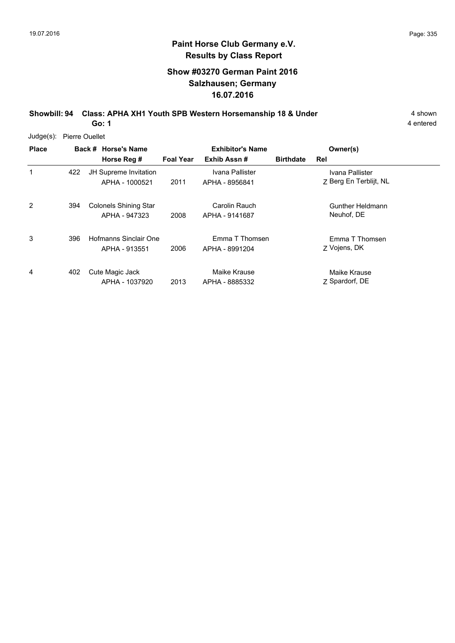4 entered

# **Paint Horse Club Germany e.V. Results by Class Report**

# **Show #03270 German Paint 2016 Salzhausen; Germany 16.07.2016**

**Showbill: 94 Class: APHA XH1 Youth SPB Western Horsemanship 18 & Under** 4 shown **Go: 1**

Judge(s): Pierre Ouellet

| <b>Place</b> |     | Back # Horse's Name<br>Horse Reg #            | <b>Foal Year</b> | <b>Exhibitor's Name</b><br>Exhib Assn# | <b>Birthdate</b> | Owner(s)<br>Rel                           |
|--------------|-----|-----------------------------------------------|------------------|----------------------------------------|------------------|-------------------------------------------|
| 1            | 422 | JH Supreme Invitation<br>APHA - 1000521       | 2011             | Ivana Pallister<br>APHA - 8956841      |                  | Ivana Pallister<br>Z Berg En Terblijt, NL |
| 2            | 394 | <b>Colonels Shining Star</b><br>APHA - 947323 | 2008             | Carolin Rauch<br>APHA - 9141687        |                  | Gunther Heldmann<br>Neuhof, DE            |
| 3            | 396 | Hofmanns Sinclair One<br>APHA - 913551        | 2006             | Emma T Thomsen<br>APHA - 8991204       |                  | Emma T Thomsen<br>Z Vojens, DK            |
| 4            | 402 | Cute Magic Jack<br>APHA - 1037920             | 2013             | Maike Krause<br>APHA - 8885332         |                  | Maike Krause<br>Z Spardorf, DE            |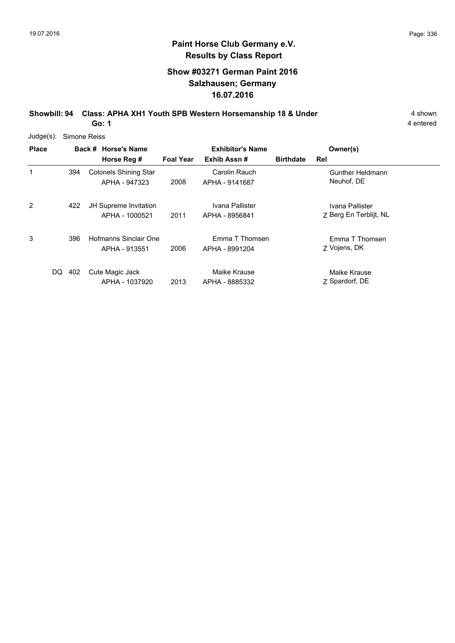# **Show #03271 German Paint 2016 Salzhausen; Germany 16.07.2016**

**Showbill: 94 Class: APHA XH1 Youth SPB Western Horsemanship 18 & Under** 4 shown **Go: 1**

4 entered

Judge(s): Simone Reiss

| <b>Place</b> |     | Back # Horse's Name<br>Horse Reg #            | <b>Foal Year</b> | <b>Exhibitor's Name</b><br>Exhib Assn# | <b>Birthdate</b> | Owner(s)<br>Rel                           |
|--------------|-----|-----------------------------------------------|------------------|----------------------------------------|------------------|-------------------------------------------|
| 1            | 394 | <b>Colonels Shining Star</b><br>APHA - 947323 | 2008             | Carolin Rauch<br>APHA - 9141687        |                  | Gunther Heldmann<br>Neuhof, DE            |
| 2            | 422 | JH Supreme Invitation<br>APHA - 1000521       | 2011             | Ivana Pallister<br>APHA - 8956841      |                  | Ivana Pallister<br>Z Berg En Terblijt, NL |
| 3            | 396 | Hofmanns Sinclair One<br>APHA - 913551        | 2006             | Emma T Thomsen<br>APHA - 8991204       |                  | Emma T Thomsen<br>Z Vojens, DK            |
| DQ.          | 402 | Cute Magic Jack<br>APHA - 1037920             | 2013             | Maike Krause<br>APHA - 8885332         |                  | Maike Krause<br>Z Spardorf, DE            |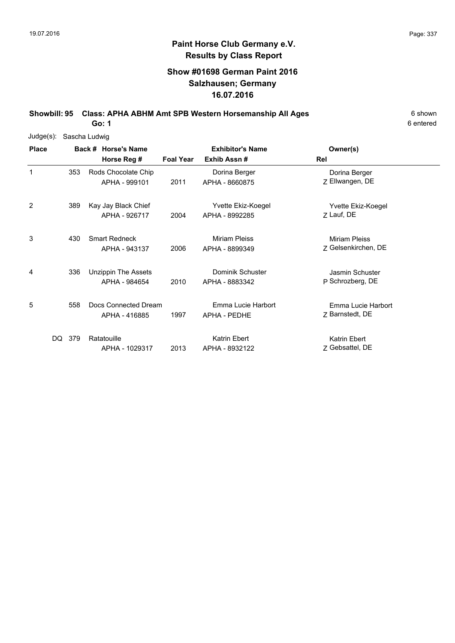# **Show #01698 German Paint 2016 Salzhausen; Germany 16.07.2016**

**Showbill: 95 Class: APHA ABHM Amt SPB Western Horsemanship All Ages** 6 Shown

6 entered

**Go: 1**

| Judge(s):    |            | Sascha Ludwig                         |                  |                                        |                                       |
|--------------|------------|---------------------------------------|------------------|----------------------------------------|---------------------------------------|
| <b>Place</b> |            | Back # Horse's Name                   |                  | <b>Exhibitor's Name</b>                | Owner(s)                              |
|              |            | Horse Reg #                           | <b>Foal Year</b> | Exhib Assn#                            | Rel                                   |
| 1            | 353        | Rods Chocolate Chip<br>APHA - 999101  | 2011             | Dorina Berger<br>APHA - 8660875        | Dorina Berger<br>Z Ellwangen, DE      |
| 2            | 389        | Kay Jay Black Chief<br>APHA - 926717  | 2004             | Yvette Ekiz-Koegel<br>APHA - 8992285   | Yvette Ekiz-Koegel<br>Z Lauf, DE      |
| 3            | 430        | <b>Smart Redneck</b><br>APHA - 943137 | 2006             | <b>Miriam Pleiss</b><br>APHA - 8899349 | Miriam Pleiss<br>Z Gelsenkirchen, DE  |
| 4            | 336        | Unzippin The Assets<br>APHA - 984654  | 2010             | Dominik Schuster<br>APHA - 8883342     | Jasmin Schuster<br>P Schrozberg, DE   |
| 5            | 558        | Docs Connected Dream<br>APHA - 416885 | 1997             | Emma Lucie Harbort<br>APHA - PEDHE     | Emma Lucie Harbort<br>Z Barnstedt, DE |
|              | DQ.<br>379 | Ratatouille<br>APHA - 1029317         | 2013             | Katrin Ebert<br>APHA - 8932122         | Katrin Ebert<br>Z Gebsattel, DE       |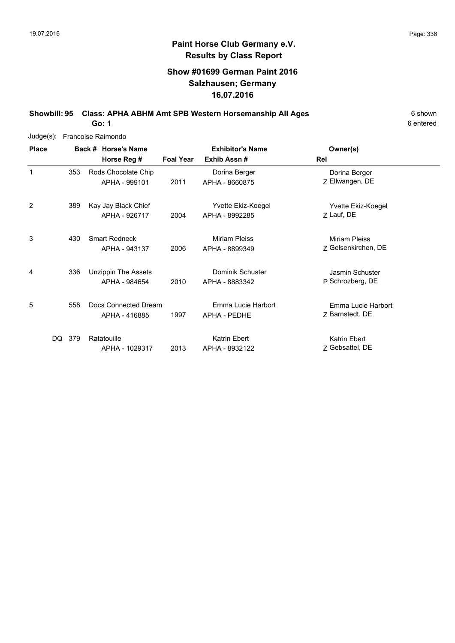# **Show #01699 German Paint 2016 Salzhausen; Germany 16.07.2016**

**Showbill: 95 Class: APHA ABHM Amt SPB Western Horsemanship All Ages** 6 Shown

6 entered

**Go: 1**

| Judge(s):    |            | Francoise Raimondo                          |                  |                                        |                                             |
|--------------|------------|---------------------------------------------|------------------|----------------------------------------|---------------------------------------------|
| <b>Place</b> |            | Back # Horse's Name                         |                  | <b>Exhibitor's Name</b>                | Owner(s)                                    |
|              |            | Horse Reg #                                 | <b>Foal Year</b> | Exhib Assn#                            | Rel                                         |
| 1            | 353        | Rods Chocolate Chip<br>APHA - 999101        | 2011             | Dorina Berger<br>APHA - 8660875        | Dorina Berger<br>Z Ellwangen, DE            |
| 2            | 389        | Kay Jay Black Chief<br>APHA - 926717        | 2004             | Yvette Ekiz-Koegel<br>APHA - 8992285   | Yvette Ekiz-Koegel<br>Z Lauf, DE            |
| 3            | 430        | <b>Smart Redneck</b><br>APHA - 943137       | 2006             | <b>Miriam Pleiss</b><br>APHA - 8899349 | <b>Miriam Pleiss</b><br>Z Gelsenkirchen, DE |
| 4            | 336        | <b>Unzippin The Assets</b><br>APHA - 984654 | 2010             | Dominik Schuster<br>APHA - 8883342     | Jasmin Schuster<br>P Schrozberg, DE         |
| 5            | 558        | Docs Connected Dream<br>APHA - 416885       | 1997             | Emma Lucie Harbort<br>APHA - PEDHE     | Emma Lucie Harbort<br>Z Barnstedt, DE       |
|              | DQ.<br>379 | Ratatouille<br>APHA - 1029317               | 2013             | Katrin Ebert<br>APHA - 8932122         | Katrin Ebert<br>Z Gebsattel, DE             |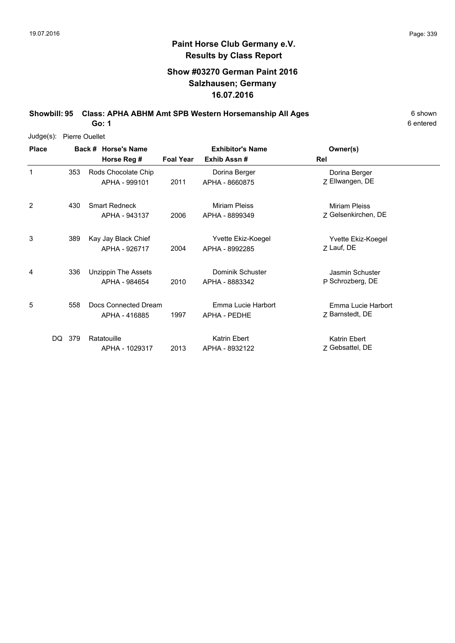# **Show #03270 German Paint 2016 Salzhausen; Germany 16.07.2016**

**Showbill: 95 Class: APHA ABHM Amt SPB Western Horsemanship All Ages** 6 Shown **Go: 1**

6 entered

Judge(s): Pierre Ouellet

| <b>Place</b> |        | Back # Horse's Name                   |                  | <b>Exhibitor's Name</b>              | Owner(s)                                    |  |
|--------------|--------|---------------------------------------|------------------|--------------------------------------|---------------------------------------------|--|
|              |        | Horse Reg #                           | <b>Foal Year</b> | Exhib Assn#                          | Rel                                         |  |
| 1            | 353    | Rods Chocolate Chip<br>APHA - 999101  | 2011             | Dorina Berger<br>APHA - 8660875      | Dorina Berger<br>Z Ellwangen, DE            |  |
| 2            | 430    | <b>Smart Redneck</b><br>APHA - 943137 | 2006             | Miriam Pleiss<br>APHA - 8899349      | <b>Miriam Pleiss</b><br>Z Gelsenkirchen, DE |  |
| 3            | 389    | Kay Jay Black Chief<br>APHA - 926717  | 2004             | Yvette Ekiz-Koegel<br>APHA - 8992285 | Yvette Ekiz-Koegel<br>Z Lauf, DE            |  |
| 4            | 336    | Unzippin The Assets<br>APHA - 984654  | 2010             | Dominik Schuster<br>APHA - 8883342   | Jasmin Schuster<br>P Schrozberg, DE         |  |
| 5            | 558    | Docs Connected Dream<br>APHA - 416885 | 1997             | Emma Lucie Harbort<br>APHA - PEDHE   | Emma Lucie Harbort<br>Z Barnstedt, DE       |  |
|              | DQ 379 | Ratatouille<br>APHA - 1029317         | 2013             | Katrin Ebert<br>APHA - 8932122       | Katrin Ebert<br>Z Gebsattel, DE             |  |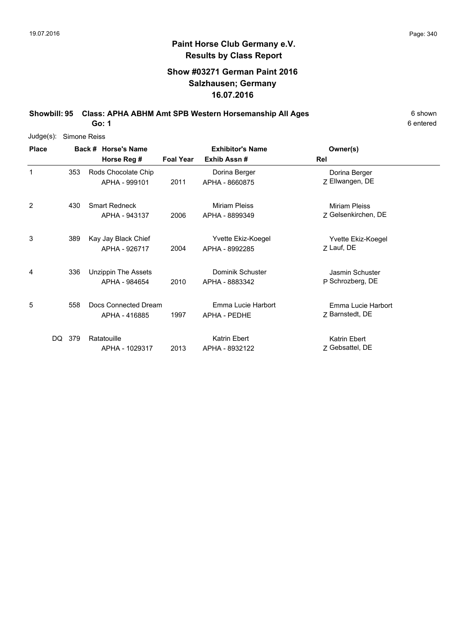# **Show #03271 German Paint 2016 Salzhausen; Germany 16.07.2016**

**Showbill: 95 Class: APHA ABHM Amt SPB Western Horsemanship All Ages** 6 Shown

6 entered

**Go: 1**

| Judge(s):      | Simone Reiss |                                             |                  |                                        |                                             |
|----------------|--------------|---------------------------------------------|------------------|----------------------------------------|---------------------------------------------|
| <b>Place</b>   |              | Back # Horse's Name                         |                  | <b>Exhibitor's Name</b>                | Owner(s)                                    |
|                |              | Horse Reg #                                 | <b>Foal Year</b> | Exhib Assn#                            | Rel                                         |
| 1              | 353          | Rods Chocolate Chip<br>APHA - 999101        | 2011             | Dorina Berger<br>APHA - 8660875        | Dorina Berger<br>Z Ellwangen, DE            |
| $\overline{2}$ | 430          | <b>Smart Redneck</b><br>APHA - 943137       | 2006             | <b>Miriam Pleiss</b><br>APHA - 8899349 | <b>Miriam Pleiss</b><br>Z Gelsenkirchen, DE |
| 3              | 389          | Kay Jay Black Chief<br>APHA - 926717        | 2004             | Yvette Ekiz-Koegel<br>APHA - 8992285   | Yvette Ekiz-Koegel<br>Z Lauf, DE            |
| 4              | 336          | <b>Unzippin The Assets</b><br>APHA - 984654 | 2010             | Dominik Schuster<br>APHA - 8883342     | Jasmin Schuster<br>P Schrozberg, DE         |
| 5              | 558          | Docs Connected Dream<br>APHA - 416885       | 1997             | Emma Lucie Harbort<br>APHA - PEDHE     | Emma Lucie Harbort<br>Z Barnstedt, DE       |
|                | DQ<br>379    | Ratatouille<br>APHA - 1029317               | 2013             | Katrin Ebert<br>APHA - 8932122         | Katrin Ebert<br>Z Gebsattel, DE             |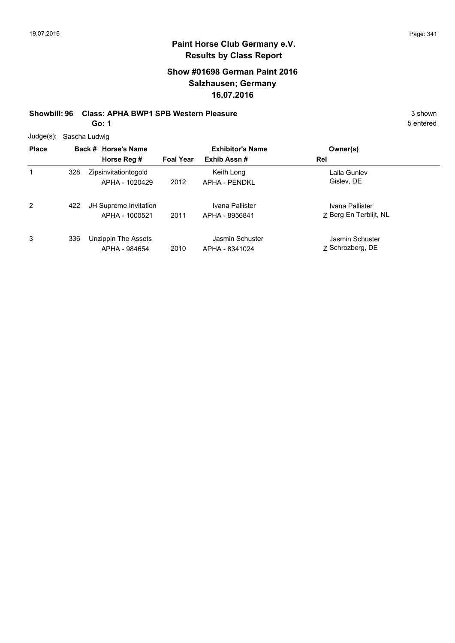# **Show #01698 German Paint 2016 Salzhausen; Germany 16.07.2016**

### **Showbill: 96 Class: APHA BWP1 SPB Western Pleasure** 3 shown

**Go: 1**

5 entered

Judge(s): Sascha Ludwig

| <b>Place</b> |     | Back # Horse's Name<br>Horse Reg #      | <b>Foal Year</b> | <b>Exhibitor's Name</b><br>Exhib Assn# | Owner(s)<br>Rel                           |
|--------------|-----|-----------------------------------------|------------------|----------------------------------------|-------------------------------------------|
| 1            | 328 | Zipsinvitationtogold<br>APHA - 1020429  | 2012             | Keith Long<br><b>APHA - PENDKL</b>     | Laila Gunlev<br>Gislev, DE                |
| 2            | 422 | JH Supreme Invitation<br>APHA - 1000521 | 2011             | Ivana Pallister<br>APHA - 8956841      | Ivana Pallister<br>Z Berg En Terblijt, NL |
| 3            | 336 | Unzippin The Assets<br>APHA - 984654    | 2010             | Jasmin Schuster<br>APHA - 8341024      | Jasmin Schuster<br>Z Schrozberg, DE       |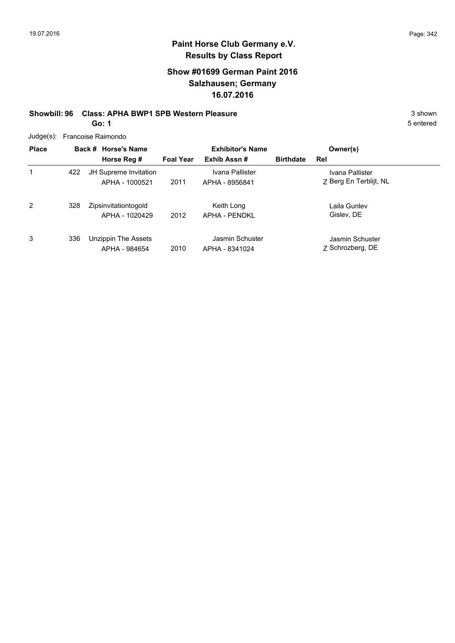# **Show #01699 German Paint 2016 Salzhausen; Germany 16.07.2016**

# **Showbill: 96 Class: APHA BWP1 SPB Western Pleasure** 3 Shown 3 shown

**Go: 1**

5 entered

Judge(s): Francoise Raimondo

| <b>Place</b> |     | Back # Horse's Name                     |                  | <b>Exhibitor's Name</b>            |                  | Owner(s)                                  |
|--------------|-----|-----------------------------------------|------------------|------------------------------------|------------------|-------------------------------------------|
|              |     | Horse Reg #                             | <b>Foal Year</b> | Exhib Assn#                        | <b>Birthdate</b> | Rel                                       |
| 1            | 422 | JH Supreme Invitation<br>APHA - 1000521 | 2011             | Ivana Pallister<br>APHA - 8956841  |                  | Ivana Pallister<br>Z Berg En Terblijt, NL |
| 2            | 328 | Zipsinvitationtogold<br>APHA - 1020429  | 2012             | Keith Long<br><b>APHA - PENDKL</b> |                  | Laila Gunlev<br>Gislev. DE                |
| 3            | 336 | Unzippin The Assets<br>APHA - 984654    | 2010             | Jasmin Schuster<br>APHA - 8341024  |                  | Jasmin Schuster<br>Z Schrozberg, DE       |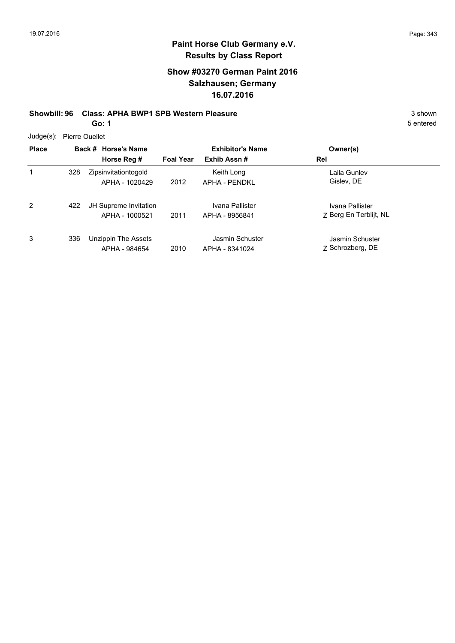# **Show #03270 German Paint 2016 Salzhausen; Germany 16.07.2016**

### **Showbill: 96 Class: APHA BWP1 SPB Western Pleasure** 3 shown

**Go: 1**

Judge(s): Pierre Ouellet

|   |          | 5 entered |
|---|----------|-----------|
| ì | Owner(s) |           |
|   | Rel      |           |

| <b>Place</b> |     | Back # Horse's Name                     | <b>Exhibitor's Name</b> |                                   | Owner(s)                                  |  |
|--------------|-----|-----------------------------------------|-------------------------|-----------------------------------|-------------------------------------------|--|
|              |     | Horse Reg #                             | <b>Foal Year</b>        | Exhib Assn#                       | Rel                                       |  |
| 1            | 328 | Zipsinvitationtogold<br>APHA - 1020429  | 2012                    | Keith Long<br>APHA - PENDKL       | Laila Gunlev<br>Gislev, DE                |  |
| 2            | 422 | JH Supreme Invitation<br>APHA - 1000521 | 2011                    | Ivana Pallister<br>APHA - 8956841 | Ivana Pallister<br>Z Berg En Terblijt, NL |  |
| 3            | 336 | Unzippin The Assets<br>APHA - 984654    | 2010                    | Jasmin Schuster<br>APHA - 8341024 | Jasmin Schuster<br>7 Schrozberg, DE       |  |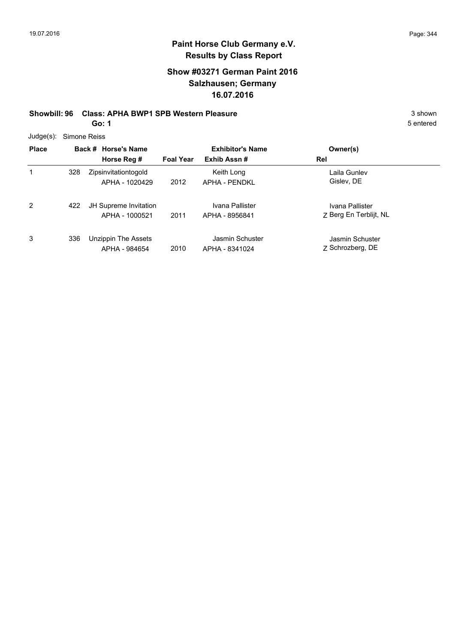# **Show #03271 German Paint 2016 Salzhausen; Germany 16.07.2016**

### **Showbill: 96 Class: APHA BWP1 SPB Western Pleasure** 3 Shown 3 shown

**Go: 1**

5 entered

Judge(s): Simone Reiss

| <b>Place</b> |     | Back # Horse's Name<br>Horse Reg #      | <b>Foal Year</b> | <b>Exhibitor's Name</b><br>Exhib Assn# | Owner(s)<br>Rel                           |
|--------------|-----|-----------------------------------------|------------------|----------------------------------------|-------------------------------------------|
|              | 328 | Zipsinvitationtogold<br>APHA - 1020429  | 2012             | Keith Long<br>APHA - PFNDKI            | Laila Gunlev<br>Gislev, DE                |
| 2            | 422 | JH Supreme Invitation<br>APHA - 1000521 | 2011             | Ivana Pallister<br>APHA - 8956841      | Ivana Pallister<br>Z Berg En Terblijt, NL |
| 3            | 336 | Unzippin The Assets<br>APHA - 984654    | 2010             | Jasmin Schuster<br>APHA - 8341024      | Jasmin Schuster<br>Z Schrozberg, DE       |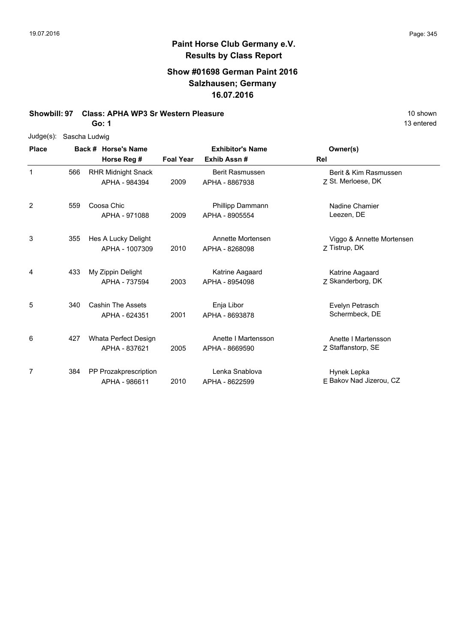13 entered

# **Paint Horse Club Germany e.V. Results by Class Report**

# **Show #01698 German Paint 2016 Salzhausen; Germany 16.07.2016**

#### **Showbill: 97 Class: APHA WP3 Sr Western Pleasure** 10 Shown 10 shown

**Go: 1**

| Judge(s): | Sascha Ludwig |  |
|-----------|---------------|--|
|-----------|---------------|--|

| <b>Place</b>   |     | Back # Horse's Name                        |                  | <b>Exhibitor's Name</b>               | Owner(s)                                    |
|----------------|-----|--------------------------------------------|------------------|---------------------------------------|---------------------------------------------|
|                |     | Horse Reg #                                | <b>Foal Year</b> | Exhib Assn#                           | Rel                                         |
| 1              | 566 | <b>RHR Midnight Snack</b><br>APHA - 984394 | 2009             | Berit Rasmussen<br>APHA - 8867938     | Berit & Kim Rasmussen<br>Z St. Merloese, DK |
| $\overline{2}$ | 559 | Coosa Chic<br>APHA - 971088                | 2009             | Phillipp Dammann<br>APHA - 8905554    | Nadine Chamier<br>Leezen, DE                |
| 3              | 355 | Hes A Lucky Delight<br>APHA - 1007309      | 2010             | Annette Mortensen<br>APHA - 8268098   | Viggo & Annette Mortensen<br>Z Tistrup, DK  |
| 4              | 433 | My Zippin Delight<br>APHA - 737594         | 2003             | Katrine Aagaard<br>APHA - 8954098     | Katrine Aagaard<br>Z Skanderborg, DK        |
| 5              | 340 | <b>Cashin The Assets</b><br>APHA - 624351  | 2001             | Enja Libor<br>APHA - 8693878          | Evelyn Petrasch<br>Schermbeck, DE           |
| 6              | 427 | Whata Perfect Design<br>APHA - 837621      | 2005             | Anette I Martensson<br>APHA - 8669590 | Anette I Martensson<br>Z Staffanstorp, SE   |
| 7              | 384 | PP Prozakprescription<br>APHA - 986611     | 2010             | Lenka Snablova<br>APHA - 8622599      | Hynek Lepka<br>E Bakov Nad Jizerou, CZ      |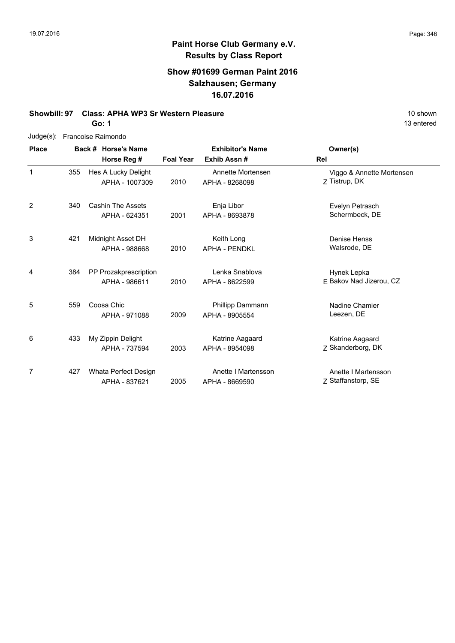# **Show #01699 German Paint 2016 Salzhausen; Germany 16.07.2016**

# **Showbill: 97 Class: APHA WP3 Sr Western Pleasure** 10 Shown 10 shown

**Go: 1**

| $Judge(s)$ : |     | Francoise Raimondo                     |                  |                                        |                                            |
|--------------|-----|----------------------------------------|------------------|----------------------------------------|--------------------------------------------|
| <b>Place</b> |     | Back # Horse's Name<br>Horse Reg #     | <b>Foal Year</b> | <b>Exhibitor's Name</b><br>Exhib Assn# | Owner(s)<br>Rel                            |
| 1            | 355 | Hes A Lucky Delight<br>APHA - 1007309  | 2010             | Annette Mortensen<br>APHA - 8268098    | Viggo & Annette Mortensen<br>Z Tistrup, DK |
| 2            | 340 | Cashin The Assets<br>APHA - 624351     | 2001             | Enja Libor<br>APHA - 8693878           | Evelyn Petrasch<br>Schermbeck, DE          |
| 3            | 421 | Midnight Asset DH<br>APHA - 988668     | 2010             | Keith Long<br><b>APHA - PENDKL</b>     | Denise Henss<br>Walsrode, DE               |
| 4            | 384 | PP Prozakprescription<br>APHA - 986611 | 2010             | Lenka Snablova<br>APHA - 8622599       | Hynek Lepka<br>E Bakov Nad Jizerou, CZ     |
| 5            | 559 | Coosa Chic<br>APHA - 971088            | 2009             | Phillipp Dammann<br>APHA - 8905554     | Nadine Chamier<br>Leezen, DE               |
| 6            | 433 | My Zippin Delight<br>APHA - 737594     | 2003             | Katrine Aagaard<br>APHA - 8954098      | Katrine Aagaard<br>7 Skanderborg, DK       |
| 7            | 427 | Whata Perfect Design<br>APHA - 837621  | 2005             | Anette I Martensson<br>APHA - 8669590  | Anette I Martensson<br>Z Staffanstorp, SE  |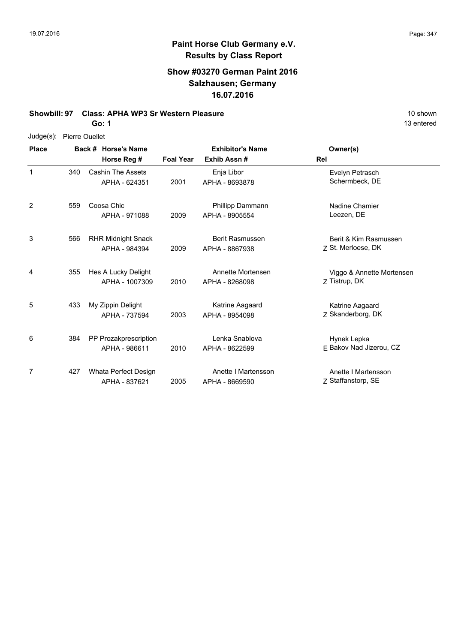### **Show #03270 German Paint 2016 Salzhausen; Germany 16.07.2016**

#### **Showbill: 97 Class: APHA WP3 Sr Western Pleasure** 10 shown 10 shown

**Go: 1**

#### Judge(s): Pierre Ouellet

**Back # Horse's Name Place Owner(s) Horse Reg # Exhib Assn # Foal Year Rel Exhibitor's Name** 1 1 and Samman States and Several Cashin The Assets Controller Control Cashin The Assets Control Control Control Control Control Control Control Control Control Control Control Control Control Control Control Control Contr 2001 Schermbeck, DE APHA - 8693878 APHA - 624351 Enja Libor 340 2 559 Coosa Chic **National Coosa Chic Engles** Phillipp Dammann **Chamier** Nadine Chamier 2009 Leezen, DE APHA - 8905554 APHA - 971088 Phillipp Dammann 3 2009 APHA - 8867938 Z St. Merloese, DK Berit & Kim Rasmussen 566 RHR Midnight Snack APHA - 984394 Berit Rasmussen APHA - 8867938 4 Z Tistrup, DK Viggo & Annette Mortensen 2010 APHA - 8268098 Z Tistrup, DK Hes A Lucky Delight APHA - 1007309 Annette Mortensen 355 5 2003 APHA - 8954098 Z Skanderborg, DK Katrine Aagaard 433 My Zippin Delight APHA - 737594 Katrine Aagaard APHA - 8954098 6 2010 APHA - 8622599 E Bakov Nad Jizerou, CZ Hynek Lepka PP Prozakprescription APHA - 986611 Lenka Snablova APHA - 8622599 384 7 2005 APHA - 8669590 Z Staffanstorp, SE Anette I Martensson Whata Perfect Design 427APHA - 837621 Anette I Martensson APHA - 8669590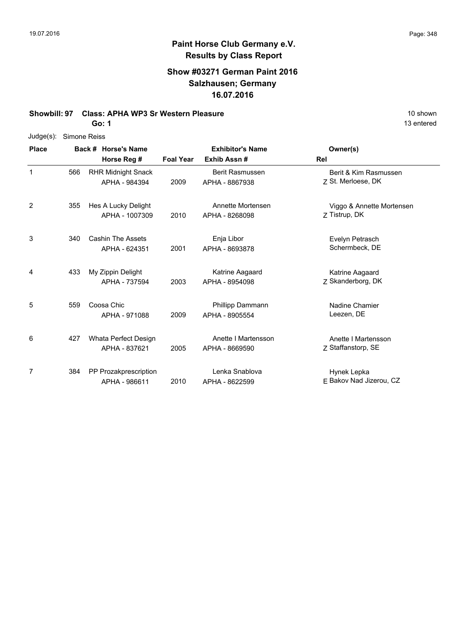13 entered

# **Paint Horse Club Germany e.V. Results by Class Report**

# **Show #03271 German Paint 2016 Salzhausen; Germany 16.07.2016**

#### **Showbill: 97 Class: APHA WP3 Sr Western Pleasure** 10 Shown 10 shown

**Go: 1**

| Judge(s): | Simone Reiss |
|-----------|--------------|
|-----------|--------------|

| <b>Place</b> |     | Back # Horse's Name                        |                  | <b>Exhibitor's Name</b>                  | Owner(s)                                    |
|--------------|-----|--------------------------------------------|------------------|------------------------------------------|---------------------------------------------|
|              |     | Horse Reg #                                | <b>Foal Year</b> | Exhib Assn#                              | Rel                                         |
| 1            | 566 | <b>RHR Midnight Snack</b><br>APHA - 984394 | 2009             | <b>Berit Rasmussen</b><br>APHA - 8867938 | Berit & Kim Rasmussen<br>Z St. Merloese, DK |
| 2            | 355 | Hes A Lucky Delight<br>APHA - 1007309      | 2010             | Annette Mortensen<br>APHA - 8268098      | Viggo & Annette Mortensen<br>Z Tistrup, DK  |
| 3            | 340 | <b>Cashin The Assets</b><br>APHA - 624351  | 2001             | Enja Libor<br>APHA - 8693878             | Evelyn Petrasch<br>Schermbeck, DE           |
| 4            | 433 | My Zippin Delight<br>APHA - 737594         | 2003             | Katrine Aagaard<br>APHA - 8954098        | Katrine Aagaard<br>Z Skanderborg, DK        |
| 5            | 559 | Coosa Chic<br>APHA - 971088                | 2009             | Phillipp Dammann<br>APHA - 8905554       | Nadine Chamier<br>Leezen, DE                |
| 6            | 427 | Whata Perfect Design<br>APHA - 837621      | 2005             | Anette I Martensson<br>APHA - 8669590    | Anette I Martensson<br>Z Staffanstorp, SE   |
| 7            | 384 | PP Prozakprescription<br>APHA - 986611     | 2010             | Lenka Snablova<br>APHA - 8622599         | Hynek Lepka<br>E Bakov Nad Jizerou, CZ      |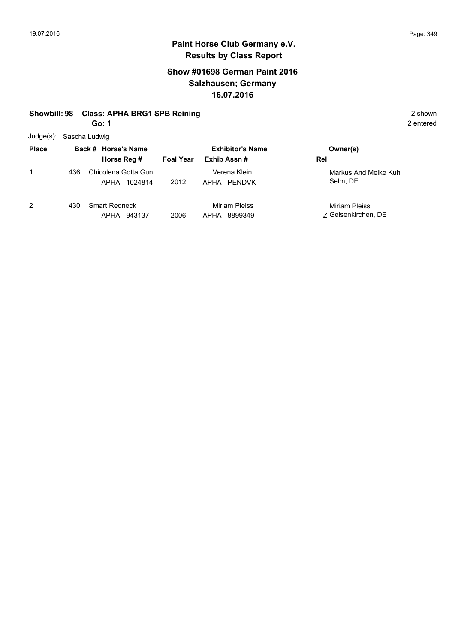# **Show #01698 German Paint 2016 Salzhausen; Germany 16.07.2016**

#### **Showbill: 98 Class: APHA BRG1 SPB Reining 2 shown** 2 shown

**Go: 1**

Judge(s): Sascha Ludwig

| <b>Place</b> |     | Back # Horse's Name                   | <b>Exhibitor's Name</b> |                                        | Owner(s)                             |
|--------------|-----|---------------------------------------|-------------------------|----------------------------------------|--------------------------------------|
|              |     | Horse Reg #                           | <b>Foal Year</b>        | Exhib Assn#                            | Rel                                  |
| 1            | 436 | Chicolena Gotta Gun<br>APHA - 1024814 | 2012                    | Verena Klein<br>APHA - PENDVK          | Markus And Meike Kuhl<br>Selm, DE    |
| 2            | 430 | <b>Smart Redneck</b><br>APHA - 943137 | 2006                    | <b>Miriam Pleiss</b><br>APHA - 8899349 | Miriam Pleiss<br>7 Gelsenkirchen, DE |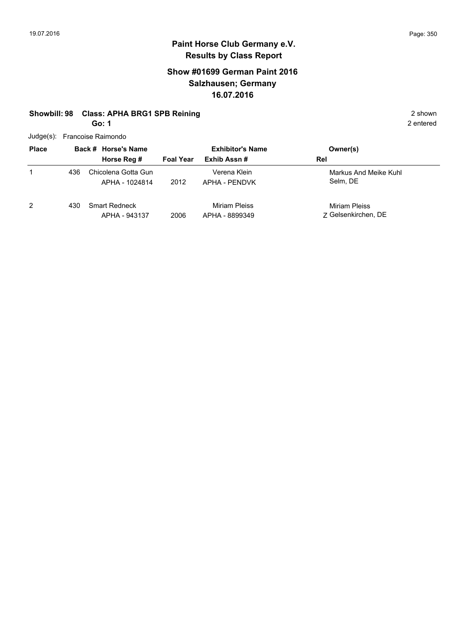# **Show #01699 German Paint 2016 Salzhausen; Germany 16.07.2016**

### **Showbill: 98 Class: APHA BRG1 SPB Reining 2 shown** 2 shown

**Go: 1**

Judge(s): Francoise Raimondo

| Juuyts).     |     | <b>FIGHTOISE RAILIUITUU</b>           |                  |                                 |                                      |  |
|--------------|-----|---------------------------------------|------------------|---------------------------------|--------------------------------------|--|
| <b>Place</b> |     | Back # Horse's Name                   |                  | <b>Exhibitor's Name</b>         | Owner(s)                             |  |
|              |     | Horse Reg #                           | <b>Foal Year</b> | Exhib Assn #                    | Rel                                  |  |
|              | 436 | Chicolena Gotta Gun<br>APHA - 1024814 | 2012             | Verena Klein<br>APHA - PENDVK   | Markus And Meike Kuhl<br>Selm, DE    |  |
| 2            | 430 | <b>Smart Redneck</b><br>APHA - 943137 | 2006             | Miriam Pleiss<br>APHA - 8899349 | Miriam Pleiss<br>7 Gelsenkirchen, DE |  |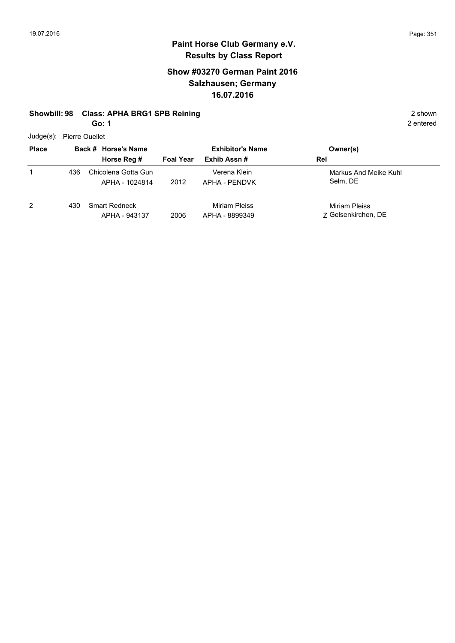# **Show #03270 German Paint 2016 Salzhausen; Germany 16.07.2016**

#### **Showbill: 98 Class: APHA BRG1 SPB Reining 2 shown** 2 shown

**Go: 1**

Judge(s): Pierre Ouellet

| <b>Place</b> |     | Back # Horse's Name                   | <b>Exhibitor's Name</b> | Owner(s)                        |                                      |
|--------------|-----|---------------------------------------|-------------------------|---------------------------------|--------------------------------------|
|              |     | Horse Reg #                           | <b>Foal Year</b>        | Exhib Assn#                     | Rel                                  |
|              | 436 | Chicolena Gotta Gun<br>APHA - 1024814 | 2012                    | Verena Klein<br>APHA - PENDVK   | Markus And Meike Kuhl<br>Selm, DE    |
| 2            | 430 | <b>Smart Redneck</b><br>APHA - 943137 | 2006                    | Miriam Pleiss<br>APHA - 8899349 | Miriam Pleiss<br>7 Gelsenkirchen, DE |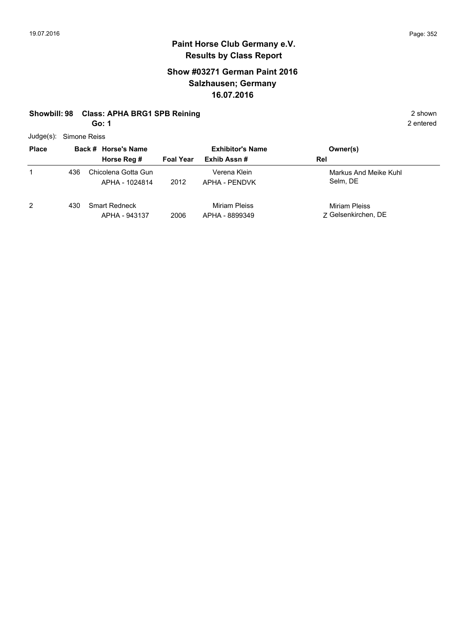# **Show #03271 German Paint 2016 Salzhausen; Germany 16.07.2016**

#### **Showbill: 98 Class: APHA BRG1 SPB Reining 2 shown** 2 shown

**Go: 1**

Judge(s): Simone Reiss

|              | 55.00 |                                       |                         |                                 |                                      |  |  |  |  |
|--------------|-------|---------------------------------------|-------------------------|---------------------------------|--------------------------------------|--|--|--|--|
| <b>Place</b> |       | Back # Horse's Name                   | <b>Exhibitor's Name</b> | Owner(s)                        |                                      |  |  |  |  |
|              |       | Horse Reg #                           | <b>Foal Year</b>        | Exhib Assn#                     | Rel                                  |  |  |  |  |
|              | 436   | Chicolena Gotta Gun<br>APHA - 1024814 | 2012                    | Verena Klein<br>APHA - PENDVK   | Markus And Meike Kuhl<br>Selm, DE    |  |  |  |  |
| 2            | 430   | <b>Smart Redneck</b><br>APHA - 943137 | 2006                    | Miriam Pleiss<br>APHA - 8899349 | Miriam Pleiss<br>7 Gelsenkirchen, DE |  |  |  |  |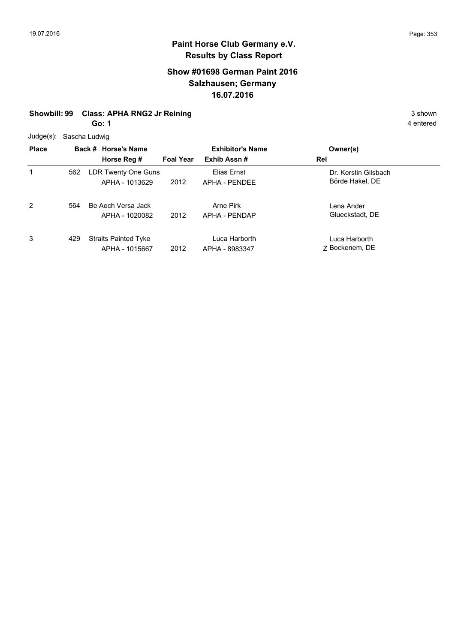# **Show #01698 German Paint 2016 Salzhausen; Germany 16.07.2016**

# **Showbill: 99 Class: APHA RNG2 Jr Reining 3 shown** 3 shown

**Go: 1**

Judge(s): Sascha Ludwig

|              | $5 - 9 - 1$ |                             |                  |                         |                      |  |  |  |
|--------------|-------------|-----------------------------|------------------|-------------------------|----------------------|--|--|--|
| <b>Place</b> |             | Back # Horse's Name         |                  | <b>Exhibitor's Name</b> | Owner(s)             |  |  |  |
|              |             | Horse Reg #                 | <b>Foal Year</b> | Exhib Assn#             | Rel                  |  |  |  |
| 1            | 562         | LDR Twenty One Guns         |                  | Elias Ernst             | Dr. Kerstin Gilsbach |  |  |  |
|              |             | APHA - 1013629              | 2012             | APHA - PENDEE           | Börde Hakel, DE      |  |  |  |
| 2            | 564         | Be Aech Versa Jack          |                  | Arne Pirk               | Lena Ander           |  |  |  |
|              |             | APHA - 1020082              | 2012             | APHA - PENDAP           | Glueckstadt, DE      |  |  |  |
| 3            | 429         | <b>Straits Painted Tyke</b> |                  | Luca Harborth           | Luca Harborth        |  |  |  |
|              |             | APHA - 1015667              | 2012             | APHA - 8983347          | Z Bockenem, DE       |  |  |  |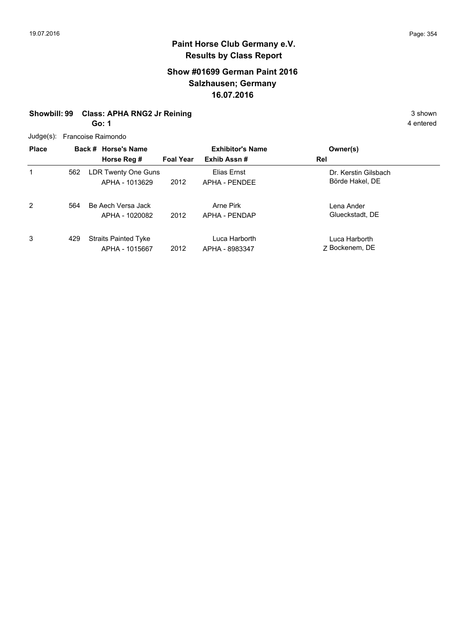# **Show #01699 German Paint 2016 Salzhausen; Germany 16.07.2016**

# **Showbill: 99 Class: APHA RNG2 Jr Reining 3 shown** 3 shown

**Go: 1**

| $Judge(s)$ : |     | Francoise Raimondo                            |                  |                                 |                                         |
|--------------|-----|-----------------------------------------------|------------------|---------------------------------|-----------------------------------------|
| <b>Place</b> |     | Back # Horse's Name                           |                  | <b>Exhibitor's Name</b>         | Owner(s)                                |
|              |     | Horse Reg #                                   | <b>Foal Year</b> | Exhib Assn#                     | Rel                                     |
|              | 562 | LDR Twenty One Guns<br>APHA - 1013629         | 2012             | Elias Ernst<br>APHA - PENDEE    | Dr. Kerstin Gilsbach<br>Börde Hakel, DE |
| 2            | 564 | Be Aech Versa Jack<br>APHA - 1020082          | 2012             | Arne Pirk<br>APHA - PENDAP      | Lena Ander<br>Glueckstadt, DE           |
| 3            | 429 | <b>Straits Painted Tyke</b><br>APHA - 1015667 | 2012             | Luca Harborth<br>APHA - 8983347 | Luca Harborth<br>7 Bockenem, DE         |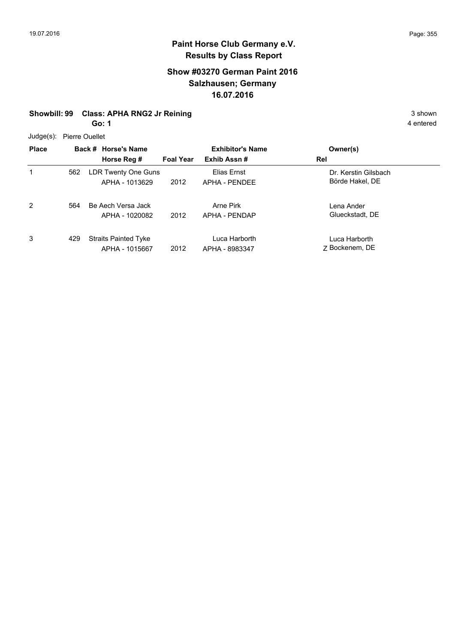# **Show #03270 German Paint 2016 Salzhausen; Germany 16.07.2016**

# **Showbill: 99 Class: APHA RNG2 Jr Reining 3 shown** 3 shown

**Go: 1**

Judge(s): Pierre Ouellet

| <b>Place</b> |     | Back # Horse's Name                           | <b>Exhibitor's Name</b> |                                 | Owner(s)                                |  |  |  |  |
|--------------|-----|-----------------------------------------------|-------------------------|---------------------------------|-----------------------------------------|--|--|--|--|
|              |     | Horse Reg #                                   | <b>Foal Year</b>        | Exhib Assn#                     | Rel                                     |  |  |  |  |
| 1            | 562 | LDR Twenty One Guns<br>APHA - 1013629         | 2012                    | Elias Ernst<br>APHA - PENDEE    | Dr. Kerstin Gilsbach<br>Börde Hakel, DE |  |  |  |  |
| 2            | 564 | Be Aech Versa Jack<br>APHA - 1020082          | 2012                    | Arne Pirk<br>APHA - PENDAP      | Lena Ander<br>Glueckstadt, DE           |  |  |  |  |
| 3            | 429 | <b>Straits Painted Tyke</b><br>APHA - 1015667 | 2012                    | Luca Harborth<br>APHA - 8983347 | Luca Harborth<br>Z Bockenem, DE         |  |  |  |  |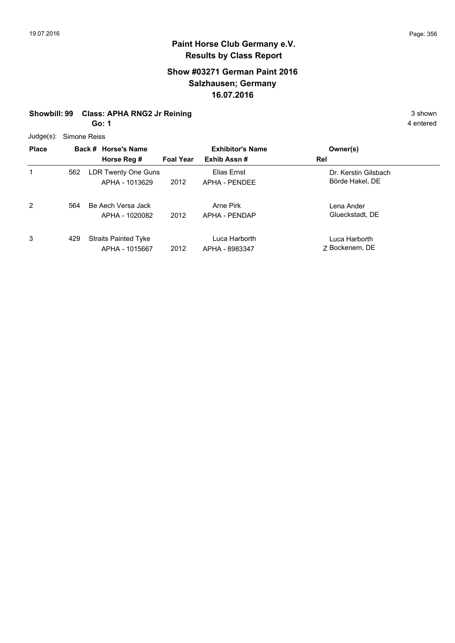# **Show #03271 German Paint 2016 Salzhausen; Germany 16.07.2016**

# **Showbill: 99 Class: APHA RNG2 Jr Reining 3 shown** 3 shown

**Go: 1**

Judge(s): Simone Reiss

|              | 0.000000 |                             |                  |                         |                      |  |  |  |
|--------------|----------|-----------------------------|------------------|-------------------------|----------------------|--|--|--|
| <b>Place</b> |          | Back # Horse's Name         |                  | <b>Exhibitor's Name</b> | Owner(s)             |  |  |  |
|              |          | Horse Reg #                 | <b>Foal Year</b> | Exhib Assn#             | Rel                  |  |  |  |
| 1            | 562      | LDR Twenty One Guns         |                  | Elias Ernst             | Dr. Kerstin Gilsbach |  |  |  |
|              |          | APHA - 1013629              | 2012             | APHA - PENDEE           | Börde Hakel, DE      |  |  |  |
| 2            | 564      | Be Aech Versa Jack          |                  | Arne Pirk               | Lena Ander           |  |  |  |
|              |          | APHA - 1020082              | 2012             | APHA - PENDAP           | Glueckstadt, DE      |  |  |  |
| 3            | 429      | <b>Straits Painted Tyke</b> |                  | Luca Harborth           | Luca Harborth        |  |  |  |
|              |          | APHA - 1015667              | 2012             | APHA - 8983347          | Z Bockenem, DE       |  |  |  |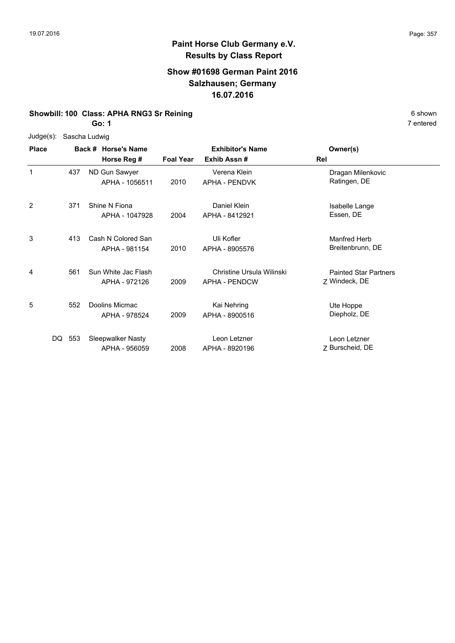### **Show #01698 German Paint 2016 Salzhausen; Germany 16.07.2016**

# **Showbill: 100 Class: APHA RNG3 Sr Reining** 6 Shown

**Go: 1**

| Judge(s):    |        | Sascha Ludwig                        |                  |                                            |                                               |
|--------------|--------|--------------------------------------|------------------|--------------------------------------------|-----------------------------------------------|
| <b>Place</b> |        | Back # Horse's Name<br>Horse Reg #   | <b>Foal Year</b> | <b>Exhibitor's Name</b><br>Exhib Assn#     | Owner(s)<br>Rel                               |
| 1            | 437    | ND Gun Sawyer<br>APHA - 1056511      | 2010             | Verena Klein<br>APHA - PENDVK              | Dragan Milenkovic<br>Ratingen, DE             |
| 2            | 371    | Shine N Fiona<br>APHA - 1047928      | 2004             | Daniel Klein<br>APHA - 8412921             | Isabelle Lange<br>Essen, DE                   |
| 3            | 413    | Cash N Colored San<br>APHA - 981154  | 2010             | Uli Kofler<br>APHA - 8905576               | Manfred Herb<br>Breitenbrunn, DE              |
| 4            | 561    | Sun White Jac Flash<br>APHA - 972126 | 2009             | Christine Ursula Wilinski<br>APHA - PENDCW | <b>Painted Star Partners</b><br>Z Windeck, DE |
| 5            | 552    | Doolins Micmac<br>APHA - 978524      | 2009             | Kai Nehring<br>APHA - 8900516              | Ute Hoppe<br>Diepholz, DE                     |
|              | DQ 553 | Sleepwalker Nasty<br>APHA - 956059   | 2008             | Leon Letzner<br>APHA - 8920196             | Leon Letzner<br>Z Burscheid, DE               |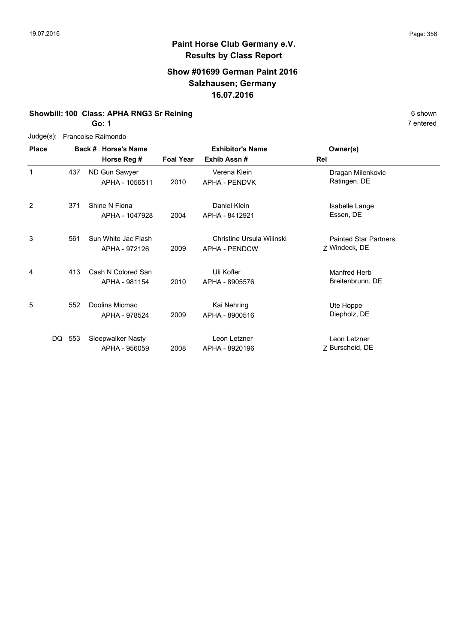### **Show #01699 German Paint 2016 Salzhausen; Germany 16.07.2016**

# **Showbill: 100 Class: APHA RNG3 Sr Reining** 6 Shown

**Go: 1**

|                | Judge(s): Francoise Raimondo |                     |                         |                           |                              |  |  |  |
|----------------|------------------------------|---------------------|-------------------------|---------------------------|------------------------------|--|--|--|
| <b>Place</b>   |                              | Back # Horse's Name | <b>Exhibitor's Name</b> | Owner(s)                  |                              |  |  |  |
|                |                              | Horse Reg #         | <b>Foal Year</b>        | Exhib Assn#               | Rel                          |  |  |  |
| 1              | 437                          | ND Gun Sawyer       |                         | Verena Klein              | Dragan Milenkovic            |  |  |  |
|                |                              | APHA - 1056511      | 2010                    | <b>APHA - PENDVK</b>      | Ratingen, DE                 |  |  |  |
| $\overline{2}$ | 371                          | Shine N Fiona       |                         | Daniel Klein              | Isabelle Lange               |  |  |  |
|                |                              | APHA - 1047928      | 2004                    | APHA - 8412921            | Essen, DE                    |  |  |  |
| 3              | 561                          | Sun White Jac Flash |                         | Christine Ursula Wilinski | <b>Painted Star Partners</b> |  |  |  |
|                |                              | APHA - 972126       | 2009                    | <b>APHA - PENDCW</b>      | Z Windeck, DE                |  |  |  |
| 4              | 413                          | Cash N Colored San  |                         | Uli Kofler                | Manfred Herb                 |  |  |  |
|                |                              | APHA - 981154       | 2010                    | APHA - 8905576            | Breitenbrunn, DE             |  |  |  |
| 5              | 552                          | Doolins Micmac      |                         | Kai Nehring               | Ute Hoppe                    |  |  |  |
|                |                              | APHA - 978524       | 2009                    | APHA - 8900516            | Diepholz, DE                 |  |  |  |
| DQ             | 553                          | Sleepwalker Nasty   |                         | Leon Letzner              | Leon Letzner                 |  |  |  |
|                |                              | APHA - 956059       | 2008                    | APHA - 8920196            | Z Burscheid, DE              |  |  |  |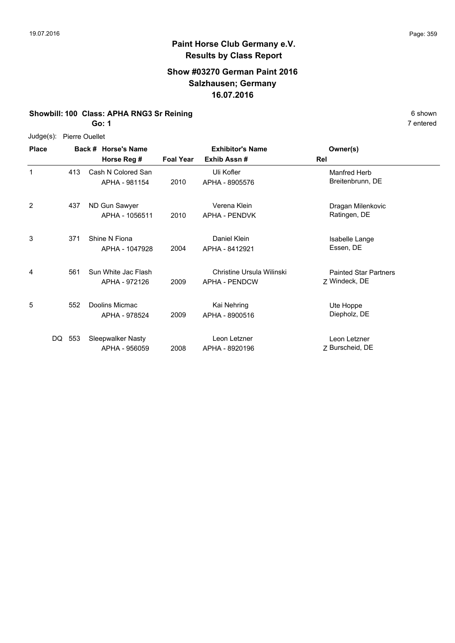# **Show #03270 German Paint 2016 Salzhausen; Germany 16.07.2016**

# **Showbill: 100 Class: APHA RNG3 Sr Reining** 6 Shown

**Go: 1**

Judge(s): Pierre Ouellet

| <b>Place</b> |        | Back # Horse's Name<br>Horse Reg #   | <b>Foal Year</b> | <b>Exhibitor's Name</b><br>Exhib Assn#     | Owner(s)<br>Rel                               |
|--------------|--------|--------------------------------------|------------------|--------------------------------------------|-----------------------------------------------|
| 1            | 413    | Cash N Colored San<br>APHA - 981154  | 2010             | Uli Kofler<br>APHA - 8905576               | Manfred Herb<br>Breitenbrunn, DE              |
| 2            | 437    | ND Gun Sawyer<br>APHA - 1056511      | 2010             | Verena Klein<br><b>APHA - PENDVK</b>       | Dragan Milenkovic<br>Ratingen, DE             |
| 3            | 371    | Shine N Fiona<br>APHA - 1047928      | 2004             | Daniel Klein<br>APHA - 8412921             | Isabelle Lange<br>Essen, DE                   |
| 4            | 561    | Sun White Jac Flash<br>APHA - 972126 | 2009             | Christine Ursula Wilinski<br>APHA - PENDCW | <b>Painted Star Partners</b><br>Z Windeck, DE |
| 5            | 552    | Doolins Micmac<br>APHA - 978524      | 2009             | Kai Nehring<br>APHA - 8900516              | Ute Hoppe<br>Diepholz, DE                     |
|              | DQ 553 | Sleepwalker Nasty<br>APHA - 956059   | 2008             | Leon Letzner<br>APHA - 8920196             | Leon Letzner<br>7 Burscheid, DE               |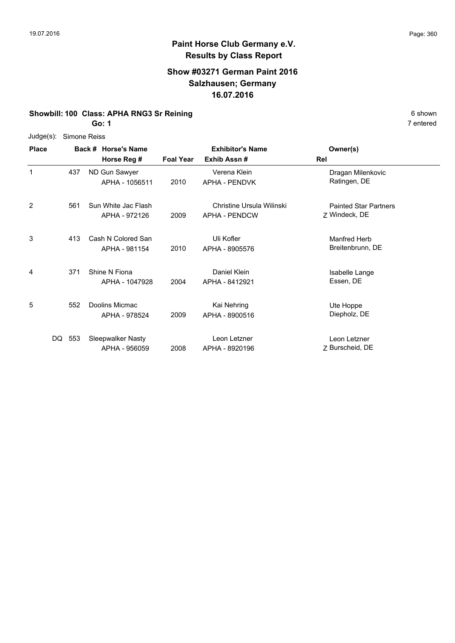# **Show #03271 German Paint 2016 Salzhausen; Germany 16.07.2016**

# **Showbill: 100 Class: APHA RNG3 Sr Reining** 6 Shown

**Go: 1**

|              | Judge(s): Simone Reiss |  |  |
|--------------|------------------------|--|--|
| <b>Diaco</b> | $Box H$ $H$            |  |  |

| <b>Place</b> |            | Back # Horse's Name<br>Horse Reg #   | <b>Foal Year</b> | <b>Exhibitor's Name</b><br>Exhib Assn#            | Owner(s)<br>Rel                               |
|--------------|------------|--------------------------------------|------------------|---------------------------------------------------|-----------------------------------------------|
| 1            | 437        | ND Gun Sawyer<br>APHA - 1056511      | 2010             | Verena Klein<br><b>APHA - PENDVK</b>              | Dragan Milenkovic<br>Ratingen, DE             |
| 2            | 561        | Sun White Jac Flash<br>APHA - 972126 | 2009             | Christine Ursula Wilinski<br><b>APHA - PENDCW</b> | <b>Painted Star Partners</b><br>Z Windeck, DE |
| 3            | 413        | Cash N Colored San<br>APHA - 981154  | 2010             | Uli Kofler<br>APHA - 8905576                      | Manfred Herb<br>Breitenbrunn, DE              |
| 4            | 371        | Shine N Fiona<br>APHA - 1047928      | 2004             | Daniel Klein<br>APHA - 8412921                    | Isabelle Lange<br>Essen, DE                   |
| 5            | 552        | Doolins Micmac<br>APHA - 978524      | 2009             | Kai Nehring<br>APHA - 8900516                     | Ute Hoppe<br>Diepholz, DE                     |
|              | 553<br>DQ. | Sleepwalker Nasty<br>APHA - 956059   | 2008             | Leon Letzner<br>APHA - 8920196                    | Leon Letzner<br>Z Burscheid, DE               |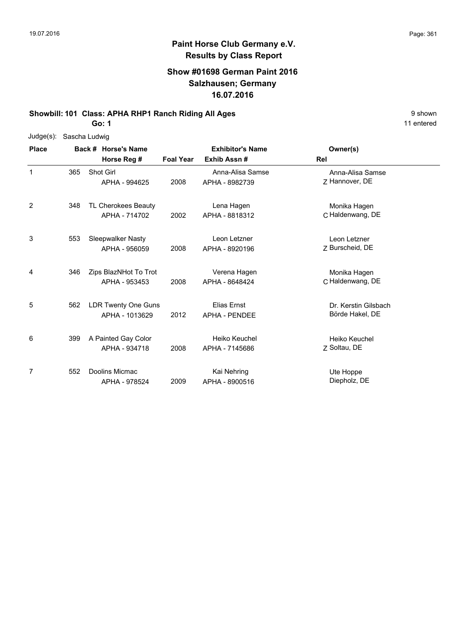11 entered

## **Paint Horse Club Germany e.V. Results by Class Report**

## **Show #01698 German Paint 2016 Salzhausen; Germany 16.07.2016**

**Showbill: 101 Class: APHA RHP1 Ranch Riding All Ages** 9 shown

**Go: 1**

| $Judge(s)$ : |     | Sascha Ludwig                               |                  |                                            |                                         |
|--------------|-----|---------------------------------------------|------------------|--------------------------------------------|-----------------------------------------|
| <b>Place</b> |     | Back # Horse's Name                         |                  | <b>Exhibitor's Name</b>                    | Owner(s)                                |
|              |     | Horse Reg #                                 | <b>Foal Year</b> | Exhib Assn#                                | Rel                                     |
| 1            | 365 | Shot Girl<br>APHA - 994625                  | 2008             | Anna-Alisa Samse<br>APHA - 8982739         | Anna-Alisa Samse<br>Z Hannover, DE      |
| 2            | 348 | <b>TL Cherokees Beauty</b><br>APHA - 714702 | 2002             | Lena Hagen<br>APHA - 8818312               | Monika Hagen<br>C Haldenwang, DE        |
| 3            | 553 | <b>Sleepwalker Nasty</b><br>APHA - 956059   | 2008             | Leon Letzner<br>APHA - 8920196             | Leon Letzner<br>7 Burscheid, DE         |
| 4            | 346 | Zips BlazNHot To Trot<br>APHA - 953453      | 2008             | Verena Hagen<br>APHA - 8648424             | Monika Hagen<br>C Haldenwang, DE        |
| 5            | 562 | LDR Twenty One Guns<br>APHA - 1013629       | 2012             | <b>Elias Ernst</b><br><b>APHA - PENDEE</b> | Dr. Kerstin Gilsbach<br>Börde Hakel, DE |
| 6            | 399 | A Painted Gay Color<br>APHA - 934718        | 2008             | Heiko Keuchel<br>APHA - 7145686            | Heiko Keuchel<br>Z Soltau, DE           |
| 7            | 552 | Doolins Micmac<br>APHA - 978524             | 2009             | Kai Nehring<br>APHA - 8900516              | Ute Hoppe<br>Diepholz, DE               |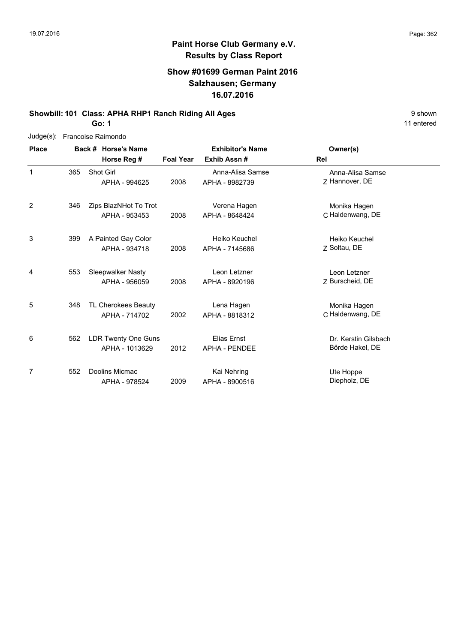## **Show #01699 German Paint 2016 Salzhausen; Germany 16.07.2016**

## **Showbill: 101 Class: APHA RHP1 Ranch Riding All Ages** 9 shown

**Go: 1**

Judge(s): Francoise Raimondo

| <b>Place</b> |     | Back # Horse's Name<br>Horse Reg #           | <b>Foal Year</b> | <b>Exhibitor's Name</b><br>Exhib Assn#     | Owner(s)<br>Rel                         |
|--------------|-----|----------------------------------------------|------------------|--------------------------------------------|-----------------------------------------|
| 1            | 365 | Shot Girl<br>APHA - 994625                   | 2008             | Anna-Alisa Samse<br>APHA - 8982739         | Anna-Alisa Samse<br>Z Hannover, DE      |
| 2            | 346 | Zips BlazNHot To Trot<br>APHA - 953453       | 2008             | Verena Hagen<br>APHA - 8648424             | Monika Hagen<br>C Haldenwang, DE        |
| 3            | 399 | A Painted Gay Color<br>APHA - 934718         | 2008             | Heiko Keuchel<br>APHA - 7145686            | Heiko Keuchel<br>7 Soltau, DE           |
| 4            | 553 | Sleepwalker Nasty<br>APHA - 956059           | 2008             | Leon Letzner<br>APHA - 8920196             | Leon Letzner<br>7 Burscheid, DE         |
| 5            | 348 | TL Cherokees Beauty<br>APHA - 714702         | 2002             | Lena Hagen<br>APHA - 8818312               | Monika Hagen<br>C Haldenwang, DE        |
| 6            | 562 | <b>LDR Twenty One Guns</b><br>APHA - 1013629 | 2012             | <b>Elias Ernst</b><br><b>APHA - PENDEE</b> | Dr. Kerstin Gilsbach<br>Börde Hakel, DE |
| 7            | 552 | Doolins Micmac<br>APHA - 978524              | 2009             | Kai Nehring<br>APHA - 8900516              | Ute Hoppe<br>Diepholz, DE               |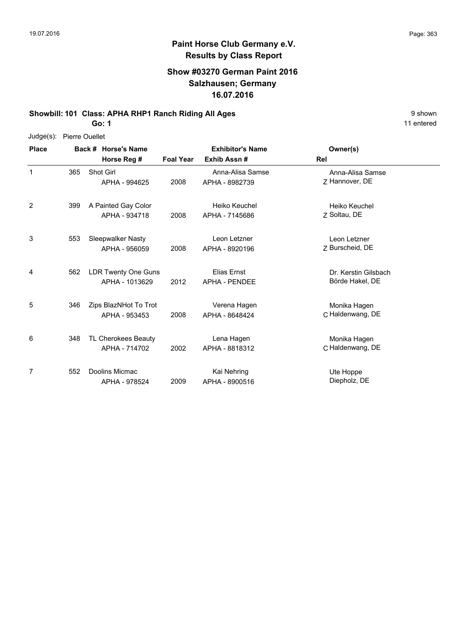11 entered

## **Paint Horse Club Germany e.V. Results by Class Report**

## **Show #03270 German Paint 2016 Salzhausen; Germany 16.07.2016**

**Showbill: 101 Class: APHA RHP1 Ranch Riding All Ages 19 Shown** 9 shown

**Go: 1**

Judge(s): Pierre Ouellet

| <b>Place</b> |     | Back # Horse's Name                    |                  | <b>Exhibitor's Name</b>             | Owner(s)                                |  |
|--------------|-----|----------------------------------------|------------------|-------------------------------------|-----------------------------------------|--|
|              |     | Horse Reg #                            | <b>Foal Year</b> | Exhib Assn#                         | Rel                                     |  |
| 1            | 365 | Shot Girl<br>APHA - 994625             | 2008             | Anna-Alisa Samse<br>APHA - 8982739  | Anna-Alisa Samse<br>Z Hannover, DE      |  |
| 2            | 399 | A Painted Gay Color<br>APHA - 934718   | 2008             | Heiko Keuchel<br>APHA - 7145686     | Heiko Keuchel<br>Z Soltau, DE           |  |
| 3            | 553 | Sleepwalker Nasty<br>APHA - 956059     | 2008             | Leon Letzner<br>APHA - 8920196      | Leon Letzner<br>Z Burscheid, DE         |  |
| 4            | 562 | LDR Twenty One Guns<br>APHA - 1013629  | 2012             | Elias Ernst<br><b>APHA - PENDEE</b> | Dr. Kerstin Gilsbach<br>Börde Hakel, DE |  |
| 5            | 346 | Zips BlazNHot To Trot<br>APHA - 953453 | 2008             | Verena Hagen<br>APHA - 8648424      | Monika Hagen<br>C Haldenwang, DE        |  |
| 6            | 348 | TL Cherokees Beauty<br>APHA - 714702   | 2002             | Lena Hagen<br>APHA - 8818312        | Monika Hagen<br>C Haldenwang, DE        |  |
| 7            | 552 | Doolins Micmac<br>APHA - 978524        | 2009             | Kai Nehring<br>APHA - 8900516       | Ute Hoppe<br>Diepholz, DE               |  |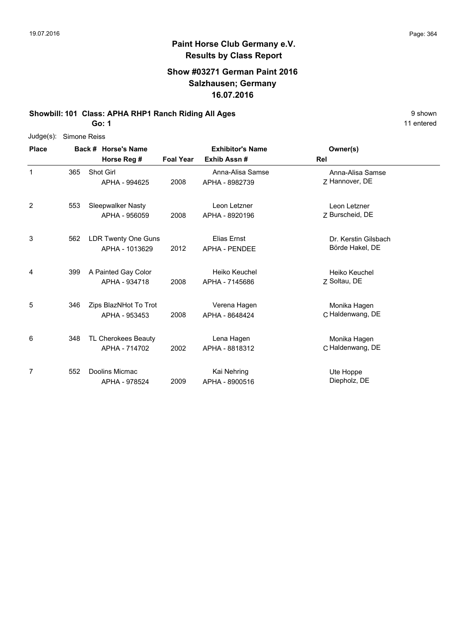11 entered

## **Paint Horse Club Germany e.V. Results by Class Report**

## **Show #03271 German Paint 2016 Salzhausen; Germany 16.07.2016**

**Showbill: 101 Class: APHA RHP1 Ranch Riding All Ages** 9 shown

**Go: 1**

| $Judge(s)$ : |     | Simone Reiss          |                  |                         |                      |
|--------------|-----|-----------------------|------------------|-------------------------|----------------------|
| <b>Place</b> |     | Back # Horse's Name   |                  | <b>Exhibitor's Name</b> | Owner(s)             |
|              |     | Horse Reg #           | <b>Foal Year</b> | Exhib Assn#             | Rel                  |
| 1            | 365 | Shot Girl             |                  | Anna-Alisa Samse        | Anna-Alisa Samse     |
|              |     | APHA - 994625         | 2008             | APHA - 8982739          | 7 Hannover, DE       |
| 2            | 553 | Sleepwalker Nasty     |                  | Leon Letzner            | Leon Letzner         |
|              |     | APHA - 956059         | 2008             | APHA - 8920196          | Z Burscheid, DE      |
| 3            | 562 | LDR Twenty One Guns   |                  | Elias Ernst             | Dr. Kerstin Gilsbach |
|              |     | APHA - 1013629        | 2012             | <b>APHA - PENDEE</b>    | Börde Hakel, DE      |
| 4            | 399 | A Painted Gay Color   |                  | Heiko Keuchel           | Heiko Keuchel        |
|              |     | APHA - 934718         | 2008             | APHA - 7145686          | Z Soltau, DE         |
| 5            | 346 | Zips BlazNHot To Trot |                  | Verena Hagen            | Monika Hagen         |
|              |     | APHA - 953453         | 2008             | APHA - 8648424          | C Haldenwang, DE     |
| 6            | 348 | TL Cherokees Beauty   |                  | Lena Hagen              | Monika Hagen         |
|              |     | APHA - 714702         | 2002             | APHA - 8818312          | C Haldenwang, DE     |
| 7            | 552 | Doolins Micmac        |                  | Kai Nehring             | Ute Hoppe            |
|              |     | APHA - 978524         | 2009             | APHA - 8900516          | Diepholz, DE         |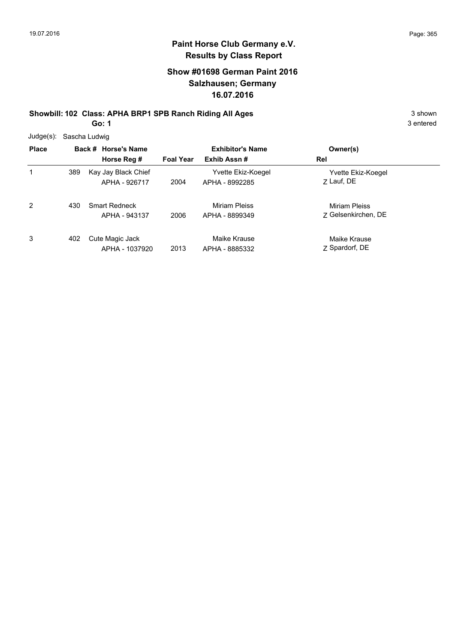## **Show #01698 German Paint 2016 Salzhausen; Germany 16.07.2016**

**Showbill: 102 Class: APHA BRP1 SPB Ranch Riding All Ages** 3 shown

**Go: 1**

| $Judge(s)$ : | Sascha Ludwig |                                       |                  |                                      |                                      |  |  |  |
|--------------|---------------|---------------------------------------|------------------|--------------------------------------|--------------------------------------|--|--|--|
| <b>Place</b> |               | Back # Horse's Name                   |                  | <b>Exhibitor's Name</b>              | Owner(s)                             |  |  |  |
|              |               | Horse Reg #                           | <b>Foal Year</b> | Exhib Assn#                          | Rel                                  |  |  |  |
| 1            | 389           | Kay Jay Black Chief<br>APHA - 926717  | 2004             | Yvette Ekiz-Koegel<br>APHA - 8992285 | Yvette Ekiz-Koegel<br>7 Lauf, DE     |  |  |  |
| 2            | 430           | <b>Smart Redneck</b><br>APHA - 943137 | 2006             | Miriam Pleiss<br>APHA - 8899349      | Miriam Pleiss<br>7 Gelsenkirchen, DE |  |  |  |
| 3            | 402           | Cute Magic Jack<br>APHA - 1037920     | 2013             | Maike Krause<br>APHA - 8885332       | Maike Krause<br>Z Spardorf, DE       |  |  |  |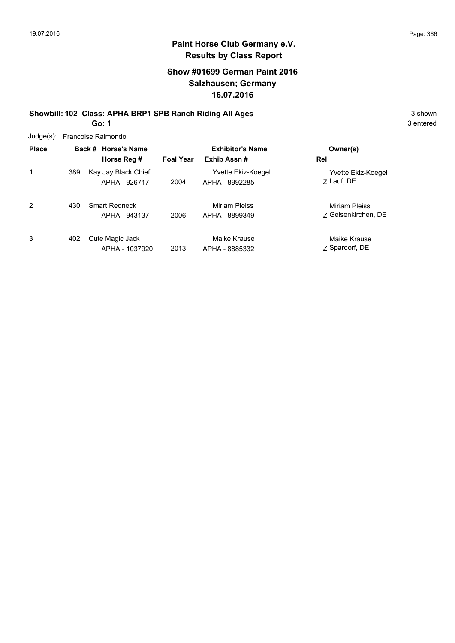## **Show #01699 German Paint 2016 Salzhausen; Germany 16.07.2016**

#### **Showbill: 102 Class: APHA BRP1 SPB Ranch Riding All Ages** 3 shown 3 shown **Go: 1**

| $Judge(s)$ : |     | Francoise Raimondo                    |                  |                                      |                                      |
|--------------|-----|---------------------------------------|------------------|--------------------------------------|--------------------------------------|
| <b>Place</b> |     | Back # Horse's Name                   |                  | <b>Exhibitor's Name</b>              | Owner(s)                             |
|              |     | Horse Reg #                           | <b>Foal Year</b> | Exhib Assn#                          | Rel                                  |
|              | 389 | Kay Jay Black Chief<br>APHA - 926717  | 2004             | Yvette Ekiz-Koegel<br>APHA - 8992285 | Yvette Ekiz-Koegel<br>Z Lauf, DE     |
| 2            | 430 | <b>Smart Redneck</b><br>APHA - 943137 | 2006             | Miriam Pleiss<br>APHA - 8899349      | Miriam Pleiss<br>7 Gelsenkirchen. DE |
| 3            | 402 | Cute Magic Jack<br>APHA - 1037920     | 2013             | Maike Krause<br>APHA - 8885332       | Maike Krause<br>Z Spardorf, DE       |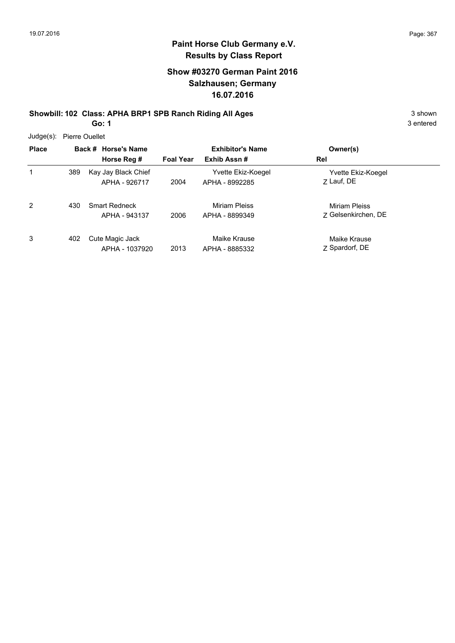## **Show #03270 German Paint 2016 Salzhausen; Germany 16.07.2016**

**Showbill: 102 Class: APHA BRP1 SPB Ranch Riding All Ages** 3 shown

**Go: 1**

Judge(s): Pierre Ouellet

| JUUYE(3). FIEITE UUEIIEL |     |                                       |                  |                                      |                                      |  |
|--------------------------|-----|---------------------------------------|------------------|--------------------------------------|--------------------------------------|--|
| <b>Place</b>             |     | Back # Horse's Name                   |                  | <b>Exhibitor's Name</b>              | Owner(s)                             |  |
|                          |     | Horse Reg #                           | <b>Foal Year</b> | Exhib Assn#                          | Rel                                  |  |
| 1                        | 389 | Kay Jay Black Chief<br>APHA - 926717  | 2004             | Yvette Ekiz-Koegel<br>APHA - 8992285 | Yvette Ekiz-Koegel<br>Z Lauf, DE     |  |
| 2                        | 430 | <b>Smart Redneck</b><br>APHA - 943137 | 2006             | Miriam Pleiss<br>APHA - 8899349      | Miriam Pleiss<br>7 Gelsenkirchen, DE |  |
| 3                        | 402 | Cute Magic Jack<br>APHA - 1037920     | 2013             | Maike Krause<br>APHA - 8885332       | Maike Krause<br>Z Spardorf, DE       |  |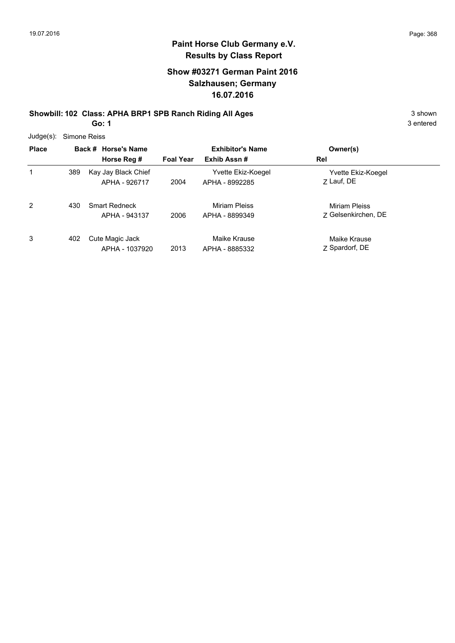## **Show #03271 German Paint 2016 Salzhausen; Germany 16.07.2016**

# **Showbill: 102 Class: APHA BRP1 SPB Ranch Riding All Ages** 3 shown

**Go: 1**

| $Judge(s)$ : | Simone Reiss |                                       |                  |                                      |                                             |
|--------------|--------------|---------------------------------------|------------------|--------------------------------------|---------------------------------------------|
| <b>Place</b> |              | Back # Horse's Name                   |                  | <b>Exhibitor's Name</b>              | Owner(s)                                    |
|              |              | Horse Reg #                           | <b>Foal Year</b> | Exhib Assn#                          | Rel                                         |
| 1            | 389          | Kay Jay Black Chief<br>APHA - 926717  | 2004             | Yvette Ekiz-Koegel<br>APHA - 8992285 | Yvette Ekiz-Koegel<br>Z Lauf, DE            |
| 2            | 430          | <b>Smart Redneck</b><br>APHA - 943137 | 2006             | Miriam Pleiss<br>APHA - 8899349      | <b>Miriam Pleiss</b><br>7 Gelsenkirchen, DE |
| 3            | 402          | Cute Magic Jack<br>APHA - 1037920     | 2013             | Maike Krause<br>APHA - 8885332       | Maike Krause<br>Z Spardorf, DE              |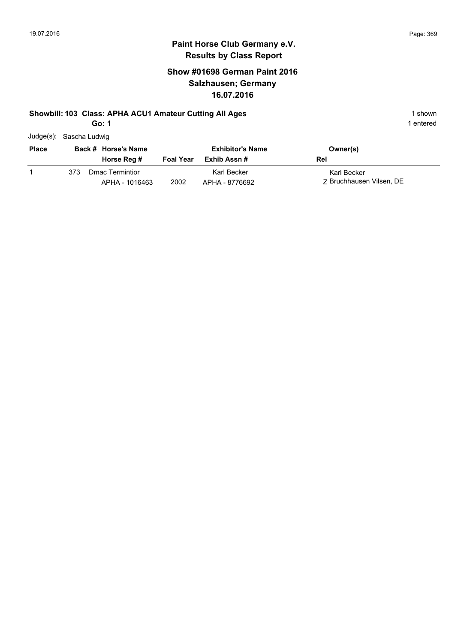## **Show #01698 German Paint 2016 Salzhausen; Germany 16.07.2016**

#### **Showbill: 103 Class: APHA ACU1 Amateur Cutting All Ages** 1 shown

**Go: 1**

| Judge(s): Sascha Ludwig |     |                                          |                  |                               |                                         |
|-------------------------|-----|------------------------------------------|------------------|-------------------------------|-----------------------------------------|
| <b>Place</b>            |     | Back # Horse's Name                      |                  | <b>Exhibitor's Name</b>       | Owner(s)                                |
|                         |     | Horse Reg #                              | <b>Foal Year</b> | Exhib Assn #                  | Rel                                     |
|                         | 373 | <b>Dmac Termintior</b><br>APHA - 1016463 | 2002             | Karl Becker<br>APHA - 8776692 | Karl Becker<br>7 Bruchhausen Vilsen, DE |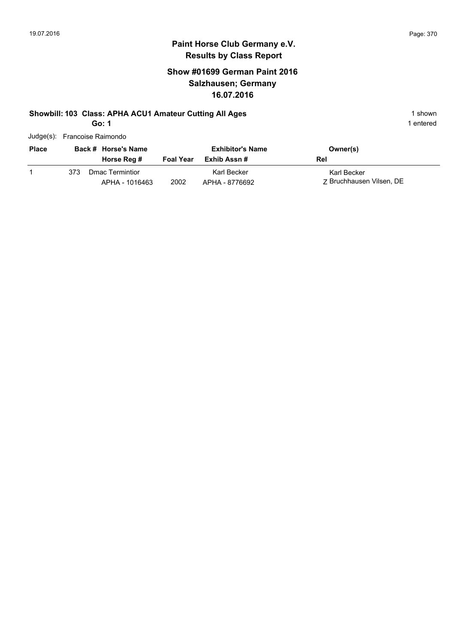## **Show #01699 German Paint 2016 Salzhausen; Germany 16.07.2016**

#### **Showbill: 103 Class: APHA ACU1 Amateur Cutting All Ages** 1 shown

**Go: 1**

| Judge(s): Francoise Raimondo |  |
|------------------------------|--|
|                              |  |

| <b>Place</b> |     | Back # Horse's Name               |                  | <b>Exhibitor's Name</b>       | Owner(s)                                |
|--------------|-----|-----------------------------------|------------------|-------------------------------|-----------------------------------------|
|              |     | Horse Reg #                       | <b>Foal Year</b> | Exhib Assn #                  | Rel                                     |
|              | 373 | Dmac Termintior<br>APHA - 1016463 | 2002             | Karl Becker<br>APHA - 8776692 | Karl Becker<br>Z Bruchhausen Vilsen, DE |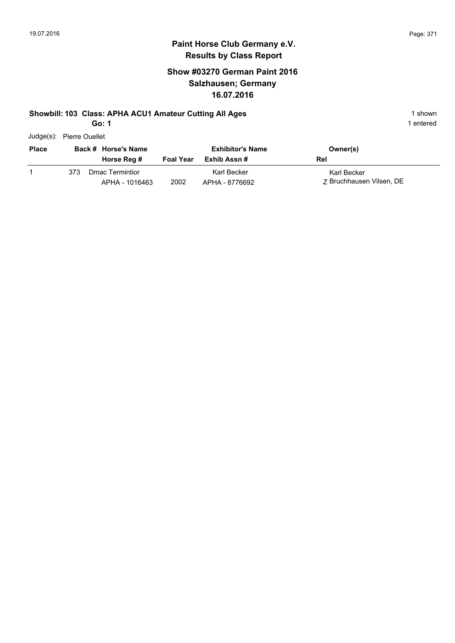## **Show #03270 German Paint 2016 Salzhausen; Germany 16.07.2016**

#### **Showbill: 103 Class: APHA ACU1 Amateur Cutting All Ages** 1 shown

**Go: 1**

| Judge(s): Pierre Ouellet |
|--------------------------|
|                          |

| <b>Place</b> |     | Back # Horse's Name<br>Horse Reg # | <b>Foal Year</b> | <b>Exhibitor's Name</b><br>Exhib Assn # | Owner(s)<br>Rel                         |
|--------------|-----|------------------------------------|------------------|-----------------------------------------|-----------------------------------------|
|              | 373 | Dmac Termintior<br>APHA - 1016463  | 2002             | Karl Becker<br>APHA - 8776692           | Karl Becker<br>7 Bruchhausen Vilsen, DE |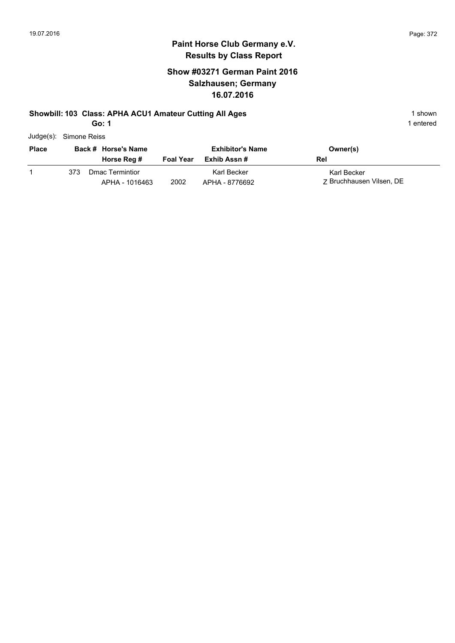## **Show #03271 German Paint 2016 Salzhausen; Germany 16.07.2016**

APHA - 1016463 2002 APHA - 8776692 Z Bruchhausen Vilsen, DE

#### **Showbill: 103 Class: APHA ACU1 Amateur Cutting All Ages** 1 shown

**Go: 1**

1 entered

Z Bruchhausen Vilsen, DE

|              | Judge(s): Simone Reiss |                  |                         |             |
|--------------|------------------------|------------------|-------------------------|-------------|
| <b>Place</b> | Back # Horse's Name    |                  | <b>Exhibitor's Name</b> | Owner(s)    |
|              | Horse Reg #            | <b>Foal Year</b> | Exhib Assn #            | Rel         |
|              | Dmac Termintior<br>373 |                  | Karl Becker             | Karl Becker |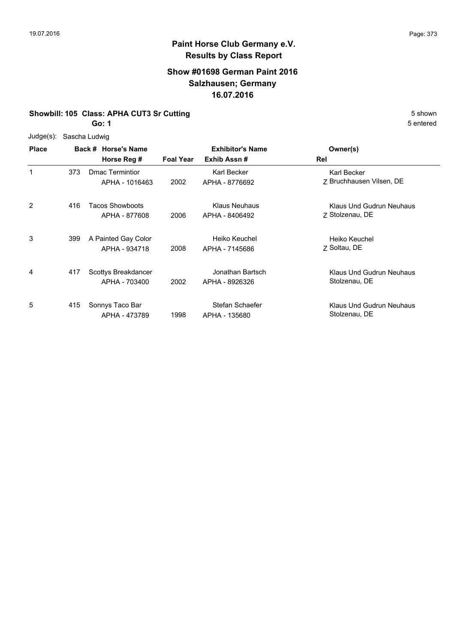## **Show #01698 German Paint 2016 Salzhausen; Germany 16.07.2016**

#### **Showbill: 105 Class: APHA CUT3 Sr Cutting** 5 Shown

**Go: 1**

Judge(s): Sascha Ludwig

| <b>Place</b> |     | Back # Horse's Name    | <b>Exhibitor's Name</b> |                      | Owner(s)                 |
|--------------|-----|------------------------|-------------------------|----------------------|--------------------------|
|              |     | Horse Reg #            | <b>Foal Year</b>        | Exhib Assn#          | Rel                      |
|              | 373 | <b>Dmac Termintior</b> |                         | Karl Becker          | Karl Becker              |
|              |     | APHA - 1016463         | 2002                    | APHA - 8776692       | Z Bruchhausen Vilsen, DE |
| 2            | 416 | <b>Tacos Showboots</b> |                         | <b>Klaus Neuhaus</b> | Klaus Und Gudrun Neuhaus |
|              |     | APHA - 877608          | 2006                    | APHA - 8406492       | 7 Stolzenau, DE          |
| 3            | 399 | A Painted Gay Color    |                         | Heiko Keuchel        | Heiko Keuchel            |
|              |     | APHA - 934718          | 2008                    | APHA - 7145686       | 7 Soltau, DE             |
| 4            | 417 | Scottys Breakdancer    |                         | Jonathan Bartsch     | Klaus Und Gudrun Neuhaus |
|              |     | APHA - 703400          | 2002                    | APHA - 8926326       | Stolzenau, DE            |
| 5            | 415 | Sonnys Taco Bar        |                         | Stefan Schaefer      | Klaus Und Gudrun Neuhaus |
|              |     | APHA - 473789          | 1998                    | APHA - 135680        | Stolzenau, DE            |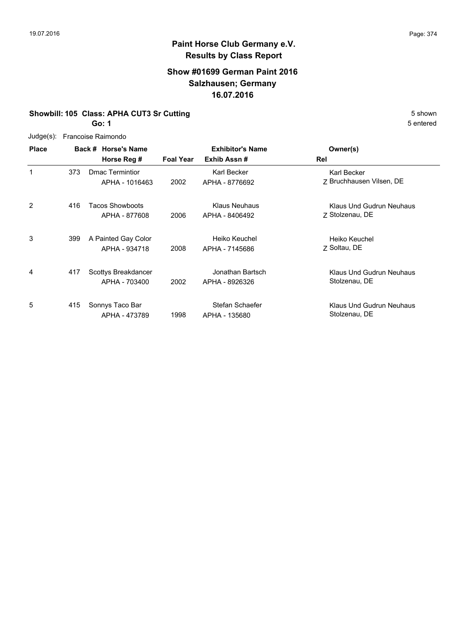## **Show #01699 German Paint 2016 Salzhausen; Germany 16.07.2016**

## **Showbill: 105 Class: APHA CUT3 Sr Cutting** 5 Shown

**Go: 1**

| Judge(s):    |     | Francoise Raimondo                       |                  |                                        |                                                |
|--------------|-----|------------------------------------------|------------------|----------------------------------------|------------------------------------------------|
| <b>Place</b> |     | Back # Horse's Name<br>Horse Reg #       | <b>Foal Year</b> | <b>Exhibitor's Name</b><br>Exhib Assn# | Owner(s)<br>Rel                                |
| 1            | 373 | <b>Dmac Termintior</b><br>APHA - 1016463 | 2002             | Karl Becker<br>APHA - 8776692          | <b>Karl Becker</b><br>7 Bruchhausen Vilsen, DE |
| 2            | 416 | Tacos Showboots<br>APHA - 877608         | 2006             | Klaus Neuhaus<br>APHA - 8406492        | Klaus Und Gudrun Neuhaus<br>Z Stolzenau, DE    |
| 3            | 399 | A Painted Gay Color<br>APHA - 934718     | 2008             | Heiko Keuchel<br>APHA - 7145686        | Heiko Keuchel<br>Z Soltau, DE                  |
| 4            | 417 | Scottys Breakdancer<br>APHA - 703400     | 2002             | Jonathan Bartsch<br>APHA - 8926326     | Klaus Und Gudrun Neuhaus<br>Stolzenau, DE      |
| 5            | 415 | Sonnys Taco Bar<br>APHA - 473789         | 1998             | Stefan Schaefer<br>APHA - 135680       | Klaus Und Gudrun Neuhaus<br>Stolzenau, DE      |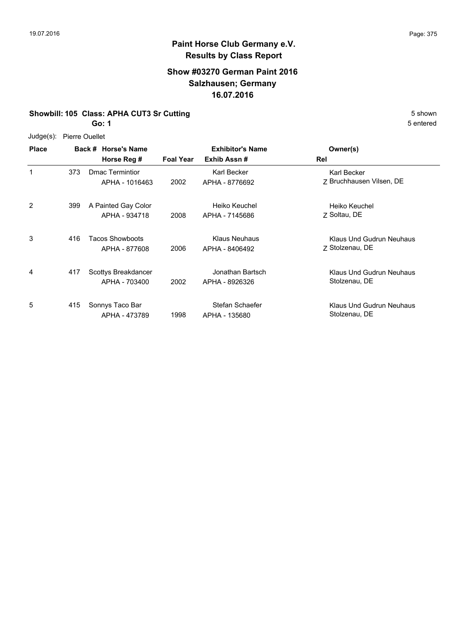## **Show #03270 German Paint 2016 Salzhausen; Germany 16.07.2016**

#### **Showbill: 105 Class: APHA CUT3 Sr Cutting** 5 Shown

**Go: 1**

Judge(s): Pierre Ouellet

| <b>Place</b> |     | Back # Horse's Name<br>Horse Reg #       | <b>Foal Year</b> | <b>Exhibitor's Name</b><br>Exhib Assn# | Owner(s)<br>Rel                             |
|--------------|-----|------------------------------------------|------------------|----------------------------------------|---------------------------------------------|
| $\mathbf{1}$ | 373 | <b>Dmac Termintior</b><br>APHA - 1016463 | 2002             | Karl Becker<br>APHA - 8776692          | Karl Becker<br>Z Bruchhausen Vilsen, DE     |
| 2            | 399 | A Painted Gay Color<br>APHA - 934718     | 2008             | Heiko Keuchel<br>APHA - 7145686        | Heiko Keuchel<br>Z Soltau, DE               |
| 3            | 416 | Tacos Showboots<br>APHA - 877608         | 2006             | <b>Klaus Neuhaus</b><br>APHA - 8406492 | Klaus Und Gudrun Neuhaus<br>7 Stolzenau, DE |
| 4            | 417 | Scottys Breakdancer<br>APHA - 703400     | 2002             | Jonathan Bartsch<br>APHA - 8926326     | Klaus Und Gudrun Neuhaus<br>Stolzenau, DE   |
| 5            | 415 | Sonnys Taco Bar<br>APHA - 473789         | 1998             | Stefan Schaefer<br>APHA - 135680       | Klaus Und Gudrun Neuhaus<br>Stolzenau, DE   |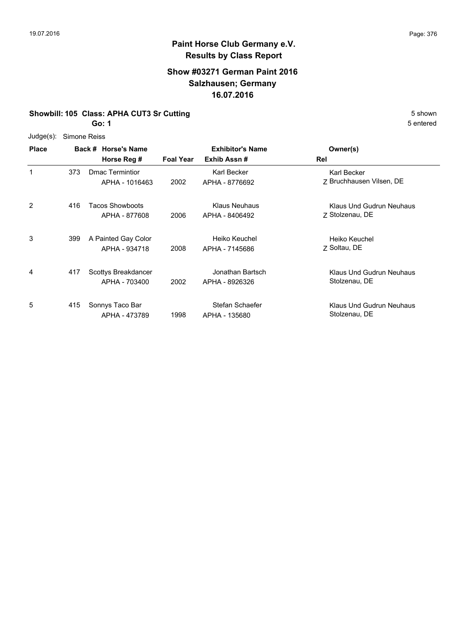## **Show #03271 German Paint 2016 Salzhausen; Germany 16.07.2016**

#### **Showbill: 105 Class: APHA CUT3 Sr Cutting** 5 Shown

**Go: 1**

Judge(s): Simone Reiss

| <b>Place</b> |     | Back # Horse's Name    |                  | <b>Exhibitor's Name</b> | Owner(s)                 |
|--------------|-----|------------------------|------------------|-------------------------|--------------------------|
|              |     | Horse Reg #            | <b>Foal Year</b> | Exhib Assn#             | Rel                      |
| 1            | 373 | Dmac Termintior        |                  | Karl Becker             | Karl Becker              |
|              |     | APHA - 1016463         | 2002             | APHA - 8776692          | Z Bruchhausen Vilsen, DE |
| 2            | 416 | <b>Tacos Showboots</b> |                  | <b>Klaus Neuhaus</b>    | Klaus Und Gudrun Neuhaus |
|              |     | APHA - 877608          | 2006             | APHA - 8406492          | Z Stolzenau, DE          |
| 3            | 399 | A Painted Gay Color    |                  | Heiko Keuchel           | Heiko Keuchel            |
|              |     | APHA - 934718          | 2008             | APHA - 7145686          | 7 Soltau, DE             |
| 4            | 417 | Scottys Breakdancer    |                  | Jonathan Bartsch        | Klaus Und Gudrun Neuhaus |
|              |     | APHA - 703400          | 2002             | APHA - 8926326          | Stolzenau, DE            |
| 5            | 415 | Sonnys Taco Bar        |                  | Stefan Schaefer         | Klaus Und Gudrun Neuhaus |
|              |     | APHA - 473789          | 1998             | APHA - 135680           | Stolzenau, DE            |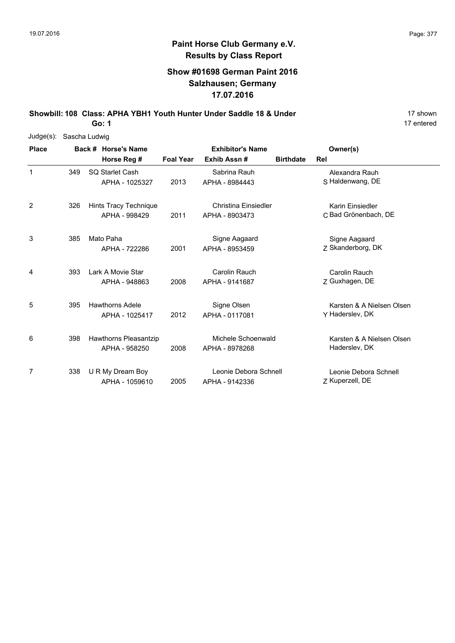## **Show #01698 German Paint 2016 Salzhausen; Germany 17.07.2016**

**Showbill: 108 Class: APHA YBH1 Youth Hunter Under Saddle 18 & Under** 17 Shown 17 shown

**Go: 1**

| $Judge(s)$ : |     | Sascha Ludwig          |                  |                         |                  |                           |
|--------------|-----|------------------------|------------------|-------------------------|------------------|---------------------------|
| <b>Place</b> |     | Back # Horse's Name    |                  | <b>Exhibitor's Name</b> |                  | Owner(s)                  |
|              |     | Horse Reg #            | <b>Foal Year</b> | Exhib Assn#             | <b>Birthdate</b> | Rel                       |
| 1            | 349 | SQ Starlet Cash        |                  | Sabrina Rauh            |                  | Alexandra Rauh            |
|              |     | APHA - 1025327         | 2013             | APHA - 8984443          |                  | S Haldenwang, DE          |
| 2            | 326 | Hints Tracy Technique  |                  | Christina Einsiedler    |                  | Karin Einsiedler          |
|              |     | APHA - 998429          | 2011             | APHA - 8903473          |                  | C Bad Grönenbach, DE      |
| 3            | 385 | Mato Paha              |                  | Signe Aagaard           |                  | Signe Aagaard             |
|              |     | APHA - 722286          | 2001             | APHA - 8953459          |                  | Z Skanderborg, DK         |
| 4            | 393 | Lark A Movie Star      |                  | Carolin Rauch           |                  | Carolin Rauch             |
|              |     | APHA - 948863          | 2008             | APHA - 9141687          |                  | Z Guxhagen, DE            |
| 5            | 395 | <b>Hawthorns Adele</b> |                  | Signe Olsen             |                  | Karsten & A Nielsen Olsen |
|              |     | APHA - 1025417         | 2012             | APHA - 0117081          |                  | Y Haderslev, DK           |
| 6            | 398 | Hawthorns Pleasantzip  |                  | Michele Schoenwald      |                  | Karsten & A Nielsen Olsen |
|              |     | APHA - 958250          | 2008             | APHA - 8978268          |                  | Haderslev, DK             |
| 7            | 338 | U R My Dream Boy       |                  | Leonie Debora Schnell   |                  | Leonie Debora Schnell     |
|              |     | APHA - 1059610         | 2005             | APHA - 9142336          |                  | Z Kuperzell, DE           |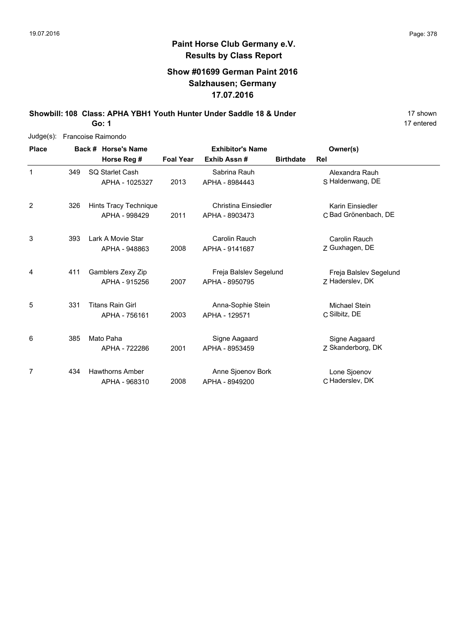17 entered

## **Paint Horse Club Germany e.V. Results by Class Report**

## **Show #01699 German Paint 2016 Salzhausen; Germany 17.07.2016**

**Showbill: 108 Class: APHA YBH1 Youth Hunter Under Saddle 18 & Under** 19 **17 shown** 

**Go: 1**

| $Judge(s)$ : |     | Francoise Raimondo      |                  |                         |                  |                        |
|--------------|-----|-------------------------|------------------|-------------------------|------------------|------------------------|
| <b>Place</b> |     | Back # Horse's Name     |                  | <b>Exhibitor's Name</b> |                  | Owner(s)               |
|              |     | Horse Reg #             | <b>Foal Year</b> | Exhib Assn #            | <b>Birthdate</b> | Rel                    |
| 1            | 349 | SQ Starlet Cash         |                  | Sabrina Rauh            |                  | Alexandra Rauh         |
|              |     | APHA - 1025327          | 2013             | APHA - 8984443          |                  | S Haldenwang, DE       |
| 2            | 326 | Hints Tracy Technique   |                  | Christina Einsiedler    |                  | Karin Einsiedler       |
|              |     | APHA - 998429           | 2011             | APHA - 8903473          |                  | C Bad Grönenbach, DE   |
| 3            | 393 | Lark A Movie Star       |                  | Carolin Rauch           |                  | Carolin Rauch          |
|              |     | APHA - 948863           | 2008             | APHA - 9141687          |                  | Z Guxhagen, DE         |
| 4            | 411 | Gamblers Zexy Zip       |                  | Freja Balslev Segelund  |                  | Freja Balslev Segelund |
|              |     | APHA - 915256           | 2007             | APHA - 8950795          |                  | Z Haderslev, DK        |
| 5            | 331 | <b>Titans Rain Girl</b> |                  | Anna-Sophie Stein       |                  | Michael Stein          |
|              |     | APHA - 756161           | 2003             | APHA - 129571           |                  | C Silbitz, DE          |
| 6            | 385 | Mato Paha               |                  | Signe Aagaard           |                  | Signe Aagaard          |
|              |     | APHA - 722286           | 2001             | APHA - 8953459          |                  | Z Skanderborg, DK      |
| 7            | 434 | <b>Hawthorns Amber</b>  |                  | Anne Sjoenov Bork       |                  | Lone Sjoenov           |
|              |     | APHA - 968310           | 2008             | APHA - 8949200          |                  | C Haderslev, DK        |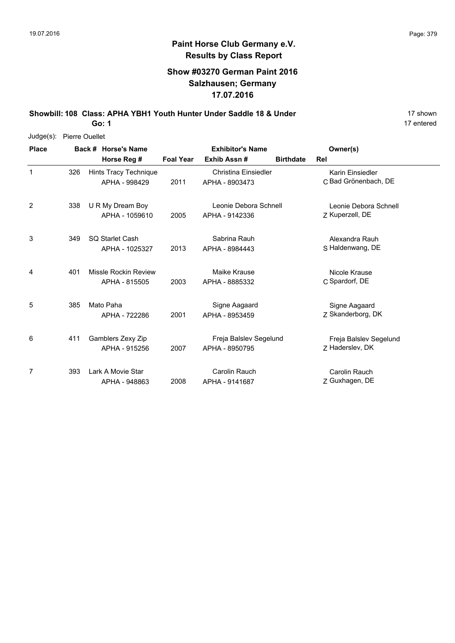## **Show #03270 German Paint 2016 Salzhausen; Germany 17.07.2016**

**Showbill: 108 Class: APHA YBH1 Youth Hunter Under Saddle 18 & Under** 18 **Manual 17 shown** 

**Go: 1**

| Judge(s):    | Pierre Ouellet |                                        |                  |                                        |                  |                                          |  |
|--------------|----------------|----------------------------------------|------------------|----------------------------------------|------------------|------------------------------------------|--|
| <b>Place</b> |                | Back # Horse's Name                    |                  | <b>Exhibitor's Name</b>                |                  | Owner(s)                                 |  |
|              |                | Horse Reg #                            | <b>Foal Year</b> | Exhib Assn#                            | <b>Birthdate</b> | Rel                                      |  |
| $\mathbf{1}$ | 326            | Hints Tracy Technique<br>APHA - 998429 | 2011             | Christina Einsiedler<br>APHA - 8903473 |                  | Karin Einsiedler<br>C Bad Grönenbach, DE |  |
| 2            | 338            | U R My Dream Boy                       |                  | Leonie Debora Schnell                  |                  | Leonie Debora Schnell                    |  |
|              |                | APHA - 1059610                         | 2005             | APHA - 9142336                         |                  | Z Kuperzell, DE                          |  |
| 3            | 349            | SQ Starlet Cash                        |                  | Sabrina Rauh                           |                  | Alexandra Rauh                           |  |
|              |                | APHA - 1025327                         | 2013             | APHA - 8984443                         |                  | S Haldenwang, DE                         |  |
| 4            | 401            | Missle Rockin Review                   |                  | Maike Krause                           |                  | Nicole Krause                            |  |
|              |                | APHA - 815505                          | 2003             | APHA - 8885332                         |                  | C Spardorf, DE                           |  |
| 5            | 385            | Mato Paha                              |                  | Signe Aagaard                          |                  | Signe Aagaard                            |  |
|              |                | APHA - 722286                          | 2001             | APHA - 8953459                         |                  | Z Skanderborg, DK                        |  |
| 6            | 411            | Gamblers Zexy Zip                      |                  | Freja Balslev Segelund                 |                  | Freja Balslev Segelund                   |  |
|              |                | APHA - 915256                          | 2007             | APHA - 8950795                         |                  | Z Haderslev, DK                          |  |
| 7            | 393            | Lark A Movie Star                      |                  | <b>Carolin Rauch</b>                   |                  | Carolin Rauch                            |  |
|              |                | APHA - 948863                          | 2008             | APHA - 9141687                         |                  | Z Guxhagen, DE                           |  |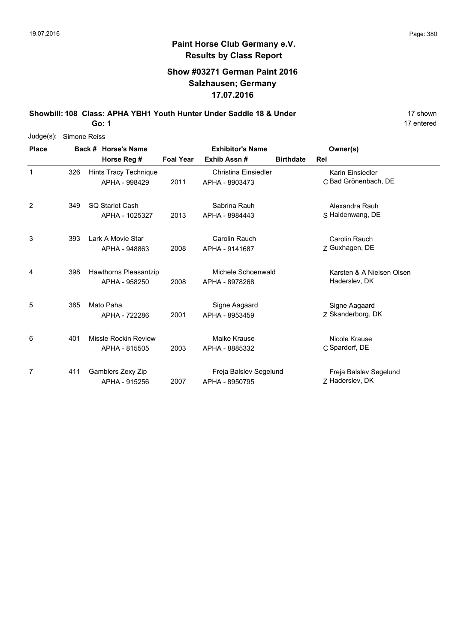## **Show #03271 German Paint 2016 Salzhausen; Germany 17.07.2016**

**Showbill: 108 Class: APHA YBH1 Youth Hunter Under Saddle 18 & Under** 18 **Manual 17 shown** 

**Go: 1**

| Judge(s):      | Simone Reiss |                        |                  |                         |                  |                           |
|----------------|--------------|------------------------|------------------|-------------------------|------------------|---------------------------|
| <b>Place</b>   |              | Back # Horse's Name    |                  | <b>Exhibitor's Name</b> |                  | Owner(s)                  |
|                |              | Horse Reg #            | <b>Foal Year</b> | Exhib Assn#             | <b>Birthdate</b> | Rel                       |
| $\mathbf{1}$   | 326          | Hints Tracy Technique  |                  | Christina Einsiedler    |                  | Karin Einsiedler          |
|                |              | APHA - 998429          | 2011             | APHA - 8903473          |                  | C Bad Grönenbach, DE      |
| $\overline{2}$ | 349          | <b>SQ Starlet Cash</b> |                  | Sabrina Rauh            |                  | Alexandra Rauh            |
|                |              | APHA - 1025327         | 2013             | APHA - 8984443          |                  | S Haldenwang, DE          |
| 3              | 393          | Lark A Movie Star      |                  | Carolin Rauch           |                  | Carolin Rauch             |
|                |              | APHA - 948863          | 2008             | APHA - 9141687          |                  | Z Guxhagen, DE            |
| 4              | 398          | Hawthorns Pleasantzip  |                  | Michele Schoenwald      |                  | Karsten & A Nielsen Olsen |
|                |              | APHA - 958250          | 2008             | APHA - 8978268          |                  | Haderslev, DK             |
| 5              | 385          | Mato Paha              |                  | Signe Aagaard           |                  | Signe Aagaard             |
|                |              | APHA - 722286          | 2001             | APHA - 8953459          |                  | Z Skanderborg, DK         |
| 6              | 401          | Missle Rockin Review   |                  | Maike Krause            |                  | Nicole Krause             |
|                |              | APHA - 815505          | 2003             | APHA - 8885332          |                  | C Spardorf, DE            |
| 7              | 411          | Gamblers Zexy Zip      |                  | Freja Balslev Segelund  |                  | Freja Balslev Segelund    |
|                |              | APHA - 915256          | 2007             | APHA - 8950795          |                  | Z Haderslev, DK           |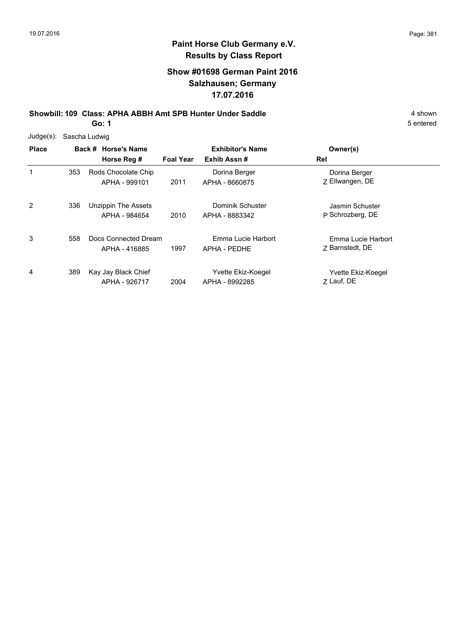## **Show #01698 German Paint 2016 Salzhausen; Germany 17.07.2016**

**Showbill: 109 Class: APHA ABBH Amt SPB Hunter Under Saddle** 4 shown

**Go: 1**

| Judge(s):    |     | Sascha Ludwig                         |                  |                                        |                                       |  |
|--------------|-----|---------------------------------------|------------------|----------------------------------------|---------------------------------------|--|
| <b>Place</b> |     | Back # Horse's Name<br>Horse Reg #    | <b>Foal Year</b> | <b>Exhibitor's Name</b><br>Exhib Assn# | Owner(s)<br>Rel                       |  |
| 1            | 353 | Rods Chocolate Chip<br>APHA - 999101  | 2011             | Dorina Berger<br>APHA - 8660875        | Dorina Berger<br>Z Ellwangen, DE      |  |
| 2            | 336 | Unzippin The Assets<br>APHA - 984654  | 2010             | Dominik Schuster<br>APHA - 8883342     | Jasmin Schuster<br>P Schrozberg, DE   |  |
| 3            | 558 | Docs Connected Dream<br>APHA - 416885 | 1997             | Emma Lucie Harbort<br>APHA - PEDHE     | Emma Lucie Harbort<br>7 Barnstedt, DE |  |
| 4            | 389 | Kay Jay Black Chief<br>APHA - 926717  | 2004             | Yvette Ekiz-Koegel<br>APHA - 8992285   | Yvette Ekiz-Koegel<br>7 Lauf, DE      |  |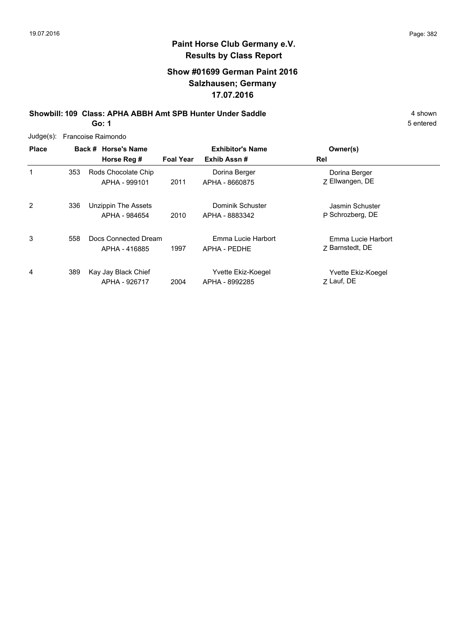## **Show #01699 German Paint 2016 Salzhausen; Germany 17.07.2016**

**Showbill: 109 Class: APHA ABBH Amt SPB Hunter Under Saddle** 4 shown

**Go: 1**

|              | Judge(s): Francoise Raimondo |                                       |                  |                                        |                                       |  |  |  |  |
|--------------|------------------------------|---------------------------------------|------------------|----------------------------------------|---------------------------------------|--|--|--|--|
| <b>Place</b> |                              | Back # Horse's Name<br>Horse Reg #    | <b>Foal Year</b> | <b>Exhibitor's Name</b><br>Exhib Assn# | Owner(s)<br>Rel                       |  |  |  |  |
| 1            | 353                          | Rods Chocolate Chip<br>APHA - 999101  | 2011             | Dorina Berger<br>APHA - 8660875        | Dorina Berger<br>Z Ellwangen, DE      |  |  |  |  |
| 2            | 336                          | Unzippin The Assets<br>APHA - 984654  | 2010             | Dominik Schuster<br>APHA - 8883342     | Jasmin Schuster<br>P Schrozberg, DE   |  |  |  |  |
| 3            | 558                          | Docs Connected Dream<br>APHA - 416885 | 1997             | Emma Lucie Harbort<br>APHA - PEDHE     | Emma Lucie Harbort<br>7 Barnstedt, DE |  |  |  |  |
| 4            | 389                          | Kay Jay Black Chief<br>APHA - 926717  | 2004             | Yvette Ekiz-Koegel<br>APHA - 8992285   | Yvette Ekiz-Koegel<br>7 Lauf, DE      |  |  |  |  |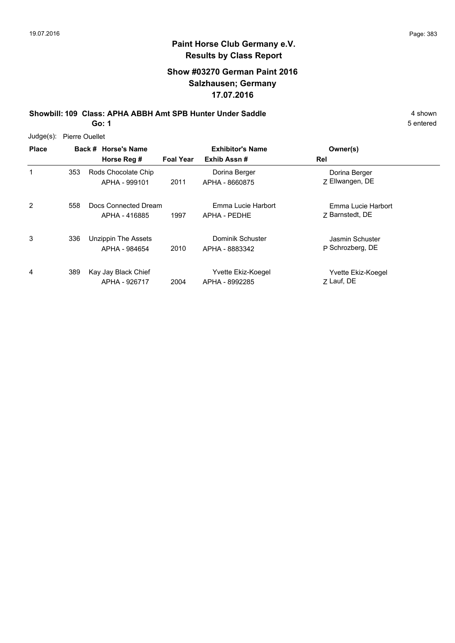## **Show #03270 German Paint 2016 Salzhausen; Germany 17.07.2016**

**Showbill: 109 Class: APHA ABBH Amt SPB Hunter Under Saddle** 4 shown

**Go: 1**

| Judge(s): | <b>Pierre Ouellet</b> |
|-----------|-----------------------|
|-----------|-----------------------|

| <b>Place</b> |     | Back # Horse's Name<br>Horse Reg #    | <b>Foal Year</b> | <b>Exhibitor's Name</b><br>Exhib Assn# | Owner(s)<br>Rel                       |
|--------------|-----|---------------------------------------|------------------|----------------------------------------|---------------------------------------|
| 1            | 353 | Rods Chocolate Chip<br>APHA - 999101  | 2011             | Dorina Berger<br>APHA - 8660875        | Dorina Berger<br>Z Ellwangen, DE      |
| 2            | 558 | Docs Connected Dream<br>APHA - 416885 | 1997             | Emma Lucie Harbort<br>APHA - PEDHE     | Emma Lucie Harbort<br>7 Barnstedt, DE |
| 3            | 336 | Unzippin The Assets<br>APHA - 984654  | 2010             | Dominik Schuster<br>APHA - 8883342     | Jasmin Schuster<br>P Schrozberg, DE   |
| 4            | 389 | Kay Jay Black Chief<br>APHA - 926717  | 2004             | Yvette Ekiz-Koegel<br>APHA - 8992285   | Yvette Ekiz-Koegel<br>Z Lauf, DE      |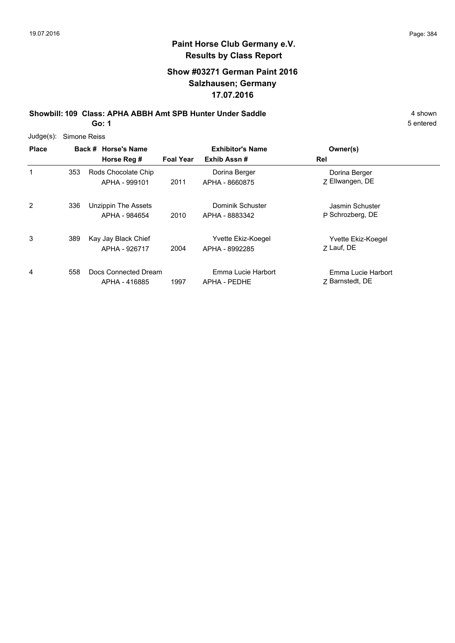## **Show #03271 German Paint 2016 Salzhausen; Germany 17.07.2016**

**Showbill: 109 Class: APHA ABBH Amt SPB Hunter Under Saddle** 4 shown

**Go: 1**

| $Judge(s)$ : |     | Simone Reiss                          |                  |                                      |                                       |
|--------------|-----|---------------------------------------|------------------|--------------------------------------|---------------------------------------|
| <b>Place</b> |     | Back # Horse's Name                   |                  | <b>Exhibitor's Name</b>              | Owner(s)                              |
|              |     | Horse Reg #                           | <b>Foal Year</b> | Exhib Assn#                          | Rel                                   |
| 1            | 353 | Rods Chocolate Chip<br>APHA - 999101  | 2011             | Dorina Berger<br>APHA - 8660875      | Dorina Berger<br>Z Ellwangen, DE      |
| 2            | 336 | Unzippin The Assets<br>APHA - 984654  | 2010             | Dominik Schuster<br>APHA - 8883342   | Jasmin Schuster<br>P Schrozberg, DE   |
| 3            | 389 | Kay Jay Black Chief<br>APHA - 926717  | 2004             | Yvette Ekiz-Koegel<br>APHA - 8992285 | Yvette Ekiz-Koegel<br>7 Lauf, DE      |
| 4            | 558 | Docs Connected Dream<br>APHA - 416885 | 1997             | Emma Lucie Harbort<br>APHA - PEDHE   | Emma Lucie Harbort<br>7 Barnstedt, DE |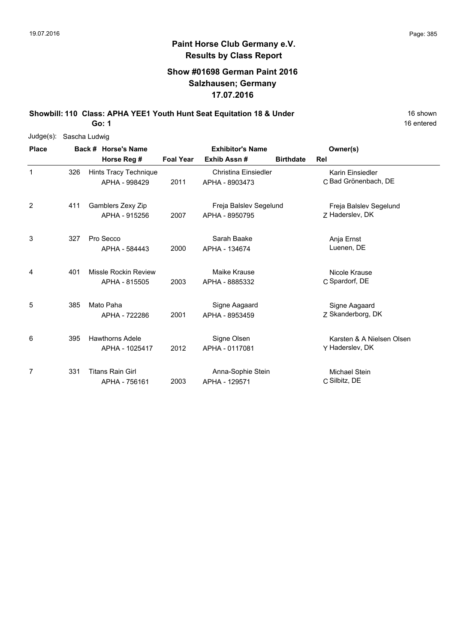## **Show #01698 German Paint 2016 Salzhausen; Germany 17.07.2016**

**Showbill: 110 Class: APHA YEE1 Youth Hunt Seat Equitation 18 & Under** 16 Shown 16 shown

**Go: 1**

| $Judge(s)$ : |     | Sascha Ludwig                            |                  |                                          |                  |                                              |
|--------------|-----|------------------------------------------|------------------|------------------------------------------|------------------|----------------------------------------------|
| <b>Place</b> |     | Back # Horse's Name                      |                  | <b>Exhibitor's Name</b>                  |                  | Owner(s)                                     |
|              |     | Horse Reg #                              | <b>Foal Year</b> | Exhib Assn#                              | <b>Birthdate</b> | Rel                                          |
| 1            | 326 | Hints Tracy Technique<br>APHA - 998429   | 2011             | Christina Einsiedler<br>APHA - 8903473   |                  | Karin Einsiedler<br>C Bad Grönenbach, DE     |
| 2            | 411 | Gamblers Zexy Zip<br>APHA - 915256       | 2007             | Freja Balslev Segelund<br>APHA - 8950795 |                  | Freja Balslev Segelund<br>Z Haderslev, DK    |
| 3            | 327 | Pro Secco<br>APHA - 584443               | 2000             | Sarah Baake<br>APHA - 134674             |                  | Anja Ernst<br>Luenen, DE                     |
| 4            | 401 | Missle Rockin Review<br>APHA - 815505    | 2003             | Maike Krause<br>APHA - 8885332           |                  | Nicole Krause<br>C Spardorf, DE              |
| 5            | 385 | Mato Paha<br>APHA - 722286               | 2001             | Signe Aagaard<br>APHA - 8953459          |                  | Signe Aagaard<br>Z Skanderborg, DK           |
| 6            | 395 | <b>Hawthorns Adele</b><br>APHA - 1025417 | 2012             | Signe Olsen<br>APHA - 0117081            |                  | Karsten & A Nielsen Olsen<br>Y Haderslev, DK |
| 7            | 331 | <b>Titans Rain Girl</b><br>APHA - 756161 | 2003             | Anna-Sophie Stein<br>APHA - 129571       |                  | Michael Stein<br>C Silbitz, DE               |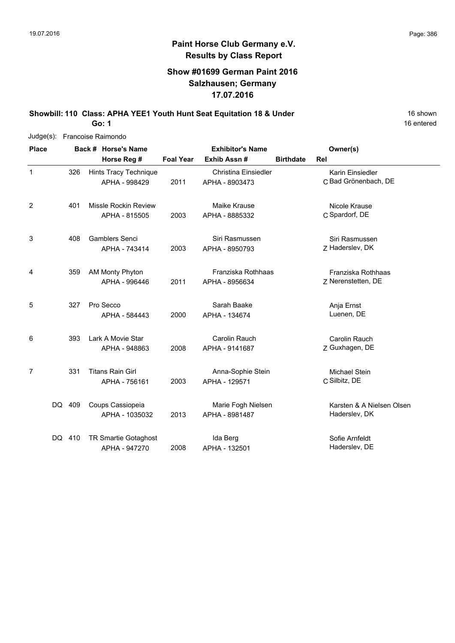16 entered

## **Paint Horse Club Germany e.V. Results by Class Report**

## **Show #01699 German Paint 2016 Salzhausen; Germany 17.07.2016**

**Showbill: 110 Class: APHA YEE1 Youth Hunt Seat Equitation 18 & Under** 16 Shown 16 shown

**Go: 1**

| $Judge(s)$ :   | Francoise Raimondo |  |                                              |                  |                                               |                  |                                            |
|----------------|--------------------|--|----------------------------------------------|------------------|-----------------------------------------------|------------------|--------------------------------------------|
| <b>Place</b>   |                    |  | Back # Horse's Name                          |                  | <b>Exhibitor's Name</b>                       |                  | Owner(s)                                   |
|                |                    |  | Horse Reg #                                  | <b>Foal Year</b> | Exhib Assn #                                  | <b>Birthdate</b> | Rel                                        |
| 1              | 326                |  | Hints Tracy Technique<br>APHA - 998429       | 2011             | <b>Christina Einsiedler</b><br>APHA - 8903473 |                  | Karin Einsiedler<br>C Bad Grönenbach, DE   |
| $\overline{2}$ | 401                |  | <b>Missle Rockin Review</b><br>APHA - 815505 | 2003             | Maike Krause<br>APHA - 8885332                |                  | Nicole Krause<br>C Spardorf, DE            |
| 3              | 408                |  | <b>Gamblers Senci</b><br>APHA - 743414       | 2003             | Siri Rasmussen<br>APHA - 8950793              |                  | Siri Rasmussen<br>Z Haderslev, DK          |
| 4              | 359                |  | AM Monty Phyton<br>APHA - 996446             | 2011             | Franziska Rothhaas<br>APHA - 8956634          |                  | Franziska Rothhaas<br>Z Nerenstetten, DE   |
| 5              | 327                |  | Pro Secco<br>APHA - 584443                   | 2000             | Sarah Baake<br>APHA - 134674                  |                  | Anja Ernst<br>Luenen, DE                   |
| 6              | 393                |  | Lark A Movie Star<br>APHA - 948863           | 2008             | Carolin Rauch<br>APHA - 9141687               |                  | Carolin Rauch<br>Z Guxhagen, DE            |
| 7              | 331                |  | <b>Titans Rain Girl</b><br>APHA - 756161     | 2003             | Anna-Sophie Stein<br>APHA - 129571            |                  | Michael Stein<br>C Silbitz, DE             |
|                | DQ 409             |  | Coups Cassiopeia<br>APHA - 1035032           | 2013             | Marie Fogh Nielsen<br>APHA - 8981487          |                  | Karsten & A Nielsen Olsen<br>Haderslev, DK |
|                | DQ 410             |  | <b>TR Smartie Gotaghost</b><br>APHA - 947270 | 2008             | Ida Berg<br>APHA - 132501                     |                  | Sofie Arnfeldt<br>Haderslev, DE            |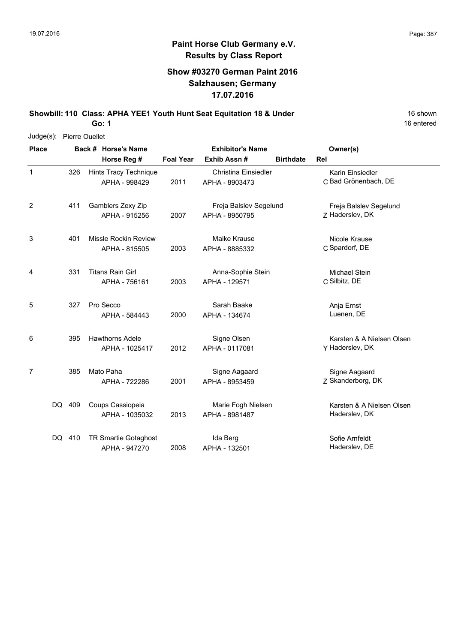1

2

3

4

6

7

16 entered

#### **Paint Horse Club Germany e.V. Results by Class Report**

#### **Show #03270 German Paint 2016 Salzhausen; Germany 17.07.2016**

**Showbill: 110 Class: APHA YEE1 Youth Hunt Seat Equitation 18 & Under** 16 Shown

**Go: 1**

Judge(s): Pierre Ouellet **Back # Horse's Name Place Owner(s) Horse Reg # Exhib Assn # Foal Year Birthdate Rel Exhibitor's Name** 2011 APHA - 8903473 C Bad Grönenbach, DE Karin Einsiedler Hints Tracy Technique APHA - 998429 Christina Einsiedler APHA - 8903473 326 7 Haderslev, DK Freja Balslev Segelund 2007 APHA - 8950795 Z Haderslev, DK 411 Gamblers Zexy Zip APHA - 915256 Freja Balslev Segelund C Spardorf, DE Nicole Krause 2003 APHA - 8885332 C Spardorf, DE 401 Missle Rockin Review APHA - 815505 Maike Krause C Silbitz, DE Michael Stein 2003 APHA - 129571 C Silbitz, DE Titans Rain Girl APHA - 756161 Anna-Sophie Stein 331 5 327 Pro Secco Sarah Baake Nanja Ernst 2000 Luenen, DE APHA - 134674 APHA - 584443 Sarah Baake Y Haderslev, DK Karsten & A Nielsen Olsen 2012 Haderslev, DK APHA - 0117081 Hawthorns Adele APHA - 1025417 Signe Olsen 395 2001 APHA - 8953459 Z Skanderborg, DK Signe Aagaard 385 Mato Paha APHA - 722286 Signe Aagaard APHA - 8953459 Karsten & A Nielsen Olsen 2013 Haderslev, DK APHA - 8981487 Coups Cassiopeia APHA - 1035032 Marie Fogh Nielsen DQ 409 Sofie Arnfeldt 2008 Haderslev, DE APHA - 132501 DQ 410 TR Smartie Gotaghost APHA - 947270 Ida Berg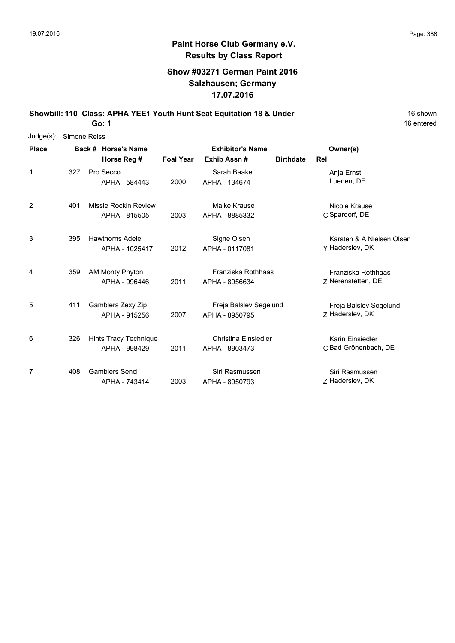## **Show #03271 German Paint 2016 Salzhausen; Germany 17.07.2016**

**Showbill: 110 Class: APHA YEE1 Youth Hunt Seat Equitation 18 & Under** 16 Shown

**Go: 1**

| Judge(s):    | Simone Reiss |                        |                  |                         |                  |                           |
|--------------|--------------|------------------------|------------------|-------------------------|------------------|---------------------------|
| <b>Place</b> |              | Back # Horse's Name    |                  | <b>Exhibitor's Name</b> |                  | Owner(s)                  |
|              |              | Horse Reg #            | <b>Foal Year</b> | Exhib Assn#             | <b>Birthdate</b> | <b>Rel</b>                |
| 1            | 327          | Pro Secco              |                  | Sarah Baake             |                  | Anja Ernst                |
|              |              | APHA - 584443          | 2000             | APHA - 134674           |                  | Luenen, DE                |
| 2            | 401          | Missle Rockin Review   |                  | Maike Krause            |                  | Nicole Krause             |
|              |              | APHA - 815505          | 2003             | APHA - 8885332          |                  | C Spardorf, DE            |
| 3            | 395          | <b>Hawthorns Adele</b> |                  | Signe Olsen             |                  | Karsten & A Nielsen Olsen |
|              |              | APHA - 1025417         | 2012             | APHA - 0117081          |                  | Y Haderslev, DK           |
| 4            | 359          | <b>AM Monty Phyton</b> |                  | Franziska Rothhaas      |                  | Franziska Rothhaas        |
|              |              | APHA - 996446          | 2011             | APHA - 8956634          |                  | Z Nerenstetten, DE        |
| 5            | 411          | Gamblers Zexy Zip      |                  | Freja Balslev Segelund  |                  | Freja Balslev Segelund    |
|              |              | APHA - 915256          | 2007             | APHA - 8950795          |                  | 7 Haderslev, DK           |
| 6            | 326          | Hints Tracy Technique  |                  | Christina Einsiedler    |                  | Karin Einsiedler          |
|              |              | APHA - 998429          | 2011             | APHA - 8903473          |                  | C Bad Grönenbach, DE      |
| 7            | 408          | <b>Gamblers Senci</b>  |                  | Siri Rasmussen          |                  | Siri Rasmussen            |
|              |              | APHA - 743414          | 2003             | APHA - 8950793          |                  | Z Haderslev, DK           |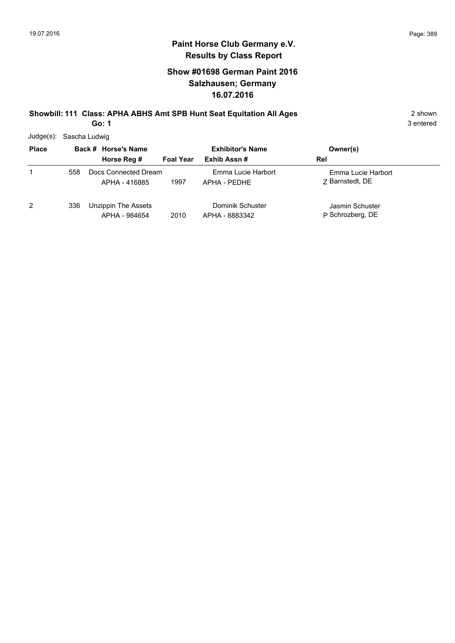## **Show #01698 German Paint 2016 Salzhausen; Germany 16.07.2016**

# **Showbill: 111 Class: APHA ABHS Amt SPB Hunt Seat Equitation All Ages** 2 shown

**Go: 1**

3 entered

Judge(s): Sascha Ludwig

| <b>Place</b>   |     | Back # Horse's Name                   | <b>Exhibitor's Name</b> |                                    | Owner(s)                              |
|----------------|-----|---------------------------------------|-------------------------|------------------------------------|---------------------------------------|
|                |     | Horse Reg #                           | <b>Foal Year</b>        | Exhib Assn#                        | Rel                                   |
|                | 558 | Docs Connected Dream<br>APHA - 416885 | 1997                    | Emma Lucie Harbort<br>APHA - PEDHE | Emma Lucie Harbort<br>7 Barnstedt, DE |
| $\overline{2}$ | 336 | Unzippin The Assets<br>APHA - 984654  | 2010                    | Dominik Schuster<br>APHA - 8883342 | Jasmin Schuster<br>P Schrozberg, DE   |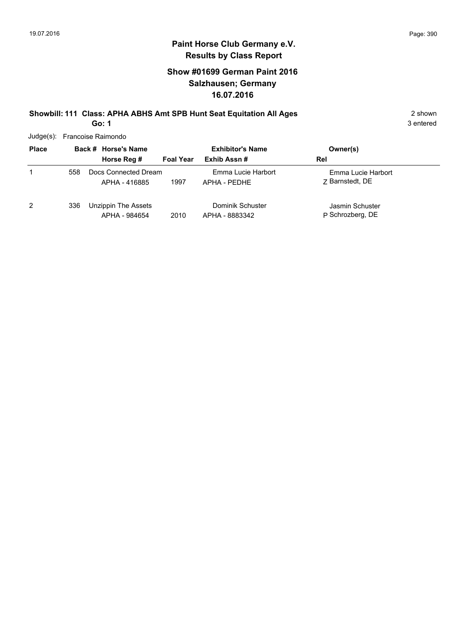## **Show #01699 German Paint 2016 Salzhausen; Germany 16.07.2016**

#### **Showbill: 111 Class: APHA ABHS Amt SPB Hunt Seat Equitation All Ages** 2 shown **Go: 1**

3 entered

Judge(s): Francoise Raimondo

| <b>Place</b> |     | Back # Horse's Name                   | <b>Exhibitor's Name</b> |                                    | Owner(s)                              |
|--------------|-----|---------------------------------------|-------------------------|------------------------------------|---------------------------------------|
|              |     | Horse Reg #                           | <b>Foal Year</b>        | Exhib Assn#                        | Rel                                   |
| 1            | 558 | Docs Connected Dream<br>APHA - 416885 | 1997                    | Emma Lucie Harbort<br>APHA - PEDHE | Emma Lucie Harbort<br>7 Barnstedt, DE |
| 2            | 336 | Unzippin The Assets<br>APHA - 984654  | 2010                    | Dominik Schuster<br>APHA - 8883342 | Jasmin Schuster<br>P Schrozberg, DE   |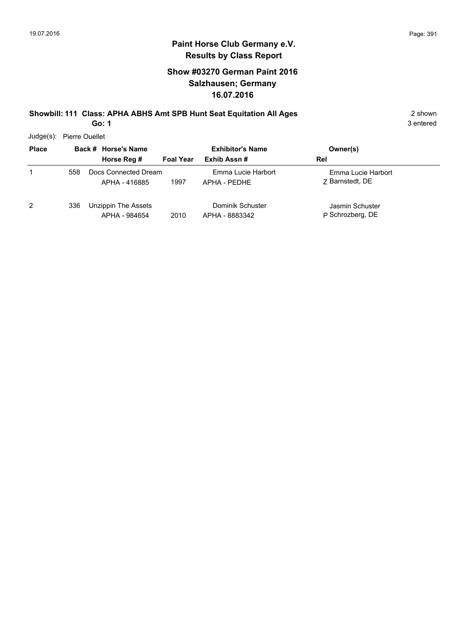## **Show #03270 German Paint 2016 Salzhausen; Germany 16.07.2016**

#### **Showbill: 111 Class: APHA ABHS Amt SPB Hunt Seat Equitation All Ages** 2 shown **Go: 1**

3 entered

Judge(s): Pierre Ouellet

| <b>Place</b> |     | Back # Horse's Name<br>Horse Reg #    | <b>Foal Year</b> | <b>Exhibitor's Name</b><br>Exhib Assn# | Owner(s)<br>Rel                       |  |
|--------------|-----|---------------------------------------|------------------|----------------------------------------|---------------------------------------|--|
| 1            | 558 | Docs Connected Dream<br>APHA - 416885 | 1997             | Emma Lucie Harbort<br>APHA - PFDHF     | Emma Lucie Harbort<br>7 Barnstedt, DE |  |
| 2            | 336 | Unzippin The Assets<br>APHA - 984654  | 2010             | Dominik Schuster<br>APHA - 8883342     | Jasmin Schuster<br>P Schrozberg, DE   |  |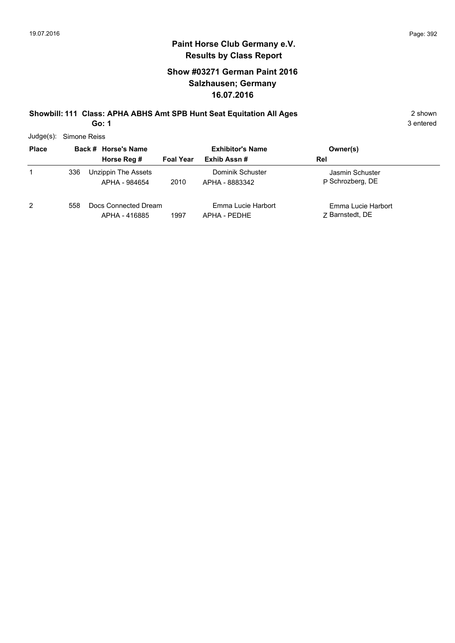## **Show #03271 German Paint 2016 Salzhausen; Germany 16.07.2016**

#### **Showbill: 111 Class: APHA ABHS Amt SPB Hunt Seat Equitation All Ages** 2 shown **Go: 1**

3 entered

Judge(s): Simone Reiss

| <b>Place</b>   |     | Back # Horse's Name                   |                  | <b>Exhibitor's Name</b>            | Owner(s)                              |
|----------------|-----|---------------------------------------|------------------|------------------------------------|---------------------------------------|
|                |     | Horse Reg #                           | <b>Foal Year</b> | Exhib Assn#                        | Rel                                   |
| 1              | 336 | Unzippin The Assets<br>APHA - 984654  | 2010             | Dominik Schuster<br>APHA - 8883342 | Jasmin Schuster<br>P Schrozberg, DE   |
| $\overline{2}$ | 558 | Docs Connected Dream<br>APHA - 416885 | 1997             | Emma Lucie Harbort<br>APHA - PEDHE | Emma Lucie Harbort<br>7 Barnstedt, DE |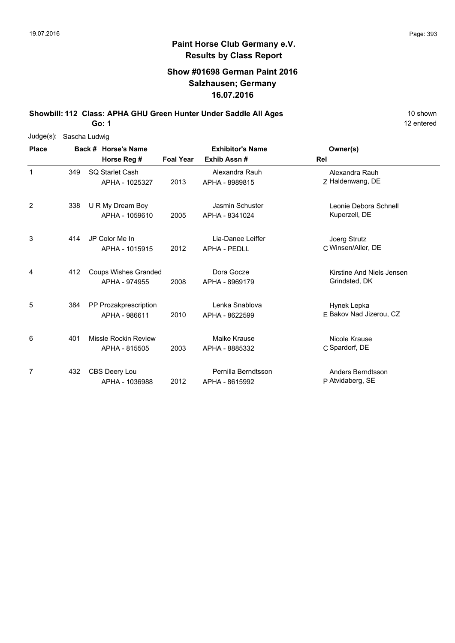## **Show #01698 German Paint 2016 Salzhausen; Germany 16.07.2016**

**Showbill: 112 Class: APHA GHU Green Hunter Under Saddle All Ages** 10 Shown

**Go: 1**

| $Judge(s)$ : | Sascha Ludwig |                     |                             |                         |                     |                           |
|--------------|---------------|---------------------|-----------------------------|-------------------------|---------------------|---------------------------|
| <b>Place</b> |               | Back # Horse's Name |                             | <b>Exhibitor's Name</b> | Owner(s)            |                           |
|              |               |                     | Horse Reg #                 | <b>Foal Year</b>        | Exhib Assn#         | <b>Rel</b>                |
| $\mathbf{1}$ | 349           |                     | SQ Starlet Cash             |                         | Alexandra Rauh      | Alexandra Rauh            |
|              |               |                     | APHA - 1025327              | 2013                    | APHA - 8989815      | Z Haldenwang, DE          |
| 2            | 338           |                     | U R My Dream Boy            |                         | Jasmin Schuster     | Leonie Debora Schnell     |
|              |               |                     | APHA - 1059610              | 2005                    | APHA - 8341024      | Kuperzell, DE             |
| 3            | 414           |                     | JP Color Me In              |                         | Lia-Danee Leiffer   | Joerg Strutz              |
|              |               |                     | APHA - 1015915              | 2012                    | <b>APHA - PEDLL</b> | C Winsen/Aller, DE        |
| 4            | 412           |                     | <b>Coups Wishes Granded</b> |                         | Dora Gocze          | Kirstine And Niels Jensen |
|              |               |                     | APHA - 974955               | 2008                    | APHA - 8969179      | Grindsted, DK             |
| 5            | 384           |                     | PP Prozakprescription       |                         | Lenka Snablova      | Hynek Lepka               |
|              |               |                     | APHA - 986611               | 2010                    | APHA - 8622599      | F Bakov Nad Jizerou, CZ   |
| 6            | 401           |                     | Missle Rockin Review        |                         | Maike Krause        | Nicole Krause             |
|              |               |                     | APHA - 815505               | 2003                    | APHA - 8885332      | C Spardorf, DE            |
| 7            | 432           |                     | CBS Deery Lou               |                         | Pernilla Berndtsson | Anders Berndtsson         |
|              |               |                     | APHA - 1036988              | 2012                    | APHA - 8615992      | P Atvidaberg, SE          |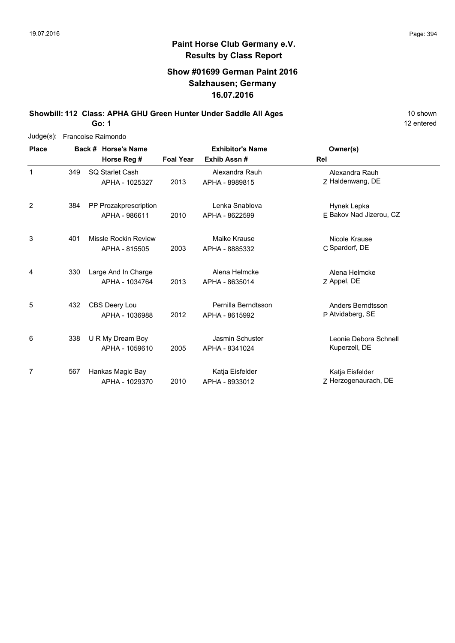#### **Show #01699 German Paint 2016 Salzhausen; Germany 16.07.2016**

**Showbill: 112 Class: APHA GHU Green Hunter Under Saddle All Ages** 10 Shown **Go: 1**

12 entered

Judge(s): Francoise Raimondo **Back # Horse's Name Place Owner(s) Horse Reg # Exhib Assn # Foal Year Rel Exhibitor's Name** 1 2013 APHA - 8989815 Z Haldenwang, DE Alexandra Rauh SQ Starlet Cash APHA - 1025327 Alexandra Rauh APHA - 8989815 349 2 2010 APHA - 8622599 E Bakov Nad Jizerou, CZ Hynek Lepka PP Prozakprescription APHA - 986611 Lenka Snablova APHA - 8622599 384 3 C Spardorf, DE Nicole Krause 2003 APHA - 8885332 C Spardorf, DE Missle Rockin Review APHA - 815505 Maike Krause 401 4 7 Appel, DE Alena Helmcke 2013 Appel, DE APHA - 8635014 Large And In Charge APHA - 1034764 Alena Helmcke 330 5 P Atvidaberg, SE Anders Berndtsson 2012 APHA - 8615992 P Atvidaberg, SE 432 CBS Deery Lou APHA - 1036988 Pernilla Berndtsson

6 and 338 U R My Dream Boy **State Schnell** Jasmin Schuster **Connect Schnell** Leonie Debora Schnell 2005 Kuperzell, DE APHA - 8341024 U R My Dream Boy APHA - 1059610 Jasmin Schuster 338 7 2010 APHA - 8933012 Z Herzogenaurach, DE Katja Eisfelder Hankas Magic Bay APHA - 1029370 Katja Eisfelder APHA - 8933012 567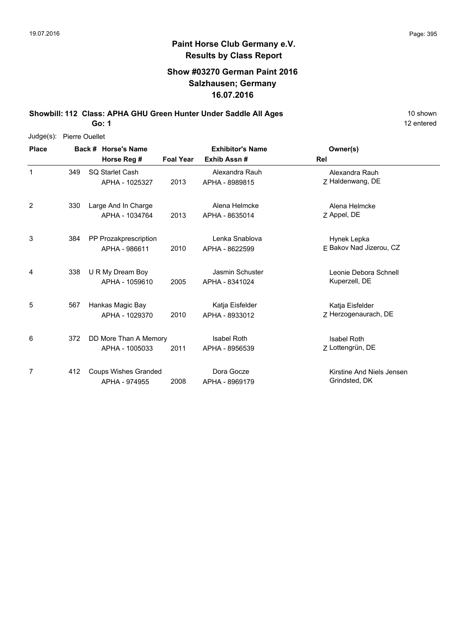## **Show #03270 German Paint 2016 Salzhausen; Germany 16.07.2016**

**Showbill: 112 Class: APHA GHU Green Hunter Under Saddle All Ages** 10 Shown

**Go: 1**

|                | Judge(s): Pierre Ouellet |                     |                             |                  |                         |                           |  |  |  |  |
|----------------|--------------------------|---------------------|-----------------------------|------------------|-------------------------|---------------------------|--|--|--|--|
| <b>Place</b>   |                          | Back # Horse's Name |                             |                  | <b>Exhibitor's Name</b> | Owner(s)                  |  |  |  |  |
|                |                          |                     | Horse Reg #                 | <b>Foal Year</b> | Exhib Assn#             | Rel                       |  |  |  |  |
| 1              | 349                      |                     | SQ Starlet Cash             |                  | Alexandra Rauh          | Alexandra Rauh            |  |  |  |  |
|                |                          |                     | APHA - 1025327              | 2013             | APHA - 8989815          | Z Haldenwang, DE          |  |  |  |  |
| $\overline{2}$ | 330                      |                     | Large And In Charge         |                  | Alena Helmcke           | Alena Helmcke             |  |  |  |  |
|                |                          |                     | APHA - 1034764              | 2013             | APHA - 8635014          | Z Appel, DE               |  |  |  |  |
| 3              | 384                      |                     | PP Prozakprescription       |                  | Lenka Snablova          | Hynek Lepka               |  |  |  |  |
|                |                          |                     | APHA - 986611               | 2010             | APHA - 8622599          | E Bakov Nad Jizerou, CZ   |  |  |  |  |
| 4              | 338                      |                     | U R My Dream Boy            |                  | Jasmin Schuster         | Leonie Debora Schnell     |  |  |  |  |
|                |                          |                     | APHA - 1059610              | 2005             | APHA - 8341024          | Kuperzell, DE             |  |  |  |  |
| 5              | 567                      |                     | Hankas Magic Bay            |                  | Katja Eisfelder         | Katja Eisfelder           |  |  |  |  |
|                |                          |                     | APHA - 1029370              | 2010             | APHA - 8933012          | Z Herzogenaurach, DE      |  |  |  |  |
| 6              | 372                      |                     | DD More Than A Memory       |                  | <b>Isabel Roth</b>      | <b>Isabel Roth</b>        |  |  |  |  |
|                |                          |                     | APHA - 1005033              | 2011             | APHA - 8956539          | Z Lottengrün, DE          |  |  |  |  |
| 7              | 412                      |                     | <b>Coups Wishes Granded</b> |                  | Dora Gocze              | Kirstine And Niels Jensen |  |  |  |  |
|                |                          |                     | APHA - 974955               | 2008             | APHA - 8969179          | Grindsted, DK             |  |  |  |  |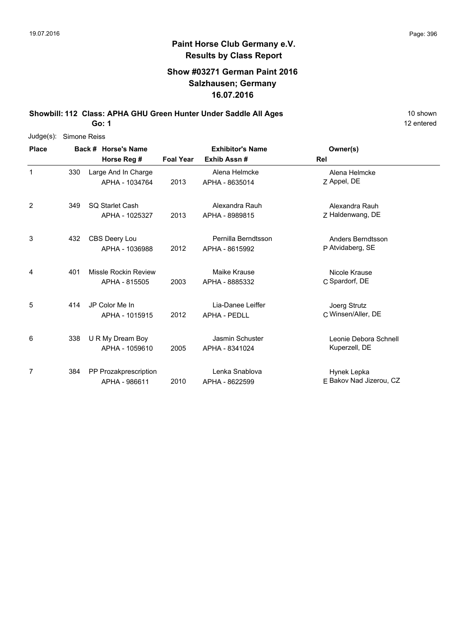## **Show #03271 German Paint 2016 Salzhausen; Germany 16.07.2016**

**Showbill: 112 Class: APHA GHU Green Hunter Under Saddle All Ages** 10 Shown

**Go: 1**

| $Judge(s)$ : | Simone Reiss |  |                       |                  |                         |                         |  |
|--------------|--------------|--|-----------------------|------------------|-------------------------|-------------------------|--|
| <b>Place</b> |              |  | Back # Horse's Name   |                  | <b>Exhibitor's Name</b> | Owner(s)                |  |
|              |              |  | Horse Reg #           | <b>Foal Year</b> | Exhib Assn#             | <b>Rel</b>              |  |
| $\mathbf{1}$ | 330          |  | Large And In Charge   |                  | Alena Helmcke           | Alena Helmcke           |  |
|              |              |  | APHA - 1034764        | 2013             | APHA - 8635014          | Z Appel, DE             |  |
| 2            | 349          |  | SQ Starlet Cash       |                  | Alexandra Rauh          | Alexandra Rauh          |  |
|              |              |  | APHA - 1025327        | 2013             | APHA - 8989815          | Z Haldenwang, DE        |  |
| 3            | 432          |  | CBS Deery Lou         |                  | Pernilla Berndtsson     | Anders Berndtsson       |  |
|              |              |  | APHA - 1036988        | 2012             | APHA - 8615992          | P Atvidaberg, SE        |  |
| 4            | 401          |  | Missle Rockin Review  |                  | Maike Krause            | Nicole Krause           |  |
|              |              |  | APHA - 815505         | 2003             | APHA - 8885332          | C Spardorf, DE          |  |
| 5            | 414          |  | JP Color Me In        |                  | Lia-Danee Leiffer       | Joerg Strutz            |  |
|              |              |  | APHA - 1015915        | 2012             | <b>APHA - PEDLL</b>     | C Winsen/Aller, DE      |  |
| 6            | 338          |  | U R My Dream Boy      |                  | Jasmin Schuster         | Leonie Debora Schnell   |  |
|              |              |  | APHA - 1059610        | 2005             | APHA - 8341024          | Kuperzell, DE           |  |
| 7            | 384          |  | PP Prozakprescription |                  | Lenka Snablova          | Hynek Lepka             |  |
|              |              |  | APHA - 986611         | 2010             | APHA - 8622599          | E Bakov Nad Jizerou, CZ |  |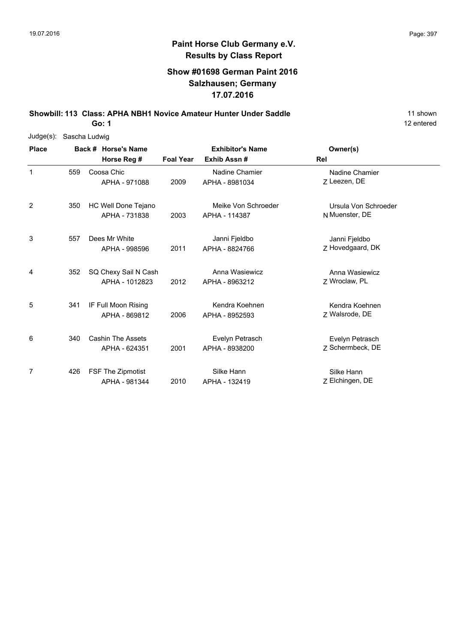#### **Show #01698 German Paint 2016 Salzhausen; Germany 17.07.2016**

**Showbill: 113 Class: APHA NBH1 Novice Amateur Hunter Under Saddle** 11 Shown

**Go: 1**

| $Judge(s)$ : | Sascha Ludwig |                     |                          |                  |                         |                      |
|--------------|---------------|---------------------|--------------------------|------------------|-------------------------|----------------------|
| <b>Place</b> |               | Back # Horse's Name |                          |                  | <b>Exhibitor's Name</b> | Owner(s)             |
|              |               |                     | Horse Reg #              | <b>Foal Year</b> | Exhib Assn#             | Rel                  |
| $\mathbf{1}$ | 559           |                     | Coosa Chic               |                  | Nadine Chamier          | Nadine Chamier       |
|              |               |                     | APHA - 971088            | 2009             | APHA - 8981034          | 7 Leezen, DE         |
| 2            | 350           |                     | HC Well Done Tejano      |                  | Meike Von Schroeder     | Ursula Von Schroeder |
|              |               |                     | APHA - 731838            | 2003             | APHA - 114387           | N Muenster, DE       |
| 3            | 557           |                     | Dees Mr White            |                  | Janni Fjeldbo           | Janni Fjeldbo        |
|              |               |                     | APHA - 998596            | 2011             | APHA - 8824766          | Z Hovedgaard, DK     |
| 4            | 352           |                     | SQ Chexy Sail N Cash     |                  | Anna Wasiewicz          | Anna Wasiewicz       |
|              |               |                     | APHA - 1012823           | 2012             | APHA - 8963212          | Z Wroclaw, PL        |
| 5            | 341           |                     | IF Full Moon Rising      |                  | Kendra Koehnen          | Kendra Koehnen       |
|              |               |                     | APHA - 869812            | 2006             | APHA - 8952593          | Z Walsrode, DE       |
| 6            | 340           |                     | <b>Cashin The Assets</b> |                  | Evelyn Petrasch         | Evelyn Petrasch      |
|              |               |                     | APHA - 624351            | 2001             | APHA - 8938200          | Z Schermbeck, DE     |
| 7            | 426           |                     | <b>FSF The Zipmotist</b> |                  | Silke Hann              | Silke Hann           |
|              |               |                     | APHA - 981344            | 2010             | APHA - 132419           | Z Elchingen, DE      |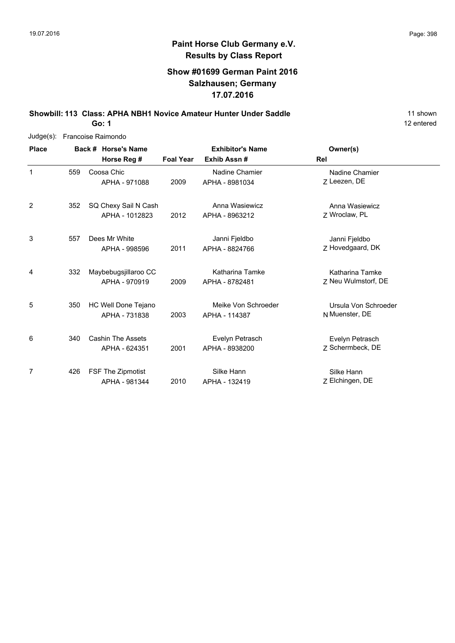12 entered

# **Paint Horse Club Germany e.V. Results by Class Report**

#### **Show #01699 German Paint 2016 Salzhausen; Germany 17.07.2016**

**Showbill: 113 Class: APHA NBH1 Novice Amateur Hunter Under Saddle** 11 Shown 11 shown

**Go: 1**

| $Judge(s)$ : |     |                     | Francoise Raimondo   |                  |                         |                      |
|--------------|-----|---------------------|----------------------|------------------|-------------------------|----------------------|
| <b>Place</b> |     | Back # Horse's Name |                      |                  | <b>Exhibitor's Name</b> | Owner(s)             |
|              |     |                     | Horse Reg #          | <b>Foal Year</b> | Exhib Assn#             | Rel                  |
| $\mathbf{1}$ | 559 |                     | Coosa Chic           |                  | Nadine Chamier          | Nadine Chamier       |
|              |     |                     | APHA - 971088        | 2009             | APHA - 8981034          | Z Leezen, DE         |
| 2            | 352 |                     | SQ Chexy Sail N Cash |                  | Anna Wasiewicz          | Anna Wasiewicz       |
|              |     |                     | APHA - 1012823       | 2012             | APHA - 8963212          | Z Wroclaw, PL        |
| 3            | 557 |                     | Dees Mr White        |                  | Janni Fjeldbo           | Janni Fjeldbo        |
|              |     |                     | APHA - 998596        | 2011             | APHA - 8824766          | Z Hovedgaard, DK     |
| 4            | 332 |                     | Maybebugsjillaroo CC |                  | Katharina Tamke         | Katharina Tamke      |
|              |     |                     | APHA - 970919        | 2009             | APHA - 8782481          | Z Neu Wulmstorf, DE  |
| 5            | 350 |                     | HC Well Done Tejano  |                  | Meike Von Schroeder     | Ursula Von Schroeder |
|              |     |                     | APHA - 731838        | 2003             | APHA - 114387           | N Muenster, DE       |
| 6            | 340 |                     | Cashin The Assets    |                  | Evelyn Petrasch         | Evelyn Petrasch      |
|              |     |                     | APHA - 624351        | 2001             | APHA - 8938200          | Z Schermbeck, DE     |
| 7            | 426 |                     | FSF The Zipmotist    |                  | Silke Hann              | Silke Hann           |
|              |     |                     | APHA - 981344        | 2010             | APHA - 132419           | Z Elchingen, DE      |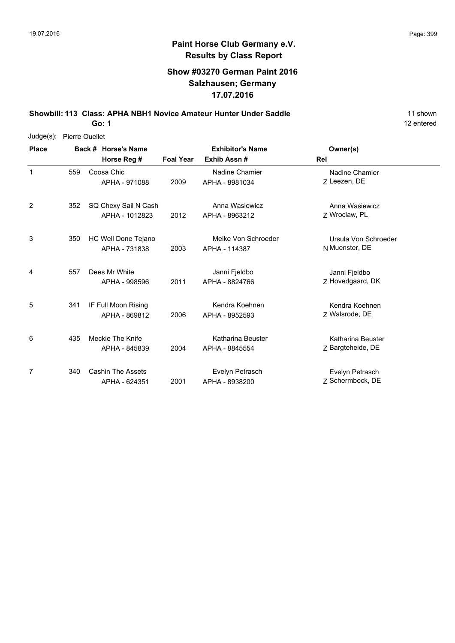#### **Show #03270 German Paint 2016 Salzhausen; Germany 17.07.2016**

**Showbill: 113 Class: APHA NBH1 Novice Amateur Hunter Under Saddle** 11 Shown

**Go: 1**

| Judge(s):    | <b>Pierre Ouellet</b> |                     |                          |                  |                         |                      |
|--------------|-----------------------|---------------------|--------------------------|------------------|-------------------------|----------------------|
| <b>Place</b> |                       | Back # Horse's Name |                          |                  | <b>Exhibitor's Name</b> | Owner(s)             |
|              |                       |                     | Horse Reg #              | <b>Foal Year</b> | Exhib Assn#             | Rel                  |
| $\mathbf{1}$ | 559                   |                     | Coosa Chic               |                  | Nadine Chamier          | Nadine Chamier       |
|              |                       |                     | APHA - 971088            | 2009             | APHA - 8981034          | 7 Leezen, DE         |
| 2            | 352                   |                     | SQ Chexy Sail N Cash     |                  | Anna Wasiewicz          | Anna Wasiewicz       |
|              |                       |                     | APHA - 1012823           | 2012             | APHA - 8963212          | Z Wroclaw, PL        |
| 3            | 350                   |                     | HC Well Done Tejano      |                  | Meike Von Schroeder     | Ursula Von Schroeder |
|              |                       |                     | APHA - 731838            | 2003             | APHA - 114387           | N Muenster, DE       |
| 4            | 557                   |                     | Dees Mr White            |                  | Janni Fjeldbo           | Janni Fjeldbo        |
|              |                       |                     | APHA - 998596            | 2011             | APHA - 8824766          | Z Hovedgaard, DK     |
| 5            | 341                   |                     | IF Full Moon Rising      |                  | Kendra Koehnen          | Kendra Koehnen       |
|              |                       |                     | APHA - 869812            | 2006             | APHA - 8952593          | Z Walsrode, DE       |
| 6            | 435                   |                     | Meckie The Knife         |                  | Katharina Beuster       | Katharina Beuster    |
|              |                       |                     | APHA - 845839            | 2004             | APHA - 8845554          | Z Bargteheide, DE    |
| 7            | 340                   |                     | <b>Cashin The Assets</b> |                  | Evelyn Petrasch         | Evelyn Petrasch      |
|              |                       |                     | APHA - 624351            | 2001             | APHA - 8938200          | Z Schermbeck, DE     |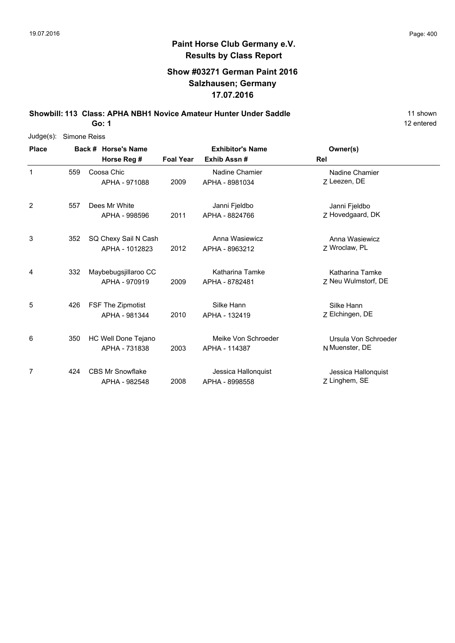#### **Show #03271 German Paint 2016 Salzhausen; Germany 17.07.2016**

**Showbill: 113 Class: APHA NBH1 Novice Amateur Hunter Under Saddle** 11 Shown 11 shown

**Go: 1**

| $Judge(s)$ : | Simone Reiss |                          |                  |                         |                      |
|--------------|--------------|--------------------------|------------------|-------------------------|----------------------|
| <b>Place</b> |              | Back # Horse's Name      |                  | <b>Exhibitor's Name</b> | Owner(s)             |
|              |              | Horse Reg #              | <b>Foal Year</b> | Exhib Assn#             | Rel                  |
| 1            | 559          | Coosa Chic               |                  | Nadine Chamier          | Nadine Chamier       |
|              |              | APHA - 971088            | 2009             | APHA - 8981034          | Z Leezen, DE         |
| 2            | 557          | Dees Mr White            |                  | Janni Fjeldbo           | Janni Fjeldbo        |
|              |              | APHA - 998596            | 2011             | APHA - 8824766          | Z Hovedgaard, DK     |
| 3            | 352          | SQ Chexy Sail N Cash     |                  | Anna Wasiewicz          | Anna Wasiewicz       |
|              |              | APHA - 1012823           | 2012             | APHA - 8963212          | Z Wroclaw, PL        |
| 4            | 332          | Maybebugsjillaroo CC     |                  | Katharina Tamke         | Katharina Tamke      |
|              |              | APHA - 970919            | 2009             | APHA - 8782481          | Z Neu Wulmstorf, DE  |
| 5            | 426          | <b>FSF The Zipmotist</b> |                  | Silke Hann              | Silke Hann           |
|              |              | APHA - 981344            | 2010             | APHA - 132419           | Z Elchingen, DE      |
| 6            | 350          | HC Well Done Tejano      |                  | Meike Von Schroeder     | Ursula Von Schroeder |
|              |              | APHA - 731838            | 2003             | APHA - 114387           | N Muenster, DE       |
| 7            | 424          | <b>CBS Mr Snowflake</b>  |                  | Jessica Hallonquist     | Jessica Hallonquist  |
|              |              | APHA - 982548            | 2008             | APHA - 8998558          | Z Linghem, SE        |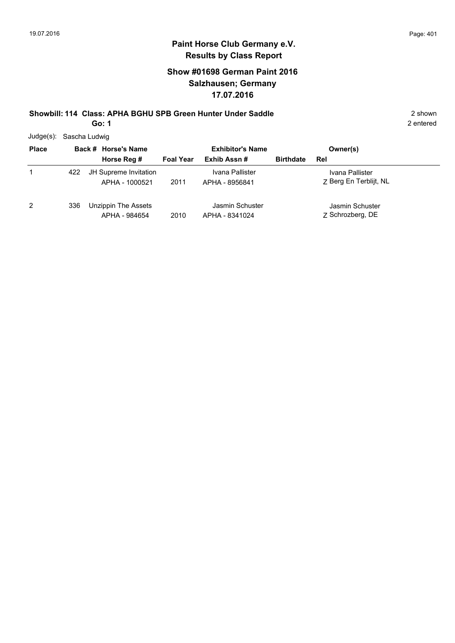### **Show #01698 German Paint 2016 Salzhausen; Germany 17.07.2016**

# **Showbill: 114 Class: APHA BGHU SPB Green Hunter Under Saddle** 2 shown

**Go: 1**

|  | Judge(s): Sascha Ludwig |
|--|-------------------------|
|--|-------------------------|

| <b>Place</b> |     | Back # Horse's Name                     | <b>Exhibitor's Name</b> |                                   |                  | Owner(s)                                  |  |
|--------------|-----|-----------------------------------------|-------------------------|-----------------------------------|------------------|-------------------------------------------|--|
|              |     | Horse Reg #                             | <b>Foal Year</b>        | Exhib Assn#                       | <b>Birthdate</b> | Rel                                       |  |
|              | 422 | JH Supreme Invitation<br>APHA - 1000521 | 2011                    | Ivana Pallister<br>APHA - 8956841 |                  | Ivana Pallister<br>7 Berg En Terblijt, NL |  |
| 2            | 336 | Unzippin The Assets<br>APHA - 984654    | 2010                    | Jasmin Schuster<br>APHA - 8341024 |                  | Jasmin Schuster<br>7 Schrozberg, DE       |  |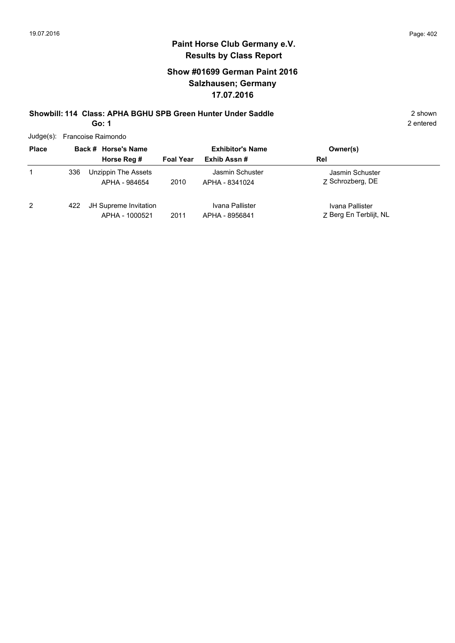### **Show #01699 German Paint 2016 Salzhausen; Germany 17.07.2016**

#### **Showbill: 114 Class: APHA BGHU SPB Green Hunter Under Saddle** 2 shown **Go: 1**

| Judge(s): Francoise Raimondo |  |
|------------------------------|--|
|                              |  |

| <b>Place</b> |     | Back # Horse's Name                     |                  | <b>Exhibitor's Name</b>           | Owner(s)                                  |
|--------------|-----|-----------------------------------------|------------------|-----------------------------------|-------------------------------------------|
|              |     | Horse Reg #                             | <b>Foal Year</b> | Exhib Assn#                       | Rel                                       |
| 1            | 336 | Unzippin The Assets<br>APHA - 984654    | 2010             | Jasmin Schuster<br>APHA - 8341024 | Jasmin Schuster<br>7 Schrozberg, DE       |
| 2            | 422 | JH Supreme Invitation<br>APHA - 1000521 | 2011             | Ivana Pallister<br>APHA - 8956841 | Ivana Pallister<br>Z Berg En Terblijt, NL |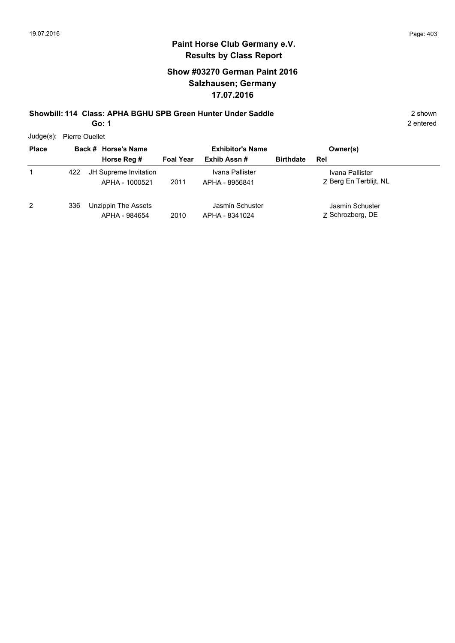2 entered

## **Paint Horse Club Germany e.V. Results by Class Report**

### **Show #03270 German Paint 2016 Salzhausen; Germany 17.07.2016**

# **Showbill: 114 Class: APHA BGHU SPB Green Hunter Under Saddle** 2 shown

**Go: 1**

Judge(s): Pierre Ouellet

| <b>Place</b> |     | Back # Horse's Name                     | <b>Exhibitor's Name</b> |                                   |                  | Owner(s)                                  |
|--------------|-----|-----------------------------------------|-------------------------|-----------------------------------|------------------|-------------------------------------------|
|              |     | Horse Reg #                             | <b>Foal Year</b>        | Exhib Assn#                       | <b>Birthdate</b> | Rel                                       |
|              | 422 | JH Supreme Invitation<br>APHA - 1000521 | 2011                    | Ivana Pallister<br>APHA - 8956841 |                  | Ivana Pallister<br>7 Berg En Terblijt, NL |
| 2            | 336 | Unzippin The Assets<br>APHA - 984654    | 2010                    | Jasmin Schuster<br>APHA - 8341024 |                  | Jasmin Schuster<br>7 Schrozberg, DE       |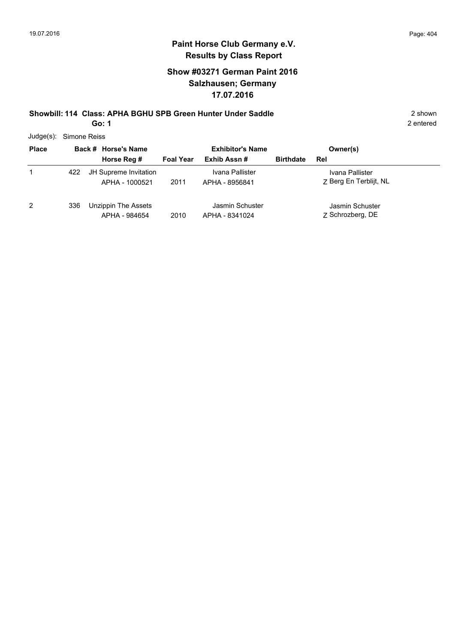### **Show #03271 German Paint 2016 Salzhausen; Germany 17.07.2016**

# **Showbill: 114 Class: APHA BGHU SPB Green Hunter Under Saddle** 2 shown

**Go: 1**

2 entered

Judge(s): Simone Reiss

| <b>Place</b> |     | Back # Horse's Name                     |                  | <b>Exhibitor's Name</b>           |                  | Owner(s)                                  |
|--------------|-----|-----------------------------------------|------------------|-----------------------------------|------------------|-------------------------------------------|
|              |     | Horse Reg #                             | <b>Foal Year</b> | Exhib Assn#                       | <b>Birthdate</b> | Rel                                       |
|              | 422 | JH Supreme Invitation<br>APHA - 1000521 | 2011             | Ivana Pallister<br>APHA - 8956841 |                  | Ivana Pallister<br>7 Berg En Terblijt, NL |
| 2            | 336 | Unzippin The Assets<br>APHA - 984654    | 2010             | Jasmin Schuster<br>APHA - 8341024 |                  | Jasmin Schuster<br>Z Schrozberg, DE       |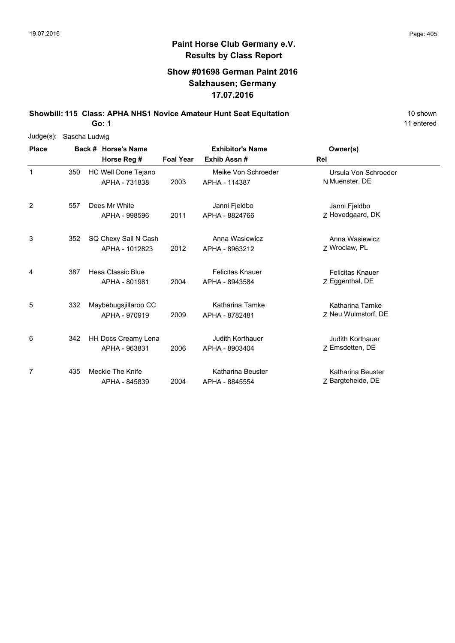#### **Show #01698 German Paint 2016 Salzhausen; Germany 17.07.2016**

**Showbill: 115 Class: APHA NHS1 Novice Amateur Hunt Seat Equitation** 10 Shown 10 shown

**Go: 1**

| $Judge(s)$ : | Sascha Ludwig |                     |                            |                  |                         |                         |  |  |  |  |  |
|--------------|---------------|---------------------|----------------------------|------------------|-------------------------|-------------------------|--|--|--|--|--|
| <b>Place</b> |               | Back # Horse's Name |                            |                  | <b>Exhibitor's Name</b> | Owner(s)                |  |  |  |  |  |
|              |               |                     | Horse Reg #                | <b>Foal Year</b> | Exhib Assn#             | Rel                     |  |  |  |  |  |
| 1            | 350           |                     | HC Well Done Tejano        |                  | Meike Von Schroeder     | Ursula Von Schroeder    |  |  |  |  |  |
|              |               |                     | APHA - 731838              | 2003             | APHA - 114387           | N Muenster, DE          |  |  |  |  |  |
| 2            | 557           |                     | Dees Mr White              |                  | Janni Fjeldbo           | Janni Fjeldbo           |  |  |  |  |  |
|              |               |                     | APHA - 998596              | 2011             | APHA - 8824766          | Z Hovedgaard, DK        |  |  |  |  |  |
| 3            | 352           |                     | SQ Chexy Sail N Cash       |                  | Anna Wasiewicz          | Anna Wasiewicz          |  |  |  |  |  |
|              |               |                     | APHA - 1012823             | 2012             | APHA - 8963212          | Z Wroclaw, PL           |  |  |  |  |  |
| 4            | 387           |                     | Hesa Classic Blue          |                  | <b>Felicitas Knauer</b> | <b>Felicitas Knauer</b> |  |  |  |  |  |
|              |               |                     | APHA - 801981              | 2004             | APHA - 8943584          | Z Eggenthal, DE         |  |  |  |  |  |
| 5            | 332           |                     | Maybebugsjillaroo CC       |                  | Katharina Tamke         | Katharina Tamke         |  |  |  |  |  |
|              |               |                     | APHA - 970919              | 2009             | APHA - 8782481          | Z Neu Wulmstorf, DE     |  |  |  |  |  |
| 6            | 342           |                     | <b>HH Docs Creamy Lena</b> |                  | Judith Korthauer        | <b>Judith Korthauer</b> |  |  |  |  |  |
|              |               |                     | APHA - 963831              | 2006             | APHA - 8903404          | Z Emsdetten, DE         |  |  |  |  |  |
| 7            | 435           |                     | Meckie The Knife           |                  | Katharina Beuster       | Katharina Beuster       |  |  |  |  |  |
|              |               |                     | APHA - 845839              | 2004             | APHA - 8845554          | Z Bargteheide, DE       |  |  |  |  |  |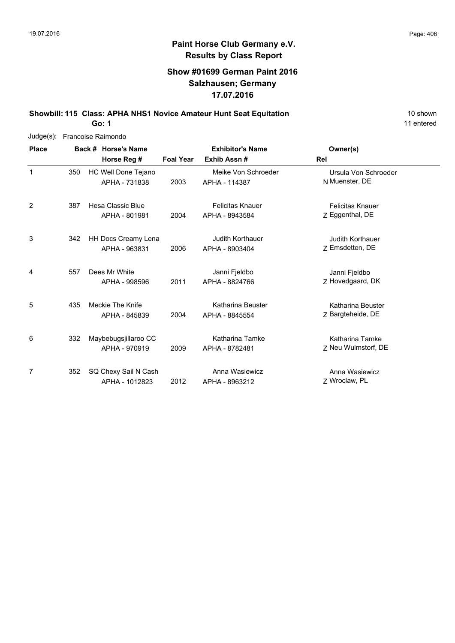11 entered

# **Paint Horse Club Germany e.V. Results by Class Report**

#### **Show #01699 German Paint 2016 Salzhausen; Germany 17.07.2016**

**Showbill: 115 Class: APHA NHS1 Novice Amateur Hunt Seat Equitation** 10 Shown 10 shown

**Go: 1**

| Judge(s):    | Francoise Raimondo |                                        |                  |                                           |                                            |  |  |  |  |  |  |
|--------------|--------------------|----------------------------------------|------------------|-------------------------------------------|--------------------------------------------|--|--|--|--|--|--|
| <b>Place</b> |                    | Back # Horse's Name<br>Horse Reg #     | <b>Foal Year</b> | <b>Exhibitor's Name</b><br>Exhib Assn#    | Owner(s)<br>Rel                            |  |  |  |  |  |  |
| 1            | 350                | HC Well Done Tejano<br>APHA - 731838   | 2003             | Meike Von Schroeder<br>APHA - 114387      | Ursula Von Schroeder<br>N Muenster, DE     |  |  |  |  |  |  |
| 2            | 387                | Hesa Classic Blue<br>APHA - 801981     | 2004             | <b>Felicitas Knauer</b><br>APHA - 8943584 | <b>Felicitas Knauer</b><br>Z Eggenthal, DE |  |  |  |  |  |  |
| 3            | 342                | HH Docs Creamy Lena<br>APHA - 963831   | 2006             | <b>Judith Korthauer</b><br>APHA - 8903404 | <b>Judith Korthauer</b><br>Z Emsdetten, DE |  |  |  |  |  |  |
| 4            | 557                | Dees Mr White<br>APHA - 998596         | 2011             | Janni Fjeldbo<br>APHA - 8824766           | Janni Fjeldbo<br>Z Hovedgaard, DK          |  |  |  |  |  |  |
| 5            | 435                | Meckie The Knife<br>APHA - 845839      | 2004             | Katharina Beuster<br>APHA - 8845554       | Katharina Beuster<br>Z Bargteheide, DE     |  |  |  |  |  |  |
| 6            | 332                | Maybebugsjillaroo CC<br>APHA - 970919  | 2009             | Katharina Tamke<br>APHA - 8782481         | Katharina Tamke<br>Z Neu Wulmstorf, DE     |  |  |  |  |  |  |
| 7            | 352                | SQ Chexy Sail N Cash<br>APHA - 1012823 | 2012             | Anna Wasiewicz<br>APHA - 8963212          | Anna Wasiewicz<br>Z Wroclaw, PL            |  |  |  |  |  |  |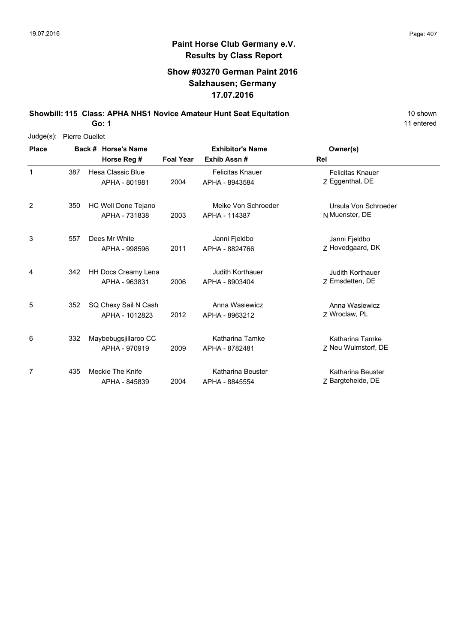#### **Show #03270 German Paint 2016 Salzhausen; Germany 17.07.2016**

**Showbill: 115 Class: APHA NHS1 Novice Amateur Hunt Seat Equitation** 10 Shown 10 shown

**Go: 1**

| Judge(s):    | Pierre Ouellet |  |                      |                  |                          |                         |  |  |  |  |  |
|--------------|----------------|--|----------------------|------------------|--------------------------|-------------------------|--|--|--|--|--|
| <b>Place</b> |                |  | Back # Horse's Name  |                  | <b>Exhibitor's Name</b>  | Owner(s)                |  |  |  |  |  |
|              |                |  | Horse Reg #          | <b>Foal Year</b> | Exhib Assn#              | <b>Rel</b>              |  |  |  |  |  |
| 1            | 387            |  | Hesa Classic Blue    |                  | <b>Felicitas Knauer</b>  | <b>Felicitas Knauer</b> |  |  |  |  |  |
|              |                |  | APHA - 801981        | 2004             | APHA - 8943584           | Z Eggenthal, DE         |  |  |  |  |  |
| 2            | 350            |  | HC Well Done Tejano  |                  | Meike Von Schroeder      | Ursula Von Schroeder    |  |  |  |  |  |
|              |                |  | APHA - 731838        | 2003             | APHA - 114387            | N Muenster, DE          |  |  |  |  |  |
| 3            | 557            |  | Dees Mr White        |                  | Janni Fjeldbo            | Janni Fjeldbo           |  |  |  |  |  |
|              |                |  | APHA - 998596        | 2011             | APHA - 8824766           | Z Hovedgaard, DK        |  |  |  |  |  |
| 4            | 342            |  | HH Docs Creamy Lena  |                  | <b>Judith Korthauer</b>  | <b>Judith Korthauer</b> |  |  |  |  |  |
|              |                |  | APHA - 963831        | 2006             | APHA - 8903404           | Z Emsdetten, DE         |  |  |  |  |  |
| 5            | 352            |  | SQ Chexy Sail N Cash |                  | Anna Wasiewicz           | Anna Wasiewicz          |  |  |  |  |  |
|              |                |  | APHA - 1012823       | 2012             | APHA - 8963212           | Z Wroclaw, PL           |  |  |  |  |  |
| 6            | 332            |  | Maybebugsjillaroo CC |                  | Katharina Tamke          | Katharina Tamke         |  |  |  |  |  |
|              |                |  | APHA - 970919        | 2009             | APHA - 8782481           | Z Neu Wulmstorf, DE     |  |  |  |  |  |
| 7            | 435            |  | Meckie The Knife     |                  | <b>Katharina Beuster</b> | Katharina Beuster       |  |  |  |  |  |
|              |                |  | APHA - 845839        | 2004             | APHA - 8845554           | Z Bargteheide, DE       |  |  |  |  |  |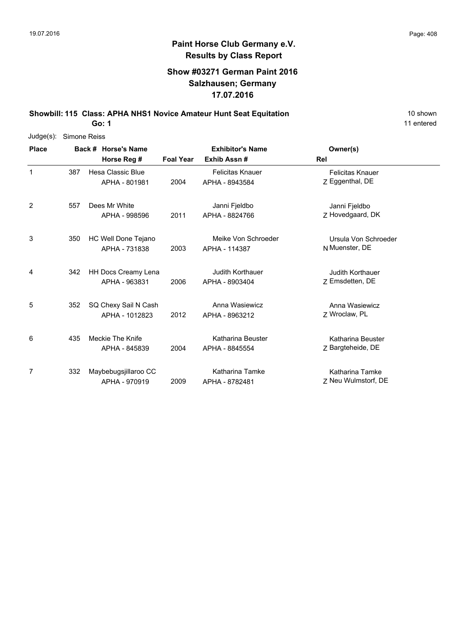#### **Show #03271 German Paint 2016 Salzhausen; Germany 17.07.2016**

**Showbill: 115 Class: APHA NHS1 Novice Amateur Hunt Seat Equitation** 10 Shown 10 shown

**Go: 1**

| Judge(s):    | Simone Reiss |                     |                          |                         |                         |                         |  |  |  |  |
|--------------|--------------|---------------------|--------------------------|-------------------------|-------------------------|-------------------------|--|--|--|--|
| <b>Place</b> |              | Back # Horse's Name |                          | <b>Exhibitor's Name</b> | Owner(s)                |                         |  |  |  |  |
|              |              |                     | Horse Reg #              | <b>Foal Year</b>        | Exhib Assn#             | <b>Rel</b>              |  |  |  |  |
| 1            | 387          |                     | <b>Hesa Classic Blue</b> |                         | <b>Felicitas Knauer</b> | <b>Felicitas Knauer</b> |  |  |  |  |
|              |              |                     | APHA - 801981            | 2004                    | APHA - 8943584          | Z Eggenthal, DE         |  |  |  |  |
| 2            | 557          |                     | Dees Mr White            |                         | Janni Fjeldbo           | Janni Fjeldbo           |  |  |  |  |
|              |              |                     | APHA - 998596            | 2011                    | APHA - 8824766          | Z Hovedgaard, DK        |  |  |  |  |
| 3            | 350          |                     | HC Well Done Tejano      |                         | Meike Von Schroeder     | Ursula Von Schroeder    |  |  |  |  |
|              |              |                     | APHA - 731838            | 2003                    | APHA - 114387           | N Muenster, DE          |  |  |  |  |
| 4            | 342          |                     | HH Docs Creamy Lena      |                         | <b>Judith Korthauer</b> | Judith Korthauer        |  |  |  |  |
|              |              |                     | APHA - 963831            | 2006                    | APHA - 8903404          | Z Emsdetten, DE         |  |  |  |  |
| 5            | 352          |                     | SQ Chexy Sail N Cash     |                         | Anna Wasiewicz          | Anna Wasiewicz          |  |  |  |  |
|              |              |                     | APHA - 1012823           | 2012                    | APHA - 8963212          | 7 Wroclaw, PL           |  |  |  |  |
| 6            | 435          |                     | Meckie The Knife         |                         | Katharina Beuster       | Katharina Beuster       |  |  |  |  |
|              |              |                     | APHA - 845839            | 2004                    | APHA - 8845554          | Z Bargteheide, DE       |  |  |  |  |
| 7            | 332          |                     | Maybebugsjillaroo CC     |                         | Katharina Tamke         | Katharina Tamke         |  |  |  |  |
|              |              |                     | APHA - 970919            | 2009                    | APHA - 8782481          | Z Neu Wulmstorf, DE     |  |  |  |  |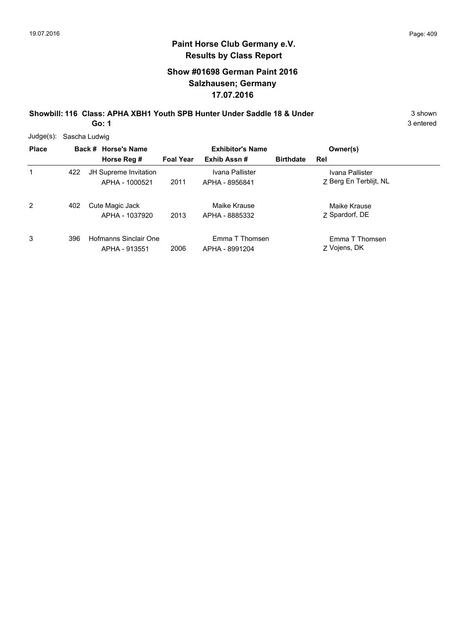#### **Show #01698 German Paint 2016 Salzhausen; Germany 17.07.2016**

**Showbill: 116 Class: APHA XBH1 Youth SPB Hunter Under Saddle 18 & Under** 3 Shown

**Go: 1**

| Judge(s):    | Sascha Ludwig |                                         |                  |                                   |                  |                                           |  |  |  |  |
|--------------|---------------|-----------------------------------------|------------------|-----------------------------------|------------------|-------------------------------------------|--|--|--|--|
| <b>Place</b> |               | Back # Horse's Name                     |                  | <b>Exhibitor's Name</b>           |                  | Owner(s)                                  |  |  |  |  |
|              |               | Horse Reg #                             | <b>Foal Year</b> | Exhib Assn#                       | <b>Birthdate</b> | Rel                                       |  |  |  |  |
| 1            | 422           | JH Supreme Invitation<br>APHA - 1000521 | 2011             | Ivana Pallister<br>APHA - 8956841 |                  | Ivana Pallister<br>Z Berg En Terblijt, NL |  |  |  |  |
| 2            | 402           | Cute Magic Jack<br>APHA - 1037920       | 2013             | Maike Krause<br>APHA - 8885332    |                  | Maike Krause<br>Z Spardorf, DE            |  |  |  |  |
| 3            | 396           | Hofmanns Sinclair One<br>APHA - 913551  | 2006             | Emma T Thomsen<br>APHA - 8991204  |                  | Emma T Thomsen<br>Z Vojens, DK            |  |  |  |  |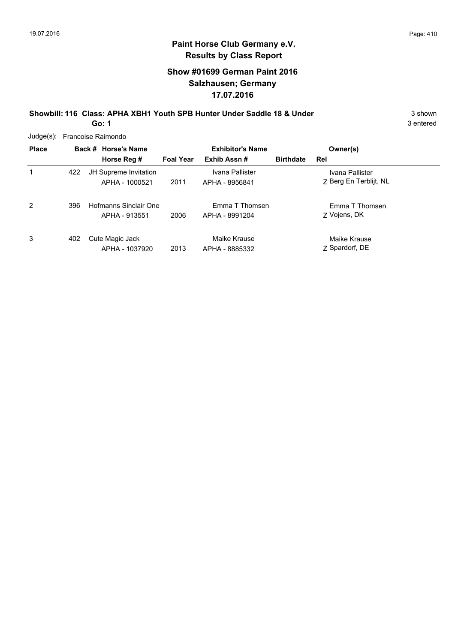3 entered

# **Paint Horse Club Germany e.V. Results by Class Report**

#### **Show #01699 German Paint 2016 Salzhausen; Germany 17.07.2016**

**Showbill: 116 Class: APHA XBH1 Youth SPB Hunter Under Saddle 18 & Under** 3 Shown

**Go: 1**

| Judge(s):    | Francoise Raimondo |                                                |                         |                                   |                  |                                           |  |  |  |  |
|--------------|--------------------|------------------------------------------------|-------------------------|-----------------------------------|------------------|-------------------------------------------|--|--|--|--|
| <b>Place</b> |                    | Back # Horse's Name                            | <b>Exhibitor's Name</b> |                                   | Owner(s)         |                                           |  |  |  |  |
|              |                    | Horse Reg #                                    | <b>Foal Year</b>        | Exhib Assn#                       | <b>Birthdate</b> | Rel                                       |  |  |  |  |
| 1            | 422                | <b>JH Supreme Invitation</b><br>APHA - 1000521 | 2011                    | Ivana Pallister<br>APHA - 8956841 |                  | Ivana Pallister<br>7 Berg En Terblijt, NL |  |  |  |  |
| 2            | 396                | Hofmanns Sinclair One<br>APHA - 913551         | 2006                    | Emma T Thomsen<br>APHA - 8991204  |                  | Emma T Thomsen<br>Z Vojens, DK            |  |  |  |  |
| 3            | 402                | Cute Magic Jack<br>APHA - 1037920              | 2013                    | Maike Krause<br>APHA - 8885332    |                  | Maike Krause<br>7 Spardorf, DE            |  |  |  |  |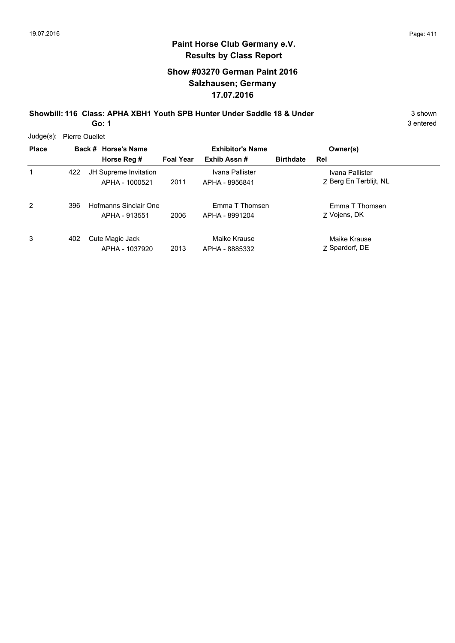#### **Show #03270 German Paint 2016 Salzhausen; Germany 17.07.2016**

#### **Showbill: 116 Class: APHA XBH1 Youth SPB Hunter Under Saddle 18 & Under** 3 Shown **Go: 1**

3 entered

Judge(s): Pierre Ouellet

| <b>Place</b>   |     | Back # Horse's Name                     | <b>Exhibitor's Name</b> |                                   |                  | Owner(s)                                  |  |
|----------------|-----|-----------------------------------------|-------------------------|-----------------------------------|------------------|-------------------------------------------|--|
|                |     | Horse Reg #                             | <b>Foal Year</b>        | Exhib Assn#                       | <b>Birthdate</b> | Rel                                       |  |
| 1              | 422 | JH Supreme Invitation<br>APHA - 1000521 | 2011                    | Ivana Pallister<br>APHA - 8956841 |                  | Ivana Pallister<br>Z Berg En Terblijt, NL |  |
| $\overline{2}$ | 396 | Hofmanns Sinclair One<br>APHA - 913551  | 2006                    | Emma T Thomsen<br>APHA - 8991204  |                  | Emma T Thomsen<br>Z Vojens, DK            |  |
| 3              | 402 | Cute Magic Jack<br>APHA - 1037920       | 2013                    | Maike Krause<br>APHA - 8885332    |                  | Maike Krause<br>Z Spardorf, DE            |  |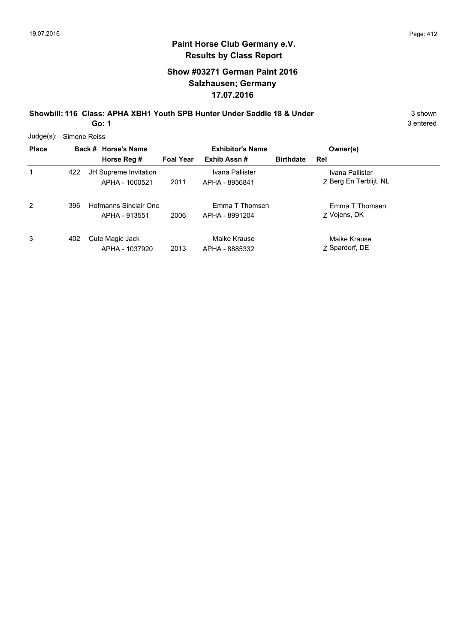#### **Show #03271 German Paint 2016 Salzhausen; Germany 17.07.2016**

**Showbill: 116 Class: APHA XBH1 Youth SPB Hunter Under Saddle 18 & Under** 3 Shown

**Go: 1**

| $Judge(s)$ :   | Simone Reiss |  |                                         |                         |                                   |                  |                                           |  |  |  |
|----------------|--------------|--|-----------------------------------------|-------------------------|-----------------------------------|------------------|-------------------------------------------|--|--|--|
| <b>Place</b>   |              |  | Back # Horse's Name                     | <b>Exhibitor's Name</b> |                                   |                  | Owner(s)                                  |  |  |  |
|                |              |  | Horse Reg #                             | <b>Foal Year</b>        | Exhib Assn#                       | <b>Birthdate</b> | Rel                                       |  |  |  |
| 1              | 422          |  | JH Supreme Invitation<br>APHA - 1000521 | 2011                    | Ivana Pallister<br>APHA - 8956841 |                  | Ivana Pallister<br>Z Berg En Terblijt, NL |  |  |  |
| $\overline{2}$ | 396          |  | Hofmanns Sinclair One<br>APHA - 913551  | 2006                    | Emma T Thomsen<br>APHA - 8991204  |                  | Emma T Thomsen<br>Z Vojens, DK            |  |  |  |
| 3              | 402          |  | Cute Magic Jack<br>APHA - 1037920       | 2013                    | Maike Krause<br>APHA - 8885332    |                  | Maike Krause<br>Z Spardorf, DE            |  |  |  |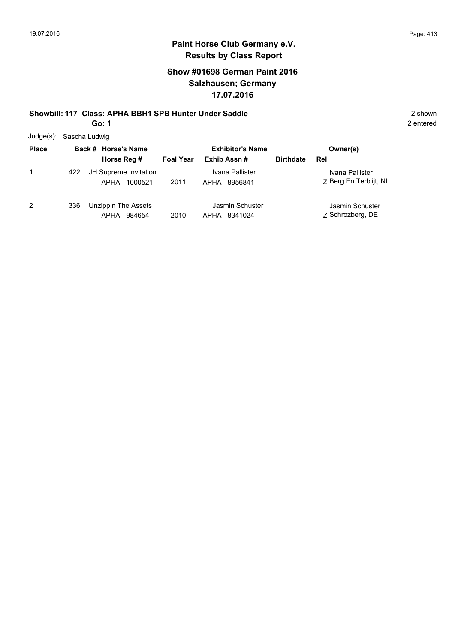### **Show #01698 German Paint 2016 Salzhausen; Germany 17.07.2016**

# **Showbill: 117 Class: APHA BBH1 SPB Hunter Under Saddle** 2 shown

**Go: 1**

2 entered

Judge(s): Sascha Ludwig

| <b>Place</b> |     | Back # Horse's Name                     | <b>Exhibitor's Name</b> |                                   | Owner(s)         |                                           |  |
|--------------|-----|-----------------------------------------|-------------------------|-----------------------------------|------------------|-------------------------------------------|--|
|              |     | Horse Reg #                             | <b>Foal Year</b>        | Exhib Assn#                       | <b>Birthdate</b> | Rel                                       |  |
| 1            | 422 | JH Supreme Invitation<br>APHA - 1000521 | 2011                    | Ivana Pallister<br>APHA - 8956841 |                  | Ivana Pallister<br>7 Berg En Terblijt, NL |  |
| 2            | 336 | Unzippin The Assets<br>APHA - 984654    | 2010                    | Jasmin Schuster<br>APHA - 8341024 |                  | Jasmin Schuster<br>7 Schrozberg, DE       |  |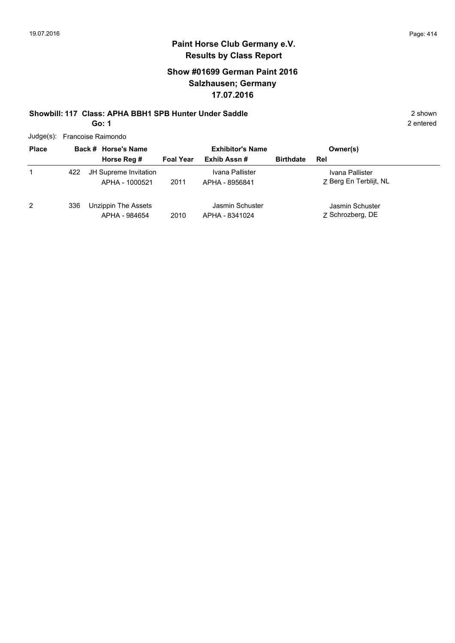### **Show #01699 German Paint 2016 Salzhausen; Germany 17.07.2016**

#### **Showbill: 117 Class: APHA BBH1 SPB Hunter Under Saddle** 2 shown **Go: 1**

|  | Judge(s): Francoise Raimondo |  |
|--|------------------------------|--|
|--|------------------------------|--|

| <b>Place</b> |     | Back # Horse's Name                     |                  | <b>Exhibitor's Name</b>           |                  | Owner(s)                                  |  |
|--------------|-----|-----------------------------------------|------------------|-----------------------------------|------------------|-------------------------------------------|--|
|              |     | Horse Reg #                             | <b>Foal Year</b> | Exhib Assn#                       | <b>Birthdate</b> | Rel                                       |  |
|              | 422 | JH Supreme Invitation<br>APHA - 1000521 | 2011             | Ivana Pallister<br>APHA - 8956841 |                  | Ivana Pallister<br>7 Berg En Terblijt, NL |  |
| 2            | 336 | Unzippin The Assets<br>APHA - 984654    | 2010             | Jasmin Schuster<br>APHA - 8341024 |                  | Jasmin Schuster<br>Z Schrozberg, DE       |  |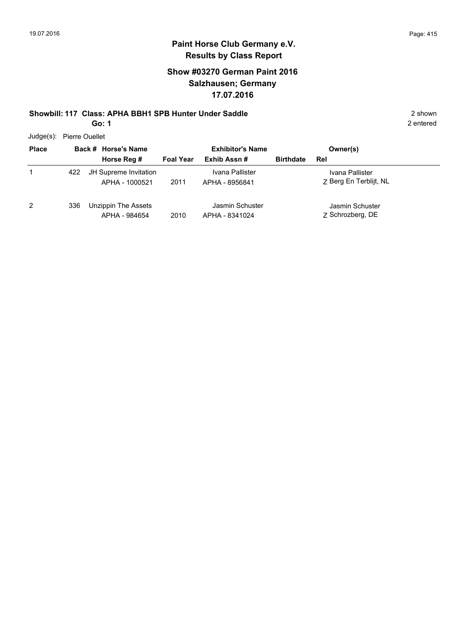2 entered

# **Paint Horse Club Germany e.V. Results by Class Report**

### **Show #03270 German Paint 2016 Salzhausen; Germany 17.07.2016**

# **Showbill: 117 Class: APHA BBH1 SPB Hunter Under Saddle** 2 shown

**Go: 1**

Judge(s): Pierre Ouellet

| <b>Place</b> |     | Back # Horse's Name                     | <b>Exhibitor's Name</b> |                                   | Owner(s)         |                                           |
|--------------|-----|-----------------------------------------|-------------------------|-----------------------------------|------------------|-------------------------------------------|
|              |     | Horse Reg #                             | <b>Foal Year</b>        | Exhib Assn#                       | <b>Birthdate</b> | Rel                                       |
|              | 422 | JH Supreme Invitation<br>APHA - 1000521 | 2011                    | Ivana Pallister<br>APHA - 8956841 |                  | Ivana Pallister<br>7 Berg En Terblijt, NL |
| 2            | 336 | Unzippin The Assets<br>APHA - 984654    | 2010                    | Jasmin Schuster<br>APHA - 8341024 |                  | Jasmin Schuster<br>7 Schrozberg, DE       |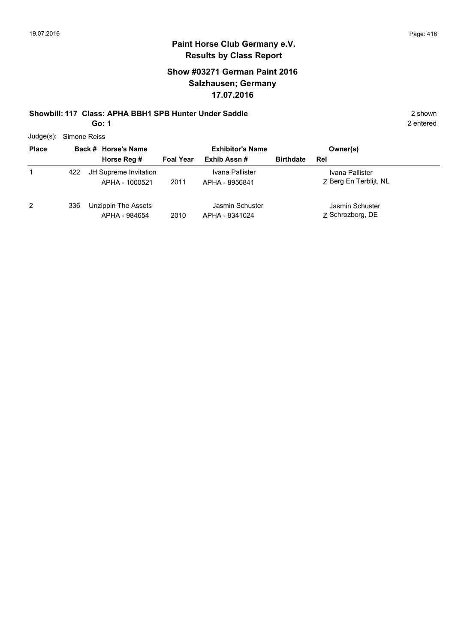2 entered

## **Paint Horse Club Germany e.V. Results by Class Report**

### **Show #03271 German Paint 2016 Salzhausen; Germany 17.07.2016**

# **Showbill: 117 Class: APHA BBH1 SPB Hunter Under Saddle** 2 shown

**Go: 1**

Judge(s): Simone Reiss

| <b>Place</b> | Back # Horse's Name |                                         | <b>Exhibitor's Name</b> |                                   |                  | Owner(s)                                  |
|--------------|---------------------|-----------------------------------------|-------------------------|-----------------------------------|------------------|-------------------------------------------|
|              |                     | Horse Reg #                             | <b>Foal Year</b>        | Exhib Assn#                       | <b>Birthdate</b> | Rel                                       |
|              | 422                 | JH Supreme Invitation<br>APHA - 1000521 | 2011                    | Ivana Pallister<br>APHA - 8956841 |                  | Ivana Pallister<br>7 Berg En Terblijt, NL |
| 2            | 336                 | Unzippin The Assets<br>APHA - 984654    | 2010                    | Jasmin Schuster<br>APHA - 8341024 |                  | Jasmin Schuster<br>7 Schrozberg, DE       |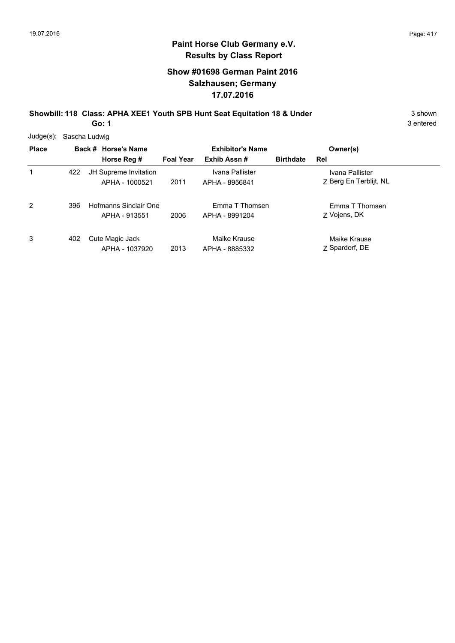### **Show #01698 German Paint 2016 Salzhausen; Germany 17.07.2016**

**Showbill: 118 Class: APHA XEE1 Youth SPB Hunt Seat Equitation 18 & Under** 3 Shown 3 shown

**Go: 1**

| $Judge(s)$ : | Sascha Ludwig |  |                                         |                  |                                   |                  |                                           |  |  |  |
|--------------|---------------|--|-----------------------------------------|------------------|-----------------------------------|------------------|-------------------------------------------|--|--|--|
| <b>Place</b> |               |  | Back # Horse's Name                     |                  | <b>Exhibitor's Name</b>           |                  | Owner(s)                                  |  |  |  |
|              |               |  | Horse Reg #                             | <b>Foal Year</b> | Exhib Assn#                       | <b>Birthdate</b> | Rel                                       |  |  |  |
| 1            | 422           |  | JH Supreme Invitation<br>APHA - 1000521 | 2011             | Ivana Pallister<br>APHA - 8956841 |                  | Ivana Pallister<br>Z Berg En Terblijt, NL |  |  |  |
| 2            | 396           |  | Hofmanns Sinclair One<br>APHA - 913551  | 2006             | Emma T Thomsen<br>APHA - 8991204  |                  | Emma T Thomsen<br>Z Vojens, DK            |  |  |  |
| 3            | 402           |  | Cute Magic Jack<br>APHA - 1037920       | 2013             | Maike Krause<br>APHA - 8885332    |                  | Maike Krause<br>Z Spardorf, DE            |  |  |  |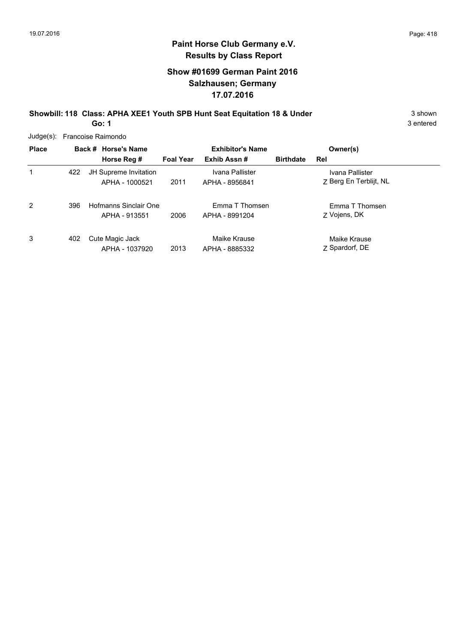#### **Show #01699 German Paint 2016 Salzhausen; Germany 17.07.2016**

**Showbill: 118 Class: APHA XEE1 Youth SPB Hunt Seat Equitation 18 & Under** 3 Shown 3 shown

**Go: 1**

| $Judge(s)$ : |     | Francoise Raimondo                      |                         |                                   |                  |                                           |  |  |  |  |  |
|--------------|-----|-----------------------------------------|-------------------------|-----------------------------------|------------------|-------------------------------------------|--|--|--|--|--|
| <b>Place</b> |     | Back # Horse's Name                     | <b>Exhibitor's Name</b> |                                   |                  | Owner(s)                                  |  |  |  |  |  |
|              |     | Horse Reg #                             | <b>Foal Year</b>        | Exhib Assn#                       | <b>Birthdate</b> | Rel                                       |  |  |  |  |  |
| 1            | 422 | JH Supreme Invitation<br>APHA - 1000521 | 2011                    | Ivana Pallister<br>APHA - 8956841 |                  | Ivana Pallister<br>Z Berg En Terblijt, NL |  |  |  |  |  |
| 2            | 396 | Hofmanns Sinclair One<br>APHA - 913551  | 2006                    | Emma T Thomsen<br>APHA - 8991204  |                  | Emma T Thomsen<br>Z Vojens, DK            |  |  |  |  |  |
| 3            | 402 | Cute Magic Jack<br>APHA - 1037920       | 2013                    | Maike Krause<br>APHA - 8885332    |                  | Maike Krause<br>7 Spardorf, DE            |  |  |  |  |  |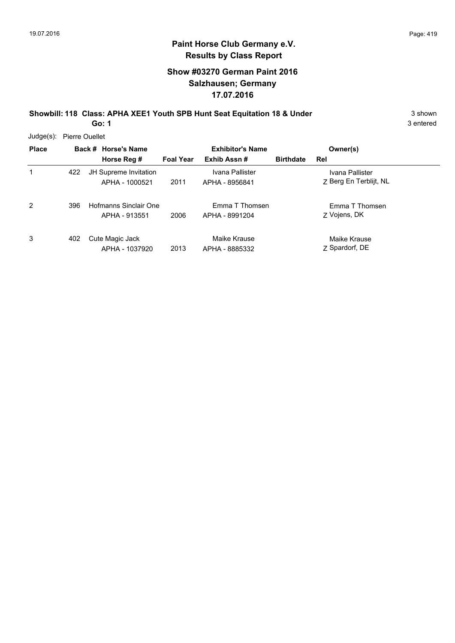#### **Show #03270 German Paint 2016 Salzhausen; Germany 17.07.2016**

**Showbill: 118 Class: APHA XEE1 Youth SPB Hunt Seat Equitation 18 & Under** 3 Shown

**Go: 1**

3 entered

Judge(s): Pierre Ouellet

| <b>Place</b> |     | Back # Horse's Name   |                  | <b>Exhibitor's Name</b><br>Exhib Assn# | <b>Birthdate</b> | Owner(s)               |
|--------------|-----|-----------------------|------------------|----------------------------------------|------------------|------------------------|
|              |     | Horse Reg #           | <b>Foal Year</b> |                                        |                  | Rel                    |
| 1            | 422 | JH Supreme Invitation |                  | Ivana Pallister                        |                  | Ivana Pallister        |
|              |     | APHA - 1000521        | 2011             | APHA - 8956841                         |                  | Z Berg En Terblijt, NL |
| 2            | 396 | Hofmanns Sinclair One |                  | Emma T Thomsen                         |                  | Emma T Thomsen         |
|              |     | APHA - 913551         | 2006             | APHA - 8991204                         |                  | Z Vojens, DK           |
| 3            | 402 | Cute Magic Jack       |                  | Maike Krause                           |                  | Maike Krause           |
|              |     | APHA - 1037920        | 2013             | APHA - 8885332                         |                  | Z Spardorf, DE         |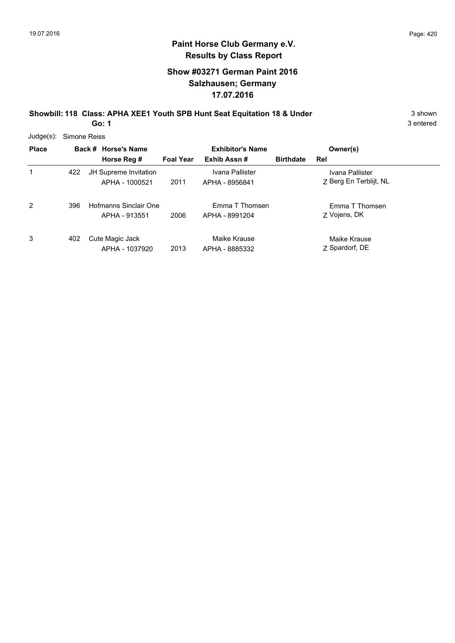### **Show #03271 German Paint 2016 Salzhausen; Germany 17.07.2016**

**Showbill: 118 Class: APHA XEE1 Youth SPB Hunt Seat Equitation 18 & Under** 3 Shown 3 shown

**Go: 1**

| $Judge(s)$ : | Simone Reiss |  |                                         |                  |                                   |                  |                                           |  |  |  |
|--------------|--------------|--|-----------------------------------------|------------------|-----------------------------------|------------------|-------------------------------------------|--|--|--|
| <b>Place</b> |              |  | Back # Horse's Name                     |                  | <b>Exhibitor's Name</b>           |                  | Owner(s)                                  |  |  |  |
|              |              |  | Horse Reg #                             | <b>Foal Year</b> | Exhib Assn#                       | <b>Birthdate</b> | Rel                                       |  |  |  |
| 1            | 422          |  | JH Supreme Invitation<br>APHA - 1000521 | 2011             | Ivana Pallister<br>APHA - 8956841 |                  | Ivana Pallister<br>Z Berg En Terblijt, NL |  |  |  |
| 2            | 396          |  | Hofmanns Sinclair One<br>APHA - 913551  | 2006             | Emma T Thomsen<br>APHA - 8991204  |                  | Emma T Thomsen<br>Z Vojens, DK            |  |  |  |
| 3            | 402          |  | Cute Magic Jack<br>APHA - 1037920       | 2013             | Maike Krause<br>APHA - 8885332    |                  | Maike Krause<br>Z Spardorf, DE            |  |  |  |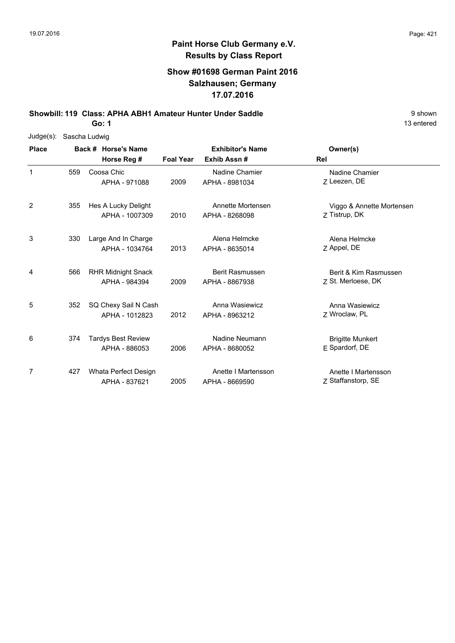### **Show #01698 German Paint 2016 Salzhausen; Germany 17.07.2016**

**Showbill: 119 Class: APHA ABH1 Amateur Hunter Under Saddle** 9 shown

**Go: 1**

| Judge(s):    | Sascha Ludwig |  |                           |                  |                         |                           |  |  |  |  |
|--------------|---------------|--|---------------------------|------------------|-------------------------|---------------------------|--|--|--|--|
| <b>Place</b> |               |  | Back # Horse's Name       |                  | <b>Exhibitor's Name</b> | Owner(s)                  |  |  |  |  |
|              |               |  | Horse Reg #               | <b>Foal Year</b> | Exhib Assn#             | Rel                       |  |  |  |  |
| $\mathbf{1}$ | 559           |  | Coosa Chic                |                  | Nadine Chamier          | Nadine Chamier            |  |  |  |  |
|              |               |  | APHA - 971088             | 2009             | APHA - 8981034          | 7 Leezen, DE              |  |  |  |  |
| 2            | 355           |  | Hes A Lucky Delight       |                  | Annette Mortensen       | Viggo & Annette Mortensen |  |  |  |  |
|              |               |  | APHA - 1007309            | 2010             | APHA - 8268098          | Z Tistrup, DK             |  |  |  |  |
| 3            | 330           |  | Large And In Charge       |                  | Alena Helmcke           | Alena Helmcke             |  |  |  |  |
|              |               |  | APHA - 1034764            | 2013             | APHA - 8635014          | Z Appel, DE               |  |  |  |  |
| 4            | 566           |  | <b>RHR Midnight Snack</b> |                  | Berit Rasmussen         | Berit & Kim Rasmussen     |  |  |  |  |
|              |               |  | APHA - 984394             | 2009             | APHA - 8867938          | Z St. Merloese, DK        |  |  |  |  |
| 5            | 352           |  | SQ Chexy Sail N Cash      |                  | Anna Wasiewicz          | Anna Wasiewicz            |  |  |  |  |
|              |               |  | APHA - 1012823            | 2012             | APHA - 8963212          | Z Wroclaw, PL             |  |  |  |  |
| 6            | 374           |  | <b>Tardys Best Review</b> |                  | Nadine Neumann          | <b>Brigitte Munkert</b>   |  |  |  |  |
|              |               |  | APHA - 886053             | 2006             | APHA - 8680052          | E Spardorf, DE            |  |  |  |  |
| 7            | 427           |  | Whata Perfect Design      |                  | Anette I Martensson     | Anette I Martensson       |  |  |  |  |
|              |               |  | APHA - 837621             | 2005             | APHA - 8669590          | Z Staffanstorp, SE        |  |  |  |  |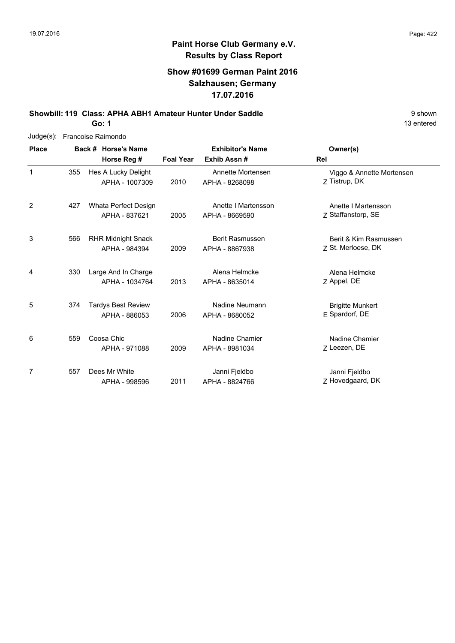### **Show #01699 German Paint 2016 Salzhausen; Germany 17.07.2016**

**Showbill: 119 Class: APHA ABH1 Amateur Hunter Under Saddle** 9 shown

**Go: 1**

| $Judge(s)$ : |     | Francoise Raimondo        |                  |                         |                           |
|--------------|-----|---------------------------|------------------|-------------------------|---------------------------|
| <b>Place</b> |     | Back # Horse's Name       |                  | <b>Exhibitor's Name</b> | Owner(s)                  |
|              |     | Horse Reg #               | <b>Foal Year</b> | Exhib Assn#             | Rel                       |
| 1            | 355 | Hes A Lucky Delight       |                  | Annette Mortensen       | Viggo & Annette Mortensen |
|              |     | APHA - 1007309            | 2010             | APHA - 8268098          | Z Tistrup, DK             |
| 2            | 427 | Whata Perfect Design      |                  | Anette I Martensson     | Anette I Martensson       |
|              |     | APHA - 837621             | 2005             | APHA - 8669590          | Z Staffanstorp, SE        |
| 3            | 566 | <b>RHR Midnight Snack</b> |                  | <b>Berit Rasmussen</b>  | Berit & Kim Rasmussen     |
|              |     | APHA - 984394             | 2009             | APHA - 8867938          | Z St. Merloese, DK        |
| 4            | 330 | Large And In Charge       |                  | Alena Helmcke           | Alena Helmcke             |
|              |     | APHA - 1034764            | 2013             | APHA - 8635014          | Z Appel, DE               |
| 5            | 374 | <b>Tardys Best Review</b> |                  | Nadine Neumann          | <b>Brigitte Munkert</b>   |
|              |     | APHA - 886053             | 2006             | APHA - 8680052          | E Spardorf, DE            |
| 6            | 559 | Coosa Chic                |                  | Nadine Chamier          | Nadine Chamier            |
|              |     | APHA - 971088             | 2009             | APHA - 8981034          | Z Leezen, DE              |
| 7            | 557 | Dees Mr White             |                  | Janni Fjeldbo           | Janni Fjeldbo             |
|              |     | APHA - 998596             | 2011             | APHA - 8824766          | Z Hovedgaard, DK          |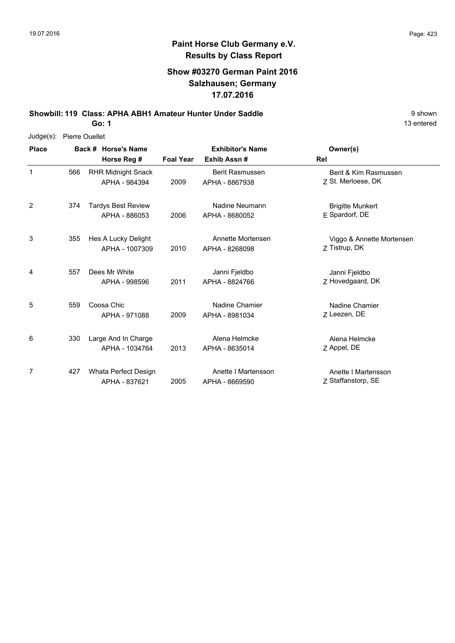### **Show #03270 German Paint 2016 Salzhausen; Germany 17.07.2016**

**Showbill: 119 Class: APHA ABH1 Amateur Hunter Under Saddle** 9 shown

**Go: 1**

| $Judge(s)$ : | <b>Pierre Ouellet</b> |  |                           |                         |                        |                           |
|--------------|-----------------------|--|---------------------------|-------------------------|------------------------|---------------------------|
| <b>Place</b> |                       |  | Back # Horse's Name       | <b>Exhibitor's Name</b> |                        | Owner(s)                  |
|              |                       |  | Horse Reg #               | <b>Foal Year</b>        | Exhib Assn#            | Rel                       |
| $\mathbf{1}$ | 566                   |  | <b>RHR Midnight Snack</b> |                         | <b>Berit Rasmussen</b> | Berit & Kim Rasmussen     |
|              |                       |  | APHA - 984394             | 2009                    | APHA - 8867938         | 7 St. Merloese, DK        |
| 2            | 374                   |  | <b>Tardys Best Review</b> |                         | Nadine Neumann         | <b>Brigitte Munkert</b>   |
|              |                       |  | APHA - 886053             | 2006                    | APHA - 8680052         | E Spardorf, DE            |
| 3            | 355                   |  | Hes A Lucky Delight       |                         | Annette Mortensen      | Viggo & Annette Mortensen |
|              |                       |  | APHA - 1007309            | 2010                    | APHA - 8268098         | Z Tistrup, DK             |
| 4            | 557                   |  | Dees Mr White             |                         | Janni Fjeldbo          | Janni Fjeldbo             |
|              |                       |  | APHA - 998596             | 2011                    | APHA - 8824766         | Z Hovedgaard, DK          |
| 5            | 559                   |  | Coosa Chic                |                         | Nadine Chamier         | Nadine Chamier            |
|              |                       |  | APHA - 971088             | 2009                    | APHA - 8981034         | Z Leezen, DE              |
| 6            | 330                   |  | Large And In Charge       |                         | Alena Helmcke          | Alena Helmcke             |
|              |                       |  | APHA - 1034764            | 2013                    | APHA - 8635014         | Z Appel, DE               |
| 7            | 427                   |  | Whata Perfect Design      |                         | Anette I Martensson    | Anette I Martensson       |
|              |                       |  | APHA - 837621             | 2005                    | APHA - 8669590         | Z Staffanstorp, SE        |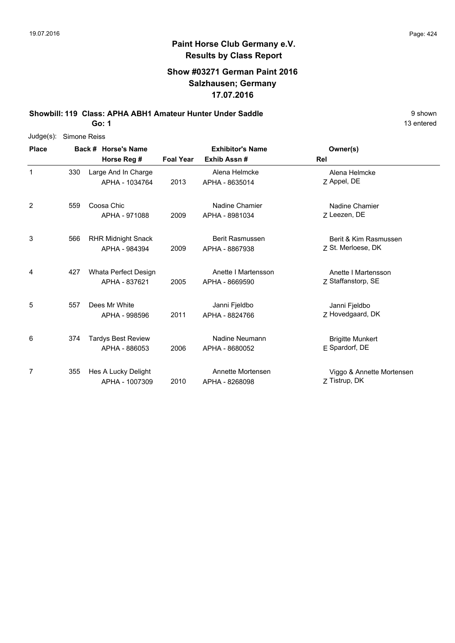#### **Show #03271 German Paint 2016 Salzhausen; Germany 17.07.2016**

**Showbill: 119 Class: APHA ABH1 Amateur Hunter Under Saddle** 9 shown

**Go: 1**

| $Judge(s)$ : | Simone Reiss |                           |                  |                         |                           |
|--------------|--------------|---------------------------|------------------|-------------------------|---------------------------|
| <b>Place</b> |              | Back # Horse's Name       |                  | <b>Exhibitor's Name</b> | Owner(s)                  |
|              |              | Horse Reg #               | <b>Foal Year</b> | Exhib Assn#             | Rel                       |
| 1            | 330          | Large And In Charge       |                  | Alena Helmcke           | Alena Helmcke             |
|              |              | APHA - 1034764            | 2013             | APHA - 8635014          | Z Appel, DE               |
| 2            | 559          | Coosa Chic                |                  | Nadine Chamier          | Nadine Chamier            |
|              |              | APHA - 971088             | 2009             | APHA - 8981034          | Z Leezen, DE              |
| 3            | 566          | <b>RHR Midnight Snack</b> |                  | Berit Rasmussen         | Berit & Kim Rasmussen     |
|              |              | APHA - 984394             | 2009             | APHA - 8867938          | Z St. Merloese, DK        |
| 4            | 427          | Whata Perfect Design      |                  | Anette I Martensson     | Anette I Martensson       |
|              |              | APHA - 837621             | 2005             | APHA - 8669590          | Z Staffanstorp, SE        |
| 5            | 557          | Dees Mr White             |                  | Janni Fjeldbo           | Janni Fjeldbo             |
|              |              | APHA - 998596             | 2011             | APHA - 8824766          | Z Hovedgaard, DK          |
| 6            | 374          | <b>Tardys Best Review</b> |                  | Nadine Neumann          | <b>Brigitte Munkert</b>   |
|              |              | APHA - 886053             | 2006             | APHA - 8680052          | E Spardorf, DE            |
| 7            | 355          | Hes A Lucky Delight       |                  | Annette Mortensen       | Viggo & Annette Mortensen |
|              |              | APHA - 1007309            | 2010             | APHA - 8268098          | Z Tistrup, DK             |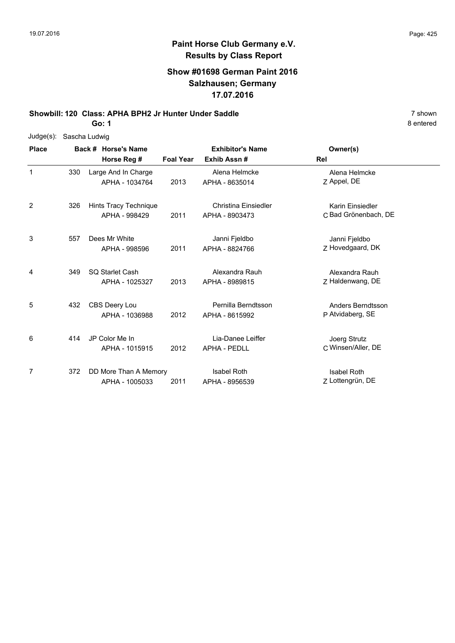#### **Show #01698 German Paint 2016 Salzhausen; Germany 17.07.2016**

**Showbill: 120 Class: APHA BPH2 Jr Hunter Under Saddle** 7 shown

**Go: 1**

| $Judge(s)$ : |     | Sascha Ludwig |                       |                  |                         |                      |  |  |  |  |  |
|--------------|-----|---------------|-----------------------|------------------|-------------------------|----------------------|--|--|--|--|--|
| <b>Place</b> |     |               | Back # Horse's Name   |                  | <b>Exhibitor's Name</b> | Owner(s)             |  |  |  |  |  |
|              |     |               | Horse Reg #           | <b>Foal Year</b> | Exhib Assn#             | Rel                  |  |  |  |  |  |
| $\mathbf{1}$ | 330 |               | Large And In Charge   |                  | Alena Helmcke           | Alena Helmcke        |  |  |  |  |  |
|              |     |               | APHA - 1034764        | 2013             | APHA - 8635014          | Z Appel, DE          |  |  |  |  |  |
| 2            | 326 |               | Hints Tracy Technique |                  | Christina Einsiedler    | Karin Einsiedler     |  |  |  |  |  |
|              |     |               | APHA - 998429         | 2011             | APHA - 8903473          | C Bad Grönenbach, DE |  |  |  |  |  |
| 3            | 557 |               | Dees Mr White         |                  | Janni Fjeldbo           | Janni Fjeldbo        |  |  |  |  |  |
|              |     |               | APHA - 998596         | 2011             | APHA - 8824766          | Z Hovedgaard, DK     |  |  |  |  |  |
| 4            | 349 |               | SQ Starlet Cash       |                  | Alexandra Rauh          | Alexandra Rauh       |  |  |  |  |  |
|              |     |               | APHA - 1025327        | 2013             | APHA - 8989815          | Z Haldenwang, DE     |  |  |  |  |  |
| 5            | 432 |               | CBS Deery Lou         |                  | Pernilla Berndtsson     | Anders Berndtsson    |  |  |  |  |  |
|              |     |               | APHA - 1036988        | 2012             | APHA - 8615992          | P Atvidaberg, SE     |  |  |  |  |  |
| 6            | 414 |               | JP Color Me In        |                  | Lia-Danee Leiffer       | Joerg Strutz         |  |  |  |  |  |
|              |     |               | APHA - 1015915        | 2012             | <b>APHA - PEDLL</b>     | C Winsen/Aller, DE   |  |  |  |  |  |
| 7            | 372 |               | DD More Than A Memory |                  | <b>Isabel Roth</b>      | <b>Isabel Roth</b>   |  |  |  |  |  |
|              |     |               | APHA - 1005033        | 2011             | APHA - 8956539          | Z Lottengrün, DE     |  |  |  |  |  |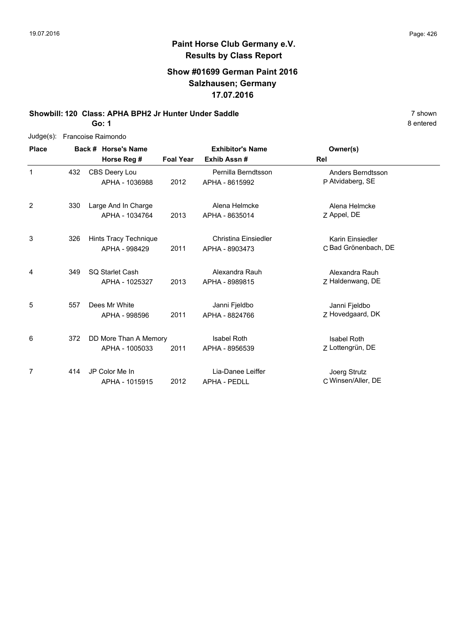#### **Show #01699 German Paint 2016 Salzhausen; Germany 17.07.2016**

**Showbill: 120 Class: APHA BPH2 Jr Hunter Under Saddle** 7 shown

**Go: 1**

| $Judge(s)$ : |     | Francoise Raimondo    |                  |                             |                      |
|--------------|-----|-----------------------|------------------|-----------------------------|----------------------|
| <b>Place</b> |     | Back # Horse's Name   |                  | <b>Exhibitor's Name</b>     | Owner(s)             |
|              |     | Horse Reg #           | <b>Foal Year</b> | Exhib Assn#                 | Rel                  |
| $\mathbf{1}$ | 432 | CBS Deery Lou         |                  | Pernilla Berndtsson         | Anders Berndtsson    |
|              |     | APHA - 1036988        | 2012             | APHA - 8615992              | P Atvidaberg, SE     |
| 2            | 330 | Large And In Charge   |                  | Alena Helmcke               | Alena Helmcke        |
|              |     | APHA - 1034764        | 2013             | APHA - 8635014              | Z Appel, DE          |
| 3            | 326 | Hints Tracy Technique |                  | <b>Christina Einsiedler</b> | Karin Einsiedler     |
|              |     | APHA - 998429         | 2011             | APHA - 8903473              | C Bad Grönenbach, DE |
| 4            | 349 | SQ Starlet Cash       |                  | Alexandra Rauh              | Alexandra Rauh       |
|              |     | APHA - 1025327        | 2013             | APHA - 8989815              | Z Haldenwang, DE     |
| 5            | 557 | Dees Mr White         |                  | Janni Fjeldbo               | Janni Fjeldbo        |
|              |     | APHA - 998596         | 2011             | APHA - 8824766              | Z Hovedgaard, DK     |
| 6            | 372 | DD More Than A Memory |                  | <b>Isabel Roth</b>          | <b>Isabel Roth</b>   |
|              |     | APHA - 1005033        | 2011             | APHA - 8956539              | Z Lottengrün, DE     |
| 7            | 414 | JP Color Me In        |                  | Lia-Danee Leiffer           | Joerg Strutz         |
|              |     | APHA - 1015915        | 2012             | <b>APHA - PEDLL</b>         | C Winsen/Aller, DE   |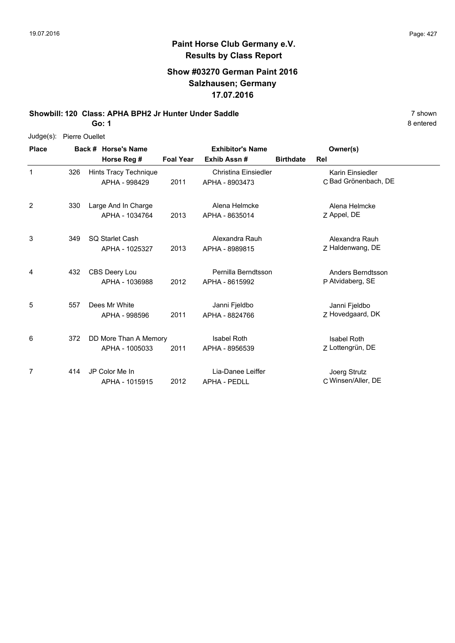8 entered

# **Paint Horse Club Germany e.V. Results by Class Report**

### **Show #03270 German Paint 2016 Salzhausen; Germany 17.07.2016**

**Showbill: 120 Class: APHA BPH2 Jr Hunter Under Saddle** 7 shown

**Go: 1**

Judge(s): Pierre Ouellet

| <b>Place</b> |     | Back # Horse's Name                     |                  | <b>Exhibitor's Name</b>                  |                  | Owner(s)                                 |  |
|--------------|-----|-----------------------------------------|------------------|------------------------------------------|------------------|------------------------------------------|--|
|              |     | Horse Reg #                             | <b>Foal Year</b> | Exhib Assn#                              | <b>Birthdate</b> | Rel                                      |  |
| 1            | 326 | Hints Tracy Technique<br>APHA - 998429  | 2011             | Christina Einsiedler<br>APHA - 8903473   |                  | Karin Einsiedler<br>C Bad Grönenbach, DE |  |
| 2            | 330 | Large And In Charge<br>APHA - 1034764   | 2013             | Alena Helmcke<br>APHA - 8635014          |                  | Alena Helmcke<br>Z Appel, DE             |  |
| 3            | 349 | SQ Starlet Cash<br>APHA - 1025327       | 2013             | Alexandra Rauh<br>APHA - 8989815         |                  | Alexandra Rauh<br>Z Haldenwang, DE       |  |
| 4            | 432 | CBS Deery Lou<br>APHA - 1036988         | 2012             | Pernilla Berndtsson<br>APHA - 8615992    |                  | Anders Berndtsson<br>P Atvidaberg, SE    |  |
| 5            | 557 | Dees Mr White<br>APHA - 998596          | 2011             | Janni Fjeldbo<br>APHA - 8824766          |                  | Janni Fjeldbo<br>Z Hovedgaard, DK        |  |
| 6            | 372 | DD More Than A Memory<br>APHA - 1005033 | 2011             | <b>Isabel Roth</b><br>APHA - 8956539     |                  | <b>Isabel Roth</b><br>Z Lottengrün, DE   |  |
| 7            | 414 | JP Color Me In<br>APHA - 1015915        | 2012             | Lia-Danee Leiffer<br><b>APHA - PEDLL</b> |                  | Joerg Strutz<br>C Winsen/Aller, DE       |  |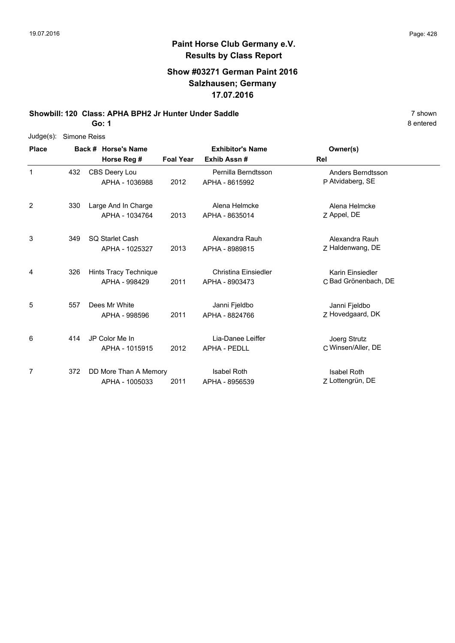#### **Show #03271 German Paint 2016 Salzhausen; Germany 17.07.2016**

**Showbill: 120 Class: APHA BPH2 Jr Hunter Under Saddle** 7 shown

**Go: 1**

| Judge(s):    |     | Simone Reiss                            |                  |                                          |                                          |
|--------------|-----|-----------------------------------------|------------------|------------------------------------------|------------------------------------------|
| <b>Place</b> |     | Back # Horse's Name<br>Horse Reg #      | <b>Foal Year</b> | <b>Exhibitor's Name</b><br>Exhib Assn#   | Owner(s)<br>Rel                          |
| 1            | 432 | CBS Deery Lou<br>APHA - 1036988         | 2012             | Pernilla Berndtsson<br>APHA - 8615992    | Anders Berndtsson<br>P Atvidaberg, SE    |
| 2            | 330 | Large And In Charge<br>APHA - 1034764   | 2013             | Alena Helmcke<br>APHA - 8635014          | Alena Helmcke<br>Z Appel, DE             |
| 3            | 349 | SQ Starlet Cash<br>APHA - 1025327       | 2013             | Alexandra Rauh<br>APHA - 8989815         | Alexandra Rauh<br>Z Haldenwang, DE       |
| 4            | 326 | Hints Tracy Technique<br>APHA - 998429  | 2011             | Christina Einsiedler<br>APHA - 8903473   | Karin Einsiedler<br>C Bad Grönenbach, DE |
| 5            | 557 | Dees Mr White<br>APHA - 998596          | 2011             | Janni Fjeldbo<br>APHA - 8824766          | Janni Fjeldbo<br>Z Hovedgaard, DK        |
| 6            | 414 | JP Color Me In<br>APHA - 1015915        | 2012             | Lia-Danee Leiffer<br><b>APHA - PEDLL</b> | Joerg Strutz<br>C Winsen/Aller, DE       |
| 7            | 372 | DD More Than A Memory<br>APHA - 1005033 | 2011             | <b>Isabel Roth</b><br>APHA - 8956539     | <b>Isabel Roth</b><br>Z Lottengrün, DE   |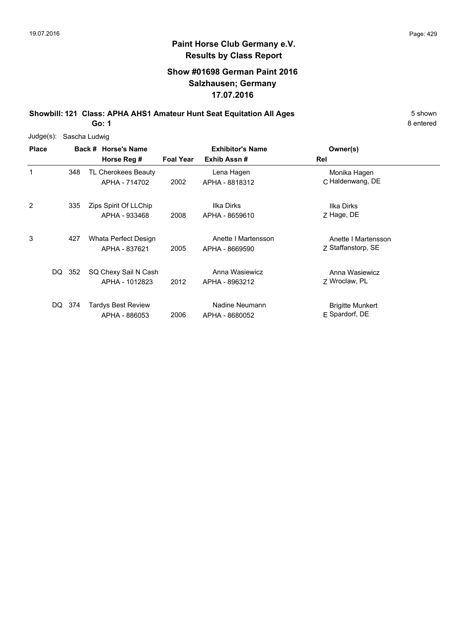### **Show #01698 German Paint 2016 Salzhausen; Germany 17.07.2016**

**Showbill: 121 Class: APHA AHS1 Amateur Hunt Seat Equitation All Ages** 5 Shown

**Go: 1**

| Judge(s):    |        | Sascha Ludwig                        |                  |                              |                                  |
|--------------|--------|--------------------------------------|------------------|------------------------------|----------------------------------|
| <b>Place</b> |        | Back # Horse's Name                  |                  | <b>Exhibitor's Name</b>      | Owner(s)                         |
|              |        | Horse Reg #                          | <b>Foal Year</b> | Exhib Assn#                  | Rel                              |
| 1            | 348    | TL Cherokees Beauty<br>APHA - 714702 | 2002             | Lena Hagen<br>APHA - 8818312 | Monika Hagen<br>C Haldenwang, DE |
|              |        |                                      |                  |                              |                                  |
| 2            | 335    | Zips Spirit Of LLChip                |                  | Ilka Dirks                   | Ilka Dirks                       |
|              |        | APHA - 933468                        | 2008             | APHA - 8659610               | Z Hage, DE                       |
| 3            | 427    | Whata Perfect Design                 |                  | Anette I Martensson          | Anette I Martensson              |
|              |        | APHA - 837621                        | 2005             | APHA - 8669590               | Z Staffanstorp, SE               |
|              | DQ 352 | SQ Chexy Sail N Cash                 |                  | Anna Wasiewicz               | Anna Wasiewicz                   |
|              |        | APHA - 1012823                       | 2012             | APHA - 8963212               | 7 Wroclaw, PL                    |
| DQ.          | 374    | Tardys Best Review                   |                  | Nadine Neumann               | <b>Brigitte Munkert</b>          |
|              |        | APHA - 886053                        | 2006             | APHA - 8680052               | E Spardorf, DE                   |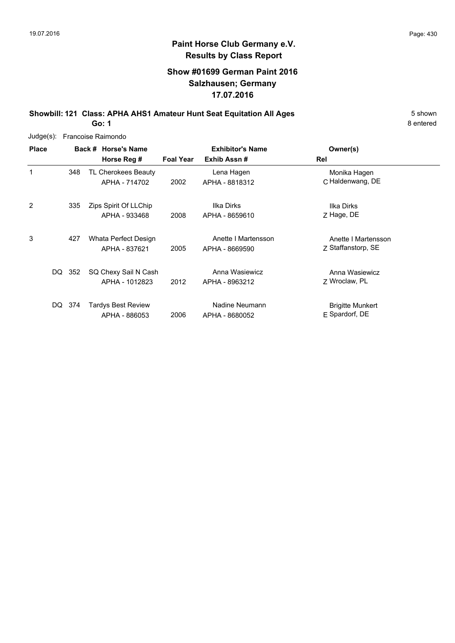### **Show #01699 German Paint 2016 Salzhausen; Germany 17.07.2016**

**Showbill: 121 Class: APHA AHS1 Amateur Hunt Seat Equitation All Ages** 5 Shown **Go: 1**

8 entered

Judge(s): Francoise Raimondo

| <b>Place</b>   |             | Back # Horse's Name       |                  | <b>Exhibitor's Name</b> | Owner(s)                |
|----------------|-------------|---------------------------|------------------|-------------------------|-------------------------|
|                |             | Horse Reg #               | <b>Foal Year</b> | Exhib Assn#             | Rel                     |
|                | 348         | TL Cherokees Beauty       |                  | Lena Hagen              | Monika Hagen            |
|                |             | APHA - 714702             | 2002             | APHA - 8818312          | C Haldenwang, DE        |
| $\overline{2}$ | 335         | Zips Spirit Of LLChip     |                  | Ilka Dirks              | Ilka Dirks              |
|                |             | APHA - 933468             | 2008             | APHA - 8659610          | Z Hage, DE              |
| 3              | 427         | Whata Perfect Design      |                  | Anette I Martensson     | Anette I Martensson     |
|                |             | APHA - 837621             | 2005             | APHA - 8669590          | Z Staffanstorp, SE      |
|                | DQ 352      | SQ Chexy Sail N Cash      |                  | Anna Wasiewicz          | Anna Wasiewicz          |
|                |             | APHA - 1012823            | 2012             | APHA - 8963212          | 7 Wroclaw, PL           |
|                | -374<br>DQ. | <b>Tardys Best Review</b> |                  | Nadine Neumann          | <b>Brigitte Munkert</b> |
|                |             | APHA - 886053             | 2006             | APHA - 8680052          | E Spardorf, DE          |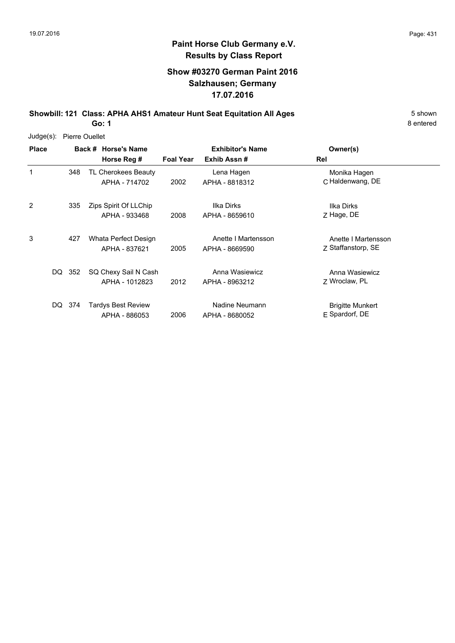#### **Show #03270 German Paint 2016 Salzhausen; Germany 17.07.2016**

**Showbill: 121 Class: APHA AHS1 Amateur Hunt Seat Equitation All Ages** 5 Shown

**Go: 1**

| Judge(s):    | <b>Pierre Ouellet</b> |                                        |                  |                                       |                                             |  |  |  |  |
|--------------|-----------------------|----------------------------------------|------------------|---------------------------------------|---------------------------------------------|--|--|--|--|
| <b>Place</b> |                       | Back # Horse's Name                    |                  | <b>Exhibitor's Name</b>               | Owner(s)                                    |  |  |  |  |
|              |                       | Horse Reg #                            | <b>Foal Year</b> | Exhib Assn#                           | Rel                                         |  |  |  |  |
| 1            | 348                   | TL Cherokees Beauty<br>APHA - 714702   | 2002             | Lena Hagen<br>APHA - 8818312          | Monika Hagen<br>C Haldenwang, DE            |  |  |  |  |
| 2            | 335                   | Zips Spirit Of LLChip<br>APHA - 933468 | 2008             | Ilka Dirks<br>APHA - 8659610          | Ilka Dirks<br>Z Hage, DE                    |  |  |  |  |
| 3            | 427                   | Whata Perfect Design<br>APHA - 837621  | 2005             | Anette I Martensson<br>APHA - 8669590 | Anette I Martensson<br>Z Staffanstorp, SE   |  |  |  |  |
| DQ           | -352                  | SQ Chexy Sail N Cash<br>APHA - 1012823 | 2012             | Anna Wasiewicz<br>APHA - 8963212      | Anna Wasiewicz<br>7 Wroclaw, PL             |  |  |  |  |
| DQ.          | 374                   | Tardys Best Review<br>APHA - 886053    | 2006             | Nadine Neumann<br>APHA - 8680052      | <b>Brigitte Munkert</b><br>$E$ Spardorf, DE |  |  |  |  |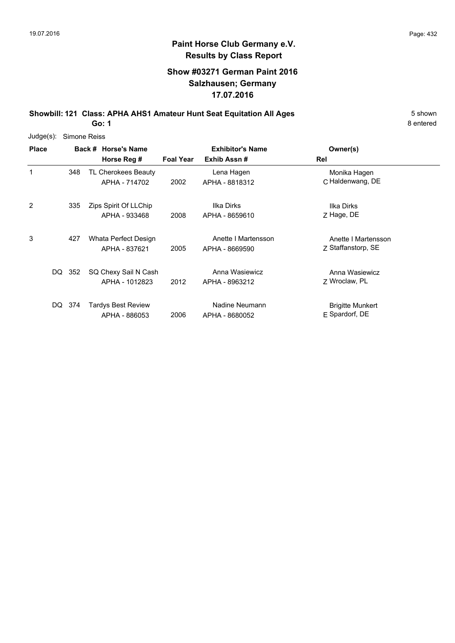#### **Show #03271 German Paint 2016 Salzhausen; Germany 17.07.2016**

**Showbill: 121 Class: APHA AHS1 Amateur Hunt Seat Equitation All Ages** 5 Shown

**Go: 1**

| Judge(s):    | Simone Reiss |                                        |                  |                                       |                                             |  |  |  |  |
|--------------|--------------|----------------------------------------|------------------|---------------------------------------|---------------------------------------------|--|--|--|--|
| <b>Place</b> |              | Back # Horse's Name                    |                  | <b>Exhibitor's Name</b>               | Owner(s)                                    |  |  |  |  |
|              |              | Horse Reg #                            | <b>Foal Year</b> | Exhib Assn#                           | Rel                                         |  |  |  |  |
| 1            | 348          | TL Cherokees Beauty<br>APHA - 714702   | 2002             | Lena Hagen<br>APHA - 8818312          | Monika Hagen<br>C Haldenwang, DE            |  |  |  |  |
| 2            | 335          | Zips Spirit Of LLChip<br>APHA - 933468 | 2008             | Ilka Dirks<br>APHA - 8659610          | Ilka Dirks<br>Z Hage, DE                    |  |  |  |  |
| 3            | 427          | Whata Perfect Design<br>APHA - 837621  | 2005             | Anette I Martensson<br>APHA - 8669590 | Anette I Martensson<br>Z Staffanstorp, SE   |  |  |  |  |
| DQ           | 352          | SQ Chexy Sail N Cash<br>APHA - 1012823 | 2012             | Anna Wasiewicz<br>APHA - 8963212      | Anna Wasiewicz<br>7 Wroclaw, PL             |  |  |  |  |
| DQ.          | 374          | Tardys Best Review<br>APHA - 886053    | 2006             | Nadine Neumann<br>APHA - 8680052      | <b>Brigitte Munkert</b><br>$E$ Spardorf, DE |  |  |  |  |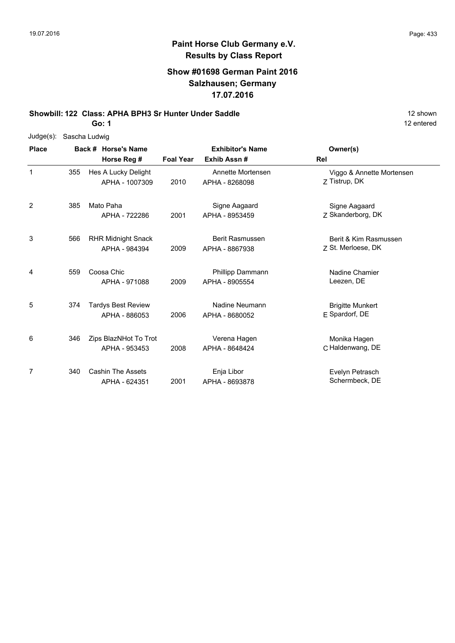## **Show #01698 German Paint 2016 Salzhausen; Germany 17.07.2016**

**Showbill: 122 Class: APHA BPH3 Sr Hunter Under Saddle** 12 Shown 12 shown

**Go: 1**

| Judge(s):      |     | Sascha Ludwig             |                  |                         |                           |
|----------------|-----|---------------------------|------------------|-------------------------|---------------------------|
| <b>Place</b>   |     | Back # Horse's Name       |                  | <b>Exhibitor's Name</b> | Owner(s)                  |
|                |     | Horse Reg #               | <b>Foal Year</b> | Exhib Assn#             | Rel                       |
| $\mathbf{1}$   | 355 | Hes A Lucky Delight       |                  | Annette Mortensen       | Viggo & Annette Mortensen |
|                |     | APHA - 1007309            | 2010             | APHA - 8268098          | Z Tistrup, DK             |
| $\overline{2}$ | 385 | Mato Paha                 |                  | Signe Aagaard           | Signe Aagaard             |
|                |     | APHA - 722286             | 2001             | APHA - 8953459          | Z Skanderborg, DK         |
| 3              | 566 | <b>RHR Midnight Snack</b> |                  | <b>Berit Rasmussen</b>  | Berit & Kim Rasmussen     |
|                |     | APHA - 984394             | 2009             | APHA - 8867938          | Z St. Merloese, DK        |
| 4              | 559 | Coosa Chic                |                  | Phillipp Dammann        | Nadine Chamier            |
|                |     | APHA - 971088             | 2009             | APHA - 8905554          | Leezen, DE                |
| 5              | 374 | <b>Tardys Best Review</b> |                  | Nadine Neumann          | <b>Brigitte Munkert</b>   |
|                |     | APHA - 886053             | 2006             | APHA - 8680052          | E Spardorf, DE            |
| 6              | 346 | Zips BlazNHot To Trot     |                  | Verena Hagen            | Monika Hagen              |
|                |     | APHA - 953453             | 2008             | APHA - 8648424          | C Haldenwang, DE          |
| 7              | 340 | <b>Cashin The Assets</b>  |                  | Enja Libor              | Evelyn Petrasch           |
|                |     | APHA - 624351             | 2001             | APHA - 8693878          | Schermbeck, DE            |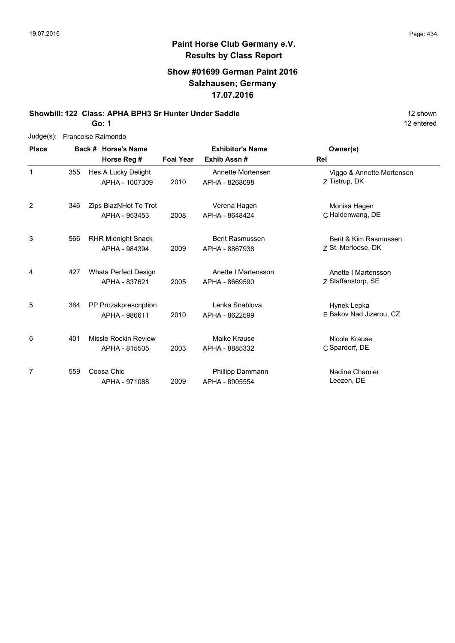## **Show #01699 German Paint 2016 Salzhausen; Germany 17.07.2016**

**Showbill: 122 Class: APHA BPH3 Sr Hunter Under Saddle** 12 Shown 12 shown

**Go: 1**

| $Judge(s)$ : |     | Francoise Raimondo        |                  |                         |                           |
|--------------|-----|---------------------------|------------------|-------------------------|---------------------------|
| <b>Place</b> |     | Back # Horse's Name       |                  | <b>Exhibitor's Name</b> | Owner(s)                  |
|              |     | Horse Reg #               | <b>Foal Year</b> | Exhib Assn#             | Rel                       |
| $\mathbf{1}$ | 355 | Hes A Lucky Delight       |                  | Annette Mortensen       | Viggo & Annette Mortensen |
|              |     | APHA - 1007309            | 2010             | APHA - 8268098          | Z Tistrup, DK             |
| 2            | 346 | Zips BlazNHot To Trot     |                  | Verena Hagen            | Monika Hagen              |
|              |     | APHA - 953453             | 2008             | APHA - 8648424          | C Haldenwang, DE          |
| 3            | 566 | <b>RHR Midnight Snack</b> |                  | Berit Rasmussen         | Berit & Kim Rasmussen     |
|              |     | APHA - 984394             | 2009             | APHA - 8867938          | Z St. Merloese, DK        |
| 4            | 427 | Whata Perfect Design      |                  | Anette I Martensson     | Anette I Martensson       |
|              |     | APHA - 837621             | 2005             | APHA - 8669590          | Z Staffanstorp, SE        |
| 5            | 384 | PP Prozakprescription     |                  | Lenka Snablova          | Hynek Lepka               |
|              |     | APHA - 986611             | 2010             | APHA - 8622599          | F Bakov Nad Jizerou, CZ   |
| 6            | 401 | Missle Rockin Review      |                  | Maike Krause            | Nicole Krause             |
|              |     | APHA - 815505             | 2003             | APHA - 8885332          | C Spardorf, DE            |
| 7            | 559 | Coosa Chic                |                  | Phillipp Dammann        | Nadine Chamier            |
|              |     | APHA - 971088             | 2009             | APHA - 8905554          | Leezen, DE                |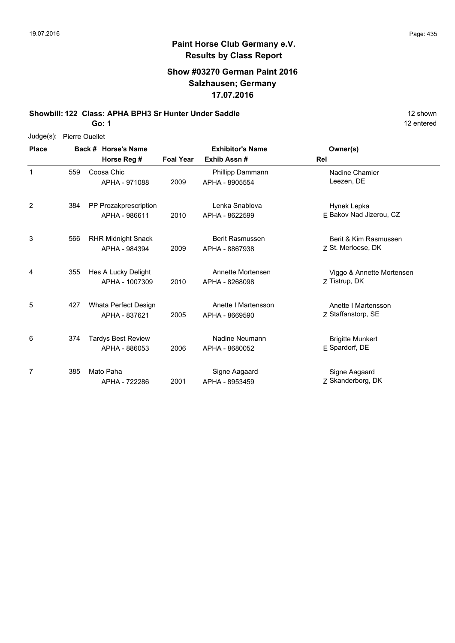# **Paint Horse Club Germany e.V. Results by Class Report**

## **Show #03270 German Paint 2016 Salzhausen; Germany 17.07.2016**

**Showbill: 122 Class: APHA BPH3 Sr Hunter Under Saddle** 12 Shown 12 shown

**Go: 1**

Judge(s): Pierre Ouellet

| <b>Place</b> |     | Back # Horse's Name                        | <b>Exhibitor's Name</b> |                                          | Owner(s)                                    |
|--------------|-----|--------------------------------------------|-------------------------|------------------------------------------|---------------------------------------------|
|              |     | Horse Reg #                                | <b>Foal Year</b>        | Exhib Assn#                              | Rel                                         |
| 1            | 559 | Coosa Chic<br>APHA - 971088                | 2009                    | Phillipp Dammann<br>APHA - 8905554       | Nadine Chamier<br>Leezen, DE                |
| 2            | 384 | PP Prozakprescription<br>APHA - 986611     | 2010                    | Lenka Snablova<br>APHA - 8622599         | Hynek Lepka<br>E Bakov Nad Jizerou, CZ      |
| 3            | 566 | <b>RHR Midnight Snack</b><br>APHA - 984394 | 2009                    | <b>Berit Rasmussen</b><br>APHA - 8867938 | Berit & Kim Rasmussen<br>Z St. Merloese, DK |
| 4            | 355 | Hes A Lucky Delight<br>APHA - 1007309      | 2010                    | Annette Mortensen<br>APHA - 8268098      | Viggo & Annette Mortensen<br>Z Tistrup, DK  |
| 5            | 427 | Whata Perfect Design<br>APHA - 837621      | 2005                    | Anette I Martensson<br>APHA - 8669590    | Anette I Martensson<br>Z Staffanstorp, SE   |
| 6            | 374 | <b>Tardys Best Review</b><br>APHA - 886053 | 2006                    | Nadine Neumann<br>APHA - 8680052         | <b>Brigitte Munkert</b><br>E Spardorf, DE   |
| 7            | 385 | Mato Paha<br>APHA - 722286                 | 2001                    | Signe Aagaard<br>APHA - 8953459          | Signe Aagaard<br>Z Skanderborg, DK          |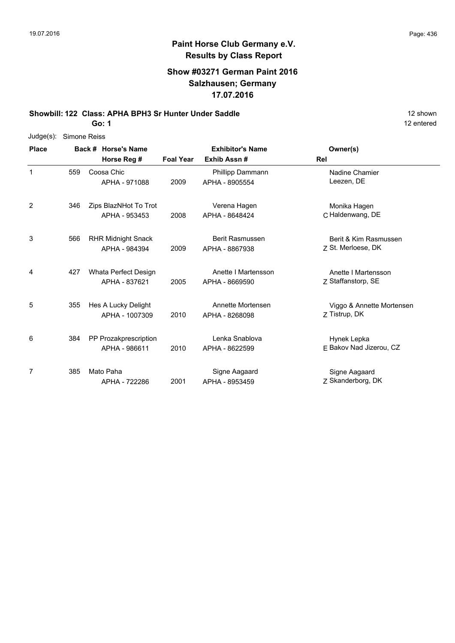# **Paint Horse Club Germany e.V. Results by Class Report**

## **Show #03271 German Paint 2016 Salzhausen; Germany 17.07.2016**

**Showbill: 122 Class: APHA BPH3 Sr Hunter Under Saddle** 12 Shown 12 shown

**Go: 1**

| Judge(s):    | Simone Reiss |                           |                  |                         |                           |
|--------------|--------------|---------------------------|------------------|-------------------------|---------------------------|
| <b>Place</b> |              | Back # Horse's Name       |                  | <b>Exhibitor's Name</b> | Owner(s)                  |
|              |              | Horse Reg #               | <b>Foal Year</b> | Exhib Assn#             | Rel                       |
| 1            | 559          | Coosa Chic                |                  | Phillipp Dammann        | Nadine Chamier            |
|              |              | APHA - 971088             | 2009             | APHA - 8905554          | Leezen, DE                |
| 2            | 346          | Zips BlazNHot To Trot     |                  | Verena Hagen            | Monika Hagen              |
|              |              | APHA - 953453             | 2008             | APHA - 8648424          | C Haldenwang, DE          |
| 3            | 566          | <b>RHR Midnight Snack</b> |                  | <b>Berit Rasmussen</b>  | Berit & Kim Rasmussen     |
|              |              | APHA - 984394             | 2009             | APHA - 8867938          | Z St. Merloese, DK        |
| 4            | 427          | Whata Perfect Design      |                  | Anette I Martensson     | Anette I Martensson       |
|              |              | APHA - 837621             | 2005             | APHA - 8669590          | Z Staffanstorp, SE        |
| 5            | 355          | Hes A Lucky Delight       |                  | Annette Mortensen       | Viggo & Annette Mortensen |
|              |              | APHA - 1007309            | 2010             | APHA - 8268098          | Z Tistrup, DK             |
| 6            | 384          | PP Prozakprescription     |                  | Lenka Snablova          | Hynek Lepka               |
|              |              | APHA - 986611             | 2010             | APHA - 8622599          | E Bakov Nad Jizerou, CZ   |
| 7            | 385          | Mato Paha                 |                  | Signe Aagaard           | Signe Aagaard             |
|              |              | APHA - 722286             | 2001             | APHA - 8953459          | Z Skanderborg, DK         |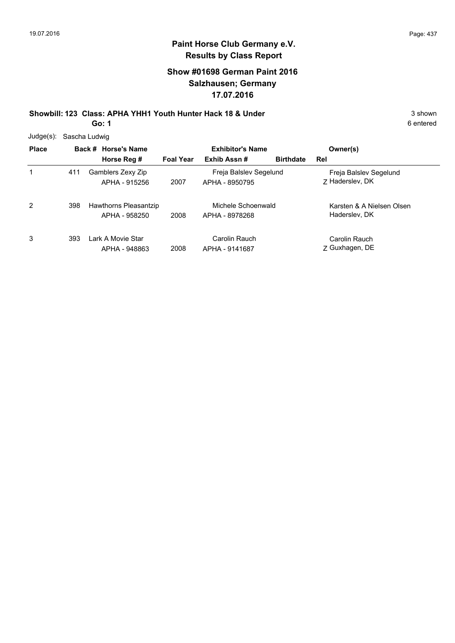# **Show #01698 German Paint 2016 Salzhausen; Germany 17.07.2016**

**Showbill: 123 Class: APHA YHH1 Youth Hunter Hack 18 & Under** 3 shown 3 shown **Go: 1**

6 entered

Judge(s): Sascha Ludwig

| <b>Place</b> |     | Back # Horse's Name                    | <b>Exhibitor's Name</b> |                                          | Owner(s)         |                                            |
|--------------|-----|----------------------------------------|-------------------------|------------------------------------------|------------------|--------------------------------------------|
|              |     | Horse Reg #                            | <b>Foal Year</b>        | Exhib Assn#                              | <b>Birthdate</b> | Rel                                        |
| 1            | 411 | Gamblers Zexy Zip<br>APHA - 915256     | 2007                    | Freja Balslev Segelund<br>APHA - 8950795 |                  | Freja Balslev Segelund<br>7 Haderslev, DK  |
| 2            | 398 | Hawthorns Pleasantzip<br>APHA - 958250 | 2008                    | Michele Schoenwald<br>APHA - 8978268     |                  | Karsten & A Nielsen Olsen<br>Haderslev, DK |
| 3            | 393 | Lark A Movie Star<br>APHA - 948863     | 2008                    | Carolin Rauch<br>APHA - 9141687          |                  | Carolin Rauch<br>Z Guxhagen, DE            |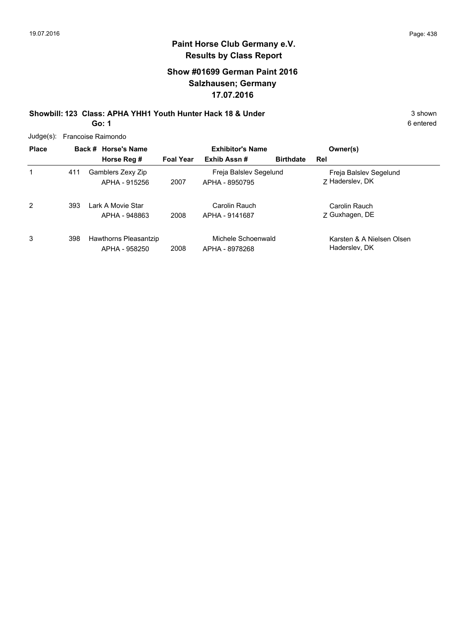## **Show #01699 German Paint 2016 Salzhausen; Germany 17.07.2016**

**Showbill: 123 Class: APHA YHH1 Youth Hunter Hack 18 & Under** 3 shown 3 shown **Go: 1**

| $Judge(s)$ : |     | Francoise Raimondo                     |                  |                                          |                  |                                            |
|--------------|-----|----------------------------------------|------------------|------------------------------------------|------------------|--------------------------------------------|
| <b>Place</b> |     | Back # Horse's Name                    |                  | <b>Exhibitor's Name</b>                  |                  | Owner(s)                                   |
|              |     | Horse Reg #                            | <b>Foal Year</b> | Exhib Assn#                              | <b>Birthdate</b> | Rel                                        |
| 1            | 411 | Gamblers Zexy Zip<br>APHA - 915256     | 2007             | Freja Balslev Segelund<br>APHA - 8950795 |                  | Freja Balslev Segelund<br>7 Hadersley, DK  |
| 2            | 393 | Lark A Movie Star<br>APHA - 948863     | 2008             | Carolin Rauch<br>APHA - 9141687          |                  | Carolin Rauch<br>Z Guxhagen, DE            |
| 3            | 398 | Hawthorns Pleasantzip<br>APHA - 958250 | 2008             | Michele Schoenwald<br>APHA - 8978268     |                  | Karsten & A Nielsen Olsen<br>Haderslev, DK |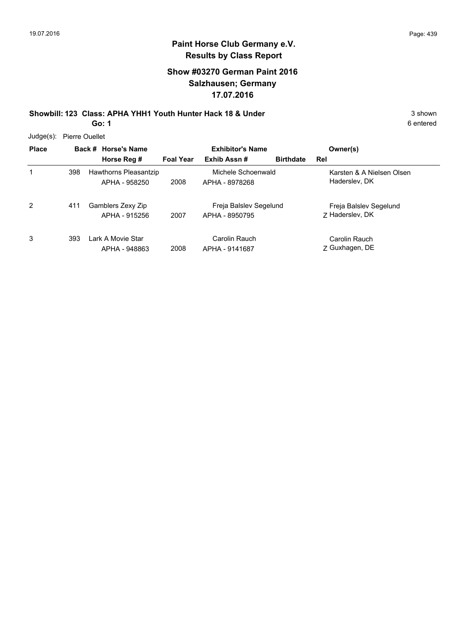## **Show #03270 German Paint 2016 Salzhausen; Germany 17.07.2016**

**Showbill: 123 Class: APHA YHH1 Youth Hunter Hack 18 & Under** 3 shown 3 shown **Go: 1**

Judge(s): Pierre Ouellet

| <b>budge(3).</b> There Oucling |     |                                        |                         |                                          |                  |                                            |
|--------------------------------|-----|----------------------------------------|-------------------------|------------------------------------------|------------------|--------------------------------------------|
| <b>Place</b>                   |     | Back # Horse's Name                    | <b>Exhibitor's Name</b> |                                          | Owner(s)         |                                            |
|                                |     | Horse Reg #                            | <b>Foal Year</b>        | Exhib Assn#                              | <b>Birthdate</b> | Rel                                        |
| 1                              | 398 | Hawthorns Pleasantzip<br>APHA - 958250 | 2008                    | Michele Schoenwald<br>APHA - 8978268     |                  | Karsten & A Nielsen Olsen<br>Haderslev, DK |
| 2                              | 411 | Gamblers Zexy Zip<br>APHA - 915256     | 2007                    | Freja Balslev Segelund<br>APHA - 8950795 |                  | Freja Balslev Segelund<br>7 Haderslev, DK  |
| 3                              | 393 | Lark A Movie Star<br>APHA - 948863     | 2008                    | Carolin Rauch<br>APHA - 9141687          |                  | Carolin Rauch<br>Z Guxhagen, DE            |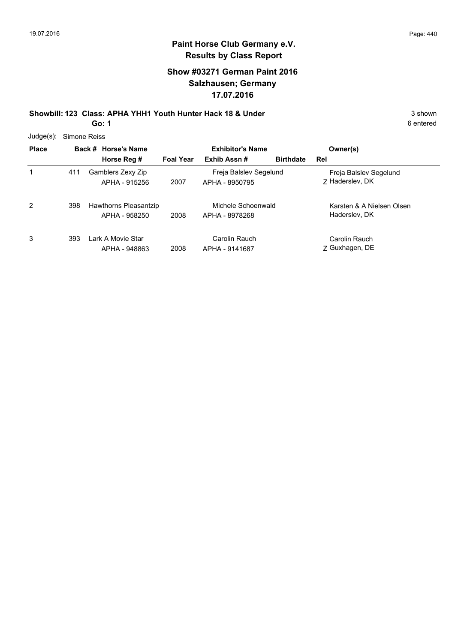## **Show #03271 German Paint 2016 Salzhausen; Germany 17.07.2016**

**Showbill: 123 Class: APHA YHH1 Youth Hunter Hack 18 & Under** 3 shown 3 shown **Go: 1**

6 entered

Judge(s): Simone Reiss

| <b>Place</b> |     | Back # Horse's Name<br>Horse Reg #     | <b>Foal Year</b> | <b>Exhibitor's Name</b><br>Exhib Assn#   | <b>Birthdate</b> | Owner(s)<br>Rel                            |
|--------------|-----|----------------------------------------|------------------|------------------------------------------|------------------|--------------------------------------------|
| 1            | 411 | Gamblers Zexy Zip<br>APHA - 915256     | 2007             | Freja Balslev Segelund<br>APHA - 8950795 |                  | Freja Balslev Segelund<br>7 Haderslev, DK  |
| 2            | 398 | Hawthorns Pleasantzip<br>APHA - 958250 | 2008             | Michele Schoenwald<br>APHA - 8978268     |                  | Karsten & A Nielsen Olsen<br>Hadersley, DK |
| 3            | 393 | Lark A Movie Star<br>APHA - 948863     | 2008             | Carolin Rauch<br>APHA - 9141687          |                  | Carolin Rauch<br>Z Guxhagen, DE            |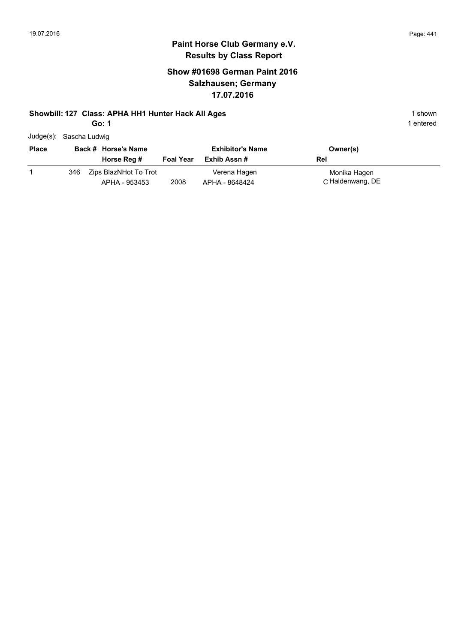# **Paint Horse Club Germany e.V. Results by Class Report**

## **Show #01698 German Paint 2016 Salzhausen; Germany 17.07.2016**

#### **Showbill: 127 Class: APHA HH1 Hunter Hack All Ages** 1 shown

**Go: 1**

|  | Judge(s): Sascha Ludwig |  |
|--|-------------------------|--|
|--|-------------------------|--|

| <b>Place</b> |     | Back # Horse's Name                    |                  | <b>Exhibitor's Name</b>        | Owner(s)                         |
|--------------|-----|----------------------------------------|------------------|--------------------------------|----------------------------------|
|              |     | Horse Reg #                            | <b>Foal Year</b> | Exhib Assn #                   | Rel                              |
|              | 346 | Zips BlazNHot To Trot<br>APHA - 953453 | 2008             | Verena Hagen<br>APHA - 8648424 | Monika Hagen<br>C Haldenwang, DE |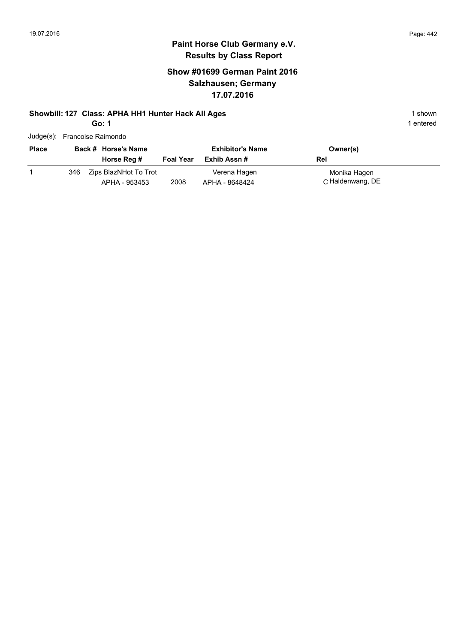# **Paint Horse Club Germany e.V. Results by Class Report**

## **Show #01699 German Paint 2016 Salzhausen; Germany 17.07.2016**

#### **Showbill: 127 Class: APHA HH1 Hunter Hack All Ages** 1 shown

**Go: 1**

| Judge(s): Francoise Raimondo |  |
|------------------------------|--|
|                              |  |

| <b>Place</b> |      | Back # Horse's Name<br>Horse Reg #     | <b>Foal Year</b> | <b>Exhibitor's Name</b><br>Exhib Assn # | Owner(s)<br>Rel                  |
|--------------|------|----------------------------------------|------------------|-----------------------------------------|----------------------------------|
|              | 346. | Zips BlazNHot To Trot<br>APHA - 953453 | 2008             | Verena Hagen<br>APHA - 8648424          | Monika Hagen<br>C Haldenwang, DE |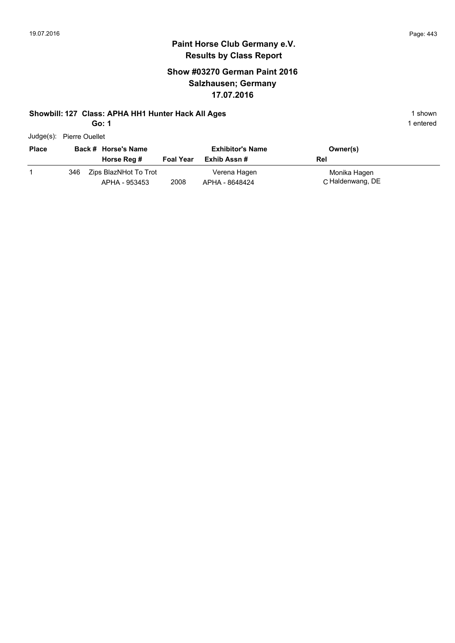# **Paint Horse Club Germany e.V. Results by Class Report**

## **Show #03270 German Paint 2016 Salzhausen; Germany 17.07.2016**

#### **Showbill: 127 Class: APHA HH1 Hunter Hack All Ages** 1 shown

**Go: 1**

Judge(s): Pierre Ouellet

| <b>Place</b> |     | Back # Horse's Name<br>Horse Reg #     | <b>Foal Year</b> | <b>Exhibitor's Name</b><br>Exhib Assn # | Owner(s)<br>Rel                  |
|--------------|-----|----------------------------------------|------------------|-----------------------------------------|----------------------------------|
|              | 346 | Zips BlazNHot To Trot<br>APHA - 953453 | 2008             | Verena Hagen<br>APHA - 8648424          | Monika Hagen<br>C Haldenwang, DE |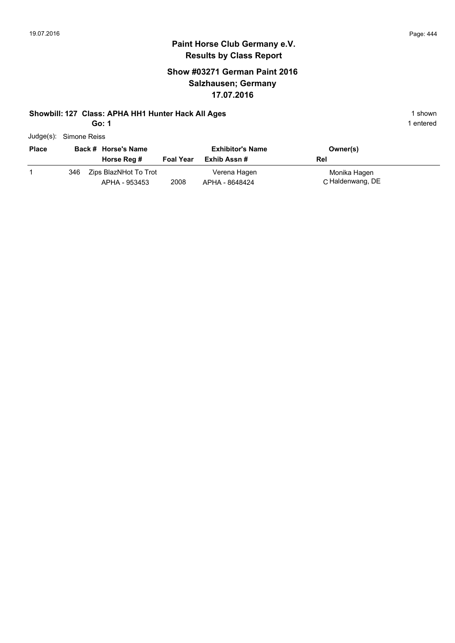# **Paint Horse Club Germany e.V. Results by Class Report**

## **Show #03271 German Paint 2016 Salzhausen; Germany 17.07.2016**

#### **Showbill: 127 Class: APHA HH1 Hunter Hack All Ages** 1 shown

**Go: 1**

|  | Judge(s): Simone Reiss |  |
|--|------------------------|--|
|--|------------------------|--|

| <b>Place</b> |     | Back # Horse's Name<br>Horse Reg #     | <b>Foal Year</b> | <b>Exhibitor's Name</b><br>Exhib Assn # | Owner(s)<br>Rel                  |
|--------------|-----|----------------------------------------|------------------|-----------------------------------------|----------------------------------|
|              | 346 | Zips BlazNHot To Trot<br>APHA - 953453 | 2008             | Verena Hagen<br>APHA - 8648424          | Monika Hagen<br>C Haldenwang, DE |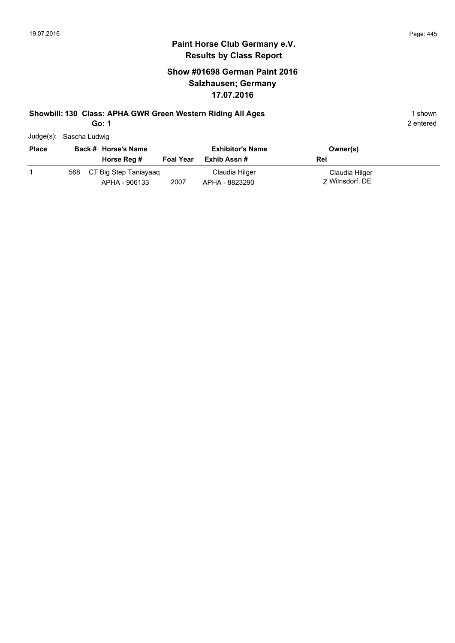## **Show #01698 German Paint 2016 Salzhausen; Germany 17.07.2016**

#### **Showbill: 130 Class: APHA GWR Green Western Riding All Ages** 1 shown

**Go: 1**

|  | Judge(s): Sascha Ludwig |
|--|-------------------------|
|--|-------------------------|

| <b>Place</b> | Back # Horse's Name |                                        | <b>Exhibitor's Name</b> |                                  | Owner(s)                          |
|--------------|---------------------|----------------------------------------|-------------------------|----------------------------------|-----------------------------------|
|              |                     | Horse Reg #                            | <b>Foal Year</b>        | Exhib Assn #                     | Rel                               |
|              | 568                 | CT Big Step Taniayaag<br>APHA - 906133 | 2007                    | Claudia Hilger<br>APHA - 8823290 | Claudia Hilger<br>7 Wilnsdorf, DE |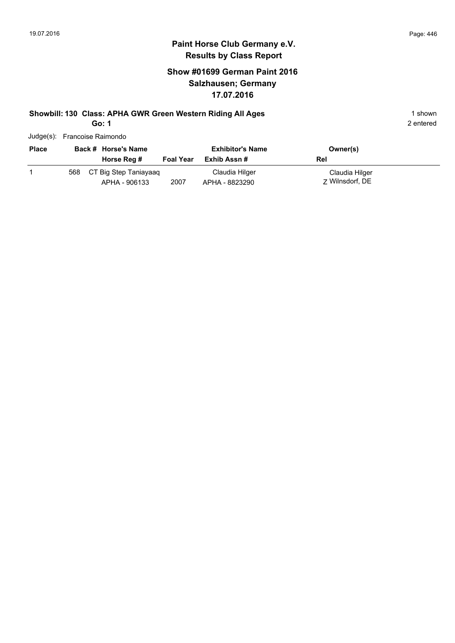## **Show #01699 German Paint 2016 Salzhausen; Germany 17.07.2016**

# **Showbill: 130 Class: APHA GWR Green Western Riding All Ages** 1 shown

**Go: 1**

| Judge(s): Francoise Raimondo |  |
|------------------------------|--|

| <b>Place</b> | Back # Horse's Name |                                        | <b>Exhibitor's Name</b> |                                  | Owner(s)                          |
|--------------|---------------------|----------------------------------------|-------------------------|----------------------------------|-----------------------------------|
|              |                     | Horse Reg #                            | <b>Foal Year</b>        | Exhib Assn #                     | Rel                               |
|              | 568                 | CT Big Step Taniayaag<br>APHA - 906133 | 2007                    | Claudia Hilger<br>APHA - 8823290 | Claudia Hilger<br>7 Wilnsdorf, DE |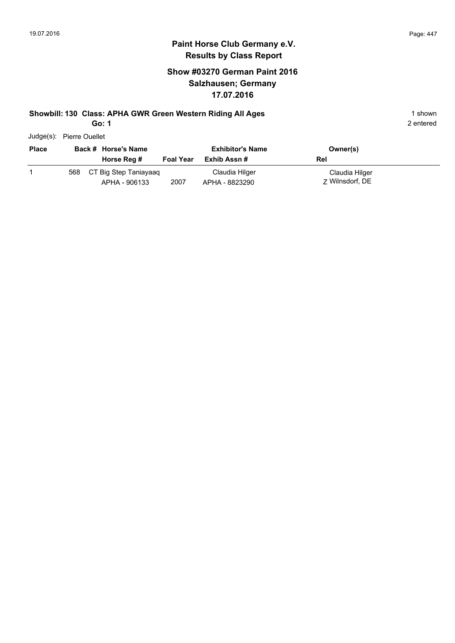#### **Paint Horse Club Germany e.V. Results by Class Report**

## **Show #03270 German Paint 2016 Salzhausen; Germany 17.07.2016**

#### **Showbill: 130 Class: APHA GWR Green Western Riding All Ages** 1 shown

**Go: 1**

Judge(s): Pierre Ouellet

| <b>Place</b> |     | Back # Horse's Name<br>Horse Reg #     | <b>Foal Year</b> | <b>Exhibitor's Name</b><br>Exhib Assn # | Owner(s)<br>Rel                   |
|--------------|-----|----------------------------------------|------------------|-----------------------------------------|-----------------------------------|
|              | 568 | CT Big Step Taniayaag<br>APHA - 906133 | 2007             | Claudia Hilger<br>APHA - 8823290        | Claudia Hilger<br>7 Wilnsdorf, DE |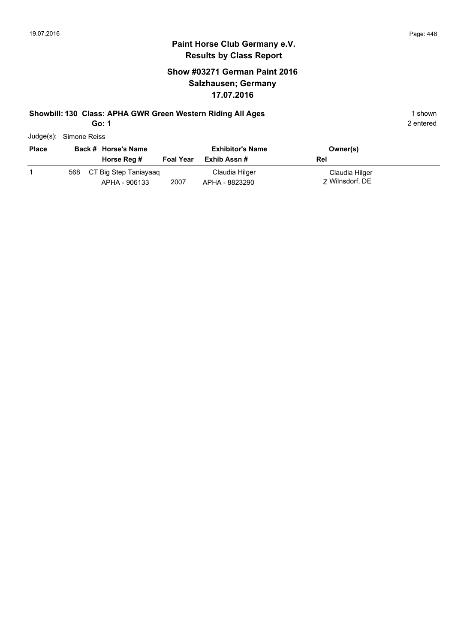## **Show #03271 German Paint 2016 Salzhausen; Germany 17.07.2016**

#### **Showbill: 130 Class: APHA GWR Green Western Riding All Ages** 1 shown

**Go: 1**

|              | Judge(s): Simone Reiss       |                  |                         |                |
|--------------|------------------------------|------------------|-------------------------|----------------|
| <b>Place</b> | Back # Horse's Name          |                  | <b>Exhibitor's Name</b> | Owner(s)       |
|              | Horse Reg #                  | <b>Foal Year</b> | Exhib Assn #            | Rel            |
|              | CT Big Step Taniayaaq<br>568 |                  | Claudia Hilger          | Claudia Hilger |

|  | 568 CT Big Step Taniayaaq |      | Claudia Hilger | Claudia Hilger  |
|--|---------------------------|------|----------------|-----------------|
|  | APHA - 906133             | 2007 | APHA - 8823290 | 7 Wilnsdorf, DE |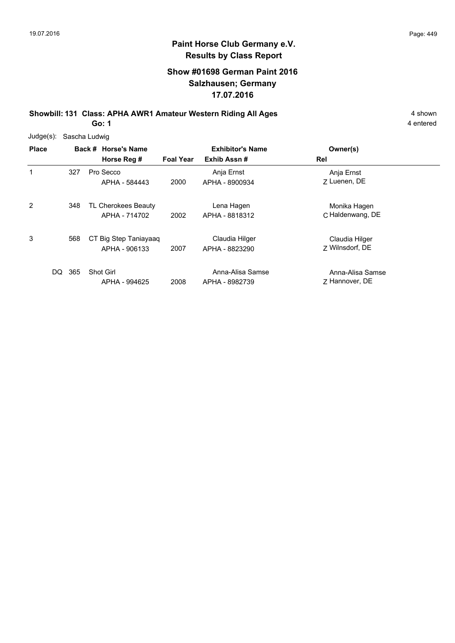## **Show #01698 German Paint 2016 Salzhausen; Germany 17.07.2016**

**Showbill: 131 Class: APHA AWR1 Amateur Western Riding All Ages** 4 shown **Go: 1**

| $Judge(s)$ : | Sascha Ludwig |                                        |                  |                                    |                                    |
|--------------|---------------|----------------------------------------|------------------|------------------------------------|------------------------------------|
| <b>Place</b> |               | Back # Horse's Name                    |                  | <b>Exhibitor's Name</b>            | Owner(s)                           |
|              |               | Horse Reg #                            | <b>Foal Year</b> | Exhib Assn#                        | Rel                                |
| 1            | 327           | Pro Secco<br>APHA - 584443             | 2000             | Anja Ernst<br>APHA - 8900934       | Anja Ernst<br>7 Luenen, DE         |
| 2            | 348           | TL Cherokees Beauty<br>APHA - 714702   | 2002             | Lena Hagen<br>APHA - 8818312       | Monika Hagen<br>C Haldenwang, DE   |
| 3            | 568           | CT Big Step Taniayaaq<br>APHA - 906133 | 2007             | Claudia Hilger<br>APHA - 8823290   | Claudia Hilger<br>7 Wilnsdorf, DE  |
| DQ.          | 365           | <b>Shot Girl</b><br>APHA - 994625      | 2008             | Anna-Alisa Samse<br>APHA - 8982739 | Anna-Alisa Samse<br>7 Hannover, DE |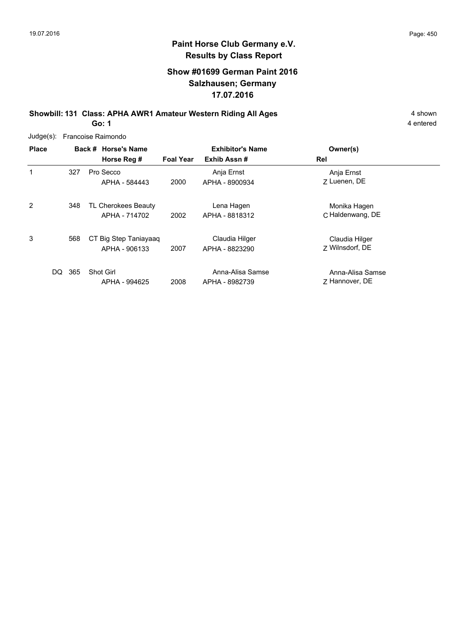## **Show #01699 German Paint 2016 Salzhausen; Germany 17.07.2016**

**Showbill: 131 Class: APHA AWR1 Amateur Western Riding All Ages** 4 shown **Go: 1**

4 entered

Judge(s): Francoise Raimondo

| <b>Place</b>   |     | Back # Horse's Name<br>Horse Reg #     | <b>Foal Year</b> | <b>Exhibitor's Name</b><br>Exhib Assn# | Owner(s)<br>Rel                    |
|----------------|-----|----------------------------------------|------------------|----------------------------------------|------------------------------------|
| 1              | 327 | Pro Secco<br>APHA - 584443             | 2000             | Anja Ernst<br>APHA - 8900934           | Anja Ernst<br>7 Luenen, DE         |
| $\overline{2}$ | 348 | TL Cherokees Beauty<br>APHA - 714702   | 2002             | Lena Hagen<br>APHA - 8818312           | Monika Hagen<br>C Haldenwang, DE   |
| 3              | 568 | CT Big Step Taniayaaq<br>APHA - 906133 | 2007             | Claudia Hilger<br>APHA - 8823290       | Claudia Hilger<br>7 Wilnsdorf, DE  |
| DQ             | 365 | Shot Girl<br>APHA - 994625             | 2008             | Anna-Alisa Samse<br>APHA - 8982739     | Anna-Alisa Samse<br>7 Hannover, DE |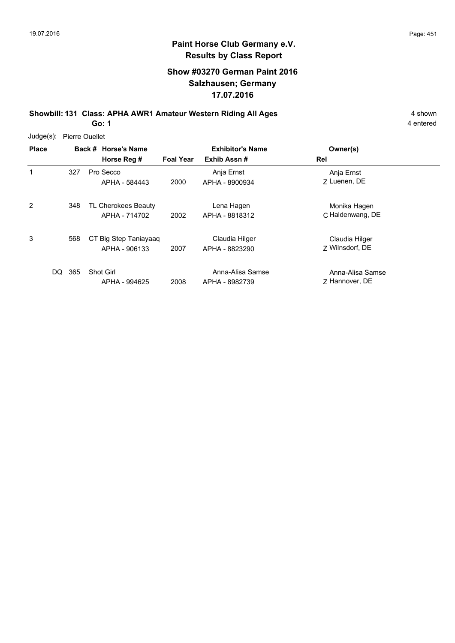## **Show #03270 German Paint 2016 Salzhausen; Germany 17.07.2016**

**Showbill: 131 Class: APHA AWR1 Amateur Western Riding All Ages** 4 shown **Go: 1**

| $Judge(s)$ : | <b>Pierre Ouellet</b> |                                        |                  |                                        |                                    |  |
|--------------|-----------------------|----------------------------------------|------------------|----------------------------------------|------------------------------------|--|
| <b>Place</b> |                       | Back # Horse's Name<br>Horse Reg #     | <b>Foal Year</b> | <b>Exhibitor's Name</b><br>Exhib Assn# | Owner(s)<br>Rel                    |  |
| 1            | 327                   | Pro Secco<br>APHA - 584443             | 2000             | Anja Ernst<br>APHA - 8900934           | Anja Ernst<br>7 Luenen, DE         |  |
| 2            | 348                   | TL Cherokees Beauty<br>APHA - 714702   | 2002             | Lena Hagen<br>APHA - 8818312           | Monika Hagen<br>C Haldenwang, DE   |  |
| 3            | 568                   | CT Big Step Taniayaag<br>APHA - 906133 | 2007             | Claudia Hilger<br>APHA - 8823290       | Claudia Hilger<br>7 Wilnsdorf, DE  |  |
| DQ           | 365                   | Shot Girl<br>APHA - 994625             | 2008             | Anna-Alisa Samse<br>APHA - 8982739     | Anna-Alisa Samse<br>7 Hannover, DE |  |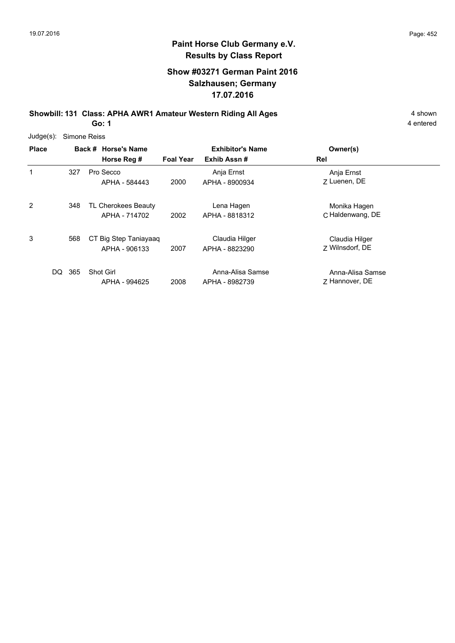## **Show #03271 German Paint 2016 Salzhausen; Germany 17.07.2016**

**Showbill: 131 Class: APHA AWR1 Amateur Western Riding All Ages** 4 shown **Go: 1**

| $Judge(s)$ : | Simone Reiss |                                        |                  |                                    |                                    |  |  |  |
|--------------|--------------|----------------------------------------|------------------|------------------------------------|------------------------------------|--|--|--|
| <b>Place</b> |              | Back # Horse's Name                    |                  | <b>Exhibitor's Name</b>            | Owner(s)                           |  |  |  |
|              |              | Horse Reg #                            | <b>Foal Year</b> | Exhib Assn#                        | Rel                                |  |  |  |
| 1            | 327          | Pro Secco<br>APHA - 584443             | 2000             | Anja Ernst<br>APHA - 8900934       | Anja Ernst<br>7 Luenen, DE         |  |  |  |
| 2            | 348          | TL Cherokees Beauty<br>APHA - 714702   | 2002             | Lena Hagen<br>APHA - 8818312       | Monika Hagen<br>C Haldenwang, DE   |  |  |  |
| 3            | 568          | CT Big Step Taniayaaq<br>APHA - 906133 | 2007             | Claudia Hilger<br>APHA - 8823290   | Claudia Hilger<br>7 Wilnsdorf, DE  |  |  |  |
| DQ           | 365          | <b>Shot Girl</b><br>APHA - 994625      | 2008             | Anna-Alisa Samse<br>APHA - 8982739 | Anna-Alisa Samse<br>7 Hannover, DE |  |  |  |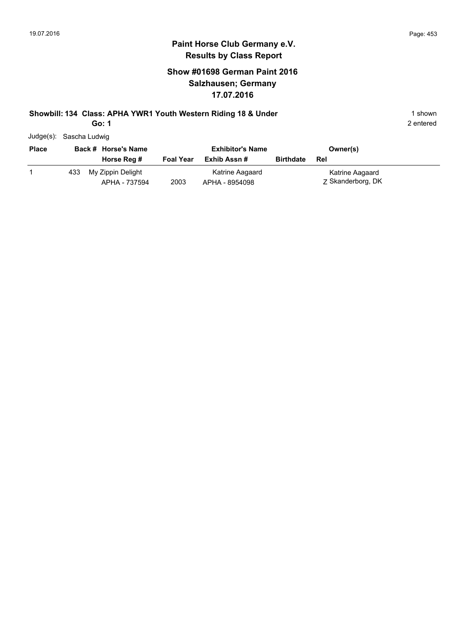## **Show #01698 German Paint 2016 Salzhausen; Germany 17.07.2016**

## **Showbill: 134 Class: APHA YWR1 Youth Western Riding 18 & Under** 1 Shown 1 shown

**Go: 1**

| Judge(s):    | Sascha Ludwig |                                    |                  |                                   |                  |                                      |
|--------------|---------------|------------------------------------|------------------|-----------------------------------|------------------|--------------------------------------|
| <b>Place</b> |               | Back # Horse's Name                |                  | <b>Exhibitor's Name</b>           |                  | Owner(s)                             |
|              |               | Horse Reg #                        | <b>Foal Year</b> | Exhib Assn#                       | <b>Birthdate</b> | Rel                                  |
|              | 433           | My Zippin Delight<br>APHA - 737594 | 2003             | Katrine Aagaard<br>APHA - 8954098 |                  | Katrine Aagaard<br>Z Skanderborg, DK |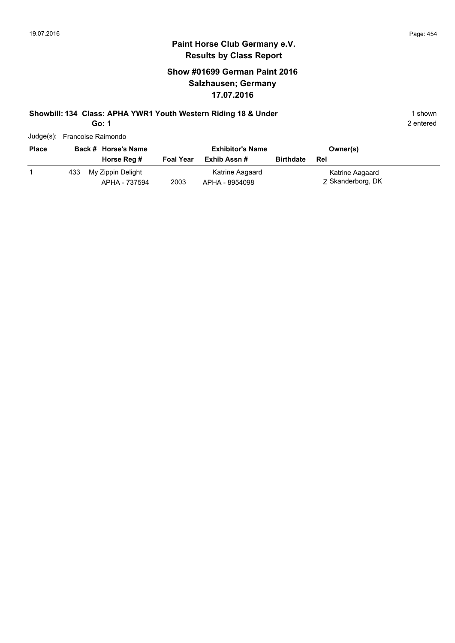## **Show #01699 German Paint 2016 Salzhausen; Germany 17.07.2016**

# **Showbill: 134 Class: APHA YWR1 Youth Western Riding 18 & Under** 1 Shown 1 shown

**Go: 1**

|              | Judge(s): Francoise Raimondo |                                    |                  |                                         |                  |                                      |  |  |  |
|--------------|------------------------------|------------------------------------|------------------|-----------------------------------------|------------------|--------------------------------------|--|--|--|
| <b>Place</b> |                              | Back # Horse's Name<br>Horse Reg # | <b>Foal Year</b> | <b>Exhibitor's Name</b><br>Exhib Assn # | <b>Birthdate</b> | Owner(s)<br>Rel                      |  |  |  |
|              | 433                          | My Zippin Delight<br>APHA - 737594 | 2003             | Katrine Aagaard<br>APHA - 8954098       |                  | Katrine Aagaard<br>Z Skanderborg, DK |  |  |  |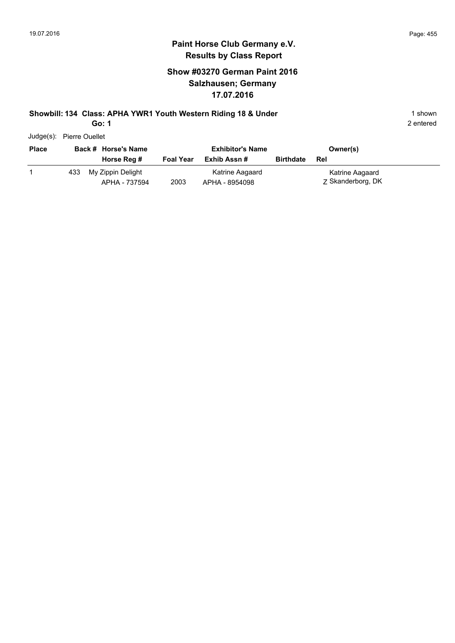## **Show #03270 German Paint 2016 Salzhausen; Germany 17.07.2016**

# **Showbill: 134 Class: APHA YWR1 Youth Western Riding 18 & Under** 1 Shown 1 shown

**Go: 1**

| <b>Place</b> |     | Back # Horse's Name                |                  | <b>Exhibitor's Name</b>           |                  | Owner(s)                             |
|--------------|-----|------------------------------------|------------------|-----------------------------------|------------------|--------------------------------------|
|              |     | Horse Reg #                        | <b>Foal Year</b> | Exhib Assn #                      | <b>Birthdate</b> | Rel                                  |
|              | 433 | My Zippin Delight<br>APHA - 737594 | 2003             | Katrine Aagaard<br>APHA - 8954098 |                  | Katrine Aagaard<br>Z Skanderborg, DK |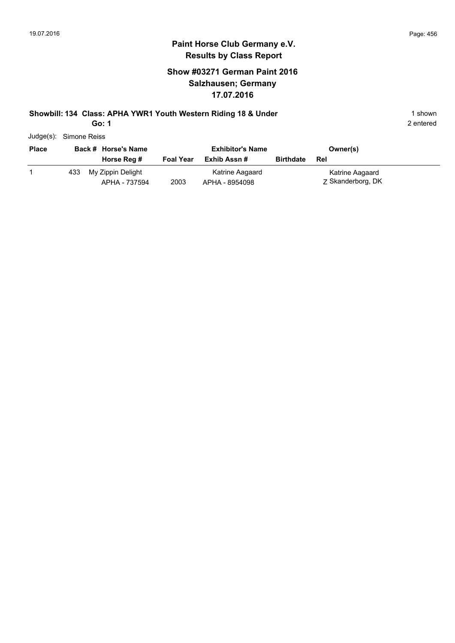## **Show #03271 German Paint 2016 Salzhausen; Germany 17.07.2016**

# **Showbill: 134 Class: APHA YWR1 Youth Western Riding 18 & Under** 1 Shown 1 shown

**Go: 1**

| Judge(s): Simone Reiss |     |                                    |                  |                                   |                  |                                      |  |
|------------------------|-----|------------------------------------|------------------|-----------------------------------|------------------|--------------------------------------|--|
| <b>Place</b>           |     | Back # Horse's Name                |                  | <b>Exhibitor's Name</b>           |                  | Owner(s)                             |  |
|                        |     | Horse Reg #                        | <b>Foal Year</b> | Exhib Assn #                      | <b>Birthdate</b> | Rel                                  |  |
|                        | 433 | My Zippin Delight<br>APHA - 737594 | 2003             | Katrine Aagaard<br>APHA - 8954098 |                  | Katrine Aagaard<br>Z Skanderborg, DK |  |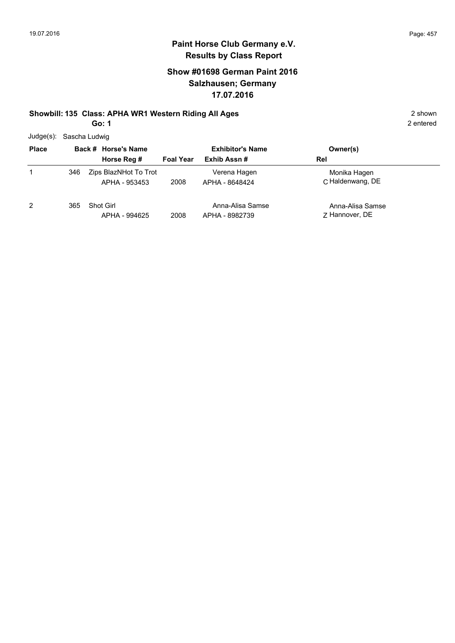## **Show #01698 German Paint 2016 Salzhausen; Germany 17.07.2016**

#### **Showbill: 135 Class: APHA WR1 Western Riding All Ages** 2 shown

**Go: 1**

| Judge(s): Sascha Ludwig |
|-------------------------|
|                         |

| <b>Place</b> |     | Back # Horse's Name                    | <b>Exhibitor's Name</b> |                                    | Owner(s)                           |
|--------------|-----|----------------------------------------|-------------------------|------------------------------------|------------------------------------|
|              |     | Horse Reg #                            | <b>Foal Year</b>        | Exhib Assn#                        | Rel                                |
| 1            | 346 | Zips BlazNHot To Trot<br>APHA - 953453 | 2008                    | Verena Hagen<br>APHA - 8648424     | Monika Hagen<br>C Haldenwang, DE   |
| 2            | 365 | Shot Girl<br>APHA - 994625             | 2008                    | Anna-Alisa Samse<br>APHA - 8982739 | Anna-Alisa Samse<br>7 Hannover, DE |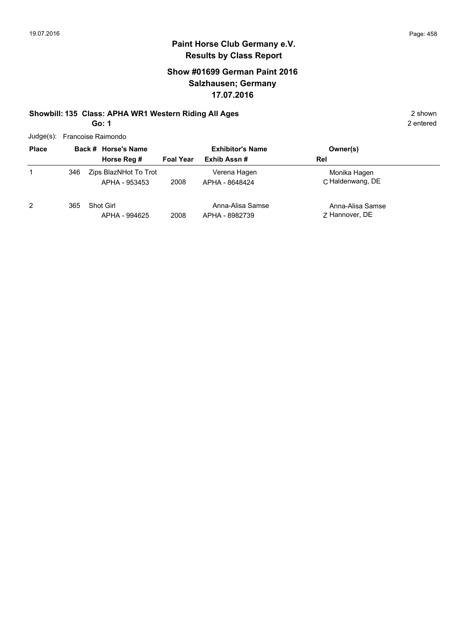## **Show #01699 German Paint 2016 Salzhausen; Germany 17.07.2016**

# **Showbill: 135 Class: APHA WR1 Western Riding All Ages** 2 shown

**Go: 1**

| Judge(s): Francoise Raimondo |  |
|------------------------------|--|
|                              |  |

| <b>Place</b> |     | Back # Horse's Name                    | <b>Exhibitor's Name</b> |                                    | Owner(s)                           |
|--------------|-----|----------------------------------------|-------------------------|------------------------------------|------------------------------------|
|              |     | Horse Reg #                            | <b>Foal Year</b>        | Exhib Assn#                        | Rel                                |
|              | 346 | Zips BlazNHot To Trot<br>APHA - 953453 | 2008                    | Verena Hagen<br>APHA - 8648424     | Monika Hagen<br>C Haldenwang, DE   |
| 2            | 365 | Shot Girl<br>APHA - 994625             | 2008                    | Anna-Alisa Samse<br>APHA - 8982739 | Anna-Alisa Samse<br>7 Hannover, DE |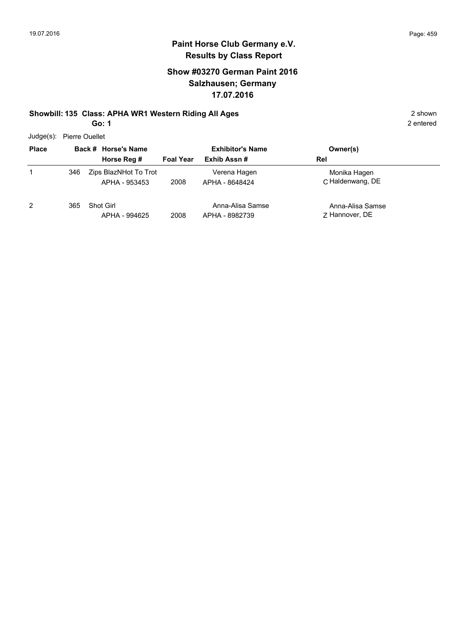# **Paint Horse Club Germany e.V. Results by Class Report**

## **Show #03270 German Paint 2016 Salzhausen; Germany 17.07.2016**

## **Showbill: 135 Class: APHA WR1 Western Riding All Ages** 2 shown

**Go: 1**

Judge(s): Pierre Ouellet

| 0.000        |     |                                        |                         |                                    |                                    |  |  |
|--------------|-----|----------------------------------------|-------------------------|------------------------------------|------------------------------------|--|--|
| <b>Place</b> |     | Back # Horse's Name                    | <b>Exhibitor's Name</b> |                                    | Owner(s)                           |  |  |
|              |     | Horse Reg #                            | <b>Foal Year</b>        | Exhib Assn#                        | Rel                                |  |  |
|              | 346 | Zips BlazNHot To Trot<br>APHA - 953453 | 2008                    | Verena Hagen<br>APHA - 8648424     | Monika Hagen<br>C. Haldenwang, DE  |  |  |
| 2            | 365 | <b>Shot Girl</b><br>APHA - 994625      | 2008                    | Anna-Alisa Samse<br>APHA - 8982739 | Anna-Alisa Samse<br>7 Hannover, DE |  |  |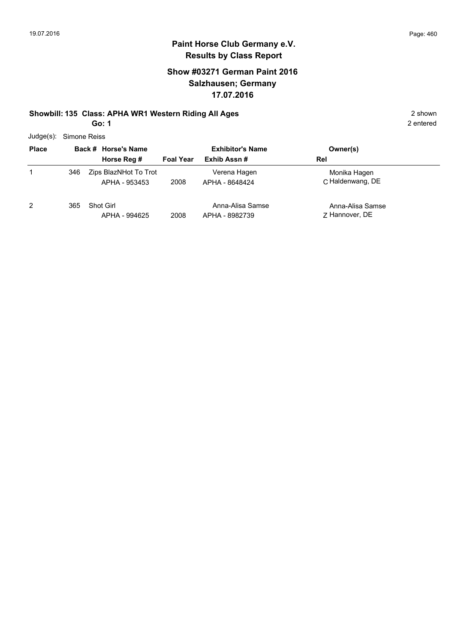## **Show #03271 German Paint 2016 Salzhausen; Germany 17.07.2016**

#### **Showbill: 135 Class: APHA WR1 Western Riding All Ages** 2 shown

**Go: 1**

| Judge(s): Simone Reiss |  |
|------------------------|--|
|                        |  |

| <b>Place</b>   |     | Back # Horse's Name                    | <b>Exhibitor's Name</b> |                                    | Owner(s)                           |
|----------------|-----|----------------------------------------|-------------------------|------------------------------------|------------------------------------|
|                |     | Horse Reg #                            | <b>Foal Year</b>        | Exhib Assn#                        | Rel                                |
| 1              | 346 | Zips BlazNHot To Trot<br>APHA - 953453 | 2008                    | Verena Hagen<br>APHA - 8648424     | Monika Hagen<br>C. Haldenwang, DE  |
| $\overline{2}$ | 365 | Shot Girl<br>APHA - 994625             | 2008                    | Anna-Alisa Samse<br>APHA - 8982739 | Anna-Alisa Samse<br>7 Hannover, DE |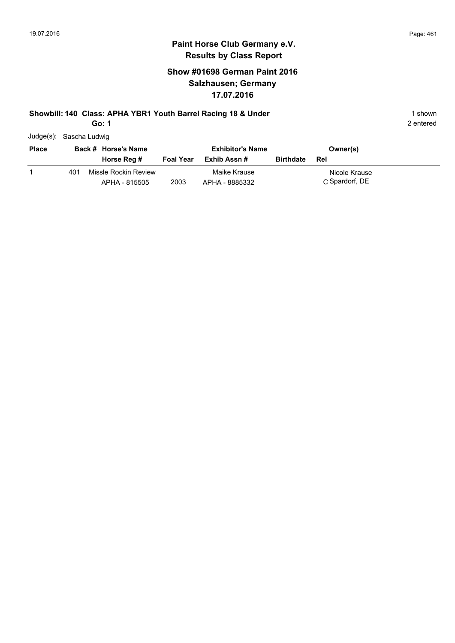## **Show #01698 German Paint 2016 Salzhausen; Germany 17.07.2016**

#### **Showbill: 140 Class: APHA YBR1 Youth Barrel Racing 18 & Under** 1 **Shown** 1 shown

**Go: 1**

|  | Judge(s): Sascha Ludwig |  |
|--|-------------------------|--|
|--|-------------------------|--|

| <b>Place</b> |     | Back # Horse's Name                   |                  | <b>Exhibitor's Name</b>        |                  | Owner(s)                        |
|--------------|-----|---------------------------------------|------------------|--------------------------------|------------------|---------------------------------|
|              |     | Horse Reg #                           | <b>Foal Year</b> | Exhib Assn #                   | <b>Birthdate</b> | Rel                             |
|              | 401 | Missle Rockin Review<br>APHA - 815505 | 2003             | Maike Krause<br>APHA - 8885332 |                  | Nicole Krause<br>C Spardorf, DE |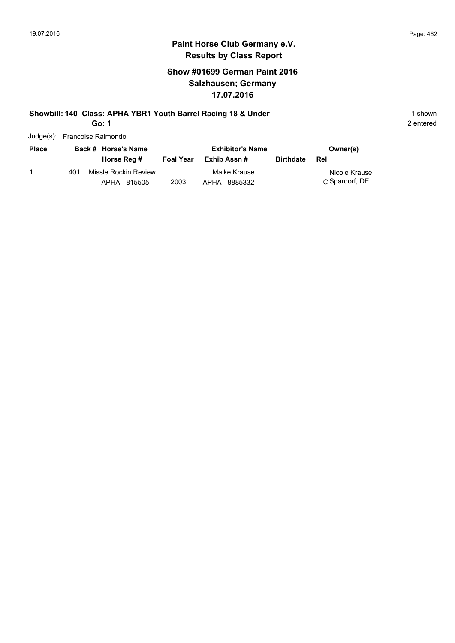#### **Paint Horse Club Germany e.V. Results by Class Report**

## **Show #01699 German Paint 2016 Salzhausen; Germany 17.07.2016**

#### **Showbill: 140 Class: APHA YBR1 Youth Barrel Racing 18 & Under** 1 **Shown** 1 shown

**Go: 1**

| 99. I                        |  |
|------------------------------|--|
| Judge(s): Francoise Raimondo |  |

| <b>Place</b> |     | Back # Horse's Name                   |                  | <b>Exhibitor's Name</b>        |                  | Owner(s)                        |
|--------------|-----|---------------------------------------|------------------|--------------------------------|------------------|---------------------------------|
|              |     | Horse Reg #                           | <b>Foal Year</b> | Exhib Assn #                   | <b>Birthdate</b> | Rel                             |
|              | 401 | Missle Rockin Review<br>APHA - 815505 | 2003             | Maike Krause<br>APHA - 8885332 |                  | Nicole Krause<br>C Spardorf, DE |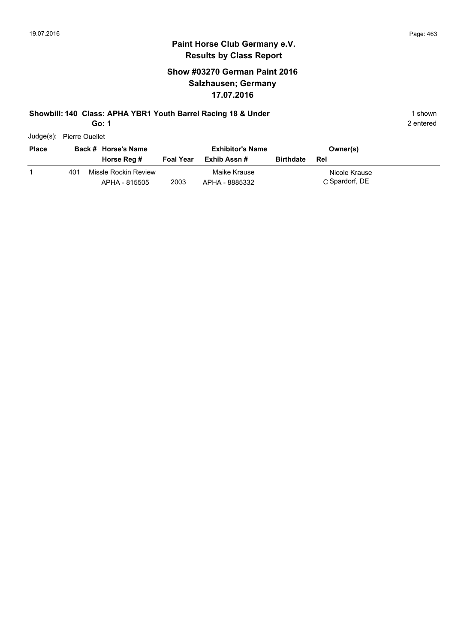## **Show #03270 German Paint 2016 Salzhausen; Germany 17.07.2016**

#### **Showbill: 140 Class: APHA YBR1 Youth Barrel Racing 18 & Under** 1 **Shown** 1 shown

**Go: 1**

| Judge(s): | <b>Pierre Ouellet</b> |
|-----------|-----------------------|
|           |                       |

| <b>Place</b> |     | Back # Horse's Name                   |                  | <b>Exhibitor's Name</b>        |                  | Owner(s)                        |
|--------------|-----|---------------------------------------|------------------|--------------------------------|------------------|---------------------------------|
|              |     | Horse Reg #                           | <b>Foal Year</b> | Exhib Assn #                   | <b>Birthdate</b> | Rel                             |
|              | 401 | Missle Rockin Review<br>APHA - 815505 | 2003             | Maike Krause<br>APHA - 8885332 |                  | Nicole Krause<br>C Spardorf, DE |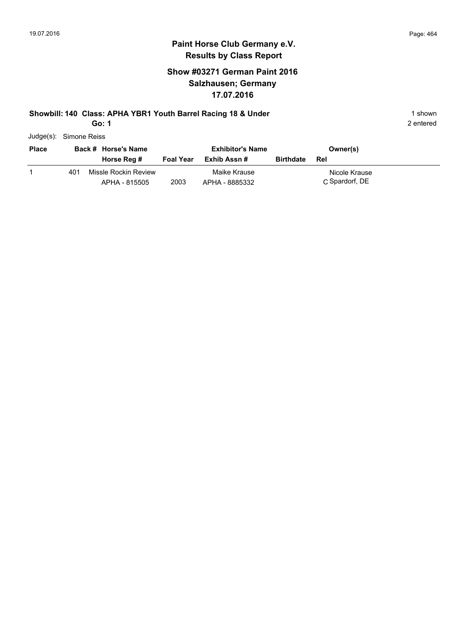## **Show #03271 German Paint 2016 Salzhausen; Germany 17.07.2016**

#### **Showbill: 140 Class: APHA YBR1 Youth Barrel Racing 18 & Under** 1 **Shown** 1 shown

**Go: 1**

| <b>Place</b> |     | Back # Horse's Name                   |                  | <b>Exhibitor's Name</b>        |                  | Owner(s)                        |
|--------------|-----|---------------------------------------|------------------|--------------------------------|------------------|---------------------------------|
|              |     | Horse Reg #                           | <b>Foal Year</b> | Exhib Assn #                   | <b>Birthdate</b> | Rel                             |
|              | 401 | Missle Rockin Review<br>APHA - 815505 | 2003             | Maike Krause<br>APHA - 8885332 |                  | Nicole Krause<br>C Spardorf, DE |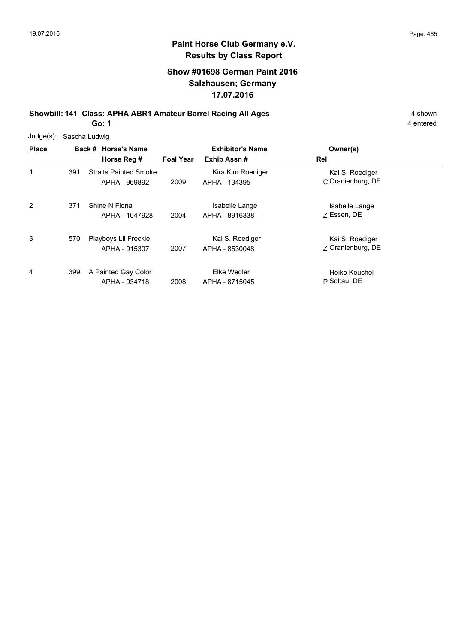## **Show #01698 German Paint 2016 Salzhausen; Germany 17.07.2016**

**Showbill: 141 Class: APHA ABR1 Amateur Barrel Racing All Ages** 4 shown **Go: 1**

| Judge(s): Sascha Ludwig | <b>Place</b> | Back # Horse's Name |
|-------------------------|--------------|---------------------|
|                         |              |                     |

| <b>Place</b> |     | Back # Horse's Name                           | <b>Exhibitor's Name</b> |                                    | Owner(s)                             |  |
|--------------|-----|-----------------------------------------------|-------------------------|------------------------------------|--------------------------------------|--|
|              |     | Horse Reg #                                   | <b>Foal Year</b>        | Exhib Assn#                        | Rel                                  |  |
| 1            | 391 | <b>Straits Painted Smoke</b><br>APHA - 969892 | 2009                    | Kira Kim Roediger<br>APHA - 134395 | Kai S. Roediger<br>C Oranienburg, DE |  |
| 2            | 371 | Shine N Fiona<br>APHA - 1047928               | 2004                    | Isabelle Lange<br>APHA - 8916338   | Isabelle Lange<br>7 Essen, DE        |  |
| 3            | 570 | Playboys Lil Freckle<br>APHA - 915307         | 2007                    | Kai S. Roediger<br>APHA - 8530048  | Kai S. Roediger<br>Z Oranienburg, DE |  |
| 4            | 399 | A Painted Gay Color<br>APHA - 934718          | 2008                    | Elke Wedler<br>APHA - 8715045      | Heiko Keuchel<br>P Soltau, DE        |  |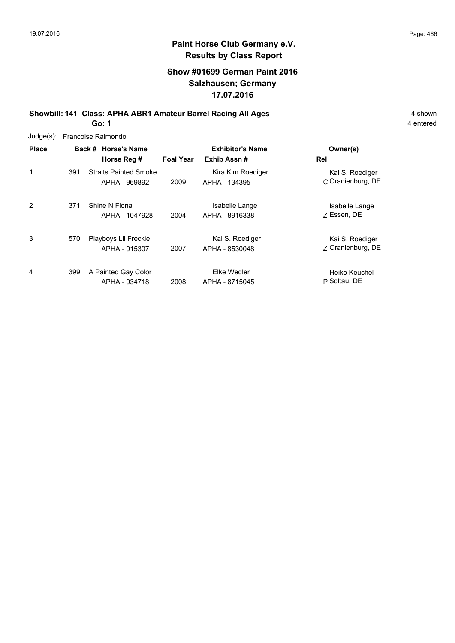## **Show #01699 German Paint 2016 Salzhausen; Germany 17.07.2016**

**Showbill: 141 Class: APHA ABR1 Amateur Barrel Racing All Ages** 4 shown **Go: 1**

|              | Judge(s): Francoise Raimondo |                                               |                  |                                        |                                      |  |  |  |
|--------------|------------------------------|-----------------------------------------------|------------------|----------------------------------------|--------------------------------------|--|--|--|
| <b>Place</b> |                              | Back # Horse's Name<br>Horse Reg #            | <b>Foal Year</b> | <b>Exhibitor's Name</b><br>Exhib Assn# | Owner(s)<br>Rel                      |  |  |  |
| 1            | 391                          | <b>Straits Painted Smoke</b><br>APHA - 969892 | 2009             | Kira Kim Roediger<br>APHA - 134395     | Kai S. Roediger<br>C Oranienburg, DE |  |  |  |
| 2            | 371                          | Shine N Fiona<br>APHA - 1047928               | 2004             | Isabelle Lange<br>APHA - 8916338       | Isabelle Lange<br>Z Essen, DE        |  |  |  |
| 3            | 570                          | Playboys Lil Freckle<br>APHA - 915307         | 2007             | Kai S. Roediger<br>APHA - 8530048      | Kai S. Roediger<br>7 Oranienburg, DE |  |  |  |
| 4            | 399                          | A Painted Gay Color<br>APHA - 934718          | 2008             | Elke Wedler<br>APHA - 8715045          | Heiko Keuchel<br>P Soltau, DE        |  |  |  |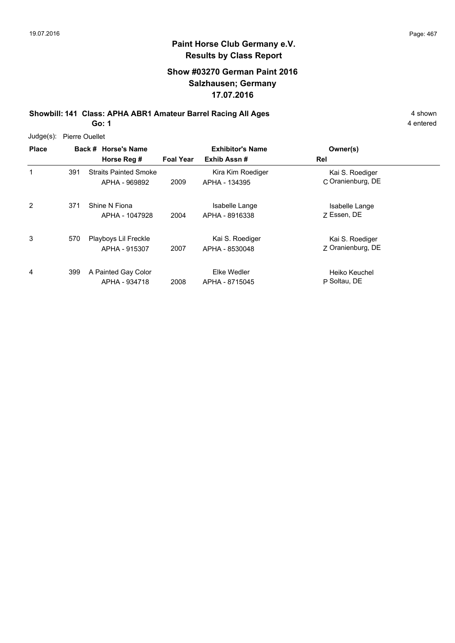## **Show #03270 German Paint 2016 Salzhausen; Germany 17.07.2016**

**Showbill: 141 Class: APHA ABR1 Amateur Barrel Racing All Ages** 4 shown **Go: 1**

| $Judge(s)$ : | <b>Pierre Ouellet</b> |
|--------------|-----------------------|
|              |                       |

| <b>Place</b> |     | Back # Horse's Name<br>Horse Reg #            | <b>Foal Year</b> | <b>Exhibitor's Name</b><br>Exhib Assn# | Owner(s)<br>Rel                      |
|--------------|-----|-----------------------------------------------|------------------|----------------------------------------|--------------------------------------|
| 1            | 391 | <b>Straits Painted Smoke</b><br>APHA - 969892 | 2009             | Kira Kim Roediger<br>APHA - 134395     | Kai S. Roediger<br>C Oranienburg, DE |
| 2            | 371 | Shine N Fiona<br>APHA - 1047928               | 2004             | Isabelle Lange<br>APHA - 8916338       | Isabelle Lange<br>7 Essen, DE        |
| 3            | 570 | Playboys Lil Freckle<br>APHA - 915307         | 2007             | Kai S. Roediger<br>APHA - 8530048      | Kai S. Roediger<br>Z Oranienburg, DE |
| 4            | 399 | A Painted Gay Color<br>APHA - 934718          | 2008             | Elke Wedler<br>APHA - 8715045          | Heiko Keuchel<br>P Soltau, DE        |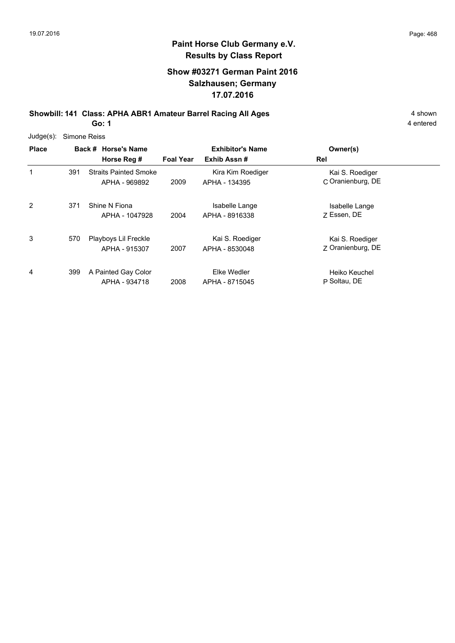## **Show #03271 German Paint 2016 Salzhausen; Germany 17.07.2016**

**Showbill: 141 Class: APHA ABR1 Amateur Barrel Racing All Ages** 4 shown **Go: 1**

|              | Judge(s): Simone Reiss              |                  |                         |           |
|--------------|-------------------------------------|------------------|-------------------------|-----------|
| <b>Place</b> | Back # Horse's Name                 |                  | <b>Exhibitor's Name</b> | Owner(s)  |
|              | Horse Reg #                         | <b>Foal Year</b> | Exhib Assn #            | Rel       |
|              | <b>Straits Painted Smoke</b><br>391 |                  | Kira Kim Roediger       | Kai S. Ro |

| 1 | 391 | <b>Straits Painted Smoke</b><br>APHA - 969892 | 2009 | Kira Kim Roediger<br>APHA - 134395 | Kai S. Roediger<br>C Oranienburg, DE |
|---|-----|-----------------------------------------------|------|------------------------------------|--------------------------------------|
| 2 | 371 | Shine N Fiona<br>APHA - 1047928               | 2004 | Isabelle Lange<br>APHA - 8916338   | Isabelle Lange<br>7 Essen, DE        |
| 3 | 570 | Playboys Lil Freckle<br>APHA - 915307         | 2007 | Kai S. Roediger<br>APHA - 8530048  | Kai S. Roediger<br>Z Oranienburg, DE |
| 4 | 399 | A Painted Gay Color<br>APHA - 934718          | 2008 | Elke Wedler<br>APHA - 8715045      | Heiko Keuchel<br>P Soltau, DE        |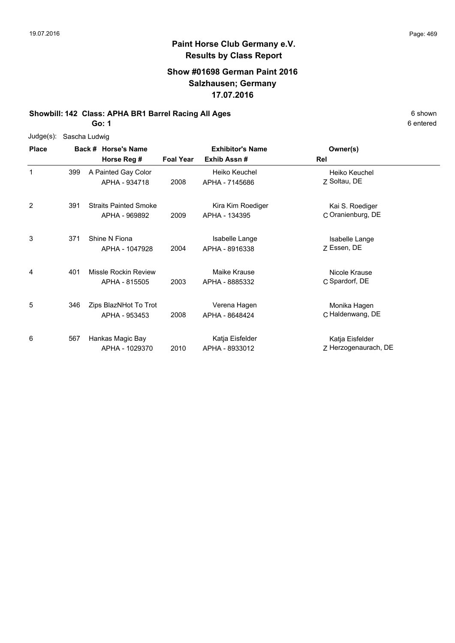# **Paint Horse Club Germany e.V. Results by Class Report**

### **Show #01698 German Paint 2016 Salzhausen; Germany 17.07.2016**

## **Showbill: 142 Class: APHA BR1 Barrel Racing All Ages** 6 Shown

**Go: 1**

6 entered

| Judge(s):    | Sascha Ludwig |                                               |                  |                                        |                                         |  |  |  |
|--------------|---------------|-----------------------------------------------|------------------|----------------------------------------|-----------------------------------------|--|--|--|
| <b>Place</b> |               | Back # Horse's Name<br>Horse Reg #            | <b>Foal Year</b> | <b>Exhibitor's Name</b><br>Exhib Assn# | Owner(s)<br>Rel                         |  |  |  |
| 1            | 399           | A Painted Gay Color<br>APHA - 934718          | 2008             | Heiko Keuchel<br>APHA - 7145686        | Heiko Keuchel<br>Z Soltau, DE           |  |  |  |
| 2            | 391           | <b>Straits Painted Smoke</b><br>APHA - 969892 | 2009             | Kira Kim Roediger<br>APHA - 134395     | Kai S. Roediger<br>C Oranienburg, DE    |  |  |  |
| 3            | 371           | Shine N Fiona<br>APHA - 1047928               | 2004             | Isabelle Lange<br>APHA - 8916338       | Isabelle Lange<br>Z Essen, DE           |  |  |  |
| 4            | 401           | Missle Rockin Review<br>APHA - 815505         | 2003             | Maike Krause<br>APHA - 8885332         | Nicole Krause<br>C Spardorf, DE         |  |  |  |
| 5            | 346           | Zips BlazNHot To Trot<br>APHA - 953453        | 2008             | Verena Hagen<br>APHA - 8648424         | Monika Hagen<br>C Haldenwang, DE        |  |  |  |
| 6            | 567           | Hankas Magic Bay<br>APHA - 1029370            | 2010             | Katja Eisfelder<br>APHA - 8933012      | Katja Eisfelder<br>Z Herzogenaurach, DE |  |  |  |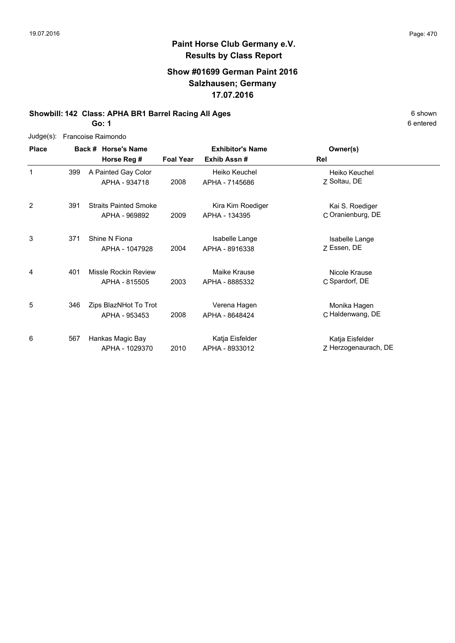# **Paint Horse Club Germany e.V. Results by Class Report**

### **Show #01699 German Paint 2016 Salzhausen; Germany 17.07.2016**

## **Showbill: 142 Class: APHA BR1 Barrel Racing All Ages** 6 Shown

**Go: 1**

6 entered

| $Judge(s)$ :   | Francoise Raimondo |                                               |                  |                                        |                                         |  |  |  |
|----------------|--------------------|-----------------------------------------------|------------------|----------------------------------------|-----------------------------------------|--|--|--|
| <b>Place</b>   |                    | Back # Horse's Name<br>Horse Reg #            | <b>Foal Year</b> | <b>Exhibitor's Name</b><br>Exhib Assn# | Owner(s)<br><b>Rel</b>                  |  |  |  |
| 1              | 399                | A Painted Gay Color<br>APHA - 934718          | 2008             | Heiko Keuchel<br>APHA - 7145686        | Heiko Keuchel<br>Z Soltau, DE           |  |  |  |
| $\overline{2}$ | 391                | <b>Straits Painted Smoke</b><br>APHA - 969892 | 2009             | Kira Kim Roediger<br>APHA - 134395     | Kai S. Roediger<br>C Oranienburg, DE    |  |  |  |
| 3              | 371                | Shine N Fiona<br>APHA - 1047928               | 2004             | Isabelle Lange<br>APHA - 8916338       | Isabelle Lange<br>Z Essen, DE           |  |  |  |
| 4              | 401                | Missle Rockin Review<br>APHA - 815505         | 2003             | Maike Krause<br>APHA - 8885332         | Nicole Krause<br>C Spardorf, DE         |  |  |  |
| 5              | 346                | Zips BlazNHot To Trot<br>APHA - 953453        | 2008             | Verena Hagen<br>APHA - 8648424         | Monika Hagen<br>C Haldenwang, DE        |  |  |  |
| 6              | 567                | Hankas Magic Bay<br>APHA - 1029370            | 2010             | Katja Eisfelder<br>APHA - 8933012      | Katja Eisfelder<br>Z Herzogenaurach, DE |  |  |  |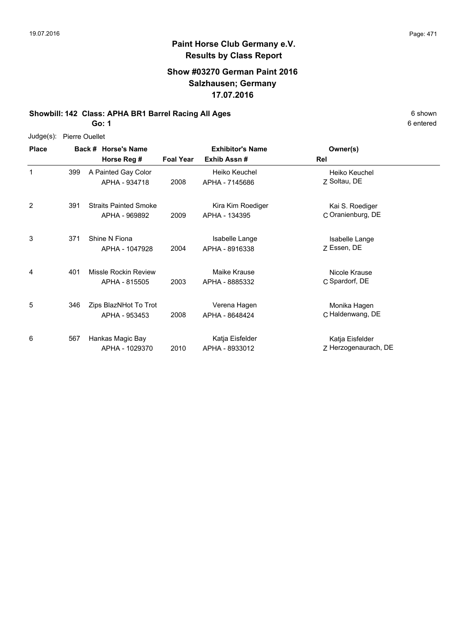6 entered

### **Paint Horse Club Germany e.V. Results by Class Report**

#### **Show #03270 German Paint 2016 Salzhausen; Germany 17.07.2016**

#### **Showbill: 142 Class: APHA BR1 Barrel Racing All Ages** 6 Shown

**Go: 1**

| $Judge(s)$ : | Pierre Ouellet |
|--------------|----------------|
|--------------|----------------|

**Back # Horse's Name Place Owner(s) Horse Reg # Exhib Assn # Foal Year Rel Exhibitor's Name** 1 Z Soltau, DE Heiko Keuchel 2008 APHA - 7145686 Z Soltau, DE A Painted Gay Color APHA - 934718 Heiko Keuchel 399 2 2009 APHA - 134395 C Oranienburg, DE Kai S. Roediger Straits Painted Smoke APHA - 969892 Kira Kim Roediger APHA - 134395 391 3 Z Essen, DE Isabelle Lange 2004 Essen, DE APHA - 8916338 371 Shine N Fiona APHA - 1047928 Isabelle Lange 4 C Spardorf, DE Nicole Krause 2003 APHA - 8885332 C Spardorf, DE Missle Rockin Review APHA - 815505 Maike Krause 401 5 C Haldenwang, DE Monika Hagen 2008 APHA - 8648424 C Haldenwang, DE 346 Zips BlazNHot To Trot APHA - 953453 Verena Hagen 6 2010 APHA - 8933012 Z Herzogenaurach, DE Katja Eisfelder Hankas Magic Bay APHA - 1029370 Katja Eisfelder APHA - 8933012 567